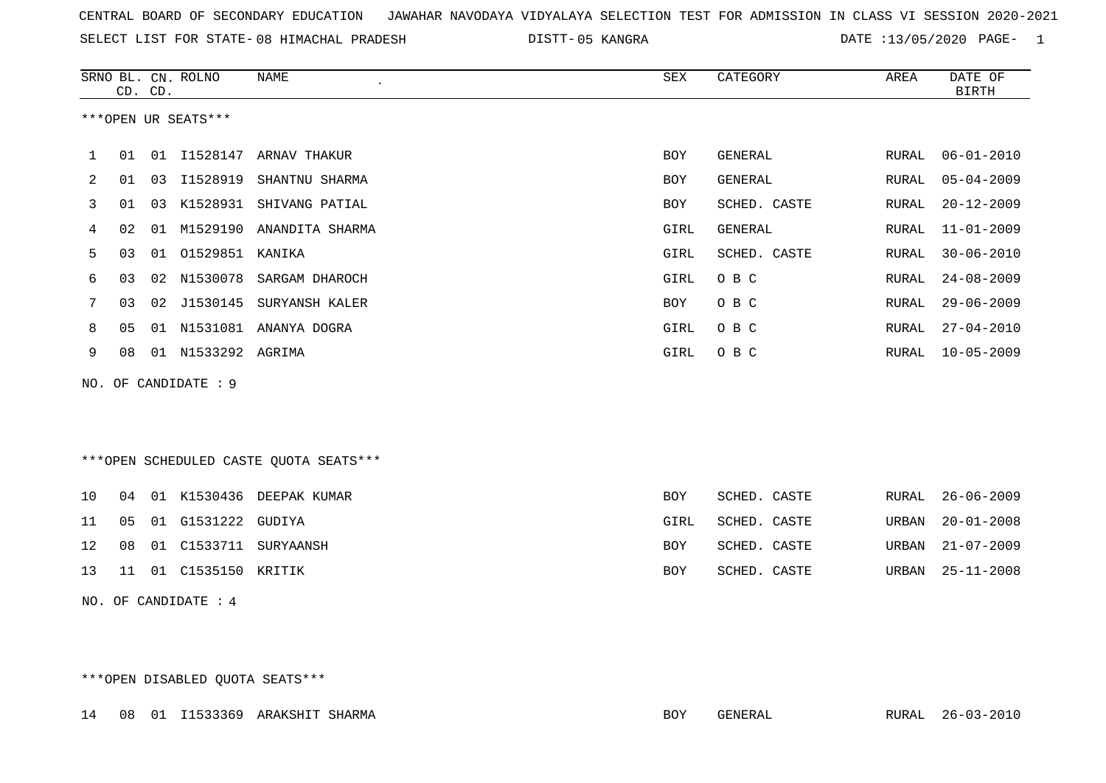SELECT LIST FOR STATE- DISTT- 08 HIMACHAL PRADESH

05 KANGRA DATE :13/05/2020 PAGE- 1

|     |    | CD. CD. | SRNO BL. CN. ROLNO   | <b>NAME</b><br>$\pmb{\cdot}$             | ${\tt SEX}$ | <b>CATEGORY</b> | AREA  | DATE OF<br><b>BIRTH</b> |
|-----|----|---------|----------------------|------------------------------------------|-------------|-----------------|-------|-------------------------|
|     |    |         | ***OPEN UR SEATS***  |                                          |             |                 |       |                         |
| 1   | 01 |         |                      | 01 I1528147 ARNAV THAKUR                 | <b>BOY</b>  | GENERAL         | RURAL | $06 - 01 - 2010$        |
| 2   | 01 | 03      | I1528919             | SHANTNU SHARMA                           | BOY         | GENERAL         | RURAL | $05 - 04 - 2009$        |
| 3   | 01 | 03      | K1528931             | SHIVANG PATIAL                           | <b>BOY</b>  | SCHED. CASTE    | RURAL | $20 - 12 - 2009$        |
| 4   | 02 | 01      |                      | M1529190 ANANDITA SHARMA                 | GIRL        | GENERAL         | RURAL | $11 - 01 - 2009$        |
| 5   | 03 | 01      | 01529851 KANIKA      |                                          | GIRL        | SCHED. CASTE    | RURAL | $30 - 06 - 2010$        |
| 6   | 03 |         |                      | 02 N1530078 SARGAM DHAROCH               | GIRL        | O B C           | RURAL | $24 - 08 - 2009$        |
| 7   | 03 | 02      | J1530145             | SURYANSH KALER                           | <b>BOY</b>  | O B C           | RURAL | $29 - 06 - 2009$        |
| 8   | 05 | 01      |                      | N1531081 ANANYA DOGRA                    | GIRL        | O B C           | RURAL | $27 - 04 - 2010$        |
| 9   | 08 |         | 01 N1533292 AGRIMA   |                                          | GIRL        | O B C           | RURAL | $10 - 05 - 2009$        |
| NO. |    |         | OF CANDIDATE : 9     |                                          |             |                 |       |                         |
|     |    |         |                      |                                          |             |                 |       |                         |
|     |    |         |                      |                                          |             |                 |       |                         |
|     |    |         |                      | *** OPEN SCHEDULED CASTE QUOTA SEATS *** |             |                 |       |                         |
|     |    |         |                      |                                          |             |                 |       |                         |
| 10  | 04 |         |                      | 01 K1530436 DEEPAK KUMAR                 | BOY         | SCHED. CASTE    | RURAL | $26 - 06 - 2009$        |
| 11  | 05 | 01      | G1531222             | GUDIYA                                   | GIRL        | SCHED. CASTE    | URBAN | $20 - 01 - 2008$        |
| 12  | 08 | 01      | C1533711             | SURYAANSH                                | <b>BOY</b>  | SCHED. CASTE    | URBAN | $21 - 07 - 2009$        |
| 13  | 11 |         | 01 C1535150 KRITIK   |                                          | BOY         | SCHED. CASTE    | URBAN | $25 - 11 - 2008$        |
|     |    |         | NO. OF CANDIDATE : 4 |                                          |             |                 |       |                         |
|     |    |         |                      |                                          |             |                 |       |                         |
|     |    |         |                      |                                          |             |                 |       |                         |

\*\*\*OPEN DISABLED QUOTA SEATS\*\*\*

14 08 01 I1533369 ARAKSHIT SHARMA BOY GENERAL RURAL 26-03-2010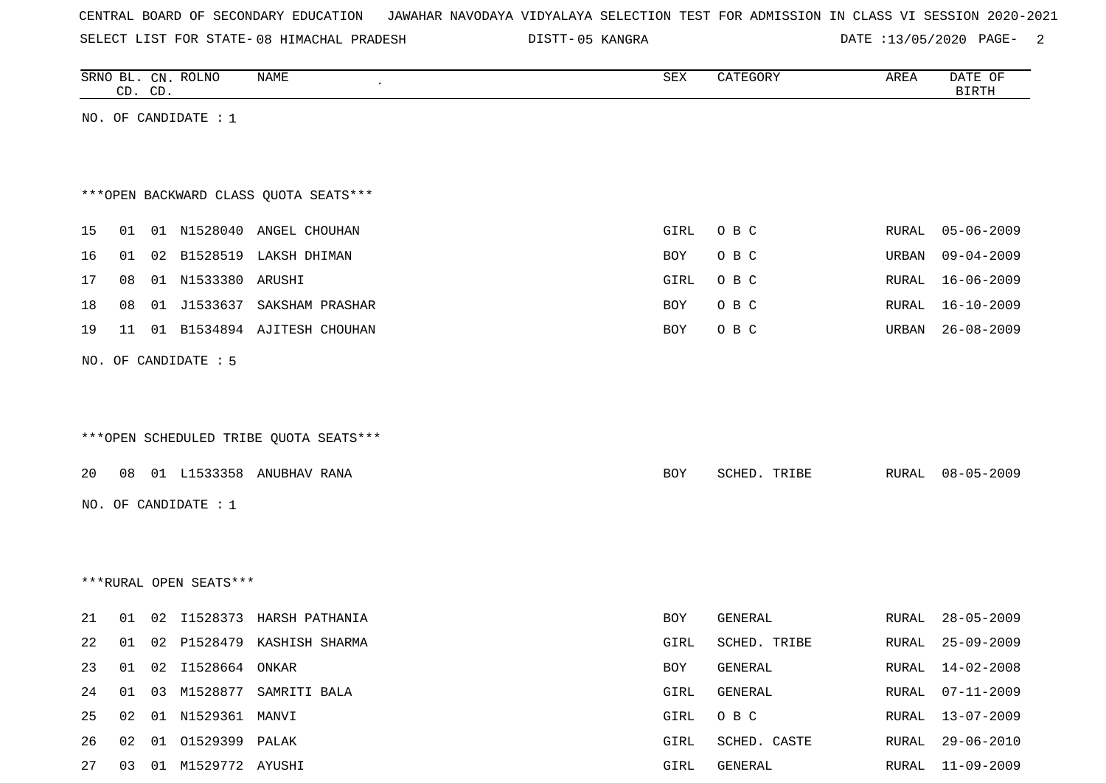|  |  |  |  | CENTRAL BOARD OF SECONDARY EDUCATION – JAWAHAR NAVODAYA VIDYALAYA SELECTION TEST FOR ADMISSION IN CLASS VI SESSION 2020-2021 |  |  |  |  |  |  |  |  |  |  |
|--|--|--|--|------------------------------------------------------------------------------------------------------------------------------|--|--|--|--|--|--|--|--|--|--|
|--|--|--|--|------------------------------------------------------------------------------------------------------------------------------|--|--|--|--|--|--|--|--|--|--|

SELECT LIST FOR STATE-08 HIMACHAL PRADESH DISTT-05 KANGRA DATE :13/05/2020 PAGE- 2

|    | CD. CD. | SRNO BL. CN. ROLNO      | <b>NAME</b>                            | ${\tt SEX}$ | CATEGORY     | AREA         | DATE OF<br><b>BIRTH</b> |
|----|---------|-------------------------|----------------------------------------|-------------|--------------|--------------|-------------------------|
|    |         | NO. OF CANDIDATE : $1$  |                                        |             |              |              |                         |
|    |         |                         |                                        |             |              |              |                         |
|    |         |                         |                                        |             |              |              |                         |
|    |         |                         | *** OPEN BACKWARD CLASS QUOTA SEATS*** |             |              |              |                         |
| 15 | 01      |                         | 01 N1528040 ANGEL CHOUHAN              | GIRL        | O B C        | RURAL        | 05-06-2009              |
| 16 | 01      |                         | 02 B1528519 LAKSH DHIMAN               | <b>BOY</b>  | O B C        | URBAN        | $09 - 04 - 2009$        |
| 17 | 08      | 01 N1533380 ARUSHI      |                                        | GIRL        | O B C        | RURAL        | $16 - 06 - 2009$        |
| 18 | 08      |                         | 01 J1533637 SAKSHAM PRASHAR            | BOY         | O B C        | RURAL        | $16 - 10 - 2009$        |
| 19 | 11      |                         | 01 B1534894 AJITESH CHOUHAN            | BOY         | O B C        | URBAN        | $26 - 08 - 2009$        |
|    |         | NO. OF CANDIDATE : 5    |                                        |             |              |              |                         |
|    |         |                         |                                        |             |              |              |                         |
|    |         |                         |                                        |             |              |              |                         |
|    |         |                         | ***OPEN SCHEDULED TRIBE QUOTA SEATS*** |             |              |              |                         |
| 20 | 08      |                         | 01 L1533358 ANUBHAV RANA               | BOY         | SCHED. TRIBE | RURAL        | 08-05-2009              |
|    |         | NO. OF CANDIDATE : 1    |                                        |             |              |              |                         |
|    |         |                         |                                        |             |              |              |                         |
|    |         |                         |                                        |             |              |              |                         |
|    |         |                         |                                        |             |              |              |                         |
|    |         | ***RURAL OPEN SEATS***  |                                        |             |              |              |                         |
| 21 |         |                         | 01 02 I1528373 HARSH PATHANIA          | BOY         | GENERAL      | RURAL        | $28 - 05 - 2009$        |
| 22 | 01      |                         | 02 P1528479 KASHISH SHARMA             | GIRL        | SCHED. TRIBE | RURAL        | $25 - 09 - 2009$        |
| 23 | 01      | 02 I1528664 ONKAR       |                                        | BOY         | GENERAL      | RURAL        | $14 - 02 - 2008$        |
| 24 | 01      |                         | 03 M1528877 SAMRITI BALA               | GIRL        | GENERAL      | RURAL        | $07 - 11 - 2009$        |
| 25 |         | 02  01  N1529361  MANVI |                                        | GIRL        | O B C        | RURAL        | $13 - 07 - 2009$        |
| 26 |         | 02 01 01529399 PALAK    |                                        | GIRL        | SCHED. CASTE | RURAL        | $29 - 06 - 2010$        |
| 27 |         | 03 01 M1529772 AYUSHI   |                                        | GIRL        | GENERAL      | <b>RURAL</b> | $11 - 09 - 2009$        |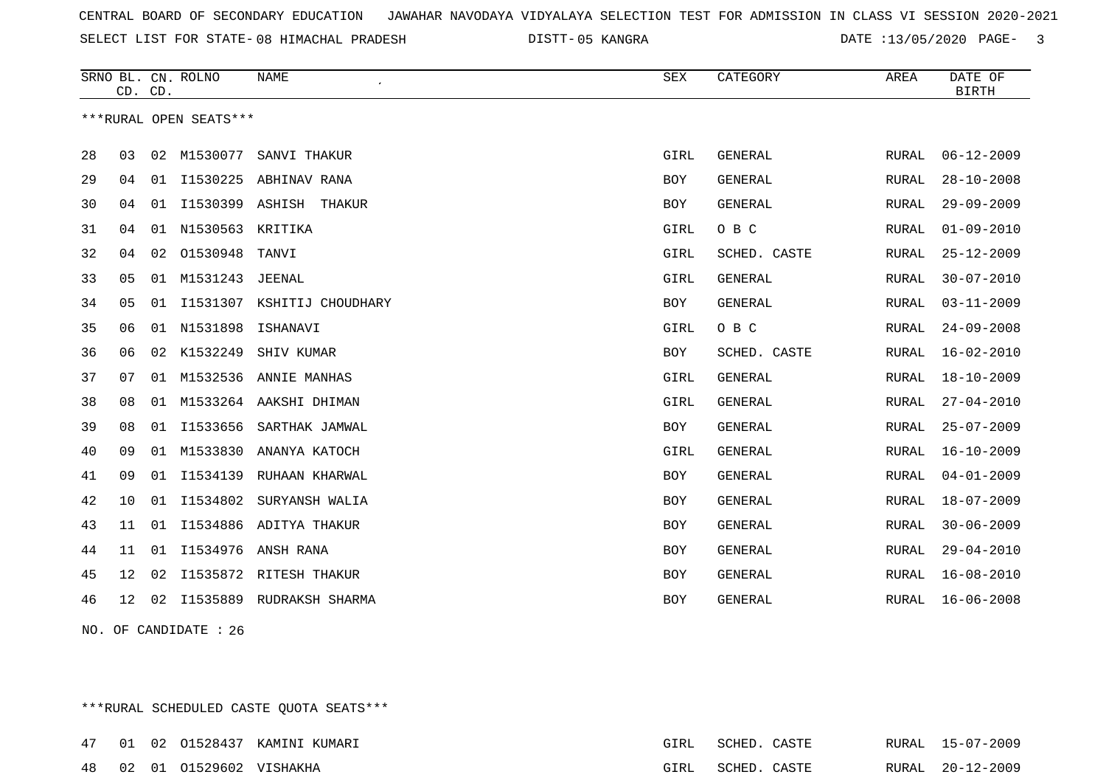SELECT LIST FOR STATE- DISTT- 08 HIMACHAL PRADESH

05 KANGRA DATE :13/05/2020 PAGE- 3

|    | CD. CD. |    | SRNO BL. CN. ROLNO     | <b>NAME</b>              | ${\tt SEX}$ | CATEGORY       | AREA  | DATE OF<br><b>BIRTH</b> |
|----|---------|----|------------------------|--------------------------|-------------|----------------|-------|-------------------------|
|    |         |    | ***RURAL OPEN SEATS*** |                          |             |                |       |                         |
| 28 | 03      |    | 02 M1530077            | SANVI THAKUR             | GIRL        | <b>GENERAL</b> | RURAL | $06 - 12 - 2009$        |
| 29 | 04      |    |                        | 01 I1530225 ABHINAV RANA | <b>BOY</b>  | <b>GENERAL</b> | RURAL | $28 - 10 - 2008$        |
| 30 | 04      | 01 | I1530399 ASHISH        | THAKUR                   | <b>BOY</b>  | <b>GENERAL</b> | RURAL | $29 - 09 - 2009$        |
| 31 | 04      | 01 | N1530563               | KRITIKA                  | GIRL        | O B C          | RURAL | $01 - 09 - 2010$        |
| 32 | 04      |    | 02 01530948            | TANVI                    | GIRL        | SCHED. CASTE   | RURAL | $25 - 12 - 2009$        |
| 33 | 05      |    | 01 M1531243            | JEENAL                   | GIRL        | <b>GENERAL</b> | RURAL | $30 - 07 - 2010$        |
| 34 | 05      | 01 | I1531307               | KSHITIJ CHOUDHARY        | <b>BOY</b>  | <b>GENERAL</b> | RURAL | $03 - 11 - 2009$        |
| 35 | 06      | 01 | N1531898               | ISHANAVI                 | GIRL        | O B C          | RURAL | $24 - 09 - 2008$        |
| 36 | 06      | 02 | K1532249               | SHIV KUMAR               | BOY         | SCHED. CASTE   | RURAL | $16 - 02 - 2010$        |
| 37 | 07      | 01 | M1532536               | ANNIE MANHAS             | GIRL        | <b>GENERAL</b> | RURAL | $18 - 10 - 2009$        |
| 38 | 08      | 01 |                        | M1533264 AAKSHI DHIMAN   | GIRL        | <b>GENERAL</b> | RURAL | $27 - 04 - 2010$        |
| 39 | 08      | 01 | I1533656               | SARTHAK JAMWAL           | <b>BOY</b>  | <b>GENERAL</b> | RURAL | $25 - 07 - 2009$        |
| 40 | 09      | 01 | M1533830               | ANANYA KATOCH            | GIRL        | <b>GENERAL</b> | RURAL | $16 - 10 - 2009$        |
| 41 | 09      | 01 | I1534139               | RUHAAN KHARWAL           | <b>BOY</b>  | <b>GENERAL</b> | RURAL | $04 - 01 - 2009$        |
| 42 | 10      | 01 | I1534802               | SURYANSH WALIA           | <b>BOY</b>  | <b>GENERAL</b> | RURAL | $18 - 07 - 2009$        |
| 43 | 11      | 01 | I1534886               | ADITYA THAKUR            | <b>BOY</b>  | GENERAL        | RURAL | $30 - 06 - 2009$        |
| 44 | 11      | 01 | I1534976               | ANSH RANA                | <b>BOY</b>  | <b>GENERAL</b> | RURAL | $29 - 04 - 2010$        |
| 45 | 12      | 02 |                        | I1535872 RITESH THAKUR   | <b>BOY</b>  | <b>GENERAL</b> | RURAL | $16 - 08 - 2010$        |
| 46 | 12      | 02 |                        | I1535889 RUDRAKSH SHARMA | <b>BOY</b>  | <b>GENERAL</b> | RURAL | $16 - 06 - 2008$        |

NO. OF CANDIDATE : 26

\*\*\*RURAL SCHEDULED CASTE QUOTA SEATS\*\*\*

|  |                            | 47 01 02 01528437 KAMINI KUMARI | GIRL | SCHED. CASTE |  | RURAL 15-07-2009 |
|--|----------------------------|---------------------------------|------|--------------|--|------------------|
|  | 48 02 01 01529602 VISHAKHA |                                 | GIRL | SCHED. CASTE |  | RURAL 20-12-2009 |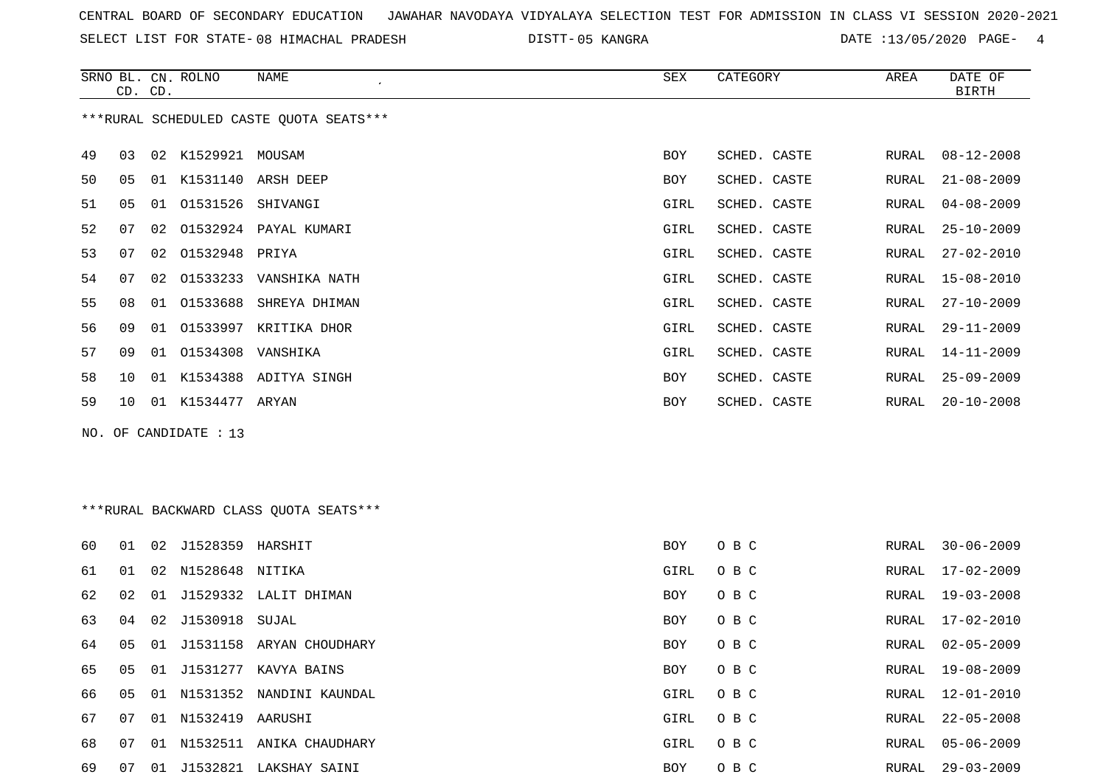SELECT LIST FOR STATE- DISTT- 08 HIMACHAL PRADESH

05 KANGRA DATE :13/05/2020 PAGE- 4

|    |                                         | CD. CD. | SRNO BL. CN. ROLNO     | NAME                      | SEX        | CATEGORY     | AREA  | DATE OF<br><b>BIRTH</b> |  |  |  |  |  |
|----|-----------------------------------------|---------|------------------------|---------------------------|------------|--------------|-------|-------------------------|--|--|--|--|--|
|    | ***RURAL SCHEDULED CASTE QUOTA SEATS*** |         |                        |                           |            |              |       |                         |  |  |  |  |  |
| 49 | 03                                      |         | 02 K1529921 MOUSAM     |                           | BOY        | SCHED. CASTE | RURAL | $08 - 12 - 2008$        |  |  |  |  |  |
| 50 | 05                                      | 01      |                        | K1531140 ARSH DEEP        | BOY        | SCHED. CASTE | RURAL | $21 - 08 - 2009$        |  |  |  |  |  |
| 51 | 05                                      |         | 01  01531526  SHIVANGI |                           | GIRL       | SCHED. CASTE | RURAL | $04 - 08 - 2009$        |  |  |  |  |  |
| 52 | 07                                      |         |                        | 02 01532924 PAYAL KUMARI  | GIRL       | SCHED. CASTE | RURAL | $25 - 10 - 2009$        |  |  |  |  |  |
| 53 | 07                                      |         | 02 01532948 PRIYA      |                           | GIRL       | SCHED. CASTE | RURAL | 27-02-2010              |  |  |  |  |  |
| 54 | 07                                      |         |                        | 02 01533233 VANSHIKA NATH | GIRL       | SCHED. CASTE | RURAL | 15-08-2010              |  |  |  |  |  |
| 55 | 08                                      |         |                        | 01 01533688 SHREYA DHIMAN | GIRL       | SCHED. CASTE | RURAL | $27 - 10 - 2009$        |  |  |  |  |  |
| 56 | 09                                      |         |                        | 01 01533997 KRITIKA DHOR  | GIRL       | SCHED. CASTE | RURAL | $29 - 11 - 2009$        |  |  |  |  |  |
| 57 | 09                                      |         | 01 01534308 VANSHIKA   |                           | GIRL       | SCHED. CASTE | RURAL | 14-11-2009              |  |  |  |  |  |
| 58 | 1 O                                     |         |                        | 01 K1534388 ADITYA SINGH  | <b>BOY</b> | SCHED. CASTE | RURAL | $25 - 09 - 2009$        |  |  |  |  |  |
| 59 | 10                                      |         | 01 K1534477 ARYAN      |                           | <b>BOY</b> | SCHED. CASTE | RURAL | $20 - 10 - 2008$        |  |  |  |  |  |
|    |                                         |         |                        |                           |            |              |       |                         |  |  |  |  |  |

NO. OF CANDIDATE : 13

# \*\*\*RURAL BACKWARD CLASS QUOTA SEATS\*\*\*

| 60 | 01 | 02    | J1528359            | HARSHIT                  | <b>BOY</b> | O B C | RURAL | $30 - 06 - 2009$ |
|----|----|-------|---------------------|--------------------------|------------|-------|-------|------------------|
| 61 | 01 | 02    | N1528648 NITIKA     |                          | GIRL       | O B C | RURAL | 17-02-2009       |
| 62 | 02 | 01    |                     | J1529332 LALIT DHIMAN    | <b>BOY</b> | O B C | RURAL | $19 - 03 - 2008$ |
| 63 | 04 |       | 02 J1530918 SUJAL   |                          | <b>BOY</b> | O B C | RURAL | 17-02-2010       |
| 64 | 05 | 01    |                     | J1531158 ARYAN CHOUDHARY | <b>BOY</b> | O B C | RURAL | 02-05-2009       |
| 65 | 05 | 01    |                     | J1531277 KAVYA BAINS     | <b>BOY</b> | O B C | RURAL | 19-08-2009       |
| 66 | 05 | 01    |                     | N1531352 NANDINI KAUNDAL | GIRL       | O B C | RURAL | 12-01-2010       |
| 67 | 07 |       | 01 N1532419 AARUSHI |                          | GIRL       | O B C | RURAL | $22 - 05 - 2008$ |
| 68 | 07 | . N 1 | N1532511            | ANIKA CHAUDHARY          | GIRL       | O B C | RURAL | $05 - 06 - 2009$ |
| 69 | 07 | 01    |                     | J1532821 LAKSHAY SAINI   | <b>BOY</b> | O B C | RURAL | $29 - 03 - 2009$ |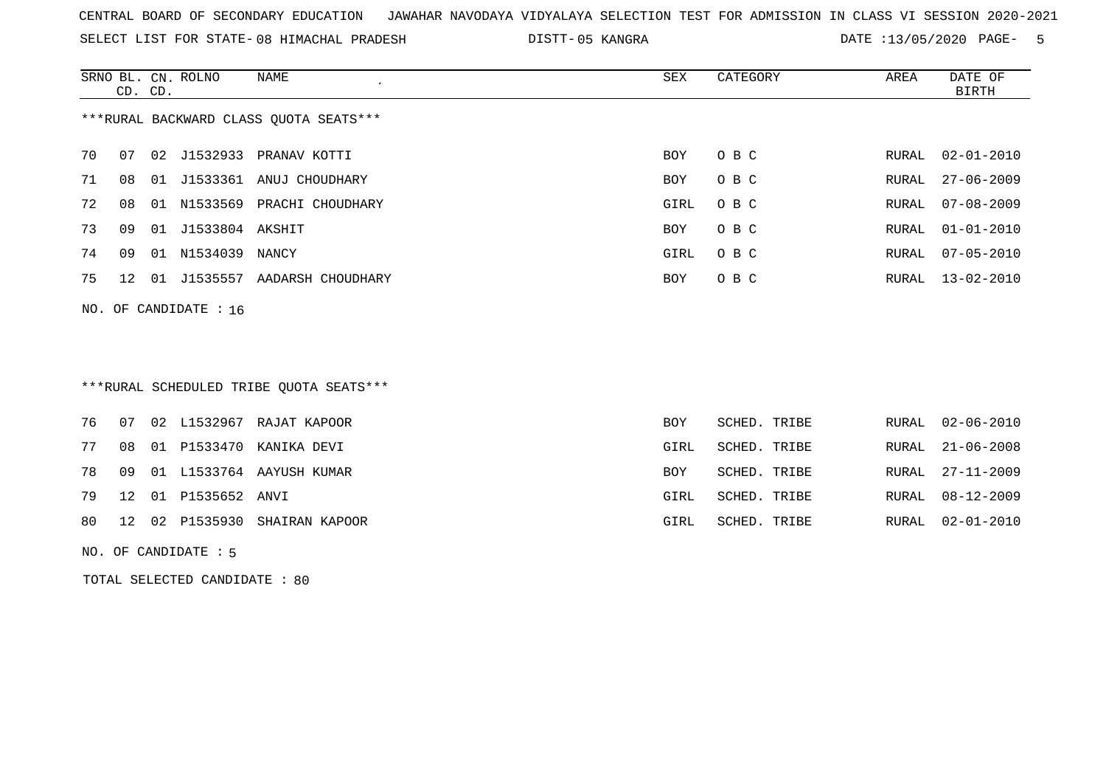SELECT LIST FOR STATE- DISTT- 08 HIMACHAL PRADESH

05 KANGRA DATE :13/05/2020 PAGE- 5

|    | CD. CD.                                |    | SRNO BL. CN. ROLNO | NAME              | SEX  | CATEGORY | AREA  | DATE OF<br>BIRTH |  |  |  |  |  |
|----|----------------------------------------|----|--------------------|-------------------|------|----------|-------|------------------|--|--|--|--|--|
|    | ***RURAL BACKWARD CLASS OUOTA SEATS*** |    |                    |                   |      |          |       |                  |  |  |  |  |  |
| 70 | 07                                     |    | 02 J1532933        | PRANAV KOTTI      | BOY  | O B C    | RURAL | $02 - 01 - 2010$ |  |  |  |  |  |
| 71 | 08                                     | 01 | J1533361           | ANUJ CHOUDHARY    | BOY  | O B C    | RURAL | 27-06-2009       |  |  |  |  |  |
| 72 | 08                                     | 01 | N1533569           | PRACHI CHOUDHARY  | GIRL | O B C    | RURAL | 07-08-2009       |  |  |  |  |  |
| 73 | 09                                     | 01 | J1533804 AKSHIT    |                   | BOY  | O B C    | RURAL | $01 - 01 - 2010$ |  |  |  |  |  |
| 74 | 09                                     | 01 | N1534039           | NANCY             | GIRL | O B C    | RURAL | $07 - 05 - 2010$ |  |  |  |  |  |
| 75 | 12 <sup>°</sup>                        | 01 | J1535557           | AADARSH CHOUDHARY | BOY  | O B C    | RURAL | $13 - 02 - 2010$ |  |  |  |  |  |
|    |                                        |    |                    |                   |      |          |       |                  |  |  |  |  |  |

NO. OF CANDIDATE : 16

# \*\*\*RURAL SCHEDULED TRIBE QUOTA SEATS\*\*\*

|  |                        | 76 07 02 L1532967 RAJAT KAPOOR   | <b>BOY</b> | SCHED. TRIBE | RURAL 02-06-2010 |
|--|------------------------|----------------------------------|------------|--------------|------------------|
|  |                        | 77 08 01 P1533470 KANIKA DEVI    | GIRL       | SCHED. TRIBE | RURAL 21-06-2008 |
|  |                        | 78 09 01 L1533764 AAYUSH KUMAR   | BOY        | SCHED. TRIBE | RURAL 27-11-2009 |
|  | 79 12 01 P1535652 ANVI |                                  | GIRL       | SCHED. TRIBE | RURAL 08-12-2009 |
|  |                        | 80 12 02 P1535930 SHAIRAN KAPOOR | GIRL       | SCHED. TRIBE | RURAL 02-01-2010 |
|  |                        |                                  |            |              |                  |

NO. OF CANDIDATE : 5

TOTAL SELECTED CANDIDATE : 80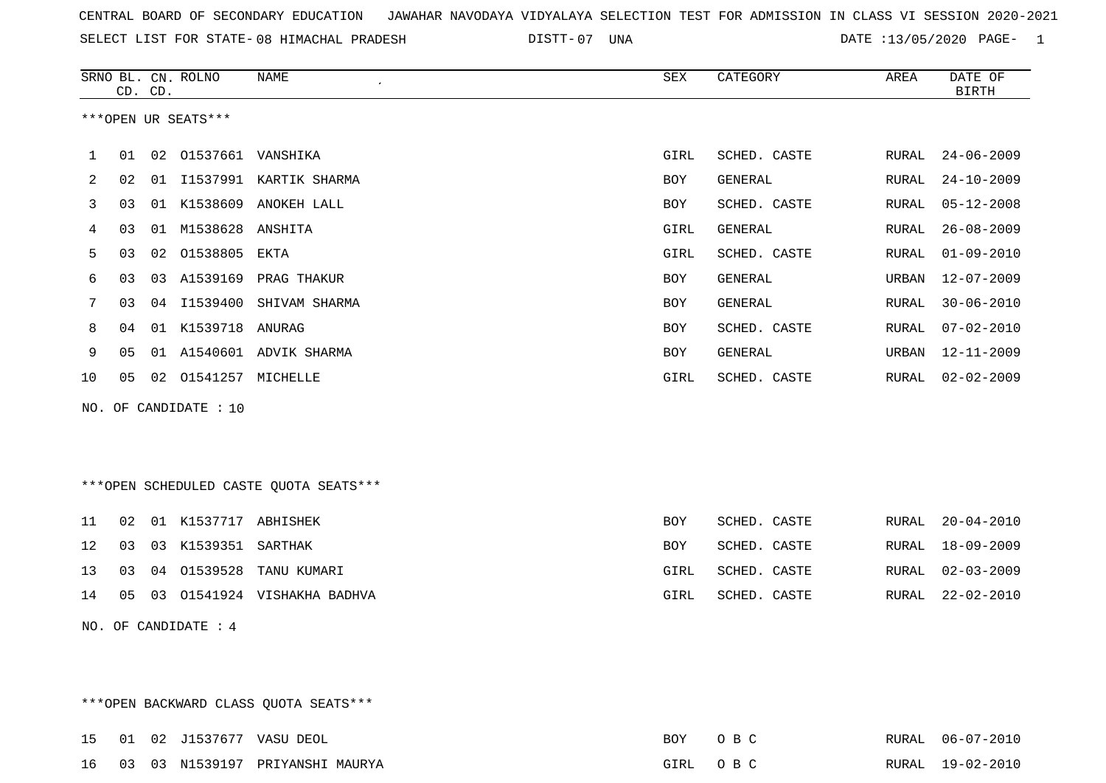SELECT LIST FOR STATE- DISTT- 08 HIMACHAL PRADESH

07 UNA DATE :13/05/2020 PAGE- 1

|    |    | CD. CD. | SRNO BL. CN. ROLNO    | NAME                    | SEX        | CATEGORY     | AREA  | DATE OF<br>BIRTH |
|----|----|---------|-----------------------|-------------------------|------------|--------------|-------|------------------|
|    |    |         | ***OPEN UR SEATS***   |                         |            |              |       |                  |
|    | 01 |         | 02 01537661 VANSHIKA  |                         | GIRL       | SCHED. CASTE | RURAL | $24 - 06 - 2009$ |
| 2  | 02 | 01      | I1537991              | KARTIK SHARMA           | <b>BOY</b> | GENERAL      | RURAL | $24 - 10 - 2009$ |
| 3  | 03 | 01      | K1538609              | ANOKEH LALL             | <b>BOY</b> | SCHED. CASTE | RURAL | $05 - 12 - 2008$ |
| 4  | 03 | 01      | M1538628 ANSHITA      |                         | GIRL       | GENERAL      | RURAL | $26 - 08 - 2009$ |
| 5  | 03 | 02      | 01538805              | EKTA                    | GIRL       | SCHED. CASTE | RURAL | $01 - 09 - 2010$ |
| 6  | 03 |         |                       | 03 A1539169 PRAG THAKUR | BOY        | GENERAL      | URBAN | $12 - 07 - 2009$ |
|    | 03 | 04      | I1539400              | SHIVAM SHARMA           | <b>BOY</b> | GENERAL      | RURAL | $30 - 06 - 2010$ |
| 8  | 04 | 01      | K1539718              | ANURAG                  | BOY        | SCHED. CASTE | RURAL | $07 - 02 - 2010$ |
| 9  | 05 | 01      |                       | A1540601 ADVIK SHARMA   | BOY        | GENERAL      | URBAN | 12-11-2009       |
| 10 | 05 | 02      | 01541257              | MICHELLE                | GIRL       | SCHED. CASTE | RURAL | $02 - 02 - 2009$ |
|    |    |         | NO. OF CANDIDATE : 10 |                         |            |              |       |                  |

\*\*\*OPEN SCHEDULED CASTE QUOTA SEATS\*\*\*

|  | 11 02 01 K1537717 ABHISHEK |                                   | BOY  | SCHED. CASTE |  | RURAL 20-04-2010 |
|--|----------------------------|-----------------------------------|------|--------------|--|------------------|
|  | 12 03 03 K1539351 SARTHAK  |                                   | BOY  | SCHED. CASTE |  | RURAL 18-09-2009 |
|  |                            | 13 03 04 01539528 TANU KUMARI     | GIRL | SCHED. CASTE |  | RURAL 02-03-2009 |
|  |                            | 14 05 03 01541924 VISHAKHA BADHVA | GIRL | SCHED. CASTE |  | RURAL 22-02-2010 |
|  |                            |                                   |      |              |  |                  |

NO. OF CANDIDATE : 4

\*\*\*OPEN BACKWARD CLASS QUOTA SEATS\*\*\*

|  |  | 15 01 02 J1537677 VASU DEOL        | BOY OBC  |  | RURAL 06-07-2010 |
|--|--|------------------------------------|----------|--|------------------|
|  |  | 16 03 03 N1539197 PRIYANSHI MAURYA | GIRL OBC |  | RURAL 19-02-2010 |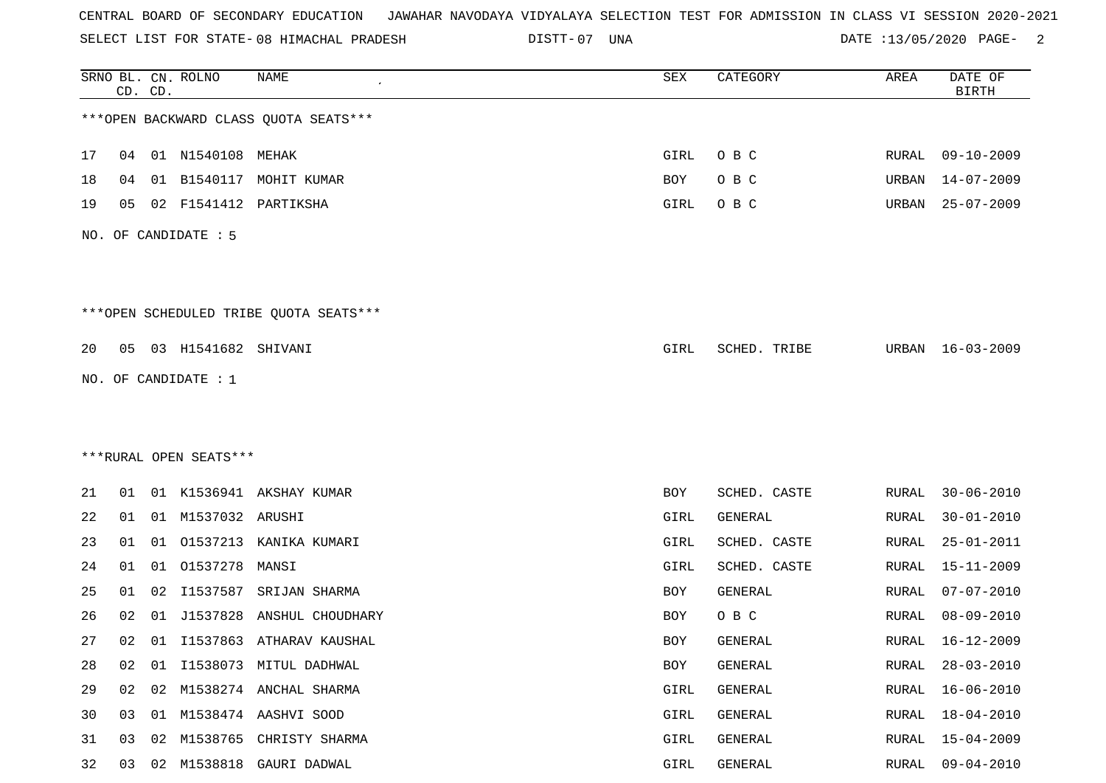SELECT LIST FOR STATE- DISTT- 08 HIMACHAL PRADESH

07 UNA DATE :13/05/2020 PAGE- 2

|    |    | CD. CD. | SRNO BL. CN. ROLNO     | NAME                                   | SEX        | CATEGORY     | AREA         | DATE OF<br><b>BIRTH</b> |
|----|----|---------|------------------------|----------------------------------------|------------|--------------|--------------|-------------------------|
|    |    |         |                        | *** OPEN BACKWARD CLASS QUOTA SEATS*** |            |              |              |                         |
| 17 | 04 |         | 01 N1540108 MEHAK      |                                        | GIRL       | O B C        | RURAL        | $09 - 10 - 2009$        |
| 18 | 04 | 01      | B1540117               | MOHIT KUMAR                            | <b>BOY</b> | O B C        | URBAN        | $14 - 07 - 2009$        |
| 19 | 05 |         | 02 F1541412            | PARTIKSHA                              | GIRL       | O B C        | URBAN        | $25 - 07 - 2009$        |
|    |    |         | NO. OF CANDIDATE : 5   |                                        |            |              |              |                         |
|    |    |         |                        | ***OPEN SCHEDULED TRIBE QUOTA SEATS*** |            |              |              |                         |
| 20 | 05 |         | 03 H1541682 SHIVANI    |                                        | GIRL       | SCHED. TRIBE | URBAN        | 16-03-2009              |
|    |    |         | NO. OF CANDIDATE : 1   |                                        |            |              |              |                         |
|    |    |         |                        |                                        |            |              |              |                         |
|    |    |         |                        |                                        |            |              |              |                         |
|    |    |         | ***RURAL OPEN SEATS*** |                                        |            |              |              |                         |
| 21 | 01 |         |                        | 01 K1536941 AKSHAY KUMAR               | BOY        | SCHED. CASTE | RURAL        | $30 - 06 - 2010$        |
| 22 | 01 |         | 01 M1537032 ARUSHI     |                                        | GIRL       | GENERAL      | RURAL        | $30 - 01 - 2010$        |
| 23 | 01 | 01      |                        | 01537213 KANIKA KUMARI                 | GIRL       | SCHED. CASTE | RURAL        | $25 - 01 - 2011$        |
| 24 | 01 | 01      | 01537278               | MANSI                                  | GIRL       | SCHED. CASTE | RURAL        | $15 - 11 - 2009$        |
| 25 | 01 | 02      | I1537587               | SRIJAN SHARMA                          | BOY        | GENERAL      | RURAL        | $07 - 07 - 2010$        |
| 26 | 02 | 01      | J1537828               | ANSHUL CHOUDHARY                       | BOY        | O B C        | RURAL        | $08 - 09 - 2010$        |
| 27 | 02 |         |                        | 01 I1537863 ATHARAV KAUSHAL            | BOY        | GENERAL      | RURAL        | 16-12-2009              |
| 28 | 02 | 01      |                        | I1538073 MITUL DADHWAL                 | BOY        | GENERAL      | <b>RURAL</b> | $28 - 03 - 2010$        |
| 29 | 02 | 02      |                        | M1538274 ANCHAL SHARMA                 | GIRL       | GENERAL      | RURAL        | $16 - 06 - 2010$        |
| 30 | 03 |         |                        | 01 M1538474 AASHVI SOOD                | GIRL       | GENERAL      | RURAL        | $18 - 04 - 2010$        |
| 31 | 03 | 02      | M1538765               | CHRISTY SHARMA                         | GIRL       | GENERAL      | <b>RURAL</b> | $15 - 04 - 2009$        |
| 32 | 03 | 02      |                        | M1538818 GAURI DADWAL                  | GIRL       | GENERAL      | RURAL        | $09 - 04 - 2010$        |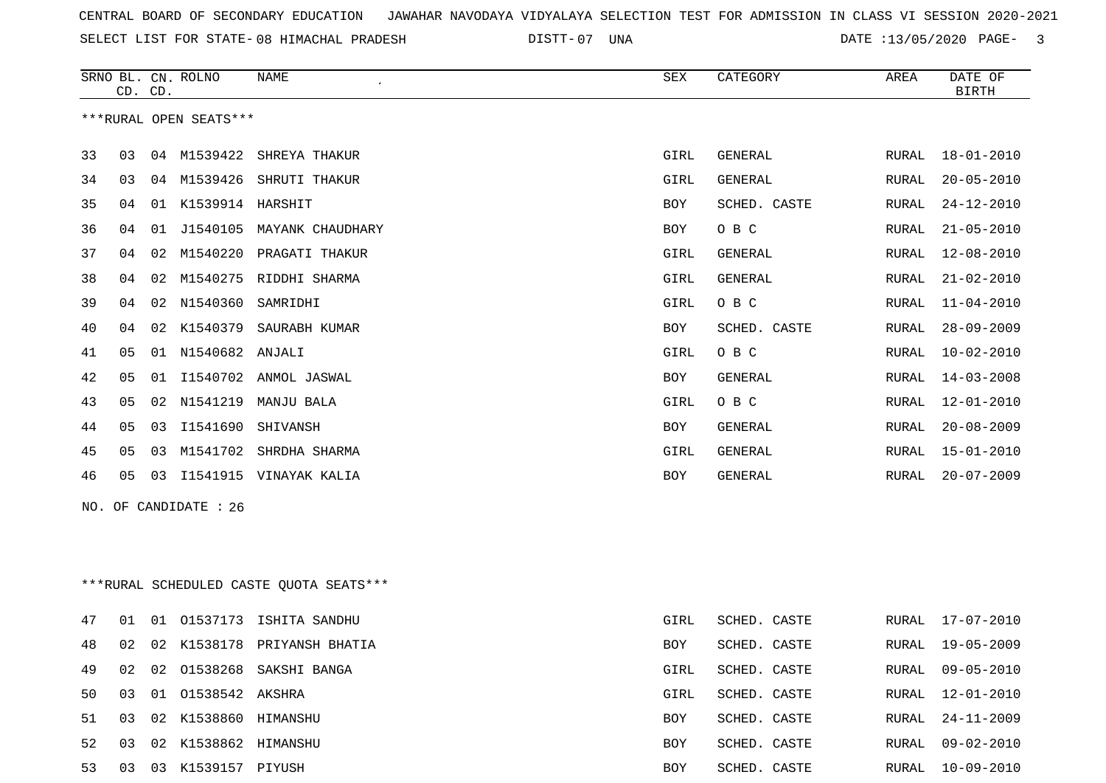SELECT LIST FOR STATE- DISTT- 08 HIMACHAL PRADESH

07 UNA DATE :13/05/2020 PAGE- 3

|    | CD. CD. |    | SRNO BL. CN. ROLNO     | NAME                                    | <b>SEX</b>  | CATEGORY       | AREA         | DATE OF<br><b>BIRTH</b> |
|----|---------|----|------------------------|-----------------------------------------|-------------|----------------|--------------|-------------------------|
|    |         |    | ***RURAL OPEN SEATS*** |                                         |             |                |              |                         |
| 33 | 03      | 04 | M1539422               | SHREYA THAKUR                           | GIRL        | GENERAL        | <b>RURAL</b> | $18 - 01 - 2010$        |
| 34 | 03      |    | 04 M1539426            | SHRUTI THAKUR                           | GIRL        | GENERAL        | RURAL        | $20 - 05 - 2010$        |
| 35 | 04      | 01 | K1539914 HARSHIT       |                                         | BOY         | SCHED. CASTE   | <b>RURAL</b> | $24 - 12 - 2010$        |
| 36 | 04      |    |                        | 01 J1540105 MAYANK CHAUDHARY            | BOY         | O B C          | <b>RURAL</b> | $21 - 05 - 2010$        |
| 37 | 04      | 02 |                        | M1540220 PRAGATI THAKUR                 | GIRL        | GENERAL        | <b>RURAL</b> | $12 - 08 - 2010$        |
| 38 | 04      | 02 | M1540275               | RIDDHI SHARMA                           | GIRL        | <b>GENERAL</b> | RURAL        | $21 - 02 - 2010$        |
| 39 | 04      |    | 02 N1540360            | SAMRIDHI                                | GIRL        | O B C          | RURAL        | $11 - 04 - 2010$        |
| 40 | 04      | 02 | K1540379               | SAURABH KUMAR                           | BOY         | SCHED. CASTE   | <b>RURAL</b> | $28 - 09 - 2009$        |
| 41 | 05      |    | 01 N1540682            | ANJALI                                  | GIRL        | O B C          | RURAL        | $10 - 02 - 2010$        |
| 42 | 05      |    |                        | 01 I1540702 ANMOL JASWAL                | BOY         | GENERAL        | <b>RURAL</b> | $14 - 03 - 2008$        |
| 43 | 05      | 02 | N1541219               | MANJU BALA                              | <b>GIRL</b> | O B C          | <b>RURAL</b> | $12 - 01 - 2010$        |
| 44 | 05      | 03 | I1541690               | SHIVANSH                                | BOY         | GENERAL        | RURAL        | $20 - 08 - 2009$        |
| 45 | 05      | 03 |                        | M1541702 SHRDHA SHARMA                  | GIRL        | GENERAL        | RURAL        | $15 - 01 - 2010$        |
| 46 | 05      |    |                        | 03 I1541915 VINAYAK KALIA               | BOY         | GENERAL        | RURAL        | $20 - 07 - 2009$        |
|    |         |    | NO. OF CANDIDATE : 26  |                                         |             |                |              |                         |
|    |         |    |                        | ***RURAL SCHEDULED CASTE QUOTA SEATS*** |             |                |              |                         |
| 47 | 01      |    | 01 01537173            | ISHITA SANDHU                           | GIRL        | SCHED. CASTE   | RURAL        | $17 - 07 - 2010$        |
| 48 | 02      |    |                        | 02 K1538178 PRIYANSH BHATIA             | BOY         | SCHED. CASTE   | <b>RURAL</b> | $19 - 05 - 2009$        |
| 49 | 02      | 02 | 01538268               | SAKSHI BANGA                            | GIRL        | SCHED. CASTE   | RURAL        | $09 - 05 - 2010$        |
| 50 | 03      |    | 01 01538542 AKSHRA     |                                         | GIRL        | SCHED. CASTE   | RURAL        | $12 - 01 - 2010$        |
| 51 | 03      |    | 02 K1538860 HIMANSHU   |                                         | BOY         | SCHED. CASTE   | RURAL        | $24 - 11 - 2009$        |

 03 02 K1538862 HIMANSHU BOY SCHED. CASTE RURAL 09-02-2010 03 03 K1539157 PIYUSH BOY SCHED. CASTE RURAL 10-09-2010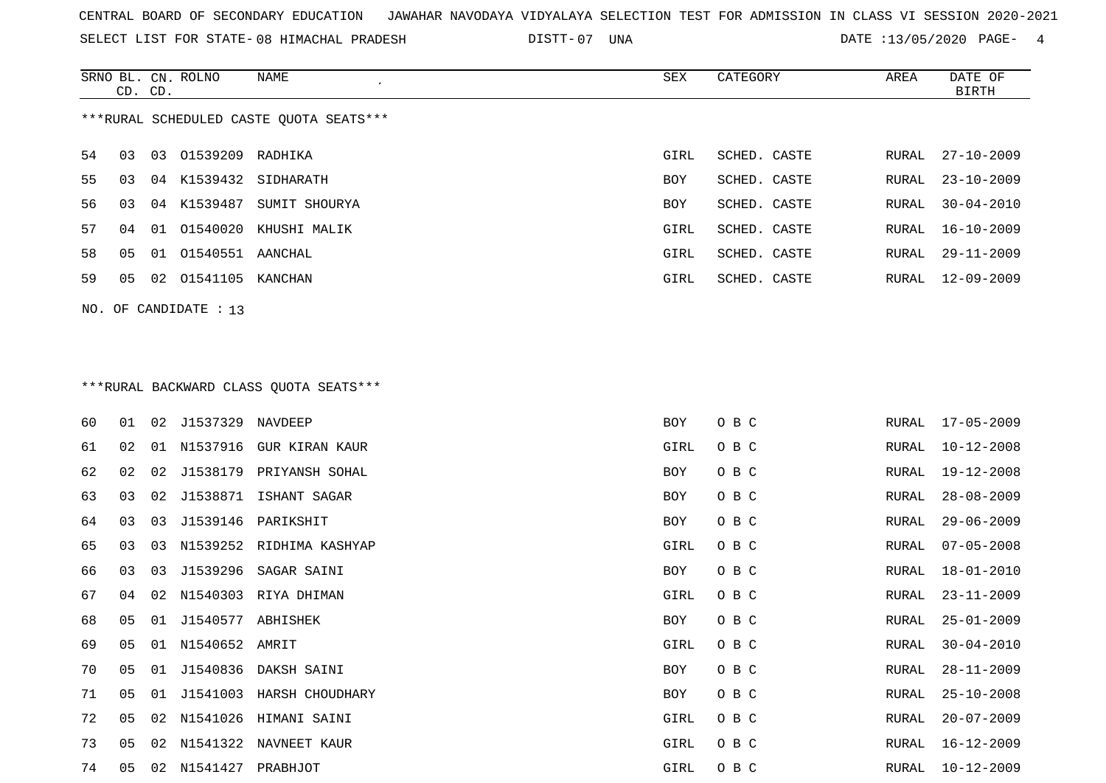SELECT LIST FOR STATE- DISTT- 08 HIMACHAL PRADESH

07 UNA DATE :13/05/2020 PAGE- 4

|                                         | CD. CD. |    | SRNO BL. CN. ROLNO | NAME                      | SEX        | CATEGORY     | AREA  | DATE OF<br>BIRTH |  |  |
|-----------------------------------------|---------|----|--------------------|---------------------------|------------|--------------|-------|------------------|--|--|
| ***RURAL SCHEDULED CASTE OUOTA SEATS*** |         |    |                    |                           |            |              |       |                  |  |  |
| 54                                      | 03      | 03 | 01539209 RADHIKA   |                           | GIRL       | SCHED. CASTE | RURAL | $27 - 10 - 2009$ |  |  |
| 55                                      | 03      |    |                    | 04 K1539432 SIDHARATH     | <b>BOY</b> | SCHED. CASTE | RURAL | $23 - 10 - 2009$ |  |  |
| 56.                                     | 03      |    |                    | 04 K1539487 SUMIT SHOURYA | <b>BOY</b> | SCHED. CASTE | RURAL | $30 - 04 - 2010$ |  |  |
| 57                                      | 04      |    |                    | 01 01540020 KHUSHI MALIK  | GIRL       | SCHED. CASTE | RURAL | $16 - 10 - 2009$ |  |  |
| 58                                      | 05      | 01 | 01540551 AANCHAL   |                           | GIRL       | SCHED. CASTE | RURAL | $29 - 11 - 2009$ |  |  |
| 59                                      | 05      | 02 | 01541105 KANCHAN   |                           | GIRL       | SCHED. CASTE | RURAL | 12-09-2009       |  |  |
|                                         |         |    |                    |                           |            |              |       |                  |  |  |

# \*\*\*RURAL BACKWARD CLASS QUOTA SEATS\*\*\*

NO. OF CANDIDATE : 13

| 60 | 01 |    | 02 J1537329 NAVDEEP  |                          | BOY  | O B C | RURAL | 17-05-2009       |
|----|----|----|----------------------|--------------------------|------|-------|-------|------------------|
| 61 | 02 | 01 | N1537916             | GUR KIRAN KAUR           | GIRL | O B C | RURAL | $10 - 12 - 2008$ |
| 62 | 02 | 02 |                      | J1538179 PRIYANSH SOHAL  | BOY  | O B C | RURAL | 19-12-2008       |
| 63 | 03 | 02 |                      | J1538871 ISHANT SAGAR    | BOY  | O B C | RURAL | $28 - 08 - 2009$ |
| 64 | 03 | 03 |                      | J1539146 PARIKSHIT       | BOY  | O B C | RURAL | $29 - 06 - 2009$ |
| 65 | 03 | 03 |                      | N1539252 RIDHIMA KASHYAP | GIRL | O B C | RURAL | $07 - 05 - 2008$ |
| 66 | 03 | 03 | J1539296             | SAGAR SAINI              | BOY  | O B C | RURAL | $18 - 01 - 2010$ |
| 67 | 04 |    |                      | 02 N1540303 RIYA DHIMAN  | GIRL | O B C | RURAL | $23 - 11 - 2009$ |
| 68 | 05 | 01 | J1540577             | ABHISHEK                 | BOY  | O B C | RURAL | $25 - 01 - 2009$ |
| 69 | 05 |    | 01 N1540652 AMRIT    |                          | GIRL | O B C | RURAL | $30 - 04 - 2010$ |
| 70 | 05 | 01 | J1540836             | DAKSH SAINI              | BOY  | O B C | RURAL | $28 - 11 - 2009$ |
| 71 | 05 | 01 |                      | J1541003 HARSH CHOUDHARY | BOY  | O B C | RURAL | $25 - 10 - 2008$ |
| 72 | 05 |    |                      | 02 N1541026 HIMANI SAINI | GIRL | O B C | RURAL | $20 - 07 - 2009$ |
| 73 | 05 |    |                      | 02 N1541322 NAVNEET KAUR | GIRL | O B C | RURAL | 16-12-2009       |
| 74 | 05 |    | 02 N1541427 PRABHJOT |                          | GIRL | O B C | RURAL | 10-12-2009       |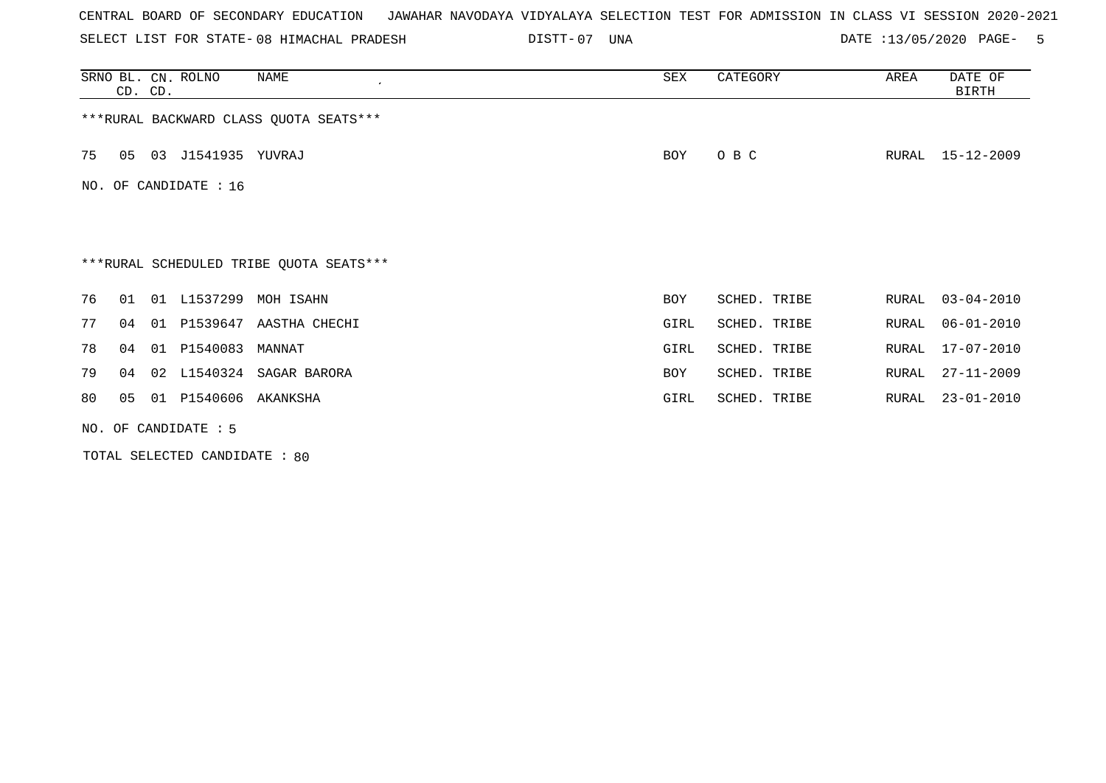| CENTRAL BOARD OF SECONDARY EDUCATION – JAWAHAR NAVODAYA VIDYALAYA SELECTION TEST FOR ADMISSION IN CLASS VI SESSION 2020-2021 |  |
|------------------------------------------------------------------------------------------------------------------------------|--|
|------------------------------------------------------------------------------------------------------------------------------|--|

SELECT LIST FOR STATE-08 HIMACHAL PRADESH DISTT-07 UNA DATE :13/05/2020 PAGE- 5

|                                         | CD. CD. |  | SRNO BL. CN. ROLNO    | NAME<br>$\cdot$                         | SEX        | CATEGORY     | AREA  | DATE OF<br>BIRTH |  |  |
|-----------------------------------------|---------|--|-----------------------|-----------------------------------------|------------|--------------|-------|------------------|--|--|
| *** RURAL BACKWARD CLASS QUOTA SEATS*** |         |  |                       |                                         |            |              |       |                  |  |  |
| 75                                      | 05      |  | 03 J1541935 YUVRAJ    |                                         | BOY        | O B C        | RURAL | $15 - 12 - 2009$ |  |  |
|                                         |         |  | NO. OF CANDIDATE : 16 |                                         |            |              |       |                  |  |  |
|                                         |         |  |                       |                                         |            |              |       |                  |  |  |
|                                         |         |  |                       |                                         |            |              |       |                  |  |  |
|                                         |         |  |                       | ***RURAL SCHEDULED TRIBE QUOTA SEATS*** |            |              |       |                  |  |  |
| 76                                      | 01      |  |                       | 01 L1537299 MOH ISAHN                   | BOY        | SCHED. TRIBE | RURAL | $03 - 04 - 2010$ |  |  |
| 77                                      | 04      |  |                       | 01 P1539647 AASTHA CHECHI               | GIRL       | SCHED. TRIBE | RURAL | $06 - 01 - 2010$ |  |  |
| 78                                      | 04      |  | 01 P1540083           | MANNAT                                  | GIRL       | SCHED. TRIBE | RURAL | 17-07-2010       |  |  |
| 79                                      | 04      |  | 02 L1540324           | SAGAR BARORA                            | <b>BOY</b> | SCHED. TRIBE | RURAL | $27 - 11 - 2009$ |  |  |
| 80                                      | 05      |  | 01 P1540606 AKANKSHA  |                                         | GIRL       | SCHED. TRIBE | RURAL | $23 - 01 - 2010$ |  |  |
|                                         |         |  | NO. OF CANDIDATE : 5  |                                         |            |              |       |                  |  |  |

TOTAL SELECTED CANDIDATE : 80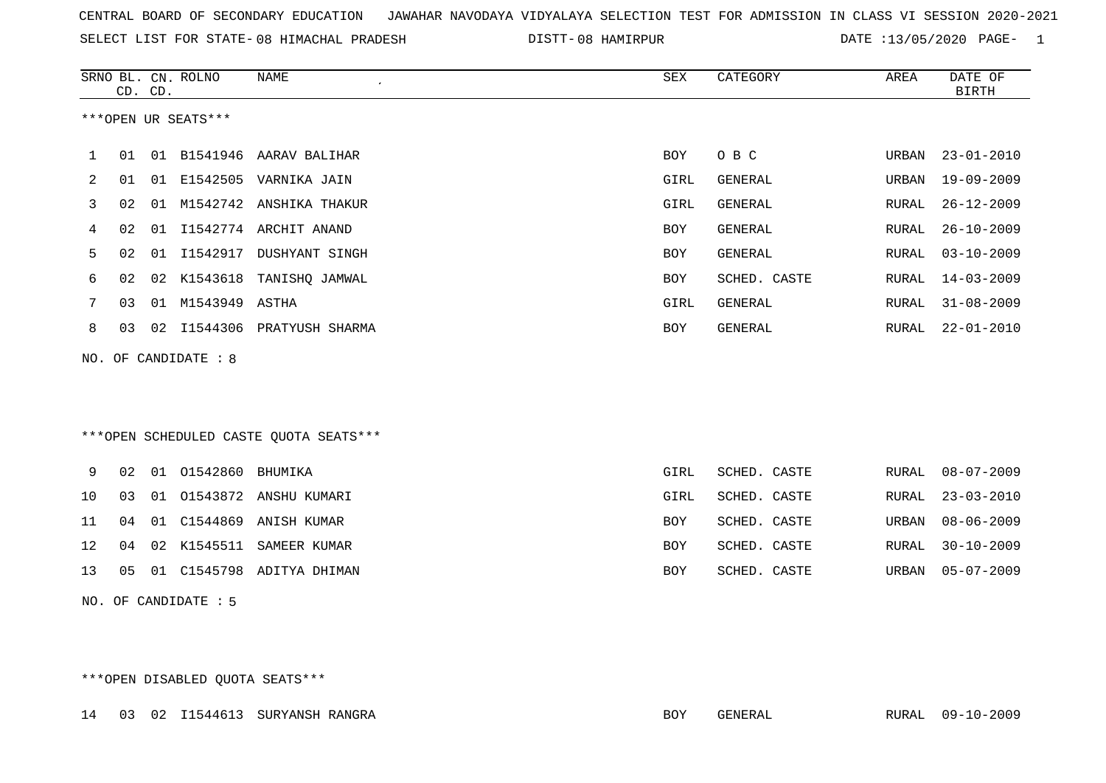| CENTRAL BOARD OF SECONDARY EDUCATION GUNAHAR NAVODAYA VIDYALAYA SELECTION TEST FOR ADMISSION IN CLASS VI SESSION 2020-2021 |  |  |  |
|----------------------------------------------------------------------------------------------------------------------------|--|--|--|
|----------------------------------------------------------------------------------------------------------------------------|--|--|--|

SELECT LIST FOR STATE-08 HIMACHAL PRADESH DISTT-08 HAMIRPUR DATE :13/05/2020 PAGE- 1

|     |    | CD. CD. | SRNO BL. CN. ROLNO   | <b>NAME</b><br>$\epsilon$              | SEX        | CATEGORY     | AREA  | DATE OF<br><b>BIRTH</b> |
|-----|----|---------|----------------------|----------------------------------------|------------|--------------|-------|-------------------------|
|     |    |         | ***OPEN UR SEATS***  |                                        |            |              |       |                         |
| 1   | 01 |         | 01 B1541946          | AARAV BALIHAR                          | BOY        | O B C        | URBAN | $23 - 01 - 2010$        |
| 2   | 01 | 01      |                      | E1542505 VARNIKA JAIN                  | GIRL       | GENERAL      | URBAN | $19 - 09 - 2009$        |
| 3   | 02 |         |                      | 01 M1542742 ANSHIKA THAKUR             | GIRL       | GENERAL      | RURAL | $26 - 12 - 2009$        |
| 4   | 02 | 01      |                      | I1542774 ARCHIT ANAND                  | BOY        | GENERAL      | RURAL | $26 - 10 - 2009$        |
| 5   | 02 | 01      | I1542917             | DUSHYANT SINGH                         | <b>BOY</b> | GENERAL      | RURAL | $03 - 10 - 2009$        |
| 6   | 02 |         | 02 K1543618          | TANISHQ JAMWAL                         | <b>BOY</b> | SCHED. CASTE | RURAL | $14 - 03 - 2009$        |
| 7   | 03 | 01      | M1543949             | ASTHA                                  | GIRL       | GENERAL      | RURAL | $31 - 08 - 2009$        |
| 8   | 03 |         |                      | 02 I1544306 PRATYUSH SHARMA            | BOY        | GENERAL      | RURAL | $22 - 01 - 2010$        |
| NO. |    |         | OF CANDIDATE : 8     |                                        |            |              |       |                         |
|     |    |         |                      |                                        |            |              |       |                         |
|     |    |         |                      |                                        |            |              |       |                         |
|     |    |         |                      | ***OPEN SCHEDULED CASTE QUOTA SEATS*** |            |              |       |                         |
| 9   | 02 |         | 01 01542860          | BHUMIKA                                | GIRL       | SCHED. CASTE | RURAL | $08 - 07 - 2009$        |
| 10  | 03 | 01      | 01543872             | ANSHU KUMARI                           | GIRL       | SCHED. CASTE | RURAL | $23 - 03 - 2010$        |
| 11  | 04 | 01      | C1544869             | ANISH KUMAR                            | <b>BOY</b> | SCHED. CASTE | URBAN | $08 - 06 - 2009$        |
| 12  | 04 | 02      | K1545511             | SAMEER KUMAR                           | <b>BOY</b> | SCHED. CASTE | RURAL | $30 - 10 - 2009$        |
| 13  | 05 |         |                      | 01 C1545798 ADITYA DHIMAN              | <b>BOY</b> | SCHED. CASTE | URBAN | $05 - 07 - 2009$        |
|     |    |         | NO. OF CANDIDATE : 5 |                                        |            |              |       |                         |

\*\*\*OPEN DISABLED QUOTA SEATS\*\*\*

14 03 02 I1544613 SURYANSH RANGRA BOY GENERAL RURAL 09-10-2009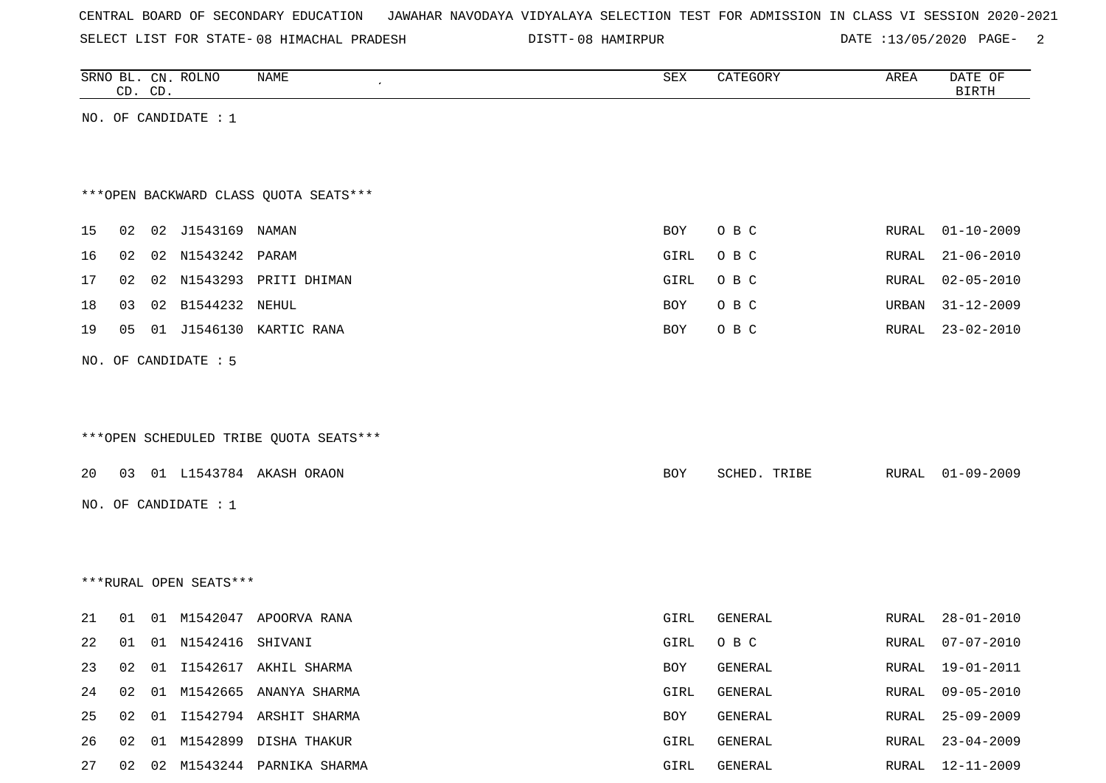SELECT LIST FOR STATE-08 HIMACHAL PRADESH DISTT-08 HAMIRPUR DATE :13/05/2020 PAGE- 2

|    |    | CD. CD. | SRNO BL. CN. ROLNO     | <b>NAME</b>                            | SEX         | CATEGORY     | AREA  | DATE OF<br><b>BIRTH</b> |
|----|----|---------|------------------------|----------------------------------------|-------------|--------------|-------|-------------------------|
|    |    |         | NO. OF CANDIDATE : $1$ |                                        |             |              |       |                         |
|    |    |         |                        |                                        |             |              |       |                         |
|    |    |         |                        |                                        |             |              |       |                         |
|    |    |         |                        | *** OPEN BACKWARD CLASS QUOTA SEATS*** |             |              |       |                         |
| 15 | 02 |         | 02 J1543169 NAMAN      |                                        | <b>BOY</b>  | O B C        | RURAL | $01 - 10 - 2009$        |
|    | 02 |         | 02 N1543242 PARAM      |                                        |             |              |       |                         |
| 16 |    |         |                        |                                        | GIRL        | O B C        | RURAL | $21 - 06 - 2010$        |
| 17 | 02 |         |                        | 02 N1543293 PRITI DHIMAN               | <b>GIRL</b> | O B C        | RURAL | $02 - 05 - 2010$        |
| 18 | 03 |         | 02 B1544232 NEHUL      |                                        | BOY         | O B C        | URBAN | $31 - 12 - 2009$        |
| 19 | 05 |         | 01 J1546130            | KARTIC RANA                            | BOY         | O B C        | RURAL | $23 - 02 - 2010$        |
|    |    |         | NO. OF CANDIDATE : 5   |                                        |             |              |       |                         |
|    |    |         |                        |                                        |             |              |       |                         |
|    |    |         |                        |                                        |             |              |       |                         |
|    |    |         |                        | ***OPEN SCHEDULED TRIBE QUOTA SEATS*** |             |              |       |                         |
|    |    |         |                        |                                        |             |              |       |                         |
| 20 | 03 |         |                        | 01 L1543784 AKASH ORAON                | BOY         | SCHED. TRIBE | RURAL | $01 - 09 - 2009$        |
|    |    |         | NO. OF CANDIDATE : 1   |                                        |             |              |       |                         |
|    |    |         |                        |                                        |             |              |       |                         |
|    |    |         |                        |                                        |             |              |       |                         |
|    |    |         | ***RURAL OPEN SEATS*** |                                        |             |              |       |                         |
|    |    |         |                        |                                        |             |              |       |                         |
| 21 | 01 |         |                        | 01 M1542047 APOORVA RANA               | GIRL        | GENERAL      | RURAL | $28 - 01 - 2010$        |
| 22 | 01 |         | 01 N1542416 SHIVANI    |                                        | GIRL        | O B C        | RURAL | $07 - 07 - 2010$        |
| 23 | 02 |         |                        | 01 I1542617 AKHIL SHARMA               | BOY         | GENERAL      | RURAL | 19-01-2011              |
| 24 | 02 | 01      |                        | M1542665 ANANYA SHARMA                 | GIRL        | GENERAL      | RURAL | $09 - 05 - 2010$        |
| 25 | 02 | 01      |                        | I1542794 ARSHIT SHARMA                 | BOY         | GENERAL      | RURAL | $25 - 09 - 2009$        |
| 26 | 02 | 01      |                        | M1542899 DISHA THAKUR                  | GIRL        | GENERAL      | RURAL | $23 - 04 - 2009$        |
| 27 | 02 |         |                        | 02 M1543244 PARNIKA SHARMA             | GIRL        | GENERAL      | RURAL | 12-11-2009              |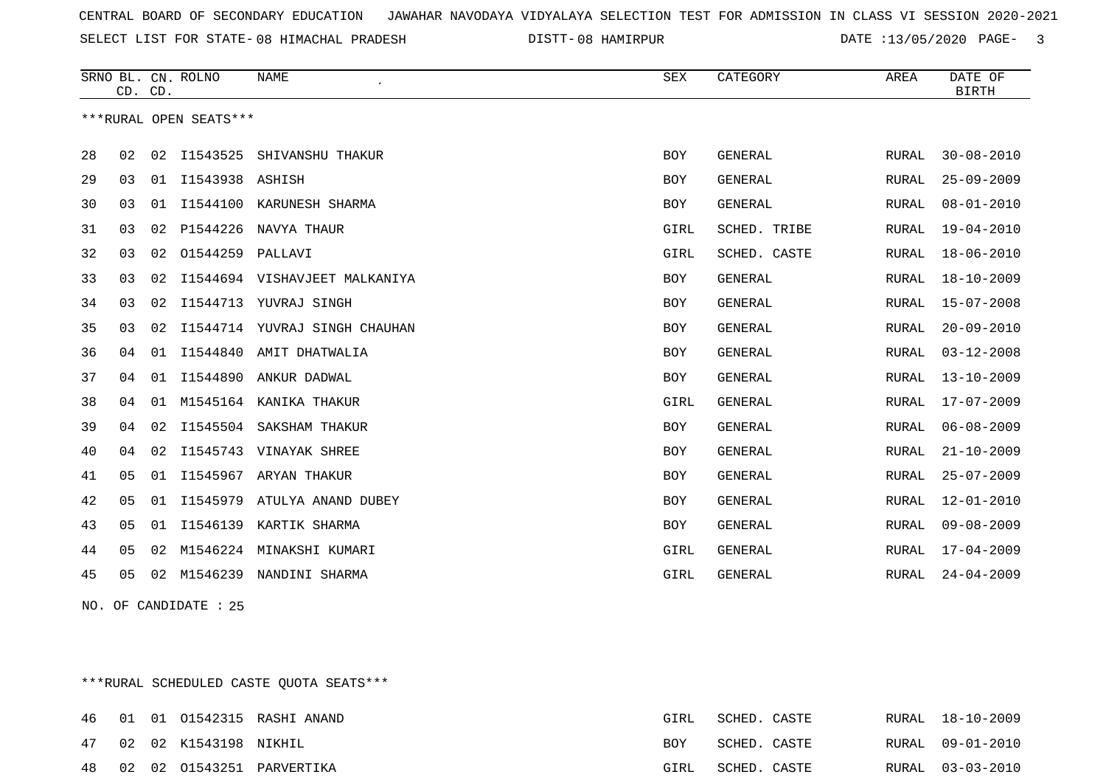SELECT LIST FOR STATE- DISTT- 08 HIMACHAL PRADESH

08 HAMIRPUR DATE :13/05/2020 PAGE- 3

|    | CD. CD.        |    | SRNO BL. CN. ROLNO     | <b>NAME</b>                   | ${\tt SEX}$ | CATEGORY       | AREA         | DATE OF<br><b>BIRTH</b> |
|----|----------------|----|------------------------|-------------------------------|-------------|----------------|--------------|-------------------------|
|    |                |    | ***RURAL OPEN SEATS*** |                               |             |                |              |                         |
| 28 | 02             | 02 | I1543525               | SHIVANSHU THAKUR              | <b>BOY</b>  | <b>GENERAL</b> | RURAL        | $30 - 08 - 2010$        |
| 29 | 03             | 01 | I1543938               | ASHISH                        | <b>BOY</b>  | <b>GENERAL</b> | RURAL        | $25 - 09 - 2009$        |
| 30 | 03             | 01 |                        | I1544100 KARUNESH SHARMA      | <b>BOY</b>  | <b>GENERAL</b> | RURAL        | $08 - 01 - 2010$        |
| 31 | 03             | 02 | P1544226               | NAVYA THAUR                   | GIRL        | SCHED. TRIBE   | RURAL        | $19 - 04 - 2010$        |
| 32 | 03             | 02 | 01544259               | PALLAVI                       | <b>GIRL</b> | SCHED. CASTE   | <b>RURAL</b> | $18 - 06 - 2010$        |
| 33 | 03             | 02 |                        | I1544694 VISHAVJEET MALKANIYA | <b>BOY</b>  | <b>GENERAL</b> | RURAL        | $18 - 10 - 2009$        |
| 34 | 03             | 02 | I1544713               | YUVRAJ SINGH                  | <b>BOY</b>  | <b>GENERAL</b> | RURAL        | $15 - 07 - 2008$        |
| 35 | 03             | 02 |                        | I1544714 YUVRAJ SINGH CHAUHAN | <b>BOY</b>  | <b>GENERAL</b> | RURAL        | $20 - 09 - 2010$        |
| 36 | 04             | 01 | I1544840               | AMIT DHATWALIA                | <b>BOY</b>  | <b>GENERAL</b> | <b>RURAL</b> | $03 - 12 - 2008$        |
| 37 | 04             | 01 | I1544890               | ANKUR DADWAL                  | <b>BOY</b>  | GENERAL        | RURAL        | $13 - 10 - 2009$        |
| 38 | 04             | 01 |                        | M1545164 KANIKA THAKUR        | GIRL        | <b>GENERAL</b> | RURAL        | $17 - 07 - 2009$        |
| 39 | 04             | 02 | I1545504               | SAKSHAM THAKUR                | <b>BOY</b>  | GENERAL        | RURAL        | $06 - 08 - 2009$        |
| 40 | 04             | 02 | I1545743               | VINAYAK SHREE                 | <b>BOY</b>  | <b>GENERAL</b> | RURAL        | $21 - 10 - 2009$        |
| 41 | 05             | 01 | I1545967               | ARYAN THAKUR                  | <b>BOY</b>  | <b>GENERAL</b> | RURAL        | $25 - 07 - 2009$        |
| 42 | 05             | 01 | I1545979               | ATULYA ANAND DUBEY            | <b>BOY</b>  | <b>GENERAL</b> | <b>RURAL</b> | $12 - 01 - 2010$        |
| 43 | 0 <sub>5</sub> | 01 |                        | I1546139 KARTIK SHARMA        | <b>BOY</b>  | <b>GENERAL</b> | RURAL        | $09 - 08 - 2009$        |
| 44 | 05             | 02 |                        | M1546224 MINAKSHI KUMARI      | GIRL        | <b>GENERAL</b> | RURAL        | $17 - 04 - 2009$        |
| 45 | 05             | 02 | M1546239               | NANDINI SHARMA                | GIRL        | <b>GENERAL</b> | RURAL        | $24 - 04 - 2009$        |
|    |                |    |                        |                               |             |                |              |                         |

NO. OF CANDIDATE : 25

\*\*\*RURAL SCHEDULED CASTE QUOTA SEATS\*\*\*

|  |                          | 46 01 01 01542315 RASHI ANAND | GIRL       | SCHED. CASTE |  | RURAL 18-10-2009 |
|--|--------------------------|-------------------------------|------------|--------------|--|------------------|
|  | 47 02 02 K1543198 NIKHIL |                               | <b>BOY</b> | SCHED. CASTE |  | RURAL 09-01-2010 |
|  |                          | 48 02 02 01543251 PARVERTIKA  | GIRL       | SCHED. CASTE |  | RURAL 03-03-2010 |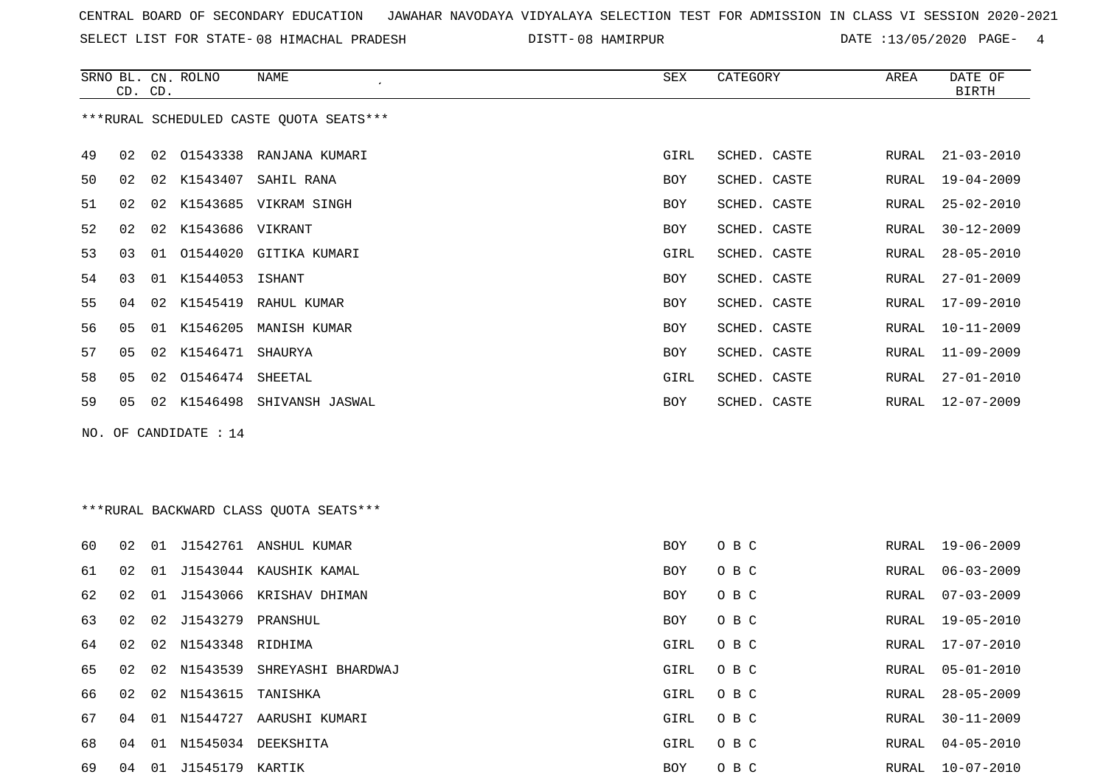SELECT LIST FOR STATE-08 HIMACHAL PRADESH DISTT-08 HAMIRPUR DATE :13/05/2020 PAGE- 4

|        | CD. CD. |    | SRNO BL. CN. ROLNO    | NAME                                    | SEX                | CATEGORY             | AREA  | DATE OF<br>$\operatorname{BIRTH}$ |
|--------|---------|----|-----------------------|-----------------------------------------|--------------------|----------------------|-------|-----------------------------------|
|        |         |    |                       | ***RURAL SCHEDULED CASTE QUOTA SEATS*** |                    |                      |       |                                   |
| 49     | 02      | 02 |                       | 01543338 RANJANA KUMARI                 | GIRL               | SCHED. CASTE         | RURAL | $21 - 03 - 2010$                  |
| 50     | 02      | 02 |                       | K1543407 SAHIL RANA                     | <b>BOY</b>         | SCHED. CASTE         | RURAL | $19 - 04 - 2009$                  |
| 51     | 02      |    |                       | 02 K1543685 VIKRAM SINGH                | BOY                | SCHED. CASTE         | RURAL | $25 - 02 - 2010$                  |
| 52     | 02      | 02 | K1543686 VIKRANT      |                                         | BOY                | SCHED. CASTE         | RURAL | $30 - 12 - 2009$                  |
| 53     | 03      |    |                       | 01 01544020 GITIKA KUMARI               | GIRL               | SCHED. CASTE         | RURAL | $28 - 05 - 2010$                  |
| 54     | 03      |    | 01 K1544053           | ISHANT                                  | BOY                | SCHED. CASTE         | RURAL | $27 - 01 - 2009$                  |
| 55     | 04      |    | 02 K1545419           | RAHUL KUMAR                             | BOY                | SCHED. CASTE         | RURAL | 17-09-2010                        |
| 56     | 05      |    |                       | 01 K1546205 MANISH KUMAR                | <b>BOY</b>         | SCHED. CASTE         | RURAL | $10 - 11 - 2009$                  |
| 57     | 05      |    | 02 K1546471 SHAURYA   |                                         | <b>BOY</b>         | SCHED. CASTE         | RURAL | $11 - 09 - 2009$                  |
| 58     | 05      |    | 02 01546474 SHEETAL   |                                         | GIRL               | SCHED. CASTE         | RURAL | $27 - 01 - 2010$                  |
| 59     | 05      |    |                       | 02 K1546498 SHIVANSH JASWAL             | BOY                | SCHED. CASTE         | RURAL | $12 - 07 - 2009$                  |
|        |         |    | NO. OF CANDIDATE : 14 |                                         |                    |                      |       |                                   |
|        |         |    |                       |                                         |                    |                      |       |                                   |
|        |         |    |                       |                                         |                    |                      |       |                                   |
|        |         |    |                       | *** RURAL BACKWARD CLASS QUOTA SEATS*** |                    |                      |       |                                   |
|        |         |    |                       |                                         |                    |                      |       |                                   |
| 60     | 02      |    |                       | 01 J1542761 ANSHUL KUMAR                | BOY                | O B C                | RURAL | 19-06-2009                        |
| 61     | 02      |    |                       | 01 J1543044 KAUSHIK KAMAL               | <b>BOY</b>         | O B C                | RURAL | $06 - 03 - 2009$                  |
| 62     | 02      |    |                       | 01 J1543066 KRISHAV DHIMAN              | <b>BOY</b>         | O B C                | RURAL | $07 - 03 - 2009$                  |
| 63     | 02      | 02 | J1543279              | PRANSHUL                                | <b>BOY</b>         | O B C                | RURAL | $19 - 05 - 2010$                  |
| 64     | 02      |    | 02 N1543348 RIDHIMA   |                                         | GIRL               | O B C                | RURAL | $17 - 07 - 2010$                  |
| 65     | 02      |    |                       | 02 N1543539 SHREYASHI BHARDWAJ          | GIRL               | O B C                | RURAL | $05 - 01 - 2010$                  |
| $\sim$ |         |    |                       |                                         | $\sim$ $ \sim$ $-$ | $\sim$ $\sim$ $\sim$ |       | proper on an anno                 |

|  | 66 02 02 N1543615 TANISHKA |                                  | GIRL OBC | RURAL 28-05-2009 |
|--|----------------------------|----------------------------------|----------|------------------|
|  |                            | 67 04 01 N1544727 AARUSHI KUMARI | GIRL OBC | RURAL 30-11-2009 |
|  |                            | 68 04 01 N1545034 DEEKSHITA      | GIRL OBC | RURAL 04-05-2010 |
|  |                            |                                  | BOY OBC  | RURAL 10-07-2010 |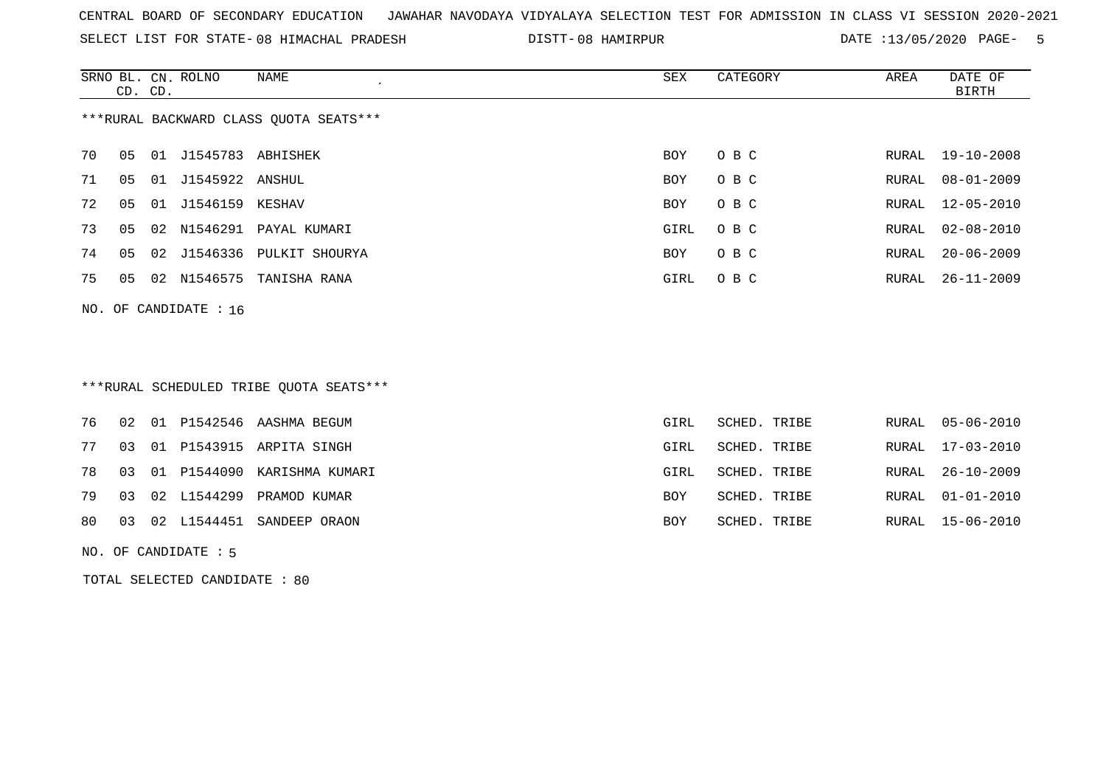SELECT LIST FOR STATE- DISTT- 08 HIMACHAL PRADESH

DISTT-08 HAMIRPUR **DATE** :13/05/2020 PAGE- 5

|                                        | CD. CD. |    | SRNO BL. CN. ROLNO      | NAME                       | SEX  | CATEGORY | AREA  | DATE OF<br>BIRTH |  |  |
|----------------------------------------|---------|----|-------------------------|----------------------------|------|----------|-------|------------------|--|--|
| ***RURAL BACKWARD CLASS OUOTA SEATS*** |         |    |                         |                            |      |          |       |                  |  |  |
| 70                                     | 05      |    | 01 J1545783 ABHISHEK    |                            | BOY  | O B C    |       | RURAL 19-10-2008 |  |  |
| 71                                     | 05      | 01 | J1545922 ANSHUL         |                            | BOY  | O B C    | RURAL | $08 - 01 - 2009$ |  |  |
| 72                                     | 05      |    | 01 J1546159 KESHAV      |                            | BOY  | O B C    | RURAL | 12-05-2010       |  |  |
| 73                                     | 05      |    |                         | 02 N1546291 PAYAL KUMARI   | GIRL | O B C    | RURAL | 02-08-2010       |  |  |
| 74                                     | 05      |    |                         | 02 J1546336 PULKIT SHOURYA | BOY  | O B C    | RURAL | $20 - 06 - 2009$ |  |  |
| 75                                     | 05      |    |                         | 02 N1546575 TANISHA RANA   | GIRL | O B C    | RURAL | 26-11-2009       |  |  |
|                                        |         |    | NO. OF CANDIDATE : $16$ |                            |      |          |       |                  |  |  |

# \*\*\*RURAL SCHEDULED TRIBE QUOTA SEATS\*\*\*

|  |  | 76 02 01 P1542546 AASHMA BEGUM    | GIRL       | SCHED. TRIBE |  | RURAL 05-06-2010 |
|--|--|-----------------------------------|------------|--------------|--|------------------|
|  |  | 77 03 01 P1543915 ARPITA SINGH    | GIRL       | SCHED. TRIBE |  | RURAL 17-03-2010 |
|  |  | 78 03 01 P1544090 KARISHMA KUMARI | GIRL       | SCHED. TRIBE |  | RURAL 26-10-2009 |
|  |  | 79 03 02 L1544299 PRAMOD KUMAR    | <b>BOY</b> | SCHED. TRIBE |  | RURAL 01-01-2010 |
|  |  | 80 03 02 L1544451 SANDEEP ORAON   | BOY        | SCHED. TRIBE |  | RURAL 15-06-2010 |
|  |  |                                   |            |              |  |                  |

NO. OF CANDIDATE : 5

TOTAL SELECTED CANDIDATE : 80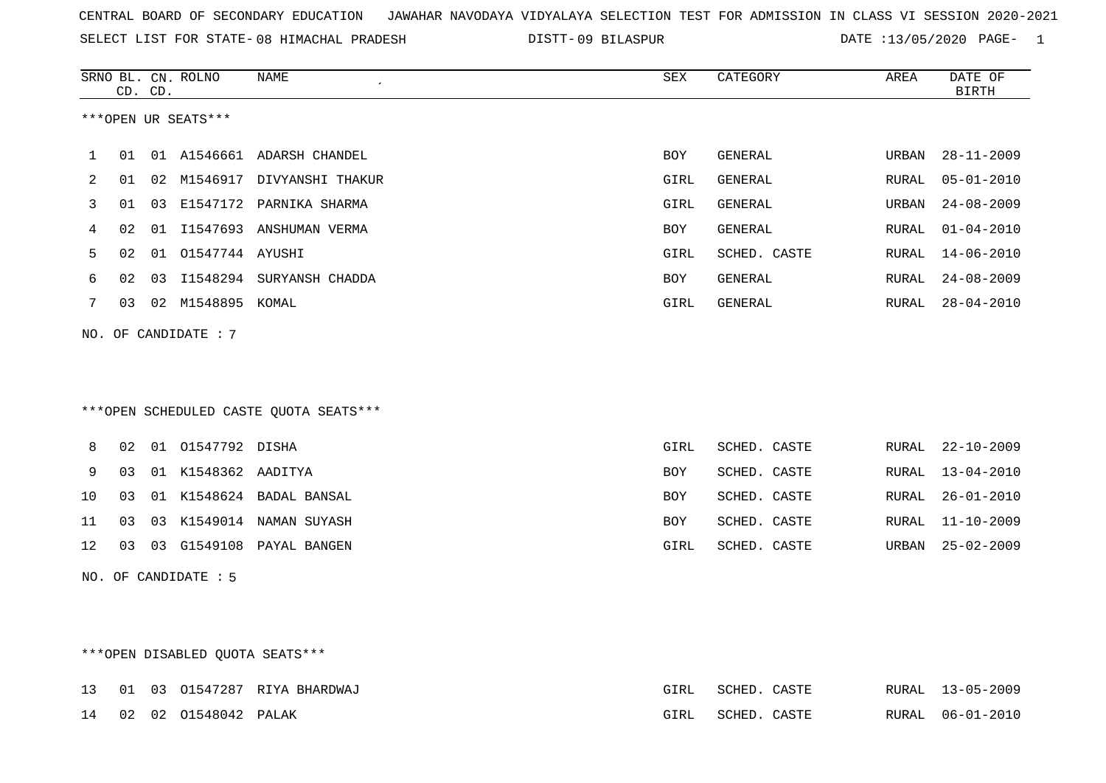SELECT LIST FOR STATE- DISTT- 08 HIMACHAL PRADESH

09 BILASPUR DATE :13/05/2020 PAGE- 1

|    |    | CD. CD. | SRNO BL. CN. ROLNO   | NAME                                   | SEX        | CATEGORY     | AREA  | DATE OF<br><b>BIRTH</b> |
|----|----|---------|----------------------|----------------------------------------|------------|--------------|-------|-------------------------|
|    |    |         | ***OPEN UR SEATS***  |                                        |            |              |       |                         |
| 1  | 01 |         |                      | 01 A1546661 ADARSH CHANDEL             | BOY        | GENERAL      | URBAN | $28 - 11 - 2009$        |
| 2  | 01 |         |                      | 02 M1546917 DIVYANSHI THAKUR           | GIRL       | GENERAL      | RURAL | $05 - 01 - 2010$        |
| 3  | 01 |         |                      | 03 E1547172 PARNIKA SHARMA             | GIRL       | GENERAL      | URBAN | $24 - 08 - 2009$        |
| 4  | 02 |         |                      | 01 I1547693 ANSHUMAN VERMA             | BOY        | GENERAL      | RURAL | $01 - 04 - 2010$        |
| 5  | 02 |         | 01  01547744  AYUSHI |                                        | GIRL       | SCHED. CASTE | RURAL | $14 - 06 - 2010$        |
| 6  | 02 |         |                      | 03 I1548294 SURYANSH CHADDA            | <b>BOY</b> | GENERAL      | RURAL | $24 - 08 - 2009$        |
| 7  | 03 |         | 02 M1548895 KOMAL    |                                        | GIRL       | GENERAL      | RURAL | $28 - 04 - 2010$        |
|    |    |         | NO. OF CANDIDATE : 7 |                                        |            |              |       |                         |
|    |    |         |                      |                                        |            |              |       |                         |
|    |    |         |                      |                                        |            |              |       |                         |
|    |    |         |                      | ***OPEN SCHEDULED CASTE QUOTA SEATS*** |            |              |       |                         |
| 8  | 02 |         | 01 01547792 DISHA    |                                        | GIRL       | SCHED. CASTE | RURAL | $22 - 10 - 2009$        |
| 9  | 03 |         | 01 K1548362 AADITYA  |                                        | <b>BOY</b> | SCHED. CASTE | RURAL | $13 - 04 - 2010$        |
| 10 | 03 |         |                      | 01 K1548624 BADAL BANSAL               | BOY        | SCHED. CASTE | RURAL | $26 - 01 - 2010$        |
| 11 | 03 |         |                      | 03 K1549014 NAMAN SUYASH               | <b>BOY</b> | SCHED. CASTE | RURAL | $11 - 10 - 2009$        |
| 12 |    |         |                      | 03 03 G1549108 PAYAL BANGEN            | GIRL       | SCHED. CASTE | URBAN | $25 - 02 - 2009$        |
|    |    |         | NO. OF CANDIDATE : 5 |                                        |            |              |       |                         |
|    |    |         |                      |                                        |            |              |       |                         |
|    |    |         |                      |                                        |            |              |       |                         |
|    |    |         |                      | ***OPEN DISABLED QUOTA SEATS***        |            |              |       |                         |
| 13 |    |         |                      | 01 03 01547287 RIYA BHARDWAJ           | GIRL       | SCHED. CASTE |       | RURAL 13-05-2009        |

|  | 14 02 02 01548042 PALAK |  | GIRL SCHED. CASTE |  | RURAL 06-01-2010 |
|--|-------------------------|--|-------------------|--|------------------|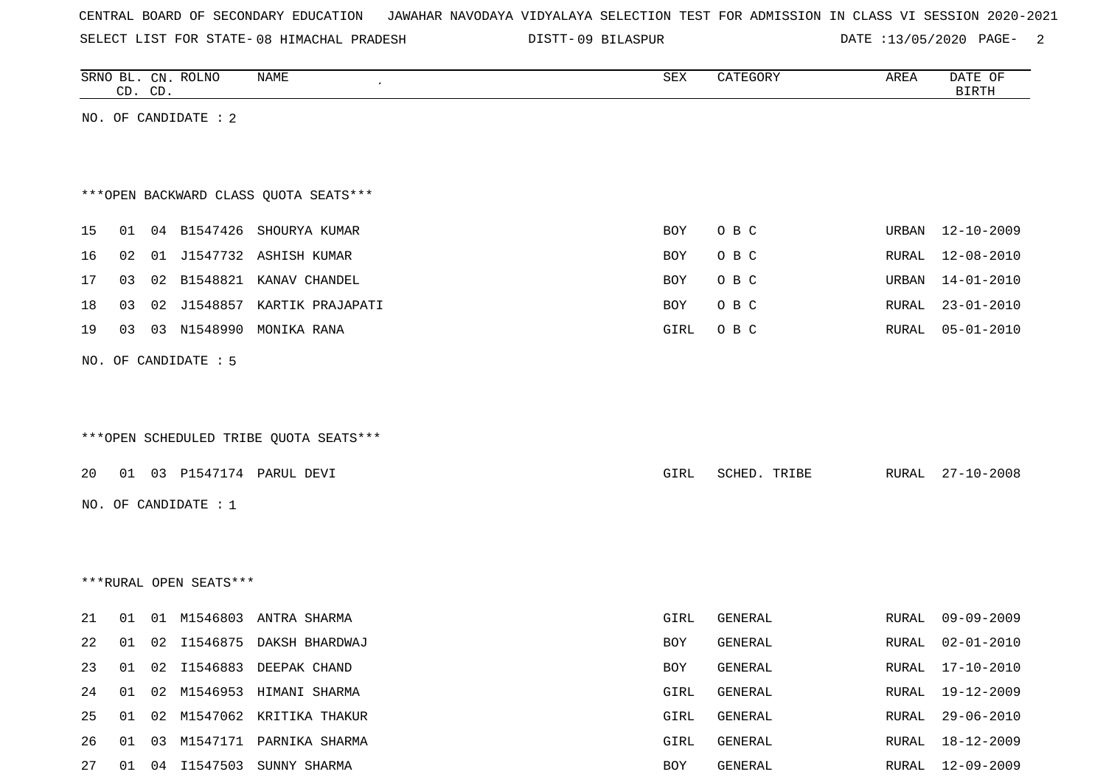|  |  |  |  | CENTRAL BOARD OF SECONDARY EDUCATION – JAWAHAR NAVODAYA VIDYALAYA SELECTION TEST FOR ADMISSION IN CLASS VI SESSION 2020-2021 |  |  |  |  |  |  |  |  |  |  |
|--|--|--|--|------------------------------------------------------------------------------------------------------------------------------|--|--|--|--|--|--|--|--|--|--|
|--|--|--|--|------------------------------------------------------------------------------------------------------------------------------|--|--|--|--|--|--|--|--|--|--|

SELECT LIST FOR STATE-08 HIMACHAL PRADESH DISTT-09 BILASPUR DATE :13/05/2020 PAGE- 2

|    | CD. CD. |    | SRNO BL. CN. ROLNO     | NAME                                   | SEX  | CATEGORY       | AREA         | DATE OF<br><b>BIRTH</b> |
|----|---------|----|------------------------|----------------------------------------|------|----------------|--------------|-------------------------|
|    |         |    | NO. OF CANDIDATE : 2   |                                        |      |                |              |                         |
|    |         |    |                        |                                        |      |                |              |                         |
|    |         |    |                        |                                        |      |                |              |                         |
|    |         |    |                        | *** OPEN BACKWARD CLASS QUOTA SEATS*** |      |                |              |                         |
| 15 | 01      |    |                        | 04 B1547426 SHOURYA KUMAR              | BOY  | O B C          | URBAN        | $12 - 10 - 2009$        |
| 16 | 02      | 01 |                        | J1547732 ASHISH KUMAR                  | BOY  | O B C          | <b>RURAL</b> | $12 - 08 - 2010$        |
| 17 | 03      |    |                        | 02 B1548821 KANAV CHANDEL              | BOY  | O B C          | URBAN        | $14 - 01 - 2010$        |
| 18 | 03      |    | 02 J1548857            | KARTIK PRAJAPATI                       | BOY  | O B C          | RURAL        | $23 - 01 - 2010$        |
| 19 | 03      |    | 03 N1548990            | MONIKA RANA                            | GIRL | O B C          | RURAL        | $05 - 01 - 2010$        |
|    |         |    | NO. OF CANDIDATE : 5   |                                        |      |                |              |                         |
|    |         |    |                        |                                        |      |                |              |                         |
|    |         |    |                        |                                        |      |                |              |                         |
|    |         |    |                        | ***OPEN SCHEDULED TRIBE QUOTA SEATS*** |      |                |              |                         |
| 20 |         |    |                        | 01 03 P1547174 PARUL DEVI              | GIRL | SCHED. TRIBE   | RURAL        | $27 - 10 - 2008$        |
|    |         |    | NO. OF CANDIDATE : 1   |                                        |      |                |              |                         |
|    |         |    |                        |                                        |      |                |              |                         |
|    |         |    |                        |                                        |      |                |              |                         |
|    |         |    | ***RURAL OPEN SEATS*** |                                        |      |                |              |                         |
|    |         |    |                        |                                        |      |                |              |                         |
| 21 | 01      |    | 01 M1546803            | ANTRA SHARMA                           | GIRL | <b>GENERAL</b> | RURAL        | $09 - 09 - 2009$        |
| 22 | 01      |    |                        | 02 I1546875 DAKSH BHARDWAJ             | BOY  | GENERAL        | RURAL        | $02 - 01 - 2010$        |
| 23 | 01      |    |                        | 02 I1546883 DEEPAK CHAND               | BOY  | GENERAL        | RURAL        | 17-10-2010              |
| 24 | 01      | 02 |                        | M1546953 HIMANI SHARMA                 | GIRL | GENERAL        | <b>RURAL</b> | $19 - 12 - 2009$        |
| 25 | 01      | 02 |                        | M1547062 KRITIKA THAKUR                | GIRL | GENERAL        | <b>RURAL</b> | $29 - 06 - 2010$        |
| 26 | 01      | 03 |                        | M1547171 PARNIKA SHARMA                | GIRL | GENERAL        | RURAL        | $18 - 12 - 2009$        |
| 27 | 01      |    |                        | 04 I1547503 SUNNY SHARMA               | BOY  | GENERAL        | RURAL        | $12 - 09 - 2009$        |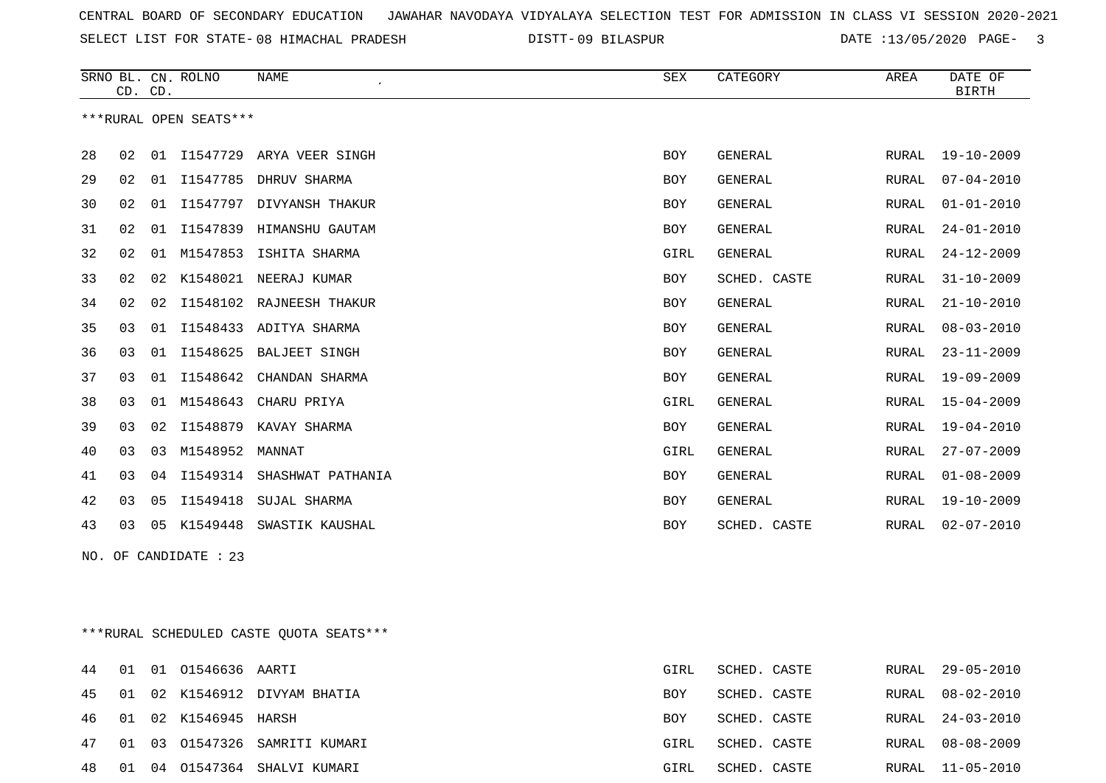SELECT LIST FOR STATE- DISTT- 08 HIMACHAL PRADESH

09 BILASPUR DATE :13/05/2020 PAGE- 3

|    |                | CD. CD. | SRNO BL. CN. ROLNO     | <b>NAME</b>               | SEX        | CATEGORY     | AREA         | DATE OF<br><b>BIRTH</b> |
|----|----------------|---------|------------------------|---------------------------|------------|--------------|--------------|-------------------------|
|    |                |         | ***RURAL OPEN SEATS*** |                           |            |              |              |                         |
| 28 | 02             |         | 01 I1547729            | ARYA VEER SINGH           | <b>BOY</b> | GENERAL      | RURAL        | $19 - 10 - 2009$        |
| 29 | 02             | 01      | I1547785               | DHRUV SHARMA              | <b>BOY</b> | GENERAL      | <b>RURAL</b> | $07 - 04 - 2010$        |
| 30 | 02             | 01      | I1547797               | DIVYANSH THAKUR           | <b>BOY</b> | GENERAL      | <b>RURAL</b> | $01 - 01 - 2010$        |
| 31 | 02             | 01      | I1547839               | HIMANSHU GAUTAM           | BOY        | GENERAL      | RURAL        | $24 - 01 - 2010$        |
| 32 | 02             | 01      | M1547853               | ISHITA SHARMA             | GIRL       | GENERAL      | <b>RURAL</b> | $24 - 12 - 2009$        |
| 33 | 02             | 02      | K1548021               | NEERAJ KUMAR              | <b>BOY</b> | SCHED. CASTE | <b>RURAL</b> | $31 - 10 - 2009$        |
| 34 | 02             | 02      |                        | I1548102 RAJNEESH THAKUR  | <b>BOY</b> | GENERAL      | <b>RURAL</b> | $21 - 10 - 2010$        |
| 35 | 03             |         |                        | 01 I1548433 ADITYA SHARMA | <b>BOY</b> | GENERAL      | <b>RURAL</b> | $08 - 03 - 2010$        |
| 36 | 03             |         | 01 I1548625            | <b>BALJEET SINGH</b>      | <b>BOY</b> | GENERAL      | <b>RURAL</b> | $23 - 11 - 2009$        |
| 37 | 03             | 01      | I1548642               | CHANDAN SHARMA            | <b>BOY</b> | GENERAL      | <b>RURAL</b> | $19 - 09 - 2009$        |
| 38 | 03             | 01      | M1548643               | CHARU PRIYA               | GIRL       | GENERAL      | <b>RURAL</b> | $15 - 04 - 2009$        |
| 39 | 03             | 02      | I1548879               | KAVAY SHARMA              | BOY        | GENERAL      | <b>RURAL</b> | $19 - 04 - 2010$        |
| 40 | 03             | 03      | M1548952               | MANNAT                    | GIRL       | GENERAL      | <b>RURAL</b> | $27 - 07 - 2009$        |
| 41 | 0 <sub>3</sub> | 04      | I1549314               | SHASHWAT PATHANIA         | <b>BOY</b> | GENERAL      | <b>RURAL</b> | $01 - 08 - 2009$        |
| 42 | 03             | 05      | I1549418               | SUJAL SHARMA              | <b>BOY</b> | GENERAL      | <b>RURAL</b> | $19 - 10 - 2009$        |
| 43 | 03             | 05      | K1549448               | SWASTIK KAUSHAL           | <b>BOY</b> | SCHED. CASTE | RURAL        | $02 - 07 - 2010$        |

NO. OF CANDIDATE : 23

\*\*\*RURAL SCHEDULED CASTE QUOTA SEATS\*\*\*

|  | 44 01 01 01546636 AARTI |                                  | GIRL       | SCHED. CASTE | RURAL 29-05-2010 |
|--|-------------------------|----------------------------------|------------|--------------|------------------|
|  |                         | 45 01 02 K1546912 DIVYAM BHATIA  | BOY        | SCHED. CASTE | RURAL 08-02-2010 |
|  | 46 01 02 K1546945 HARSH |                                  | <b>BOY</b> | SCHED. CASTE | RURAL 24-03-2010 |
|  |                         | 47 01 03 01547326 SAMRITI KUMARI | GIRL       | SCHED. CASTE | RURAL 08-08-2009 |
|  |                         | 48 01 04 01547364 SHALVI KUMARI  | GIRL       | SCHED. CASTE | RURAL 11-05-2010 |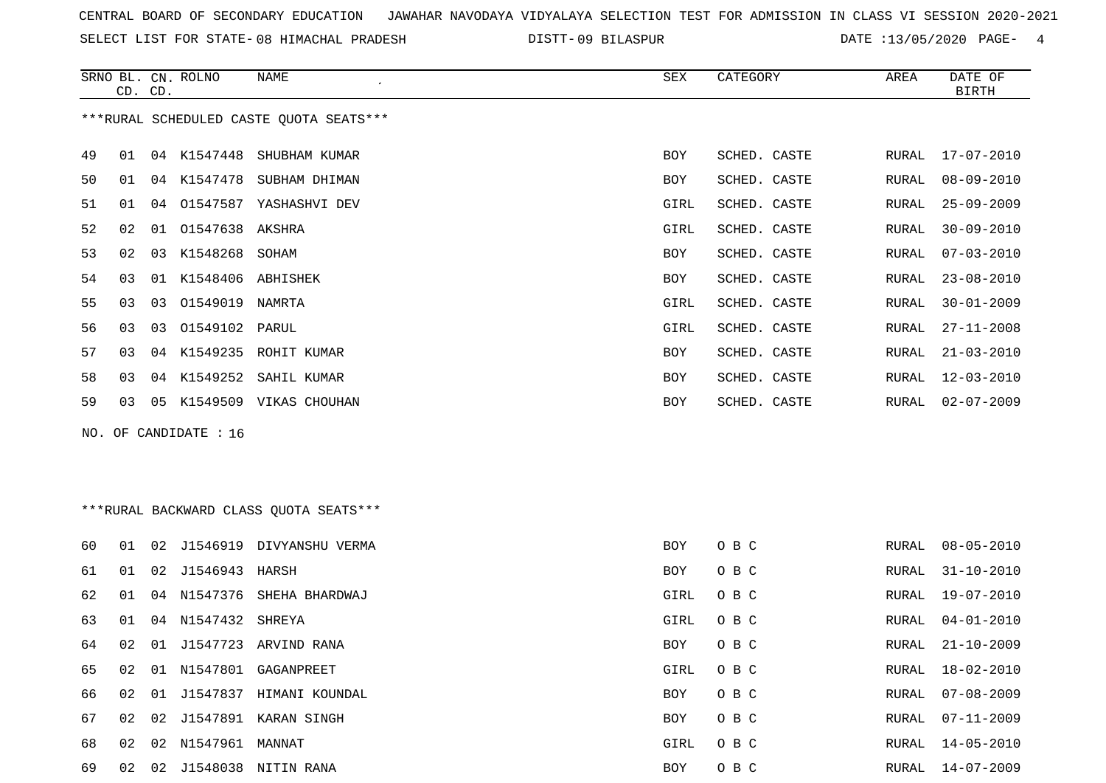SELECT LIST FOR STATE- DISTT- 08 HIMACHAL PRADESH

09 BILASPUR DATE :13/05/2020 PAGE- 4

RURAL 14-05-2010

|    | CD. CD. |    | SRNO BL. CN. ROLNO    | NAME                                    | SEX        | CATEGORY     | ${\tt AREA}$ | DATE OF<br><b>BIRTH</b> |
|----|---------|----|-----------------------|-----------------------------------------|------------|--------------|--------------|-------------------------|
|    |         |    |                       | ***RURAL SCHEDULED CASTE QUOTA SEATS*** |            |              |              |                         |
| 49 | 01      |    | 04 K1547448           | SHUBHAM KUMAR                           | BOY        | SCHED. CASTE | RURAL        | 17-07-2010              |
| 50 | 01      |    |                       | 04 K1547478 SUBHAM DHIMAN               | <b>BOY</b> | SCHED. CASTE | <b>RURAL</b> | $08 - 09 - 2010$        |
| 51 | 01      | 04 |                       | 01547587 YASHASHVI DEV                  | GIRL       | SCHED. CASTE | RURAL        | $25 - 09 - 2009$        |
| 52 | 02      |    | 01 01547638 AKSHRA    |                                         | GIRL       | SCHED. CASTE | RURAL        | $30 - 09 - 2010$        |
| 53 | 02      |    | 03 K1548268 SOHAM     |                                         | <b>BOY</b> | SCHED. CASTE | <b>RURAL</b> | $07 - 03 - 2010$        |
| 54 | 03      |    | 01 K1548406 ABHISHEK  |                                         | <b>BOY</b> | SCHED. CASTE | RURAL        | $23 - 08 - 2010$        |
| 55 | 03      |    | 03 01549019 NAMRTA    |                                         | GIRL       | SCHED. CASTE | RURAL        | $30 - 01 - 2009$        |
| 56 | 03      | 03 | 01549102 PARUL        |                                         | GIRL       | SCHED. CASTE | <b>RURAL</b> | $27 - 11 - 2008$        |
| 57 | 03      |    |                       | 04 K1549235 ROHIT KUMAR                 | BOY        | SCHED. CASTE | RURAL        | $21 - 03 - 2010$        |
| 58 | 03      |    | 04 K1549252           | SAHIL KUMAR                             | BOY        | SCHED. CASTE | RURAL        | $12 - 03 - 2010$        |
| 59 | 03      |    |                       | 05 K1549509 VIKAS CHOUHAN               | <b>BOY</b> | SCHED. CASTE | RURAL        | $02 - 07 - 2009$        |
|    |         |    | NO. OF CANDIDATE : 16 |                                         |            |              |              |                         |
|    |         |    |                       |                                         |            |              |              |                         |
|    |         |    |                       |                                         |            |              |              |                         |
|    |         |    |                       | *** RURAL BACKWARD CLASS QUOTA SEATS*** |            |              |              |                         |
|    |         |    |                       |                                         |            |              |              |                         |
| 60 | 01      | 02 |                       | J1546919 DIVYANSHU VERMA                | <b>BOY</b> | O B C        | RURAL        | $08 - 05 - 2010$        |
| 61 | 01      |    | 02 J1546943 HARSH     |                                         | BOY        | O B C        | RURAL        | $31 - 10 - 2010$        |
| 62 | 01      |    |                       | 04 N1547376 SHEHA BHARDWAJ              | GIRL       | O B C        | RURAL        | 19-07-2010              |
| 63 | 01      |    | 04 N1547432 SHREYA    |                                         | GIRL       | O B C        | RURAL        | $04 - 01 - 2010$        |
| 64 | 02      | 01 |                       | J1547723 ARVIND RANA                    | BOY        | O B C        | RURAL        | $21 - 10 - 2009$        |
| 65 | 02      |    |                       | 01 N1547801 GAGANPREET                  | GIRL       | O B C        | RURAL        | $18 - 02 - 2010$        |
| 66 | 02      |    |                       | 01 J1547837 HIMANI KOUNDAL              | <b>BOY</b> | O B C        | RURAL        | $07 - 08 - 2009$        |
| 67 | 02      | 02 |                       | J1547891 KARAN SINGH                    | <b>BOY</b> | O B C        | <b>RURAL</b> | $07 - 11 - 2009$        |

69 02 02 J1548038 NITIN RANA BOY O B C RURAL 14-07-2009

68 02 02 N1547961 MANNAT **GIRL O B C**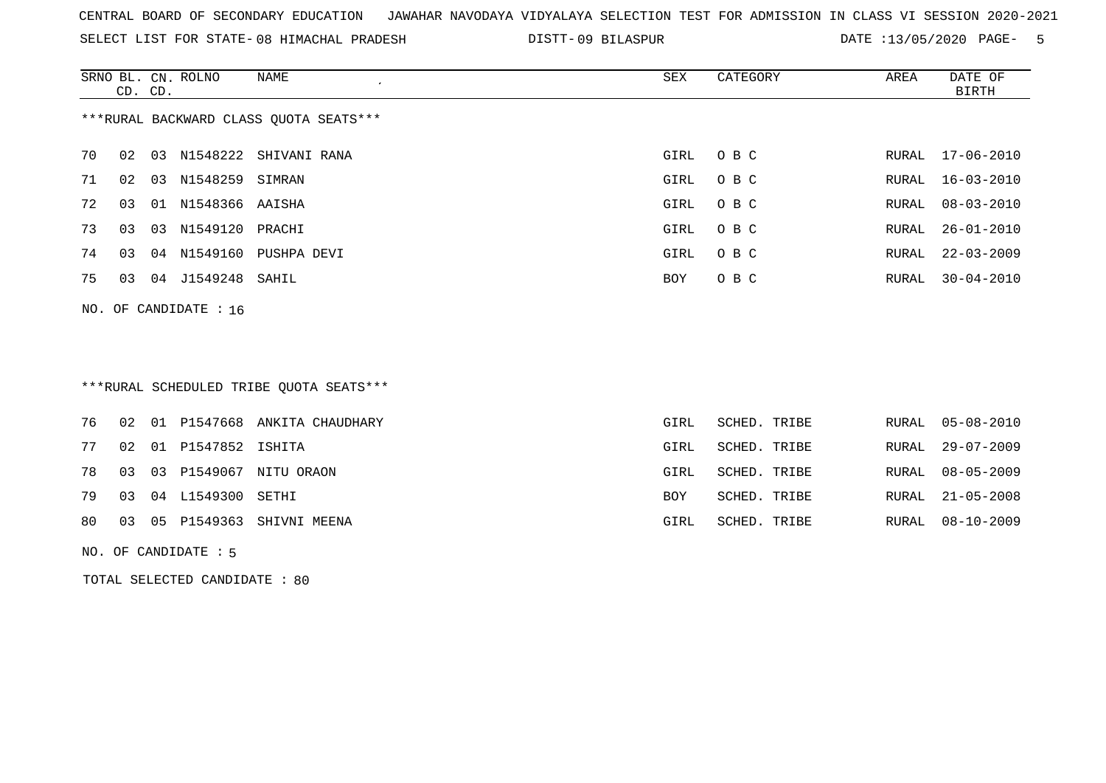SELECT LIST FOR STATE- DISTT- 08 HIMACHAL PRADESH

09 BILASPUR DATE :13/05/2020 PAGE- 5

|    | CD. CD.                                 |    | SRNO BL. CN. ROLNO      | NAME                     | SEX  | CATEGORY | AREA  | DATE OF<br><b>BIRTH</b> |  |  |  |  |  |
|----|-----------------------------------------|----|-------------------------|--------------------------|------|----------|-------|-------------------------|--|--|--|--|--|
|    | *** RURAL BACKWARD CLASS QUOTA SEATS*** |    |                         |                          |      |          |       |                         |  |  |  |  |  |
| 70 | 02                                      |    |                         | 03 N1548222 SHIVANI RANA | GIRL | O B C    |       | RURAL 17-06-2010        |  |  |  |  |  |
| 71 | 02                                      | 03 | N1548259 SIMRAN         |                          | GIRL | O B C    |       | RURAL 16-03-2010        |  |  |  |  |  |
| 72 | 03                                      |    | 01 N1548366 AAISHA      |                          | GIRL | O B C    | RURAL | $08 - 03 - 2010$        |  |  |  |  |  |
| 73 | 03                                      |    | 03 N1549120 PRACHI      |                          | GIRL | O B C    | RURAL | 26-01-2010              |  |  |  |  |  |
| 74 | 03                                      |    |                         | 04 N1549160 PUSHPA DEVI  | GIRL | O B C    | RURAL | $22 - 03 - 2009$        |  |  |  |  |  |
| 75 | 03                                      |    | 04 J1549248 SAHIL       |                          | BOY  | O B C    | RURAL | $30 - 04 - 2010$        |  |  |  |  |  |
|    |                                         |    | NO. OF CANDIDATE : $16$ |                          |      |          |       |                         |  |  |  |  |  |

# \*\*\*RURAL SCHEDULED TRIBE QUOTA SEATS\*\*\*

|  |                          | 76 02 01 P1547668 ANKITA CHAUDHARY | GIRL | SCHED. TRIBE |  | RURAL 05-08-2010 |
|--|--------------------------|------------------------------------|------|--------------|--|------------------|
|  | 77 02 01 P1547852 ISHITA |                                    | GIRL | SCHED. TRIBE |  | RURAL 29-07-2009 |
|  |                          | 78 03 03 P1549067 NITU ORAON       | GIRL | SCHED. TRIBE |  | RURAL 08-05-2009 |
|  | 79 03 04 L1549300 SETHI  |                                    | BOY  | SCHED. TRIBE |  | RURAL 21-05-2008 |
|  |                          | 80 03 05 P1549363 SHIVNI MEENA     | GIRL | SCHED. TRIBE |  | RURAL 08-10-2009 |
|  |                          |                                    |      |              |  |                  |

#### NO. OF CANDIDATE : 5

TOTAL SELECTED CANDIDATE : 80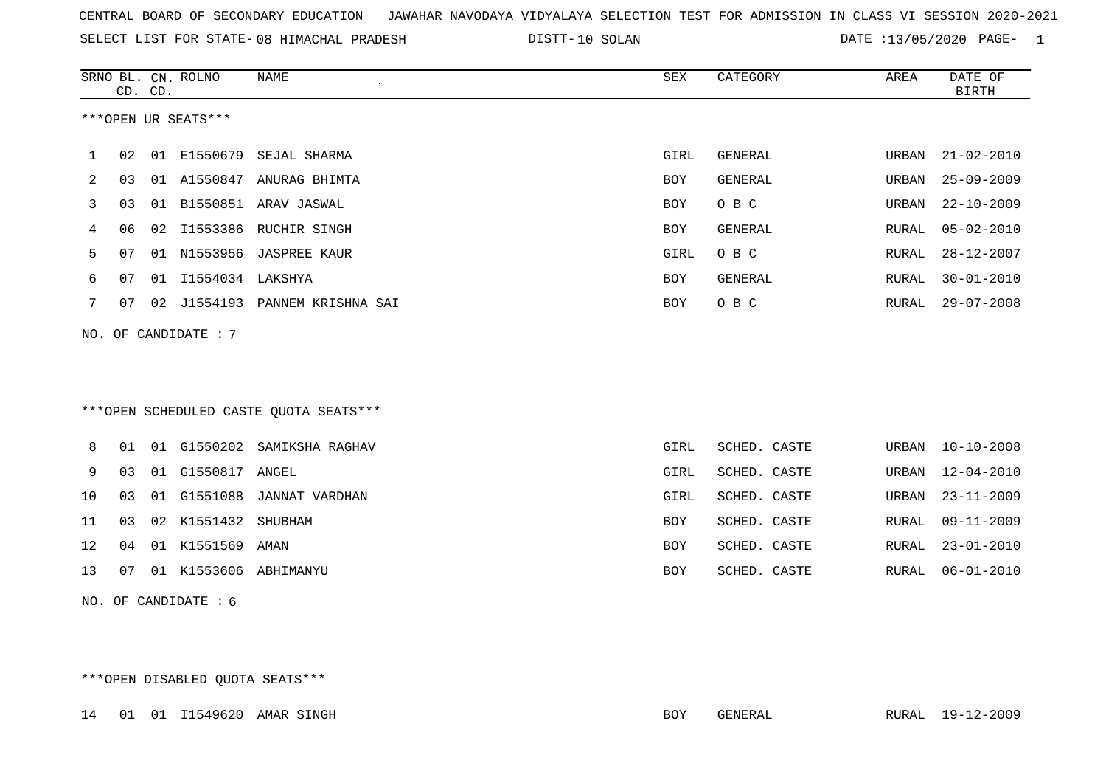| CENTRAL BOARD OF SECONDARY EDUCATION – JAWAHAR NAVODAYA VIDYALAYA SELECTION TEST FOR ADMISSION IN CLASS VI SESSION 2020-2021 |  |
|------------------------------------------------------------------------------------------------------------------------------|--|
|------------------------------------------------------------------------------------------------------------------------------|--|

SELECT LIST FOR STATE- DISTT- 08 HIMACHAL PRADESH 10 SOLAN DATE :13/05/2020 PAGE- 1

|    |    | CD. CD. | SRNO BL. CN. ROLNO     | <b>NAME</b>                            | SEX         | CATEGORY       | AREA         | DATE OF<br><b>BIRTH</b> |
|----|----|---------|------------------------|----------------------------------------|-------------|----------------|--------------|-------------------------|
|    |    |         | ***OPEN UR SEATS***    |                                        |             |                |              |                         |
| 1  | 02 |         | 01 E1550679            | SEJAL SHARMA                           | GIRL        | GENERAL        | URBAN        | $21 - 02 - 2010$        |
| 2  | 03 |         |                        | 01 A1550847 ANURAG BHIMTA              | <b>BOY</b>  | GENERAL        | URBAN        | $25 - 09 - 2009$        |
| 3  | 03 |         |                        | 01 B1550851 ARAV JASWAL                | <b>BOY</b>  | O B C          | URBAN        | $22 - 10 - 2009$        |
| 4  | 06 | 02      |                        | I1553386 RUCHIR SINGH                  | <b>BOY</b>  | <b>GENERAL</b> | RURAL        | $05 - 02 - 2010$        |
| 5  | 07 | 01      |                        | N1553956 JASPREE KAUR                  | <b>GIRL</b> | O B C          | RURAL        | $28 - 12 - 2007$        |
| 6  | 07 |         | 01 I1554034 LAKSHYA    |                                        | <b>BOY</b>  | <b>GENERAL</b> | RURAL        | $30 - 01 - 2010$        |
| 7  | 07 |         |                        | 02 J1554193 PANNEM KRISHNA SAI         | <b>BOY</b>  | O B C          | RURAL        | $29 - 07 - 2008$        |
|    |    |         | NO. OF CANDIDATE : 7   |                                        |             |                |              |                         |
|    |    |         |                        | ***OPEN SCHEDULED CASTE QUOTA SEATS*** |             |                |              |                         |
| 8  | 01 |         | 01 G1550202            | SAMIKSHA RAGHAV                        | <b>GIRL</b> | SCHED. CASTE   | URBAN        | $10 - 10 - 2008$        |
| 9  | 03 | 01      | G1550817               | ANGEL                                  | GIRL        | SCHED. CASTE   | URBAN        | $12 - 04 - 2010$        |
| 10 | 03 | 01      | G1551088               | JANNAT VARDHAN                         | GIRL        | SCHED. CASTE   | URBAN        | $23 - 11 - 2009$        |
| 11 | 03 |         | 02 K1551432            | SHUBHAM                                | <b>BOY</b>  | SCHED. CASTE   | RURAL        | $09 - 11 - 2009$        |
| 12 | 04 |         | 01 K1551569            | AMAN                                   | <b>BOY</b>  | SCHED. CASTE   | <b>RURAL</b> | $23 - 01 - 2010$        |
| 13 | 07 |         |                        | 01 K1553606 ABHIMANYU                  | <b>BOY</b>  | SCHED. CASTE   | RURAL        | $06 - 01 - 2010$        |
|    |    |         | NO. OF CANDIDATE $: 6$ |                                        |             |                |              |                         |

\*\*\*OPEN DISABLED QUOTA SEATS\*\*\*

14 01 01 I1549620 AMAR SINGH BOY GENERAL RURAL 19-12-2009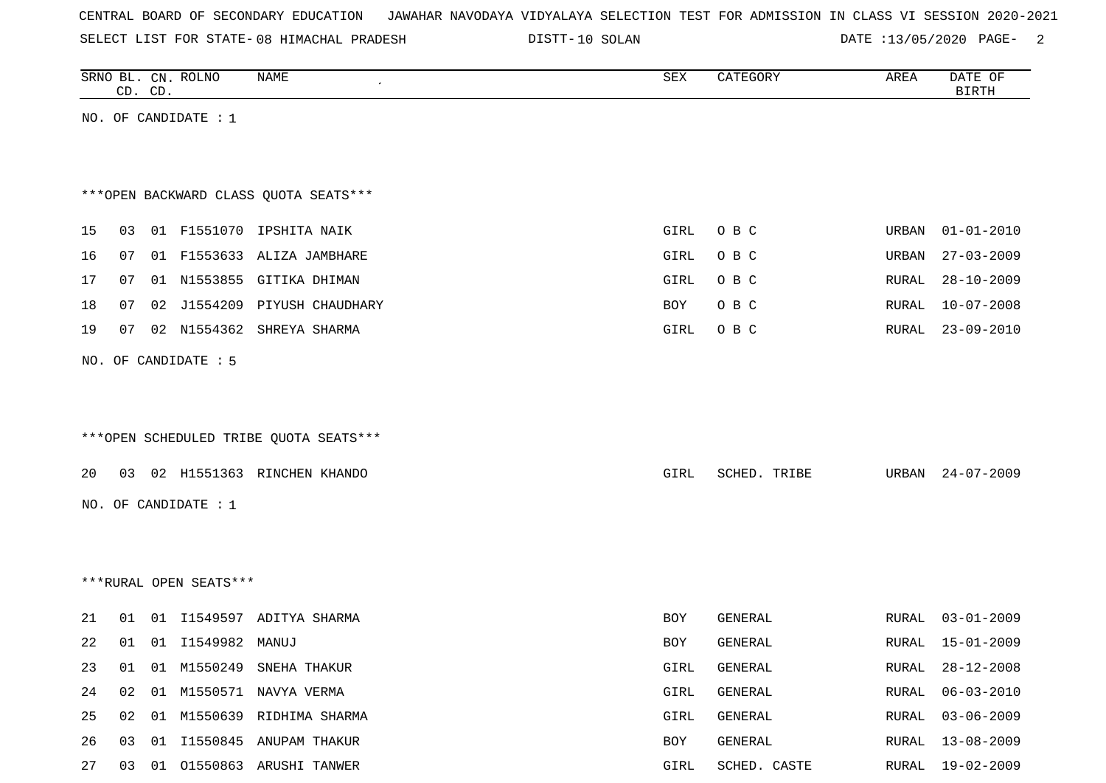| CENTRAL BOARD OF SECONDARY EDUCATION GAWAHAR NAVODAYA VIDYALAYA SELECTION TEST FOR ADMISSION IN CLASS VI SESSION 2020-2021 |  |  |  |  |
|----------------------------------------------------------------------------------------------------------------------------|--|--|--|--|
|----------------------------------------------------------------------------------------------------------------------------|--|--|--|--|

SELECT LIST FOR STATE-08 HIMACHAL PRADESH DISTT-10 SOLAN DATE :13/05/2020 PAGE- 2

|    |    | CD. CD. | SRNO BL. CN. ROLNO     | NAME                                   | SEX         | CATEGORY     | AREA  | DATE OF<br><b>BIRTH</b> |
|----|----|---------|------------------------|----------------------------------------|-------------|--------------|-------|-------------------------|
|    |    |         | NO. OF CANDIDATE : $1$ |                                        |             |              |       |                         |
|    |    |         |                        |                                        |             |              |       |                         |
|    |    |         |                        |                                        |             |              |       |                         |
|    |    |         |                        | *** OPEN BACKWARD CLASS QUOTA SEATS*** |             |              |       |                         |
| 15 | 03 |         |                        | 01 F1551070 IPSHITA NAIK               | <b>GIRL</b> | O B C        | URBAN | $01 - 01 - 2010$        |
| 16 | 07 |         |                        | 01 F1553633 ALIZA JAMBHARE             | GIRL        | O B C        | URBAN | $27 - 03 - 2009$        |
| 17 | 07 |         |                        | 01 N1553855 GITIKA DHIMAN              | GIRL        | O B C        | RURAL | $28 - 10 - 2009$        |
| 18 | 07 | 02      |                        | J1554209 PIYUSH CHAUDHARY              | BOY         | O B C        | RURAL | $10 - 07 - 2008$        |
| 19 | 07 |         | 02 N1554362            | SHREYA SHARMA                          | GIRL        | O B C        | RURAL | $23 - 09 - 2010$        |
|    |    |         | NO. OF CANDIDATE : 5   |                                        |             |              |       |                         |
|    |    |         |                        |                                        |             |              |       |                         |
|    |    |         |                        |                                        |             |              |       |                         |
|    |    |         |                        | ***OPEN SCHEDULED TRIBE QUOTA SEATS*** |             |              |       |                         |
|    |    |         |                        |                                        |             |              |       |                         |
| 20 | 03 |         |                        | 02 H1551363 RINCHEN KHANDO             | GIRL        | SCHED. TRIBE | URBAN | $24 - 07 - 2009$        |
|    |    |         | NO. OF CANDIDATE : 1   |                                        |             |              |       |                         |
|    |    |         |                        |                                        |             |              |       |                         |
|    |    |         |                        |                                        |             |              |       |                         |
|    |    |         | ***RURAL OPEN SEATS*** |                                        |             |              |       |                         |
| 21 | 01 |         |                        | 01 I1549597 ADITYA SHARMA              | BOY         | GENERAL      | RURAL | $03 - 01 - 2009$        |
| 22 | 01 |         | 01 I1549982 MANUJ      |                                        | BOY         | GENERAL      | RURAL | $15 - 01 - 2009$        |
| 23 | 01 |         |                        | 01 M1550249 SNEHA THAKUR               | GIRL        | GENERAL      | RURAL | $28 - 12 - 2008$        |
| 24 | 02 | 01      |                        | M1550571 NAVYA VERMA                   | GIRL        | GENERAL      | RURAL | $06 - 03 - 2010$        |
| 25 | 02 | 01      |                        | M1550639 RIDHIMA SHARMA                | GIRL        | GENERAL      | RURAL | $03 - 06 - 2009$        |
| 26 | 03 | 01      |                        | I1550845 ANUPAM THAKUR                 | BOY         | GENERAL      | RURAL | $13 - 08 - 2009$        |
| 27 | 03 |         |                        | 01 01550863 ARUSHI TANWER              | GIRL        | SCHED. CASTE | RURAL | 19-02-2009              |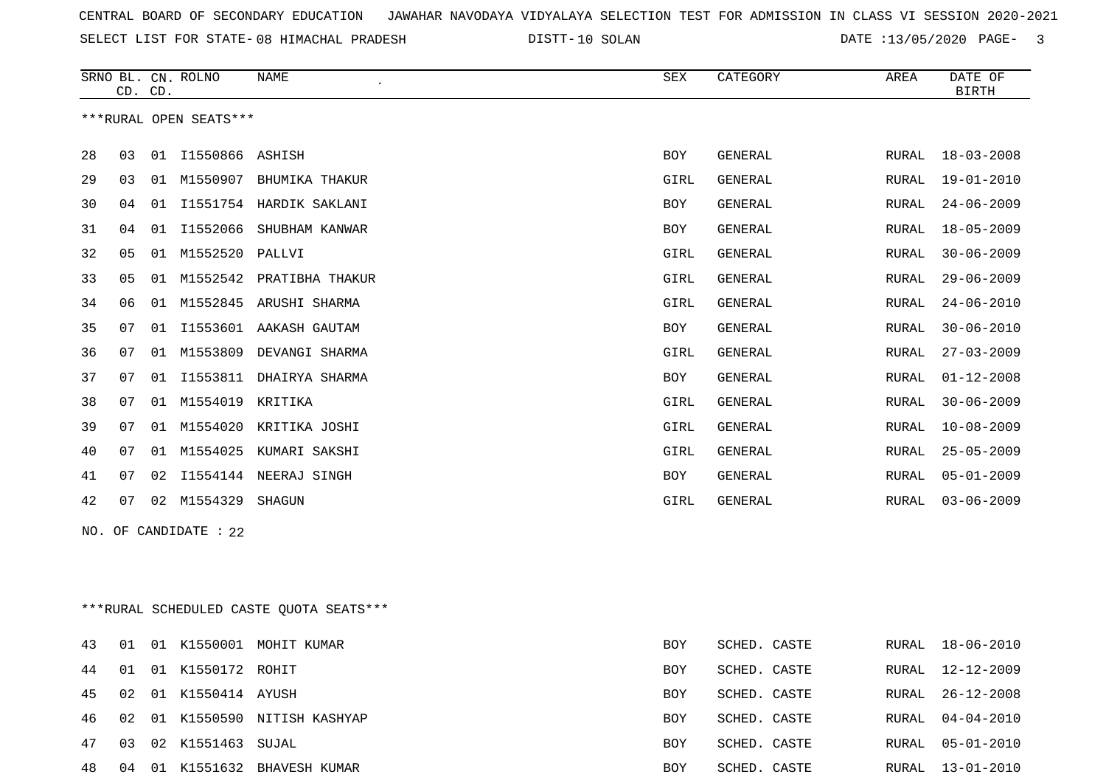SELECT LIST FOR STATE- DISTT- 08 HIMACHAL PRADESH

DISTT-10 SOLAN 100 DATE :13/05/2020 PAGE- 3

|    | CD. CD. |    | SRNO BL. CN. ROLNO     | <b>NAME</b>              | SEX        | CATEGORY       | AREA         | DATE OF<br><b>BIRTH</b> |
|----|---------|----|------------------------|--------------------------|------------|----------------|--------------|-------------------------|
|    |         |    | ***RURAL OPEN SEATS*** |                          |            |                |              |                         |
| 28 | 03      | 01 | I1550866 ASHISH        |                          | <b>BOY</b> | GENERAL        | RURAL        | $18 - 03 - 2008$        |
| 29 | 03      | 01 | M1550907               | BHUMIKA THAKUR           | GIRL       | GENERAL        | RURAL        | $19 - 01 - 2010$        |
| 30 | 04      | 01 | I1551754               | HARDIK SAKLANI           | <b>BOY</b> | GENERAL        | <b>RURAL</b> | $24 - 06 - 2009$        |
| 31 | 04      | 01 | I1552066               | SHUBHAM KANWAR           | <b>BOY</b> | GENERAL        | <b>RURAL</b> | $18 - 05 - 2009$        |
| 32 | 05      | 01 | M1552520               | PALLVI                   | GIRL       | <b>GENERAL</b> | RURAL        | $30 - 06 - 2009$        |
| 33 | 05      | 01 |                        | M1552542 PRATIBHA THAKUR | GIRL       | <b>GENERAL</b> | <b>RURAL</b> | $29 - 06 - 2009$        |
| 34 | 06      | 01 | M1552845               | ARUSHI SHARMA            | GIRL       | GENERAL        | <b>RURAL</b> | $24 - 06 - 2010$        |
| 35 | 07      | 01 |                        | I1553601 AAKASH GAUTAM   | <b>BOY</b> | <b>GENERAL</b> | <b>RURAL</b> | $30 - 06 - 2010$        |
| 36 | 07      | 01 | M1553809               | DEVANGI SHARMA           | GIRL       | GENERAL        | RURAL        | $27 - 03 - 2009$        |
| 37 | 07      | 01 | I1553811               | DHAIRYA SHARMA           | <b>BOY</b> | GENERAL        | <b>RURAL</b> | $01 - 12 - 2008$        |
| 38 | 07      | 01 | M1554019               | KRITIKA                  | GIRL       | <b>GENERAL</b> | <b>RURAL</b> | $30 - 06 - 2009$        |
| 39 | 07      | 01 | M1554020               | KRITIKA JOSHI            | GIRL       | <b>GENERAL</b> | <b>RURAL</b> | $10 - 08 - 2009$        |
| 40 | 07      | 01 | M1554025               | KUMARI SAKSHI            | GIRL       | GENERAL        | <b>RURAL</b> | $25 - 05 - 2009$        |
| 41 | 07      | 02 | I1554144               | NEERAJ SINGH             | <b>BOY</b> | <b>GENERAL</b> | <b>RURAL</b> | $05 - 01 - 2009$        |
| 42 | 07      | 02 | M1554329               | SHAGUN                   | GIRL       | <b>GENERAL</b> | RURAL        | $03 - 06 - 2009$        |

NO. OF CANDIDATE : 22

\*\*\*RURAL SCHEDULED CASTE QUOTA SEATS\*\*\*

| 43 | 01 |      |                   | 01 K1550001 MOHIT KUMAR    | BOY        | SCHED. CASTE |       | RURAL 18-06-2010 |
|----|----|------|-------------------|----------------------------|------------|--------------|-------|------------------|
| 44 | 01 |      | 01 K1550172 ROHIT |                            | <b>BOY</b> | SCHED. CASTE | RURAL | $12 - 12 - 2009$ |
| 45 | 02 |      | 01 K1550414 AYUSH |                            | BOY        | SCHED. CASTE |       | RURAL 26-12-2008 |
| 46 | 02 |      |                   | 01 K1550590 NITISH KASHYAP | BOY        | SCHED. CASTE | RURAL | 04-04-2010       |
| 47 | 03 |      | 02 K1551463 SUJAL |                            | BOY        | SCHED, CASTE |       | RURAL 05-01-2010 |
| 48 | 04 | - 01 |                   | K1551632 BHAVESH KUMAR     | BOY        | SCHED, CASTE | RURAL | $13 - 01 - 2010$ |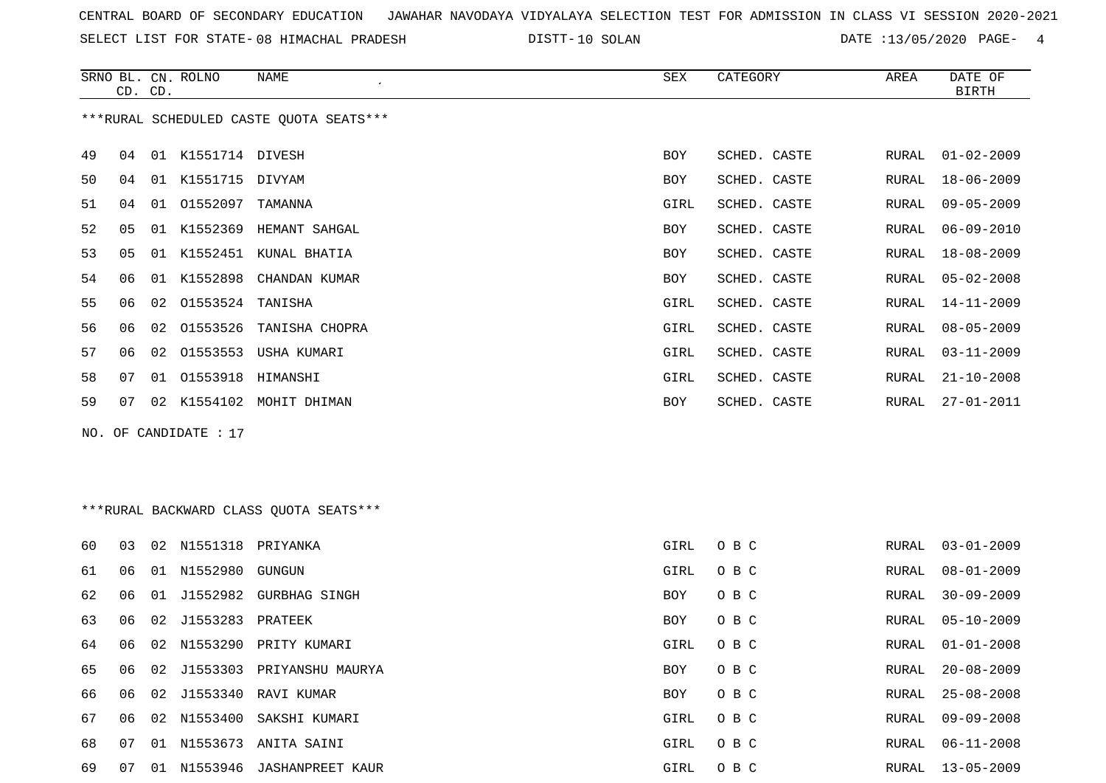SELECT LIST FOR STATE- DISTT- 08 HIMACHAL PRADESH

10 SOLAN DATE :13/05/2020 PAGE- 4

|    | CD. CD.                                 |    | SRNO BL. CN. ROLNO    | NAME                       | SEX        | CATEGORY     | AREA  | DATE OF<br><b>BIRTH</b> |  |  |  |
|----|-----------------------------------------|----|-----------------------|----------------------------|------------|--------------|-------|-------------------------|--|--|--|
|    | ***RURAL SCHEDULED CASTE QUOTA SEATS*** |    |                       |                            |            |              |       |                         |  |  |  |
| 49 | 04                                      | 01 | K1551714 DIVESH       |                            | <b>BOY</b> | SCHED. CASTE | RURAL | $01 - 02 - 2009$        |  |  |  |
| 50 | 04                                      | 01 | K1551715 DIVYAM       |                            | <b>BOY</b> | SCHED. CASTE | RURAL | $18 - 06 - 2009$        |  |  |  |
| 51 | 04                                      | 01 | 01552097              | TAMANNA                    | GIRL       | SCHED. CASTE | RURAL | $09 - 05 - 2009$        |  |  |  |
| 52 | 05                                      | 01 |                       | K1552369 HEMANT SAHGAL     | BOY        | SCHED. CASTE | RURAL | $06 - 09 - 2010$        |  |  |  |
| 53 | 05                                      | 01 | K1552451              | KUNAL BHATIA               | <b>BOY</b> | SCHED. CASTE | RURAL | 18-08-2009              |  |  |  |
| 54 | 06                                      |    |                       | 01 K1552898 CHANDAN KUMAR  | <b>BOY</b> | SCHED. CASTE | RURAL | $05 - 02 - 2008$        |  |  |  |
| 55 | 06                                      | 02 | 01553524 TANISHA      |                            | GIRL       | SCHED. CASTE | RURAL | $14 - 11 - 2009$        |  |  |  |
| 56 | 06                                      |    |                       | 02 01553526 TANISHA CHOPRA | GIRL       | SCHED. CASTE | RURAL | $08 - 05 - 2009$        |  |  |  |
| 57 | 06                                      |    |                       | 02 01553553 USHA KUMARI    | GIRL       | SCHED. CASTE | RURAL | $03 - 11 - 2009$        |  |  |  |
| 58 | 07                                      |    | 01 01553918           | HIMANSHI                   | GIRL       | SCHED. CASTE | RURAL | $21 - 10 - 2008$        |  |  |  |
| 59 | 07                                      |    |                       | 02 K1554102 MOHIT DHIMAN   | BOY        | SCHED. CASTE | RURAL | $27 - 01 - 2011$        |  |  |  |
|    |                                         |    | NO. OF CANDIDATE : 17 |                            |            |              |       |                         |  |  |  |

# \*\*\*RURAL BACKWARD CLASS QUOTA SEATS\*\*\*

| 60 | 03 | 02 | N1551318            | PRIYANKA                  | GIRL       | O B C | RURAL | $03 - 01 - 2009$ |
|----|----|----|---------------------|---------------------------|------------|-------|-------|------------------|
| 61 | 06 | 01 | N1552980            | GUNGUN                    | GIRL       | O B C | RURAL | $08 - 01 - 2009$ |
| 62 | 06 | 01 | J1552982            | GURBHAG SINGH             | <b>BOY</b> | O B C | RURAL | $30 - 09 - 2009$ |
| 63 | 06 |    | 02 J1553283 PRATEEK |                           | <b>BOY</b> | O B C | RURAL | $05 - 10 - 2009$ |
| 64 | 06 |    |                     | 02 N1553290 PRITY KUMARI  | GIRL       | O B C |       | RURAL 01-01-2008 |
| 65 | 06 |    | 02 J1553303         | PRIYANSHU MAURYA          | BOY        | O B C | RURAL | 20-08-2009       |
| 66 | 06 |    | 02 J1553340         | RAVI KUMAR                | <b>BOY</b> | O B C | RURAL | $25 - 08 - 2008$ |
| 67 | 06 |    |                     | 02 N1553400 SAKSHI KUMARI | GIRL       | O B C | RURAL | $09 - 09 - 2008$ |
| 68 | 07 | 01 | N1553673            | ANITA SAINI               | GIRL       | O B C | RURAL | 06-11-2008       |
| 69 | 07 | 01 |                     | N1553946 JASHANPREET KAUR | GIRL       | O B C | RURAL | 13-05-2009       |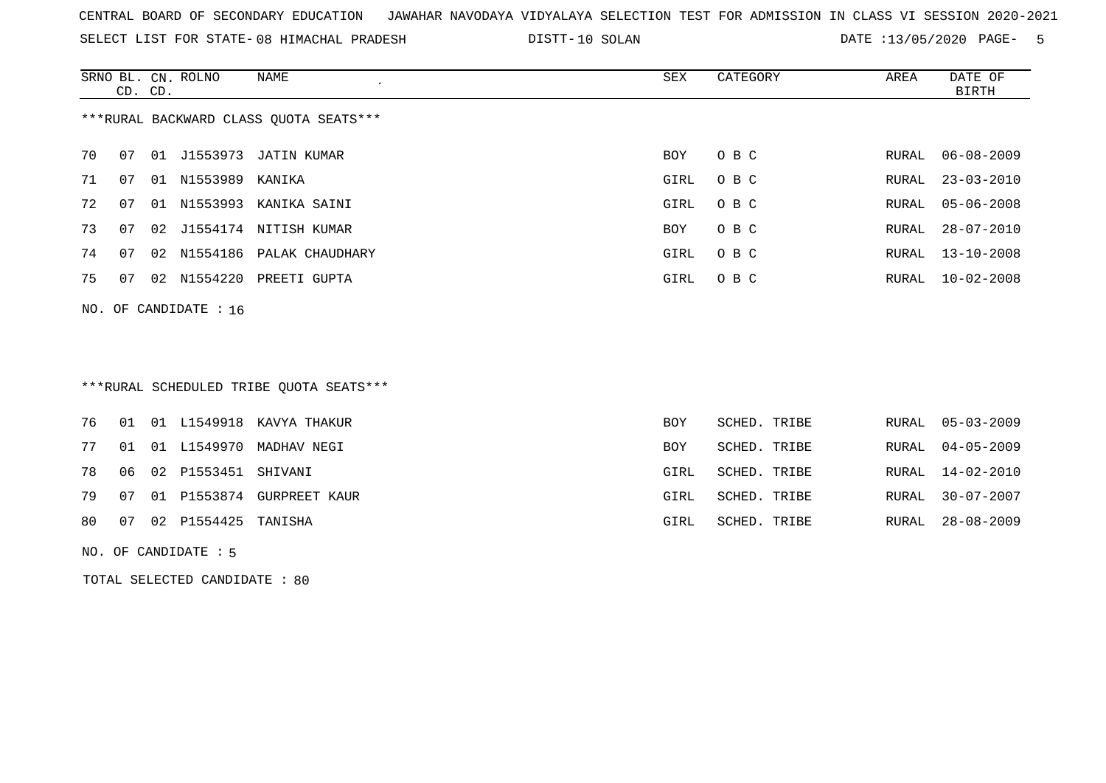SELECT LIST FOR STATE- DISTT- 08 HIMACHAL PRADESH

DISTT-10 SOLAN 100 DATE :13/05/2020 PAGE- 5

|    | CD. CD. |    | SRNO BL. CN. ROLNO      | NAME                                   | SEX  | CATEGORY | AREA  | DATE OF<br>BIRTH |
|----|---------|----|-------------------------|----------------------------------------|------|----------|-------|------------------|
|    |         |    |                         | ***RURAL BACKWARD CLASS OUOTA SEATS*** |      |          |       |                  |
| 70 | 07      |    |                         | 01 J1553973 JATIN KUMAR                | BOY  | O B C    | RURAL | $06 - 08 - 2009$ |
| 71 | 07      | 01 | N1553989 KANIKA         |                                        | GIRL | O B C    | RURAL | $23 - 03 - 2010$ |
| 72 | 07      | 01 |                         | N1553993 KANIKA SAINI                  | GIRL | O B C    | RURAL | $05 - 06 - 2008$ |
| 73 | 07      |    |                         | 02 J1554174 NITISH KUMAR               | BOY  | O B C    | RURAL | 28-07-2010       |
| 74 | 07      |    |                         | 02 N1554186 PALAK CHAUDHARY            | GIRL | O B C    | RURAL | $13 - 10 - 2008$ |
| 75 | 07      |    |                         | 02 N1554220 PREETI GUPTA               | GIRL | O B C    | RURAL | $10 - 02 - 2008$ |
|    |         |    | NO. OF CANDIDATE : $16$ |                                        |      |          |       |                  |
|    |         |    |                         |                                        |      |          |       |                  |

\*\*\*RURAL SCHEDULED TRIBE QUOTA SEATS\*\*\*

|  |                                   | 76 01 01 L1549918 KAVYA THAKUR  | BOY  | SCHED. TRIBE |  | RURAL 05-03-2009 |
|--|-----------------------------------|---------------------------------|------|--------------|--|------------------|
|  |                                   | 77 01 01 L1549970 MADHAV NEGI   | BOY  | SCHED. TRIBE |  | RURAL 04-05-2009 |
|  | 78   06   02   P1553451   SHIVANI |                                 | GIRL | SCHED. TRIBE |  | RURAL 14-02-2010 |
|  |                                   | 79 07 01 P1553874 GURPREET KAUR | GIRL | SCHED. TRIBE |  | RURAL 30-07-2007 |
|  | 80 07 02 P1554425 TANISHA         |                                 | GIRL | SCHED. TRIBE |  | RURAL 28-08-2009 |
|  |                                   |                                 |      |              |  |                  |

NO. OF CANDIDATE : 5

TOTAL SELECTED CANDIDATE : 80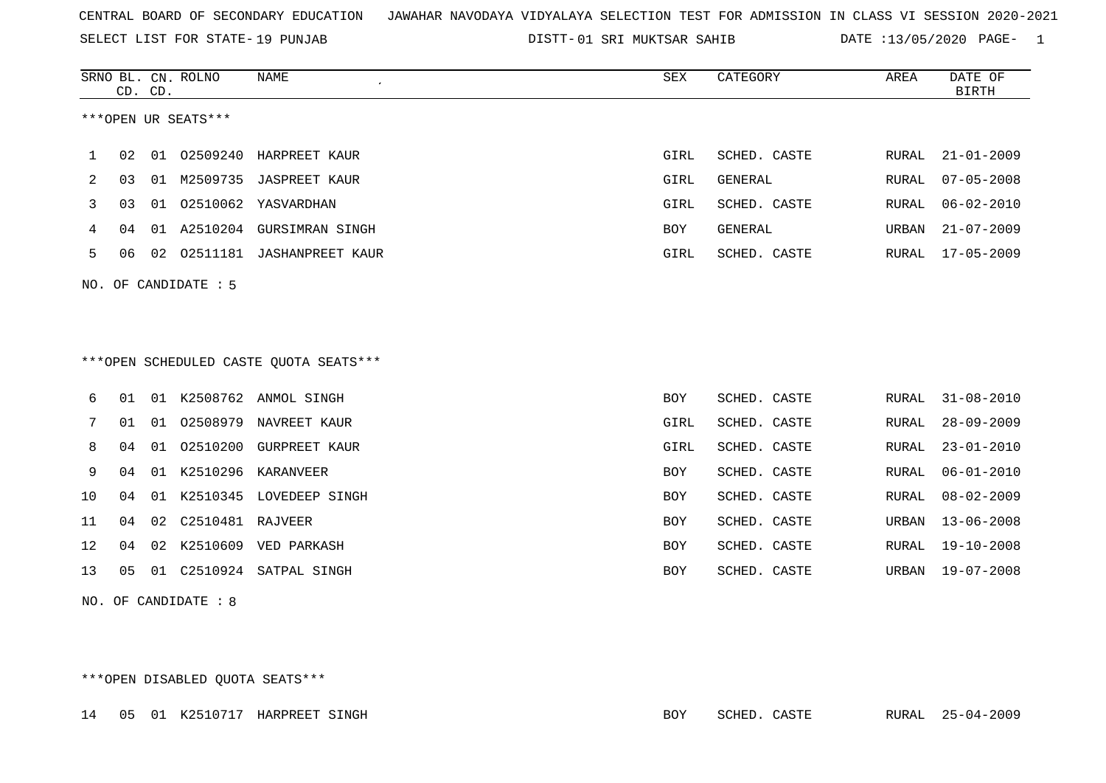SELECT LIST FOR STATE- DISTT- 19 PUNJAB

01 SRI MUKTSAR SAHIB DATE :13/05/2020 PAGE- 1

|    |    | CD. CD. | SRNO BL. CN. ROLNO   | <b>NAME</b>                            | SEX        | CATEGORY     | AREA  | DATE OF<br><b>BIRTH</b> |
|----|----|---------|----------------------|----------------------------------------|------------|--------------|-------|-------------------------|
|    |    |         | ***OPEN UR SEATS***  |                                        |            |              |       |                         |
| 1  | 02 |         |                      | 01 02509240 HARPREET KAUR              | GIRL       | SCHED. CASTE | RURAL | $21 - 01 - 2009$        |
| 2  | 03 |         |                      | 01 M2509735 JASPREET KAUR              | GIRL       | GENERAL      | RURAL | $07 - 05 - 2008$        |
| 3  | 03 |         |                      | 01  02510062  YASVARDHAN               | GIRL       | SCHED. CASTE | RURAL | $06 - 02 - 2010$        |
| 4  | 04 |         |                      | 01 A2510204 GURSIMRAN SINGH            | BOY        | GENERAL      | URBAN | $21 - 07 - 2009$        |
| 5  | 06 |         |                      | 02 02511181 JASHANPREET KAUR           | GIRL       | SCHED. CASTE | RURAL | 17-05-2009              |
|    |    |         | NO. OF CANDIDATE : 5 |                                        |            |              |       |                         |
|    |    |         |                      |                                        |            |              |       |                         |
|    |    |         |                      |                                        |            |              |       |                         |
|    |    |         |                      | ***OPEN SCHEDULED CASTE QUOTA SEATS*** |            |              |       |                         |
| 6  | 01 |         |                      | 01 K2508762 ANMOL SINGH                | <b>BOY</b> | SCHED. CASTE | RURAL | $31 - 08 - 2010$        |
| 7  | 01 | 01      |                      | 02508979 NAVREET KAUR                  | GIRL       | SCHED. CASTE | RURAL | $28 - 09 - 2009$        |
| 8  | 04 | 01      |                      | 02510200 GURPREET KAUR                 | GIRL       | SCHED. CASTE | RURAL | $23 - 01 - 2010$        |
| 9  | 04 |         |                      | 01 K2510296 KARANVEER                  | BOY        | SCHED. CASTE | RURAL | $06 - 01 - 2010$        |
| 10 | 04 |         |                      | 01 K2510345 LOVEDEEP SINGH             | BOY        | SCHED. CASTE | RURAL | $08 - 02 - 2009$        |
| 11 | 04 | 02      | C2510481 RAJVEER     |                                        | <b>BOY</b> | SCHED. CASTE | URBAN | $13 - 06 - 2008$        |
| 12 | 04 |         |                      | 02 K2510609 VED PARKASH                | BOY        | SCHED. CASTE | RURAL | $19 - 10 - 2008$        |
| 13 | 05 |         |                      | 01 C2510924 SATPAL SINGH               | <b>BOY</b> | SCHED. CASTE | URBAN | $19 - 07 - 2008$        |
|    |    |         | NO. OF CANDIDATE : 8 |                                        |            |              |       |                         |
|    |    |         |                      |                                        |            |              |       |                         |
|    |    |         |                      |                                        |            |              |       |                         |

\*\*\*OPEN DISABLED QUOTA SEATS\*\*\*

|  |  |  |  | 14   05   01   K2510717   HARPREET SINGH | BOY | SCHED. CASTE |  |  | RURAL 25-04-2009 |
|--|--|--|--|------------------------------------------|-----|--------------|--|--|------------------|
|--|--|--|--|------------------------------------------|-----|--------------|--|--|------------------|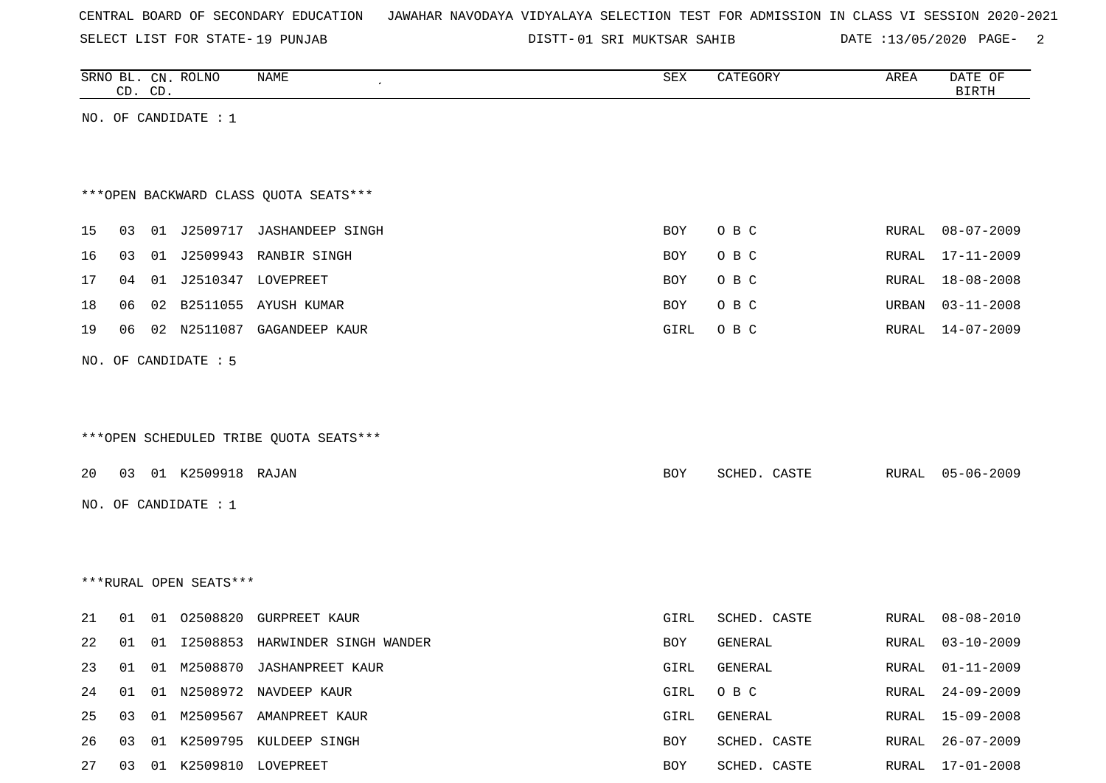|  |  |  |  | CENTRAL BOARD OF SECONDARY EDUCATION – JAWAHAR NAVODAYA VIDYALAYA SELECTION TEST FOR ADMISSION IN CLASS VI SESSION 2020-2021 |  |  |  |  |  |  |  |  |  |  |  |  |  |
|--|--|--|--|------------------------------------------------------------------------------------------------------------------------------|--|--|--|--|--|--|--|--|--|--|--|--|--|
|--|--|--|--|------------------------------------------------------------------------------------------------------------------------------|--|--|--|--|--|--|--|--|--|--|--|--|--|

SELECT LIST FOR STATE-19 PUNJAB

01 SRI MUKTSAR SAHIB DATE :13/05/2020 PAGE- 2

|          |    | CD. CD. | SRNO BL. CN. ROLNO     | NAME                                                            | SEX        | CATEGORY                       | AREA           | DATE OF<br><b>BIRTH</b>              |
|----------|----|---------|------------------------|-----------------------------------------------------------------|------------|--------------------------------|----------------|--------------------------------------|
|          |    |         | NO. OF CANDIDATE : 1   |                                                                 |            |                                |                |                                      |
|          |    |         |                        |                                                                 |            |                                |                |                                      |
|          |    |         |                        |                                                                 |            |                                |                |                                      |
|          |    |         |                        | *** OPEN BACKWARD CLASS QUOTA SEATS***                          |            |                                |                |                                      |
| 15       | 03 |         |                        | 01 J2509717 JASHANDEEP SINGH                                    | BOY        | O B C                          | RURAL          | $08 - 07 - 2009$                     |
| 16       | 03 |         |                        | 01 J2509943 RANBIR SINGH                                        | <b>BOY</b> | O B C                          | RURAL          | $17 - 11 - 2009$                     |
| 17       | 04 |         |                        | 01 J2510347 LOVEPREET                                           | BOY        | O B C                          | RURAL          | $18 - 08 - 2008$                     |
| 18       | 06 |         |                        | 02 B2511055 AYUSH KUMAR                                         | BOY        | O B C                          | URBAN          | $03 - 11 - 2008$                     |
| 19       | 06 |         |                        | 02 N2511087 GAGANDEEP KAUR                                      | GIRL       | O B C                          | RURAL          | $14 - 07 - 2009$                     |
|          |    |         | NO. OF CANDIDATE : 5   |                                                                 |            |                                |                |                                      |
|          |    |         |                        |                                                                 |            |                                |                |                                      |
|          |    |         |                        |                                                                 |            |                                |                |                                      |
|          |    |         |                        | ***OPEN SCHEDULED TRIBE QUOTA SEATS***                          |            |                                |                |                                      |
| 20       |    |         | 03 01 K2509918 RAJAN   |                                                                 | BOY        | SCHED. CASTE                   | RURAL          | 05-06-2009                           |
|          |    |         | NO. OF CANDIDATE : 1   |                                                                 |            |                                |                |                                      |
|          |    |         |                        |                                                                 |            |                                |                |                                      |
|          |    |         |                        |                                                                 |            |                                |                |                                      |
|          |    |         | ***RURAL OPEN SEATS*** |                                                                 |            |                                |                |                                      |
|          |    |         |                        |                                                                 |            |                                |                |                                      |
| 21<br>22 | 01 |         |                        | 01 02508820 GURPREET KAUR<br>01 I2508853 HARWINDER SINGH WANDER | GIRL       | SCHED. CASTE<br><b>GENERAL</b> | RURAL<br>RURAL | $08 - 08 - 2010$<br>$03 - 10 - 2009$ |
|          | 01 |         |                        |                                                                 | BOY        |                                |                | $01 - 11 - 2009$                     |
| 23       | 01 |         |                        | 01 M2508870 JASHANPREET KAUR                                    | GIRL       | GENERAL                        | RURAL          |                                      |
| 24       | 01 |         |                        | 01 N2508972 NAVDEEP KAUR                                        | GIRL       | $O$ B $C$                      | RURAL          | $24 - 09 - 2009$                     |
| 25       | 03 |         |                        | 01 M2509567 AMANPREET KAUR                                      | GIRL       | GENERAL                        | <b>RURAL</b>   | $15 - 09 - 2008$                     |
| 26       |    |         |                        | 03 01 K2509795 KULDEEP SINGH                                    | BOY        | SCHED. CASTE                   | RURAL          | $26 - 07 - 2009$                     |
| 27       |    |         |                        | 03 01 K2509810 LOVEPREET                                        | BOY        | SCHED. CASTE                   | RURAL          | $17 - 01 - 2008$                     |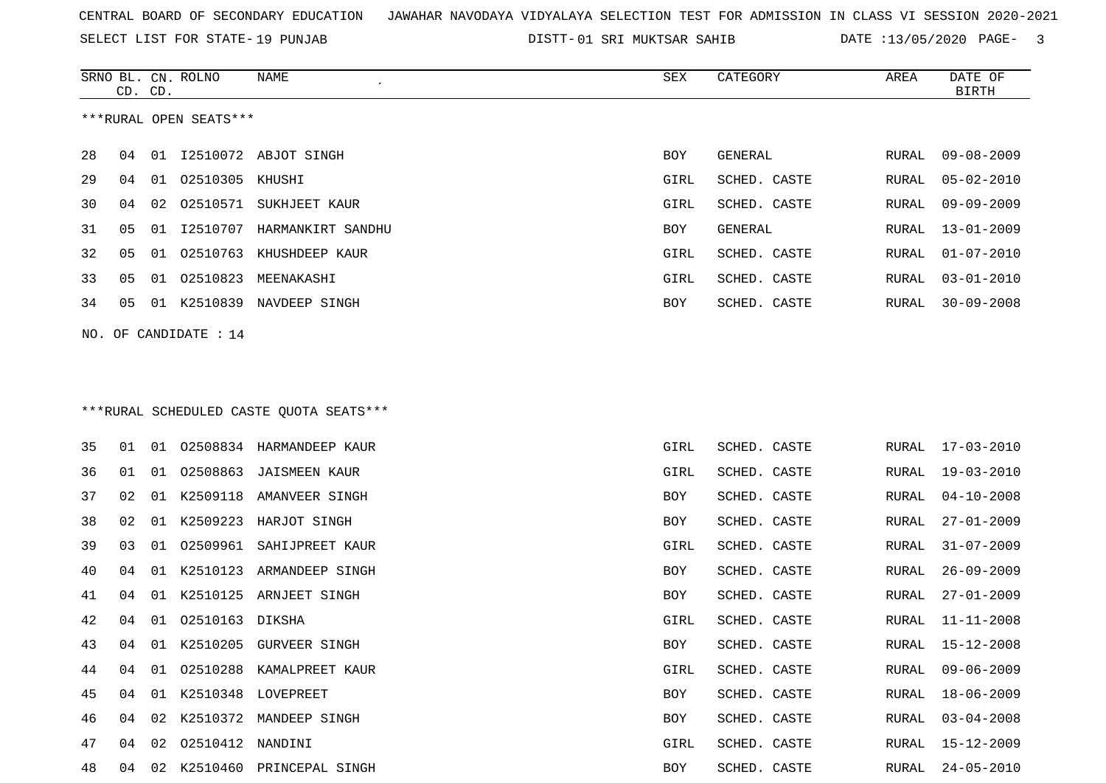SELECT LIST FOR STATE- DISTT- 19 PUNJAB

01 SRI MUKTSAR SAHIB DATE :13/05/2020 PAGE- 3

|    | CD. CD. |    | SRNO BL. CN. ROLNO     | NAME                                     | SEX  | CATEGORY       | AREA  | DATE OF<br><b>BIRTH</b> |
|----|---------|----|------------------------|------------------------------------------|------|----------------|-------|-------------------------|
|    |         |    | ***RURAL OPEN SEATS*** |                                          |      |                |       |                         |
| 28 | 04      |    |                        | 01 12510072 ABJOT SINGH                  | BOY  | GENERAL        | RURAL | $09 - 08 - 2009$        |
| 29 | 04      | 01 | 02510305 KHUSHI        |                                          | GIRL | SCHED. CASTE   | RURAL | $05 - 02 - 2010$        |
| 30 | 04      | 02 | 02510571               | SUKHJEET KAUR                            | GIRL | SCHED. CASTE   | RURAL | $09 - 09 - 2009$        |
| 31 | 05      | 01 | I2510707               | HARMANKIRT SANDHU                        | BOY  | <b>GENERAL</b> | RURAL | $13 - 01 - 2009$        |
| 32 | 05      | 01 | 02510763               | KHUSHDEEP KAUR                           | GIRL | SCHED. CASTE   | RURAL | $01 - 07 - 2010$        |
| 33 | 05      | 01 | 02510823               | MEENAKASHI                               | GIRL | SCHED. CASTE   | RURAL | $03 - 01 - 2010$        |
| 34 | 05      |    |                        | 01 K2510839 NAVDEEP SINGH                | BOY  | SCHED. CASTE   | RURAL | $30 - 09 - 2008$        |
|    |         |    | NO. OF CANDIDATE : 14  |                                          |      |                |       |                         |
|    |         |    |                        |                                          |      |                |       |                         |
|    |         |    |                        |                                          |      |                |       |                         |
|    |         |    |                        | *** RURAL SCHEDULED CASTE QUOTA SEATS*** |      |                |       |                         |
|    |         |    |                        |                                          |      |                |       |                         |
| 35 | 01      | 01 |                        | 02508834 HARMANDEEP KAUR                 | GIRL | SCHED. CASTE   | RURAL | $17 - 03 - 2010$        |
| 36 | 01      | 01 |                        | 02508863 JAISMEEN KAUR                   | GIRL | SCHED. CASTE   | RURAL | 19-03-2010              |
| 37 | 02      | 01 | K2509118               | AMANVEER SINGH                           | BOY  | SCHED. CASTE   | RURAL | $04 - 10 - 2008$        |
| 38 | 02      | 01 | K2509223               | HARJOT SINGH                             | BOY  | SCHED. CASTE   | RURAL | $27 - 01 - 2009$        |
| 39 | 03      | 01 | 02509961               | SAHIJPREET KAUR                          | GIRL | SCHED. CASTE   | RURAL | $31 - 07 - 2009$        |
| 40 | 04      | 01 |                        | K2510123 ARMANDEEP SINGH                 | BOY  | SCHED. CASTE   | RURAL | $26 - 09 - 2009$        |
| 41 | 04      | 01 | K2510125               | ARNJEET SINGH                            | BOY  | SCHED. CASTE   | RURAL | $27 - 01 - 2009$        |
| 42 | 04      | 01 | 02510163 DIKSHA        |                                          | GIRL | SCHED. CASTE   | RURAL | $11 - 11 - 2008$        |
| 43 | 04      |    |                        | 01 K2510205 GURVEER SINGH                | BOY  | SCHED. CASTE   | RURAL | 15-12-2008              |
| 44 | 04      | 01 |                        | 02510288 KAMALPREET KAUR                 | GIRL | SCHED. CASTE   | RURAL | $09 - 06 - 2009$        |
| 45 | 04      |    |                        | 01 K2510348 LOVEPREET                    | BOY  | SCHED. CASTE   | RURAL | $18 - 06 - 2009$        |
| 46 | 04      |    |                        | 02 K2510372 MANDEEP SINGH                | BOY  | SCHED. CASTE   | RURAL | $03 - 04 - 2008$        |
| 47 | 04      |    | 02  02510412  NANDINI  |                                          | GIRL | SCHED. CASTE   | RURAL | 15-12-2009              |
| 48 | 04      |    |                        | 02 K2510460 PRINCEPAL SINGH              | BOY  | SCHED. CASTE   | RURAL | $24 - 05 - 2010$        |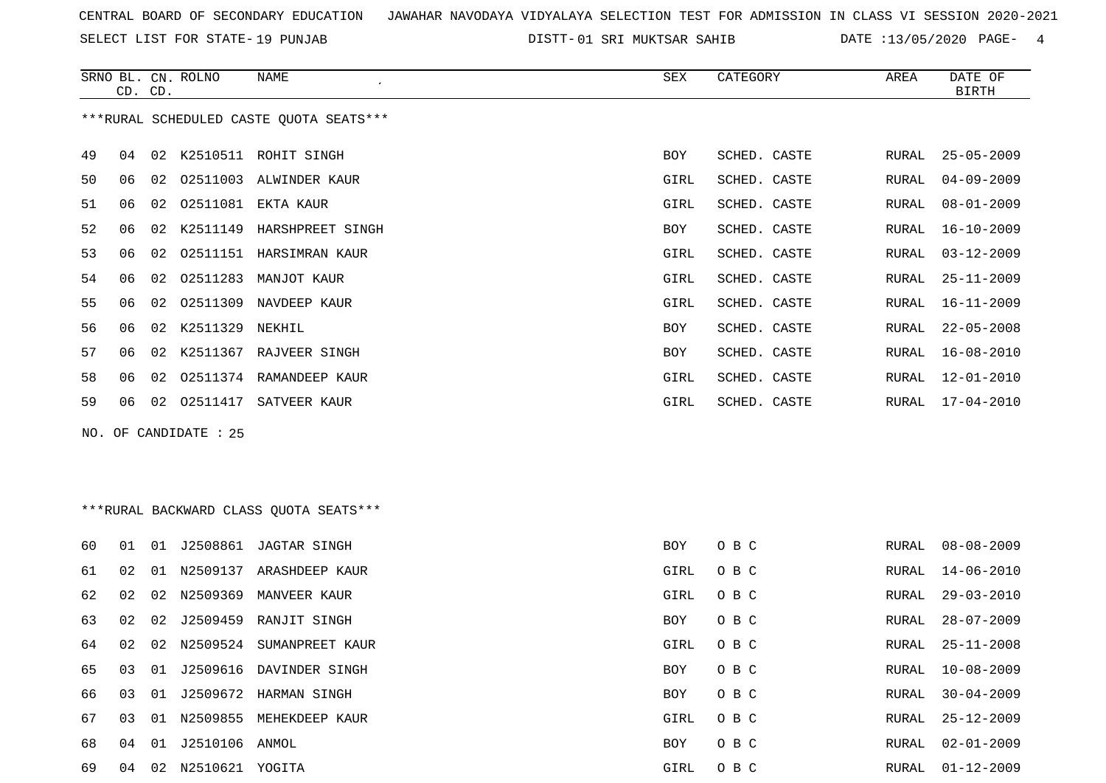SELECT LIST FOR STATE- DISTT- 19 PUNJAB

01 SRI MUKTSAR SAHIB DATE :13/05/2020 PAGE- 4

|    | CD. CD. |    | SRNO BL. CN. ROLNO    | <b>NAME</b>                             | <b>SEX</b> | CATEGORY     | AREA         | DATE OF<br><b>BIRTH</b> |
|----|---------|----|-----------------------|-----------------------------------------|------------|--------------|--------------|-------------------------|
|    |         |    |                       | ***RURAL SCHEDULED CASTE QUOTA SEATS*** |            |              |              |                         |
| 49 | 04      | 02 |                       | K2510511 ROHIT SINGH                    | <b>BOY</b> | SCHED. CASTE | RURAL        | $25 - 05 - 2009$        |
| 50 | 06      | 02 | 02511003              | ALWINDER KAUR                           | GIRL       | SCHED. CASTE | <b>RURAL</b> | $04 - 09 - 2009$        |
| 51 | 06      | 02 | 02511081              | EKTA KAUR                               | GIRL       | SCHED. CASTE | RURAL        | $08 - 01 - 2009$        |
| 52 | 06      | 02 | K2511149              | HARSHPREET SINGH                        | <b>BOY</b> | SCHED. CASTE | RURAL        | $16 - 10 - 2009$        |
| 53 | 06      | 02 |                       | 02511151 HARSIMRAN KAUR                 | GIRL       | SCHED. CASTE | RURAL        | $03 - 12 - 2009$        |
| 54 | 06      | 02 | 02511283              | MANJOT KAUR                             | GIRL       | SCHED. CASTE | RURAL        | $25 - 11 - 2009$        |
| 55 | 06      | 02 | 02511309              | NAVDEEP KAUR                            | GIRL       | SCHED. CASTE | RURAL        | $16 - 11 - 2009$        |
| 56 | 06      | 02 | K2511329              | NEKHIL                                  | <b>BOY</b> | SCHED. CASTE | RURAL        | $22 - 05 - 2008$        |
| 57 | 06      | 02 | K2511367              | RAJVEER SINGH                           | <b>BOY</b> | SCHED. CASTE | RURAL        | $16 - 08 - 2010$        |
| 58 | 06      | 02 |                       | 02511374 RAMANDEEP KAUR                 | GIRL       | SCHED. CASTE | RURAL        | $12 - 01 - 2010$        |
| 59 | 06      | 02 | 02511417              | SATVEER KAUR                            | GIRL       | SCHED. CASTE | RURAL        | $17 - 04 - 2010$        |
|    |         |    | NO. OF CANDIDATE : 25 |                                         |            |              |              |                         |
|    |         |    |                       |                                         |            |              |              |                         |
|    |         |    |                       | *** RURAL BACKWARD CLASS QUOTA SEATS*** |            |              |              |                         |
| 60 | 01      |    |                       | 01 J2508861 JAGTAR SINGH                | <b>BOY</b> | O B C        | RURAL        | $08 - 08 - 2009$        |
| 61 | 02      |    |                       | 01 N2509137 ARASHDEEP KAUR              | GIRL       | O B C        | RURAL        | $14 - 06 - 2010$        |

02 02 N2509369 MANVEER KAUR GIRL O B C RURAL 29-03-2010

|  |  | 63 02 02 J2509459 RANJIT SINGH    | BOY OBC  |       | RURAL 28-07-2009 |
|--|--|-----------------------------------|----------|-------|------------------|
|  |  | 64 02 02 N2509524 SUMANPREET KAUR | GIRL OBC |       | RURAL 25-11-2008 |
|  |  | 65 03 01 J2509616 DAVINDER SINGH  | BOY OBC  |       | RURAL 10-08-2009 |
|  |  | 66 03 01 J2509672 HARMAN SINGH    | BOY      | O B C | RURAL 30-04-2009 |

| 65 03 01 |    |    |          | J2509616 DAVINDER SINGH | BOY      | O B C   | RURAL | 10-08-2009       |
|----------|----|----|----------|-------------------------|----------|---------|-------|------------------|
| 66 03 01 |    |    |          | J2509672 HARMAN SINGH   | BOY      | O B C   | RURAL | 30-04-2009       |
| 67 03 01 |    |    | N2509855 | MEHEKDEEP KAUR          | GIRL OBC |         | RURAL | 25-12-2009       |
| 68       | 04 | 01 | J2510106 | ANMOL                   | BOY      | O B C   | RURAL | 02-01-2009       |
| 69       | 04 | 02 | N2510621 | YOGITA                  | GIRL     | $O$ B C |       | RURAL 01-12-2009 |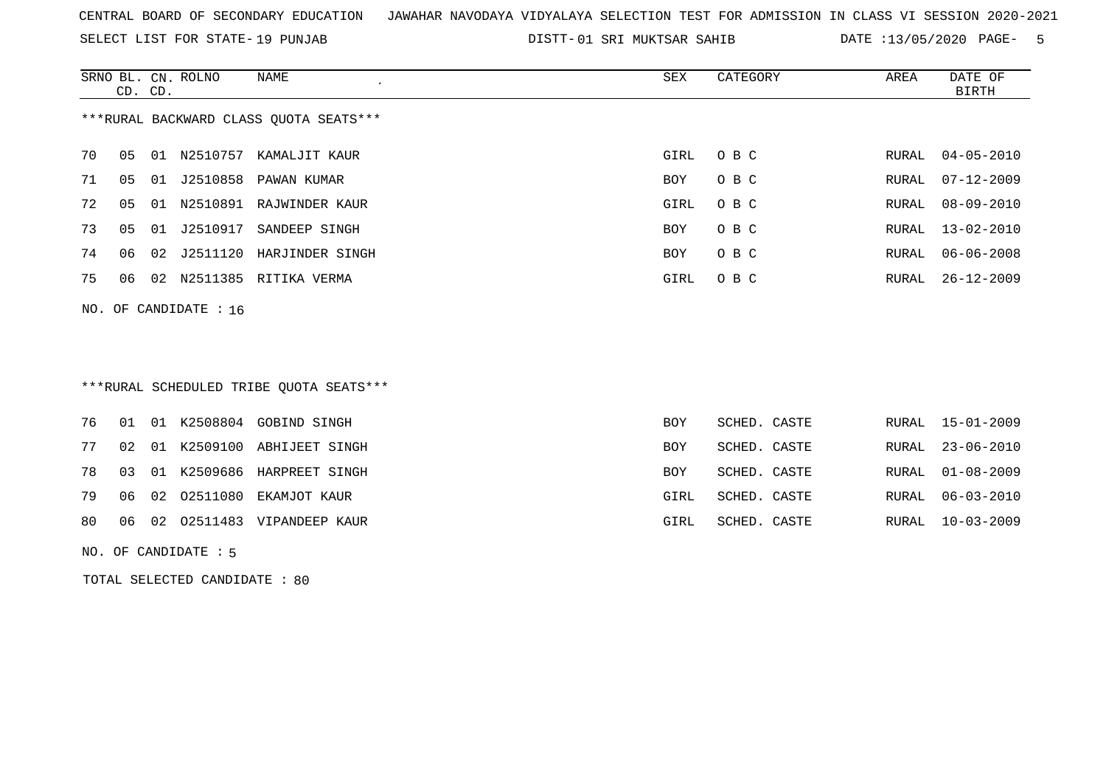SELECT LIST FOR STATE- DISTT- 19 PUNJAB

01 SRI MUKTSAR SAHIB DATE :13/05/2020 PAGE- 5

|    |    | CD. CD. | SRNO BL. CN. ROLNO      | NAME<br>$\cdot$                         | SEX  | CATEGORY | AREA  | DATE OF<br>BIRTH |
|----|----|---------|-------------------------|-----------------------------------------|------|----------|-------|------------------|
|    |    |         |                         | ***RURAL BACKWARD CLASS QUOTA SEATS***  |      |          |       |                  |
| 70 | 05 |         | 01 N2510757             | KAMALJIT KAUR                           | GIRL | O B C    | RURAL | $04 - 05 - 2010$ |
| 71 | 05 | 01      | J2510858                | PAWAN KUMAR                             | BOY  | O B C    | RURAL | $07 - 12 - 2009$ |
| 72 | 05 | 01      |                         | N2510891 RAJWINDER KAUR                 | GIRL | O B C    | RURAL | 08-09-2010       |
| 73 | 05 | 01      | J2510917                | SANDEEP SINGH                           | BOY  | O B C    | RURAL | 13-02-2010       |
| 74 | 06 |         |                         | 02 J2511120 HARJINDER SINGH             | BOY  | O B C    | RURAL | 06-06-2008       |
| 75 | 06 |         |                         | 02 N2511385 RITIKA VERMA                | GIRL | O B C    | RURAL | 26-12-2009       |
|    |    |         | NO. OF CANDIDATE : $16$ |                                         |      |          |       |                  |
|    |    |         |                         |                                         |      |          |       |                  |
|    |    |         |                         | $***$ מתוחמה מתמונת החדרים מה היה המווח |      |          |       |                  |

| """RURAL SCHEDULED IRIBE QUOIA SEAIS"" |  |  |
|----------------------------------------|--|--|
|                                        |  |  |

|  |  | 76 01 01 K2508804 GOBIND SINGH   | BOY        | SCHED. CASTE |  | RURAL 15-01-2009 |
|--|--|----------------------------------|------------|--------------|--|------------------|
|  |  | 77 02 01 K2509100 ABHIJEET SINGH | <b>BOY</b> | SCHED. CASTE |  | RURAL 23-06-2010 |
|  |  | 78 03 01 K2509686 HARPREET SINGH | <b>BOY</b> | SCHED. CASTE |  | RURAL 01-08-2009 |
|  |  | 79 06 02 02511080 EKAMJOT KAUR   | GIRL       | SCHED. CASTE |  | RURAL 06-03-2010 |
|  |  | 80 06 02 02511483 VIPANDEEP KAUR | GIRL       | SCHED. CASTE |  | RURAL 10-03-2009 |
|  |  |                                  |            |              |  |                  |

NO. OF CANDIDATE : 5

TOTAL SELECTED CANDIDATE : 80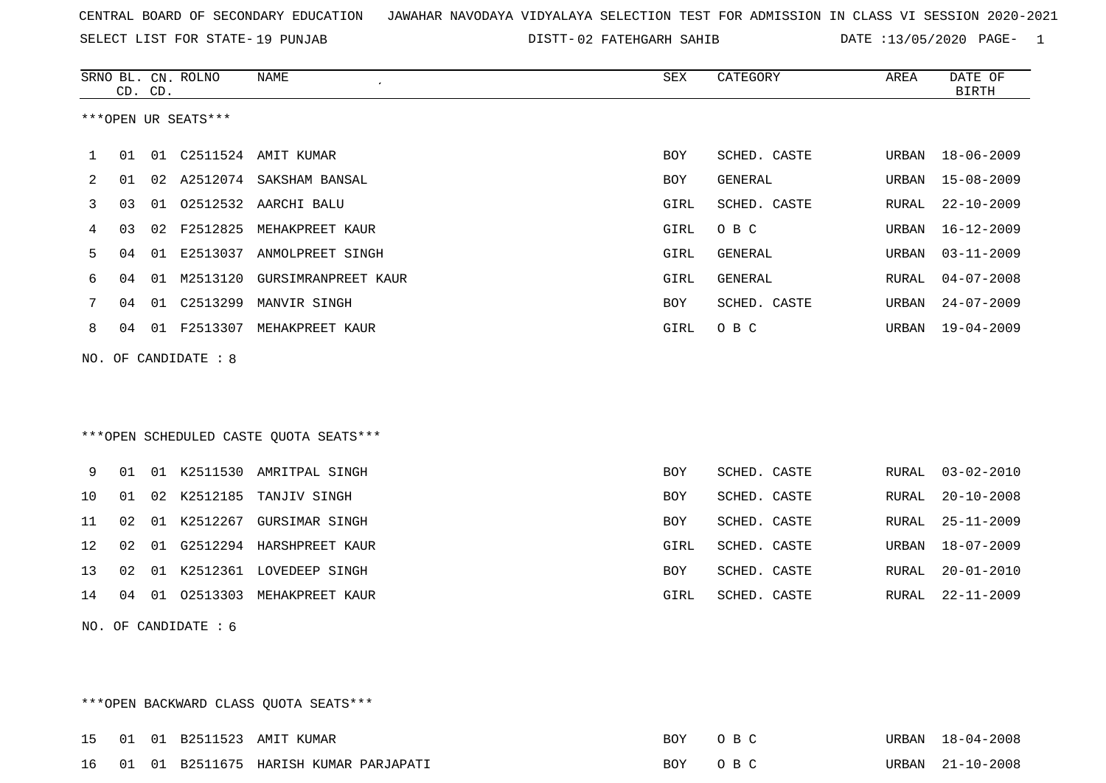SELECT LIST FOR STATE- DISTT- 19 PUNJAB

02 FATEHGARH SAHIB DATE :13/05/2020 PAGE- 1

|     |    | CD. CD. | SRNO BL. CN. ROLNO   | NAME<br>$\mathcal{L}_{\mathcal{L}}$    | SEX        | CATEGORY     | AREA  | DATE OF<br>BIRTH |
|-----|----|---------|----------------------|----------------------------------------|------------|--------------|-------|------------------|
|     |    |         | ***OPEN UR SEATS***  |                                        |            |              |       |                  |
| 1   | 01 |         |                      |                                        | BOY        | SCHED. CASTE | URBAN | $18 - 06 - 2009$ |
| 2   | 01 |         |                      | 02 A2512074 SAKSHAM BANSAL             | BOY        | GENERAL      | URBAN | $15 - 08 - 2009$ |
| 3   | 03 |         |                      | 01  02512532  AARCHI  BALU             | GIRL       | SCHED. CASTE | RURAL | $22 - 10 - 2009$ |
| 4   | 03 |         | 02 F2512825          | MEHAKPREET KAUR                        | GIRL       | O B C        | URBAN | $16 - 12 - 2009$ |
| 5   | 04 |         |                      | 01 E2513037 ANMOLPREET SINGH           | GIRL       | GENERAL      | URBAN | $03 - 11 - 2009$ |
| 6   | 04 | 01      | M2513120             | GURSIMRANPREET KAUR                    | GIRL       | GENERAL      | RURAL | $04 - 07 - 2008$ |
| 7   | 04 |         |                      | 01 C2513299 MANVIR SINGH               | BOY        | SCHED. CASTE | URBAN | $24 - 07 - 2009$ |
| 8   | 04 |         |                      | 01 F2513307 MEHAKPREET KAUR            | GIRL       | O B C        | URBAN | $19 - 04 - 2009$ |
|     |    |         | NO. OF CANDIDATE : 8 |                                        |            |              |       |                  |
|     |    |         |                      |                                        |            |              |       |                  |
|     |    |         |                      |                                        |            |              |       |                  |
|     |    |         |                      | ***OPEN SCHEDULED CASTE QUOTA SEATS*** |            |              |       |                  |
| 9   | 01 |         |                      | 01 K2511530 AMRITPAL SINGH             | <b>BOY</b> | SCHED. CASTE | RURAL | $03 - 02 - 2010$ |
| 10  | 01 | 02      | K2512185             | TANJIV SINGH                           | BOY        | SCHED. CASTE | RURAL | $20 - 10 - 2008$ |
| 11  | 02 |         |                      | 01 K2512267 GURSIMAR SINGH             | BOY        | SCHED. CASTE | RURAL | $25 - 11 - 2009$ |
| 12  | 02 | 01      |                      | G2512294 HARSHPREET KAUR               | GIRL       | SCHED. CASTE | URBAN | $18 - 07 - 2009$ |
| 13  | 02 |         |                      | 01 K2512361 LOVEDEEP SINGH             | BOY        | SCHED. CASTE | RURAL | $20 - 01 - 2010$ |
| 14  | 04 | 01      |                      | 02513303 MEHAKPREET KAUR               | GIRL       | SCHED. CASTE | RURAL | $22 - 11 - 2009$ |
| NO. |    |         | OF CANDIDATE : 6     |                                        |            |              |       |                  |
|     |    |         |                      |                                        |            |              |       |                  |
|     |    |         |                      |                                        |            |              |       |                  |
|     |    |         |                      |                                        |            |              |       |                  |

\*\*\*OPEN BACKWARD CLASS QUOTA SEATS\*\*\*

|  |  | 15 01 01 B2511523 AMIT KUMAR             | BOY OBC | URBAN 18-04-2008 |
|--|--|------------------------------------------|---------|------------------|
|  |  | 16 01 01 B2511675 HARISH KUMAR PARJAPATI | BOY OBC | URBAN 21-10-2008 |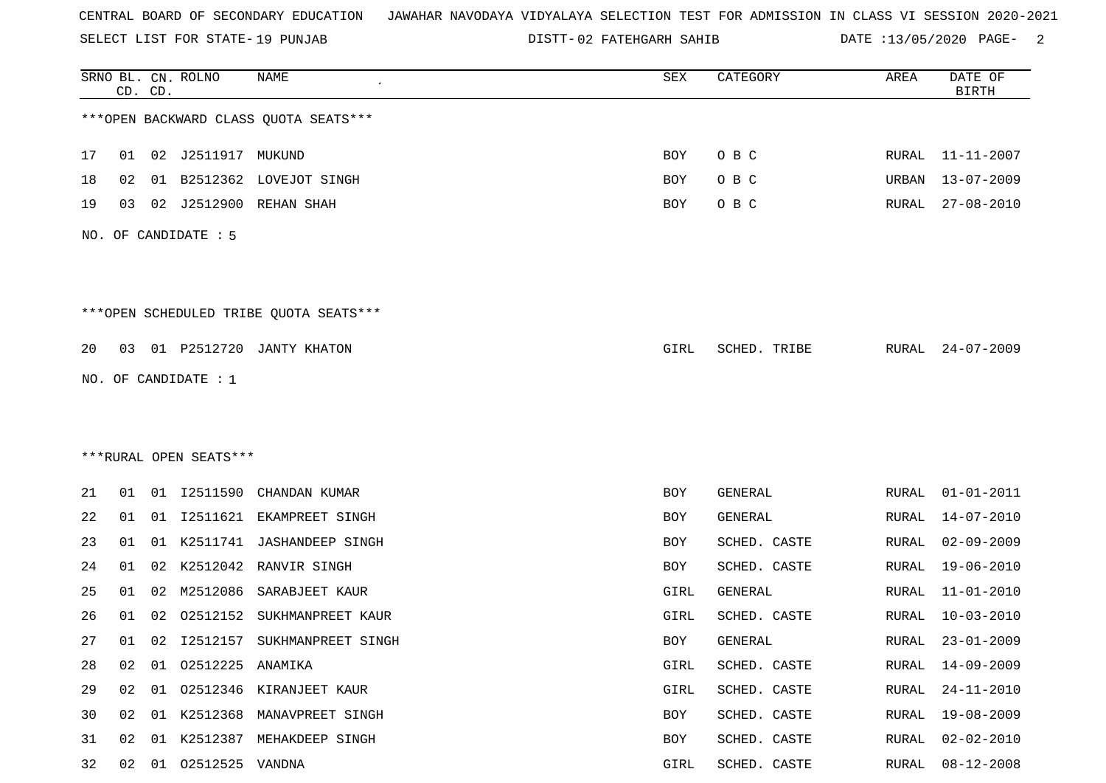SELECT LIST FOR STATE- DISTT- 19 PUNJAB

02 FATEHGARH SAHIB DATE :13/05/2020 PAGE- 2

|    |    | CD. CD. | SRNO BL. CN. ROLNO     | <b>NAME</b>                             | SEX  | CATEGORY     | AREA  | DATE OF<br><b>BIRTH</b> |
|----|----|---------|------------------------|-----------------------------------------|------|--------------|-------|-------------------------|
|    |    |         |                        | *** OPEN BACKWARD CLASS QUOTA SEATS***  |      |              |       |                         |
| 17 | 01 | 02      | J2511917 MUKUND        |                                         | BOY  | O B C        |       | RURAL 11-11-2007        |
| 18 | 02 | 01      |                        | B2512362 LOVEJOT SINGH                  | BOY  | O B C        | URBAN | 13-07-2009              |
| 19 | 03 | 02      | J2512900               | REHAN SHAH                              | BOY  | O B C        | RURAL | 27-08-2010              |
|    |    |         | NO. OF CANDIDATE : 5   |                                         |      |              |       |                         |
|    |    |         |                        | *** OPEN SCHEDULED TRIBE QUOTA SEATS*** |      |              |       |                         |
| 20 |    |         | 03  01  P2512720       | JANTY KHATON                            | GIRL | SCHED. TRIBE | RURAL | $24 - 07 - 2009$        |
|    |    |         | NO. OF CANDIDATE : 1   |                                         |      |              |       |                         |
|    |    |         |                        |                                         |      |              |       |                         |
|    |    |         |                        |                                         |      |              |       |                         |
|    |    |         | ***RURAL OPEN SEATS*** |                                         |      |              |       |                         |
| 21 |    |         | 01 01 12511590         | CHANDAN KUMAR                           | BOY  | GENERAL      | RURAL | $01 - 01 - 2011$        |
| 22 | 01 |         |                        | 01 I2511621 EKAMPREET SINGH             | BOY  | GENERAL      | RURAL | 14-07-2010              |
| 23 | 01 | 01      | K2511741               | JASHANDEEP SINGH                        | BOY  | SCHED. CASTE | RURAL | 02-09-2009              |
| 24 | 01 | 02      | K2512042               | RANVIR SINGH                            | BOY  | SCHED. CASTE | RURAL | $19 - 06 - 2010$        |
| 25 | 01 | 02      | M2512086               | SARABJEET KAUR                          | GIRL | GENERAL      | RURAL | 11-01-2010              |
| 26 | 01 | 02      | 02512152               | SUKHMANPREET KAUR                       | GIRL | SCHED. CASTE | RURAL | $10 - 03 - 2010$        |
| 27 |    | 01 02   |                        | 12512157 SUKHMANPREET SINGH             | BOY  | GENERAL      | RURAL | $23 - 01 - 2009$        |
| 28 | 02 | 01      | 02512225 ANAMIKA       |                                         | GIRL | SCHED. CASTE | RURAL | $14 - 09 - 2009$        |
| 29 | 02 | 01      |                        | 02512346 KIRANJEET KAUR                 | GIRL | SCHED. CASTE | RURAL | 24-11-2010              |
| 30 | 02 | 01      |                        | K2512368 MANAVPREET SINGH               | BOY  | SCHED. CASTE | RURAL | $19 - 08 - 2009$        |
| 31 | 02 | 01      |                        | K2512387 MEHAKDEEP SINGH                | BOY  | SCHED. CASTE | RURAL | $02 - 02 - 2010$        |
| 32 | 02 | 01      | 02512525 VANDNA        |                                         | GIRL | SCHED. CASTE | RURAL | $08 - 12 - 2008$        |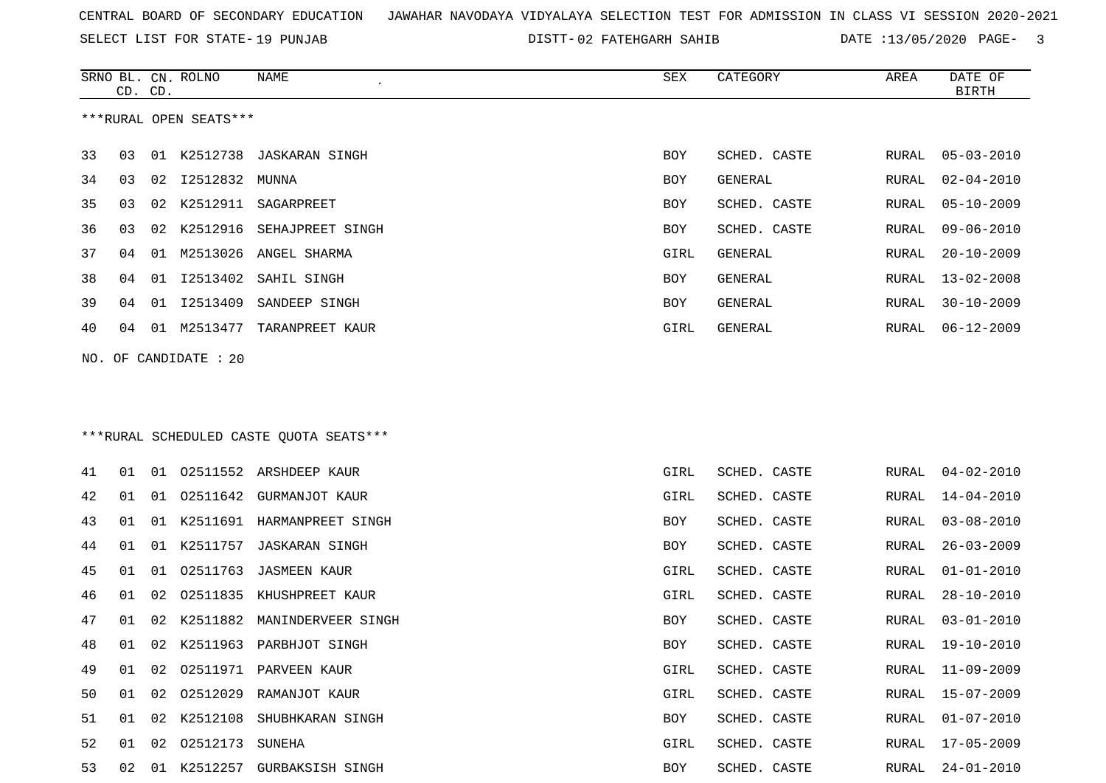SELECT LIST FOR STATE- DISTT- 19 PUNJAB

02 FATEHGARH SAHIB DATE :13/05/2020 PAGE- 3

|    |    | CD. CD. | SRNO BL. CN. ROLNO     | <b>NAME</b>                              | SEX        | CATEGORY       | AREA         | DATE OF<br><b>BIRTH</b> |
|----|----|---------|------------------------|------------------------------------------|------------|----------------|--------------|-------------------------|
|    |    |         | ***RURAL OPEN SEATS*** |                                          |            |                |              |                         |
| 33 | 03 |         |                        | 01 K2512738 JASKARAN SINGH               | <b>BOY</b> | SCHED. CASTE   | RURAL        | $05 - 03 - 2010$        |
| 34 | 03 | 02      | I2512832               | MUNNA                                    | BOY        | <b>GENERAL</b> | RURAL        | $02 - 04 - 2010$        |
| 35 | 03 | 02      | K2512911               | SAGARPREET                               | BOY        | SCHED. CASTE   | RURAL        | $05 - 10 - 2009$        |
| 36 | 03 | 02      | K2512916               | SEHAJPREET SINGH                         | BOY        | SCHED. CASTE   | RURAL        | $09 - 06 - 2010$        |
| 37 | 04 | 01      | M2513026               | ANGEL SHARMA                             | GIRL       | GENERAL        | RURAL        | $20 - 10 - 2009$        |
| 38 | 04 |         | 01 12513402            | SAHIL SINGH                              | BOY        | GENERAL        | RURAL        | $13 - 02 - 2008$        |
| 39 | 04 |         | 01 I2513409            | SANDEEP SINGH                            | BOY        | GENERAL        | RURAL        | $30 - 10 - 2009$        |
| 40 | 04 |         |                        | 01 M2513477 TARANPREET KAUR              | GIRL       | GENERAL        | RURAL        | $06 - 12 - 2009$        |
|    |    |         | NO. OF CANDIDATE : 20  |                                          |            |                |              |                         |
|    |    |         |                        |                                          |            |                |              |                         |
|    |    |         |                        |                                          |            |                |              |                         |
|    |    |         |                        | *** RURAL SCHEDULED CASTE QUOTA SEATS*** |            |                |              |                         |
| 41 | 01 |         |                        | 01 02511552 ARSHDEEP KAUR                | GIRL       | SCHED. CASTE   | RURAL        | $04 - 02 - 2010$        |
| 42 | 01 |         | 01   02511642          | GURMANJOT KAUR                           | GIRL       | SCHED. CASTE   | RURAL        | 14-04-2010              |
| 43 | 01 |         |                        | 01 K2511691 HARMANPREET SINGH            | BOY        | SCHED. CASTE   | RURAL        | $03 - 08 - 2010$        |
| 44 | 01 |         | 01 K2511757            | JASKARAN SINGH                           | BOY        | SCHED. CASTE   | RURAL        | $26 - 03 - 2009$        |
| 45 | 01 | 01      | 02511763               | <b>JASMEEN KAUR</b>                      | GIRL       | SCHED. CASTE   | RURAL        | $01 - 01 - 2010$        |
| 46 | 01 | 02      |                        | 02511835 KHUSHPREET KAUR                 | GIRL       | SCHED. CASTE   | RURAL        | $28 - 10 - 2010$        |
| 47 | 01 | 02      |                        | K2511882 MANINDERVEER SINGH              | BOY        | SCHED. CASTE   | RURAL        | $03 - 01 - 2010$        |
| 48 | 01 |         |                        | 02 K2511963 PARBHJOT SINGH               | BOY        | SCHED. CASTE   | <b>RURAL</b> | $19 - 10 - 2010$        |
| 49 |    |         |                        | 01 02 02511971 PARVEEN KAUR              | GIRL       | SCHED. CASTE   |              | RURAL 11-09-2009        |
| 50 |    |         |                        | 01 02 02512029 RAMANJOT KAUR             | GIRL       | SCHED. CASTE   |              | RURAL 15-07-2009        |
| 51 |    |         |                        | 01 02 K2512108 SHUBHKARAN SINGH          | BOY        | SCHED. CASTE   |              | RURAL 01-07-2010        |
| 52 |    |         | 01 02 02512173 SUNEHA  |                                          | GIRL       | SCHED. CASTE   |              | RURAL 17-05-2009        |
| 53 |    |         |                        | 02 01 K2512257 GURBAKSISH SINGH          | BOY        | SCHED. CASTE   |              | RURAL 24-01-2010        |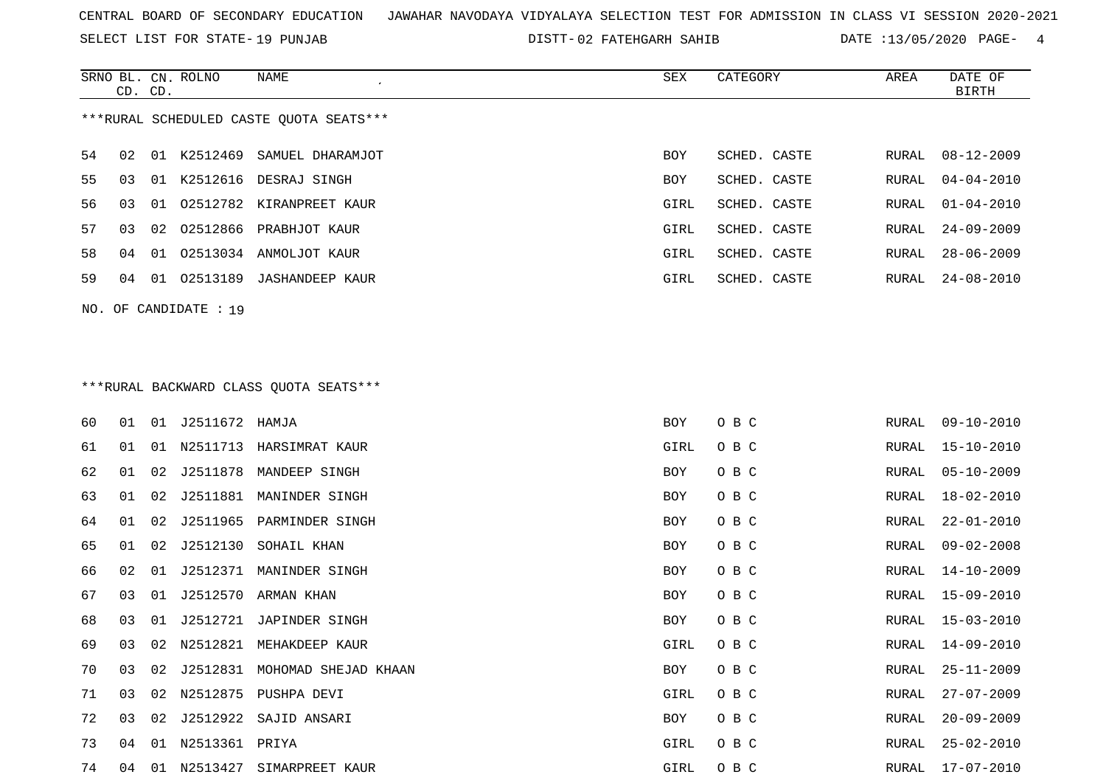SELECT LIST FOR STATE- DISTT- 19 PUNJAB

02 FATEHGARH SAHIB DATE :13/05/2020 PAGE- 4

|    | CD. CD. |    | SRNO BL. CN. ROLNO      | NAME                                    | SEX        | CATEGORY     | AREA          | DATE OF<br><b>BIRTH</b> |
|----|---------|----|-------------------------|-----------------------------------------|------------|--------------|---------------|-------------------------|
|    |         |    |                         | ***RURAL SCHEDULED CASTE QUOTA SEATS*** |            |              |               |                         |
| 54 | 02      |    |                         | 01 K2512469 SAMUEL DHARAMJOT            | <b>BOY</b> | SCHED. CASTE | RURAL         | $08 - 12 - 2009$        |
| 55 | 03      |    |                         | 01 K2512616 DESRAJ SINGH                | BOY        | SCHED. CASTE | RURAL         | $04 - 04 - 2010$        |
| 56 | 03      |    |                         | 01 02512782 KIRANPREET KAUR             | GIRL       | SCHED. CASTE | RURAL         | $01 - 04 - 2010$        |
| 57 | 03      |    |                         | 02 02512866 PRABHJOT KAUR               | GIRL       | SCHED. CASTE | RURAL         | $24 - 09 - 2009$        |
| 58 | 04      |    |                         | 01 02513034 ANMOLJOT KAUR               | GIRL       | SCHED. CASTE | RURAL         | $28 - 06 - 2009$        |
| 59 | 04      |    |                         | 01 02513189 JASHANDEEP KAUR             | GIRL       | SCHED. CASTE | RURAL         | $24 - 08 - 2010$        |
|    |         |    | NO. OF CANDIDATE : 19   |                                         |            |              |               |                         |
|    |         |    |                         |                                         |            |              |               |                         |
|    |         |    |                         |                                         |            |              |               |                         |
|    |         |    |                         | ***RURAL BACKWARD CLASS QUOTA SEATS***  |            |              |               |                         |
| 60 | 01      |    | 01 J2511672 HAMJA       |                                         | BOY        | O B C        | RURAL         | $09 - 10 - 2010$        |
| 61 | 01      | 01 |                         | N2511713 HARSIMRAT KAUR                 | GIRL       | O B C        | RURAL         | $15 - 10 - 2010$        |
| 62 | 01      | 02 |                         | J2511878 MANDEEP SINGH                  | BOY        | O B C        | RURAL         | $05 - 10 - 2009$        |
| 63 | 01      | 02 |                         | J2511881 MANINDER SINGH                 | BOY        | O B C        | RURAL         | $18 - 02 - 2010$        |
| 64 | 01      | 02 | J2511965                | PARMINDER SINGH                         | BOY        | O B C        | RURAL         | $22 - 01 - 2010$        |
| 65 | 01      | 02 |                         | J2512130 SOHAIL KHAN                    | BOY        | O B C        | RURAL         | $09 - 02 - 2008$        |
| 66 | 02      | 01 |                         | J2512371 MANINDER SINGH                 | BOY        | O B C        | RURAL         | $14 - 10 - 2009$        |
| 67 | 03      |    |                         | 01 J2512570 ARMAN KHAN                  | BOY        | O B C        | RURAL         | 15-09-2010              |
| 68 | 03      | 01 |                         | J2512721 JAPINDER SINGH                 | BOY        | O B C        | RURAL         | 15-03-2010              |
| 69 | 03      | 02 |                         | N2512821 MEHAKDEEP KAUR                 | GIRL       | O B C        | RURAL         | 14-09-2010              |
| 70 | 03      | 02 |                         | J2512831 MOHOMAD SHEJAD KHAAN           | BOY        | O B C        | RURAL         | $25 - 11 - 2009$        |
| 71 | 03      | 02 |                         | N2512875 PUSHPA DEVI                    | GIRL       | O B C        | RURAL         | $27 - 07 - 2009$        |
| 72 | 03      | 02 |                         | J2512922 SAJID ANSARI                   | <b>BOY</b> | O B C        | ${\tt RURAL}$ | $20 - 09 - 2009$        |
| 73 |         |    | 04  01  N2513361  PRIYA |                                         | GIRL       | O B C        |               | RURAL 25-02-2010        |

04 01 N2513427 SIMARPREET KAUR GIRL O B C RURAL 17-07-2010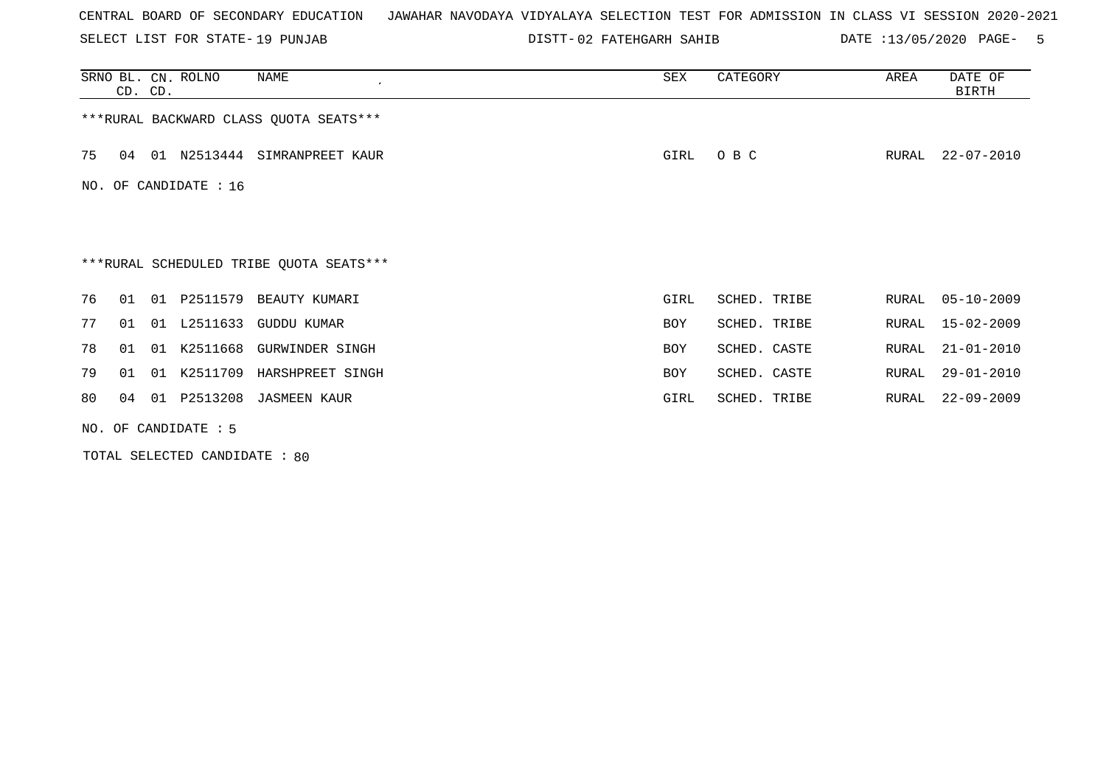SELECT LIST FOR STATE- DISTT- 19 PUNJAB

DISTT-02 FATEHGARH SAHIB DATE :13/05/2020 PAGE- 5

|                        | CD. CD.                                 |    | SRNO BL. CN. ROLNO | NAME                                   | SEX  | CATEGORY     | AREA  | DATE OF<br>BIRTH |  |
|------------------------|-----------------------------------------|----|--------------------|----------------------------------------|------|--------------|-------|------------------|--|
|                        |                                         |    |                    | ***RURAL BACKWARD CLASS QUOTA SEATS*** |      |              |       |                  |  |
| 75                     | 04                                      |    |                    | 01 N2513444 SIMRANPREET KAUR           | GIRL | O B C        | RURAL | 22-07-2010       |  |
|                        | NO. OF CANDIDATE : 16                   |    |                    |                                        |      |              |       |                  |  |
|                        |                                         |    |                    |                                        |      |              |       |                  |  |
|                        | ***RURAL SCHEDULED TRIBE QUOTA SEATS*** |    |                    |                                        |      |              |       |                  |  |
| 76                     | 01                                      | 01 | P2511579           | BEAUTY KUMARI                          | GIRL | SCHED. TRIBE | RURAL | $05 - 10 - 2009$ |  |
| 77                     | 01                                      | 01 | L2511633           | GUDDU KUMAR                            | BOY  | SCHED. TRIBE | RURAL | 15-02-2009       |  |
| 78                     | 01                                      | 01 | K2511668           | <b>GURWINDER SINGH</b>                 | BOY  | SCHED. CASTE | RURAL | $21 - 01 - 2010$ |  |
| 79                     | 01                                      | 01 | K2511709           | HARSHPREET SINGH                       | BOY  | SCHED. CASTE | RURAL | $29 - 01 - 2010$ |  |
| 80                     | 04                                      | 01 | P2513208           | <b>JASMEEN KAUR</b>                    | GIRL | SCHED. TRIBE | RURAL | $22 - 09 - 2009$ |  |
| NO. OF CANDIDATE $: 5$ |                                         |    |                    |                                        |      |              |       |                  |  |

TOTAL SELECTED CANDIDATE : 80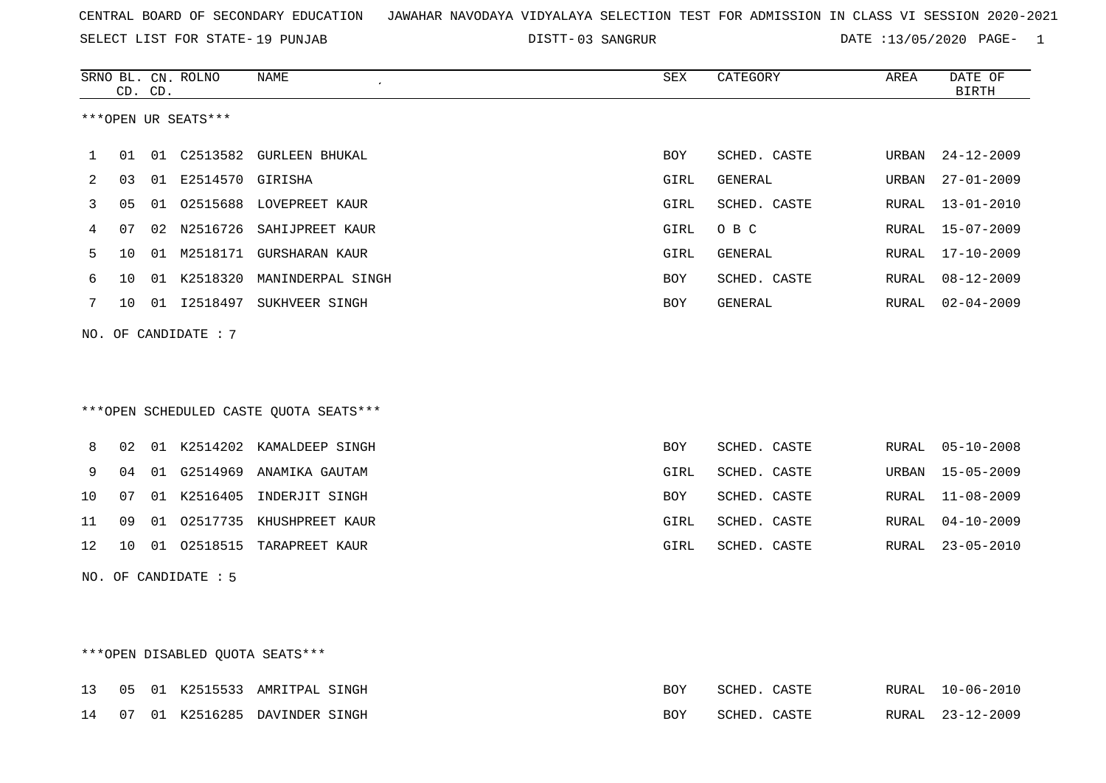SELECT LIST FOR STATE- DISTT- 19 PUNJAB

03 SANGRUR DATE :13/05/2020 PAGE- 1

|    |                                  | CD. CD. | SRNO BL. CN. ROLNO  | <b>NAME</b><br>$\overline{\phantom{a}}$ | ${\tt SEX}$ | CATEGORY     | AREA  | DATE OF<br><b>BIRTH</b> |  |
|----|----------------------------------|---------|---------------------|-----------------------------------------|-------------|--------------|-------|-------------------------|--|
|    | ***OPEN UR SEATS***              |         |                     |                                         |             |              |       |                         |  |
| 1  | 01                               |         |                     | 01 C2513582 GURLEEN BHUKAL              | BOY         | SCHED. CASTE | URBAN | $24 - 12 - 2009$        |  |
| 2  | 03                               |         | 01 E2514570 GIRISHA |                                         | GIRL        | GENERAL      | URBAN | $27 - 01 - 2009$        |  |
| 3  | 05                               |         |                     | 01 02515688 LOVEPREET KAUR              | GIRL        | SCHED. CASTE | RURAL | $13 - 01 - 2010$        |  |
| 4  | 07                               |         |                     | 02 N2516726 SAHIJPREET KAUR             | GIRL        | O B C        | RURAL | $15 - 07 - 2009$        |  |
| 5  | 10                               |         |                     | 01 M2518171 GURSHARAN KAUR              | GIRL        | GENERAL      | RURAL | 17-10-2009              |  |
| 6  | 10                               |         |                     | 01 K2518320 MANINDERPAL SINGH           | BOY         | SCHED. CASTE | RURAL | $08 - 12 - 2009$        |  |
| 7  | 10                               |         |                     | 01 I2518497 SUKHVEER SINGH              | BOY         | GENERAL      | RURAL | $02 - 04 - 2009$        |  |
|    | NO. OF CANDIDATE : $7$           |         |                     |                                         |             |              |       |                         |  |
|    |                                  |         |                     |                                         |             |              |       |                         |  |
|    |                                  |         |                     | ***OPEN SCHEDULED CASTE QUOTA SEATS***  |             |              |       |                         |  |
| 8  | 02                               |         |                     | 01 K2514202 KAMALDEEP SINGH             | BOY         | SCHED. CASTE | RURAL | $05 - 10 - 2008$        |  |
| 9  | 04                               |         |                     | 01 G2514969 ANAMIKA GAUTAM              | GIRL        | SCHED. CASTE | URBAN | $15 - 05 - 2009$        |  |
| 10 | 07                               |         |                     | 01 K2516405 INDERJIT SINGH              | BOY         | SCHED. CASTE | RURAL | $11 - 08 - 2009$        |  |
| 11 | 09                               |         |                     | 01 02517735 KHUSHPREET KAUR             | GIRL        | SCHED. CASTE | RURAL | $04 - 10 - 2009$        |  |
| 12 | 10                               |         |                     | 01 02518515 TARAPREET KAUR              | GIRL        | SCHED. CASTE | RURAL | $23 - 05 - 2010$        |  |
|    | NO. OF CANDIDATE : 5             |         |                     |                                         |             |              |       |                         |  |
|    |                                  |         |                     |                                         |             |              |       |                         |  |
|    |                                  |         |                     |                                         |             |              |       |                         |  |
|    | *** OPEN DISABLED QUOTA SEATS*** |         |                     |                                         |             |              |       |                         |  |

|  |  | 13 05 01 K2515533 AMRITPAL SINGH | BOY        | SCHED. CASTE |  | RURAL 10-06-2010 |
|--|--|----------------------------------|------------|--------------|--|------------------|
|  |  | 14 07 01 K2516285 DAVINDER SINGH | <b>ROY</b> | SCHED. CASTE |  | RURAL 23-12-2009 |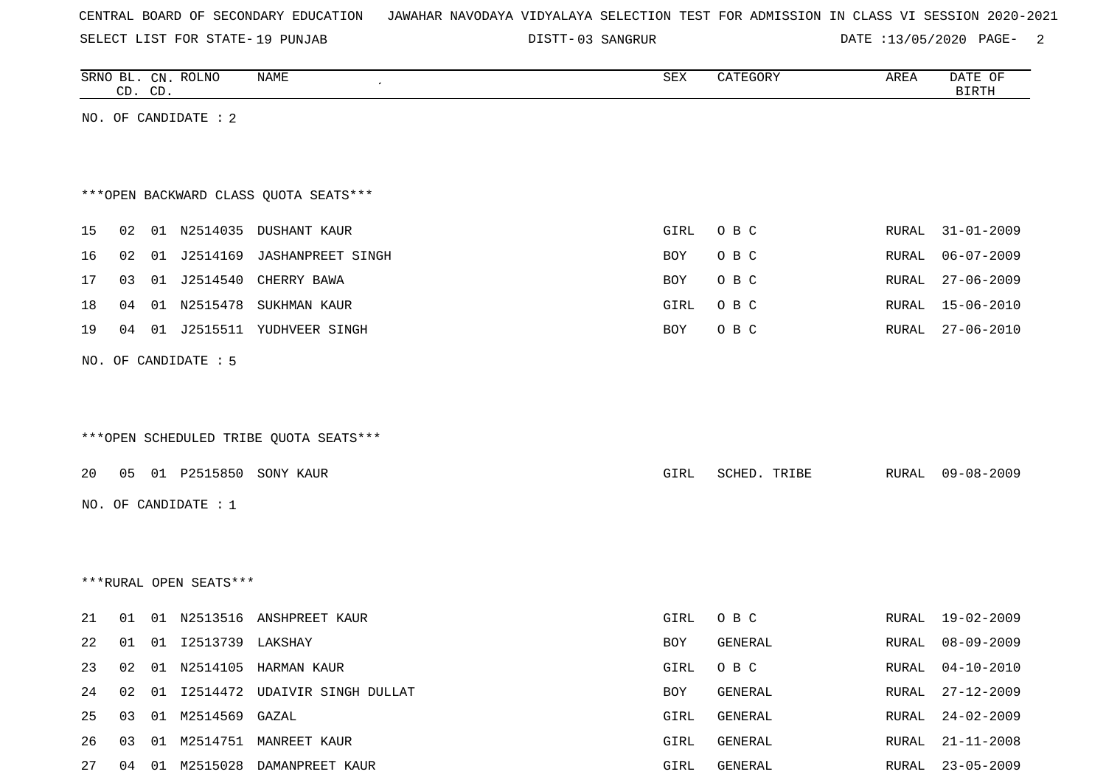SELECT LIST FOR STATE- DISTT- 19 PUNJAB

03 SANGRUR DATE :13/05/2020 PAGE- 2

|    |    | CD. CD. | SRNO BL. CN. ROLNO     | NAME                                   | SEX  | CATEGORY     | AREA  | DATE OF<br><b>BIRTH</b> |
|----|----|---------|------------------------|----------------------------------------|------|--------------|-------|-------------------------|
|    |    |         | NO. OF CANDIDATE : 2   |                                        |      |              |       |                         |
|    |    |         |                        |                                        |      |              |       |                         |
|    |    |         |                        |                                        |      |              |       |                         |
|    |    |         |                        | *** OPEN BACKWARD CLASS QUOTA SEATS*** |      |              |       |                         |
| 15 | 02 |         |                        | 01 N2514035 DUSHANT KAUR               | GIRL | O B C        | RURAL | $31 - 01 - 2009$        |
| 16 | 02 | 01      | J2514169               | <b>JASHANPREET SINGH</b>               | BOY  | O B C        | RURAL | $06 - 07 - 2009$        |
| 17 | 03 |         |                        | 01 J2514540 CHERRY BAWA                | BOY  | O B C        | RURAL | $27 - 06 - 2009$        |
| 18 | 04 |         | 01 N2515478            | SUKHMAN KAUR                           | GIRL | O B C        | RURAL | $15 - 06 - 2010$        |
| 19 |    |         |                        | 04 01 J2515511 YUDHVEER SINGH          | BOY  | O B C        | RURAL | $27 - 06 - 2010$        |
|    |    |         | NO. OF CANDIDATE : 5   |                                        |      |              |       |                         |
|    |    |         |                        |                                        |      |              |       |                         |
|    |    |         |                        |                                        |      |              |       |                         |
|    |    |         |                        | ***OPEN SCHEDULED TRIBE QUOTA SEATS*** |      |              |       |                         |
|    |    |         |                        |                                        |      |              |       |                         |
| 20 | 05 |         | 01 P2515850            | SONY KAUR                              | GIRL | SCHED. TRIBE | RURAL | $09 - 08 - 2009$        |
|    |    |         | NO. OF CANDIDATE : 1   |                                        |      |              |       |                         |
|    |    |         |                        |                                        |      |              |       |                         |
|    |    |         |                        |                                        |      |              |       |                         |
|    |    |         | ***RURAL OPEN SEATS*** |                                        |      |              |       |                         |
|    |    |         |                        |                                        |      |              |       |                         |
| 21 | 01 |         |                        | 01 N2513516 ANSHPREET KAUR             | GIRL | O B C        | RURAL | $19 - 02 - 2009$        |
| 22 |    |         | 01 01 I2513739 LAKSHAY |                                        | BOY  | GENERAL      | RURAL | $08 - 09 - 2009$        |
| 23 | 02 |         |                        | 01 N2514105 HARMAN KAUR                | GIRL | O B C        | RURAL | $04 - 10 - 2010$        |
| 24 | 02 |         |                        | 01 I2514472 UDAIVIR SINGH DULLAT       | BOY  | GENERAL      | RURAL | $27 - 12 - 2009$        |
| 25 | 03 |         | 01 M2514569 GAZAL      |                                        | GIRL | GENERAL      | RURAL | $24 - 02 - 2009$        |
| 26 | 03 | 01      |                        | M2514751 MANREET KAUR                  | GIRL | GENERAL      | RURAL | $21 - 11 - 2008$        |
| 27 |    |         |                        | 04 01 M2515028 DAMANPREET KAUR         | GIRL | GENERAL      |       | RURAL 23-05-2009        |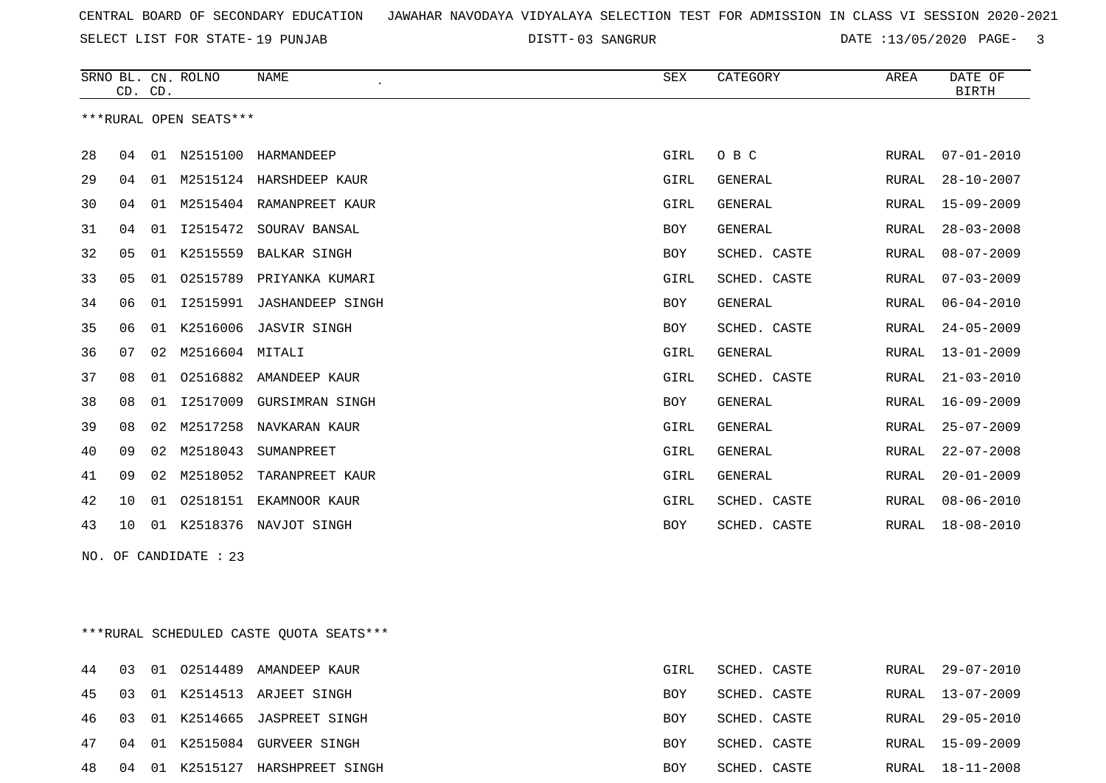SELECT LIST FOR STATE- DISTT- 19 PUNJAB

03 SANGRUR DATE :13/05/2020 PAGE- 3

|    |    | CD. CD. | SRNO BL. CN. ROLNO     | <b>NAME</b>              | <b>SEX</b> | CATEGORY       | AREA  | DATE OF<br><b>BIRTH</b> |
|----|----|---------|------------------------|--------------------------|------------|----------------|-------|-------------------------|
|    |    |         | ***RURAL OPEN SEATS*** |                          |            |                |       |                         |
| 28 | 04 | 01      |                        | N2515100 HARMANDEEP      | GIRL       | O B C          | RURAL | $07 - 01 - 2010$        |
| 29 | 04 | 01      |                        | M2515124 HARSHDEEP KAUR  | GIRL       | <b>GENERAL</b> | RURAL | $28 - 10 - 2007$        |
| 30 | 04 | 01      |                        | M2515404 RAMANPREET KAUR | GIRL       | <b>GENERAL</b> | RURAL | 15-09-2009              |
| 31 | 04 | 01      | I2515472               | SOURAV BANSAL            | <b>BOY</b> | GENERAL        | RURAL | $28 - 03 - 2008$        |
| 32 | 05 | 01      | K2515559               | BALKAR SINGH             | BOY        | SCHED. CASTE   | RURAL | $08 - 07 - 2009$        |
| 33 | 05 | 01      | 02515789               | PRIYANKA KUMARI          | GIRL       | SCHED. CASTE   | RURAL | $07 - 03 - 2009$        |
| 34 | 06 | 01      | I2515991               | <b>JASHANDEEP SINGH</b>  | BOY        | <b>GENERAL</b> | RURAL | $06 - 04 - 2010$        |
| 35 | 06 | 01      | K2516006               | <b>JASVIR SINGH</b>      | <b>BOY</b> | SCHED. CASTE   | RURAL | $24 - 05 - 2009$        |
| 36 | 07 | 02      | M2516604               | MITALI                   | GIRL       | <b>GENERAL</b> | RURAL | $13 - 01 - 2009$        |
| 37 | 08 | 01      | 02516882               | AMANDEEP KAUR            | GIRL       | SCHED. CASTE   | RURAL | $21 - 03 - 2010$        |
| 38 | 08 | 01      | I2517009               | <b>GURSIMRAN SINGH</b>   | BOY        | <b>GENERAL</b> | RURAL | $16 - 09 - 2009$        |
| 39 | 08 | 02      | M2517258               | NAVKARAN KAUR            | GIRL       | <b>GENERAL</b> | RURAL | $25 - 07 - 2009$        |
| 40 | 09 | 02      | M2518043               | SUMANPREET               | GIRL       | <b>GENERAL</b> | RURAL | $22 - 07 - 2008$        |
| 41 | 09 | 02      | M2518052               | TARANPREET KAUR          | GIRL       | <b>GENERAL</b> | RURAL | $20 - 01 - 2009$        |
| 42 | 10 | 01      | 02518151               | EKAMNOOR KAUR            | GIRL       | SCHED. CASTE   | RURAL | $08 - 06 - 2010$        |
| 43 | 10 | 01      |                        | K2518376 NAVJOT SINGH    | <b>BOY</b> | SCHED. CASTE   | RURAL | $18 - 08 - 2010$        |
|    |    |         |                        |                          |            |                |       |                         |

NO. OF CANDIDATE : 23

\*\*\*RURAL SCHEDULED CASTE QUOTA SEATS\*\*\*

|    |    |  | 44 03 01 02514489 AMANDEEP KAUR  | GIRL       | SCHED. CASTE |  | RURAL 29-07-2010 |
|----|----|--|----------------------------------|------------|--------------|--|------------------|
|    |    |  | 45 03 01 K2514513 ARJEET SINGH   | BOY        | SCHED. CASTE |  | RURAL 13-07-2009 |
|    |    |  | 46 03 01 K2514665 JASPREET SINGH | <b>BOY</b> | SCHED. CASTE |  | RURAL 29-05-2010 |
|    |    |  | 47 04 01 K2515084 GURVEER SINGH  | <b>BOY</b> | SCHED. CASTE |  | RURAL 15-09-2009 |
| 48 | 04 |  | 01 K2515127 HARSHPREET SINGH     | BOY        | SCHED. CASTE |  | RURAL 18-11-2008 |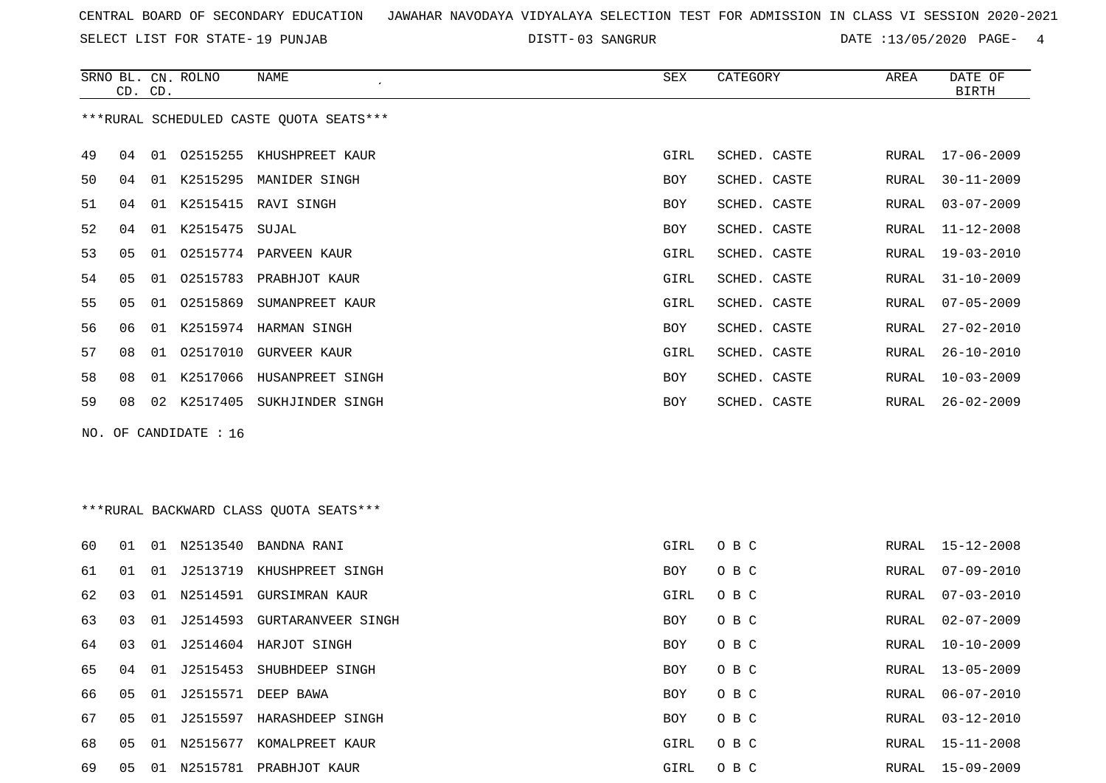SELECT LIST FOR STATE- DISTT- 19 PUNJAB

DISTT-03 SANGRUR 2008 2010 DATE :13/05/2020 PAGE- 4

|    | CD. CD. |    | SRNO BL. CN. ROLNO    | NAME                                    | SEX  | CATEGORY     | AREA  | DATE OF<br><b>BIRTH</b> |
|----|---------|----|-----------------------|-----------------------------------------|------|--------------|-------|-------------------------|
|    |         |    |                       | ***RURAL SCHEDULED CASTE QUOTA SEATS*** |      |              |       |                         |
| 49 | 04      |    |                       | 01 02515255 KHUSHPREET KAUR             | GIRL | SCHED. CASTE | RURAL | $17 - 06 - 2009$        |
| 50 | 04      |    |                       | 01 K2515295 MANIDER SINGH               | BOY  | SCHED. CASTE | RURAL | $30 - 11 - 2009$        |
| 51 | 04      |    |                       | 01 K2515415 RAVI SINGH                  | BOY  | SCHED. CASTE | RURAL | $03 - 07 - 2009$        |
| 52 | 04      |    | 01 K2515475           | SUJAL                                   | BOY  | SCHED. CASTE | RURAL | $11 - 12 - 2008$        |
| 53 | 05      | 01 |                       | 02515774 PARVEEN KAUR                   | GIRL | SCHED. CASTE | RURAL | $19 - 03 - 2010$        |
| 54 | 05      | 01 | 02515783              | PRABHJOT KAUR                           | GIRL | SCHED. CASTE | RURAL | $31 - 10 - 2009$        |
| 55 | 05      |    |                       | 01 02515869 SUMANPREET KAUR             | GIRL | SCHED. CASTE | RURAL | $07 - 05 - 2009$        |
| 56 | 06      | 01 |                       | K2515974 HARMAN SINGH                   | BOY  | SCHED. CASTE | RURAL | $27 - 02 - 2010$        |
| 57 | 08      |    |                       | 01 02517010 GURVEER KAUR                | GIRL | SCHED. CASTE | RURAL | $26 - 10 - 2010$        |
| 58 | 08      |    |                       | 01 K2517066 HUSANPREET SINGH            | BOY  | SCHED. CASTE | RURAL | $10 - 03 - 2009$        |
| 59 | 08      |    |                       | 02 K2517405 SUKHJINDER SINGH            | BOY  | SCHED. CASTE | RURAL | $26 - 02 - 2009$        |
|    |         |    | NO. OF CANDIDATE : 16 |                                         |      |              |       |                         |
|    |         |    |                       | ***RURAL BACKWARD CLASS QUOTA SEATS***  |      |              |       |                         |
| 60 | 01      |    |                       | 01 N2513540 BANDNA RANI                 | GIRL | O B C        | RURAL | 15-12-2008              |
| 61 | 01      |    |                       | 01 J2513719 KHUSHPREET SINGH            | BOY  | O B C        | RURAL | $07 - 09 - 2010$        |
| 62 | 03      | 01 |                       | N2514591 GURSIMRAN KAUR                 | GIRL | O B C        | RURAL | $07 - 03 - 2010$        |
| 63 | 03      | 01 |                       | J2514593 GURTARANVEER SINGH             | BOY  | O B C        | RURAL | $02 - 07 - 2009$        |
| 64 | 03      |    |                       | 01 J2514604 HARJOT SINGH                | BOY  | O B C        | RURAL | $10 - 10 - 2009$        |
| 65 | 04      |    |                       | 01 J2515453 SHUBHDEEP SINGH             | BOY  | O B C        | RURAL | $13 - 05 - 2009$        |
| 66 | 05      |    |                       | 01 J2515571 DEEP BAWA                   | BOY  | O B C        | RURAL | $06 - 07 - 2010$        |
| 67 | 05      |    |                       | 01 J2515597 HARASHDEEP SINGH            | BOY  | O B C        | RURAL | $03 - 12 - 2010$        |
| 68 |         |    |                       | 05 01 N2515677 KOMALPREET KAUR          | GIRL | O B C        |       | RURAL 15-11-2008        |
| 69 |         |    |                       | 05 01 N2515781 PRABHJOT KAUR            | GIRL | O B C        |       | RURAL 15-09-2009        |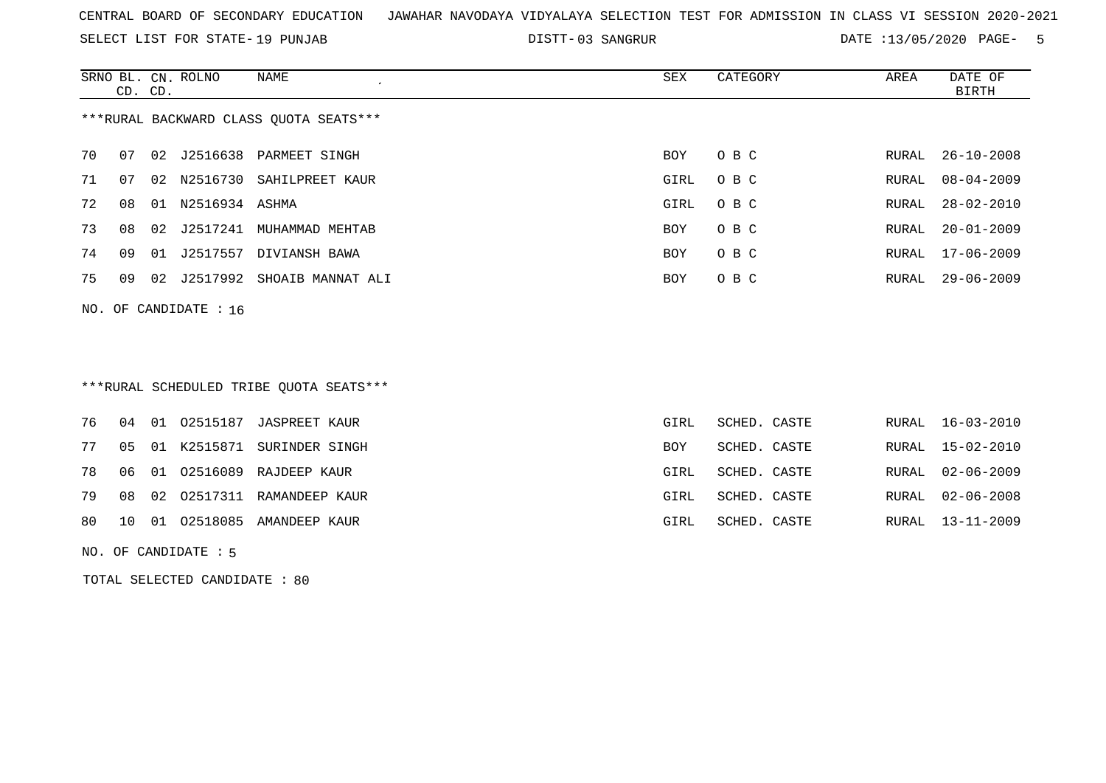SELECT LIST FOR STATE- DISTT- 19 PUNJAB

03 SANGRUR DATE :13/05/2020 PAGE- 5

|                                        | CD. CD. |    | SRNO BL. CN. ROLNO | NAME              | SEX        | CATEGORY | AREA  | DATE OF<br>BIRTH |  |
|----------------------------------------|---------|----|--------------------|-------------------|------------|----------|-------|------------------|--|
| ***RURAL BACKWARD CLASS OUOTA SEATS*** |         |    |                    |                   |            |          |       |                  |  |
| 70                                     | 07      | 02 | J2516638           | PARMEET SINGH     | BOY.       | O B C    | RURAL | $26 - 10 - 2008$ |  |
| 71                                     | 07      | 02 | N2516730           | SAHILPREET KAUR   | GIRL       | O B C    | RURAL | $08 - 04 - 2009$ |  |
| 72                                     | 08      | 01 | N2516934           | ASHMA             | GIRL       | O B C    | RURAL | 28-02-2010       |  |
| 73                                     | 08      | 02 | J2517241           | MUHAMMAD MEHTAB   | <b>BOY</b> | O B C    | RURAL | $20 - 01 - 2009$ |  |
| 74                                     | 09      | 01 | J2517557           | DIVIANSH BAWA     | <b>BOY</b> | O B C    | RURAL | $17 - 06 - 2009$ |  |
| 75                                     | 09      | 02 | J2517992           | SHOAIB MANNAT ALI | BOY        | O B C    | RURAL | $29 - 06 - 2009$ |  |
|                                        |         |    |                    |                   |            |          |       |                  |  |

NO. OF CANDIDATE : 16

## \*\*\*RURAL SCHEDULED TRIBE QUOTA SEATS\*\*\*

|  |  | 76 04 01 02515187 JASPREET KAUR         | GIRL | SCHED. CASTE |  | RURAL 16-03-2010 |
|--|--|-----------------------------------------|------|--------------|--|------------------|
|  |  | 77 05 01 K2515871 SURINDER SINGH        | BOY  | SCHED. CASTE |  | RURAL 15-02-2010 |
|  |  | 78 06 01 02516089 RAJDEEP KAUR          | GIRL | SCHED. CASTE |  | RURAL 02-06-2009 |
|  |  | 79 08 02 02517311 RAMANDEEP KAUR        | GIRL | SCHED. CASTE |  | RURAL 02-06-2008 |
|  |  | 80   10   01   02518085   AMANDEEP KAUR | GIRL | SCHED. CASTE |  | RURAL 13-11-2009 |
|  |  |                                         |      |              |  |                  |

NO. OF CANDIDATE : 5

TOTAL SELECTED CANDIDATE : 80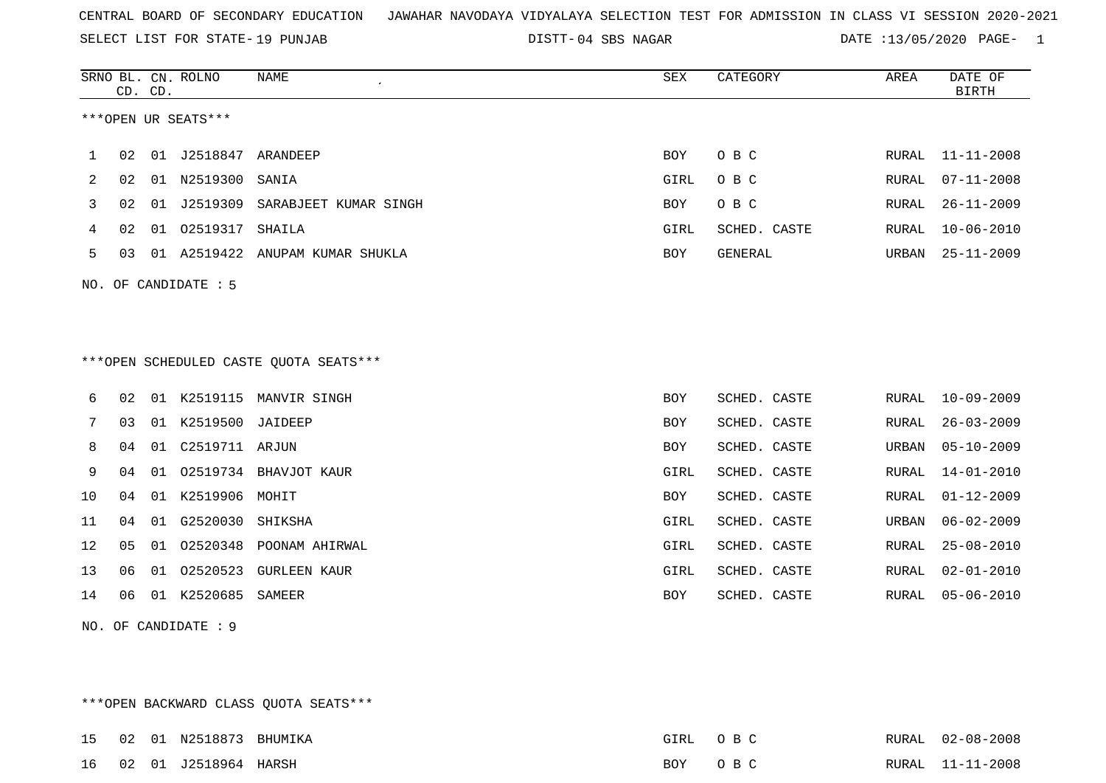SELECT LIST FOR STATE- DISTT- 19 PUNJAB

DISTT-04 SBS NAGAR DATE :13/05/2020 PAGE- 1

|    |    | CD. CD. | SRNO BL. CN. ROLNO   | <b>NAME</b>                            | <b>SEX</b> | CATEGORY     | AREA  | DATE OF<br><b>BIRTH</b> |
|----|----|---------|----------------------|----------------------------------------|------------|--------------|-------|-------------------------|
|    |    |         | ***OPEN UR SEATS***  |                                        |            |              |       |                         |
| 1  | 02 |         |                      |                                        | BOY        | O B C        | RURAL | $11 - 11 - 2008$        |
| 2  | 02 |         | 01 N2519300          | SANIA                                  | GIRL       | O B C        | RURAL | $07 - 11 - 2008$        |
| 3  | 02 | 01      | J2519309             | SARABJEET KUMAR SINGH                  | BOY        | O B C        | RURAL | $26 - 11 - 2009$        |
| 4  | 02 |         | 01 02519317          | SHAILA                                 | GIRL       | SCHED. CASTE | RURAL | $10 - 06 - 2010$        |
| 5  | 03 |         | 01 A2519422          | ANUPAM KUMAR SHUKLA                    | BOY        | GENERAL      | URBAN | $25 - 11 - 2009$        |
|    |    |         | NO. OF CANDIDATE : 5 |                                        |            |              |       |                         |
|    |    |         |                      | ***OPEN SCHEDULED CASTE QUOTA SEATS*** |            |              |       |                         |
| 6  | 02 |         |                      | 01 K2519115 MANVIR SINGH               | <b>BOY</b> | SCHED. CASTE | RURAL | $10 - 09 - 2009$        |
| 7  | 03 | 01      | K2519500             | JAIDEEP                                | <b>BOY</b> | SCHED. CASTE | RURAL | $26 - 03 - 2009$        |
| 8  | 04 | 01      | C2519711 ARJUN       |                                        | BOY        | SCHED. CASTE | URBAN | $05 - 10 - 2009$        |
| 9  | 04 |         |                      | 01 02519734 BHAVJOT KAUR               | GIRL       | SCHED. CASTE | RURAL | $14 - 01 - 2010$        |
| 10 | 04 | 01      | K2519906             | MOHIT                                  | <b>BOY</b> | SCHED. CASTE | RURAL | $01 - 12 - 2009$        |
| 11 | 04 | 01      | G2520030             | SHIKSHA                                | GIRL       | SCHED. CASTE | URBAN | $06 - 02 - 2009$        |
| 12 | 05 |         | 01 02520348          | POONAM AHIRWAL                         | GIRL       | SCHED. CASTE | RURAL | $25 - 08 - 2010$        |
| 13 | 06 | 01      | 02520523             | <b>GURLEEN KAUR</b>                    | GIRL       | SCHED. CASTE | RURAL | $02 - 01 - 2010$        |
| 14 | 06 | 01      | K2520685             | SAMEER                                 | <b>BOY</b> | SCHED. CASTE | RURAL | $05 - 06 - 2010$        |

NO. OF CANDIDATE : 9

\*\*\*OPEN BACKWARD CLASS QUOTA SEATS\*\*\*

|  | 15  02  01  N2518873    | BHUMIKA | GIRL | $\cap$ $\Box$ $\cap$ | RURAL 02-08-2008 |
|--|-------------------------|---------|------|----------------------|------------------|
|  | 16 02 01 J2518964 HARSH |         | BOY  | $\cap$ $\Box$ $\cap$ | RURAL 11-11-2008 |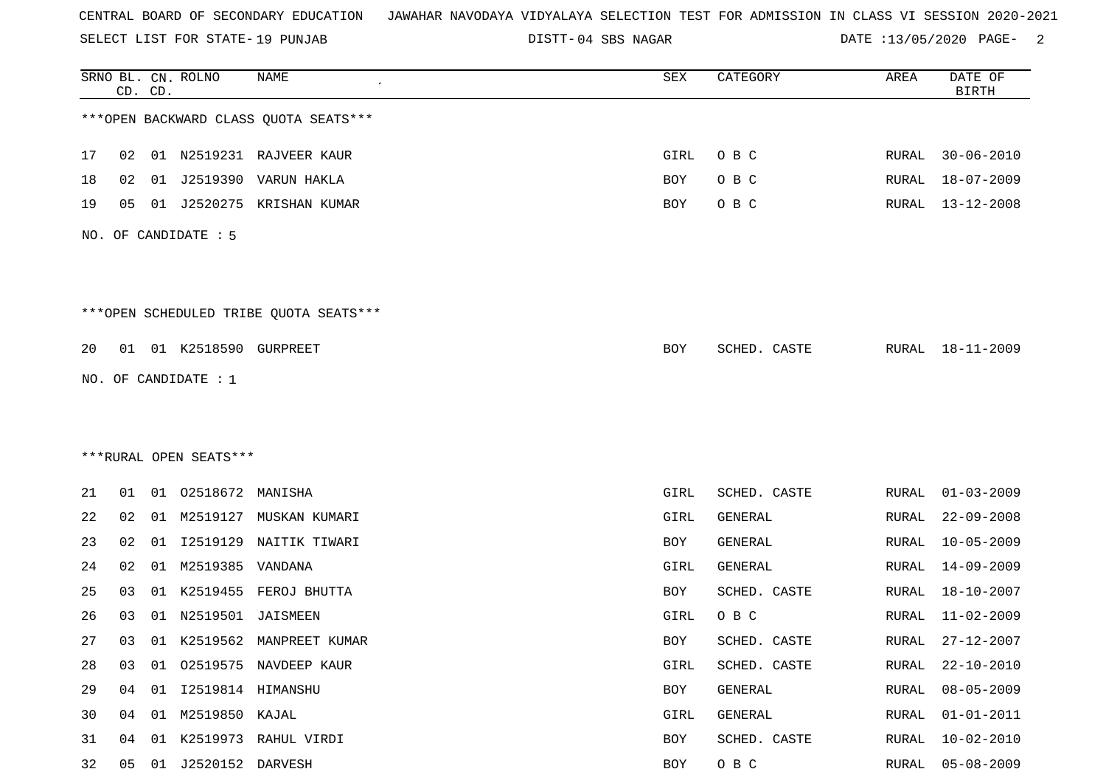SELECT LIST FOR STATE- DISTT- 19 PUNJAB

04 SBS NAGAR DATE :13/05/2020 PAGE- 2

|    | CD. CD. |    | SRNO BL. CN. ROLNO      | NAME                                    | SEX  | CATEGORY     | AREA         | DATE OF<br><b>BIRTH</b> |
|----|---------|----|-------------------------|-----------------------------------------|------|--------------|--------------|-------------------------|
|    |         |    |                         | *** OPEN BACKWARD CLASS QUOTA SEATS***  |      |              |              |                         |
| 17 | 02      |    |                         | 01 N2519231 RAJVEER KAUR                | GIRL | O B C        | RURAL        | $30 - 06 - 2010$        |
| 18 | 02      |    |                         | 01 J2519390 VARUN HAKLA                 | BOY  | O B C        | RURAL        | $18 - 07 - 2009$        |
| 19 | 05      |    |                         | 01 J2520275 KRISHAN KUMAR               | BOY  | O B C        | RURAL        | 13-12-2008              |
|    |         |    | NO. OF CANDIDATE : 5    |                                         |      |              |              |                         |
|    |         |    |                         | *** OPEN SCHEDULED TRIBE QUOTA SEATS*** |      |              |              |                         |
| 20 |         |    | 01 01 K2518590 GURPREET |                                         | BOY  | SCHED. CASTE |              | RURAL 18-11-2009        |
|    |         |    | NO. OF CANDIDATE : $1$  |                                         |      |              |              |                         |
|    |         |    |                         |                                         |      |              |              |                         |
|    |         |    |                         |                                         |      |              |              |                         |
|    |         |    | ***RURAL OPEN SEATS***  |                                         |      |              |              |                         |
| 21 | 01      |    | 01 02518672 MANISHA     |                                         | GIRL | SCHED. CASTE | RURAL        | $01 - 03 - 2009$        |
| 22 | 02      |    |                         | 01 M2519127 MUSKAN KUMARI               | GIRL | GENERAL      | RURAL        | $22 - 09 - 2008$        |
| 23 | 02      | 01 | I2519129                | NAITIK TIWARI                           | BOY  | GENERAL      | RURAL        | $10 - 05 - 2009$        |
| 24 | 02      | 01 | M2519385                | VANDANA                                 | GIRL | GENERAL      | RURAL        | $14 - 09 - 2009$        |
| 25 | 03      |    |                         | 01 K2519455 FEROJ BHUTTA                | BOY  | SCHED. CASTE | RURAL        | 18-10-2007              |
| 26 | 03      | 01 | N2519501                | JAISMEEN                                | GIRL | O B C        | RURAL        | $11 - 02 - 2009$        |
| 27 | 03      |    |                         | 01 K2519562 MANPREET KUMAR              | BOY  | SCHED. CASTE | RURAL        | 27-12-2007              |
| 28 | 03      |    |                         | 01 02519575 NAVDEEP KAUR                | GIRL | SCHED. CASTE | <b>RURAL</b> | $22 - 10 - 2010$        |
| 29 | 04      |    |                         |                                         | BOY  | GENERAL      | <b>RURAL</b> | $08 - 05 - 2009$        |
| 30 | 04      |    | 01 M2519850 KAJAL       |                                         | GIRL | GENERAL      | RURAL        | $01 - 01 - 2011$        |
| 31 | 04      | 01 |                         | K2519973 RAHUL VIRDI                    | BOY  | SCHED. CASTE | <b>RURAL</b> | $10 - 02 - 2010$        |
| 32 | 05      |    | 01 J2520152 DARVESH     |                                         | BOY  | O B C        | RURAL        | $05 - 08 - 2009$        |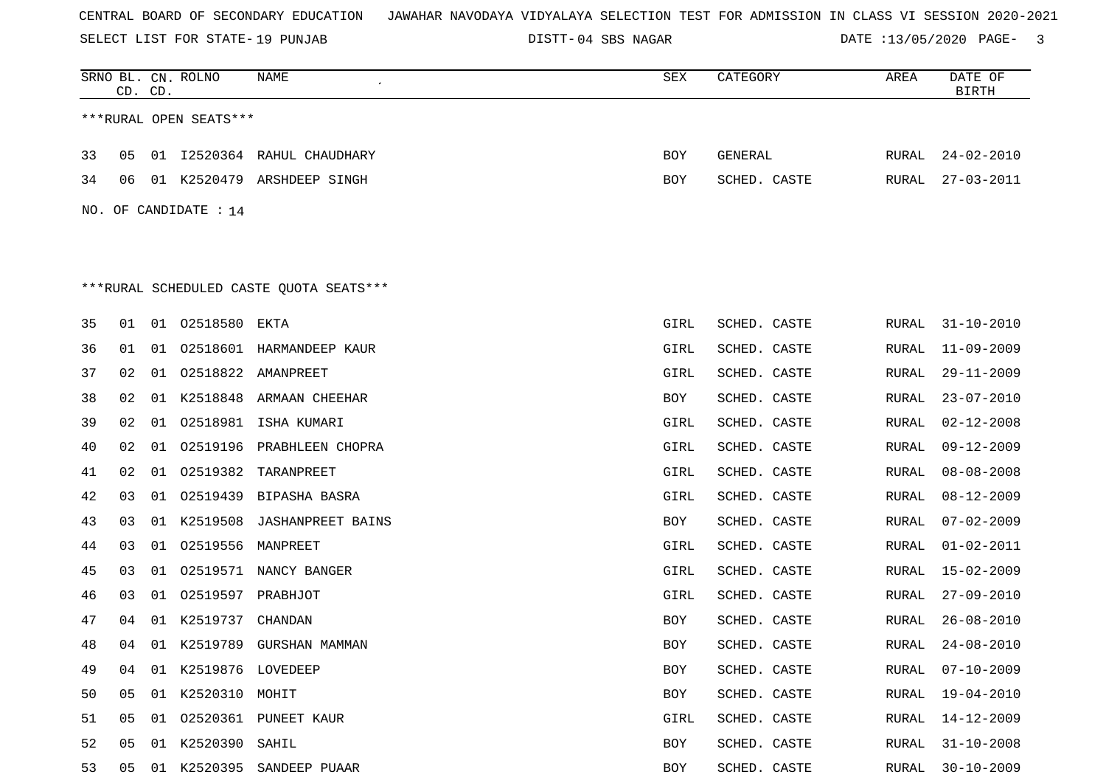SELECT LIST FOR STATE- DISTT- 19 PUNJAB

DISTT-04 SBS NAGAR **DATE** :13/05/2020 PAGE- 3

|    | CD. CD. |    | SRNO BL. CN. ROLNO     | NAME                                    | SEX  | CATEGORY     | AREA  | DATE OF<br><b>BIRTH</b> |
|----|---------|----|------------------------|-----------------------------------------|------|--------------|-------|-------------------------|
|    |         |    | ***RURAL OPEN SEATS*** |                                         |      |              |       |                         |
| 33 | 05      |    |                        | 01 I2520364 RAHUL CHAUDHARY             | BOY  | GENERAL      | RURAL | $24 - 02 - 2010$        |
| 34 | 06      |    |                        | 01 K2520479 ARSHDEEP SINGH              | BOY  | SCHED. CASTE | RURAL | $27 - 03 - 2011$        |
|    |         |    | NO. OF CANDIDATE : 14  |                                         |      |              |       |                         |
|    |         |    |                        |                                         |      |              |       |                         |
|    |         |    |                        |                                         |      |              |       |                         |
|    |         |    |                        | ***RURAL SCHEDULED CASTE QUOTA SEATS*** |      |              |       |                         |
| 35 | 01      | 01 | 02518580               | EKTA                                    | GIRL | SCHED. CASTE | RURAL | $31 - 10 - 2010$        |
| 36 | 01      | 01 |                        | 02518601 HARMANDEEP KAUR                | GIRL | SCHED. CASTE | RURAL | $11 - 09 - 2009$        |
| 37 | 02      | 01 |                        | 02518822 AMANPREET                      | GIRL | SCHED. CASTE | RURAL | $29 - 11 - 2009$        |
| 38 | 02      | 01 | K2518848               | ARMAAN CHEEHAR                          | BOY  | SCHED. CASTE | RURAL | $23 - 07 - 2010$        |
| 39 | 02      | 01 |                        | 02518981 ISHA KUMARI                    | GIRL | SCHED. CASTE | RURAL | $02 - 12 - 2008$        |
| 40 | 02      | 01 | 02519196               | PRABHLEEN CHOPRA                        | GIRL | SCHED. CASTE | RURAL | $09 - 12 - 2009$        |
| 41 | 02      | 01 | 02519382               | TARANPREET                              | GIRL | SCHED. CASTE | RURAL | $08 - 08 - 2008$        |
| 42 | 03      | 01 | 02519439               | BIPASHA BASRA                           | GIRL | SCHED. CASTE | RURAL | $08 - 12 - 2009$        |
| 43 | 03      | 01 | K2519508               | <b>JASHANPREET BAINS</b>                | BOY  | SCHED. CASTE | RURAL | $07 - 02 - 2009$        |
| 44 | 03      | 01 | 02519556               | MANPREET                                | GIRL | SCHED. CASTE | RURAL | $01 - 02 - 2011$        |
| 45 | 03      | 01 | 02519571               | NANCY BANGER                            | GIRL | SCHED. CASTE | RURAL | $15 - 02 - 2009$        |
| 46 | 03      | 01 | O2519597 PRABHJOT      |                                         | GIRL | SCHED. CASTE | RURAL | $27 - 09 - 2010$        |
| 47 | 04      | 01 | K2519737               | CHANDAN                                 | BOY  | SCHED. CASTE | RURAL | $26 - 08 - 2010$        |
| 48 | 04      |    |                        | 01 K2519789 GURSHAN MAMMAN              | BOY  | SCHED. CASTE | RURAL | $24 - 08 - 2010$        |
| 49 | 04      |    | 01 K2519876 LOVEDEEP   |                                         | BOY  | SCHED. CASTE | RURAL | $07 - 10 - 2009$        |
| 50 | 05      |    | 01 K2520310 MOHIT      |                                         | BOY  | SCHED. CASTE | RURAL | 19-04-2010              |
| 51 | 05      |    |                        | 01 02520361 PUNEET KAUR                 | GIRL | SCHED. CASTE | RURAL | 14-12-2009              |
| 52 | 05      |    | 01 K2520390 SAHIL      |                                         | BOY  | SCHED. CASTE | RURAL | $31 - 10 - 2008$        |
| 53 | 05      |    |                        | 01 K2520395 SANDEEP PUAAR               | BOY  | SCHED. CASTE | RURAL | $30 - 10 - 2009$        |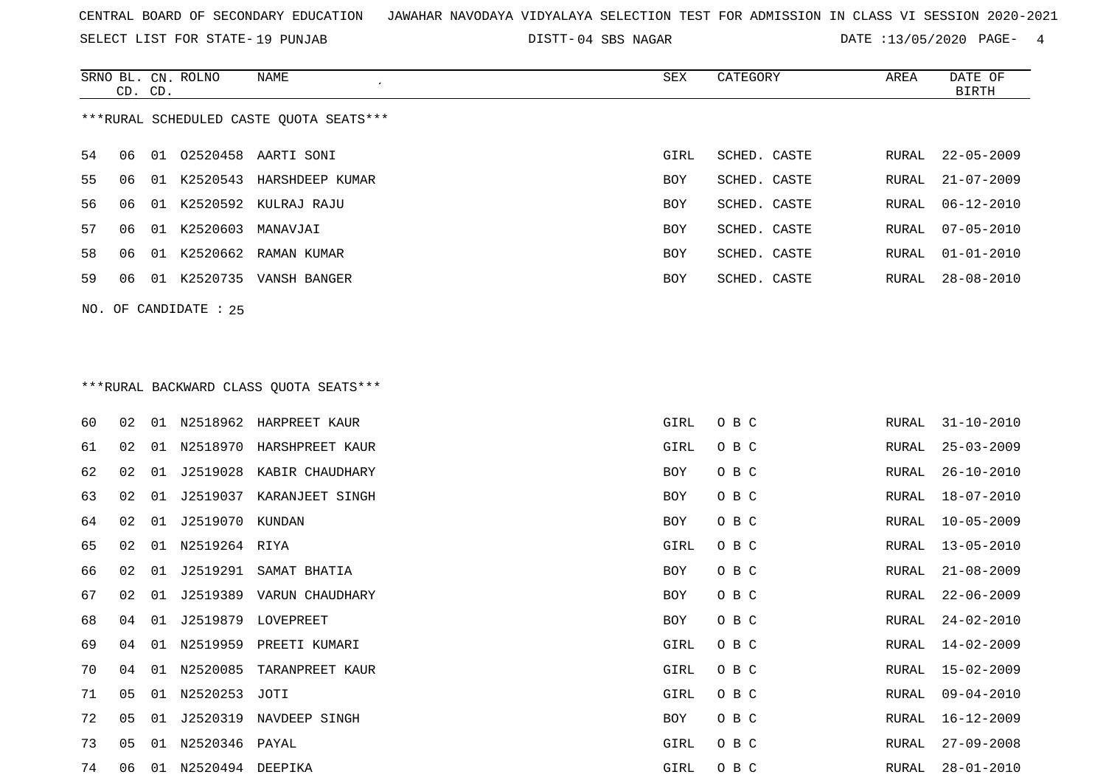SELECT LIST FOR STATE- DISTT- 19 PUNJAB

DISTT-04 SBS NAGAR DATE :13/05/2020 PAGE- 4

|                                         | CD. CD. |     | SRNO BL. CN. ROLNO | NAME                     | SEX        | CATEGORY     | AREA  | DATE OF<br>BIRTH |  |  |
|-----------------------------------------|---------|-----|--------------------|--------------------------|------------|--------------|-------|------------------|--|--|
| ***RURAL SCHEDULED CASTE OUOTA SEATS*** |         |     |                    |                          |            |              |       |                  |  |  |
| 54                                      | 06      |     |                    | 01  02520458  AARTI SONI | GIRL       | SCHED. CASTE | RURAL | $22 - 05 - 2009$ |  |  |
| 55                                      | 06      | 01  | K2520543           | HARSHDEEP KUMAR          | <b>BOY</b> | SCHED. CASTE | RURAL | $21 - 07 - 2009$ |  |  |
| 56                                      | 06      |     |                    | 01 K2520592 KULRAJ RAJU  | <b>BOY</b> | SCHED. CASTE | RURAL | $06 - 12 - 2010$ |  |  |
| 57                                      | 06.     |     | 01 K2520603        | MANAVJAI                 | <b>BOY</b> | SCHED. CASTE | RURAL | $07 - 05 - 2010$ |  |  |
| 58                                      | 06      |     |                    | 01 K2520662 RAMAN KUMAR  | <b>BOY</b> | SCHED. CASTE | RURAL | $01 - 01 - 2010$ |  |  |
| 59                                      | 06      | O 1 | K2520735           | VANSH BANGER             | <b>BOY</b> | SCHED. CASTE | RURAL | $28 - 08 - 2010$ |  |  |
|                                         |         |     |                    |                          |            |              |       |                  |  |  |

## \*\*\*RURAL BACKWARD CLASS QUOTA SEATS\*\*\*

NO. OF CANDIDATE : 25

| 60 | 02 | 01 |                  | N2518962 HARPREET KAUR   | GIRL       | O B C | RURAL | $31 - 10 - 2010$ |
|----|----|----|------------------|--------------------------|------------|-------|-------|------------------|
| 61 | 02 | 01 |                  | N2518970 HARSHPREET KAUR | GIRL       | O B C | RURAL | $25 - 03 - 2009$ |
| 62 | 02 | 01 |                  | J2519028 KABIR CHAUDHARY | <b>BOY</b> | O B C | RURAL | $26 - 10 - 2010$ |
| 63 | 02 | 01 | J2519037         | KARANJEET SINGH          | BOY        | O B C | RURAL | $18 - 07 - 2010$ |
| 64 | 02 | 01 | J2519070 KUNDAN  |                          | BOY        | O B C | RURAL | $10 - 05 - 2009$ |
| 65 | 02 | 01 | N2519264 RIYA    |                          | GIRL       | O B C | RURAL | $13 - 05 - 2010$ |
| 66 | 02 | 01 | J2519291         | SAMAT BHATIA             | BOY        | O B C | RURAL | $21 - 08 - 2009$ |
| 67 | 02 | 01 |                  | J2519389 VARUN CHAUDHARY | BOY        | O B C | RURAL | $22 - 06 - 2009$ |
| 68 | 04 | 01 | J2519879         | LOVEPREET                | BOY        | O B C | RURAL | $24 - 02 - 2010$ |
| 69 | 04 | 01 |                  | N2519959 PREETI KUMARI   | GIRL       | O B C | RURAL | 14-02-2009       |
| 70 | 04 | 01 | N2520085         | TARANPREET KAUR          | GIRL       | O B C | RURAL | $15 - 02 - 2009$ |
| 71 | 05 |    | 01 N2520253 JOTI |                          | GIRL       | O B C | RURAL | $09 - 04 - 2010$ |
| 72 | 05 | 01 | J2520319         | NAVDEEP SINGH            | BOY        | O B C | RURAL | $16 - 12 - 2009$ |
| 73 | 05 | 01 | N2520346 PAYAL   |                          | GIRL       | O B C | RURAL | $27 - 09 - 2008$ |
| 74 | 06 | 01 | N2520494 DEEPIKA |                          | GIRL       | O B C | RURAL | $28 - 01 - 2010$ |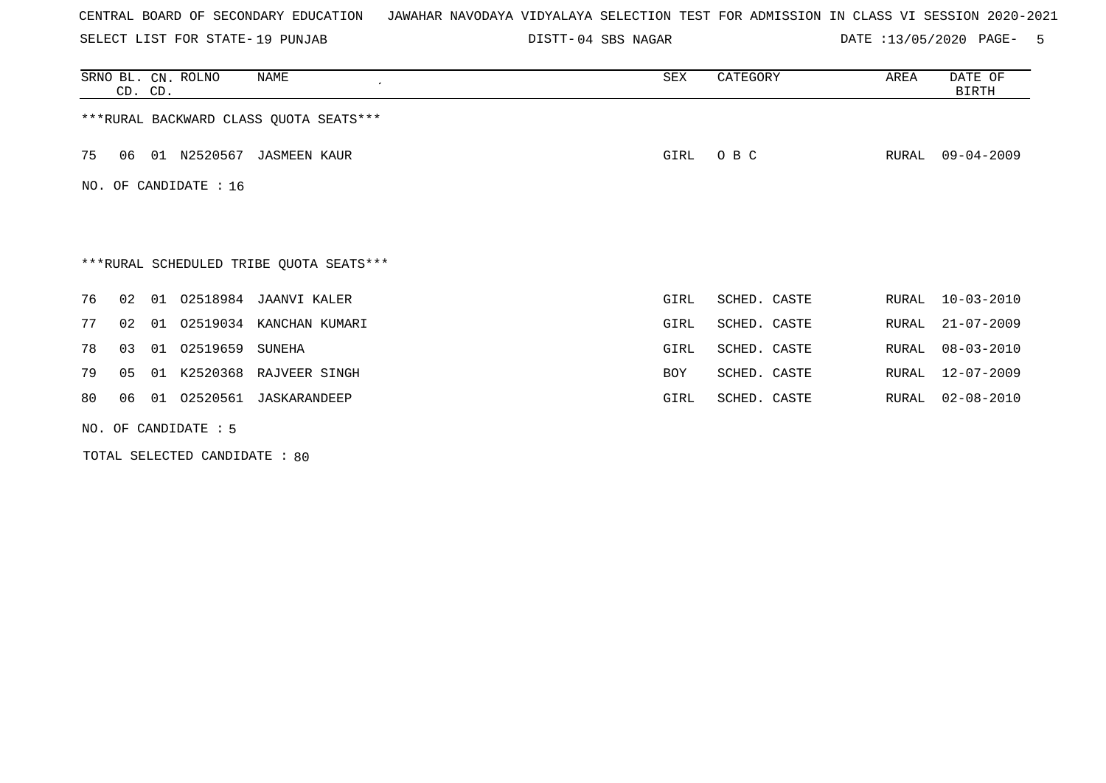SELECT LIST FOR STATE- DISTT- 19 PUNJAB

04 SBS NAGAR DATE :13/05/2020 PAGE- 5

|     | CD. CD.                                 |    | SRNO BL. CN. ROLNO | NAME<br>$\cdot$                         | SEX        | CATEGORY     | AREA  | DATE OF<br><b>BIRTH</b> |  |  |
|-----|-----------------------------------------|----|--------------------|-----------------------------------------|------------|--------------|-------|-------------------------|--|--|
|     | *** RURAL BACKWARD CLASS QUOTA SEATS*** |    |                    |                                         |            |              |       |                         |  |  |
| 75  | 06                                      |    | 01 N2520567        | JASMEEN KAUR                            | GIRL       | O B C        | RURAL | $09 - 04 - 2009$        |  |  |
| NO. | OF CANDIDATE : 16                       |    |                    |                                         |            |              |       |                         |  |  |
|     |                                         |    |                    |                                         |            |              |       |                         |  |  |
|     |                                         |    |                    | ***RURAL SCHEDULED TRIBE QUOTA SEATS*** |            |              |       |                         |  |  |
| 76  | 02                                      | 01 |                    | 02518984 JAANVI KALER                   | GIRL       | SCHED. CASTE | RURAL | $10 - 03 - 2010$        |  |  |
| 77  | 02                                      |    |                    | 01 02519034 KANCHAN KUMARI              | GIRL       | SCHED. CASTE | RURAL | $21 - 07 - 2009$        |  |  |
| 78  | 03                                      | 01 | 02519659           | SUNEHA                                  | GIRL       | SCHED. CASTE | RURAL | $08 - 03 - 2010$        |  |  |
| 79  | 05                                      |    |                    | 01 K2520368 RAJVEER SINGH               | <b>BOY</b> | SCHED. CASTE | RURAL | $12 - 07 - 2009$        |  |  |
| 80  | 06                                      | 01 | 02520561           | JASKARANDEEP                            | GIRL       | SCHED. CASTE | RURAL | $02 - 08 - 2010$        |  |  |
|     | NO. OF CANDIDATE : 5                    |    |                    |                                         |            |              |       |                         |  |  |

TOTAL SELECTED CANDIDATE : 80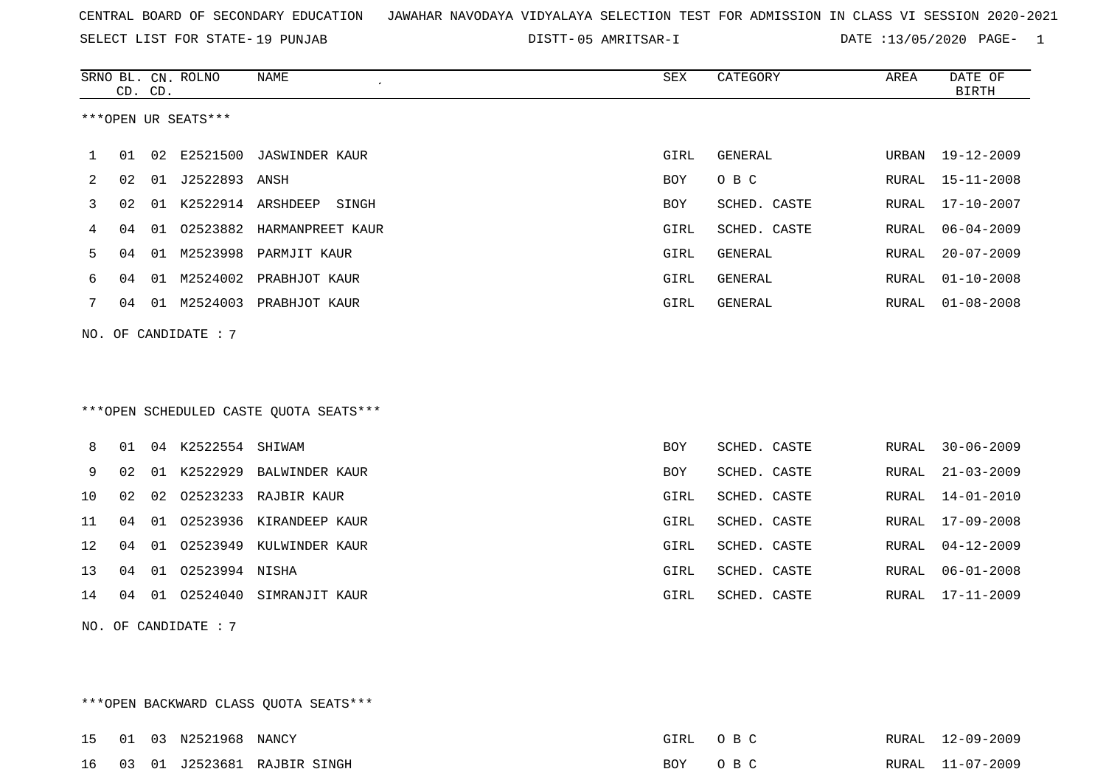SELECT LIST FOR STATE- DISTT- 19 PUNJAB

05 AMRITSAR-I DATE :13/05/2020 PAGE- 1

|    |                                        | CD. CD. | SRNO BL. CN. ROLNO     | NAME<br>$\epsilon$                     | ${\tt SEX}$ | CATEGORY     | AREA  | DATE OF<br><b>BIRTH</b> |  |
|----|----------------------------------------|---------|------------------------|----------------------------------------|-------------|--------------|-------|-------------------------|--|
|    |                                        |         | ***OPEN UR SEATS***    |                                        |             |              |       |                         |  |
| 1  | 01                                     |         | 02 E2521500            | JASWINDER KAUR                         | GIRL        | GENERAL      | URBAN | 19-12-2009              |  |
| 2  | 02                                     |         | 01 J2522893 ANSH       |                                        | BOY         | O B C        | RURAL | $15 - 11 - 2008$        |  |
| 3  | 02                                     |         |                        | 01 K2522914 ARSHDEEP SINGH             | BOY         | SCHED. CASTE | RURAL | $17 - 10 - 2007$        |  |
| 4  | 04                                     |         |                        | 01 02523882 HARMANPREET KAUR           | GIRL        | SCHED. CASTE | RURAL | $06 - 04 - 2009$        |  |
| 5  | 04                                     |         |                        | 01 M2523998 PARMJIT KAUR               | GIRL        | GENERAL      | RURAL | $20 - 07 - 2009$        |  |
| 6  | 04                                     |         |                        | 01 M2524002 PRABHJOT KAUR              | GIRL        | GENERAL      | RURAL | $01 - 10 - 2008$        |  |
| 7  |                                        |         |                        | 04 01 M2524003 PRABHJOT KAUR           | GIRL        | GENERAL      | RURAL | $01 - 08 - 2008$        |  |
|    |                                        |         | NO. OF CANDIDATE: 7    |                                        |             |              |       |                         |  |
|    |                                        |         |                        | ***OPEN SCHEDULED CASTE QUOTA SEATS*** |             |              |       |                         |  |
| 8  | 01                                     |         | 04 K2522554 SHIWAM     |                                        | <b>BOY</b>  | SCHED. CASTE | RURAL | $30 - 06 - 2009$        |  |
| 9  | 02                                     |         |                        | 01 K2522929 BALWINDER KAUR             | BOY         | SCHED. CASTE | RURAL | $21 - 03 - 2009$        |  |
| 10 | 02                                     |         |                        | 02 02523233 RAJBIR KAUR                | GIRL        | SCHED. CASTE | RURAL | $14 - 01 - 2010$        |  |
| 11 | 04                                     |         |                        | 01 02523936 KIRANDEEP KAUR             | GIRL        | SCHED. CASTE | RURAL | $17 - 09 - 2008$        |  |
| 12 | 04                                     |         |                        | 01 02523949 KULWINDER KAUR             | GIRL        | SCHED. CASTE | RURAL | $04 - 12 - 2009$        |  |
| 13 | 04                                     |         | 01  02523994  NISHA    |                                        | GIRL        | SCHED. CASTE | RURAL | $06 - 01 - 2008$        |  |
| 14 | 04                                     |         |                        | 01 02524040 SIMRANJIT KAUR             | GIRL        | SCHED. CASTE | RURAL | $17 - 11 - 2009$        |  |
|    |                                        |         | NO. OF CANDIDATE : $7$ |                                        |             |              |       |                         |  |
|    |                                        |         |                        |                                        |             |              |       |                         |  |
|    |                                        |         |                        |                                        |             |              |       |                         |  |
|    | *** OPEN BACKWARD CLASS QUOTA SEATS*** |         |                        |                                        |             |              |       |                         |  |

|  | 15 01 03 N2521968 NANCY |                                | GIRL OBC |  | RURAL 12-09-2009 |
|--|-------------------------|--------------------------------|----------|--|------------------|
|  |                         | 16 03 01 J2523681 RAJBIR SINGH | BOY OBC  |  | RURAL 11-07-2009 |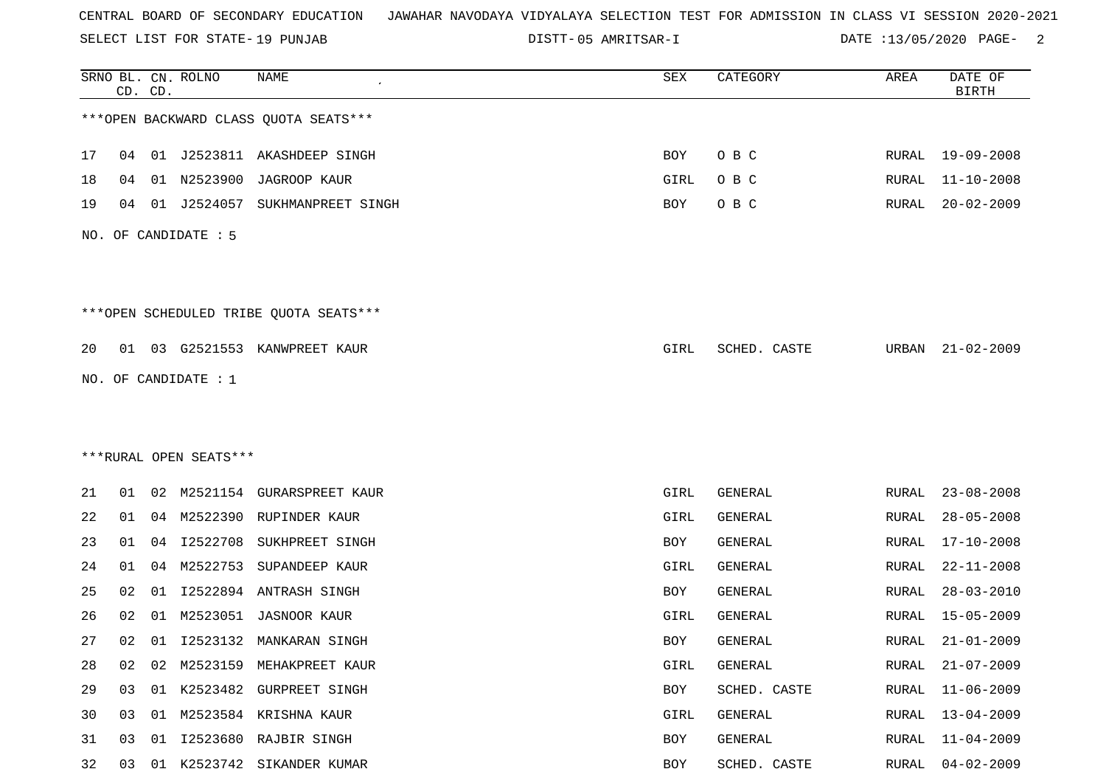SELECT LIST FOR STATE- DISTT- 19 PUNJAB

05 AMRITSAR-I DATE :13/05/2020 PAGE- 2

|    |    | CD. CD. | SRNO BL. CN. ROLNO     | NAME                                   | SEX        | CATEGORY     | AREA  | DATE OF<br><b>BIRTH</b> |
|----|----|---------|------------------------|----------------------------------------|------------|--------------|-------|-------------------------|
|    |    |         |                        | *** OPEN BACKWARD CLASS QUOTA SEATS*** |            |              |       |                         |
| 17 | 04 |         |                        | 01 J2523811 AKASHDEEP SINGH            | <b>BOY</b> | O B C        | RURAL | 19-09-2008              |
| 18 | 04 | 01      | N2523900               | JAGROOP KAUR                           | GIRL       | O B C        | RURAL | $11 - 10 - 2008$        |
| 19 | 04 |         | 01 J2524057            | SUKHMANPREET SINGH                     | BOY        | O B C        | RURAL | $20 - 02 - 2009$        |
|    |    |         | NO. OF CANDIDATE : 5   |                                        |            |              |       |                         |
|    |    |         |                        | ***OPEN SCHEDULED TRIBE QUOTA SEATS*** |            |              |       |                         |
| 20 |    |         |                        | 01 03 G2521553 KANWPREET KAUR          | GIRL       | SCHED. CASTE | URBAN | $21 - 02 - 2009$        |
|    |    |         | NO. OF CANDIDATE : 1   |                                        |            |              |       |                         |
|    |    |         |                        |                                        |            |              |       |                         |
|    |    |         |                        |                                        |            |              |       |                         |
|    |    |         | ***RURAL OPEN SEATS*** |                                        |            |              |       |                         |
| 21 | 01 |         |                        | 02 M2521154 GURARSPREET KAUR           | GIRL       | GENERAL      | RURAL | $23 - 08 - 2008$        |
| 22 | 01 | 04      |                        | M2522390 RUPINDER KAUR                 | GIRL       | GENERAL      | RURAL | $28 - 05 - 2008$        |
| 23 | 01 | 04      | I2522708               | SUKHPREET SINGH                        | BOY        | GENERAL      | RURAL | $17 - 10 - 2008$        |
| 24 | 01 | 04      | M2522753               | SUPANDEEP KAUR                         | GIRL       | GENERAL      | RURAL | $22 - 11 - 2008$        |
| 25 | 02 | 01      |                        | I2522894 ANTRASH SINGH                 | BOY        | GENERAL      | RURAL | $28 - 03 - 2010$        |
| 26 | 02 | 01      | M2523051               | JASNOOR KAUR                           | GIRL       | GENERAL      | RURAL | $15 - 05 - 2009$        |
| 27 | 02 | 01      |                        | 12523132 MANKARAN SINGH                | <b>BOY</b> | GENERAL      | RURAL | $21 - 01 - 2009$        |
| 28 | 02 | 02      |                        | M2523159 MEHAKPREET KAUR               | GIRL       | GENERAL      | RURAL | $21 - 07 - 2009$        |
| 29 | 03 |         |                        | 01 K2523482 GURPREET SINGH             | BOY        | SCHED. CASTE | RURAL | $11 - 06 - 2009$        |
| 30 | 03 |         |                        | 01 M2523584 KRISHNA KAUR               | GIRL       | GENERAL      | RURAL | 13-04-2009              |
| 31 | 03 | 01      |                        | I2523680 RAJBIR SINGH                  | BOY        | GENERAL      | RURAL | $11 - 04 - 2009$        |
| 32 | 03 |         |                        | 01 K2523742 SIKANDER KUMAR             | BOY        | SCHED. CASTE | RURAL | $04 - 02 - 2009$        |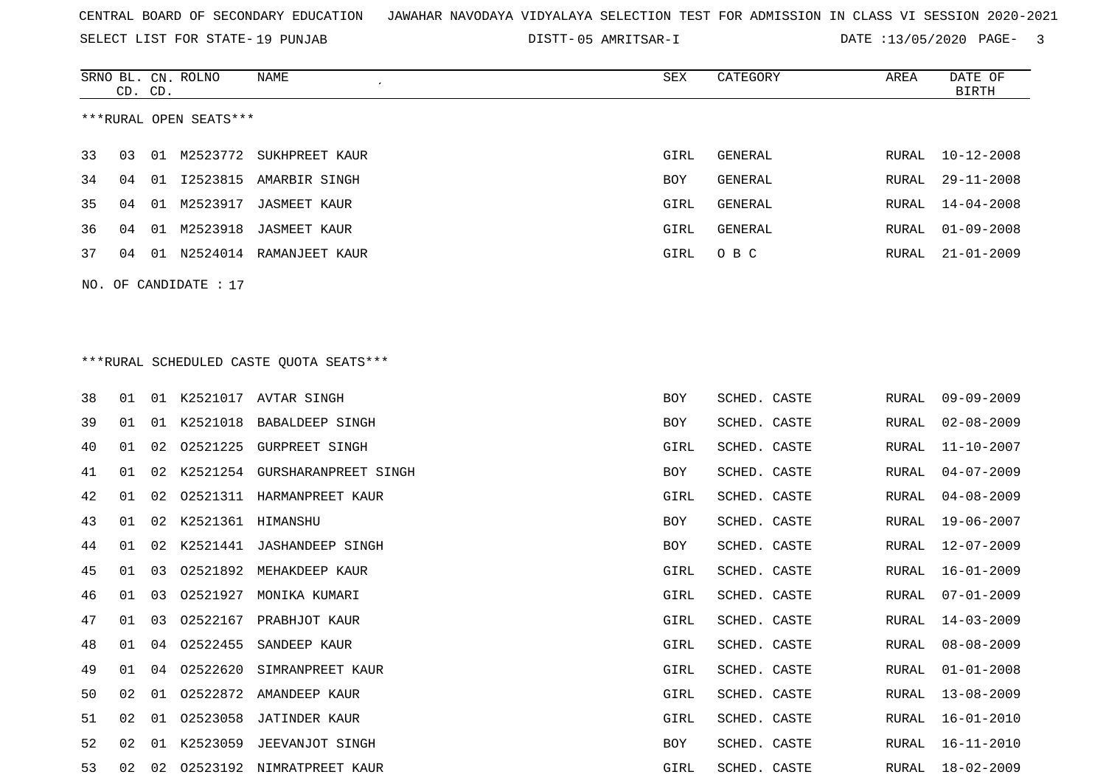SELECT LIST FOR STATE- DISTT- 19 PUNJAB

05 AMRITSAR-I DATE :13/05/2020 PAGE- 3

|    | CD. CD. |    | SRNO BL. CN. ROLNO     | NAME                                    | SEX         | CATEGORY       | AREA  | DATE OF<br><b>BIRTH</b> |
|----|---------|----|------------------------|-----------------------------------------|-------------|----------------|-------|-------------------------|
|    |         |    | ***RURAL OPEN SEATS*** |                                         |             |                |       |                         |
| 33 | 03      | 01 | M2523772               | SUKHPREET KAUR                          | <b>GIRL</b> | <b>GENERAL</b> | RURAL | $10 - 12 - 2008$        |
| 34 | 04      | 01 | I2523815               | AMARBIR SINGH                           | BOY         | <b>GENERAL</b> | RURAL | $29 - 11 - 2008$        |
| 35 | 04      | 01 | M2523917               | <b>JASMEET KAUR</b>                     | GIRL        | <b>GENERAL</b> | RURAL | $14 - 04 - 2008$        |
| 36 | 04      | 01 | M2523918               | <b>JASMEET KAUR</b>                     | GIRL        | <b>GENERAL</b> | RURAL | $01 - 09 - 2008$        |
| 37 | 04      |    |                        | 01 N2524014 RAMANJEET KAUR              | GIRL        | O B C          | RURAL | $21 - 01 - 2009$        |
|    |         |    | NO. OF CANDIDATE : 17  |                                         |             |                |       |                         |
|    |         |    |                        |                                         |             |                |       |                         |
|    |         |    |                        |                                         |             |                |       |                         |
|    |         |    |                        | ***RURAL SCHEDULED CASTE QUOTA SEATS*** |             |                |       |                         |
| 38 | 01      |    |                        | 01 K2521017 AVTAR SINGH                 | BOY         | SCHED. CASTE   | RURAL | $09 - 09 - 2009$        |
| 39 | 01      | 01 | K2521018               | BABALDEEP SINGH                         | BOY         | SCHED. CASTE   | RURAL | $02 - 08 - 2009$        |
| 40 | 01      | 02 | 02521225               | <b>GURPREET SINGH</b>                   | GIRL        | SCHED. CASTE   | RURAL | $11 - 10 - 2007$        |
| 41 | 01      | 02 | K2521254               | GURSHARANPREET SINGH                    | BOY         | SCHED. CASTE   | RURAL | $04 - 07 - 2009$        |
| 42 | 01      | 02 | 02521311               | HARMANPREET KAUR                        | GIRL        | SCHED. CASTE   | RURAL | $04 - 08 - 2009$        |
| 43 | 01      | 02 | K2521361 HIMANSHU      |                                         | BOY         | SCHED. CASTE   | RURAL | $19 - 06 - 2007$        |
| 44 | 01      | 02 | K2521441               | <b>JASHANDEEP SINGH</b>                 | BOY         | SCHED. CASTE   | RURAL | $12 - 07 - 2009$        |
| 45 | 01      | 03 | 02521892               | MEHAKDEEP KAUR                          | GIRL        | SCHED. CASTE   | RURAL | 16-01-2009              |
| 46 | 01      | 03 | 02521927               | MONIKA KUMARI                           | GIRL        | SCHED. CASTE   | RURAL | $07 - 01 - 2009$        |
| 47 | 01      | 03 | 02522167               | PRABHJOT KAUR                           | GIRL        | SCHED. CASTE   | RURAL | $14 - 03 - 2009$        |
| 48 | 01      | 04 |                        | 02522455 SANDEEP KAUR                   | GIRL        | SCHED. CASTE   | RURAL | $08 - 08 - 2009$        |
| 49 | 01      |    |                        | 04 02522620 SIMRANPREET KAUR            | GIRL        | SCHED. CASTE   | RURAL | $01 - 01 - 2008$        |
| 50 | 02      | 01 |                        | 02522872 AMANDEEP KAUR                  | GIRL        | SCHED. CASTE   | RURAL | $13 - 08 - 2009$        |
| 51 | 02      |    |                        | 01 02523058 JATINDER KAUR               | GIRL        | SCHED. CASTE   | RURAL | $16 - 01 - 2010$        |
| 52 | 02      |    |                        | 01 K2523059 JEEVANJOT SINGH             | BOY         | SCHED. CASTE   | RURAL | $16 - 11 - 2010$        |
| 53 |         |    |                        | 02 02 02523192 NIMRATPREET KAUR         | GIRL        | SCHED. CASTE   | RURAL | 18-02-2009              |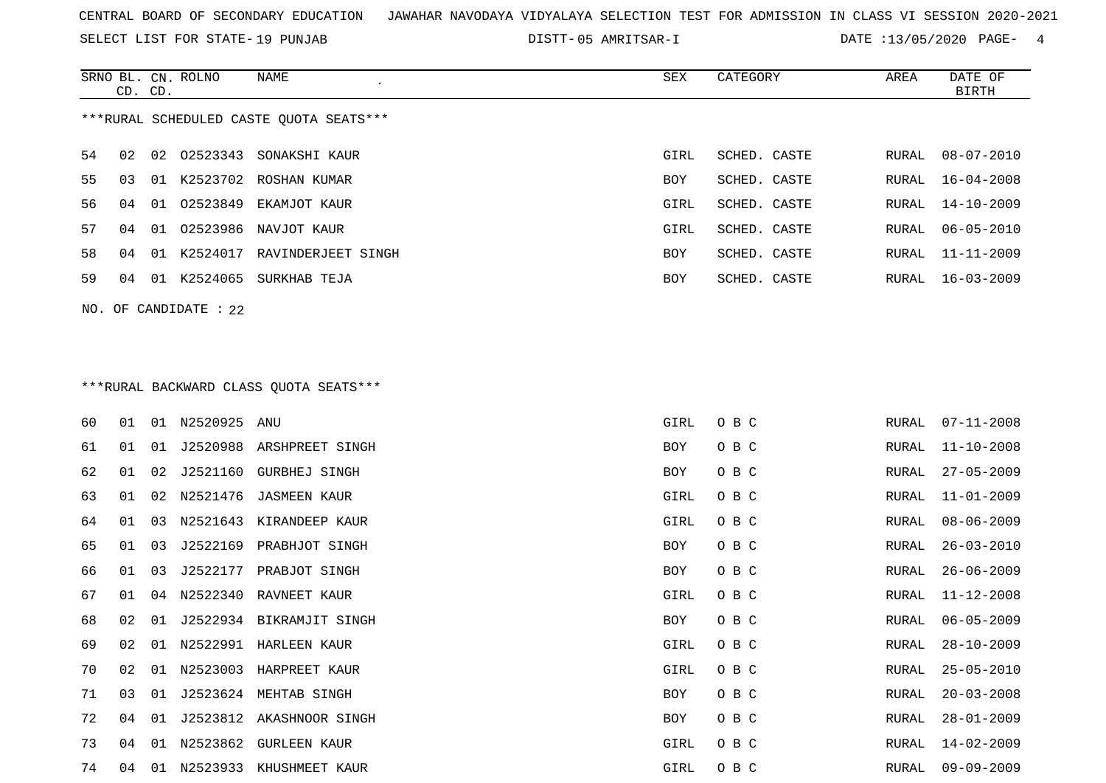SELECT LIST FOR STATE- DISTT- 19 PUNJAB

05 AMRITSAR-I DATE :13/05/2020 PAGE- 4

|                                         | CD. CD.                 |     | SRNO BL. CN. ROLNO | NAME               | SEX        | CATEGORY     | AREA  | DATE OF<br>BIRTH |  |
|-----------------------------------------|-------------------------|-----|--------------------|--------------------|------------|--------------|-------|------------------|--|
| ***RURAL SCHEDULED CASTE OUOTA SEATS*** |                         |     |                    |                    |            |              |       |                  |  |
| 54                                      | 02                      |     | 02 02523343        | SONAKSHI KAUR      | GIRL       | SCHED. CASTE | RURAL | $08 - 07 - 2010$ |  |
| 55                                      | 03                      | O 1 | K2523702           | ROSHAN KUMAR       | <b>BOY</b> | SCHED. CASTE | RURAL | $16 - 04 - 2008$ |  |
| 56                                      | 04                      | 01  | 02523849           | EKAMJOT KAUR       | GIRL       | SCHED. CASTE |       | RURAL 14-10-2009 |  |
| 57                                      | 04                      | 01  | 02523986           | NAVJOT KAUR        | GIRL       | SCHED. CASTE | RURAL | 06-05-2010       |  |
| 58                                      | 04                      | 01  | K2524017           | RAVINDERJEET SINGH | <b>BOY</b> | SCHED. CASTE | RURAL | $11 - 11 - 2009$ |  |
| 59                                      | 04                      | 01  | K2524065           | SURKHAB TEJA       | <b>BOY</b> | SCHED. CASTE | RURAL | $16 - 03 - 2009$ |  |
|                                         | $NO.$ OF CANDIDATE : 22 |     |                    |                    |            |              |       |                  |  |

## \*\*\*RURAL BACKWARD CLASS QUOTA SEATS\*\*\*

| 60 | 01 | 01 | N2520925 ANU |                          | GIRL | O B C | RURAL | $07 - 11 - 2008$ |
|----|----|----|--------------|--------------------------|------|-------|-------|------------------|
| 61 | 01 | 01 |              | J2520988 ARSHPREET SINGH | BOY  | O B C | RURAL | $11 - 10 - 2008$ |
| 62 | 01 | 02 | J2521160     | GURBHEJ SINGH            | BOY  | O B C | RURAL | $27 - 05 - 2009$ |
| 63 | 01 | 02 |              | N2521476 JASMEEN KAUR    | GIRL | O B C | RURAL | $11 - 01 - 2009$ |
| 64 | 01 | 03 | N2521643     | KIRANDEEP KAUR           | GIRL | O B C | RURAL | $08 - 06 - 2009$ |
| 65 | 01 | 03 | J2522169     | PRABHJOT SINGH           | BOY  | O B C | RURAL | $26 - 03 - 2010$ |
| 66 | 01 | 03 | J2522177     | PRABJOT SINGH            | BOY  | O B C | RURAL | $26 - 06 - 2009$ |
| 67 | 01 | 04 |              | N2522340 RAVNEET KAUR    | GIRL | O B C | RURAL | $11 - 12 - 2008$ |
| 68 | 02 | 01 |              | J2522934 BIKRAMJIT SINGH | BOY  | O B C | RURAL | $06 - 05 - 2009$ |
| 69 | 02 | 01 |              | N2522991 HARLEEN KAUR    | GIRL | O B C | RURAL | $28 - 10 - 2009$ |
| 70 | 02 | 01 |              | N2523003 HARPREET KAUR   | GIRL | O B C | RURAL | $25 - 05 - 2010$ |
| 71 | 03 | 01 |              | J2523624 MEHTAB SINGH    | BOY  | O B C | RURAL | $20 - 03 - 2008$ |
| 72 | 04 | 01 |              | J2523812 AKASHNOOR SINGH | BOY  | O B C | RURAL | $28 - 01 - 2009$ |
| 73 | 04 | 01 | N2523862     | <b>GURLEEN KAUR</b>      | GIRL | O B C | RURAL | 14-02-2009       |
| 74 | 04 | 01 | N2523933     | KHUSHMEET KAUR           | GIRL | O B C | RURAL | $09 - 09 - 2009$ |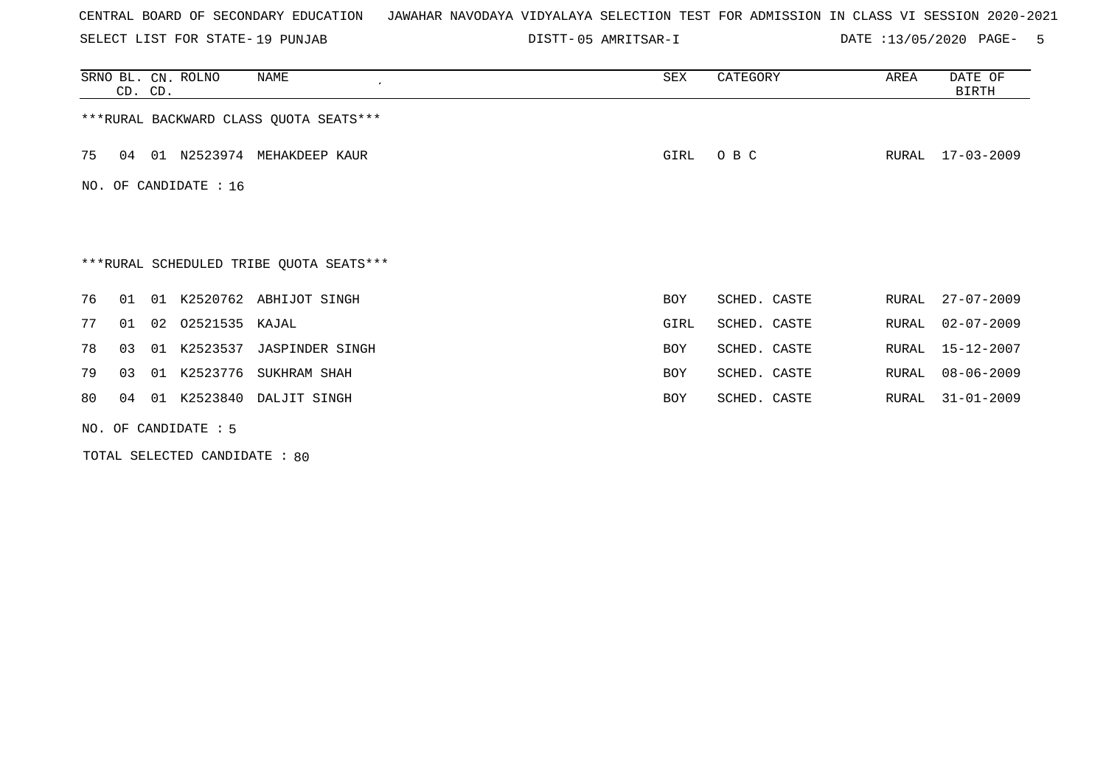SELECT LIST FOR STATE- DISTT- 19 PUNJAB

05 AMRITSAR-I DATE :13/05/2020 PAGE- 5

|    | CD. CD.                |    | SRNO BL. CN. ROLNO    | NAME                                    | SEX  | CATEGORY     | AREA  | DATE OF<br><b>BIRTH</b> |  |
|----|------------------------|----|-----------------------|-----------------------------------------|------|--------------|-------|-------------------------|--|
|    |                        |    |                       | *** RURAL BACKWARD CLASS QUOTA SEATS*** |      |              |       |                         |  |
| 75 | 04                     |    |                       | 01 N2523974 MEHAKDEEP KAUR              | GIRL | O B C        | RURAL | 17-03-2009              |  |
|    |                        |    | NO. OF CANDIDATE : 16 |                                         |      |              |       |                         |  |
|    |                        |    |                       |                                         |      |              |       |                         |  |
|    |                        |    |                       | ***RURAL SCHEDULED TRIBE QUOTA SEATS*** |      |              |       |                         |  |
| 76 | 01                     | 01 |                       | K2520762 ABHIJOT SINGH                  | BOY  | SCHED. CASTE | RURAL | $27 - 07 - 2009$        |  |
| 77 | 01                     |    | 02 02521535 KAJAL     |                                         | GIRL | SCHED. CASTE | RURAL | $02 - 07 - 2009$        |  |
| 78 | 03                     | 01 | K2523537              | JASPINDER SINGH                         | BOY  | SCHED. CASTE | RURAL | 15-12-2007              |  |
| 79 | 03                     | 01 |                       | K2523776 SUKHRAM SHAH                   | BOY  | SCHED. CASTE | RURAL | $08 - 06 - 2009$        |  |
| 80 | 04                     | 01 | K2523840              | DALJIT SINGH                            | BOY  | SCHED. CASTE | RURAL | $31 - 01 - 2009$        |  |
|    | NO. OF CANDIDATE $: 5$ |    |                       |                                         |      |              |       |                         |  |

TOTAL SELECTED CANDIDATE : 80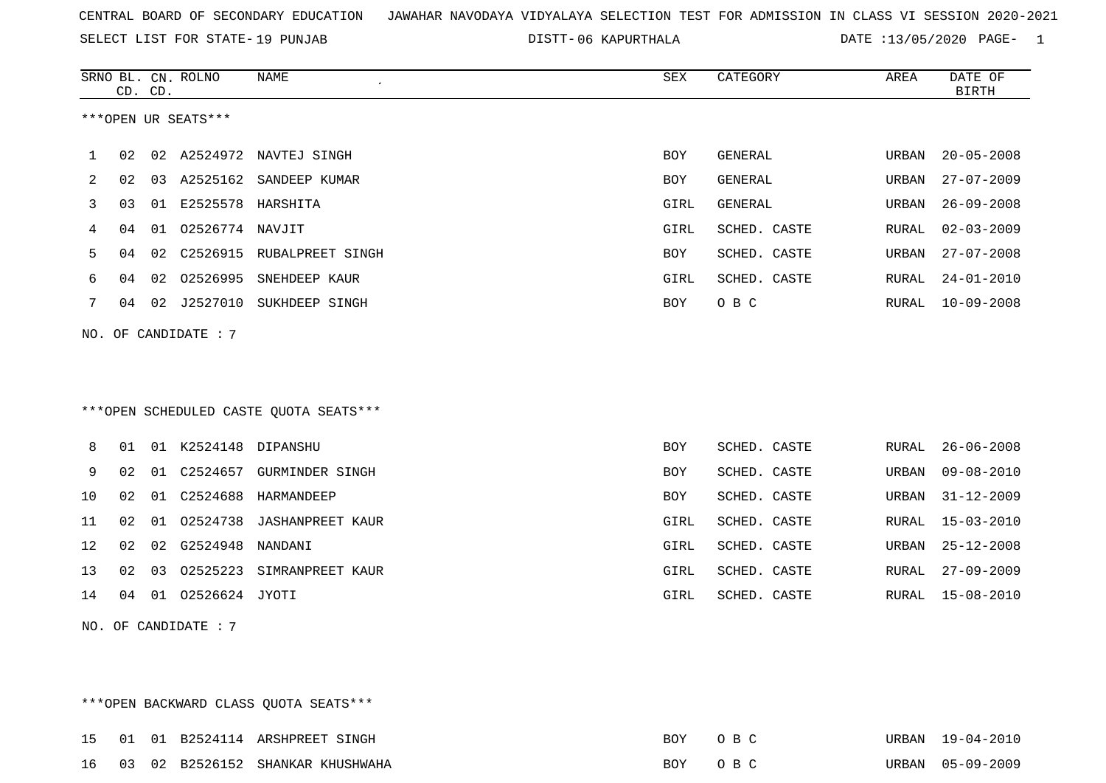SELECT LIST FOR STATE- DISTT- 19 PUNJAB

\*\*\*OPEN BACKWARD CLASS QUOTA SEATS\*\*\*

06 KAPURTHALA DATE :13/05/2020 PAGE- 1

|    |    | CD. CD. | SRNO BL. CN. ROLNO   | <b>NAME</b>                            | ${\tt SEX}$ | CATEGORY       | AREA  | DATE OF<br><b>BIRTH</b> |
|----|----|---------|----------------------|----------------------------------------|-------------|----------------|-------|-------------------------|
|    |    |         | ***OPEN UR SEATS***  |                                        |             |                |       |                         |
| 1  | 02 |         |                      | 02 A2524972 NAVTEJ SINGH               | <b>BOY</b>  | <b>GENERAL</b> | URBAN | $20 - 05 - 2008$        |
| 2  | 02 |         | 03 A2525162          | SANDEEP KUMAR                          | BOY         | GENERAL        | URBAN | $27 - 07 - 2009$        |
| 3  | 03 |         | 01 E2525578 HARSHITA |                                        | GIRL        | GENERAL        | URBAN | $26 - 09 - 2008$        |
| 4  | 04 | 01      | 02526774 NAVJIT      |                                        | GIRL        | SCHED. CASTE   | RURAL | $02 - 03 - 2009$        |
| 5  | 04 | 02      |                      | C2526915 RUBALPREET SINGH              | BOY         | SCHED. CASTE   | URBAN | $27 - 07 - 2008$        |
| 6  | 04 | 02      | 02526995             | SNEHDEEP KAUR                          | GIRL        | SCHED. CASTE   | RURAL | $24 - 01 - 2010$        |
| 7  | 04 |         |                      | 02 J2527010 SUKHDEEP SINGH             | BOY         | O B C          | RURAL | $10 - 09 - 2008$        |
|    |    |         | NO. OF CANDIDATE : 7 | ***OPEN SCHEDULED CASTE QUOTA SEATS*** |             |                |       |                         |
| 8  | 01 |         | 01 K2524148 DIPANSHU |                                        | BOY         | SCHED. CASTE   | RURAL | $26 - 06 - 2008$        |
| 9  | 02 | 01      | C2524657             | <b>GURMINDER SINGH</b>                 | <b>BOY</b>  | SCHED. CASTE   | URBAN | $09 - 08 - 2010$        |
| 10 | 02 |         |                      |                                        | <b>BOY</b>  | SCHED. CASTE   | URBAN | $31 - 12 - 2009$        |
| 11 | 02 | 01      |                      | 02524738 JASHANPREET KAUR              | GIRL        | SCHED. CASTE   | RURAL | $15 - 03 - 2010$        |
| 12 | 02 | 02      | G2524948             | NANDANI                                | GIRL        | SCHED. CASTE   | URBAN | $25 - 12 - 2008$        |
| 13 | 02 | 03      | 02525223             | SIMRANPREET KAUR                       | GIRL        | SCHED. CASTE   | RURAL | $27 - 09 - 2009$        |
| 14 | 04 |         | 01 02526624 JYOTI    |                                        | GIRL        | SCHED. CASTE   | RURAL | $15 - 08 - 2010$        |
|    |    |         | NO. OF CANDIDATE : 7 |                                        |             |                |       |                         |

15 01 01 B2524114 ARSHPREET SINGH BOY O B C URBAN 19-04-2010 16 03 02 B2526152 SHANKAR KHUSHWAHA BOY O B C URBAN 05-09-2009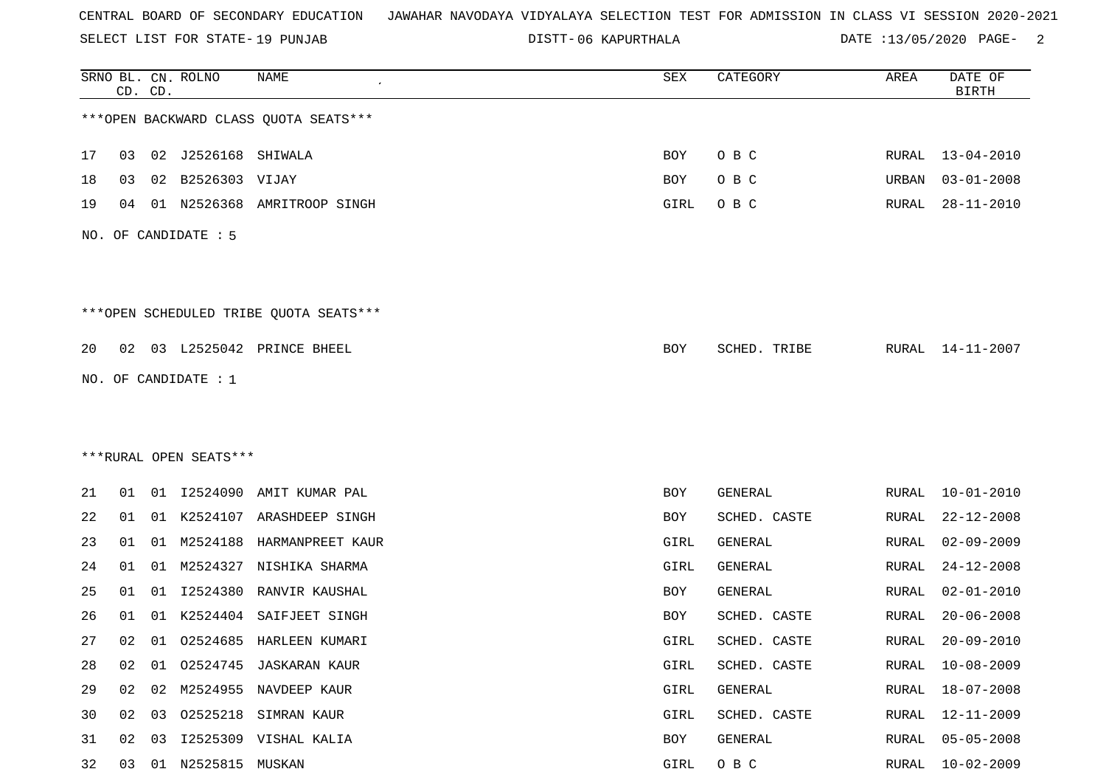SELECT LIST FOR STATE- DISTT- 19 PUNJAB

06 KAPURTHALA DATE :13/05/2020 PAGE- 2

|    |    | CD. CD. | SRNO BL. CN. ROLNO     | NAME                                   | SEX        | CATEGORY     | AREA         | DATE OF<br><b>BIRTH</b> |
|----|----|---------|------------------------|----------------------------------------|------------|--------------|--------------|-------------------------|
|    |    |         |                        | *** OPEN BACKWARD CLASS QUOTA SEATS*** |            |              |              |                         |
| 17 | 03 |         | 02 J2526168 SHIWALA    |                                        | BOY        | O B C        |              | RURAL 13-04-2010        |
| 18 | 03 | 02      | B2526303 VIJAY         |                                        | <b>BOY</b> | O B C        | URBAN        | $03 - 01 - 2008$        |
| 19 | 04 |         |                        | 01 N2526368 AMRITROOP SINGH            | GIRL       | O B C        | RURAL        | $28 - 11 - 2010$        |
|    |    |         | NO. OF CANDIDATE : 5   |                                        |            |              |              |                         |
|    |    |         |                        | ***OPEN SCHEDULED TRIBE QUOTA SEATS*** |            |              |              |                         |
| 20 |    |         |                        | 02 03 L2525042 PRINCE BHEEL            | BOY        | SCHED. TRIBE | RURAL        | 14-11-2007              |
|    |    |         | NO. OF CANDIDATE : 1   |                                        |            |              |              |                         |
|    |    |         |                        |                                        |            |              |              |                         |
|    |    |         |                        |                                        |            |              |              |                         |
|    |    |         | ***RURAL OPEN SEATS*** |                                        |            |              |              |                         |
| 21 | 01 |         |                        | 01 I2524090 AMIT KUMAR PAL             | BOY        | GENERAL      | RURAL        | $10 - 01 - 2010$        |
| 22 | 01 |         |                        | 01 K2524107 ARASHDEEP SINGH            | BOY        | SCHED. CASTE | RURAL        | $22 - 12 - 2008$        |
| 23 | 01 | 01      | M2524188               | HARMANPREET KAUR                       | GIRL       | GENERAL      | RURAL        | $02 - 09 - 2009$        |
| 24 | 01 | 01      | M2524327               | NISHIKA SHARMA                         | GIRL       | GENERAL      | RURAL        | $24 - 12 - 2008$        |
| 25 | 01 | 01      |                        | 12524380 RANVIR KAUSHAL                | BOY        | GENERAL      | <b>RURAL</b> | $02 - 01 - 2010$        |
| 26 | 01 | 01      | K2524404               | SAIFJEET SINGH                         | BOY        | SCHED. CASTE | RURAL        | $20 - 06 - 2008$        |
| 27 | 02 |         |                        | 01 02524685 HARLEEN KUMARI             | GIRL       | SCHED. CASTE | RURAL        | $20 - 09 - 2010$        |
| 28 | 02 | 01      |                        | 02524745 JASKARAN KAUR                 | GIRL       | SCHED. CASTE | <b>RURAL</b> | $10 - 08 - 2009$        |
| 29 | 02 | 02      |                        | M2524955 NAVDEEP KAUR                  | GIRL       | GENERAL      | RURAL        | $18 - 07 - 2008$        |
| 30 | 02 | 03      |                        | 02525218 SIMRAN KAUR                   | GIRL       | SCHED. CASTE | RURAL        | 12-11-2009              |
| 31 | 02 | 03      |                        | I2525309 VISHAL KALIA                  | BOY        | GENERAL      | <b>RURAL</b> | $05 - 05 - 2008$        |
| 32 | 03 | 01      | N2525815 MUSKAN        |                                        | GIRL       | $O$ B $C$    | <b>RURAL</b> | $10 - 02 - 2009$        |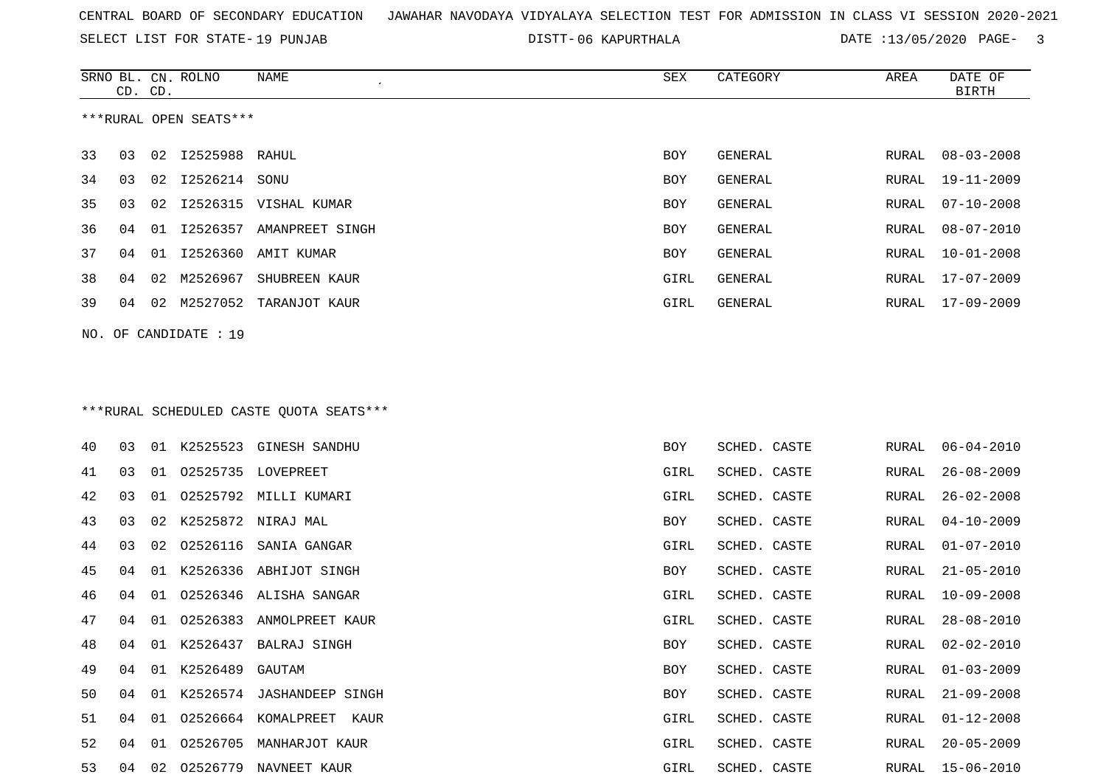SELECT LIST FOR STATE- DISTT- 19 PUNJAB

06 KAPURTHALA DATE :13/05/2020 PAGE- 3

|    |    | CD. CD. | SRNO BL. CN. ROLNO     | NAME                                     | SEX        | CATEGORY       | AREA         | DATE OF<br><b>BIRTH</b> |
|----|----|---------|------------------------|------------------------------------------|------------|----------------|--------------|-------------------------|
|    |    |         | ***RURAL OPEN SEATS*** |                                          |            |                |              |                         |
| 33 | 03 |         | 02 12525988 RAHUL      |                                          | BOY        | GENERAL        | RURAL        | $08 - 03 - 2008$        |
| 34 | 03 |         | 02 12526214 SONU       |                                          | BOY        | GENERAL        | RURAL        | $19 - 11 - 2009$        |
| 35 | 03 | 02      |                        | I2526315 VISHAL KUMAR                    | <b>BOY</b> | GENERAL        | RURAL        | $07 - 10 - 2008$        |
| 36 | 04 | 01      |                        | I2526357 AMANPREET SINGH                 | <b>BOY</b> | <b>GENERAL</b> | RURAL        | $08 - 07 - 2010$        |
| 37 | 04 | 01      | I2526360               | AMIT KUMAR                               | BOY        | GENERAL        | RURAL        | $10 - 01 - 2008$        |
| 38 | 04 | 02      | M2526967               | SHUBREEN KAUR                            | GIRL       | <b>GENERAL</b> | RURAL        | $17 - 07 - 2009$        |
| 39 | 04 |         |                        | 02 M2527052 TARANJOT KAUR                | GIRL       | GENERAL        | RURAL        | 17-09-2009              |
|    |    |         | NO. OF CANDIDATE : 19  |                                          |            |                |              |                         |
|    |    |         |                        |                                          |            |                |              |                         |
|    |    |         |                        |                                          |            |                |              |                         |
|    |    |         |                        | *** RURAL SCHEDULED CASTE QUOTA SEATS*** |            |                |              |                         |
| 40 | 03 |         |                        | 01 K2525523 GINESH SANDHU                | BOY        | SCHED. CASTE   | RURAL        | $06 - 04 - 2010$        |
| 41 | 03 | 01      |                        | 02525735 LOVEPREET                       | GIRL       | SCHED. CASTE   | RURAL        | $26 - 08 - 2009$        |
| 42 | 03 | 01      |                        | 02525792 MILLI KUMARI                    | GIRL       | SCHED. CASTE   | <b>RURAL</b> | $26 - 02 - 2008$        |
| 43 | 03 | 02      |                        | K2525872 NIRAJ MAL                       | BOY        | SCHED. CASTE   | RURAL        | $04 - 10 - 2009$        |
| 44 | 03 | 02      | 02526116               | SANIA GANGAR                             | GIRL       | SCHED. CASTE   | RURAL        | $01 - 07 - 2010$        |
| 45 | 04 | 01      |                        | K2526336 ABHIJOT SINGH                   | BOY        | SCHED. CASTE   | RURAL        | $21 - 05 - 2010$        |
| 46 | 04 | 01      |                        | 02526346 ALISHA SANGAR                   | GIRL       | SCHED. CASTE   | RURAL        | $10 - 09 - 2008$        |
| 47 | 04 | 01      |                        | 02526383 ANMOLPREET KAUR                 | GIRL       | SCHED. CASTE   | RURAL        | $28 - 08 - 2010$        |
| 48 | 04 |         |                        | 01 K2526437 BALRAJ SINGH                 | BOY        | SCHED. CASTE   | RURAL        | $02 - 02 - 2010$        |
| 49 | 04 | 01      | K2526489               | GAUTAM                                   | BOY        | SCHED. CASTE   | RURAL        | $01 - 03 - 2009$        |
| 50 | 04 |         |                        | 01 K2526574 JASHANDEEP SINGH             | BOY        | SCHED. CASTE   | RURAL        | $21 - 09 - 2008$        |
| 51 | 04 | 01      |                        | 02526664 KOMALPREET<br>KAUR              | GIRL       | SCHED. CASTE   | RURAL        | $01 - 12 - 2008$        |
| 52 | 04 | 01      |                        | 02526705 MANHARJOT KAUR                  | GIRL       | SCHED. CASTE   | RURAL        | $20 - 05 - 2009$        |
| 53 | 04 |         |                        | 02 02526779 NAVNEET KAUR                 | GIRL       | SCHED. CASTE   |              | RURAL 15-06-2010        |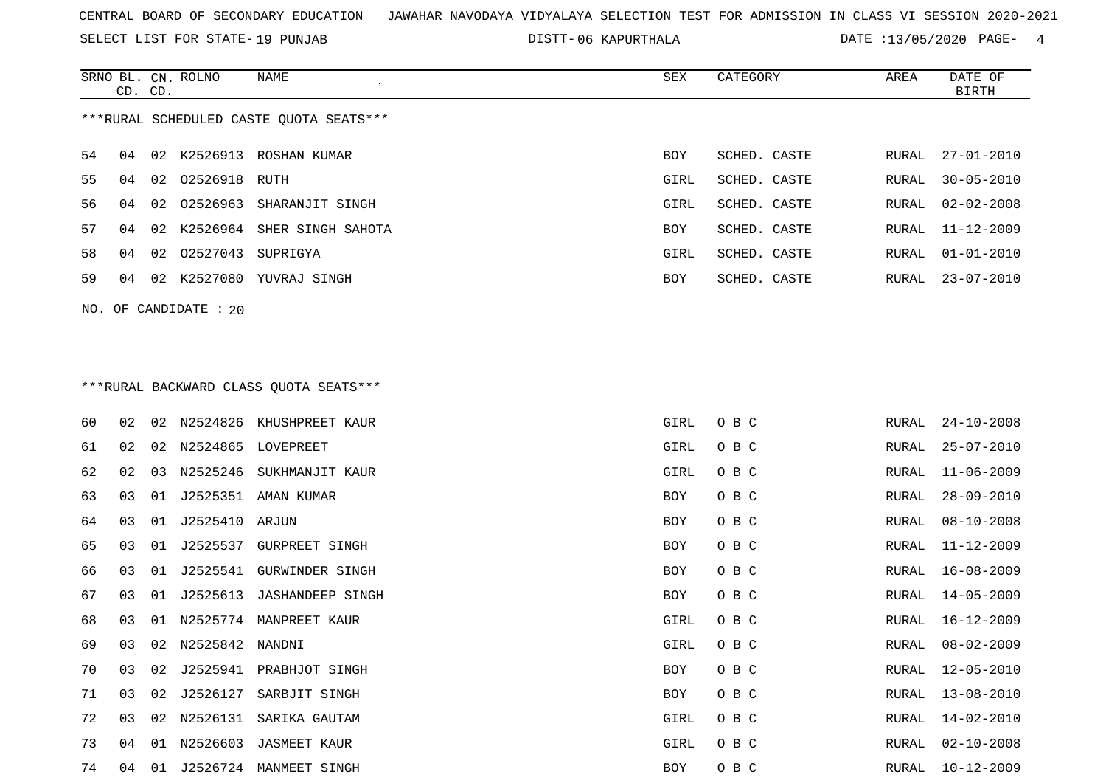SELECT LIST FOR STATE- DISTT- 19 PUNJAB

06 KAPURTHALA DATE :13/05/2020 PAGE- 4

|    | CD. CD. |    | SRNO BL. CN. ROLNO    | NAME                                    | SEX  | CATEGORY     | AREA  | DATE OF<br>BIRTH |
|----|---------|----|-----------------------|-----------------------------------------|------|--------------|-------|------------------|
|    |         |    |                       | ***RURAL SCHEDULED CASTE OUOTA SEATS*** |      |              |       |                  |
| 54 | 04      |    |                       | 02 K2526913 ROSHAN KUMAR                | BOY  | SCHED. CASTE | RURAL | 27-01-2010       |
| 55 | 04      |    | 02 02526918 RUTH      |                                         | GIRL | SCHED. CASTE | RURAL | $30 - 05 - 2010$ |
| 56 | 04      | 02 |                       | 02526963 SHARANJIT SINGH                | GIRL | SCHED. CASTE | RURAL | $02 - 02 - 2008$ |
| 57 | 04      |    |                       | 02 K2526964 SHER SINGH SAHOTA           | BOY  | SCHED. CASTE | RURAL | 11-12-2009       |
| 58 | 04      |    | 02 02527043 SUPRIGYA  |                                         | GIRL | SCHED. CASTE | RURAL | $01 - 01 - 2010$ |
| 59 | 04      |    |                       | 02 K2527080 YUVRAJ SINGH                | BOY  | SCHED. CASTE |       | RURAL 23-07-2010 |
|    |         |    | NO. OF CANDIDATE : 20 |                                         |      |              |       |                  |

## \*\*\*RURAL BACKWARD CLASS QUOTA SEATS\*\*\*

| 60 | 02 | 02 |                | N2524826 KHUSHPREET KAUR | GIRL       | O B C | RURAL | $24 - 10 - 2008$ |
|----|----|----|----------------|--------------------------|------------|-------|-------|------------------|
| 61 | 02 | 02 |                | N2524865 LOVEPREET       | GIRL       | O B C | RURAL | $25 - 07 - 2010$ |
| 62 | 02 | 03 | N2525246       | SUKHMANJIT KAUR          | GIRL       | O B C | RURAL | $11 - 06 - 2009$ |
| 63 | 03 | 01 | J2525351       | AMAN KUMAR               | BOY        | O B C | RURAL | $28 - 09 - 2010$ |
| 64 | 03 | 01 | J2525410 ARJUN |                          | <b>BOY</b> | O B C | RURAL | $08 - 10 - 2008$ |
| 65 | 03 | 01 | J2525537       | GURPREET SINGH           | <b>BOY</b> | O B C | RURAL | $11 - 12 - 2009$ |
| 66 | 03 | 01 | J2525541       | GURWINDER SINGH          | <b>BOY</b> | O B C | RURAL | $16 - 08 - 2009$ |
| 67 | 03 | 01 | J2525613       | JASHANDEEP SINGH         | BOY        | O B C | RURAL | $14 - 05 - 2009$ |
| 68 | 03 | 01 | N2525774       | MANPREET KAUR            | GIRL       | O B C | RURAL | $16 - 12 - 2009$ |
| 69 | 03 | 02 | N2525842       | NANDNI                   | GIRL       | O B C | RURAL | $08 - 02 - 2009$ |
| 70 | 03 | 02 | J2525941       | PRABHJOT SINGH           | <b>BOY</b> | O B C | RURAL | $12 - 05 - 2010$ |
| 71 | 03 | 02 | J2526127       | SARBJIT SINGH            | BOY        | O B C | RURAL | 13-08-2010       |
| 72 | 03 | 02 | N2526131       | SARIKA GAUTAM            | GIRL       | O B C | RURAL | $14 - 02 - 2010$ |
| 73 | 04 | 01 | N2526603       | JASMEET KAUR             | GIRL       | O B C | RURAL | $02 - 10 - 2008$ |
| 74 | 04 | 01 | J2526724       | MANMEET SINGH            | BOY        | O B C | RURAL | $10 - 12 - 2009$ |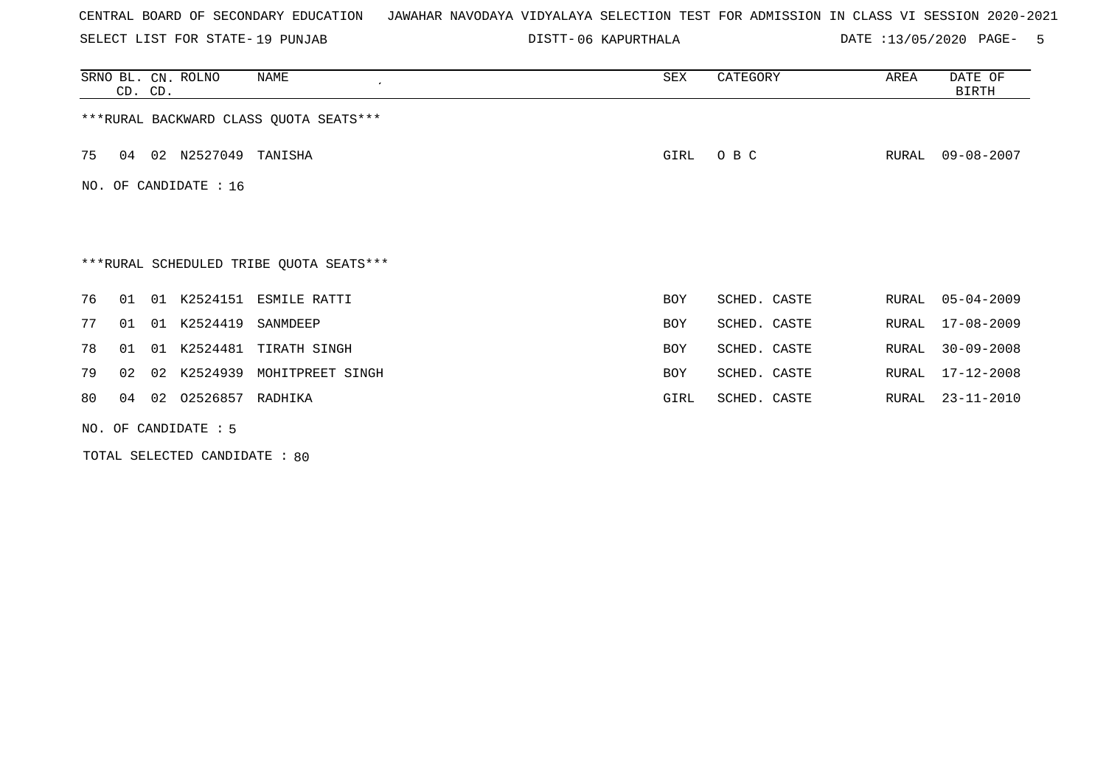SELECT LIST FOR STATE- DISTT- 19 PUNJAB

06 KAPURTHALA DATE :13/05/2020 PAGE- 5

|    | CD. CD.                                 |  | SRNO BL. CN. ROLNO     | NAME<br>$\cdot$                         | SEX        | CATEGORY     | AREA  | DATE OF<br><b>BIRTH</b> |  |  |
|----|-----------------------------------------|--|------------------------|-----------------------------------------|------------|--------------|-------|-------------------------|--|--|
|    | *** RURAL BACKWARD CLASS QUOTA SEATS*** |  |                        |                                         |            |              |       |                         |  |  |
| 75 | 04                                      |  | 02 N2527049            | TANISHA                                 | GIRL       | O B C        | RURAL | $09 - 08 - 2007$        |  |  |
|    |                                         |  | NO. OF CANDIDATE : 16  |                                         |            |              |       |                         |  |  |
|    |                                         |  |                        |                                         |            |              |       |                         |  |  |
|    |                                         |  |                        | ***RURAL SCHEDULED TRIBE QUOTA SEATS*** |            |              |       |                         |  |  |
| 76 | 01                                      |  |                        | 01 K2524151 ESMILE RATTI                | BOY        | SCHED. CASTE | RURAL | $05 - 04 - 2009$        |  |  |
| 77 | 01                                      |  | 01 K2524419            | SANMDEEP                                | <b>BOY</b> | SCHED. CASTE | RURAL | $17 - 08 - 2009$        |  |  |
| 78 | 01                                      |  |                        | 01 K2524481 TIRATH SINGH                | <b>BOY</b> | SCHED. CASTE | RURAL | $30 - 09 - 2008$        |  |  |
| 79 | 02                                      |  | 02 K2524939            | MOHITPREET SINGH                        | <b>BOY</b> | SCHED. CASTE | RURAL | $17 - 12 - 2008$        |  |  |
| 80 | 04                                      |  | 02 02526857            | RADHIKA                                 | GIRL       | SCHED. CASTE | RURAL | 23-11-2010              |  |  |
|    |                                         |  | NO. OF CANDIDATE $: 5$ |                                         |            |              |       |                         |  |  |

TOTAL SELECTED CANDIDATE : 80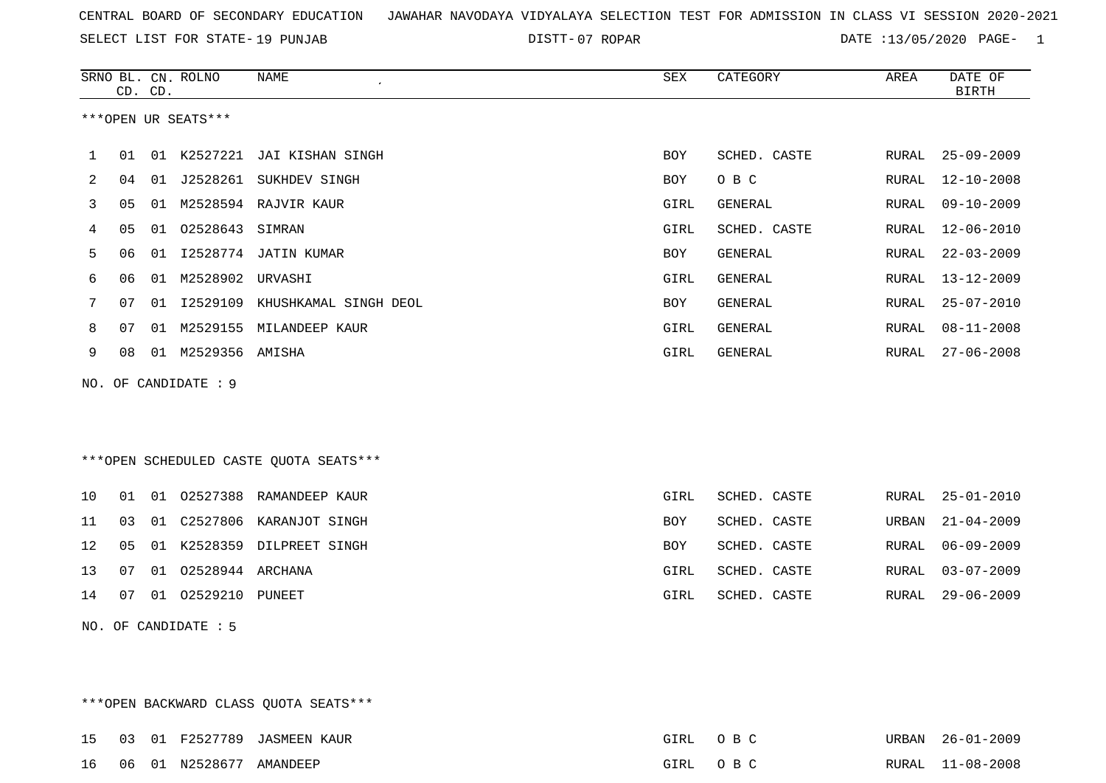SELECT LIST FOR STATE- DISTT- 19 PUNJAB

07 ROPAR DATE :13/05/2020 PAGE- 1

|     | CD. CD. |    | SRNO BL. CN. ROLNO   | NAME                                   | SEX         | CATEGORY       | AREA         | DATE OF<br><b>BIRTH</b> |
|-----|---------|----|----------------------|----------------------------------------|-------------|----------------|--------------|-------------------------|
|     |         |    | ***OPEN UR SEATS***  |                                        |             |                |              |                         |
| 1   | 01      |    |                      | 01 K2527221 JAI KISHAN SINGH           | BOY         | SCHED. CASTE   | RURAL        | $25 - 09 - 2009$        |
| 2   | 04      |    |                      | 01 J2528261 SUKHDEV SINGH              | BOY         | O B C          | RURAL        | $12 - 10 - 2008$        |
| 3   | 05      | 01 |                      | M2528594 RAJVIR KAUR                   | GIRL        | GENERAL        | RURAL        | $09 - 10 - 2009$        |
| 4   | 05      |    | 01 02528643 SIMRAN   |                                        | GIRL        | SCHED. CASTE   | RURAL        | $12 - 06 - 2010$        |
| 5   | 06      |    |                      | 01 I2528774 JATIN KUMAR                | <b>BOY</b>  | <b>GENERAL</b> | RURAL        | $22 - 03 - 2009$        |
| 6   | 06      |    | 01 M2528902 URVASHI  |                                        | GIRL        | GENERAL        | RURAL        | $13 - 12 - 2009$        |
| 7   | 07      |    | 01 12529109          | KHUSHKAMAL SINGH DEOL                  | <b>BOY</b>  | <b>GENERAL</b> | <b>RURAL</b> | $25 - 07 - 2010$        |
| 8   | 07      | 01 |                      | M2529155 MILANDEEP KAUR                | GIRL        | GENERAL        | RURAL        | $08 - 11 - 2008$        |
| 9   | 08      |    | 01 M2529356 AMISHA   |                                        | GIRL        | GENERAL        | RURAL        | $27 - 06 - 2008$        |
| NO. |         |    | OF CANDIDATE : 9     |                                        |             |                |              |                         |
|     |         |    |                      |                                        |             |                |              |                         |
|     |         |    |                      |                                        |             |                |              |                         |
|     |         |    |                      | ***OPEN SCHEDULED CASTE QUOTA SEATS*** |             |                |              |                         |
| 10  | 01      |    |                      | 01 02527388 RAMANDEEP KAUR             | <b>GIRL</b> | SCHED. CASTE   | RURAL        | $25 - 01 - 2010$        |
| 11  | 03      |    |                      | 01 C2527806 KARANJOT SINGH             | BOY         | SCHED. CASTE   | URBAN        | $21 - 04 - 2009$        |
| 12  | 05      |    |                      | 01 K2528359 DILPREET SINGH             | <b>BOY</b>  | SCHED. CASTE   | RURAL        | $06 - 09 - 2009$        |
| 13  | 07      |    | 01 02528944 ARCHANA  |                                        | GIRL        | SCHED. CASTE   | RURAL        | $03 - 07 - 2009$        |
| 14  | 07      |    | 01  02529210  PUNEET |                                        | GIRL        | SCHED. CASTE   | RURAL        | $29 - 06 - 2009$        |
|     |         |    | NO. OF CANDIDATE : 5 |                                        |             |                |              |                         |

\*\*\*OPEN BACKWARD CLASS QUOTA SEATS\*\*\* 15 03 01 F2527789 JASMEEN KAUR GIRL O B C URBAN 26-01-2009 16 06 01 N2528677 AMANDEEP GIRL O B C RURAL 11-08-2008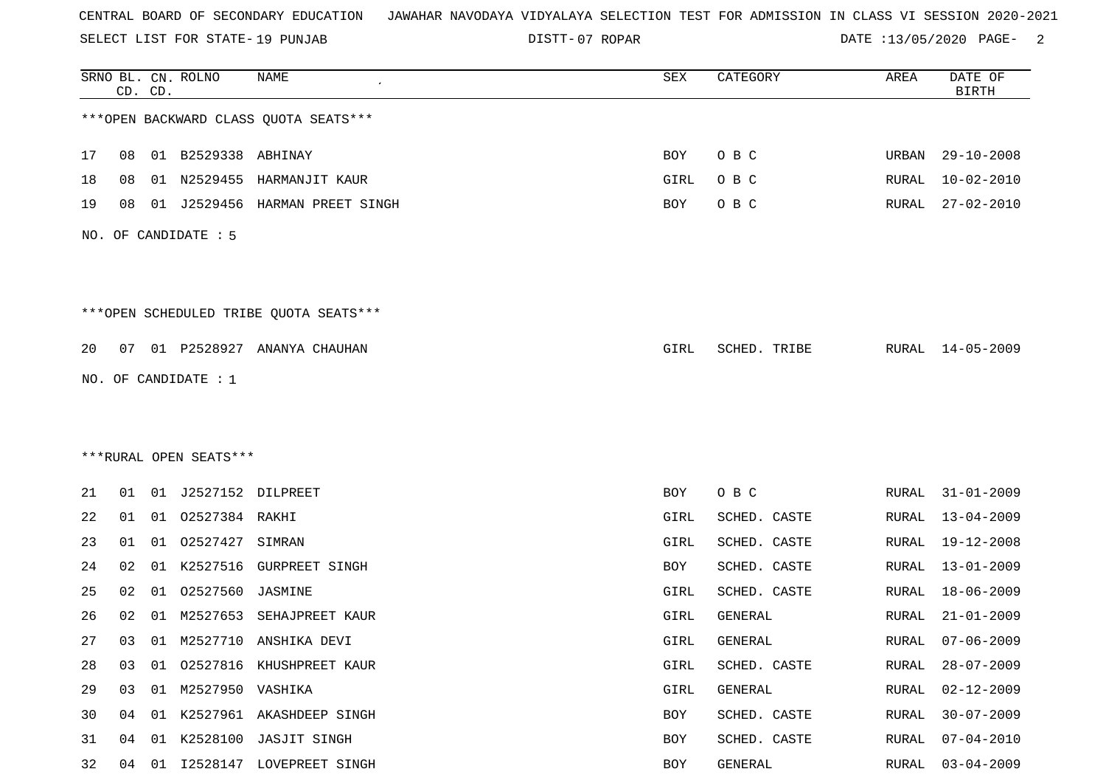SELECT LIST FOR STATE- DISTT- 19 PUNJAB

07 ROPAR DATE :13/05/2020 PAGE- 2

|    |    | CD. CD. | SRNO BL. CN. ROLNO     | <b>NAME</b>                            | SEX        | CATEGORY     | AREA         | DATE OF<br><b>BIRTH</b> |
|----|----|---------|------------------------|----------------------------------------|------------|--------------|--------------|-------------------------|
|    |    |         |                        | *** OPEN BACKWARD CLASS QUOTA SEATS*** |            |              |              |                         |
| 17 | 08 |         | 01 B2529338 ABHINAY    |                                        | BOY        | O B C        | URBAN        | $29 - 10 - 2008$        |
| 18 | 08 | 01      | N2529455               | HARMANJIT KAUR                         | GIRL       | O B C        | RURAL        | $10 - 02 - 2010$        |
| 19 | 08 | 01      | J2529456               | HARMAN PREET SINGH                     | BOY        | O B C        | RURAL        | $27 - 02 - 2010$        |
|    |    |         | NO. OF CANDIDATE : 5   |                                        |            |              |              |                         |
|    |    |         |                        | ***OPEN SCHEDULED TRIBE QUOTA SEATS*** |            |              |              |                         |
| 20 | 07 |         |                        | 01 P2528927 ANANYA CHAUHAN             | GIRL       | SCHED. TRIBE |              | RURAL 14-05-2009        |
|    |    |         | NO. OF CANDIDATE : 1   |                                        |            |              |              |                         |
|    |    |         |                        |                                        |            |              |              |                         |
|    |    |         |                        |                                        |            |              |              |                         |
|    |    |         | ***RURAL OPEN SEATS*** |                                        |            |              |              |                         |
| 21 | 01 | 01      | J2527152 DILPREET      |                                        | BOY        | O B C        | RURAL        | $31 - 01 - 2009$        |
| 22 | 01 | 01      | 02527384 RAKHI         |                                        | GIRL       | SCHED. CASTE | RURAL        | 13-04-2009              |
| 23 | 01 | 01      | 02527427               | SIMRAN                                 | GIRL       | SCHED. CASTE | <b>RURAL</b> | $19 - 12 - 2008$        |
| 24 | 02 | 01      | K2527516               | <b>GURPREET SINGH</b>                  | <b>BOY</b> | SCHED. CASTE | RURAL        | $13 - 01 - 2009$        |
| 25 | 02 | 01      | 02527560               | JASMINE                                | GIRL       | SCHED. CASTE | RURAL        | $18 - 06 - 2009$        |
| 26 | 02 | 01      | M2527653               | SEHAJPREET KAUR                        | GIRL       | GENERAL      | RURAL        | $21 - 01 - 2009$        |
| 27 | 03 |         |                        | 01 M2527710 ANSHIKA DEVI               | GIRL       | GENERAL      | RURAL        | $07 - 06 - 2009$        |
| 28 | 03 | 01      |                        | 02527816 KHUSHPREET KAUR               | GIRL       | SCHED. CASTE | RURAL        | $28 - 07 - 2009$        |
| 29 | 03 |         | 01 M2527950 VASHIKA    |                                        | GIRL       | GENERAL      | RURAL        | $02 - 12 - 2009$        |
| 30 | 04 |         |                        | 01 K2527961 AKASHDEEP SINGH            | BOY        | SCHED. CASTE | RURAL        | $30 - 07 - 2009$        |
| 31 | 04 | 01      |                        | K2528100 JASJIT SINGH                  | BOY        | SCHED. CASTE | RURAL        | $07 - 04 - 2010$        |
| 32 | 04 | 01      |                        | I2528147 LOVEPREET SINGH               | BOY        | GENERAL      | RURAL        | $03 - 04 - 2009$        |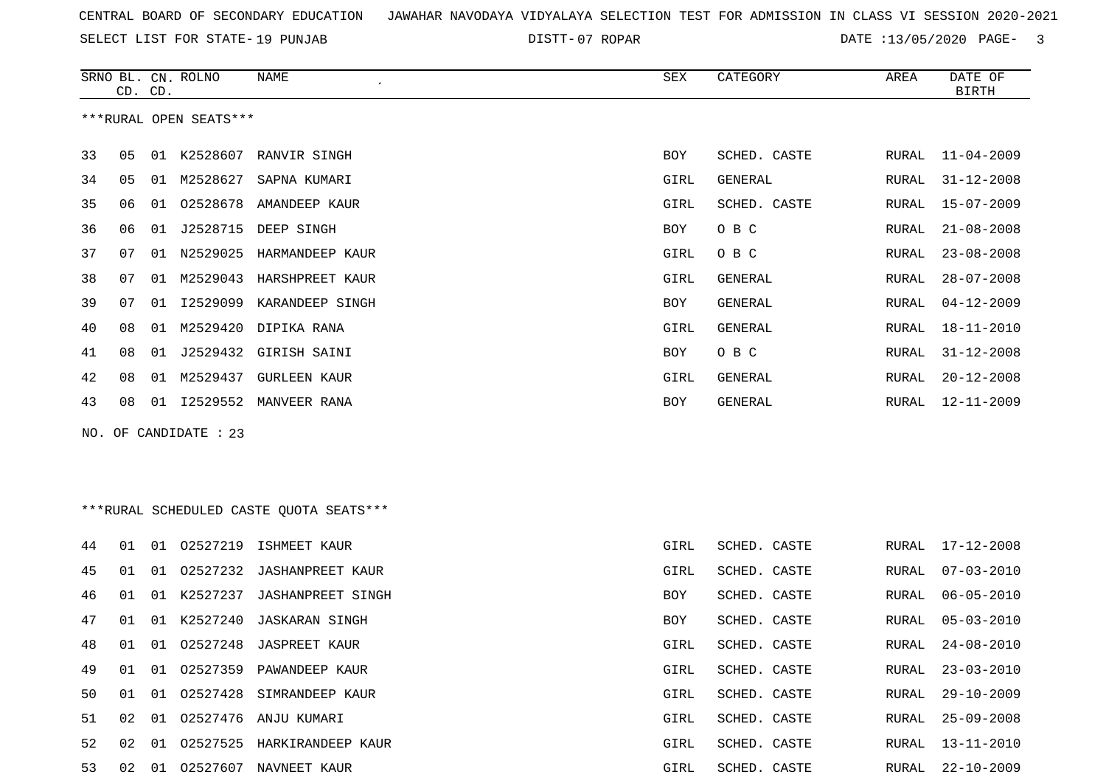SELECT LIST FOR STATE- DISTT- 19 PUNJAB

SRNO BL. CN.

ROLNO NAME SEX CATEGORY AREA DATE OF

07 ROPAR DATE :13/05/2020 PAGE- 3

|    | CD. CD. |    |                        |                                         |            |              |               | <b>BIRTH</b>     |
|----|---------|----|------------------------|-----------------------------------------|------------|--------------|---------------|------------------|
|    |         |    | ***RURAL OPEN SEATS*** |                                         |            |              |               |                  |
| 33 | 05      |    |                        | 01 K2528607 RANVIR SINGH                | BOY        | SCHED. CASTE | RURAL         | $11 - 04 - 2009$ |
| 34 | 05      | 01 | M2528627               | SAPNA KUMARI                            | GIRL       | GENERAL      | RURAL         | $31 - 12 - 2008$ |
| 35 | 06      | 01 | 02528678               | AMANDEEP KAUR                           | GIRL       | SCHED. CASTE | RURAL         | $15 - 07 - 2009$ |
| 36 | 06      | 01 | J2528715               | DEEP SINGH                              | BOY        | O B C        | RURAL         | $21 - 08 - 2008$ |
| 37 | 07      |    | 01 N2529025            | HARMANDEEP KAUR                         | GIRL       | O B C        | RURAL         | $23 - 08 - 2008$ |
| 38 | 07      | 01 |                        | M2529043 HARSHPREET KAUR                | GIRL       | GENERAL      | RURAL         | $28 - 07 - 2008$ |
| 39 | 07      | 01 |                        | 12529099 KARANDEEP SINGH                | BOY        | GENERAL      | RURAL         | $04 - 12 - 2009$ |
| 40 | 08      | 01 | M2529420               | DIPIKA RANA                             | GIRL       | GENERAL      | RURAL         | 18-11-2010       |
| 41 | 08      | 01 |                        | J2529432 GIRISH SAINI                   | BOY        | O B C        | RURAL         | $31 - 12 - 2008$ |
| 42 | 08      | 01 |                        | M2529437 GURLEEN KAUR                   | GIRL       | GENERAL      | RURAL         | $20 - 12 - 2008$ |
| 43 | 08      | 01 |                        | 12529552 MANVEER RANA                   | <b>BOY</b> | GENERAL      | RURAL         | $12 - 11 - 2009$ |
|    |         |    | NO. OF CANDIDATE : 23  |                                         |            |              |               |                  |
|    |         |    |                        |                                         |            |              |               |                  |
|    |         |    |                        |                                         |            |              |               |                  |
|    |         |    |                        | ***RURAL SCHEDULED CASTE QUOTA SEATS*** |            |              |               |                  |
| 44 | 01      |    |                        | 01 02527219 ISHMEET KAUR                | GIRL       | SCHED. CASTE | RURAL         | $17 - 12 - 2008$ |
| 45 | 01      | 01 |                        | 02527232 JASHANPREET KAUR               | GIRL       | SCHED. CASTE | RURAL         | $07 - 03 - 2010$ |
| 46 | 01      | 01 | K2527237               | <b>JASHANPREET SINGH</b>                | BOY        | SCHED. CASTE | RURAL         | $06 - 05 - 2010$ |
| 47 | 01      | 01 | K2527240               | JASKARAN SINGH                          | BOY        | SCHED. CASTE | RURAL         | $05 - 03 - 2010$ |
| 48 | 01      | 01 | 02527248               | <b>JASPREET KAUR</b>                    | GIRL       | SCHED. CASTE | RURAL         | $24 - 08 - 2010$ |
| 49 | 01      | 01 |                        | 02527359 PAWANDEEP KAUR                 | GIRL       | SCHED. CASTE | ${\tt RURAL}$ | $23 - 03 - 2010$ |
| 50 | 01      |    |                        | 01 02527428 SIMRANDEEP KAUR             | GIRL       | SCHED. CASTE |               | RURAL 29-10-2009 |
| 51 | 02      |    |                        | 01 02527476 ANJU KUMARI                 | GIRL       | SCHED. CASTE | RURAL         | 25-09-2008       |
| 52 | 02      |    |                        | 01 02527525 HARKIRANDEEP KAUR           | GIRL       | SCHED. CASTE | RURAL         | $13 - 11 - 2010$ |
| 53 | 02      |    |                        | 01 02527607 NAVNEET KAUR                | GIRL       | SCHED. CASTE | RURAL         | 22-10-2009       |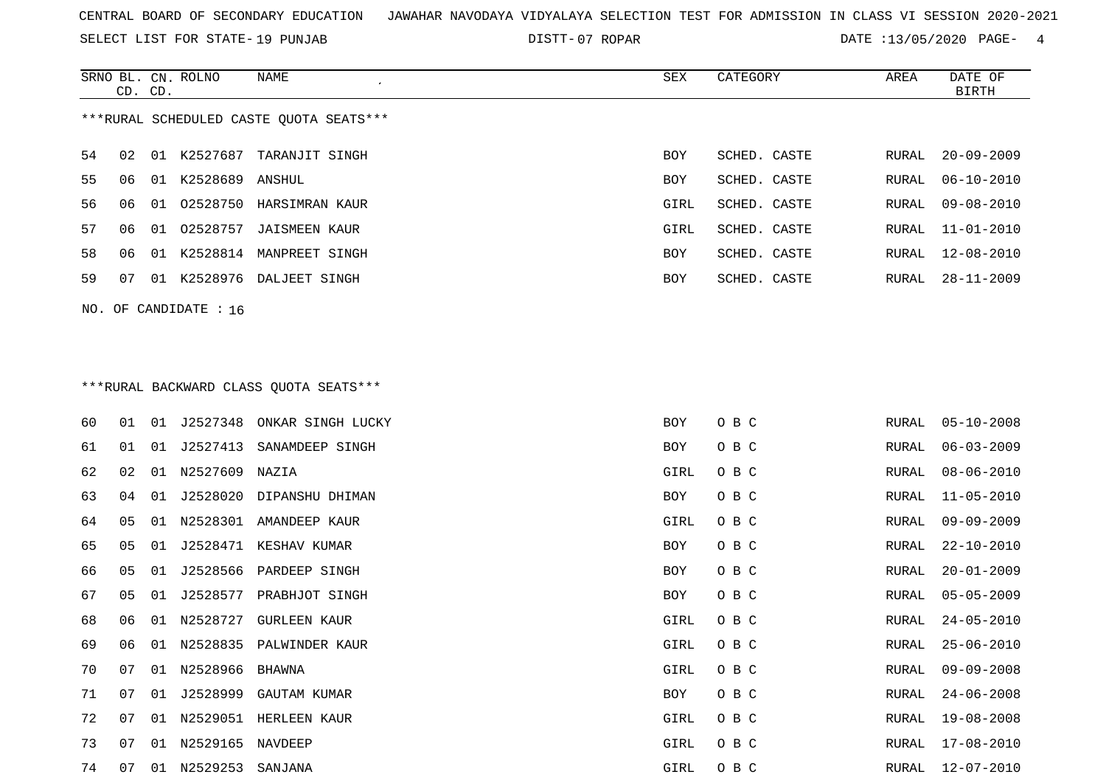SELECT LIST FOR STATE- DISTT- 19 PUNJAB

07 ROPAR DATE :13/05/2020 PAGE- 4

|     | CD. CD.        |    | SRNO BL. CN. ROLNO | NAME                                     | SEX        | CATEGORY     | AREA         | DATE OF<br><b>BIRTH</b> |
|-----|----------------|----|--------------------|------------------------------------------|------------|--------------|--------------|-------------------------|
|     |                |    |                    | *** RURAL SCHEDULED CASTE QUOTA SEATS*** |            |              |              |                         |
| 54  | 02             | 01 | K2527687           | TARANJIT SINGH                           | BOY        | SCHED. CASTE | RURAL        | $20 - 09 - 2009$        |
| 55  | 06             | 01 | K2528689           | ANSHUL                                   | <b>BOY</b> | SCHED. CASTE | RURAL        | $06 - 10 - 2010$        |
| 56  | 06             | 01 | 02528750           | HARSIMRAN KAUR                           | GIRL       | SCHED. CASTE | RURAL        | $09 - 08 - 2010$        |
| 57  | 06             | 01 | 02528757           | <b>JAISMEEN KAUR</b>                     | GIRL       | SCHED. CASTE | <b>RURAL</b> | $11 - 01 - 2010$        |
| 58  | 06             | 01 |                    | K2528814 MANPREET SINGH                  | BOY        | SCHED. CASTE | RURAL        | $12 - 08 - 2010$        |
| 59  | 07             | 01 | K2528976           | DALJEET SINGH                            | <b>BOY</b> | SCHED. CASTE | RURAL        | $28 - 11 - 2009$        |
| NO. |                |    | OF CANDIDATE : 16  |                                          |            |              |              |                         |
|     |                |    |                    |                                          |            |              |              |                         |
|     |                |    |                    |                                          |            |              |              |                         |
|     |                |    |                    |                                          |            |              |              |                         |
|     |                |    |                    | *** RURAL BACKWARD CLASS QUOTA SEATS***  |            |              |              |                         |
| 60  | 01             |    | 01 J2527348        | ONKAR SINGH LUCKY                        | BOY        | O B C        | RURAL        | $05 - 10 - 2008$        |
| 61  | 01             | 01 | J2527413           | SANAMDEEP SINGH                          | BOY        | O B C        | RURAL        | $06 - 03 - 2009$        |
| 62  | 02             | 01 | N2527609           | NAZIA                                    | GIRL       | O B C        | RURAL        | $08 - 06 - 2010$        |
| 63  | 04             | 01 | J2528020           | DIPANSHU DHIMAN                          | BOY        | O B C        | RURAL        | $11 - 05 - 2010$        |
| 64  | 05             | 01 | N2528301           | AMANDEEP KAUR                            | GIRL       | O B C        | RURAL        | $09 - 09 - 2009$        |
| 65  | 0 <sub>5</sub> | 01 | J2528471           | KESHAV KUMAR                             | <b>BOY</b> | O B C        | <b>RURAL</b> | $22 - 10 - 2010$        |
| 66  | 05             | 01 | J2528566           | PARDEEP SINGH                            | <b>BOY</b> | O B C        | RURAL        | $20 - 01 - 2009$        |
| 67  | 05             | 01 | J2528577           | PRABHJOT SINGH                           | BOY        | O B C        | RURAL        | $05 - 05 - 2009$        |

74 07 01 N2529253 SANJANA GIRL O B C RURAL 12-07-2010

72 07 01 N2529051 HERLEEN KAUR GIRL O B C

 06 01 N2528835 PALWINDER KAUR GIRL O B C RURAL 25-06-2010 07 01 N2528966 BHAWNA GIRL O B C RURAL 09-09-2008 07 01 J2528999 GAUTAM KUMAR BOY O B C RURAL 24-06-2008 RURAL 19-08-2008 07 01 N2529165 NAVDEEP GIRL O B C RURAL 17-08-2010RURAL 17-08-2010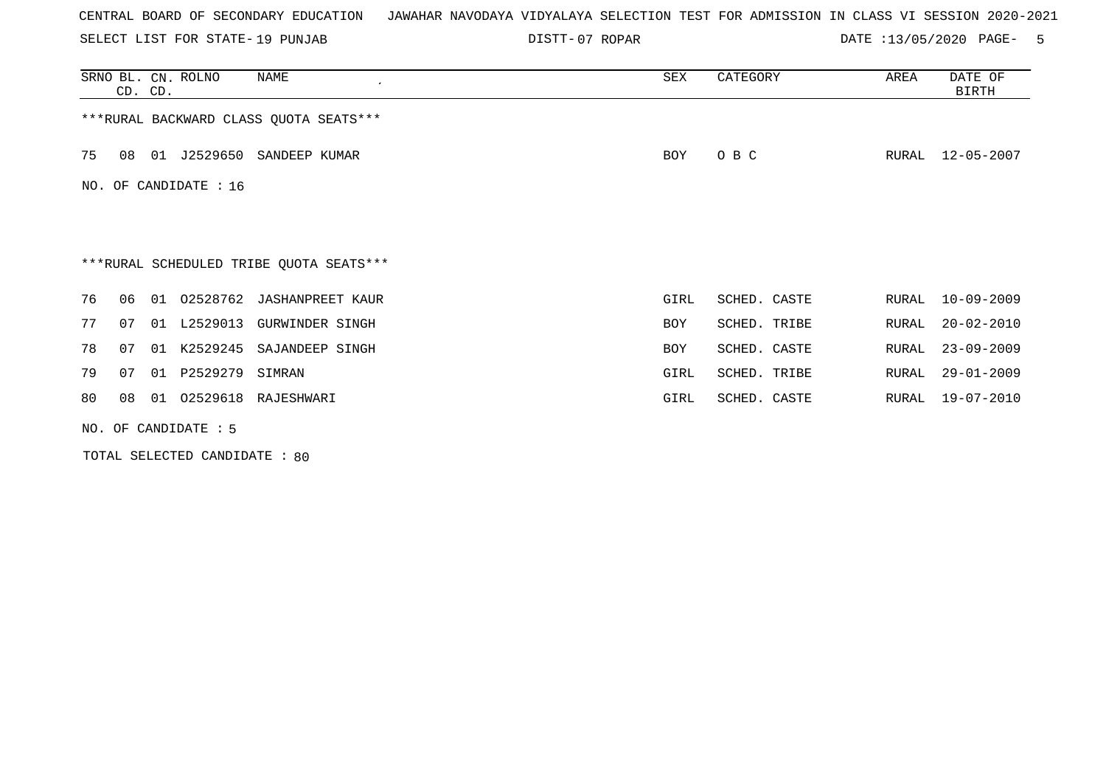SELECT LIST FOR STATE- DISTT- 19 PUNJAB

07 ROPAR DATE :13/05/2020 PAGE- 5

|     | CD. CD. |    | SRNO BL. CN. ROLNO     | NAME<br>$\cdot$                         | SEX        | CATEGORY     | AREA  | DATE OF<br><b>BIRTH</b> |
|-----|---------|----|------------------------|-----------------------------------------|------------|--------------|-------|-------------------------|
|     |         |    |                        | *** RURAL BACKWARD CLASS QUOTA SEATS*** |            |              |       |                         |
| 75  | 08      | 01 |                        | J2529650 SANDEEP KUMAR                  | BOY        | O B C        | RURAL | $12 - 05 - 2007$        |
| NO. |         |    | OF CANDIDATE : 16      |                                         |            |              |       |                         |
|     |         |    |                        |                                         |            |              |       |                         |
|     |         |    |                        |                                         |            |              |       |                         |
|     |         |    |                        | ***RURAL SCHEDULED TRIBE QUOTA SEATS*** |            |              |       |                         |
| 76  | 06      |    |                        | 01 02528762 JASHANPREET KAUR            | GIRL       | SCHED. CASTE | RURAL | $10 - 09 - 2009$        |
| 77  | 07      |    | 01 L2529013            | <b>GURWINDER SINGH</b>                  | <b>BOY</b> | SCHED. TRIBE | RURAL | $20 - 02 - 2010$        |
| 78  | 07      |    |                        | 01 K2529245 SAJANDEEP SINGH             | BOY        | SCHED. CASTE | RURAL | $23 - 09 - 2009$        |
| 79  | 07      |    | 01 P2529279            | SIMRAN                                  | GIRL       | SCHED. TRIBE | RURAL | $29 - 01 - 2009$        |
| 80  | 08      |    |                        | 01  02529618  RAJESHWARI                | GIRL       | SCHED. CASTE | RURAL | 19-07-2010              |
|     |         |    | NO. OF CANDIDATE $: 5$ |                                         |            |              |       |                         |

TOTAL SELECTED CANDIDATE : 80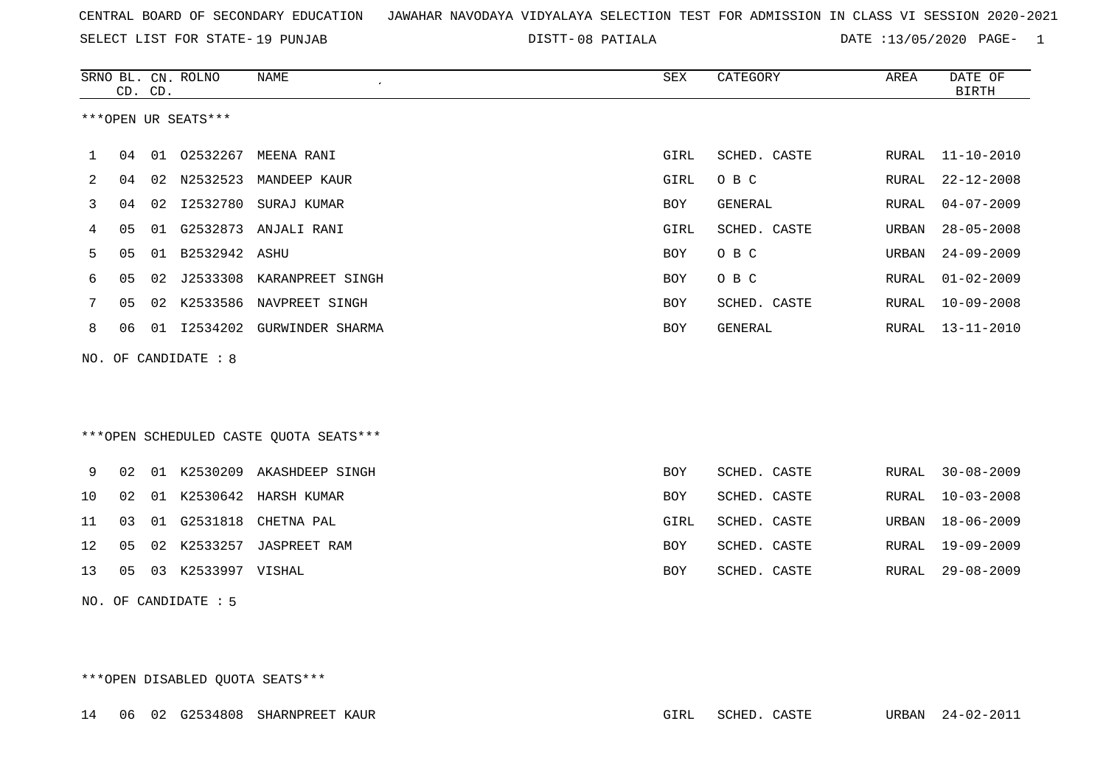SELECT LIST FOR STATE- DISTT- 19 PUNJAB

08 PATIALA DATE :13/05/2020 PAGE- 1

|    |    | CD. CD. | SRNO BL. CN. ROLNO   | <b>NAME</b><br>$\mathcal{L}_{\mathcal{A}}$ | SEX        | CATEGORY     | <b>AREA</b> | DATE OF<br><b>BIRTH</b> |
|----|----|---------|----------------------|--------------------------------------------|------------|--------------|-------------|-------------------------|
|    |    |         | ***OPEN UR SEATS***  |                                            |            |              |             |                         |
| 1  | 04 |         | 01 02532267          | MEENA RANI                                 | GIRL       | SCHED. CASTE | RURAL       | $11 - 10 - 2010$        |
| 2  | 04 | 02      | N2532523             | MANDEEP KAUR                               | GIRL       | O B C        | RURAL       | $22 - 12 - 2008$        |
| 3  | 04 | 02      | I2532780             | SURAJ KUMAR                                | <b>BOY</b> | GENERAL      | RURAL       | $04 - 07 - 2009$        |
| 4  | 05 | 01      |                      | G2532873 ANJALI RANI                       | GIRL       | SCHED. CASTE | URBAN       | $28 - 05 - 2008$        |
| 5  | 05 | 01      | B2532942 ASHU        |                                            | BOY        | O B C        | URBAN       | $24 - 09 - 2009$        |
| 6  | 05 | 02      |                      | J2533308 KARANPREET SINGH                  | BOY        | O B C        | RURAL       | $01 - 02 - 2009$        |
| 7  | 05 | 02      |                      | K2533586 NAVPREET SINGH                    | BOY        | SCHED. CASTE | RURAL       | $10 - 09 - 2008$        |
| 8  | 06 |         |                      | 01 I2534202 GURWINDER SHARMA               | BOY        | GENERAL      | RURAL       | $13 - 11 - 2010$        |
|    |    |         | NO. OF CANDIDATE : 8 |                                            |            |              |             |                         |
|    |    |         |                      |                                            |            |              |             |                         |
|    |    |         |                      |                                            |            |              |             |                         |
|    |    |         |                      | ***OPEN SCHEDULED CASTE QUOTA SEATS***     |            |              |             |                         |
| 9  | 02 |         |                      | 01 K2530209 AKASHDEEP SINGH                | <b>BOY</b> | SCHED. CASTE | RURAL       | $30 - 08 - 2009$        |
| 10 | 02 | 01      |                      | K2530642 HARSH KUMAR                       | <b>BOY</b> | SCHED. CASTE | RURAL       | $10 - 03 - 2008$        |
| 11 | 03 | 01      | G2531818             | CHETNA PAL                                 | GIRL       | SCHED. CASTE | URBAN       | $18 - 06 - 2009$        |
| 12 | 05 | 02      | K2533257             | <b>JASPREET RAM</b>                        | BOY        | SCHED. CASTE | RURAL       | 19-09-2009              |
| 13 | 05 |         | 03 K2533997 VISHAL   |                                            | <b>BOY</b> | SCHED. CASTE | RURAL       | $29 - 08 - 2009$        |
|    |    |         | NO. OF CANDIDATE : 5 |                                            |            |              |             |                         |
|    |    |         |                      |                                            |            |              |             |                         |
|    |    |         |                      |                                            |            |              |             |                         |
|    |    |         |                      |                                            |            |              |             |                         |

\*\*\*OPEN DISABLED QUOTA SEATS\*\*\*

14 06 02 G2534808 SHARNPREET KAUR GIRL SCHED. CASTE URBAN 24-02-2011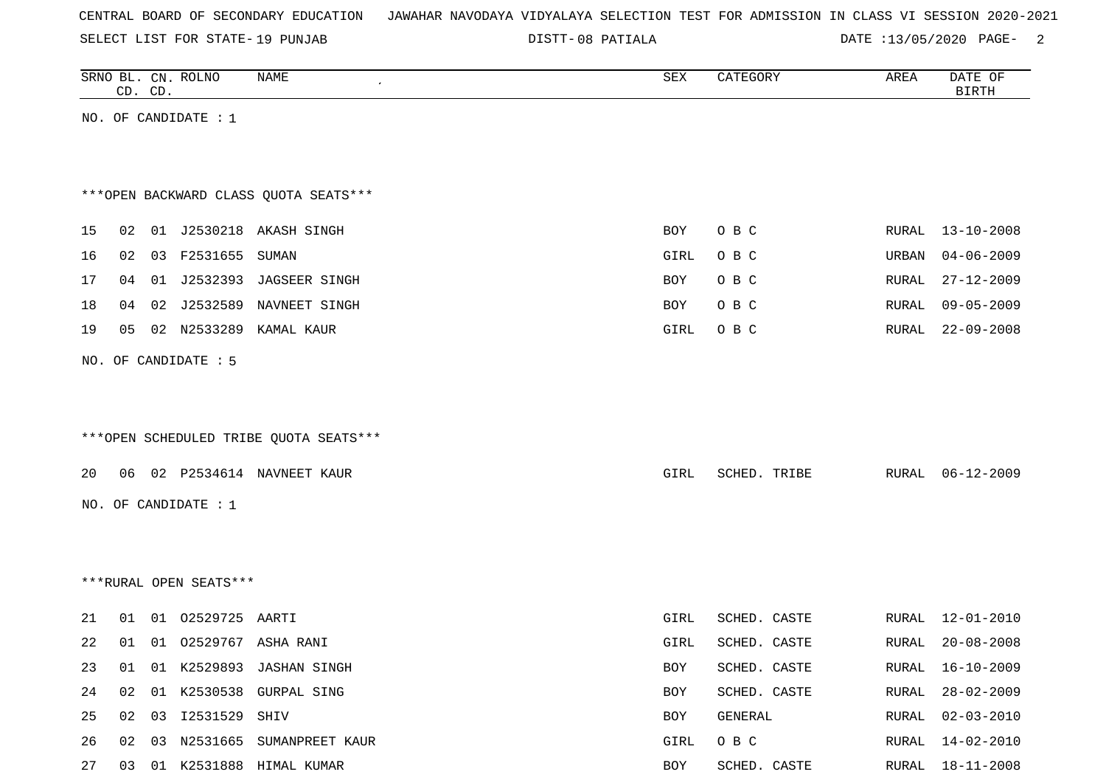SELECT LIST FOR STATE- DISTT- 19 PUNJAB

08 PATIALA DATE :13/05/2020 PAGE- 2

|    | CD. CD. |    | SRNO BL. CN. ROLNO     | NAME                                   | SEX  | CATEGORY     | AREA  | DATE OF<br><b>BIRTH</b> |
|----|---------|----|------------------------|----------------------------------------|------|--------------|-------|-------------------------|
|    |         |    | NO. OF CANDIDATE : $1$ |                                        |      |              |       |                         |
|    |         |    |                        |                                        |      |              |       |                         |
|    |         |    |                        |                                        |      |              |       |                         |
|    |         |    |                        | *** OPEN BACKWARD CLASS QUOTA SEATS*** |      |              |       |                         |
|    |         |    |                        |                                        |      |              |       |                         |
| 15 | 02      |    |                        | 01 J2530218 AKASH SINGH                | BOY  | O B C        |       | RURAL 13-10-2008        |
| 16 | 02      | 03 | F2531655               | SUMAN                                  | GIRL | O B C        | URBAN | $04 - 06 - 2009$        |
| 17 | 04      |    |                        | 01 J2532393 JAGSEER SINGH              | BOY  | O B C        | RURAL | $27 - 12 - 2009$        |
| 18 | 04      | 02 | J2532589               | NAVNEET SINGH                          | BOY  | O B C        | RURAL | $09 - 05 - 2009$        |
| 19 | 05      |    | 02 N2533289            | KAMAL KAUR                             | GIRL | O B C        | RURAL | $22 - 09 - 2008$        |
|    |         |    | NO. OF CANDIDATE : 5   |                                        |      |              |       |                         |
|    |         |    |                        |                                        |      |              |       |                         |
|    |         |    |                        |                                        |      |              |       |                         |
|    |         |    |                        | ***OPEN SCHEDULED TRIBE QUOTA SEATS*** |      |              |       |                         |
|    |         |    |                        |                                        |      |              |       |                         |
| 20 | 06      |    |                        | 02 P2534614 NAVNEET KAUR               | GIRL | SCHED. TRIBE | RURAL | $06 - 12 - 2009$        |
|    |         |    | NO. OF CANDIDATE : $1$ |                                        |      |              |       |                         |
|    |         |    |                        |                                        |      |              |       |                         |
|    |         |    |                        |                                        |      |              |       |                         |
|    |         |    |                        |                                        |      |              |       |                         |
|    |         |    | ***RURAL OPEN SEATS*** |                                        |      |              |       |                         |
| 21 | 01      | 01 | 02529725 AARTI         |                                        | GIRL | SCHED. CASTE | RURAL | $12 - 01 - 2010$        |
| 22 | 01      |    |                        | 01 02529767 ASHA RANI                  | GIRL | SCHED. CASTE | RURAL | $20 - 08 - 2008$        |
| 23 |         |    |                        | 01 01 K2529893 JASHAN SINGH            | BOY  | SCHED. CASTE |       | RURAL 16-10-2009        |
| 24 | 02      | 01 |                        | K2530538 GURPAL SING                   | BOY  | SCHED. CASTE | RURAL | $28 - 02 - 2009$        |
| 25 | 02      | 03 | I2531529 SHIV          |                                        | BOY  | GENERAL      | RURAL | $02 - 03 - 2010$        |
| 26 | 02      | 03 |                        | N2531665 SUMANPREET KAUR               | GIRL | O B C        | RURAL | $14 - 02 - 2010$        |
|    |         |    |                        |                                        |      |              |       |                         |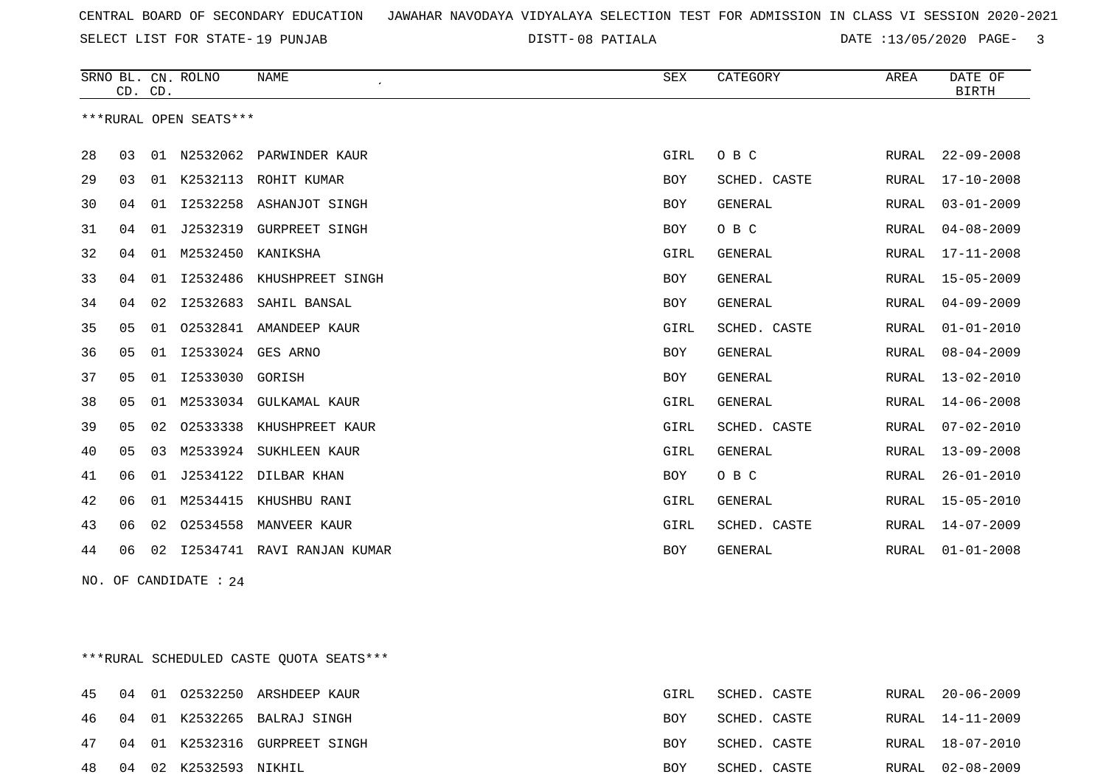SELECT LIST FOR STATE- DISTT- 19 PUNJAB

08 PATIALA DATE :13/05/2020 PAGE- 3

|    |    | CD. CD. | SRNO BL. CN. ROLNO     | NAME<br>$\epsilon$        | <b>SEX</b> | CATEGORY       | AREA         | DATE OF<br><b>BIRTH</b> |
|----|----|---------|------------------------|---------------------------|------------|----------------|--------------|-------------------------|
|    |    |         | ***RURAL OPEN SEATS*** |                           |            |                |              |                         |
| 28 | 03 | 01      | N2532062               | PARWINDER KAUR            | GIRL       | O B C          | RURAL        | $22 - 09 - 2008$        |
| 29 | 03 | 01      | K2532113               | ROHIT KUMAR               | BOY        | SCHED. CASTE   | RURAL        | $17 - 10 - 2008$        |
| 30 | 04 | 01      | I2532258               | ASHANJOT SINGH            | <b>BOY</b> | <b>GENERAL</b> | RURAL        | $03 - 01 - 2009$        |
| 31 | 04 | 01      | J2532319               | <b>GURPREET SINGH</b>     | <b>BOY</b> | O B C          | RURAL        | $04 - 08 - 2009$        |
| 32 | 04 | 01      | M2532450               | KANIKSHA                  | GIRL       | <b>GENERAL</b> | RURAL        | $17 - 11 - 2008$        |
| 33 | 04 | 01      |                        | 12532486 KHUSHPREET SINGH | <b>BOY</b> | <b>GENERAL</b> | RURAL        | $15 - 05 - 2009$        |
| 34 | 04 | 02      | I2532683               | SAHIL BANSAL              | <b>BOY</b> | <b>GENERAL</b> | RURAL        | $04 - 09 - 2009$        |
| 35 | 05 | 01      | 02532841               | AMANDEEP KAUR             | GIRL       | SCHED. CASTE   | RURAL        | $01 - 01 - 2010$        |
| 36 | 05 | 01      | I2533024               | GES ARNO                  | <b>BOY</b> | <b>GENERAL</b> | <b>RURAL</b> | $08 - 04 - 2009$        |
| 37 | 05 | 01      | I2533030               | GORISH                    | BOY        | GENERAL        | RURAL        | $13 - 02 - 2010$        |
| 38 | 05 | 01      | M2533034               | GULKAMAL KAUR             | GIRL       | <b>GENERAL</b> | <b>RURAL</b> | $14 - 06 - 2008$        |
| 39 | 05 | 02      | 02533338               | KHUSHPREET KAUR           | GIRL       | SCHED. CASTE   | RURAL        | $07 - 02 - 2010$        |
| 40 | 05 | 03      | M2533924               | SUKHLEEN KAUR             | GIRL       | <b>GENERAL</b> | RURAL        | $13 - 09 - 2008$        |
| 41 | 06 | 01      |                        | J2534122 DILBAR KHAN      | <b>BOY</b> | O B C          | <b>RURAL</b> | $26 - 01 - 2010$        |
| 42 | 06 | 01      | M2534415               | KHUSHBU RANI              | GIRL       | <b>GENERAL</b> | RURAL        | $15 - 05 - 2010$        |
| 43 | 06 | 02      | 02534558               | MANVEER KAUR              | GIRL       | SCHED. CASTE   | RURAL        | $14 - 07 - 2009$        |
| 44 | 06 | 02      | I2534741               | RAVI RANJAN KUMAR         | <b>BOY</b> | <b>GENERAL</b> | RURAL        | $01 - 01 - 2008$        |
|    |    |         |                        |                           |            |                |              |                         |

NO. OF CANDIDATE : 24

\*\*\*RURAL SCHEDULED CASTE QUOTA SEATS\*\*\*

|  |                          | 45 04 01 02532250 ARSHDEEP KAUR  | GIRL       | SCHED. CASTE |  | RURAL 20-06-2009 |
|--|--------------------------|----------------------------------|------------|--------------|--|------------------|
|  |                          | 46 04 01 K2532265 BALRAJ SINGH   | BOY        | SCHED. CASTE |  | RURAL 14-11-2009 |
|  |                          | 47 04 01 K2532316 GURPREET SINGH | BOY        | SCHED. CASTE |  | RURAL 18-07-2010 |
|  | 48 04 02 K2532593 NIKHIL |                                  | <b>BOY</b> | SCHED. CASTE |  | RURAL 02-08-2009 |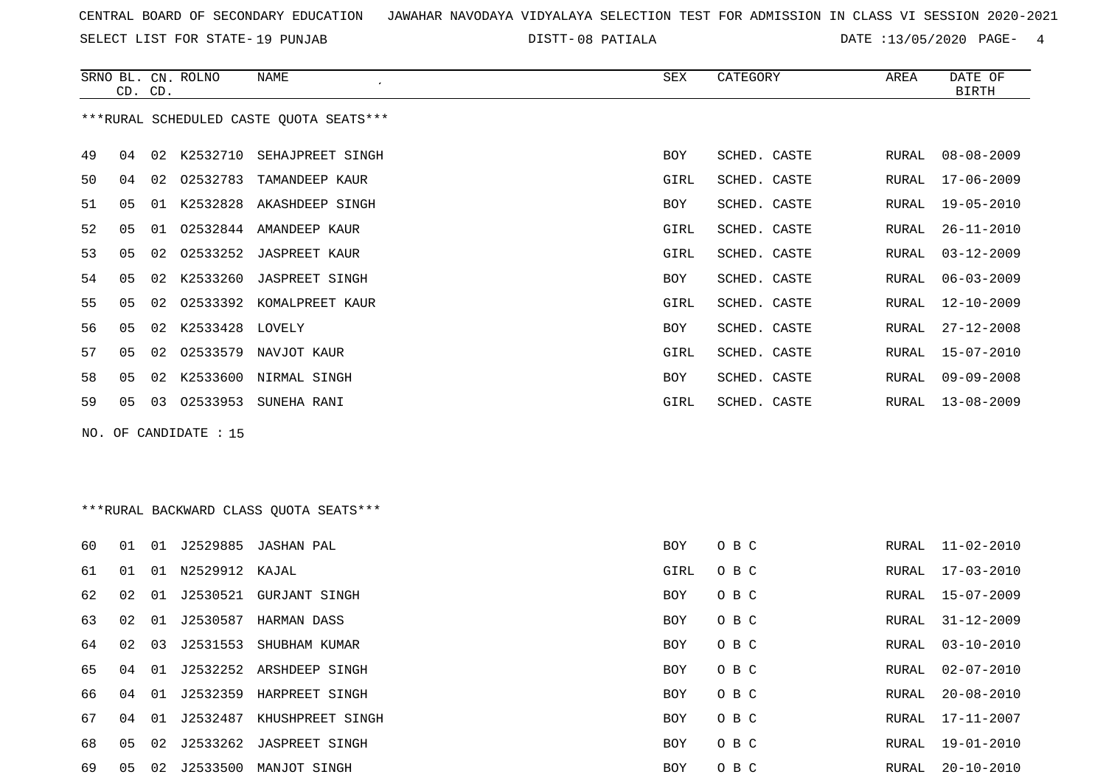SELECT LIST FOR STATE- DISTT- 19 PUNJAB

08 PATIALA DATE :13/05/2020 PAGE- 4

|                                         |    | CD. CD.         | SRNO BL. CN. ROLNO | NAME<br>$\epsilon$           | SEX        | CATEGORY     | AREA  | DATE OF<br>BIRTH |
|-----------------------------------------|----|-----------------|--------------------|------------------------------|------------|--------------|-------|------------------|
| ***RURAL SCHEDULED CASTE QUOTA SEATS*** |    |                 |                    |                              |            |              |       |                  |
| 49                                      | 04 |                 |                    | 02 K2532710 SEHAJPREET SINGH | <b>BOY</b> | SCHED. CASTE | RURAL | $08 - 08 - 2009$ |
| 50                                      | 04 | 02              | 02532783           | TAMANDEEP KAUR               | GIRL       | SCHED. CASTE | RURAL | 17-06-2009       |
| 51                                      | 05 |                 | 01 K2532828        | AKASHDEEP SINGH              | BOY        | SCHED. CASTE | RURAL | $19 - 05 - 2010$ |
| 52                                      | 05 |                 |                    | 01 02532844 AMANDEEP KAUR    | GIRL       | SCHED. CASTE | RURAL | $26 - 11 - 2010$ |
| 53                                      | 05 |                 |                    | 02 02533252 JASPREET KAUR    | GIRL       | SCHED. CASTE | RURAL | $03 - 12 - 2009$ |
| 54                                      | 05 |                 |                    | 02 K2533260 JASPREET SINGH   | BOY        | SCHED. CASTE | RURAL | $06 - 03 - 2009$ |
| 55                                      | 05 | 02 <sub>o</sub> |                    | 02533392 KOMALPREET KAUR     | GIRL       | SCHED. CASTE | RURAL | 12-10-2009       |
| 56                                      | 05 |                 | 02 K2533428 LOVELY |                              | BOY        | SCHED. CASTE | RURAL | $27 - 12 - 2008$ |
| 57                                      | 05 |                 |                    | 02 02533579 NAVJOT KAUR      | GIRL       | SCHED. CASTE | RURAL | 15-07-2010       |
| 58                                      | 05 |                 |                    | 02 K2533600 NIRMAL SINGH     | <b>BOY</b> | SCHED. CASTE | RURAL | $09 - 09 - 2008$ |
| 59                                      | 05 | 03              | 02533953           | SUNEHA RANI                  | GIRL       | SCHED. CASTE | RURAL | $13 - 08 - 2009$ |
|                                         |    |                 |                    |                              |            |              |       |                  |

NO. OF CANDIDATE : 15

## \*\*\*RURAL BACKWARD CLASS QUOTA SEATS\*\*\*

| 60 | 01 | 01  | J2529885 | JASHAN PAL                 | BOY        | O B C | RURAL | $11 - 02 - 2010$ |
|----|----|-----|----------|----------------------------|------------|-------|-------|------------------|
| 61 | 01 | 01  | N2529912 | KAJAL                      | GIRL       | O B C | RURAL | $17 - 03 - 2010$ |
| 62 | 02 | -01 | J2530521 | GURJANT SINGH              | <b>BOY</b> | O B C | RURAL | 15-07-2009       |
| 63 | 02 | 01  | J2530587 | HARMAN DASS                | BOY        | O B C | RURAL | 31-12-2009       |
| 64 | 02 | 03  | J2531553 | SHUBHAM KUMAR              | <b>BOY</b> | O B C | RURAL | 03-10-2010       |
| 65 | 04 | 01  | J2532252 | ARSHDEEP SINGH             | <b>BOY</b> | O B C | RURAL | 02-07-2010       |
| 66 | 04 | 01  | J2532359 | HARPREET SINGH             | <b>BOY</b> | O B C | RURAL | 20-08-2010       |
| 67 | 04 | 01  | J2532487 | KHUSHPREET SINGH           | <b>BOY</b> | O B C | RURAL | 17-11-2007       |
| 68 | 05 |     |          | 02 J2533262 JASPREET SINGH | <b>BOY</b> | O B C |       | RURAL 19-01-2010 |
| 69 | 05 | 02  | J2533500 | MANJOT SINGH               | BOY        | O B C | RURAL | $20 - 10 - 2010$ |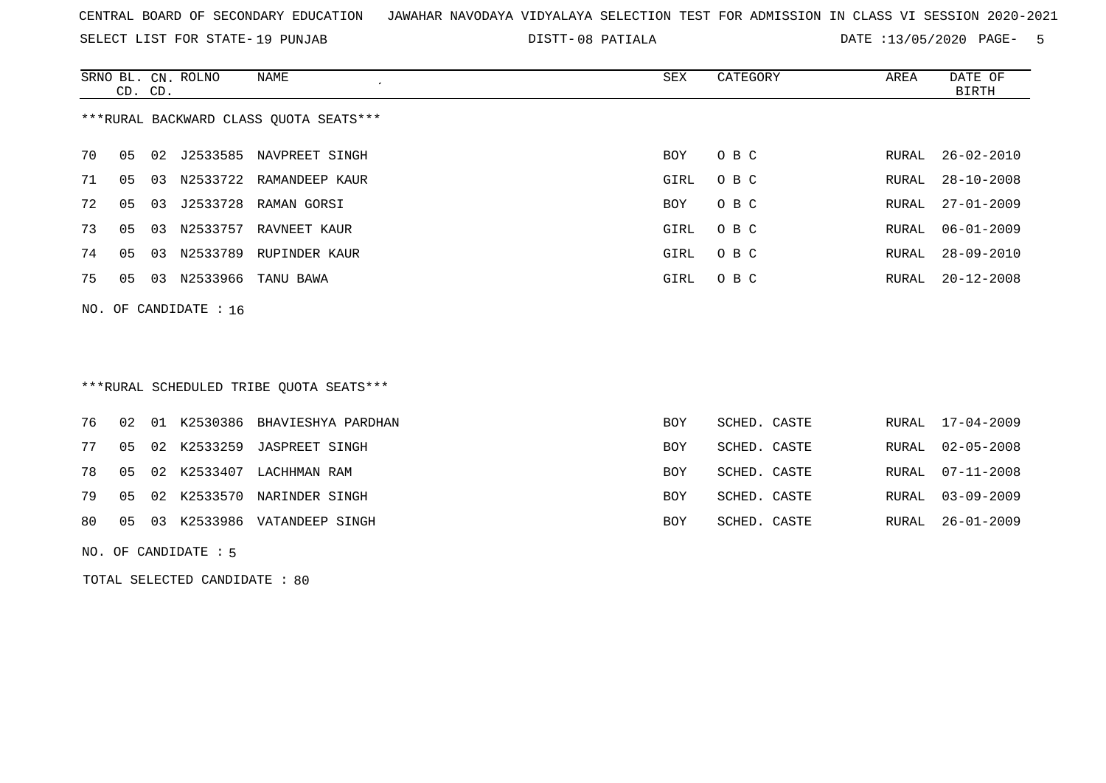SELECT LIST FOR STATE- DISTT- 19 PUNJAB

08 PATIALA DATE :13/05/2020 PAGE- 5

|    | CD. CD.                                |    | SRNO BL. CN. ROLNO | NAME<br>$\epsilon$      | SEX  | CATEGORY | AREA  | DATE OF<br>BIRTH |  |  |
|----|----------------------------------------|----|--------------------|-------------------------|------|----------|-------|------------------|--|--|
|    | ***RURAL BACKWARD CLASS QUOTA SEATS*** |    |                    |                         |      |          |       |                  |  |  |
| 70 | 05                                     | 02 |                    | J2533585 NAVPREET SINGH | BOY  | O B C    | RURAL | $26 - 02 - 2010$ |  |  |
| 71 | 05                                     | 03 |                    | N2533722 RAMANDEEP KAUR | GIRL | O B C    | RURAL | $28 - 10 - 2008$ |  |  |
| 72 | 05                                     | 03 |                    | J2533728 RAMAN GORSI    | BOY  | O B C    |       | RURAL 27-01-2009 |  |  |
| 73 | 05                                     | 03 | N2533757           | RAVNEET KAUR            | GIRL | O B C    | RURAL | 06-01-2009       |  |  |
| 74 | 05                                     | 03 | N2533789           | RUPINDER KAUR           | GIRL | O B C    | RURAL | $28 - 09 - 2010$ |  |  |
| 75 | 05                                     |    |                    | 03 N2533966 TANU BAWA   | GIRL | O B C    | RURAL | $20 - 12 - 2008$ |  |  |
|    | NO. OF CANDIDATE : $16$                |    |                    |                         |      |          |       |                  |  |  |

# \*\*\*RURAL SCHEDULED TRIBE QUOTA SEATS\*\*\*

|  |  | 80 05 03 K2533986 VATANDEEP SINGH    | BOY        | SCHED. CASTE | RURAL 26-01-2009 |
|--|--|--------------------------------------|------------|--------------|------------------|
|  |  | 79 05 02 K2533570 NARINDER SINGH     | <b>BOY</b> | SCHED. CASTE | RURAL 03-09-2009 |
|  |  | 78 05 02 K2533407 LACHHMAN RAM       | BOY        | SCHED. CASTE | RURAL 07-11-2008 |
|  |  | 77 05 02 K2533259 JASPREET SINGH     | BOY        | SCHED. CASTE | RURAL 02-05-2008 |
|  |  | 76 02 01 K2530386 BHAVIESHYA PARDHAN | BOY        | SCHED. CASTE | RURAL 17-04-2009 |

NO. OF CANDIDATE : 5

TOTAL SELECTED CANDIDATE : 80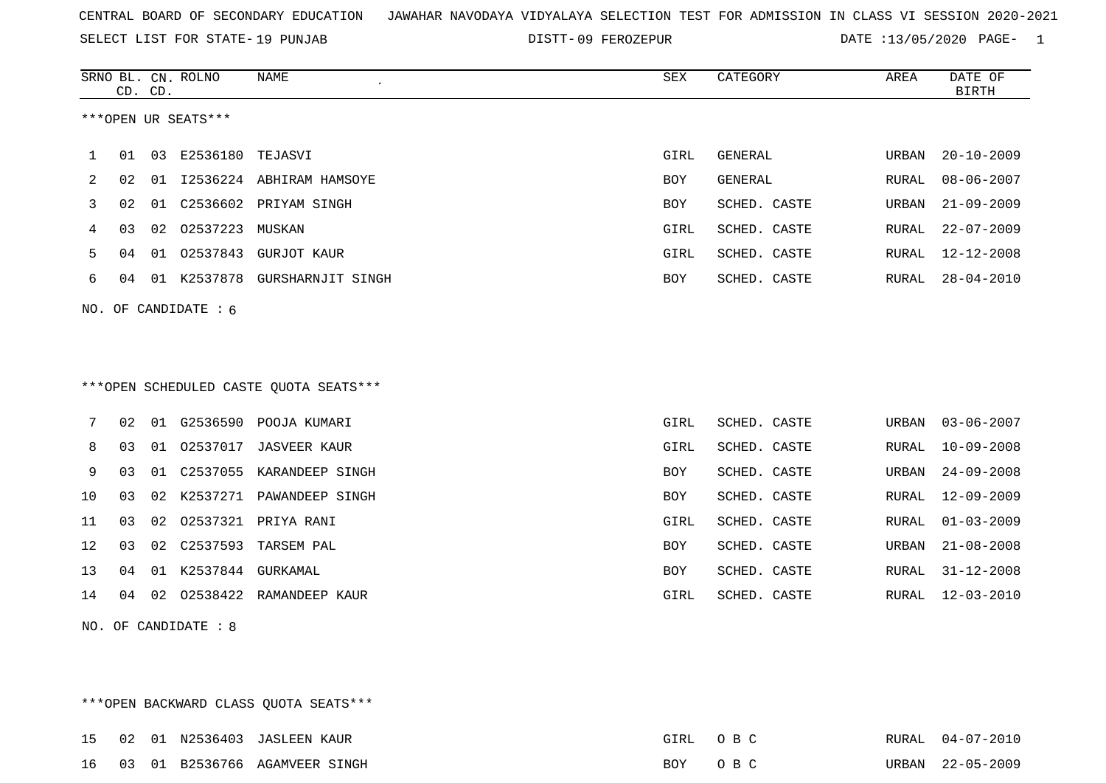SELECT LIST FOR STATE- DISTT- 19 PUNJAB

DISTT-09 FEROZEPUR **DATE** :13/05/2020 PAGE- 1

|    |    | CD. CD. | SRNO BL. CN. ROLNO     | <b>NAME</b>                            | ${\tt SEX}$ | CATEGORY       | AREA         | DATE OF<br><b>BIRTH</b> |
|----|----|---------|------------------------|----------------------------------------|-------------|----------------|--------------|-------------------------|
|    |    |         | ***OPEN UR SEATS***    |                                        |             |                |              |                         |
| 1  | 01 | 03      | E2536180               | TEJASVI                                | GIRL        | <b>GENERAL</b> | URBAN        | $20 - 10 - 2009$        |
| 2  | 02 | 01      |                        | I2536224 ABHIRAM HAMSOYE               | BOY         | <b>GENERAL</b> | RURAL        | $08 - 06 - 2007$        |
| 3  | 02 | 01      | C2536602               | PRIYAM SINGH                           | BOY         | SCHED. CASTE   | URBAN        | $21 - 09 - 2009$        |
| 4  | 03 | 02      | 02537223               | MUSKAN                                 | GIRL        | SCHED. CASTE   | RURAL        | $22 - 07 - 2009$        |
| 5  | 04 | 01      | 02537843               | GURJOT KAUR                            | GIRL        | SCHED. CASTE   | RURAL        | $12 - 12 - 2008$        |
| 6  | 04 | 01      | K2537878               | GURSHARNJIT SINGH                      | BOY         | SCHED. CASTE   | RURAL        | $28 - 04 - 2010$        |
|    |    |         | NO. OF CANDIDATE $: 6$ |                                        |             |                |              |                         |
|    |    |         |                        |                                        |             |                |              |                         |
|    |    |         |                        |                                        |             |                |              |                         |
|    |    |         |                        | ***OPEN SCHEDULED CASTE QUOTA SEATS*** |             |                |              |                         |
| 7  | 02 | 01      | G2536590               | POOJA KUMARI                           | GIRL        | SCHED. CASTE   | URBAN        | $03 - 06 - 2007$        |
| 8  | 03 | 01      | 02537017               | <b>JASVEER KAUR</b>                    | GIRL        | SCHED. CASTE   | RURAL        | $10 - 09 - 2008$        |
| 9  | 03 | 01      | C2537055               | KARANDEEP SINGH                        | BOY         | SCHED. CASTE   | URBAN        | $24 - 09 - 2008$        |
| 10 | 03 | 02      | K2537271               | PAWANDEEP SINGH                        | BOY         | SCHED. CASTE   | <b>RURAL</b> | $12 - 09 - 2009$        |
| 11 | 03 | 02      | 02537321               | PRIYA RANI                             | GIRL        | SCHED. CASTE   | <b>RURAL</b> | $01 - 03 - 2009$        |
| 12 | 03 | 02      | C2537593               | TARSEM PAL                             | BOY         | SCHED. CASTE   | URBAN        | $21 - 08 - 2008$        |
| 13 | 04 | 01      | K2537844 GURKAMAL      |                                        | BOY         | SCHED. CASTE   | RURAL        | $31 - 12 - 2008$        |
|    |    |         |                        |                                        |             |                |              |                         |

NO. OF CANDIDATE : 8

\*\*\*OPEN BACKWARD CLASS QUOTA SEATS\*\*\*

15 02 01 N2536403 JASLEEN KAUR GIRL O B C RURAL 04-07-2010 16 03 01 B2536766 AGAMVEER SINGH BOY O B C C URBAN 22-05-2009

14 04 02 O2538422 RAMANDEEP KAUR GIRL SCHED. CASTE RURAL 12-03-2010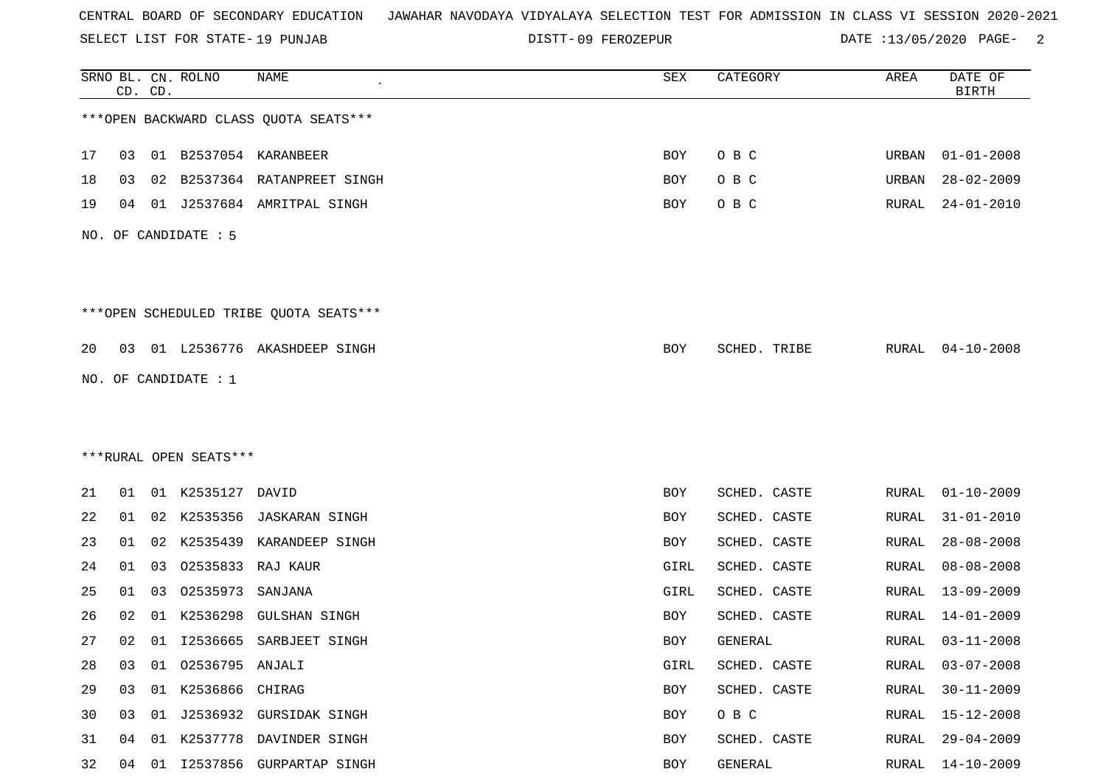SELECT LIST FOR STATE- DISTT- 19 PUNJAB

DISTT-09 FEROZEPUR **DATE** :13/05/2020 PAGE- 2

|    |    | CD. CD. | SRNO BL. CN. ROLNO     | <b>NAME</b>                            | SEX  | CATEGORY     | AREA         | DATE OF<br><b>BIRTH</b> |
|----|----|---------|------------------------|----------------------------------------|------|--------------|--------------|-------------------------|
|    |    |         |                        | *** OPEN BACKWARD CLASS QUOTA SEATS*** |      |              |              |                         |
| 17 | 03 |         |                        | 01 B2537054 KARANBEER                  | BOY  | O B C        | URBAN        | $01 - 01 - 2008$        |
| 18 | 03 | 02      |                        | B2537364 RATANPREET SINGH              | BOY  | O B C        | URBAN        | $28 - 02 - 2009$        |
| 19 | 04 | 01      |                        | J2537684 AMRITPAL SINGH                | BOY  | O B C        | <b>RURAL</b> | $24 - 01 - 2010$        |
|    |    |         | NO. OF CANDIDATE : 5   |                                        |      |              |              |                         |
|    |    |         |                        | ***OPEN SCHEDULED TRIBE QUOTA SEATS*** |      |              |              |                         |
| 20 | 03 |         |                        | 01 L2536776 AKASHDEEP SINGH            | BOY  | SCHED. TRIBE | RURAL        | $04 - 10 - 2008$        |
|    |    |         | NO. OF CANDIDATE : 1   |                                        |      |              |              |                         |
|    |    |         |                        |                                        |      |              |              |                         |
|    |    |         |                        |                                        |      |              |              |                         |
|    |    |         | ***RURAL OPEN SEATS*** |                                        |      |              |              |                         |
| 21 | 01 |         | 01 K2535127            | DAVID                                  | BOY  | SCHED. CASTE | RURAL        | $01 - 10 - 2009$        |
| 22 | 01 |         | 02 K2535356            | JASKARAN SINGH                         | BOY  | SCHED. CASTE | RURAL        | $31 - 01 - 2010$        |
| 23 | 01 | 02      | K2535439               | KARANDEEP SINGH                        | BOY  | SCHED. CASTE | RURAL        | $28 - 08 - 2008$        |
| 24 | 01 | 03      | 02535833               | RAJ KAUR                               | GIRL | SCHED. CASTE | <b>RURAL</b> | $08 - 08 - 2008$        |
| 25 | 01 | 03      | 02535973               | SANJANA                                | GIRL | SCHED. CASTE | RURAL        | $13 - 09 - 2009$        |
| 26 | 02 | 01      | K2536298               | <b>GULSHAN SINGH</b>                   | BOY  | SCHED. CASTE | RURAL        | 14-01-2009              |
| 27 | 02 | 01      |                        | 12536665 SARBJEET SINGH                | BOY  | GENERAL      | RURAL        | $03 - 11 - 2008$        |
| 28 | 03 | 01      | 02536795 ANJALI        |                                        | GIRL | SCHED. CASTE | RURAL        | $03 - 07 - 2008$        |
| 29 | 03 |         | 01 K2536866 CHIRAG     |                                        | BOY  | SCHED. CASTE | RURAL        | $30 - 11 - 2009$        |
| 30 | 03 |         |                        | 01 J2536932 GURSIDAK SINGH             | BOY  | O B C        | RURAL        | 15-12-2008              |
| 31 | 04 | 01      |                        | K2537778 DAVINDER SINGH                | BOY  | SCHED. CASTE | RURAL        | $29 - 04 - 2009$        |
| 32 | 04 |         |                        | 01 I2537856 GURPARTAP SINGH            | BOY  | GENERAL      | RURAL        | 14-10-2009              |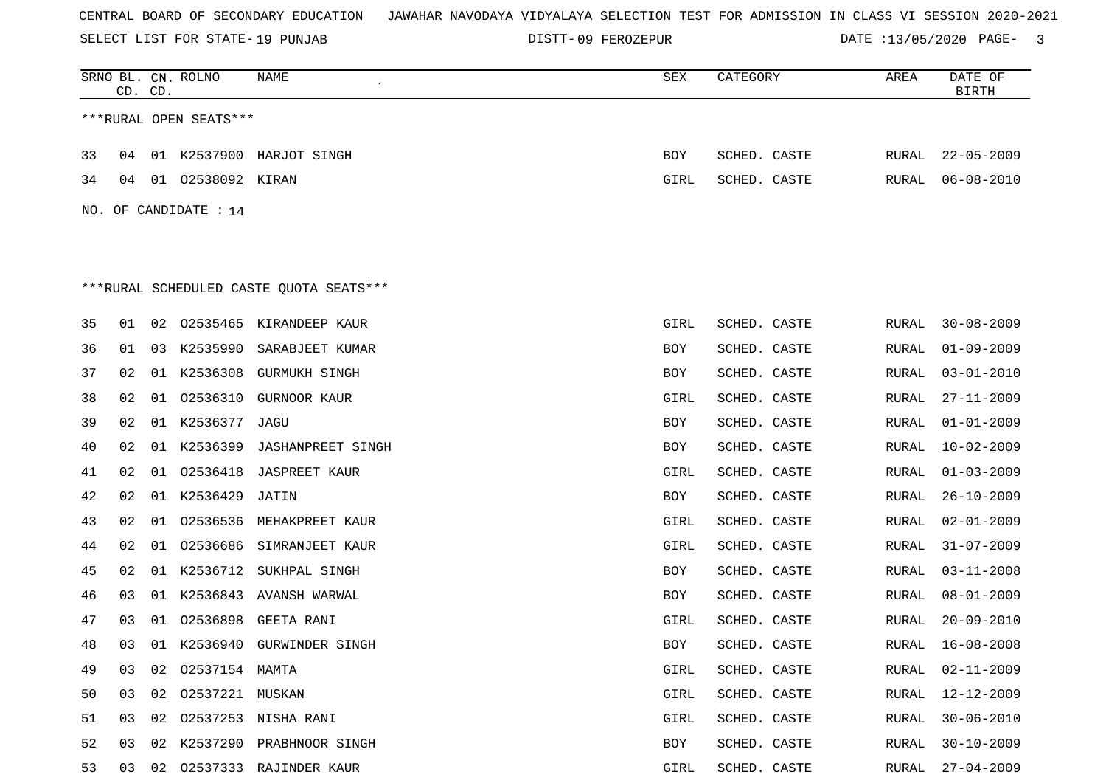SELECT LIST FOR STATE- DISTT- 19 PUNJAB

DISTT-09 FEROZEPUR **DATE** :13/05/2020 PAGE- 3

|    | CD. CD. |    | SRNO BL. CN. ROLNO     | NAME                                     | SEX        | CATEGORY     | AREA         | DATE OF<br><b>BIRTH</b> |
|----|---------|----|------------------------|------------------------------------------|------------|--------------|--------------|-------------------------|
|    |         |    | ***RURAL OPEN SEATS*** |                                          |            |              |              |                         |
| 33 | 04      |    |                        | 01 K2537900 HARJOT SINGH                 | BOY        | SCHED. CASTE | RURAL        | $22 - 05 - 2009$        |
| 34 | 04      |    | 01 02538092 KIRAN      |                                          | GIRL       | SCHED. CASTE | RURAL        | $06 - 08 - 2010$        |
|    |         |    | NO. OF CANDIDATE : 14  |                                          |            |              |              |                         |
|    |         |    |                        |                                          |            |              |              |                         |
|    |         |    |                        | *** RURAL SCHEDULED CASTE QUOTA SEATS*** |            |              |              |                         |
| 35 | 01      | 02 | 02535465               | KIRANDEEP KAUR                           | GIRL       | SCHED. CASTE | RURAL        | $30 - 08 - 2009$        |
| 36 | 01      | 03 | K2535990               | SARABJEET KUMAR                          | BOY        | SCHED. CASTE | RURAL        | $01 - 09 - 2009$        |
| 37 | 02      | 01 |                        | K2536308 GURMUKH SINGH                   | BOY        | SCHED. CASTE | RURAL        | $03 - 01 - 2010$        |
| 38 | 02      | 01 | 02536310               | GURNOOR KAUR                             | GIRL       | SCHED. CASTE | RURAL        | $27 - 11 - 2009$        |
| 39 | 02      |    | 01 K2536377 JAGU       |                                          | BOY        | SCHED. CASTE | RURAL        | $01 - 01 - 2009$        |
| 40 | 02      |    | 01 K2536399            | <b>JASHANPREET SINGH</b>                 | <b>BOY</b> | SCHED. CASTE | RURAL        | $10 - 02 - 2009$        |
| 41 | 02      | 01 | 02536418               | <b>JASPREET KAUR</b>                     | GIRL       | SCHED. CASTE | RURAL        | $01 - 03 - 2009$        |
| 42 | 02      | 01 | K2536429               | JATIN                                    | BOY        | SCHED. CASTE | RURAL        | $26 - 10 - 2009$        |
| 43 | 02      | 01 | 02536536               | MEHAKPREET KAUR                          | GIRL       | SCHED. CASTE | RURAL        | $02 - 01 - 2009$        |
| 44 | 02      | 01 | 02536686               | SIMRANJEET KAUR                          | GIRL       | SCHED. CASTE | RURAL        | $31 - 07 - 2009$        |
| 45 | 02      | 01 | K2536712               | SUKHPAL SINGH                            | BOY        | SCHED. CASTE | RURAL        | $03 - 11 - 2008$        |
| 46 | 03      | 01 |                        | K2536843 AVANSH WARWAL                   | BOY        | SCHED. CASTE | <b>RURAL</b> | $08 - 01 - 2009$        |
| 47 | 03      | 01 | 02536898               | GEETA RANI                               | GIRL       | SCHED. CASTE | RURAL        | $20 - 09 - 2010$        |
| 48 | 03      |    |                        | 01 K2536940 GURWINDER SINGH              | BOY        | SCHED. CASTE | RURAL        | $16 - 08 - 2008$        |
| 49 | 03      |    | 02 02537154 MAMTA      |                                          | GIRL       | SCHED. CASTE | RURAL        | $02 - 11 - 2009$        |
| 50 | 03      |    | 02 02537221 MUSKAN     |                                          | GIRL       | SCHED. CASTE | RURAL        | 12-12-2009              |
| 51 | 03      |    |                        | 02 02537253 NISHA RANI                   | GIRL       | SCHED. CASTE | RURAL        | $30 - 06 - 2010$        |
| 52 |         |    |                        | 03 02 K2537290 PRABHNOOR SINGH           | BOY        | SCHED. CASTE | RURAL        | $30 - 10 - 2009$        |
| 53 |         |    |                        | 03 02 02537333 RAJINDER KAUR             | GIRL       | SCHED. CASTE |              | RURAL 27-04-2009        |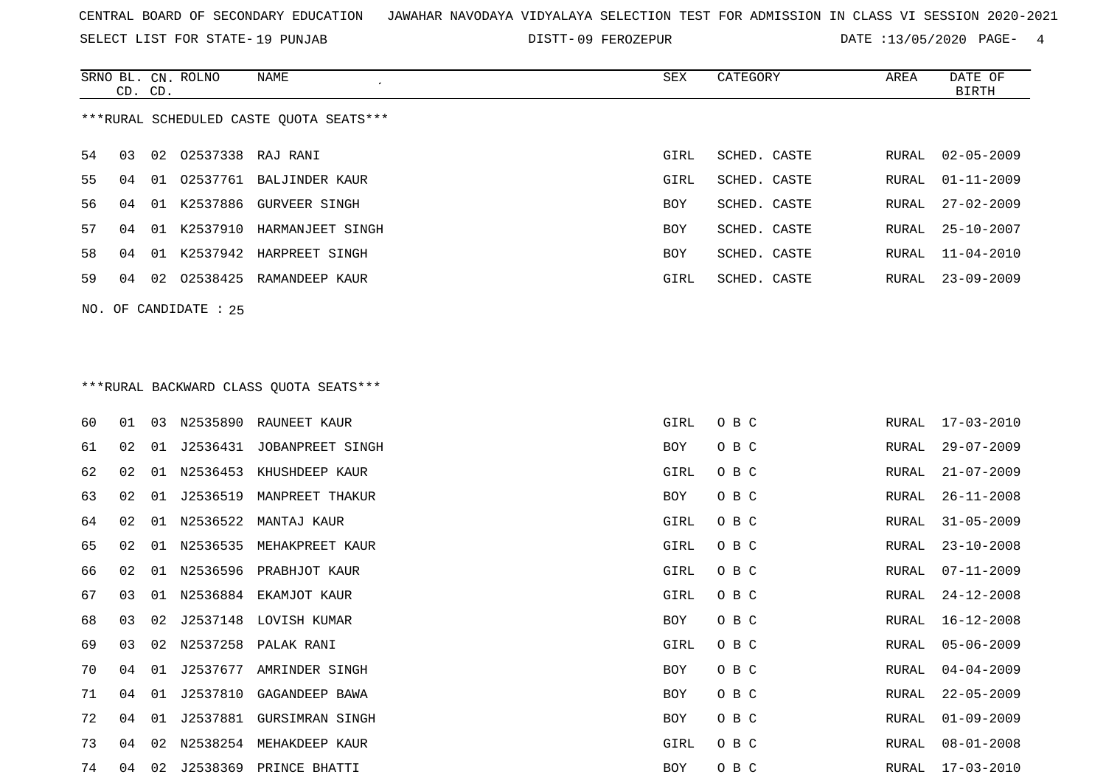SELECT LIST FOR STATE- DISTT- 19 PUNJAB

DISTT-09 FEROZEPUR **DATE** :13/05/2020 PAGE- 4

|    | CD. CD. |    | SRNO BL. CN. ROLNO    | NAME                                    | SEX        | CATEGORY     | AREA  | DATE OF<br><b>BIRTH</b> |
|----|---------|----|-----------------------|-----------------------------------------|------------|--------------|-------|-------------------------|
|    |         |    |                       | ***RURAL SCHEDULED CASTE QUOTA SEATS*** |            |              |       |                         |
| 54 | 03      |    | 02 02537338 RAJ RANI  |                                         | GIRL       | SCHED. CASTE | RURAL | $02 - 05 - 2009$        |
| 55 | 04      |    |                       | 01 02537761 BALJINDER KAUR              | GIRL       | SCHED. CASTE | RURAL | $01 - 11 - 2009$        |
| 56 | 04      | 01 | K2537886              | GURVEER SINGH                           | BOY        | SCHED. CASTE | RURAL | $27 - 02 - 2009$        |
| 57 | 04      |    | 01 K2537910           | HARMANJEET SINGH                        | BOY        | SCHED. CASTE | RURAL | $25 - 10 - 2007$        |
| 58 | 04      |    |                       | 01 K2537942 HARPREET SINGH              | BOY        | SCHED. CASTE | RURAL | $11 - 04 - 2010$        |
| 59 |         |    |                       | 04 02 02538425 RAMANDEEP KAUR           | GIRL       | SCHED. CASTE | RURAL | $23 - 09 - 2009$        |
|    |         |    | NO. OF CANDIDATE : 25 |                                         |            |              |       |                         |
|    |         |    |                       |                                         |            |              |       |                         |
|    |         |    |                       | ***RURAL BACKWARD CLASS QUOTA SEATS***  |            |              |       |                         |
| 60 | 01      |    |                       | 03 N2535890 RAUNEET KAUR                | GIRL       | O B C        | RURAL | 17-03-2010              |
| 61 | 02      |    |                       | 01 J2536431 JOBANPREET SINGH            | BOY        | O B C        | RURAL | $29 - 07 - 2009$        |
| 62 | 02      |    |                       | 01 N2536453 KHUSHDEEP KAUR              | GIRL       | O B C        | RURAL | $21 - 07 - 2009$        |
| 63 | 02      | 01 | J2536519              | MANPREET THAKUR                         | BOY        | O B C        | RURAL | $26 - 11 - 2008$        |
| 64 | 02      | 01 |                       | N2536522 MANTAJ KAUR                    | GIRL       | O B C        | RURAL | $31 - 05 - 2009$        |
| 65 | 02      | 01 |                       | N2536535 MEHAKPREET KAUR                | GIRL       | O B C        | RURAL | $23 - 10 - 2008$        |
| 66 | 02      |    |                       | 01 N2536596 PRABHJOT KAUR               | GIRL       | O B C        | RURAL | $07 - 11 - 2009$        |
| 67 | 03      |    |                       | 01 N2536884 EKAMJOT KAUR                | GIRL       | O B C        | RURAL | $24 - 12 - 2008$        |
| 68 | 03      | 02 |                       | J2537148 LOVISH KUMAR                   | BOY        | O B C        | RURAL | $16 - 12 - 2008$        |
| 69 | 03      | 02 | N2537258              | PALAK RANI                              | GIRL       | O B C        | RURAL | $05 - 06 - 2009$        |
| 70 | 04      | 01 |                       | J2537677 AMRINDER SINGH                 | BOY        | O B C        | RURAL | $04 - 04 - 2009$        |
| 71 | 04      |    |                       | 01 J2537810 GAGANDEEP BAWA              | BOY        | O B C        | RURAL | $22 - 05 - 2009$        |
| 72 | 04      |    |                       | 01 J2537881 GURSIMRAN SINGH             | <b>BOY</b> | O B C        | RURAL | $01 - 09 - 2009$        |

 04 02 N2538254 MEHAKDEEP KAUR GIRL O B C RURAL 08-01-2008 04 02 J2538369 PRINCE BHATTI BOY O B C RURAL 17-03-2010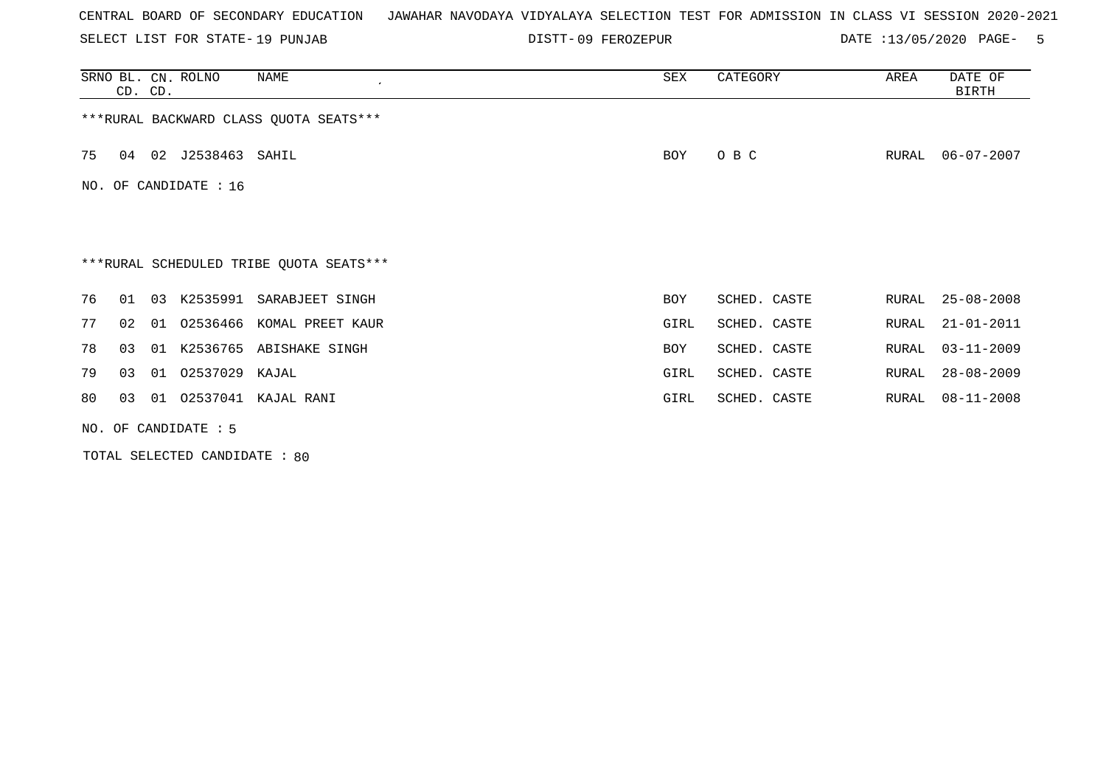SELECT LIST FOR STATE- DISTT- 19 PUNJAB

DISTT-09 FEROZEPUR **DATE** :13/05/2020 PAGE- 5

|    | CD. CD. |    | SRNO BL. CN. ROLNO     | NAME                                    | SEX  | CATEGORY     | AREA  | DATE OF<br>BIRTH |
|----|---------|----|------------------------|-----------------------------------------|------|--------------|-------|------------------|
|    |         |    |                        | *** RURAL BACKWARD CLASS QUOTA SEATS*** |      |              |       |                  |
| 75 | 04      |    | 02 J2538463 SAHIL      |                                         | BOY  | O B C        | RURAL | 06-07-2007       |
|    |         |    | NO. OF CANDIDATE : 16  |                                         |      |              |       |                  |
|    |         |    |                        |                                         |      |              |       |                  |
|    |         |    |                        | ***RURAL SCHEDULED TRIBE QUOTA SEATS*** |      |              |       |                  |
| 76 | 01      | 03 | K2535991               | SARABJEET SINGH                         | BOY  | SCHED. CASTE | RURAL | $25 - 08 - 2008$ |
| 77 | 02      | 01 | 02536466               | KOMAL PREET KAUR                        | GIRL | SCHED. CASTE | RURAL | $21 - 01 - 2011$ |
| 78 | 03      | 01 | K2536765               | ABISHAKE SINGH                          | BOY  | SCHED. CASTE | RURAL | $03 - 11 - 2009$ |
| 79 | 03      | 01 | 02537029               | KAJAL                                   | GIRL | SCHED. CASTE | RURAL | $28 - 08 - 2009$ |
| 80 | 03      | 01 | 02537041               | KAJAL RANI                              | GIRL | SCHED. CASTE | RURAL | $08 - 11 - 2008$ |
|    |         |    | NO. OF CANDIDATE $: 5$ |                                         |      |              |       |                  |

TOTAL SELECTED CANDIDATE : 80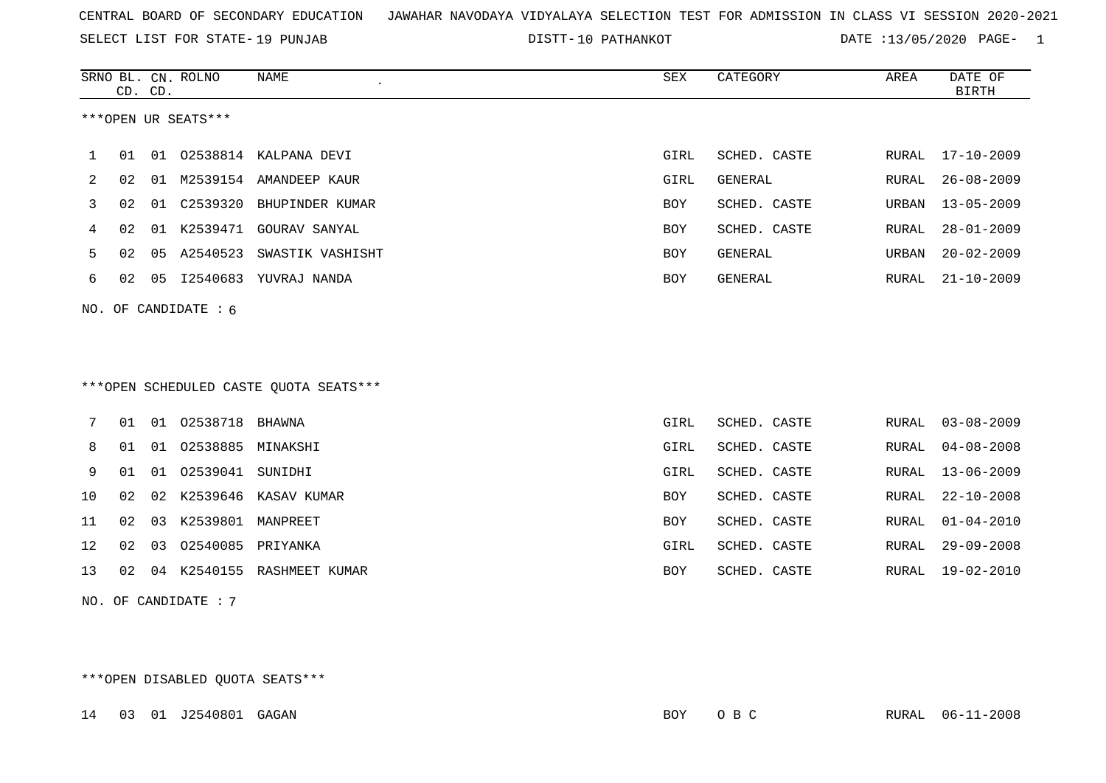SELECT LIST FOR STATE- DISTT- 19 PUNJAB

10 PATHANKOT DATE :13/05/2020 PAGE- 1

|    |    | CD. CD. | SRNO BL. CN. ROLNO   | NAME<br>$\epsilon$                     | <b>SEX</b>  | CATEGORY       | AREA         | DATE OF<br><b>BIRTH</b> |
|----|----|---------|----------------------|----------------------------------------|-------------|----------------|--------------|-------------------------|
|    |    |         | ***OPEN UR SEATS***  |                                        |             |                |              |                         |
| 1  | 01 | 01      |                      | 02538814 KALPANA DEVI                  | GIRL        | SCHED. CASTE   | RURAL        | $17 - 10 - 2009$        |
| 2  | 02 | 01      |                      | M2539154 AMANDEEP KAUR                 | <b>GIRL</b> | <b>GENERAL</b> | <b>RURAL</b> | $26 - 08 - 2009$        |
| 3  | 02 | 01      | C2539320             | BHUPINDER KUMAR                        | <b>BOY</b>  | SCHED. CASTE   | URBAN        | $13 - 05 - 2009$        |
| 4  | 02 | 01      | K2539471             | GOURAV SANYAL                          | BOY         | SCHED. CASTE   | RURAL        | $28 - 01 - 2009$        |
| 5  | 02 | 05      | A2540523             | SWASTIK VASHISHT                       | <b>BOY</b>  | <b>GENERAL</b> | URBAN        | $20 - 02 - 2009$        |
| 6  | 02 | 05      |                      | I2540683 YUVRAJ NANDA                  | <b>BOY</b>  | GENERAL        | RURAL        | $21 - 10 - 2009$        |
|    |    |         | NO. OF CANDIDATE: 6  |                                        |             |                |              |                         |
|    |    |         |                      |                                        |             |                |              |                         |
|    |    |         |                      |                                        |             |                |              |                         |
|    |    |         |                      | ***OPEN SCHEDULED CASTE QUOTA SEATS*** |             |                |              |                         |
|    |    |         |                      |                                        |             |                |              |                         |
| 7  | 01 |         | 01 02538718          | BHAWNA                                 | GIRL        | SCHED. CASTE   | RURAL        | $03 - 08 - 2009$        |
| 8  | 01 | 01      | 02538885             | MINAKSHI                               | <b>GIRL</b> | SCHED. CASTE   | RURAL        | $04 - 08 - 2008$        |
| 9  | 01 | 01      | 02539041             | SUNIDHI                                | GIRL        | SCHED. CASTE   | <b>RURAL</b> | $13 - 06 - 2009$        |
| 10 | 02 | 02      |                      | K2539646 KASAV KUMAR                   | <b>BOY</b>  | SCHED. CASTE   | RURAL        | $22 - 10 - 2008$        |
| 11 | 02 | 03      | K2539801             | MANPREET                               | <b>BOY</b>  | SCHED. CASTE   | <b>RURAL</b> | $01 - 04 - 2010$        |
| 12 | 02 | 03      | 02540085             | PRIYANKA                               | GIRL        | SCHED. CASTE   | <b>RURAL</b> | $29 - 09 - 2008$        |
| 13 | 02 | 04      |                      | K2540155 RASHMEET KUMAR                | <b>BOY</b>  | SCHED. CASTE   | RURAL        | $19 - 02 - 2010$        |
|    |    |         | NO. OF CANDIDATE : 7 |                                        |             |                |              |                         |

\*\*\*OPEN DISABLED QUOTA SEATS\*\*\*

14 03 01 J2540801 GAGAN BOY O B C RURAL 06-11-2008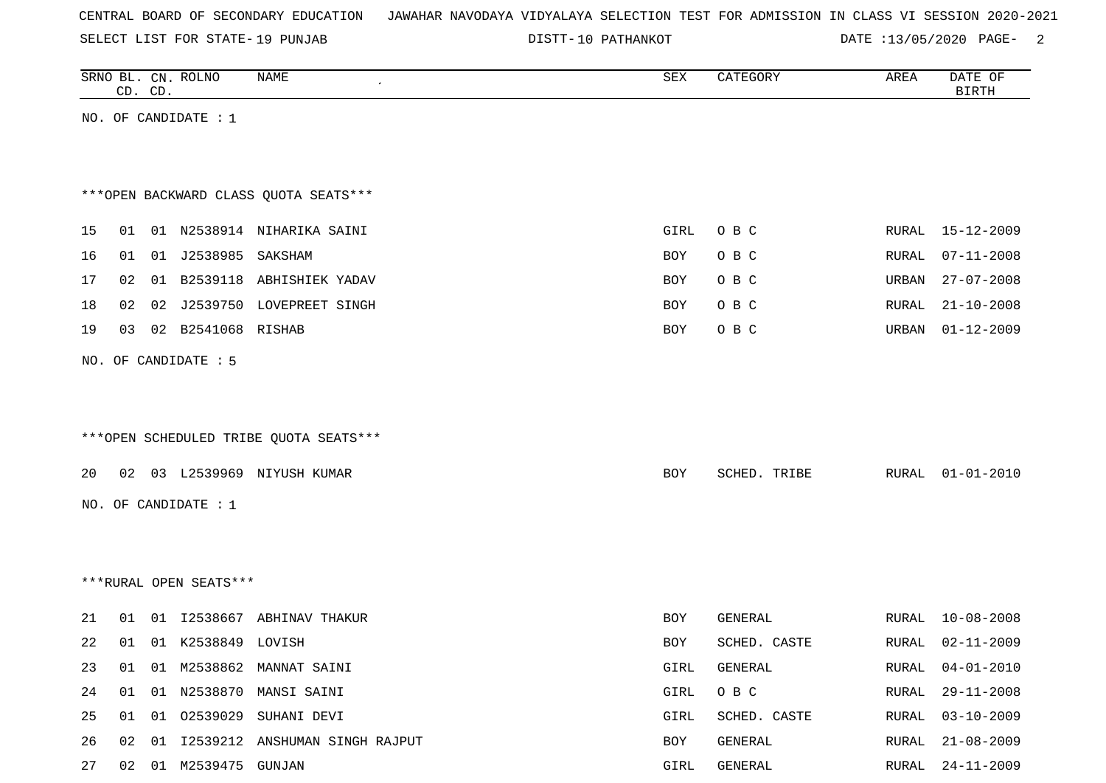SELECT LIST FOR STATE- DISTT- 19 PUNJAB

DISTT-10 PATHANKOT **DATE** :13/05/2020 PAGE- 2

|    |    | CD. CD. | SRNO BL. CN. ROLNO     | NAME                                   | SEX        | CATEGORY     | AREA  | DATE OF<br><b>BIRTH</b> |
|----|----|---------|------------------------|----------------------------------------|------------|--------------|-------|-------------------------|
|    |    |         | NO. OF CANDIDATE : 1   |                                        |            |              |       |                         |
|    |    |         |                        |                                        |            |              |       |                         |
|    |    |         |                        |                                        |            |              |       |                         |
|    |    |         |                        | *** OPEN BACKWARD CLASS QUOTA SEATS*** |            |              |       |                         |
| 15 | 01 |         |                        | 01 N2538914 NIHARIKA SAINI             | GIRL       | O B C        | RURAL | 15-12-2009              |
| 16 | 01 |         |                        |                                        | BOY        | O B C        | RURAL | $07 - 11 - 2008$        |
| 17 | 02 |         |                        | 01 B2539118 ABHISHIEK YADAV            | BOY        | O B C        | URBAN | $27 - 07 - 2008$        |
|    |    |         |                        |                                        |            |              |       |                         |
| 18 | 02 |         |                        | 02 J2539750 LOVEPREET SINGH            | BOY        | O B C        | RURAL | $21 - 10 - 2008$        |
| 19 | 03 |         | 02 B2541068 RISHAB     |                                        | BOY        | O B C        | URBAN | $01 - 12 - 2009$        |
|    |    |         | NO. OF CANDIDATE : 5   |                                        |            |              |       |                         |
|    |    |         |                        |                                        |            |              |       |                         |
|    |    |         |                        |                                        |            |              |       |                         |
|    |    |         |                        | ***OPEN SCHEDULED TRIBE QUOTA SEATS*** |            |              |       |                         |
| 20 |    |         |                        | 02 03 L2539969 NIYUSH KUMAR            | BOY        | SCHED. TRIBE | RURAL | $01 - 01 - 2010$        |
|    |    |         |                        |                                        |            |              |       |                         |
|    |    |         | NO. OF CANDIDATE : $1$ |                                        |            |              |       |                         |
|    |    |         |                        |                                        |            |              |       |                         |
|    |    |         |                        |                                        |            |              |       |                         |
|    |    |         | ***RURAL OPEN SEATS*** |                                        |            |              |       |                         |
| 21 | 01 |         |                        | 01 I2538667 ABHINAV THAKUR             | BOY        | GENERAL      | RURAL | $10 - 08 - 2008$        |
| 22 | 01 |         | 01 K2538849 LOVISH     |                                        | <b>BOY</b> | SCHED. CASTE | RURAL | $02 - 11 - 2009$        |
| 23 | 01 |         |                        | 01 M2538862 MANNAT SAINI               | GIRL       | GENERAL      | RURAL | $04 - 01 - 2010$        |
| 24 | 01 | 01      |                        | N2538870 MANSI SAINI                   | GIRL       | $O$ B $C$    | RURAL | $29 - 11 - 2008$        |
| 25 | 01 |         |                        | 01 02539029 SUHANI DEVI                | GIRL       | SCHED. CASTE | RURAL | $03 - 10 - 2009$        |
| 26 | 02 |         |                        | 01 I2539212 ANSHUMAN SINGH RAJPUT      | BOY        | GENERAL      | RURAL | $21 - 08 - 2009$        |
| 27 |    |         | 02 01 M2539475 GUNJAN  |                                        | GIRL       | GENERAL      | RURAL | $24 - 11 - 2009$        |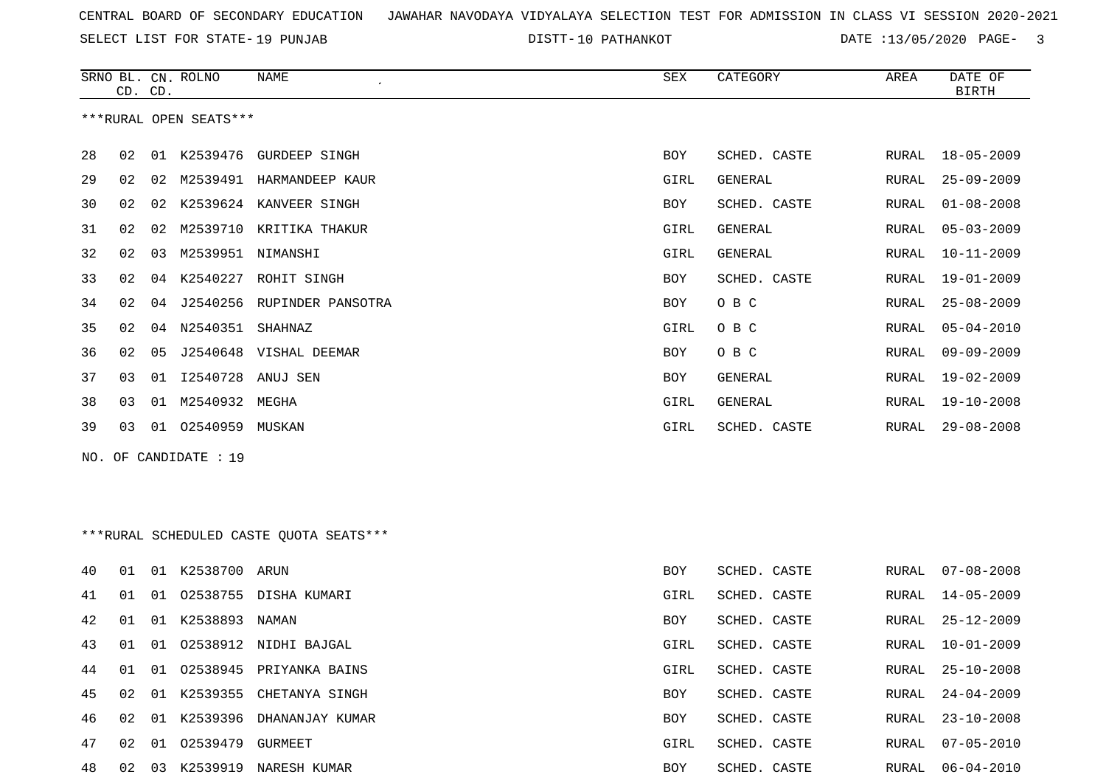SELECT LIST FOR STATE- DISTT- 19 PUNJAB

DISTT-10 PATHANKOT DATE :13/05/2020 PAGE- 3

|    | CD. CD. |    | SRNO BL. CN. ROLNO     | NAME                                    | SEX        | CATEGORY       | AREA  | DATE OF<br><b>BIRTH</b> |
|----|---------|----|------------------------|-----------------------------------------|------------|----------------|-------|-------------------------|
|    |         |    | ***RURAL OPEN SEATS*** |                                         |            |                |       |                         |
| 28 | 02      |    |                        | 01 K2539476 GURDEEP SINGH               | BOY        | SCHED. CASTE   | RURAL | $18 - 05 - 2009$        |
| 29 | 02      |    |                        | 02 M2539491 HARMANDEEP KAUR             | GIRL       | GENERAL        | RURAL | $25 - 09 - 2009$        |
| 30 | 02      |    |                        | 02 K2539624 KANVEER SINGH               | BOY        | SCHED. CASTE   | RURAL | $01 - 08 - 2008$        |
| 31 | 02      |    |                        | 02 M2539710 KRITIKA THAKUR              | GIRL       | GENERAL        | RURAL | $05 - 03 - 2009$        |
| 32 | 02      | 03 | M2539951 NIMANSHI      |                                         | GIRL       | GENERAL        | RURAL | $10 - 11 - 2009$        |
| 33 | 02      |    |                        | 04 K2540227 ROHIT SINGH                 | BOY        | SCHED. CASTE   | RURAL | $19 - 01 - 2009$        |
| 34 | 02      | 04 |                        | J2540256 RUPINDER PANSOTRA              | <b>BOY</b> | O B C          | RURAL | $25 - 08 - 2009$        |
| 35 | 02      |    | 04 N2540351 SHAHNAZ    |                                         | GIRL       | O B C          | RURAL | $05 - 04 - 2010$        |
| 36 | 02      | 05 |                        | J2540648 VISHAL DEEMAR                  | BOY        | O B C          | RURAL | $09 - 09 - 2009$        |
| 37 | 03      |    | 01 12540728 ANUJ SEN   |                                         | <b>BOY</b> | <b>GENERAL</b> | RURAL | $19 - 02 - 2009$        |
| 38 | 03      |    | 01 M2540932 MEGHA      |                                         | GIRL       | GENERAL        | RURAL | $19 - 10 - 2008$        |
| 39 | 03      |    | 01 02540959 MUSKAN     |                                         | GIRL       | SCHED. CASTE   | RURAL | $29 - 08 - 2008$        |
|    |         |    | NO. OF CANDIDATE : 19  |                                         |            |                |       |                         |
|    |         |    |                        |                                         |            |                |       |                         |
|    |         |    |                        | ***RURAL SCHEDULED CASTE QUOTA SEATS*** |            |                |       |                         |
| 40 | 01      |    | 01 K2538700 ARUN       |                                         | <b>BOY</b> | SCHED. CASTE   | RURAL | $07 - 08 - 2008$        |
| 41 | 01      |    |                        | 01 02538755 DISHA KUMARI                | GIRL       | SCHED. CASTE   | RURAL | $14 - 05 - 2009$        |
| 42 | 01      |    | 01 K2538893 NAMAN      |                                         | BOY        | SCHED. CASTE   | RURAL | $25 - 12 - 2009$        |
| 43 | 01      |    |                        | 01 02538912 NIDHI BAJGAL                | GIRL       | SCHED. CASTE   | RURAL | $10 - 01 - 2009$        |

44 01 01 02538945 PRIYANKA BAINS

45 02 01 K2539355 CHETANYA SINGH

46 02 01 K2539396 DHANANJAY KUMAR

47 02 01 02539479 GURMEET

48 02 03 K2539919 NARESH KUMAR

| GIRL       | SCHED, CASTE | RURAL, | $14 - 05 - 2009$ |
|------------|--------------|--------|------------------|
| <b>BOY</b> | SCHED, CASTE | RURAL  | $25 - 12 - 2009$ |
| GTRL       | SCHED, CASTE | RURAL, | $10 - 01 - 2009$ |
| GTRL       | SCHED, CASTE | RURAL, | 25-10-2008       |
| <b>BOY</b> | SCHED, CASTE | RURAL, | $24 - 04 - 2009$ |
| BOY        | SCHED, CASTE | RURAL, | $23 - 10 - 2008$ |
| GIRL       | SCHED, CASTE | RURAL, | $07 - 05 - 2010$ |
| BOY        | SCHED, CASTE | RURAL, | $06 - 04 - 2010$ |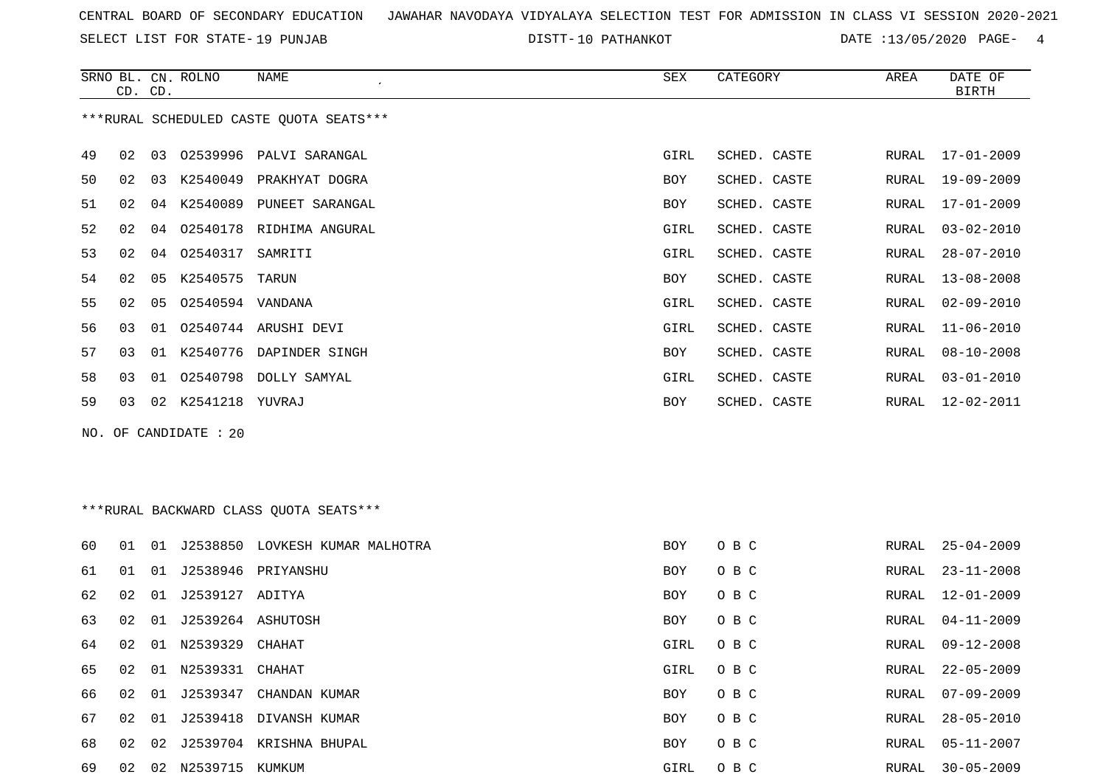SELECT LIST FOR STATE- DISTT- 19 PUNJAB

DISTT-10 PATHANKOT DATE :13/05/2020 PAGE- 4

|    | CD. CD. |    | SRNO BL. CN. ROLNO | NAME                                    | SEX  | CATEGORY     | AREA  | DATE OF<br><b>BIRTH</b> |
|----|---------|----|--------------------|-----------------------------------------|------|--------------|-------|-------------------------|
|    |         |    |                    | ***RURAL SCHEDULED CASTE OUOTA SEATS*** |      |              |       |                         |
| 49 | 02      | 03 | 02539996           | PALVI SARANGAL                          | GIRL | SCHED. CASTE | RURAL | $17 - 01 - 2009$        |
| 50 | 02      | 03 | K2540049           | PRAKHYAT DOGRA                          | BOY  | SCHED. CASTE | RURAL | 19-09-2009              |
| 51 | 02      | 04 | K2540089           | PUNEET SARANGAL                         | BOY  | SCHED. CASTE | RURAL | $17 - 01 - 2009$        |
| 52 | 02      | 04 |                    | 02540178 RIDHIMA ANGURAL                | GIRL | SCHED. CASTE | RURAL | $03 - 02 - 2010$        |
| 53 | 02      | 04 | 02540317           | SAMRITI                                 | GIRL | SCHED. CASTE | RURAL | $28 - 07 - 2010$        |
| 54 | 02      | 05 | K2540575           | TARUN                                   | BOY  | SCHED. CASTE | RURAL | $13 - 08 - 2008$        |
| 55 | 02      | 05 | 02540594 VANDANA   |                                         | GIRL | SCHED. CASTE | RURAL | $02 - 09 - 2010$        |
| 56 | 03      | 01 |                    | 02540744 ARUSHI DEVI                    | GIRL | SCHED. CASTE | RURAL | $11 - 06 - 2010$        |
| 57 | 03      | 01 | K2540776           | DAPINDER SINGH                          | BOY  | SCHED. CASTE | RURAL | $08 - 10 - 2008$        |
| 58 | 03      | 01 |                    | 02540798 DOLLY SAMYAL                   | GIRL | SCHED. CASTE | RURAL | $03 - 01 - 2010$        |
| 59 | 03      | 02 | K2541218 YUVRAJ    |                                         | BOY  | SCHED. CASTE | RURAL | $12 - 02 - 2011$        |
|    |         |    |                    |                                         |      |              |       |                         |

NO. OF CANDIDATE : 20

# \*\*\*RURAL BACKWARD CLASS QUOTA SEATS\*\*\*

| 60 | 01 | 01 | J2538850        | LOVKESH KUMAR MALHOTRA | BOY        | O B C | RURAL | $25 - 04 - 2009$ |
|----|----|----|-----------------|------------------------|------------|-------|-------|------------------|
| 61 | 01 | 01 | J2538946        | PRIYANSHU              | BOY        | O B C | RURAL | $23 - 11 - 2008$ |
| 62 | 02 | 01 | J2539127 ADITYA |                        | BOY        | O B C | RURAL | 12-01-2009       |
| 63 | 02 | 01 | J2539264        | ASHUTOSH               | BOY        | O B C | RURAL | 04-11-2009       |
| 64 | 02 | 01 | N2539329        | CHAHAT                 | GIRL       | O B C | RURAL | 09-12-2008       |
| 65 | 02 | 01 | N2539331        | CHAHAT                 | GIRL       | O B C | RURAL | $22 - 05 - 2009$ |
| 66 | 02 | 01 | J2539347        | CHANDAN KUMAR          | <b>BOY</b> | O B C | RURAL | $07 - 09 - 2009$ |
| 67 | 02 | 01 | J2539418        | DIVANSH KUMAR          | BOY        | O B C | RURAL | $28 - 05 - 2010$ |
| 68 | 02 | 02 | J2539704        | KRISHNA BHUPAL         | <b>BOY</b> | O B C | RURAL | 05-11-2007       |
| 69 | 02 | 02 | N2539715        | KUMKUM                 | GIRL       | O B C | RURAL | $30 - 05 - 2009$ |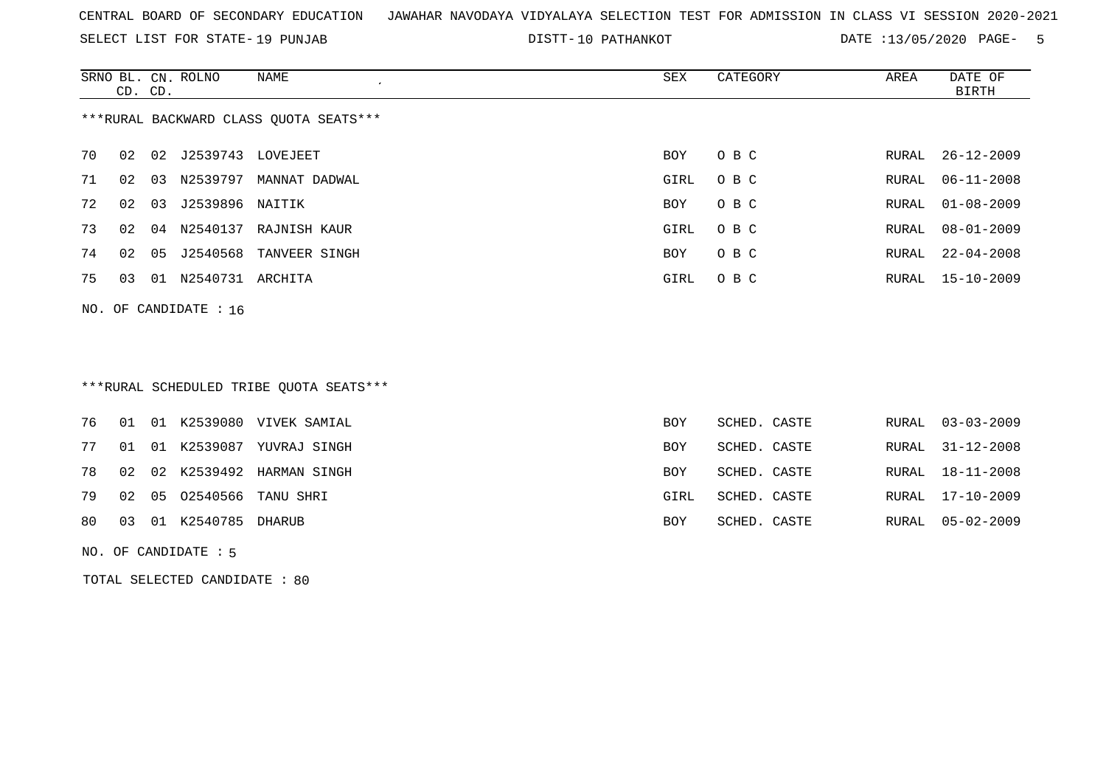SELECT LIST FOR STATE- DISTT- 19 PUNJAB

10 PATHANKOT DATE :13/05/2020 PAGE- 5

|                                        | CD. CD. |    | SRNO BL. CN. ROLNO | NAME                   | SEX        | CATEGORY | AREA  | DATE OF<br>BIRTH |  |
|----------------------------------------|---------|----|--------------------|------------------------|------------|----------|-------|------------------|--|
| ***RURAL BACKWARD CLASS OUOTA SEATS*** |         |    |                    |                        |            |          |       |                  |  |
| 70                                     | 02      | 02 | J2539743 LOVEJEET  |                        | BOY        | O B C    | RURAL | 26-12-2009       |  |
| 71                                     | 02      | 03 | N2539797           | MANNAT DADWAL          | GIRL       | O B C    | RURAL | $06 - 11 - 2008$ |  |
| 72                                     | 02      | 03 | J2539896 NAITIK    |                        | BOY        | O B C    | RURAL | $01 - 08 - 2009$ |  |
| 73                                     | 02      | 04 |                    | N2540137 RAJNISH KAUR  | GIRL       | O B C    | RURAL | $08 - 01 - 2009$ |  |
| 74                                     | 02      | 05 |                    | J2540568 TANVEER SINGH | <b>BOY</b> | O B C    | RURAL | $22 - 04 - 2008$ |  |
| 75                                     | 03      | 01 | N2540731           | ARCHITA                | GIRL       | O B C    | RURAL | 15-10-2009       |  |
|                                        |         |    |                    |                        |            |          |       |                  |  |

\*\*\*RURAL SCHEDULED TRIBE QUOTA SEATS\*\*\*

|    |  |                       | 76 01 01 K2539080 VIVEK SAMIAL | BOY  | SCHED. CASTE |  | RURAL 03-03-2009 |
|----|--|-----------------------|--------------------------------|------|--------------|--|------------------|
| 77 |  |                       | 01 01 K2539087 YUVRAJ SINGH    | BOY  | SCHED. CASTE |  | RURAL 31-12-2008 |
|    |  |                       | 78 02 02 K2539492 HARMAN SINGH | BOY  | SCHED. CASTE |  | RURAL 18-11-2008 |
| 79 |  |                       | 02 05 02540566 TANU SHRI       | GIRL | SCHED. CASTE |  | RURAL 17-10-2009 |
| 80 |  | 03 01 K2540785 DHARUB |                                | BOY  | SCHED. CASTE |  | RURAL 05-02-2009 |
|    |  |                       |                                |      |              |  |                  |

NO. OF CANDIDATE : 5

NO. OF CANDIDATE : 16

TOTAL SELECTED CANDIDATE : 80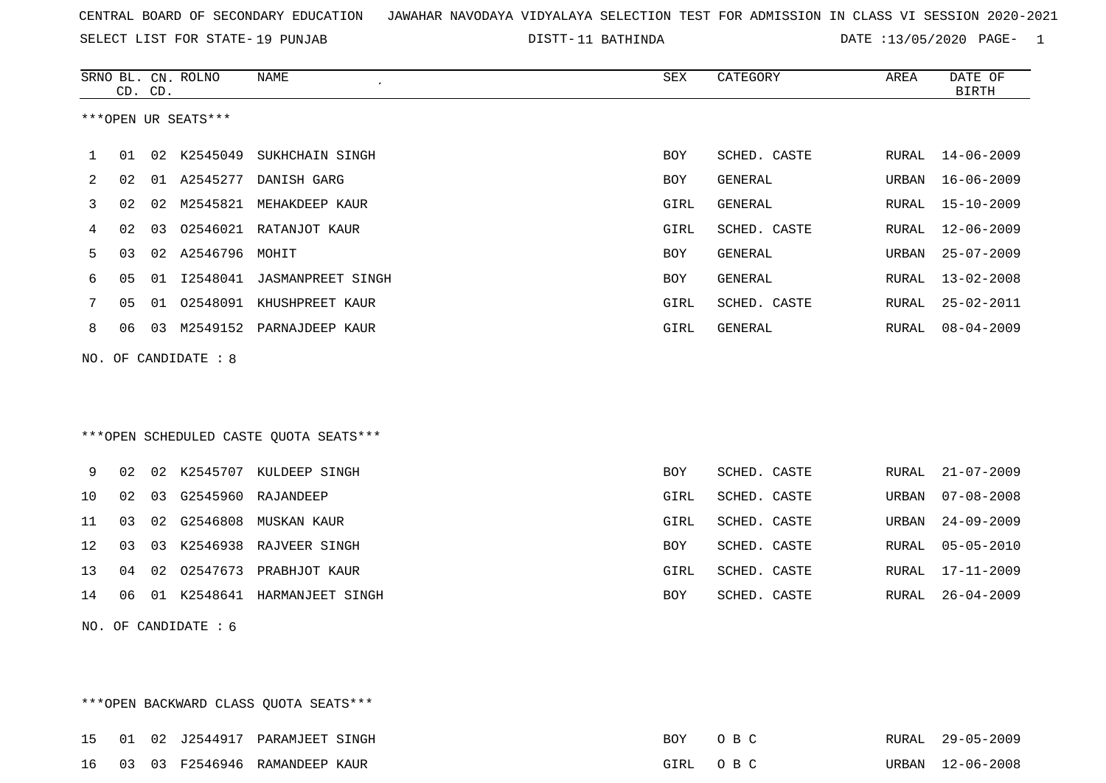SELECT LIST FOR STATE- DISTT- 19 PUNJAB

DISTT-11 BATHINDA **DATE** :13/05/2020 PAGE- 1

|     |                              | CD. CD. | SRNO BL. CN. ROLNO     | <b>NAME</b><br>$\mathcal{L}_{\mathcal{A}}$ | ${\tt SEX}$ | CATEGORY     | AREA         | DATE OF<br><b>BIRTH</b> |  |  |
|-----|------------------------------|---------|------------------------|--------------------------------------------|-------------|--------------|--------------|-------------------------|--|--|
|     |                              |         | ***OPEN UR SEATS***    |                                            |             |              |              |                         |  |  |
| 1   | 01                           |         |                        | 02 K2545049 SUKHCHAIN SINGH                | BOY.        | SCHED. CASTE | RURAL        | 14-06-2009              |  |  |
| 2   | 02                           |         | 01 A2545277            | DANISH GARG                                | BOY         | GENERAL      | URBAN        | $16 - 06 - 2009$        |  |  |
| 3   | 02                           | 02      |                        | M2545821 MEHAKDEEP KAUR                    | GIRL        | GENERAL      | RURAL        | $15 - 10 - 2009$        |  |  |
| 4   | 02                           |         |                        | 03 02546021 RATANJOT KAUR                  | GIRL        | SCHED. CASTE | RURAL        | $12 - 06 - 2009$        |  |  |
| 5   | 03                           |         | 02 A2546796 MOHIT      |                                            | <b>BOY</b>  | GENERAL      | URBAN        | $25 - 07 - 2009$        |  |  |
| 6   | 05                           |         |                        | 01 I2548041 JASMANPREET SINGH              | <b>BOY</b>  | GENERAL      | RURAL        | $13 - 02 - 2008$        |  |  |
| 7   | 05                           | 01      |                        | 02548091 KHUSHPREET KAUR                   | GIRL        | SCHED. CASTE | <b>RURAL</b> | $25 - 02 - 2011$        |  |  |
| 8   | 06                           |         |                        | 03 M2549152 PARNAJDEEP KAUR                | GIRL        | GENERAL      | RURAL        | $08 - 04 - 2009$        |  |  |
| NO. |                              |         | OF CANDIDATE : 8       |                                            |             |              |              |                         |  |  |
|     |                              |         |                        |                                            |             |              |              |                         |  |  |
|     |                              |         |                        |                                            |             |              |              |                         |  |  |
|     |                              |         |                        | *** OPEN SCHEDULED CASTE QUOTA SEATS***    |             |              |              |                         |  |  |
| 9   | 02                           |         |                        | 02 K2545707 KULDEEP SINGH                  | BOY         | SCHED. CASTE | RURAL        | $21 - 07 - 2009$        |  |  |
| 10  | 02                           | 03      |                        | G2545960 RAJANDEEP                         | GIRL        | SCHED. CASTE | URBAN        | $07 - 08 - 2008$        |  |  |
| 11  | 03                           |         |                        | 02 G2546808 MUSKAN KAUR                    | GIRL        | SCHED. CASTE | URBAN        | $24 - 09 - 2009$        |  |  |
| 12  | 03                           | 03      |                        | K2546938 RAJVEER SINGH                     | <b>BOY</b>  | SCHED. CASTE | <b>RURAL</b> | $05 - 05 - 2010$        |  |  |
| 13  | 04                           |         |                        | 02 02547673 PRABHJOT KAUR                  | GIRL        | SCHED. CASTE | RURAL        | $17 - 11 - 2009$        |  |  |
| 14  | 06                           |         |                        |                                            | BOY         | SCHED. CASTE | RURAL        | $26 - 04 - 2009$        |  |  |
|     | 01 K2548641 HARMANJEET SINGH |         |                        |                                            |             |              |              |                         |  |  |
|     |                              |         | NO. OF CANDIDATE : $6$ |                                            |             |              |              |                         |  |  |
|     |                              |         |                        |                                            |             |              |              |                         |  |  |

|  |  | ***OPEN BACKWARD CLASS OUOTA SEATS*** |          |                  |
|--|--|---------------------------------------|----------|------------------|
|  |  | 15 01 02 J2544917 PARAMJEET SINGH     | BOY OBC  | RURAL 29-05-2009 |
|  |  | 16 03 03 F2546946 RAMANDEEP KAUR      | GIRL OBC | URBAN 12-06-2008 |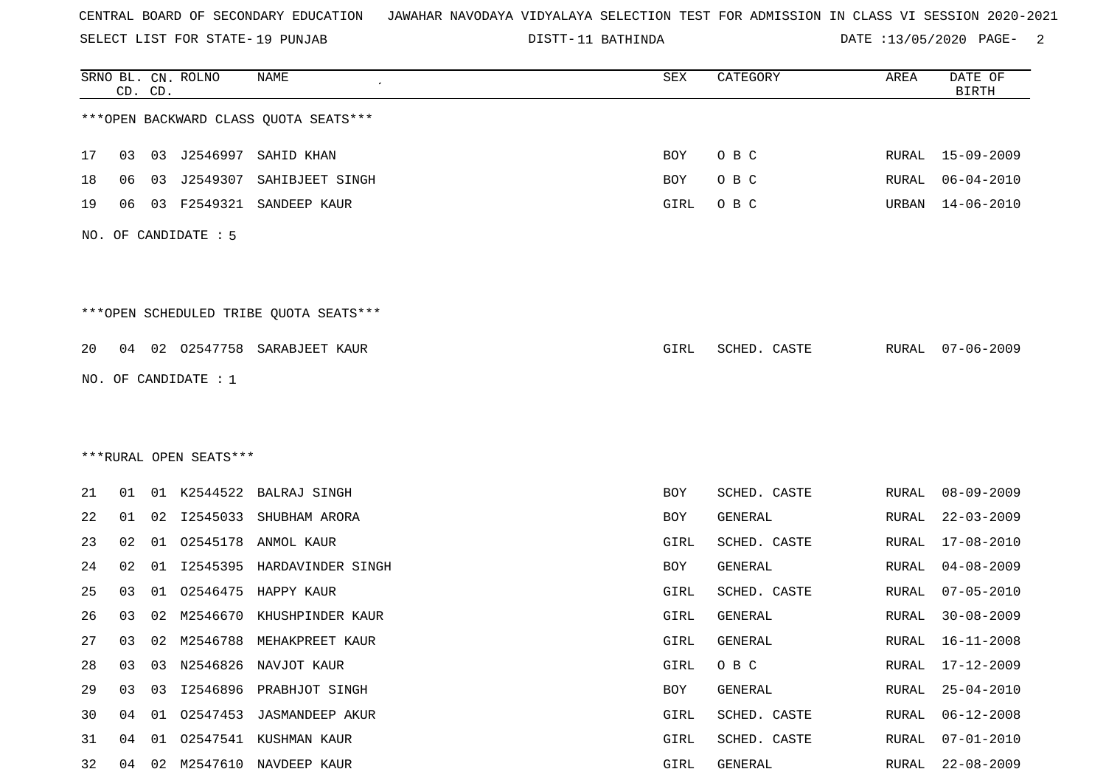SELECT LIST FOR STATE- DISTT- 19 PUNJAB

DISTT-11 BATHINDA **DATE** :13/05/2020 PAGE- 2

|    |    | CD. CD. | SRNO BL. CN. ROLNO     | <b>NAME</b>                            | SEX  | CATEGORY     | AREA         | DATE OF<br><b>BIRTH</b> |
|----|----|---------|------------------------|----------------------------------------|------|--------------|--------------|-------------------------|
|    |    |         |                        | *** OPEN BACKWARD CLASS QUOTA SEATS*** |      |              |              |                         |
| 17 | 03 |         | 03 J2546997            | SAHID KHAN                             | BOY  | O B C        | RURAL        | $15 - 09 - 2009$        |
| 18 | 06 | 03      | J2549307               | SAHIBJEET SINGH                        | BOY  | O B C        | RURAL        | $06 - 04 - 2010$        |
| 19 | 06 | 03      | F2549321               | SANDEEP KAUR                           | GIRL | O B C        | URBAN        | $14 - 06 - 2010$        |
|    |    |         | NO. OF CANDIDATE : 5   |                                        |      |              |              |                         |
|    |    |         |                        | ***OPEN SCHEDULED TRIBE QUOTA SEATS*** |      |              |              |                         |
| 20 | 04 |         | 02 02547758            | SARABJEET KAUR                         | GIRL | SCHED. CASTE | RURAL        | $07 - 06 - 2009$        |
|    |    |         | NO. OF CANDIDATE : 1   |                                        |      |              |              |                         |
|    |    |         |                        |                                        |      |              |              |                         |
|    |    |         |                        |                                        |      |              |              |                         |
|    |    |         | ***RURAL OPEN SEATS*** |                                        |      |              |              |                         |
| 21 | 01 |         | 01 K2544522            | BALRAJ SINGH                           | BOY  | SCHED. CASTE | RURAL        | $08 - 09 - 2009$        |
| 22 | 01 | 02      | I2545033               | SHUBHAM ARORA                          | BOY  | GENERAL      | RURAL        | $22 - 03 - 2009$        |
| 23 | 02 | 01      | 02545178               | ANMOL KAUR                             | GIRL | SCHED. CASTE | RURAL        | $17 - 08 - 2010$        |
| 24 | 02 | 01      | I2545395               | HARDAVINDER SINGH                      | BOY  | GENERAL      | <b>RURAL</b> | $04 - 08 - 2009$        |
| 25 | 03 | 01      | 02546475               | HAPPY KAUR                             | GIRL | SCHED. CASTE | RURAL        | $07 - 05 - 2010$        |
| 26 | 03 | 02      | M2546670               | KHUSHPINDER KAUR                       | GIRL | GENERAL      | RURAL        | $30 - 08 - 2009$        |
| 27 | 03 | 02      | M2546788               | MEHAKPREET KAUR                        | GIRL | GENERAL      | RURAL        | $16 - 11 - 2008$        |
| 28 | 03 | 03      |                        | N2546826 NAVJOT KAUR                   | GIRL | O B C        | RURAL        | 17-12-2009              |
| 29 | 03 |         |                        | 03 I2546896 PRABHJOT SINGH             | BOY  | GENERAL      | RURAL        | $25 - 04 - 2010$        |
| 30 | 04 | 01      |                        | 02547453 JASMANDEEP AKUR               | GIRL | SCHED. CASTE | RURAL        | $06 - 12 - 2008$        |
| 31 | 04 | 01      |                        | 02547541 KUSHMAN KAUR                  | GIRL | SCHED. CASTE | RURAL        | $07 - 01 - 2010$        |
| 32 | 04 |         |                        | 02 M2547610 NAVDEEP KAUR               | GIRL | GENERAL      | RURAL        | $22 - 08 - 2009$        |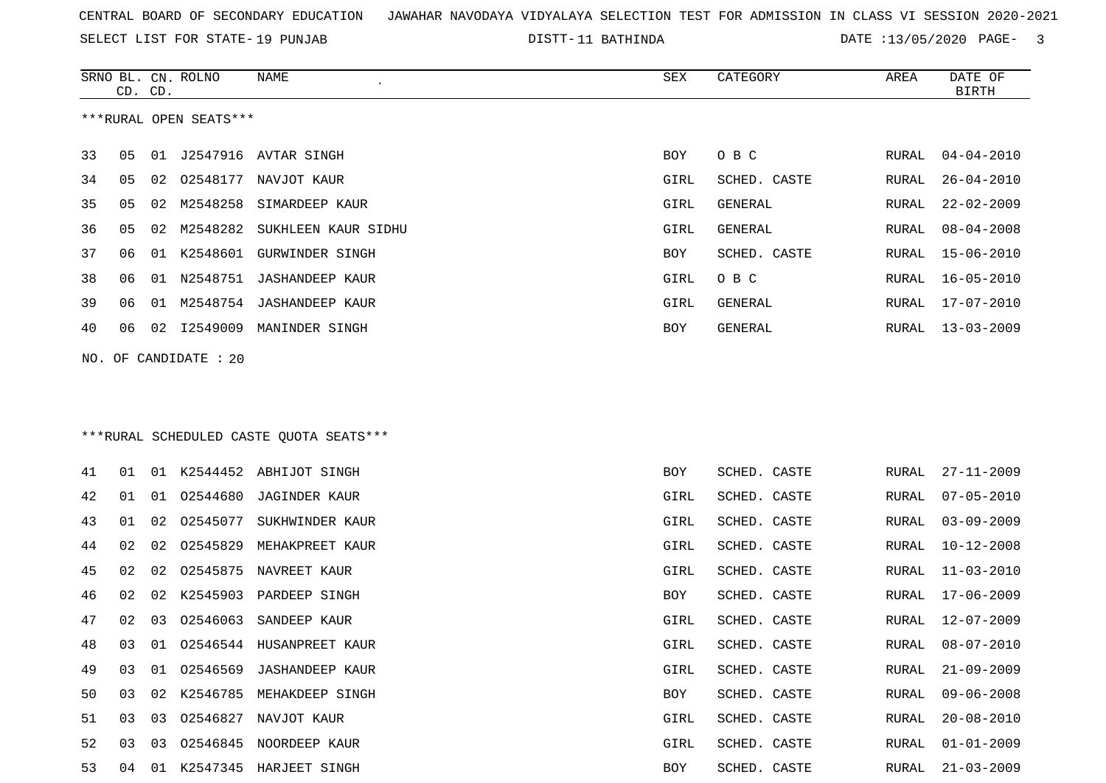SELECT LIST FOR STATE- DISTT- 19 PUNJAB

DISTT-11 BATHINDA **DATE** :13/05/2020 PAGE- 3

|     | CD. CD. |    | SRNO BL. CN. ROLNO     | NAME                                    | SEX  | CATEGORY       | AREA  | DATE OF<br><b>BIRTH</b> |
|-----|---------|----|------------------------|-----------------------------------------|------|----------------|-------|-------------------------|
|     |         |    | ***RURAL OPEN SEATS*** |                                         |      |                |       |                         |
|     |         |    |                        |                                         |      |                |       |                         |
| 33  | 05      | 01 |                        | J2547916 AVTAR SINGH                    | BOY  | O B C          | RURAL | $04 - 04 - 2010$        |
| 34  | 05      | 02 | 02548177               | NAVJOT KAUR                             | GIRL | SCHED. CASTE   | RURAL | $26 - 04 - 2010$        |
| 35  | 05      | 02 | M2548258               | SIMARDEEP KAUR                          | GIRL | <b>GENERAL</b> | RURAL | $22 - 02 - 2009$        |
| 36  | 05      | 02 | M2548282               | SUKHLEEN KAUR SIDHU                     | GIRL | GENERAL        | RURAL | $08 - 04 - 2008$        |
| 37  | 06      |    |                        | 01 K2548601 GURWINDER SINGH             | BOY  | SCHED. CASTE   | RURAL | $15 - 06 - 2010$        |
| 38  | 06      |    | 01 N2548751            | <b>JASHANDEEP KAUR</b>                  | GIRL | O B C          | RURAL | $16 - 05 - 2010$        |
| 39  | 06      | 01 |                        | M2548754 JASHANDEEP KAUR                | GIRL | GENERAL        | RURAL | $17 - 07 - 2010$        |
| 40  | 06      | 02 | I2549009               | MANINDER SINGH                          | BOY  | GENERAL        | RURAL | $13 - 03 - 2009$        |
| NO. |         |    | OF CANDIDATE : 20      |                                         |      |                |       |                         |
|     |         |    |                        |                                         |      |                |       |                         |
|     |         |    |                        |                                         |      |                |       |                         |
|     |         |    |                        | ***RURAL SCHEDULED CASTE QUOTA SEATS*** |      |                |       |                         |
|     |         |    |                        |                                         |      |                |       |                         |
| 41  | 01      |    |                        | 01 K2544452 ABHIJOT SINGH               | BOY  | SCHED. CASTE   | RURAL | $27 - 11 - 2009$        |
| 42  | 01      | 01 | 02544680               | <b>JAGINDER KAUR</b>                    | GIRL | SCHED. CASTE   | RURAL | $07 - 05 - 2010$        |
| 43  | 01      | 02 | 02545077               | SUKHWINDER KAUR                         | GIRL | SCHED. CASTE   | RURAL | $03 - 09 - 2009$        |
| 44  | 02      | 02 | 02545829               | MEHAKPREET KAUR                         | GIRL | SCHED. CASTE   | RURAL | $10 - 12 - 2008$        |
| 45  | 02      | 02 | 02545875               | NAVREET KAUR                            | GIRL | SCHED. CASTE   | RURAL | $11 - 03 - 2010$        |
| 46  | 02      | 02 | K2545903               | PARDEEP SINGH                           | BOY  | SCHED. CASTE   | RURAL | $17 - 06 - 2009$        |
| 47  | 02      | 03 | 02546063               | SANDEEP KAUR                            | GIRL | SCHED. CASTE   | RURAL | $12 - 07 - 2009$        |
| 48  | 03      | 01 |                        | 02546544 HUSANPREET KAUR                | GIRL | SCHED. CASTE   | RURAL | $08 - 07 - 2010$        |
| 49  | 03      | 01 |                        | 02546569 JASHANDEEP KAUR                | GIRL | SCHED. CASTE   | RURAL | $21 - 09 - 2009$        |
| 50  | 03      | 02 |                        | K2546785 MEHAKDEEP SINGH                | BOY  | SCHED. CASTE   | RURAL | $09 - 06 - 2008$        |
| 51  | 03      |    |                        | 03 02546827 NAVJOT KAUR                 | GIRL | SCHED. CASTE   | RURAL | $20 - 08 - 2010$        |
| 52  | 03      | 03 |                        | 02546845 NOORDEEP KAUR                  | GIRL | SCHED. CASTE   | RURAL | $01 - 01 - 2009$        |
| 53  | 04      |    |                        | 01 K2547345 HARJEET SINGH               | BOY  | SCHED. CASTE   | RURAL | $21 - 03 - 2009$        |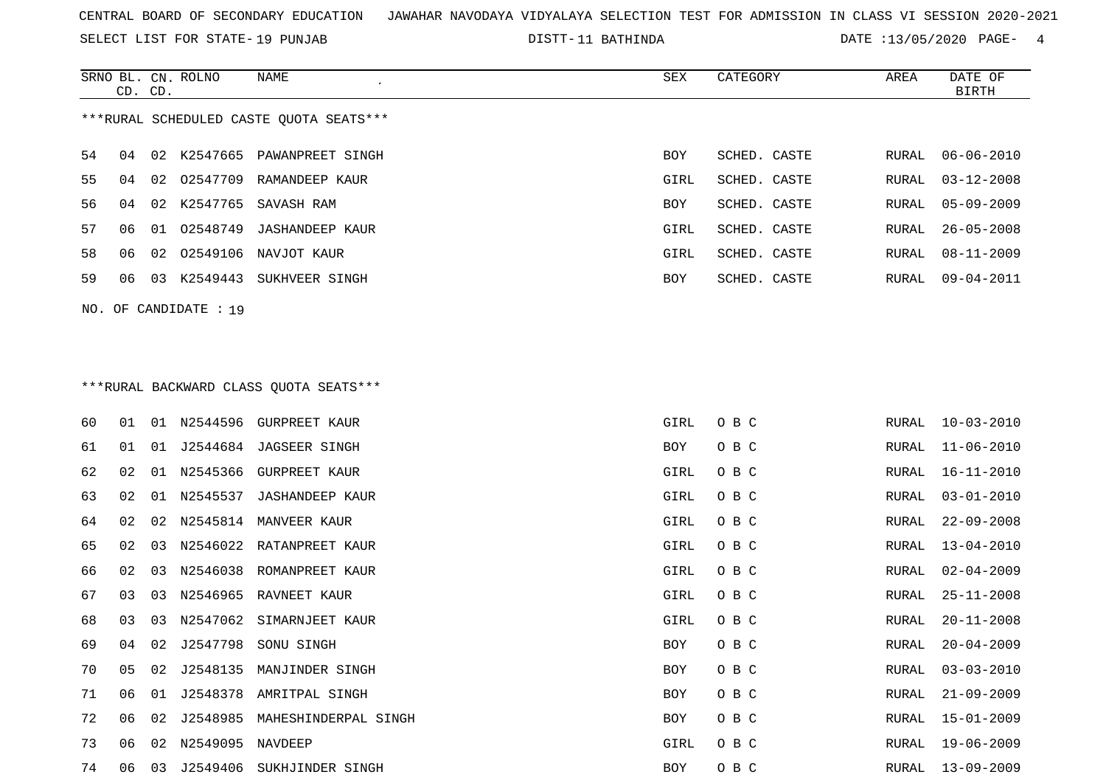SELECT LIST FOR STATE- DISTT- 19 PUNJAB

DISTT-11 BATHINDA **DATE** :13/05/2020 PAGE- 4

|                                         |                         | CD. CD. | SRNO BL. CN. ROLNO | NAME             | SEX        | CATEGORY     | AREA  | DATE OF<br>BIRTH |  |
|-----------------------------------------|-------------------------|---------|--------------------|------------------|------------|--------------|-------|------------------|--|
| ***RURAL SCHEDULED CASTE OUOTA SEATS*** |                         |         |                    |                  |            |              |       |                  |  |
| 54                                      | 04                      |         | 02 K2547665        | PAWANPREET SINGH | <b>BOY</b> | SCHED. CASTE |       | RURAL 06-06-2010 |  |
| 55                                      | 04                      |         | 02 02547709        | RAMANDEEP KAUR   | GIRL       | SCHED. CASTE | RURAL | $03 - 12 - 2008$ |  |
| 56.                                     | 04                      |         | 02 K2547765        | SAVASH RAM       | <b>BOY</b> | SCHED. CASTE |       | RURAL 05-09-2009 |  |
| 57                                      | 06                      | 01      | 02548749           | JASHANDEEP KAUR  | GIRL       | SCHED. CASTE | RURAL | 26-05-2008       |  |
| 58                                      | 06                      |         | 02 02549106        | NAVJOT KAUR      | GIRL       | SCHED. CASTE | RURAL | 08-11-2009       |  |
| 59                                      | 06                      | 03      | K2549443           | SUKHVEER SINGH   | <b>BOY</b> | SCHED. CASTE | RURAL | $09 - 04 - 2011$ |  |
|                                         | $NO.$ OF CANDIDATE : 19 |         |                    |                  |            |              |       |                  |  |

# \*\*\*RURAL BACKWARD CLASS QUOTA SEATS\*\*\*

| 60 | 01 |                 |                     | 01 N2544596 GURPREET KAUR | GIRL       | O B C | RURAL | 10-03-2010       |
|----|----|-----------------|---------------------|---------------------------|------------|-------|-------|------------------|
| 61 | 01 | 01              |                     | J2544684 JAGSEER SINGH    | <b>BOY</b> | O B C | RURAL | $11 - 06 - 2010$ |
| 62 | 02 | 01              | N2545366            | GURPREET KAUR             | GIRL       | O B C | RURAL | $16 - 11 - 2010$ |
| 63 | 02 | 01              | N2545537            | JASHANDEEP KAUR           | GIRL       | O B C | RURAL | $03 - 01 - 2010$ |
| 64 | 02 |                 | 02 N2545814         | MANVEER KAUR              | GIRL       | O B C | RURAL | $22 - 09 - 2008$ |
| 65 | 02 | 03              |                     | N2546022 RATANPREET KAUR  | GIRL       | O B C | RURAL | $13 - 04 - 2010$ |
| 66 | 02 | 03              |                     | N2546038 ROMANPREET KAUR  | GIRL       | O B C | RURAL | $02 - 04 - 2009$ |
| 67 | 03 | 03              |                     | N2546965 RAVNEET KAUR     | GIRL       | O B C | RURAL | $25 - 11 - 2008$ |
| 68 | 03 | 03              | N2547062            | SIMARNJEET KAUR           | GIRL       | O B C | RURAL | $20 - 11 - 2008$ |
| 69 | 04 | 02 <sub>o</sub> |                     | J2547798 SONU SINGH       | <b>BOY</b> | O B C | RURAL | $20 - 04 - 2009$ |
| 70 | 05 | 02              | J2548135            | MANJINDER SINGH           | BOY        | O B C | RURAL | $03 - 03 - 2010$ |
| 71 | 06 | 01              |                     | J2548378 AMRITPAL SINGH   | BOY        | O B C | RURAL | $21 - 09 - 2009$ |
| 72 | 06 | 02              | J2548985            | MAHESHINDERPAL SINGH      | BOY        | O B C | RURAL | $15 - 01 - 2009$ |
| 73 | 06 |                 | 02 N2549095 NAVDEEP |                           | GIRL       | O B C | RURAL | 19-06-2009       |
| 74 | 06 | 03              | J2549406            | SUKHJINDER SINGH          | BOY        | O B C | RURAL | 13-09-2009       |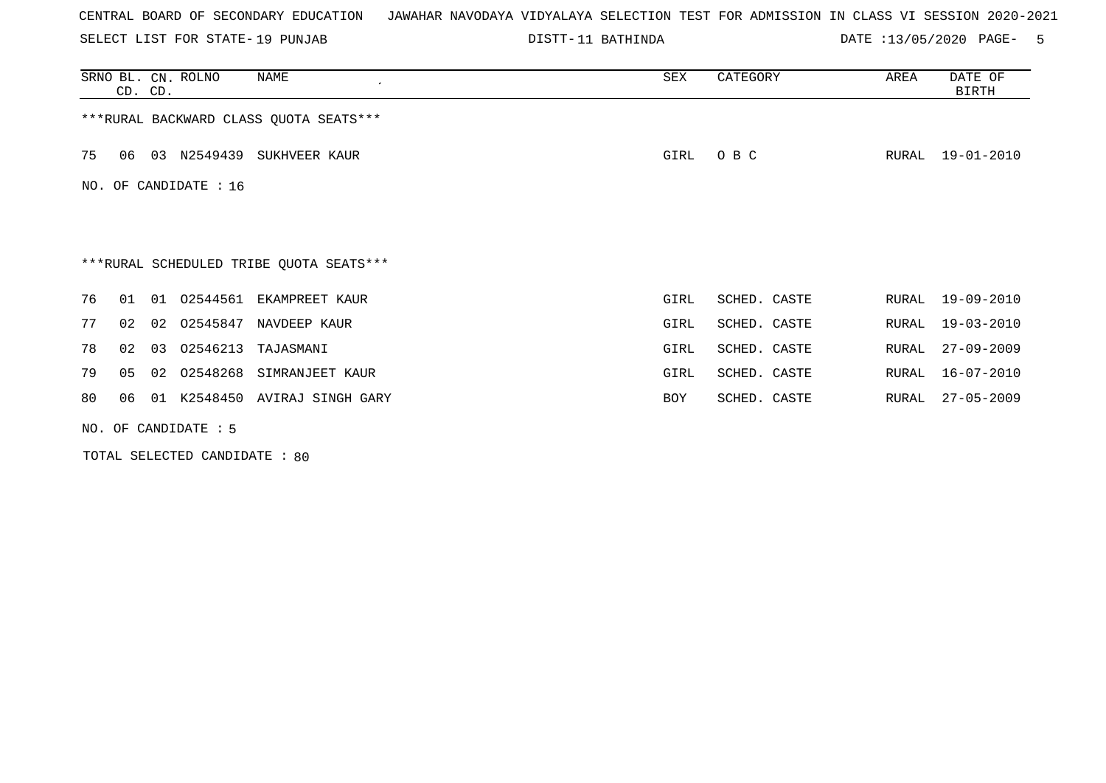SELECT LIST FOR STATE- DISTT- 19 PUNJAB

DISTT-11 BATHINDA DATE :13/05/2020 PAGE- 5

|    | CD. CD.                                 |  | SRNO BL. CN. ROLNO      | NAME<br>$\epsilon$                      | SEX  | CATEGORY     | AREA  | DATE OF<br>BIRTH |  |  |
|----|-----------------------------------------|--|-------------------------|-----------------------------------------|------|--------------|-------|------------------|--|--|
|    |                                         |  |                         | *** RURAL BACKWARD CLASS QUOTA SEATS*** |      |              |       |                  |  |  |
| 75 | 06                                      |  |                         | 03 N2549439 SUKHVEER KAUR               | GIRL | O B C        | RURAL | 19-01-2010       |  |  |
|    |                                         |  | NO. OF CANDIDATE : $16$ |                                         |      |              |       |                  |  |  |
|    |                                         |  |                         |                                         |      |              |       |                  |  |  |
|    | ***RURAL SCHEDULED TRIBE QUOTA SEATS*** |  |                         |                                         |      |              |       |                  |  |  |
| 76 | 01                                      |  |                         | 01 02544561 EKAMPREET KAUR              | GIRL | SCHED. CASTE | RURAL | 19-09-2010       |  |  |
| 77 | 02                                      |  | 02 02545847             | NAVDEEP KAUR                            | GIRL | SCHED. CASTE | RURAL | $19 - 03 - 2010$ |  |  |
| 78 | 02                                      |  | 03 02546213             | TAJASMANI                               | GIRL | SCHED. CASTE | RURAL | $27 - 09 - 2009$ |  |  |
| 79 | 05                                      |  | 02 02548268             | SIMRANJEET KAUR                         | GIRL | SCHED. CASTE | RURAL | $16 - 07 - 2010$ |  |  |
| 80 | 06                                      |  |                         | 01 K2548450 AVIRAJ SINGH GARY           | BOY  | SCHED. CASTE | RURAL | $27 - 05 - 2009$ |  |  |
|    |                                         |  | NO. OF CANDIDATE : 5    |                                         |      |              |       |                  |  |  |

TOTAL SELECTED CANDIDATE : 80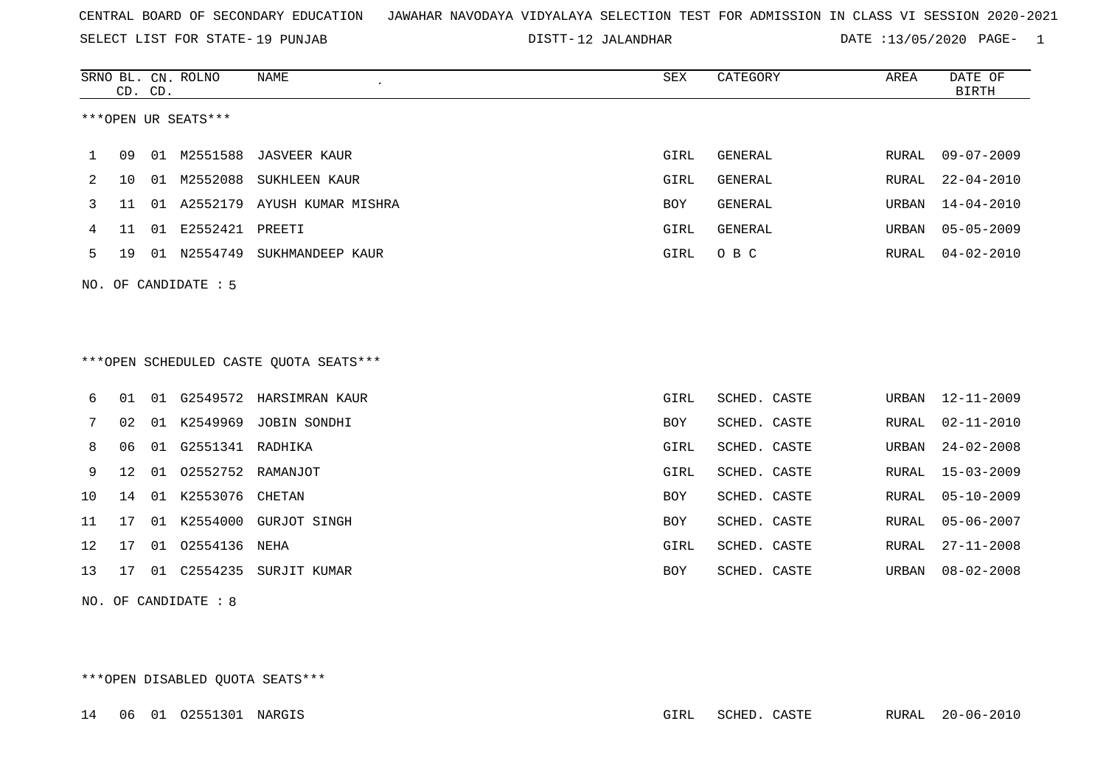SELECT LIST FOR STATE- DISTT- 19 PUNJAB

12 JALANDHAR DATE :13/05/2020 PAGE- 1

|     |    | CD. CD. | SRNO BL. CN. ROLNO  | <b>NAME</b>                             | <b>SEX</b> | CATEGORY       | AREA  | DATE OF<br><b>BIRTH</b> |
|-----|----|---------|---------------------|-----------------------------------------|------------|----------------|-------|-------------------------|
|     |    |         | ***OPEN UR SEATS*** |                                         |            |                |       |                         |
| 1   | 09 |         | 01 M2551588         | <b>JASVEER KAUR</b>                     | GIRL       | <b>GENERAL</b> | RURAL | $09 - 07 - 2009$        |
| 2   | 10 |         | 01 M2552088         | SUKHLEEN KAUR                           | GIRL       | <b>GENERAL</b> | RURAL | $22 - 04 - 2010$        |
| 3   | 11 |         |                     | 01 A2552179 AYUSH KUMAR MISHRA          | BOY        | <b>GENERAL</b> | URBAN | $14 - 04 - 2010$        |
| 4   | 11 | 01      | E2552421            | PREETI                                  | GIRL       | <b>GENERAL</b> | URBAN | $05 - 05 - 2009$        |
| 5   | 19 |         | 01 N2554749         | SUKHMANDEEP KAUR                        | GIRL       | O B C          | RURAL | $04 - 02 - 2010$        |
| NO. |    |         | OF CANDIDATE : 5    |                                         |            |                |       |                         |
|     |    |         |                     | *** OPEN SCHEDULED CASTE QUOTA SEATS*** |            |                |       |                         |
| 6   | 01 | 01      |                     | G2549572 HARSIMRAN KAUR                 | GIRL       | SCHED. CASTE   | URBAN | 12-11-2009              |
| 7   | 02 |         | 01 K2549969         | JOBIN SONDHI                            | BOY        | SCHED. CASTE   | RURAL | $02 - 11 - 2010$        |
| 8   | 06 | 01      | G2551341 RADHIKA    |                                         | GIRL       | SCHED. CASTE   | URBAN | $24 - 02 - 2008$        |
| 9   | 12 | 01      | 02552752 RAMANJOT   |                                         | GIRL       | SCHED. CASTE   | RURAL | $15 - 03 - 2009$        |
| 10  | 14 | 01      | K2553076 CHETAN     |                                         | BOY        | SCHED. CASTE   | RURAL | $05 - 10 - 2009$        |
| 11  | 17 | 01      |                     | K2554000 GURJOT SINGH                   | BOY        | SCHED. CASTE   | RURAL | $05 - 06 - 2007$        |
| 12  | 17 | 01      | 02554136            | NEHA                                    | GIRL       | SCHED. CASTE   | RURAL | $27 - 11 - 2008$        |
| 13  | 17 | 01      | C2554235            | SURJIT KUMAR                            | BOY        | SCHED. CASTE   | URBAN | $08 - 02 - 2008$        |

NO. OF CANDIDATE : 8

\*\*\*OPEN DISABLED QUOTA SEATS\*\*\*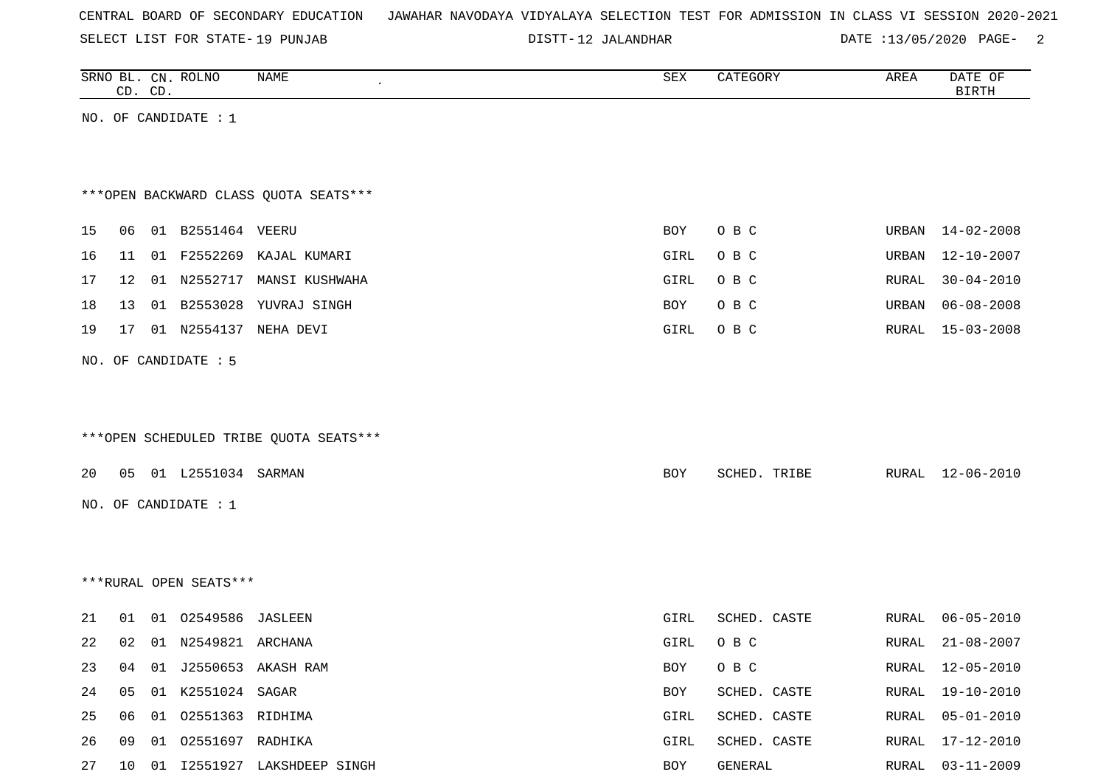SELECT LIST FOR STATE- DISTT- 19 PUNJAB

12 JALANDHAR DATE :13/05/2020 PAGE- 2

|    |    | CD. CD. | SRNO BL. CN. ROLNO     | <b>NAME</b>                            | SEX        | CATEGORY     | AREA  | DATE OF<br><b>BIRTH</b> |
|----|----|---------|------------------------|----------------------------------------|------------|--------------|-------|-------------------------|
|    |    |         | NO. OF CANDIDATE : 1   |                                        |            |              |       |                         |
|    |    |         |                        |                                        |            |              |       |                         |
|    |    |         |                        |                                        |            |              |       |                         |
|    |    |         |                        | *** OPEN BACKWARD CLASS QUOTA SEATS*** |            |              |       |                         |
|    |    |         |                        |                                        |            |              |       |                         |
| 15 | 06 |         | 01 B2551464 VEERU      |                                        | <b>BOY</b> | O B C        |       | URBAN 14-02-2008        |
| 16 | 11 |         | 01 F2552269            | KAJAL KUMARI                           | GIRL       | O B C        | URBAN | 12-10-2007              |
| 17 | 12 |         |                        | 01 N2552717 MANSI KUSHWAHA             | GIRL       | O B C        | RURAL | $30 - 04 - 2010$        |
| 18 | 13 |         |                        | 01 B2553028 YUVRAJ SINGH               | BOY        | O B C        | URBAN | $06 - 08 - 2008$        |
| 19 | 17 |         |                        | 01 N2554137 NEHA DEVI                  | GIRL       | O B C        | RURAL | $15 - 03 - 2008$        |
|    |    |         | NO. OF CANDIDATE : 5   |                                        |            |              |       |                         |
|    |    |         |                        |                                        |            |              |       |                         |
|    |    |         |                        |                                        |            |              |       |                         |
|    |    |         |                        | ***OPEN SCHEDULED TRIBE QUOTA SEATS*** |            |              |       |                         |
|    |    |         |                        |                                        |            |              |       |                         |
| 20 |    |         | 05 01 L2551034 SARMAN  |                                        | BOY        | SCHED. TRIBE | RURAL | 12-06-2010              |
|    |    |         | NO. OF CANDIDATE : 1   |                                        |            |              |       |                         |
|    |    |         |                        |                                        |            |              |       |                         |
|    |    |         |                        |                                        |            |              |       |                         |
|    |    |         | ***RURAL OPEN SEATS*** |                                        |            |              |       |                         |
| 21 | 01 |         | 01 02549586 JASLEEN    |                                        | GIRL       | SCHED. CASTE | RURAL | $06 - 05 - 2010$        |
| 22 | 02 |         | 01 N2549821 ARCHANA    |                                        | GIRL       | O B C        | RURAL | $21 - 08 - 2007$        |
|    |    |         |                        |                                        |            |              |       |                         |
| 23 | 04 |         |                        | 01 J2550653 AKASH RAM                  | BOY        | O B C        | RURAL | 12-05-2010              |
| 24 | 05 |         | 01 K2551024 SAGAR      |                                        | BOY        | SCHED. CASTE | RURAL | $19 - 10 - 2010$        |
| 25 | 06 |         | 01 02551363 RIDHIMA    |                                        | GIRL       | SCHED. CASTE | RURAL | $05 - 01 - 2010$        |
| 26 | 09 |         | 01 02551697 RADHIKA    |                                        | GIRL       | SCHED. CASTE | RURAL | $17 - 12 - 2010$        |
| 27 |    |         |                        | 10 01 I2551927 LAKSHDEEP SINGH         | BOY        | GENERAL      | RURAL | $03 - 11 - 2009$        |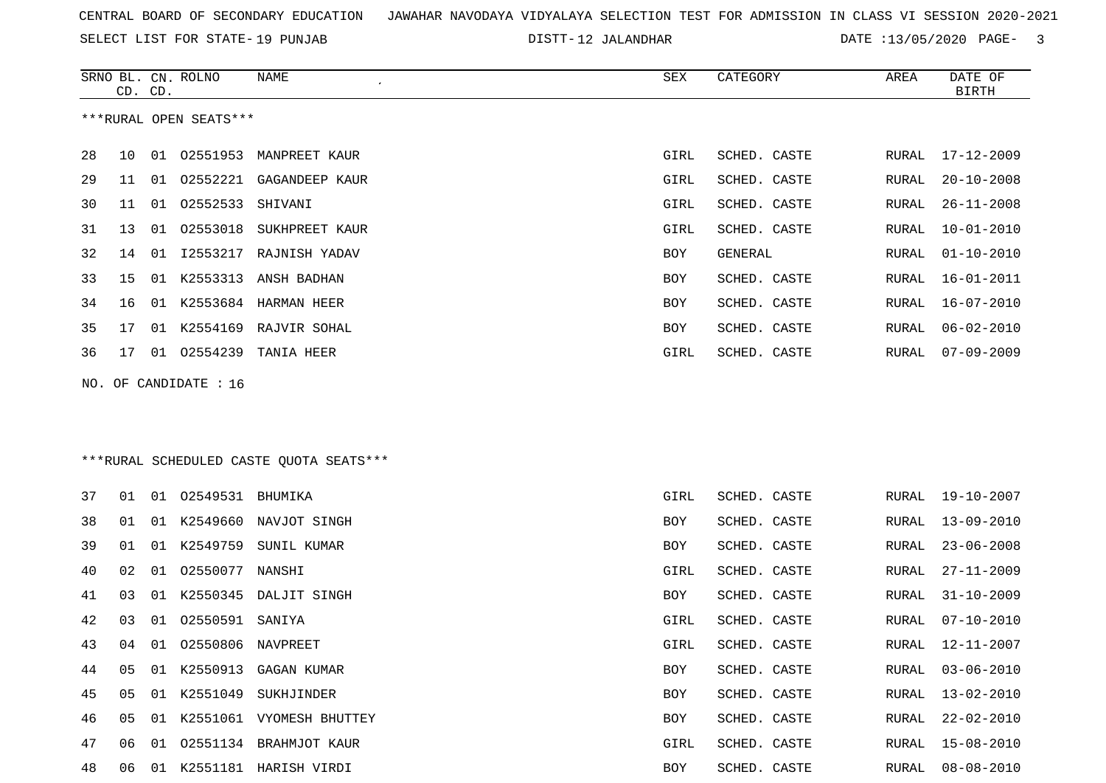SELECT LIST FOR STATE- DISTT- 19 PUNJAB

SRNO BL. CN.

ROLNO NAME SEX CATEGORY AREA DATE OF

DISTT-12 JALANDHAR DATE :13/05/2020 PAGE- 3

| ***RURAL OPEN SEATS***<br>28<br>01 02551953<br>GIRL<br>SCHED. CASTE<br>10<br>MANPREET KAUR<br>RURAL<br>29<br>02552221<br>11<br>01<br>GAGANDEEP KAUR<br>GIRL<br>SCHED. CASTE<br>RURAL<br>30<br>02552533<br>01<br>SHIVANI<br>GIRL<br>SCHED. CASTE<br>11<br>RURAL<br>31<br>02553018<br>13<br>01<br>SUKHPREET KAUR<br>GIRL<br>SCHED. CASTE<br>RURAL<br>32<br>12553217 RAJNISH YADAV<br>GENERAL<br>14<br>01<br>BOY<br>RURAL<br>33<br>01 K2553313<br>15<br>ANSH BADHAN<br>BOY<br>SCHED. CASTE<br>RURAL<br>34<br>01 K2553684 HARMAN HEER<br>16<br>BOY<br>SCHED. CASTE<br>RURAL<br>35<br>01 K2554169 RAJVIR SOHAL<br>BOY<br>SCHED. CASTE<br>17<br>RURAL<br>36<br>02554239 TANIA HEER<br>17<br>01<br>GIRL<br>SCHED. CASTE<br>RURAL<br>NO. OF CANDIDATE : 16<br>***RURAL SCHEDULED CASTE QUOTA SEATS***<br>37<br>01 02549531 BHUMIKA<br>GIRL<br>SCHED. CASTE<br>RURAL<br>01 | $17 - 12 - 2009$<br>$20 - 10 - 2008$<br>$26 - 11 - 2008$<br>$10 - 01 - 2010$<br>$01 - 10 - 2010$<br>$16 - 01 - 2011$<br>$16 - 07 - 2010$<br>$06 - 02 - 2010$<br>$07 - 09 - 2009$ |
|-------------------------------------------------------------------------------------------------------------------------------------------------------------------------------------------------------------------------------------------------------------------------------------------------------------------------------------------------------------------------------------------------------------------------------------------------------------------------------------------------------------------------------------------------------------------------------------------------------------------------------------------------------------------------------------------------------------------------------------------------------------------------------------------------------------------------------------------------------------------|----------------------------------------------------------------------------------------------------------------------------------------------------------------------------------|
|                                                                                                                                                                                                                                                                                                                                                                                                                                                                                                                                                                                                                                                                                                                                                                                                                                                                   |                                                                                                                                                                                  |
|                                                                                                                                                                                                                                                                                                                                                                                                                                                                                                                                                                                                                                                                                                                                                                                                                                                                   |                                                                                                                                                                                  |
|                                                                                                                                                                                                                                                                                                                                                                                                                                                                                                                                                                                                                                                                                                                                                                                                                                                                   |                                                                                                                                                                                  |
|                                                                                                                                                                                                                                                                                                                                                                                                                                                                                                                                                                                                                                                                                                                                                                                                                                                                   |                                                                                                                                                                                  |
|                                                                                                                                                                                                                                                                                                                                                                                                                                                                                                                                                                                                                                                                                                                                                                                                                                                                   |                                                                                                                                                                                  |
|                                                                                                                                                                                                                                                                                                                                                                                                                                                                                                                                                                                                                                                                                                                                                                                                                                                                   |                                                                                                                                                                                  |
|                                                                                                                                                                                                                                                                                                                                                                                                                                                                                                                                                                                                                                                                                                                                                                                                                                                                   |                                                                                                                                                                                  |
|                                                                                                                                                                                                                                                                                                                                                                                                                                                                                                                                                                                                                                                                                                                                                                                                                                                                   |                                                                                                                                                                                  |
|                                                                                                                                                                                                                                                                                                                                                                                                                                                                                                                                                                                                                                                                                                                                                                                                                                                                   |                                                                                                                                                                                  |
|                                                                                                                                                                                                                                                                                                                                                                                                                                                                                                                                                                                                                                                                                                                                                                                                                                                                   |                                                                                                                                                                                  |
|                                                                                                                                                                                                                                                                                                                                                                                                                                                                                                                                                                                                                                                                                                                                                                                                                                                                   |                                                                                                                                                                                  |
|                                                                                                                                                                                                                                                                                                                                                                                                                                                                                                                                                                                                                                                                                                                                                                                                                                                                   |                                                                                                                                                                                  |
|                                                                                                                                                                                                                                                                                                                                                                                                                                                                                                                                                                                                                                                                                                                                                                                                                                                                   | $19 - 10 - 2007$                                                                                                                                                                 |
| 38<br>01 K2549660<br>NAVJOT SINGH<br>SCHED. CASTE<br>01<br>BOY<br>RURAL                                                                                                                                                                                                                                                                                                                                                                                                                                                                                                                                                                                                                                                                                                                                                                                           | 13-09-2010                                                                                                                                                                       |
| 39<br>K2549759<br>01<br>SUNIL KUMAR<br>SCHED. CASTE<br>01<br>BOY<br>RURAL                                                                                                                                                                                                                                                                                                                                                                                                                                                                                                                                                                                                                                                                                                                                                                                         | $23 - 06 - 2008$                                                                                                                                                                 |
| 40<br>02550077 NANSHI<br>02<br>01<br>GIRL<br>SCHED. CASTE<br>RURAL                                                                                                                                                                                                                                                                                                                                                                                                                                                                                                                                                                                                                                                                                                                                                                                                | $27 - 11 - 2009$                                                                                                                                                                 |
| 41<br>K2550345<br>DALJIT SINGH<br>SCHED. CASTE<br>03<br>01<br>BOY<br>RURAL                                                                                                                                                                                                                                                                                                                                                                                                                                                                                                                                                                                                                                                                                                                                                                                        | $31 - 10 - 2009$                                                                                                                                                                 |
| 42<br>02550591<br>03<br>01<br>SANIYA<br>GIRL<br>SCHED. CASTE<br>RURAL                                                                                                                                                                                                                                                                                                                                                                                                                                                                                                                                                                                                                                                                                                                                                                                             | $07 - 10 - 2010$                                                                                                                                                                 |
| 43<br>01<br>02550806<br>SCHED. CASTE<br>04<br>NAVPREET<br>GIRL<br>RURAL                                                                                                                                                                                                                                                                                                                                                                                                                                                                                                                                                                                                                                                                                                                                                                                           | 12-11-2007                                                                                                                                                                       |
| 01 K2550913 GAGAN KUMAR<br>44<br>05<br>BOY<br>SCHED. CASTE<br>RURAL                                                                                                                                                                                                                                                                                                                                                                                                                                                                                                                                                                                                                                                                                                                                                                                               | $03 - 06 - 2010$                                                                                                                                                                 |
| 45<br>05 01 K2551049 SUKHJINDER<br>SCHED. CASTE<br>BOY                                                                                                                                                                                                                                                                                                                                                                                                                                                                                                                                                                                                                                                                                                                                                                                                            | RURAL 13-02-2010                                                                                                                                                                 |
| 46<br>01 K2551061 VYOMESH BHUTTEY<br>05<br>BOY<br>SCHED. CASTE<br>RURAL                                                                                                                                                                                                                                                                                                                                                                                                                                                                                                                                                                                                                                                                                                                                                                                           | $22 - 02 - 2010$                                                                                                                                                                 |
| 47<br>01 02551134 BRAHMJOT KAUR<br>SCHED. CASTE<br>06<br>GIRL<br>RURAL                                                                                                                                                                                                                                                                                                                                                                                                                                                                                                                                                                                                                                                                                                                                                                                            | $15 - 08 - 2010$                                                                                                                                                                 |
| 48<br>01 K2551181 HARISH VIRDI<br>BOY<br>SCHED. CASTE<br>06<br>RURAL                                                                                                                                                                                                                                                                                                                                                                                                                                                                                                                                                                                                                                                                                                                                                                                              | $08 - 08 - 2010$                                                                                                                                                                 |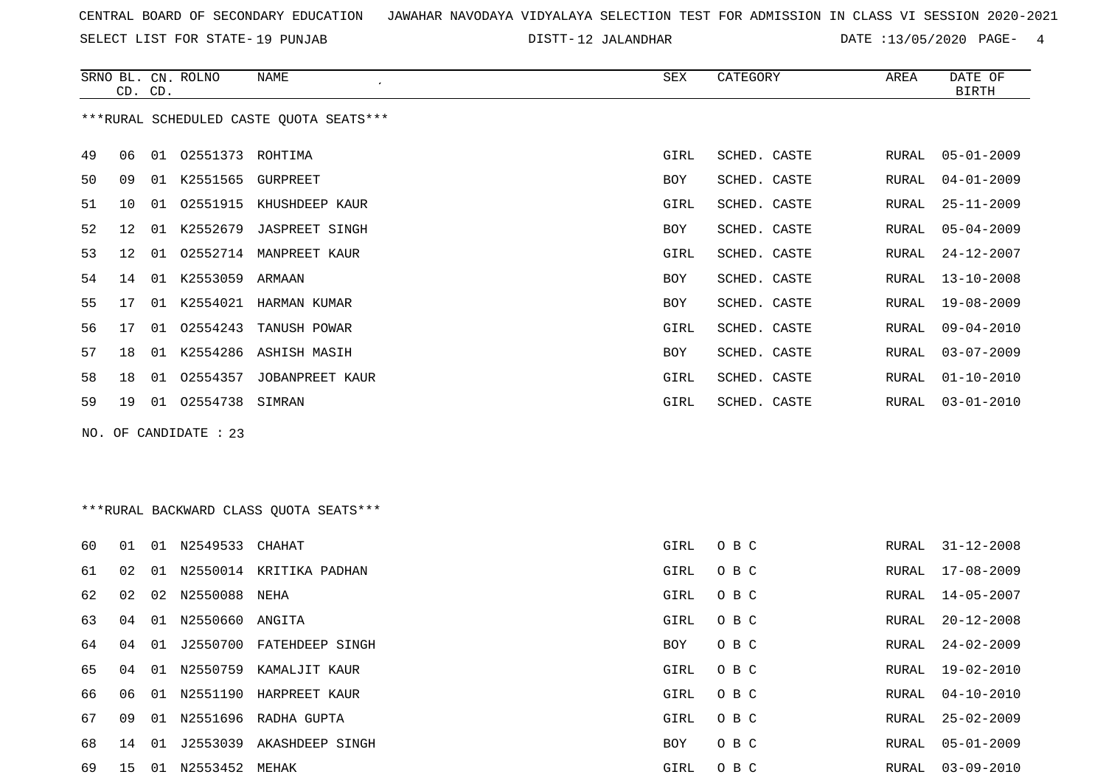SELECT LIST FOR STATE- DISTT- 19 PUNJAB

DISTT-12 JALANDHAR DATE :13/05/2020 PAGE- 4

|    | CD. CD. |    | SRNO BL. CN. ROLNO    | NAME                                    | SEX        | CATEGORY     | AREA  | DATE OF<br>BIRTH |
|----|---------|----|-----------------------|-----------------------------------------|------------|--------------|-------|------------------|
|    |         |    |                       | ***RURAL SCHEDULED CASTE QUOTA SEATS*** |            |              |       |                  |
| 49 | 06      |    | 01 02551373 ROHTIMA   |                                         | GIRL       | SCHED. CASTE | RURAL | $05 - 01 - 2009$ |
| 50 | 09      | 01 | K2551565 GURPREET     |                                         | <b>BOY</b> | SCHED. CASTE | RURAL | $04 - 01 - 2009$ |
| 51 | 10      | 01 | 02551915              | KHUSHDEEP KAUR                          | GIRL       | SCHED. CASTE | RURAL | $25 - 11 - 2009$ |
| 52 | 12      | 01 |                       | K2552679 JASPREET SINGH                 | <b>BOY</b> | SCHED. CASTE | RURAL | $05 - 04 - 2009$ |
| 53 | 12      | 01 |                       | 02552714 MANPREET KAUR                  | GIRL       | SCHED. CASTE | RURAL | $24 - 12 - 2007$ |
| 54 | 14      | 01 | K2553059 ARMAAN       |                                         | <b>BOY</b> | SCHED. CASTE | RURAL | $13 - 10 - 2008$ |
| 55 | 17      |    |                       | 01 K2554021 HARMAN KUMAR                | <b>BOY</b> | SCHED. CASTE | RURAL | $19 - 08 - 2009$ |
| 56 | 17      | 01 | 02554243              | TANUSH POWAR                            | GIRL       | SCHED. CASTE | RURAL | $09 - 04 - 2010$ |
| 57 | 18      |    |                       | 01 K2554286 ASHISH MASIH                | <b>BOY</b> | SCHED. CASTE | RURAL | $03 - 07 - 2009$ |
| 58 | 18      | 01 | 02554357              | JOBANPREET KAUR                         | GIRL       | SCHED. CASTE | RURAL | $01 - 10 - 2010$ |
| 59 | 19      |    | 01  02554738  SIMRAN  |                                         | GIRL       | SCHED. CASTE | RURAL | $03 - 01 - 2010$ |
|    |         |    | NO. OF CANDIDATE : 23 |                                         |            |              |       |                  |

\*\*\*RURAL BACKWARD CLASS QUOTA SEATS\*\*\*

| 60 | O 1 | 01  | N2549533           | CHAHAT                 | GIRL       | O B C | RURAL | $31 - 12 - 2008$ |
|----|-----|-----|--------------------|------------------------|------------|-------|-------|------------------|
| 61 | 02  | O 1 | N2550014           | KRITIKA PADHAN         | GIRL       | O B C | RURAL | $17 - 08 - 2009$ |
| 62 | 02  |     | 02 N2550088 NEHA   |                        | GIRL       | O B C | RURAL | 14-05-2007       |
| 63 | 04  |     | 01 N2550660 ANGITA |                        | GIRL       | O B C | RURAL | 20-12-2008       |
| 64 | 04  | 01  | J2550700           | FATEHDEEP SINGH        | <b>BOY</b> | O B C | RURAL | 24-02-2009       |
| 65 | 04  | 01  | N2550759           | KAMALJIT KAUR          | GIRL       | O B C | RURAL | 19-02-2010       |
| 66 | 06  | 01  |                    | N2551190 HARPREET KAUR | GIRL       | O B C | RURAL | 04-10-2010       |
| 67 | 09  | 01  |                    | N2551696 RADHA GUPTA   | GIRL       | O B C | RURAL | $25 - 02 - 2009$ |
| 68 | 14  |     | 01 J2553039        | AKASHDEEP SINGH        | BOY        | O B C | RURAL | $05 - 01 - 2009$ |
| 69 | 15  | -01 | N2553452 MEHAK     |                        | GIRL       | O B C | RURAL | 03-09-2010       |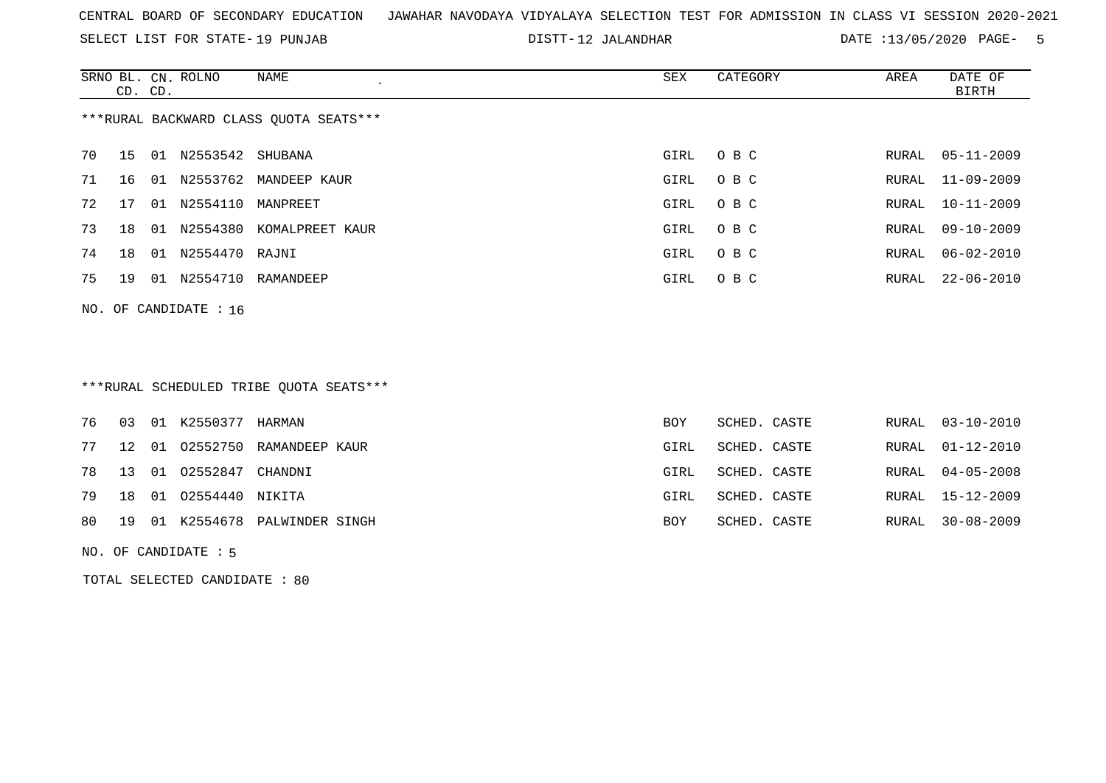SELECT LIST FOR STATE- DISTT- 19 PUNJAB

12 JALANDHAR DATE :13/05/2020 PAGE- 5

|    | CD. CD. |    | SRNO BL. CN. ROLNO | NAME                                   | SEX  | CATEGORY | AREA  | DATE OF<br>BIRTH |
|----|---------|----|--------------------|----------------------------------------|------|----------|-------|------------------|
|    |         |    |                    | ***RURAL BACKWARD CLASS OUOTA SEATS*** |      |          |       |                  |
| 70 | 15      | 01 | N2553542 SHUBANA   |                                        | GIRL | O B C    | RURAL | 05-11-2009       |
| 71 | 16      | 01 |                    | N2553762 MANDEEP KAUR                  | GIRL | O B C    |       | RURAL 11-09-2009 |
| 72 | 17      | 01 | N2554110           | MANPREET                               | GIRL | O B C    | RURAL | 10-11-2009       |
| 73 | 18      | 01 | N2554380           | KOMALPREET KAUR                        | GIRL | O B C    | RURAL | 09-10-2009       |
| 74 | 18      | 01 | N2554470 RAJNI     |                                        | GIRL | O B C    | RURAL | 06-02-2010       |
| 75 | 19      | 01 | N2554710           | RAMANDEEP                              | GIRL | O B C    | RURAL | 22-06-2010       |
|    |         |    |                    |                                        |      |          |       |                  |

# \*\*\*RURAL SCHEDULED TRIBE QUOTA SEATS\*\*\*

|  | 76 03 01 K2550377 HARMAN  |                                   | <b>BOY</b> | SCHED. CASTE |  | RURAL 03-10-2010 |
|--|---------------------------|-----------------------------------|------------|--------------|--|------------------|
|  |                           | 77 12 01 02552750 RAMANDEEP KAUR  | GIRL       | SCHED. CASTE |  | RURAL 01-12-2010 |
|  | 78 13 01 02552847 CHANDNI |                                   | GIRL       | SCHED. CASTE |  | RURAL 04-05-2008 |
|  | 79 18 01 02554440 NIKITA  |                                   | GIRL       | SCHED. CASTE |  | RURAL 15-12-2009 |
|  |                           | 80 19 01 K2554678 PALWINDER SINGH | BOY        | SCHED. CASTE |  | RURAL 30-08-2009 |

#### NO. OF CANDIDATE : 5

NO. OF CANDIDATE : 16

TOTAL SELECTED CANDIDATE : 80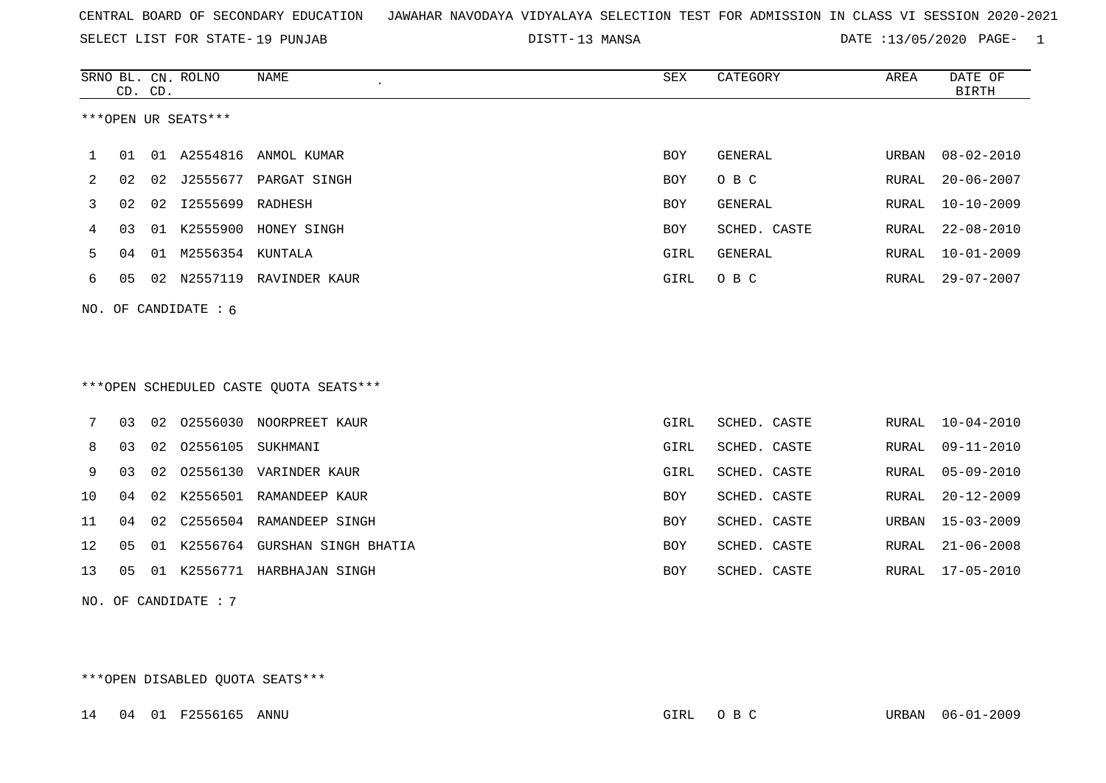SELECT LIST FOR STATE- DISTT- 19 PUNJAB

13 MANSA DATE :13/05/2020 PAGE- 1

|    | CD. CD. |    | SRNO BL. CN. ROLNO     | <b>NAME</b>                            | SEX        | CATEGORY     | AREA  | DATE OF<br><b>BIRTH</b> |
|----|---------|----|------------------------|----------------------------------------|------------|--------------|-------|-------------------------|
|    |         |    | ***OPEN UR SEATS***    |                                        |            |              |       |                         |
| 1  | 01      |    | 01 A2554816            | ANMOL KUMAR                            | <b>BOY</b> | GENERAL      | URBAN | $08 - 02 - 2010$        |
| 2  | 02      | 02 | J2555677               | PARGAT SINGH                           | <b>BOY</b> | O B C        | RURAL | $20 - 06 - 2007$        |
| 3  | 02      | 02 | I2555699 RADHESH       |                                        | <b>BOY</b> | GENERAL      | RURAL | $10 - 10 - 2009$        |
| 4  | 03      | 01 | K2555900               | HONEY SINGH                            | BOY        | SCHED. CASTE | RURAL | $22 - 08 - 2010$        |
| 5  | 04      | 01 | M2556354 KUNTALA       |                                        | GIRL       | GENERAL      | RURAL | $10 - 01 - 2009$        |
| 6  | 05      |    |                        | 02 N2557119 RAVINDER KAUR              | GIRL       | O B C        | RURAL | $29 - 07 - 2007$        |
|    |         |    | NO. OF CANDIDATE : $6$ |                                        |            |              |       |                         |
|    |         |    |                        |                                        |            |              |       |                         |
|    |         |    |                        |                                        |            |              |       |                         |
|    |         |    |                        | ***OPEN SCHEDULED CASTE QUOTA SEATS*** |            |              |       |                         |
|    |         |    |                        |                                        |            |              |       |                         |
| 7  | 03      | 02 |                        | 02556030 NOORPREET KAUR                | GIRL       | SCHED. CASTE | RURAL | $10 - 04 - 2010$        |
| 8  | 03      | 02 | 02556105               | SUKHMANI                               | GIRL       | SCHED. CASTE | RURAL | $09 - 11 - 2010$        |
| 9  | 03      | 02 | 02556130               | VARINDER KAUR                          | GIRL       | SCHED. CASTE | RURAL | $05 - 09 - 2010$        |
| 10 | 04      | 02 |                        | K2556501 RAMANDEEP KAUR                | <b>BOY</b> | SCHED. CASTE | RURAL | $20 - 12 - 2009$        |
| 11 | 04      | 02 |                        | C2556504 RAMANDEEP SINGH               | <b>BOY</b> | SCHED. CASTE | URBAN | $15 - 03 - 2009$        |
| 12 | 05      | 01 |                        | K2556764 GURSHAN SINGH BHATIA          | <b>BOY</b> | SCHED. CASTE | RURAL | $21 - 06 - 2008$        |
| 13 | 05      | 01 |                        | K2556771 HARBHAJAN SINGH               | <b>BOY</b> | SCHED. CASTE | RURAL | $17 - 05 - 2010$        |
|    |         |    | NO. OF CANDIDATE : 7   |                                        |            |              |       |                         |

\*\*\*OPEN DISABLED QUOTA SEATS\*\*\*

14 04 01 F2556165 ANNU GIRL O B C URBAN 06-01-2009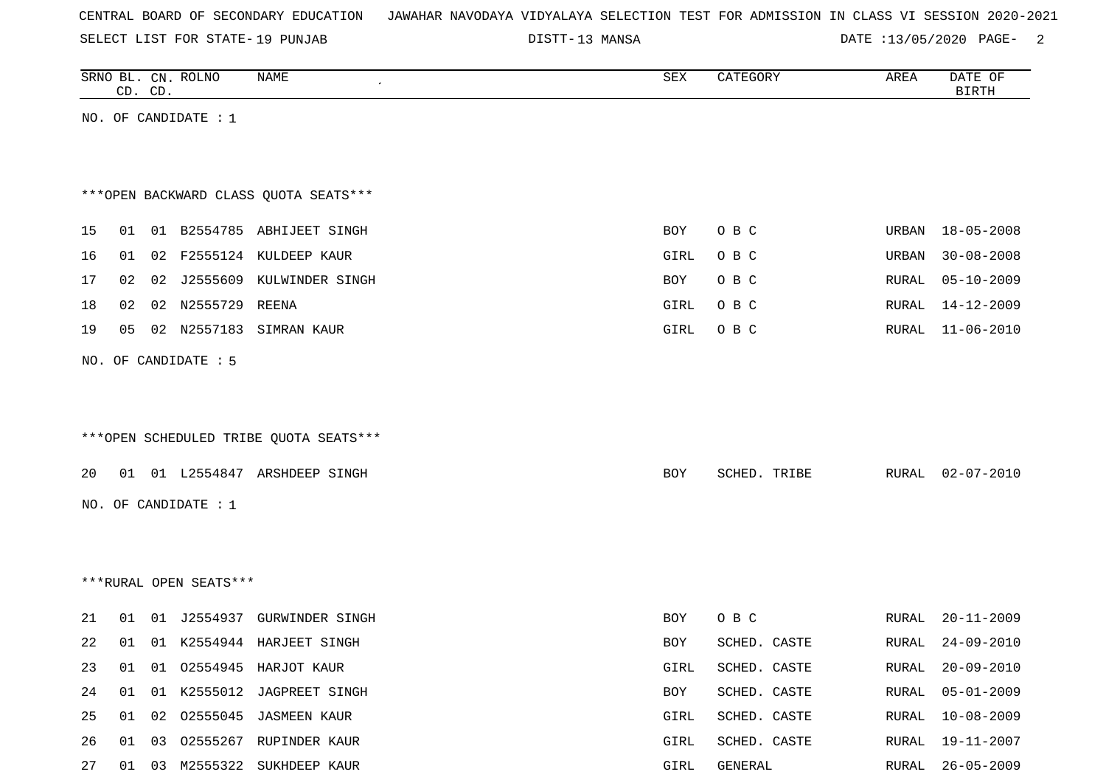| CENTRAL BOARD OF SECONDARY EDUCATION – JAWAHAR NAVODAYA VIDYALAYA SELECTION TEST FOR ADMISSION IN CLASS VI SESSION 2020-2021 |  |  |  |  |
|------------------------------------------------------------------------------------------------------------------------------|--|--|--|--|
|------------------------------------------------------------------------------------------------------------------------------|--|--|--|--|

SELECT LIST FOR STATE- DISTT- 19 PUNJAB

DISTT-13 MANSA 2001 2015 2020 DATE :13/05/2020 PAGE-

|    |    | CD. CD. | SRNO BL. CN. ROLNO     | NAME                                   | SEX        | CATEGORY     | AREA         | DATE OF<br><b>BIRTH</b> |
|----|----|---------|------------------------|----------------------------------------|------------|--------------|--------------|-------------------------|
|    |    |         | NO. OF CANDIDATE : $1$ |                                        |            |              |              |                         |
|    |    |         |                        |                                        |            |              |              |                         |
|    |    |         |                        |                                        |            |              |              |                         |
|    |    |         |                        | *** OPEN BACKWARD CLASS QUOTA SEATS*** |            |              |              |                         |
| 15 | 01 |         |                        | 01 B2554785 ABHIJEET SINGH             | <b>BOY</b> | O B C        | URBAN        | $18 - 05 - 2008$        |
| 16 | 01 |         |                        | 02 F2555124 KULDEEP KAUR               | GIRL       | O B C        | URBAN        | $30 - 08 - 2008$        |
| 17 | 02 |         |                        | 02 J2555609 KULWINDER SINGH            | <b>BOY</b> | O B C        | RURAL        | $05 - 10 - 2009$        |
| 18 | 02 |         | 02 N2555729 REENA      |                                        | GIRL       | O B C        | RURAL        | 14-12-2009              |
| 19 | 05 |         |                        | 02 N2557183 SIMRAN KAUR                | GIRL       | O B C        | RURAL        | $11 - 06 - 2010$        |
|    |    |         | NO. OF CANDIDATE : 5   |                                        |            |              |              |                         |
|    |    |         |                        |                                        |            |              |              |                         |
|    |    |         |                        |                                        |            |              |              |                         |
|    |    |         |                        | ***OPEN SCHEDULED TRIBE QUOTA SEATS*** |            |              |              |                         |
| 20 |    |         |                        | 01 01 L2554847 ARSHDEEP SINGH          | BOY        | SCHED. TRIBE | RURAL        | 02-07-2010              |
|    |    |         | NO. OF CANDIDATE : $1$ |                                        |            |              |              |                         |
|    |    |         |                        |                                        |            |              |              |                         |
|    |    |         |                        |                                        |            |              |              |                         |
|    |    |         | ***RURAL OPEN SEATS*** |                                        |            |              |              |                         |
|    |    |         |                        |                                        |            |              |              |                         |
| 21 | 01 |         |                        | 01 J2554937 GURWINDER SINGH            | BOY        | O B C        | RURAL        | $20 - 11 - 2009$        |
| 22 | 01 |         |                        | 01 K2554944 HARJEET SINGH              | BOY        | SCHED. CASTE | RURAL        | $24 - 09 - 2010$        |
| 23 | 01 |         |                        | 01 02554945 HARJOT KAUR                | GIRL       | SCHED. CASTE | RURAL        | $20 - 09 - 2010$        |
| 24 | 01 | 01      |                        | K2555012 JAGPREET SINGH                | BOY        | SCHED. CASTE | <b>RURAL</b> | $05 - 01 - 2009$        |
| 25 | 01 | 02      |                        | 02555045 JASMEEN KAUR                  | GIRL       | SCHED. CASTE | RURAL        | $10 - 08 - 2009$        |
| 26 | 01 |         |                        | 03 02555267 RUPINDER KAUR              | GIRL       | SCHED. CASTE | RURAL        | 19-11-2007              |

27 01 03 M2555322 SUKHDEEP KAUR GIRL GENERAL RURAL 26-05-2009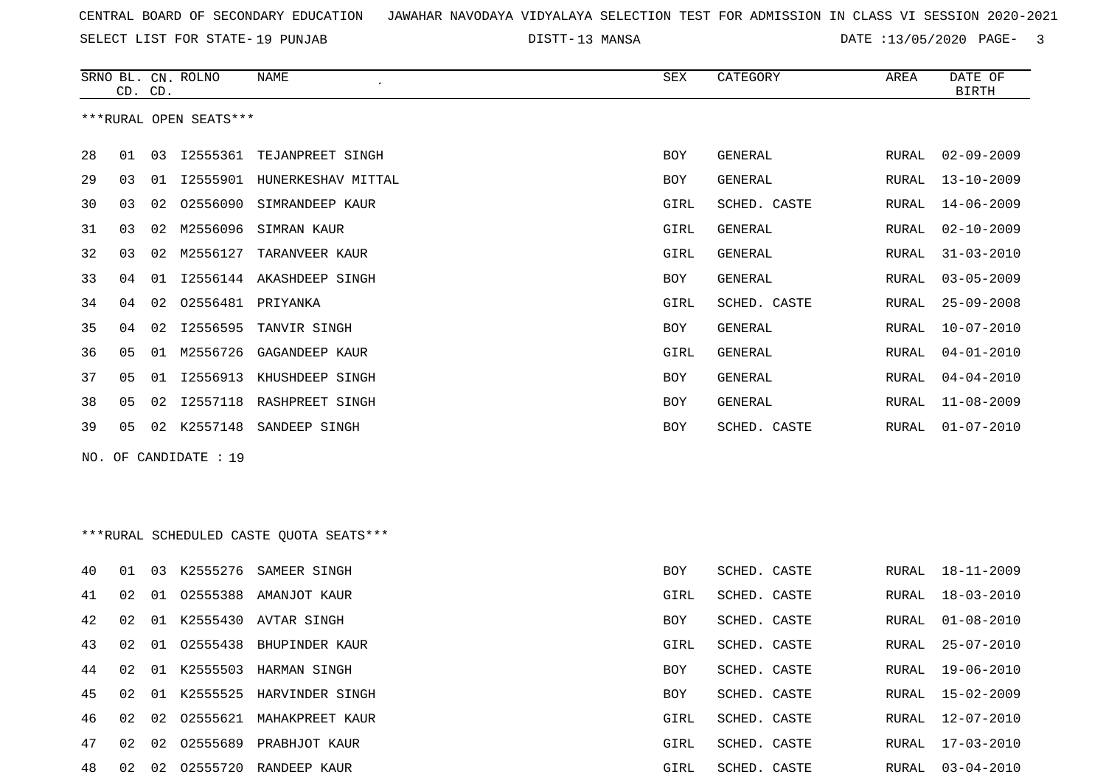SELECT LIST FOR STATE- DISTT- 19 PUNJAB

DISTT-13 MANSA 2020 DATE :13/05/2020 PAGE- 3

|     | CD. CD. |    | SRNO BL. CN. ROLNO     | <b>NAME</b>                             | SEX        | CATEGORY       | AREA          | DATE OF<br><b>BIRTH</b> |
|-----|---------|----|------------------------|-----------------------------------------|------------|----------------|---------------|-------------------------|
|     |         |    | ***RURAL OPEN SEATS*** |                                         |            |                |               |                         |
|     |         |    |                        |                                         |            |                |               |                         |
| 28  | 01      |    |                        | 03 I2555361 TEJANPREET SINGH            | BOY        | GENERAL        | RURAL         | $02 - 09 - 2009$        |
| 29  | 03      | 01 | I2555901               | HUNERKESHAV MITTAL                      | <b>BOY</b> | <b>GENERAL</b> | ${\tt RURAL}$ | $13 - 10 - 2009$        |
| 30  | 03      | 02 |                        | 02556090 SIMRANDEEP KAUR                | GIRL       | SCHED. CASTE   | RURAL         | $14 - 06 - 2009$        |
| 31  | 03      |    | 02 M2556096            | SIMRAN KAUR                             | GIRL       | <b>GENERAL</b> | RURAL         | $02 - 10 - 2009$        |
| 32  | 03      |    | 02 M2556127            | TARANVEER KAUR                          | GIRL       | GENERAL        | RURAL         | $31 - 03 - 2010$        |
| 33  | 04      | 01 |                        | 12556144 AKASHDEEP SINGH                | BOY        | GENERAL        | RURAL         | $03 - 05 - 2009$        |
| 34  | 04      | 02 | 02556481 PRIYANKA      |                                         | GIRL       | SCHED. CASTE   | RURAL         | $25 - 09 - 2008$        |
| 35  | 04      |    |                        | 02 I2556595 TANVIR SINGH                | BOY        | GENERAL        | RURAL         | $10 - 07 - 2010$        |
| 36  | 05      |    | 01 M2556726            | GAGANDEEP KAUR                          | GIRL       | GENERAL        | RURAL         | $04 - 01 - 2010$        |
| 37  | 05      |    |                        | 01 I2556913 KHUSHDEEP SINGH             | BOY        | GENERAL        | RURAL         | $04 - 04 - 2010$        |
| 38  | 05      | 02 | I2557118               | RASHPREET SINGH                         | BOY        | GENERAL        | RURAL         | $11 - 08 - 2009$        |
| 39  | 05      |    | 02 K2557148            | SANDEEP SINGH                           | BOY        | SCHED. CASTE   | RURAL         | $01 - 07 - 2010$        |
| NO. |         |    | OF CANDIDATE : 19      |                                         |            |                |               |                         |
|     |         |    |                        |                                         |            |                |               |                         |
|     |         |    |                        |                                         |            |                |               |                         |
|     |         |    |                        | ***RURAL SCHEDULED CASTE QUOTA SEATS*** |            |                |               |                         |
| 40  | 01      |    | 03 K2555276            | SAMEER SINGH                            | BOY        | SCHED. CASTE   | RURAL         | 18-11-2009              |
| 41  | 02      | 01 |                        | 02555388 AMANJOT KAUR                   | GIRL       | SCHED. CASTE   | RURAL         | 18-03-2010              |
| 42  | 02      |    |                        | 01 K2555430 AVTAR SINGH                 | BOY        | SCHED. CASTE   | RURAL         | $01 - 08 - 2010$        |
| 43  | 02      |    |                        | 01 02555438 BHUPINDER KAUR              | GIRL       | SCHED. CASTE   | RURAL         | $25 - 07 - 2010$        |
| 44  | 02      |    |                        | 01 K2555503 HARMAN SINGH                | BOY        | SCHED. CASTE   |               | RURAL 19-06-2010        |
| 45  | 02      |    |                        | 01 K2555525 HARVINDER SINGH             | BOY        | SCHED. CASTE   | RURAL         | $15 - 02 - 2009$        |
| 46  | 02      |    |                        | 02 02555621 MAHAKPREET KAUR             | GIRL       | SCHED. CASTE   | RURAL         | $12 - 07 - 2010$        |
| 47  | 02      |    |                        | 02 02555689 PRABHJOT KAUR               | GIRL       | SCHED. CASTE   | RURAL         | $17 - 03 - 2010$        |
| 48  | 02      |    |                        | 02 02555720 RANDEEP KAUR                | GIRL       | SCHED. CASTE   | RURAL         | $03 - 04 - 2010$        |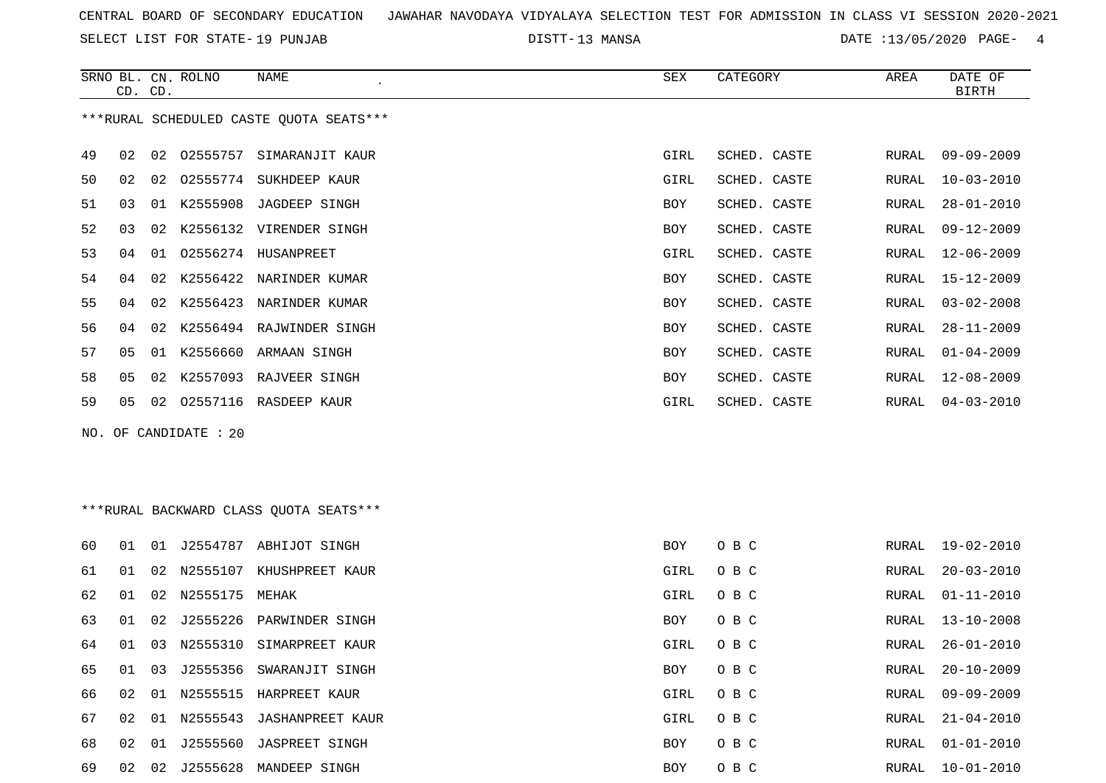SELECT LIST FOR STATE- DISTT- 19 PUNJAB

DISTT-13 MANSA DATE :13/05/2020 PAGE- 4

|    | CD. CD. |    | SRNO BL. CN. ROLNO    | NAME                                    | SEX  | CATEGORY     | AREA  | DATE OF<br><b>BIRTH</b> |
|----|---------|----|-----------------------|-----------------------------------------|------|--------------|-------|-------------------------|
|    |         |    |                       | ***RURAL SCHEDULED CASTE QUOTA SEATS*** |      |              |       |                         |
| 49 | 02      |    |                       | 02 02555757 SIMARANJIT KAUR             | GIRL | SCHED. CASTE | RURAL | $09 - 09 - 2009$        |
| 50 | 02      |    |                       | 02 02555774 SUKHDEEP KAUR               | GIRL | SCHED. CASTE | RURAL | $10 - 03 - 2010$        |
| 51 | 03      |    |                       | 01 K2555908 JAGDEEP SINGH               | BOY  | SCHED. CASTE | RURAL | $28 - 01 - 2010$        |
| 52 | 03      | 02 |                       | K2556132 VIRENDER SINGH                 | BOY  | SCHED. CASTE | RURAL | $09 - 12 - 2009$        |
| 53 | 04      | 01 |                       | O2556274 HUSANPREET                     | GIRL | SCHED. CASTE | RURAL | $12 - 06 - 2009$        |
| 54 | 04      | 02 |                       | K2556422 NARINDER KUMAR                 | BOY  | SCHED. CASTE | RURAL | $15 - 12 - 2009$        |
| 55 | 04      | 02 |                       | K2556423 NARINDER KUMAR                 | BOY  | SCHED. CASTE | RURAL | $03 - 02 - 2008$        |
| 56 | 04      | 02 |                       | K2556494 RAJWINDER SINGH                | BOY  | SCHED. CASTE | RURAL | $28 - 11 - 2009$        |
| 57 | 05      |    |                       | 01 K2556660 ARMAAN SINGH                | BOY  | SCHED. CASTE | RURAL | $01 - 04 - 2009$        |
| 58 | 05      |    |                       | 02 K2557093 RAJVEER SINGH               | BOY  | SCHED. CASTE | RURAL | $12 - 08 - 2009$        |
| 59 | 05      |    |                       | 02 02557116 RASDEEP KAUR                | GIRL | SCHED. CASTE | RURAL | $04 - 03 - 2010$        |
|    |         |    | NO. OF CANDIDATE : 20 |                                         |      |              |       |                         |
|    |         |    |                       |                                         |      |              |       |                         |
|    |         |    |                       |                                         |      |              |       |                         |
|    |         |    |                       | ***RURAL BACKWARD CLASS QUOTA SEATS***  |      |              |       |                         |
| 60 | 01      |    |                       | 01 J2554787 ABHIJOT SINGH               | BOY  | O B C        | RURAL | 19-02-2010              |
| 61 | 01      |    |                       | 02 N2555107 KHUSHPREET KAUR             | GIRL | O B C        | RURAL | $20 - 03 - 2010$        |
| 62 | 01      | 02 | N2555175              | MEHAK                                   | GIRL | O B C        | RURAL | $01 - 11 - 2010$        |
| 63 | 01      | 02 |                       | J2555226 PARWINDER SINGH                | BOY  | O B C        | RURAL | $13 - 10 - 2008$        |
| 64 | 01      |    |                       | 03 N2555310 SIMARPREET KAUR             | GIRL | O B C        | RURAL | $26 - 01 - 2010$        |
| 65 | 01      | 03 | J2555356              | SWARANJIT SINGH                         | BOY  | овс          | RURAL | $20 - 10 - 2009$        |
| 66 | 02      |    |                       | 01 N2555515 HARPREET KAUR               | GIRL | O B C        | RURAL | $09 - 09 - 2009$        |
| 67 | 02      |    | 01 N2555543           | <b>JASHANPREET KAUR</b>                 | GIRL | O B C        | RURAL | $21 - 04 - 2010$        |
| 68 | 02      |    |                       | 01 J2555560 JASPREET SINGH              | BOY  | O B C        | RURAL | $01 - 01 - 2010$        |
| 69 | 02      |    |                       | 02 J2555628 MANDEEP SINGH               | BOY  | O B C        | RURAL | $10 - 01 - 2010$        |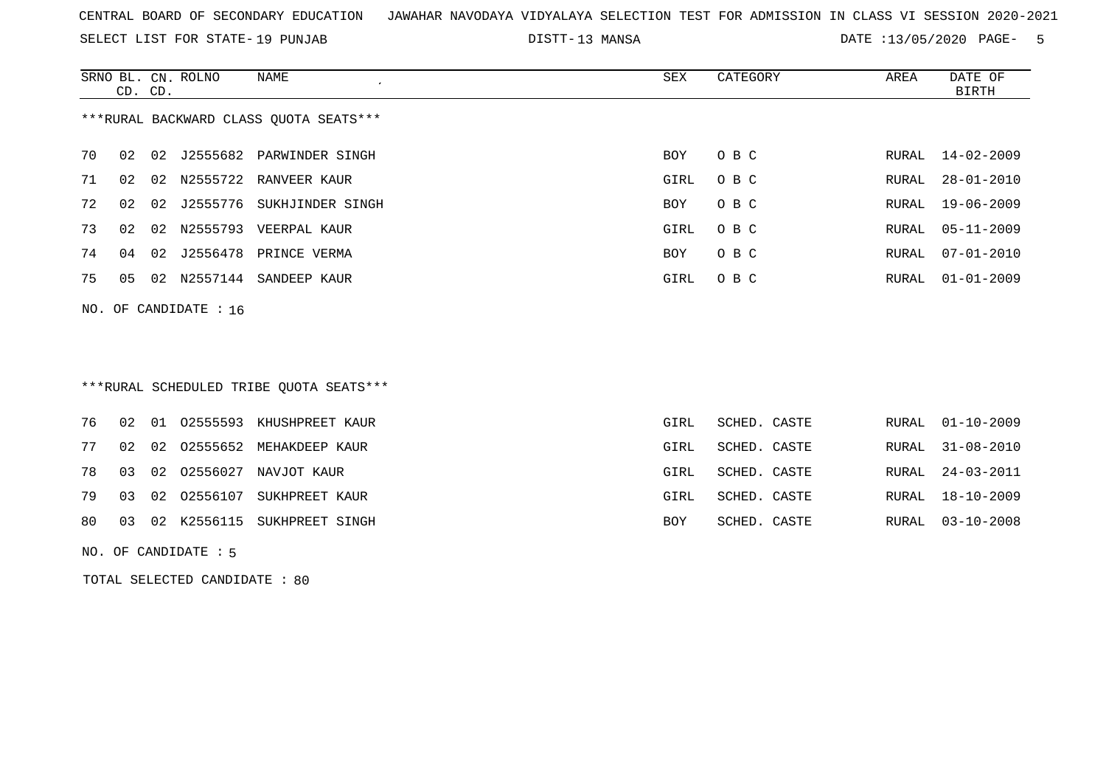SELECT LIST FOR STATE- DISTT- 19 PUNJAB

DISTT-13 MANSA 2001 13/05/2020 PAGE- 5

|    | CD. CD.                 |    | SRNO BL. CN. ROLNO | NAME                                   | SEX        | CATEGORY | AREA  | DATE OF<br>BIRTH |  |
|----|-------------------------|----|--------------------|----------------------------------------|------------|----------|-------|------------------|--|
|    |                         |    |                    | ***RURAL BACKWARD CLASS OUOTA SEATS*** |            |          |       |                  |  |
| 70 | 02                      |    |                    | 02 J2555682 PARWINDER SINGH            | <b>BOY</b> | O B C    |       | RURAL 14-02-2009 |  |
| 71 | 02                      |    |                    | 02 N2555722 RANVEER KAUR               | GIRL       | O B C    | RURAL | $28 - 01 - 2010$ |  |
| 72 | 02                      |    | 02 J2555776        | SUKHJINDER SINGH                       | <b>BOY</b> | O B C    | RURAL | 19-06-2009       |  |
| 73 | 02                      | 02 | N2555793           | VEERPAL KAUR                           | GIRL       | O B C    | RURAL | $05 - 11 - 2009$ |  |
| 74 | 04                      | 02 | J2556478           | PRINCE VERMA                           | <b>BOY</b> | O B C    | RURAL | $07 - 01 - 2010$ |  |
| 75 | 05                      | 02 | N2557144           | SANDEEP KAUR                           | GIRL       | O B C    | RURAL | $01 - 01 - 2009$ |  |
|    | NO. OF CANDIDATE : $16$ |    |                    |                                        |            |          |       |                  |  |

# \*\*\*RURAL SCHEDULED TRIBE QUOTA SEATS\*\*\*

|  |  | 76 02 01 02555593 KHUSHPREET KAUR | GIRL | SCHED. CASTE | RURAL 01-10-2009 |
|--|--|-----------------------------------|------|--------------|------------------|
|  |  | 77 02 02 02555652 MEHAKDEEP KAUR  | GIRL | SCHED. CASTE | RURAL 31-08-2010 |
|  |  | 78 03 02 02556027 NAVJOT KAUR     | GIRL | SCHED. CASTE | RURAL 24-03-2011 |
|  |  | 79 03 02 02556107 SUKHPREET KAUR  | GIRL | SCHED. CASTE | RURAL 18-10-2009 |
|  |  | 80 03 02 K2556115 SUKHPREET SINGH | BOY  | SCHED. CASTE | RURAL 03-10-2008 |

NO. OF CANDIDATE : 5

TOTAL SELECTED CANDIDATE : 80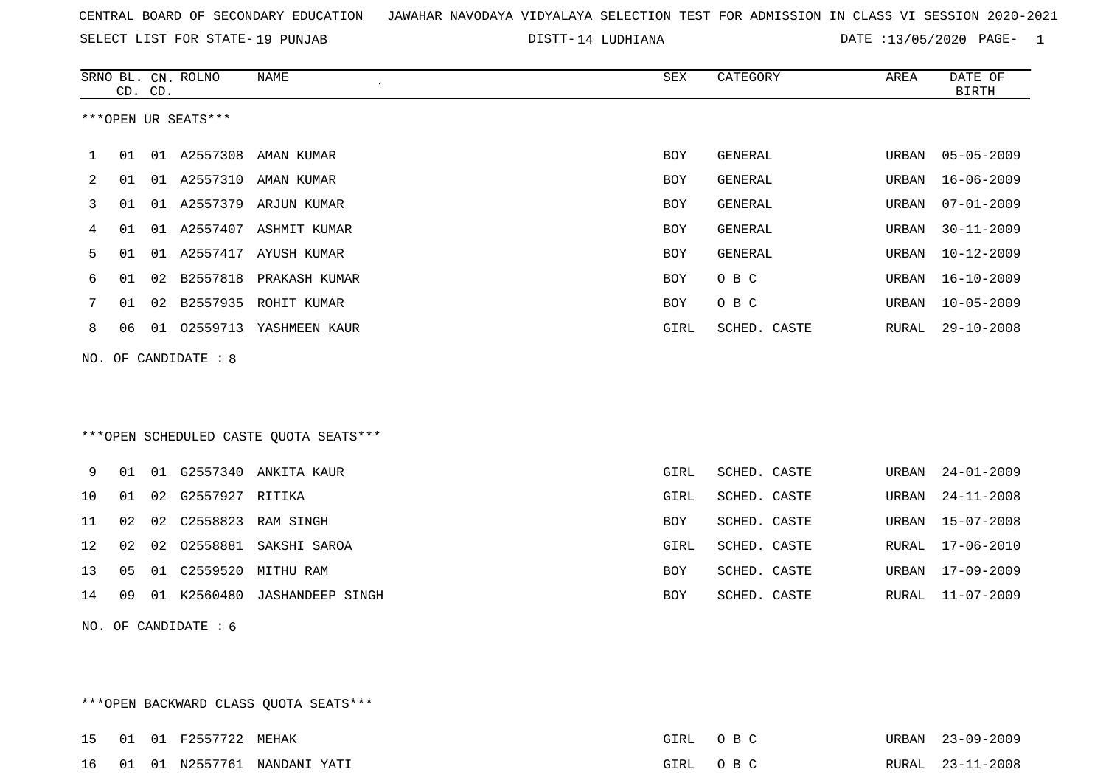SELECT LIST FOR STATE- DISTT- 19 PUNJAB

DISTT-14 LUDHIANA  $\overline{D}$  DATE :13/05/2020 PAGE- 1

|    | CD. CD.                |    | SRNO BL. CN. ROLNO  | NAME                                   | SEX        | CATEGORY       | AREA  | DATE OF<br><b>BIRTH</b> |  |  |
|----|------------------------|----|---------------------|----------------------------------------|------------|----------------|-------|-------------------------|--|--|
|    |                        |    | ***OPEN UR SEATS*** |                                        |            |                |       |                         |  |  |
| 1  | 01                     |    |                     | 01 A2557308 AMAN KUMAR                 | BOY        | <b>GENERAL</b> | URBAN | $05 - 05 - 2009$        |  |  |
| 2  | 01                     |    |                     | 01 A2557310 AMAN KUMAR                 | <b>BOY</b> | <b>GENERAL</b> | URBAN | $16 - 06 - 2009$        |  |  |
| 3  | 01                     |    |                     | 01 A2557379 ARJUN KUMAR                | BOY        | <b>GENERAL</b> | URBAN | $07 - 01 - 2009$        |  |  |
| 4  | 01                     |    |                     | 01 A2557407 ASHMIT KUMAR               | BOY        | <b>GENERAL</b> | URBAN | $30 - 11 - 2009$        |  |  |
| 5  | 01                     |    |                     | 01 A2557417 AYUSH KUMAR                | BOY        | <b>GENERAL</b> | URBAN | $10 - 12 - 2009$        |  |  |
| 6  | 01                     |    |                     | 02 B2557818 PRAKASH KUMAR              | <b>BOY</b> | O B C          | URBAN | $16 - 10 - 2009$        |  |  |
| 7  | 01                     |    |                     | 02 B2557935 ROHIT KUMAR                | <b>BOY</b> | O B C          | URBAN | $10 - 05 - 2009$        |  |  |
| 8  | 06                     |    |                     | 01 02559713 YASHMEEN KAUR              | GIRL       | SCHED. CASTE   | RURAL | $29 - 10 - 2008$        |  |  |
|    | NO. OF CANDIDATE : 8   |    |                     |                                        |            |                |       |                         |  |  |
|    |                        |    |                     |                                        |            |                |       |                         |  |  |
|    |                        |    |                     |                                        |            |                |       |                         |  |  |
|    |                        |    |                     | ***OPEN SCHEDULED CASTE QUOTA SEATS*** |            |                |       |                         |  |  |
| 9  | 01                     |    |                     | 01 G2557340 ANKITA KAUR                | GIRL       | SCHED. CASTE   | URBAN | $24 - 01 - 2009$        |  |  |
| 10 | 01                     | 02 | G2557927 RITIKA     |                                        | GIRL       | SCHED. CASTE   | URBAN | $24 - 11 - 2008$        |  |  |
| 11 | 02                     | 02 |                     | C2558823 RAM SINGH                     | BOY        | SCHED. CASTE   | URBAN | $15 - 07 - 2008$        |  |  |
| 12 | 02                     | 02 |                     | 02558881 SAKSHI SAROA                  | GIRL       | SCHED. CASTE   | RURAL | $17 - 06 - 2010$        |  |  |
| 13 | 05                     | 01 |                     | C2559520 MITHU RAM                     | <b>BOY</b> | SCHED. CASTE   | URBAN | $17 - 09 - 2009$        |  |  |
| 14 | 09                     |    |                     | 01 K2560480 JASHANDEEP SINGH           | <b>BOY</b> | SCHED. CASTE   | RURAL | $11 - 07 - 2009$        |  |  |
|    | NO. OF CANDIDATE $: 6$ |    |                     |                                        |            |                |       |                         |  |  |

\*\*\*OPEN BACKWARD CLASS QUOTA SEATS\*\*\*

|  | 15 01 01 F2557722 MEHAK |                                | GIRL OBC | URBAN 23-09-2009 |
|--|-------------------------|--------------------------------|----------|------------------|
|  |                         | 16 01 01 N2557761 NANDANI YATI | GIRL OBC | RURAL 23-11-2008 |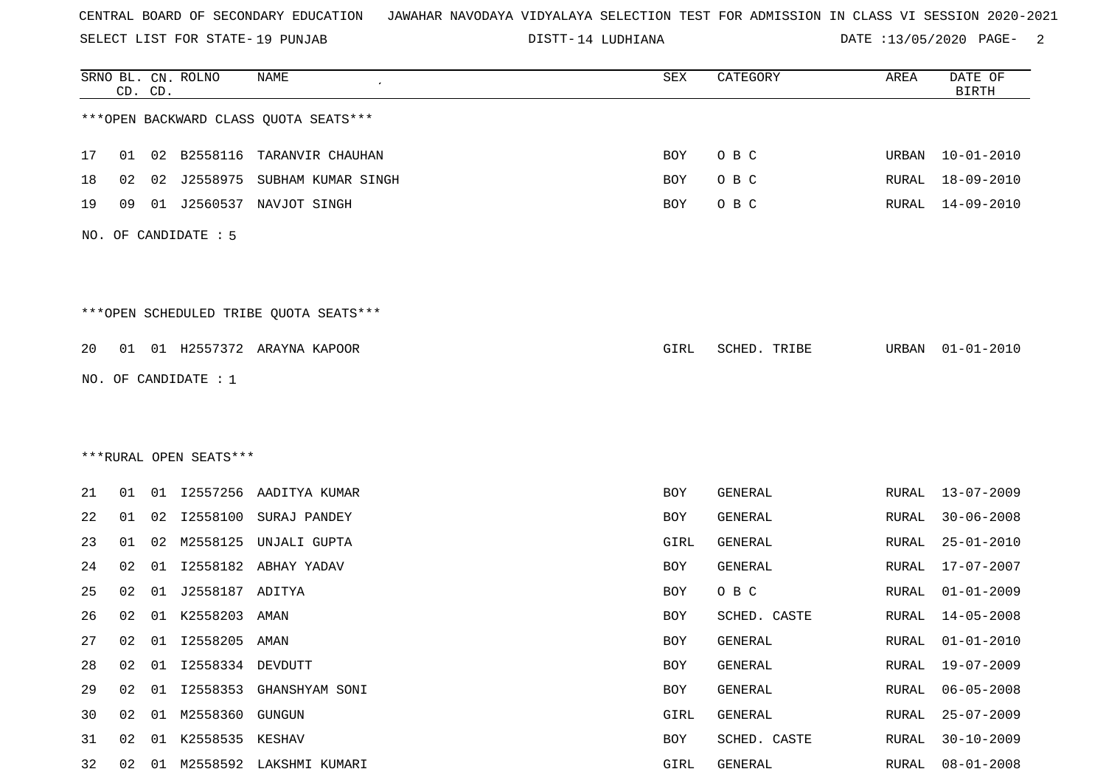SELECT LIST FOR STATE- DISTT- 19 PUNJAB

DISTT-14 LUDHIANA  $\overline{DATE}$  :13/05/2020 PAGE- 2

|    |    | CD. CD. | SRNO BL. CN. ROLNO     | <b>NAME</b>                            | SEX        | CATEGORY     | AREA         | DATE OF<br><b>BIRTH</b> |
|----|----|---------|------------------------|----------------------------------------|------------|--------------|--------------|-------------------------|
|    |    |         |                        | *** OPEN BACKWARD CLASS QUOTA SEATS*** |            |              |              |                         |
| 17 | 01 |         |                        | 02 B2558116 TARANVIR CHAUHAN           | BOY        | O B C        | URBAN        | $10 - 01 - 2010$        |
| 18 | 02 | 02      | J2558975               | SUBHAM KUMAR SINGH                     | BOY        | O B C        | RURAL        | 18-09-2010              |
| 19 | 09 | 01      |                        | J2560537 NAVJOT SINGH                  | BOY        | O B C        | RURAL        | 14-09-2010              |
|    |    |         | NO. OF CANDIDATE : 5   |                                        |            |              |              |                         |
|    |    |         |                        | ***OPEN SCHEDULED TRIBE QUOTA SEATS*** |            |              |              |                         |
| 20 | 01 |         |                        | 01 H2557372 ARAYNA KAPOOR              | GIRL       | SCHED. TRIBE | URBAN        | $01 - 01 - 2010$        |
|    |    |         | NO. OF CANDIDATE : 1   |                                        |            |              |              |                         |
|    |    |         |                        |                                        |            |              |              |                         |
|    |    |         |                        |                                        |            |              |              |                         |
|    |    |         | ***RURAL OPEN SEATS*** |                                        |            |              |              |                         |
| 21 | 01 |         | 01 12557256            | AADITYA KUMAR                          | BOY        | GENERAL      | RURAL        | $13 - 07 - 2009$        |
| 22 | 01 |         | 02 12558100            | SURAJ PANDEY                           | <b>BOY</b> | GENERAL      | RURAL        | $30 - 06 - 2008$        |
| 23 | 01 | 02      | M2558125               | UNJALI GUPTA                           | GIRL       | GENERAL      | <b>RURAL</b> | $25 - 01 - 2010$        |
| 24 | 02 | 01      | I2558182               | ABHAY YADAV                            | <b>BOY</b> | GENERAL      | RURAL        | $17 - 07 - 2007$        |
| 25 | 02 | 01      | J2558187 ADITYA        |                                        | BOY        | O B C        | RURAL        | $01 - 01 - 2009$        |
| 26 | 02 | 01      | K2558203               | AMAN                                   | BOY        | SCHED. CASTE | RURAL        | $14 - 05 - 2008$        |
| 27 | 02 |         | 01 12558205 AMAN       |                                        | <b>BOY</b> | GENERAL      | RURAL        | $01 - 01 - 2010$        |
| 28 | 02 | 01      | I2558334 DEVDUTT       |                                        | BOY        | GENERAL      | RURAL        | $19 - 07 - 2009$        |
| 29 | 02 |         |                        | 01 I2558353 GHANSHYAM SONI             | BOY        | GENERAL      | RURAL        | $06 - 05 - 2008$        |
| 30 | 02 |         | 01 M2558360 GUNGUN     |                                        | GIRL       | GENERAL      | RURAL        | $25 - 07 - 2009$        |
| 31 | 02 | 01      | K2558535 KESHAV        |                                        | BOY        | SCHED. CASTE | <b>RURAL</b> | $30 - 10 - 2009$        |
| 32 | 02 |         |                        | 01 M2558592 LAKSHMI KUMARI             | GIRL       | GENERAL      | RURAL        | $08 - 01 - 2008$        |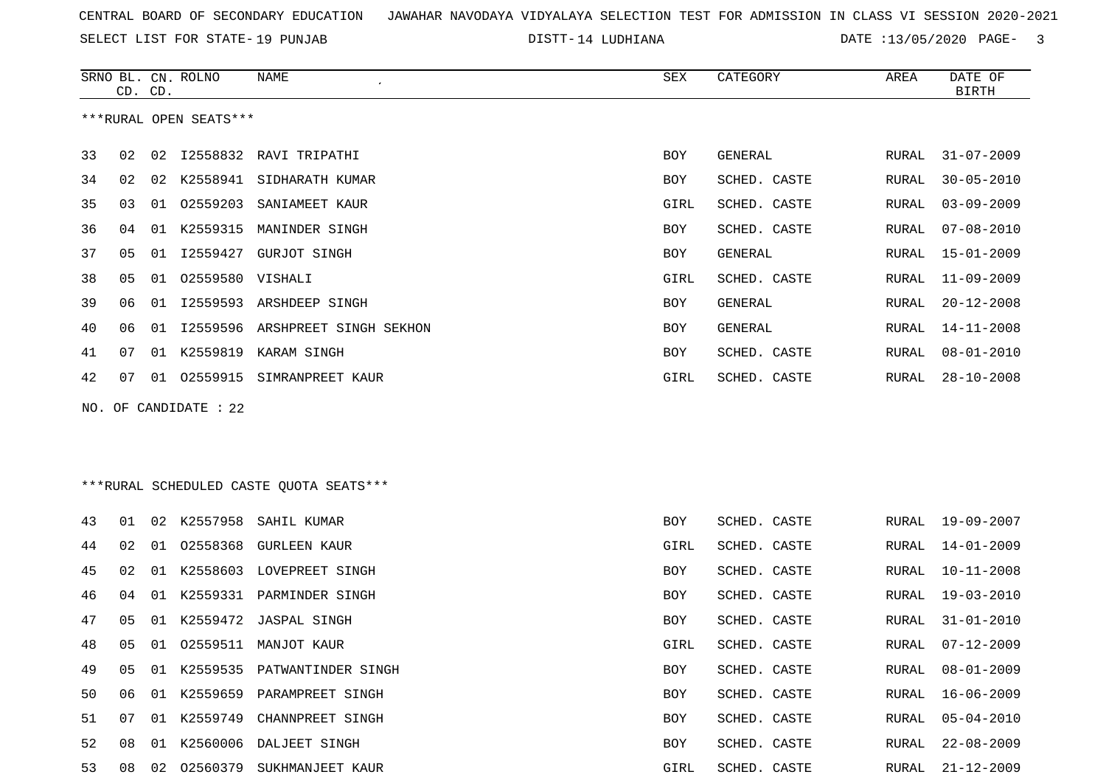SELECT LIST FOR STATE- DISTT- 19 PUNJAB

DISTT-14 LUDHIANA  $\overline{DATE}$  :13/05/2020 PAGE- 3

|    |                        | CD. CD. | SRNO BL. CN. ROLNO    | NAME                            | SEX  | CATEGORY     | AREA  | DATE OF<br><b>BIRTH</b> |  |  |
|----|------------------------|---------|-----------------------|---------------------------------|------|--------------|-------|-------------------------|--|--|
|    | ***RURAL OPEN SEATS*** |         |                       |                                 |      |              |       |                         |  |  |
| 33 | 02                     | 02      |                       | 12558832 RAVI TRIPATHI          | BOY  | GENERAL      | RURAL | $31 - 07 - 2009$        |  |  |
| 34 | 02                     |         | 02 K2558941           | SIDHARATH KUMAR                 | BOY  | SCHED. CASTE | RURAL | $30 - 05 - 2010$        |  |  |
| 35 | 03                     | 01      | 02559203              | SANIAMEET KAUR                  | GIRL | SCHED. CASTE | RURAL | $03 - 09 - 2009$        |  |  |
| 36 | 04                     | 01      | K2559315              | MANINDER SINGH                  | BOY  | SCHED. CASTE | RURAL | $07 - 08 - 2010$        |  |  |
| 37 | 05                     |         |                       | 01 I2559427 GURJOT SINGH        | BOY  | GENERAL      | RURAL | 15-01-2009              |  |  |
| 38 | 05                     | 01      | 02559580 VISHALI      |                                 | GIRL | SCHED. CASTE | RURAL | $11 - 09 - 2009$        |  |  |
| 39 | 06                     | 01      | I2559593              | ARSHDEEP SINGH                  | BOY  | GENERAL      | RURAL | $20 - 12 - 2008$        |  |  |
| 40 | 06                     | 01      |                       | 12559596 ARSHPREET SINGH SEKHON | BOY  | GENERAL      | RURAL | $14 - 11 - 2008$        |  |  |
| 41 | 07                     |         | 01 K2559819           | KARAM SINGH                     | BOY  | SCHED. CASTE | RURAL | $08 - 01 - 2010$        |  |  |
| 42 | 07                     | 01      | 02559915              | SIMRANPREET KAUR                | GIRL | SCHED. CASTE | RURAL | $28 - 10 - 2008$        |  |  |
|    |                        |         | NO. OF CANDIDATE : 22 |                                 |      |              |       |                         |  |  |

# \*\*\*RURAL SCHEDULED CASTE QUOTA SEATS\*\*\*

| 43 | O 1 |    |             | 02 K2557958 SAHIL KUMAR        | BOY  | SCHED. CASTE | RURAL | 19-09-2007       |
|----|-----|----|-------------|--------------------------------|------|--------------|-------|------------------|
| 44 | 02  | 01 |             | 02558368 GURLEEN KAUR          | GIRL | SCHED. CASTE | RURAL | 14-01-2009       |
| 45 | 02  |    |             | 01 K2558603 LOVEPREET SINGH    | BOY  | SCHED. CASTE | RURAL | $10 - 11 - 2008$ |
| 46 | 04  |    |             | 01 K2559331 PARMINDER SINGH    | BOY  | SCHED. CASTE | RURAL | 19-03-2010       |
| 47 | 05  |    |             | 01 K2559472 JASPAL SINGH       | BOY  | SCHED. CASTE | RURAL | $31 - 01 - 2010$ |
| 48 | 05  |    |             | 01 02559511 MANJOT KAUR        | GIRL | SCHED. CASTE | RURAL | $07 - 12 - 2009$ |
| 49 | 05  |    |             | 01 K2559535 PATWANTINDER SINGH | BOY  | SCHED. CASTE | RURAL | 08-01-2009       |
| 50 |     |    |             | 01 K2559659 PARAMPREET SINGH   | BOY  | SCHED. CASTE | RURAL | $16 - 06 - 2009$ |
| 51 | 07  |    | 01 K2559749 | CHANNPREET SINGH               | BOY  | SCHED. CASTE |       | RURAL 05-04-2010 |
| 52 | 08  | 01 | K2560006    | DALJEET SINGH                  | BOY  | SCHED. CASTE | RURAL | $22 - 08 - 2009$ |
| 53 | 0.8 | 02 | 02560379    | SUKHMANJEET KAUR               | GIRL | SCHED. CASTE | RURAL | $21 - 12 - 2009$ |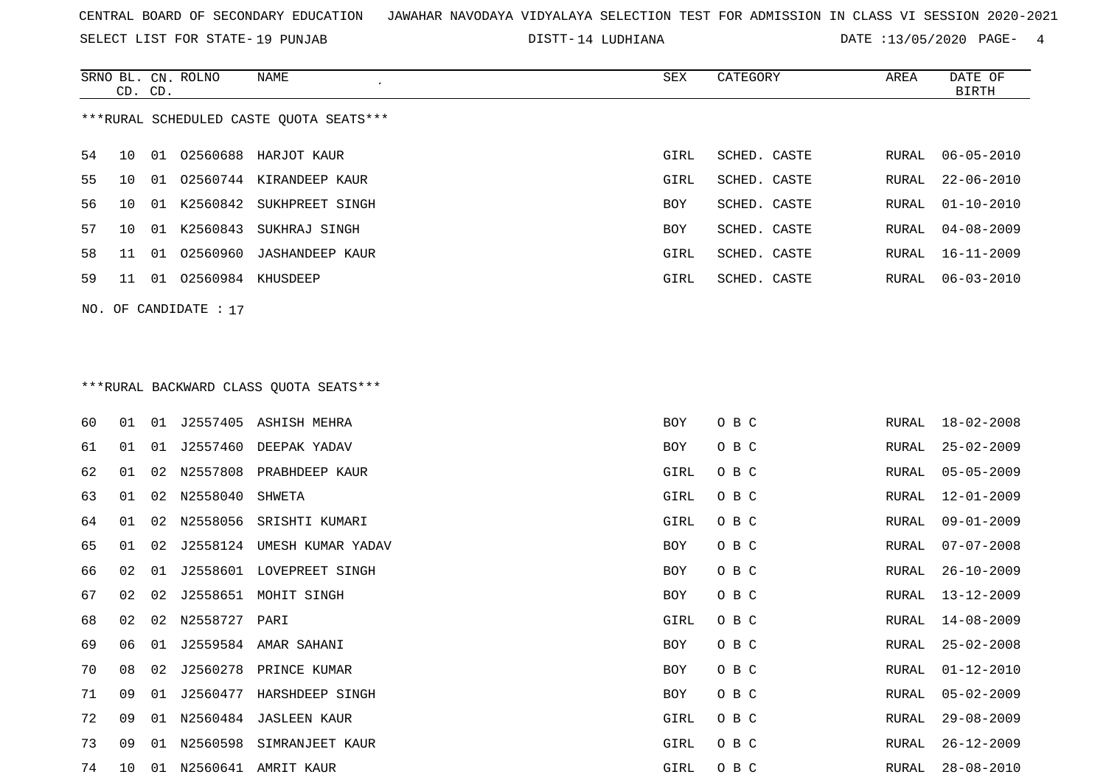SELECT LIST FOR STATE- DISTT- 19 PUNJAB

DISTT-14 LUDHIANA **DATE** :13/05/2020 PAGE- 4

|    |    | CD. CD. | SRNO BL. CN. ROLNO      | <b>NAME</b><br>$\lambda$                | <b>SEX</b> | CATEGORY     | AREA  | DATE OF<br><b>BIRTH</b> |
|----|----|---------|-------------------------|-----------------------------------------|------------|--------------|-------|-------------------------|
|    |    |         |                         | ***RURAL SCHEDULED CASTE OUOTA SEATS*** |            |              |       |                         |
| 54 | 10 | 01      |                         | 02560688 HARJOT KAUR                    | GIRL       | SCHED. CASTE | RURAL | $06 - 05 - 2010$        |
| 55 | 10 | 01      |                         | 02560744 KIRANDEEP KAUR                 | GIRL       | SCHED. CASTE | RURAL | $22 - 06 - 2010$        |
| 56 | 10 |         |                         | 01 K2560842 SUKHPREET SINGH             | BOY        | SCHED. CASTE | RURAL | $01 - 10 - 2010$        |
| 57 | 10 | 01      | K2560843                | SUKHRAJ SINGH                           | BOY        | SCHED. CASTE | RURAL | $04 - 08 - 2009$        |
| 58 | 11 | 01      |                         | 02560960 JASHANDEEP KAUR                | GIRL       | SCHED. CASTE | RURAL | $16 - 11 - 2009$        |
| 59 | 11 | 01      |                         | O2560984 KHUSDEEP                       | GIRL       | SCHED. CASTE | RURAL | $06 - 03 - 2010$        |
|    |    |         | NO. OF CANDIDATE : $17$ |                                         |            |              |       |                         |
|    |    |         |                         |                                         |            |              |       |                         |
|    |    |         |                         |                                         |            |              |       |                         |
|    |    |         |                         | ***RURAL BACKWARD CLASS OUOTA SEATS***  |            |              |       |                         |
| 60 | 01 | 01      |                         | J2557405 ASHISH MEHRA                   | <b>BOY</b> | O B C        | RURAL | $18 - 02 - 2008$        |
| 61 | 01 | 01      | J2557460                | DEEPAK YADAV                            | BOY        | O B C        | RURAL | $25 - 02 - 2009$        |
| 62 | 01 | 02      | N2557808                | PRABHDEEP KAUR                          | GIRL       | O B C        | RURAL | $05 - 05 - 2009$        |
| 63 | 01 |         | 02 N2558040 SHWETA      |                                         | GIRL       | O B C        | RURAL | 12-01-2009              |

74 10 01 N2560641 AMRIT KAUR GIRL O B C RURAL 28-08-2010

65 01 02 J2558124 UMESH KUMAR YADAV BOY O B C

68 02 02 N2558727 PARI GIRL O B C

69 06 01 J2559584 AMAR SAHANI BOY O B C

71 09 01 J2560477 HARSHDEEP SINGH BOY O B C

64 01 02 N2558056 SRISHTI KUMARI GIRL O B C RURAL 09-01-2009RURAL 09-01-2009 RURAL 07-07-2008 66 02 01 J2558601 LOVEPREET SINGH BOY O B C RURAL 26-10-200967 02 02 J2558651 MOHIT SINGH BOY O B C RURAL 13-12-2009 RURAL 14-08-2009 RURAL 25-02-2008 70 08 02 J2560278 PRINCE KUMAR BOY O B C RURAL 01-12-2010 RURAL 05-02-2009 72 09 01 N2560484 JASLEEN KAUR GIRL OOR COMMUNISTIES ON GIRL OOR C RURAL 29-08-2009 73 09 01 N2560598 SIMRANJEET KAUR GIRAL 26-12-2009 GIRL O B C RURAL 26-12-2009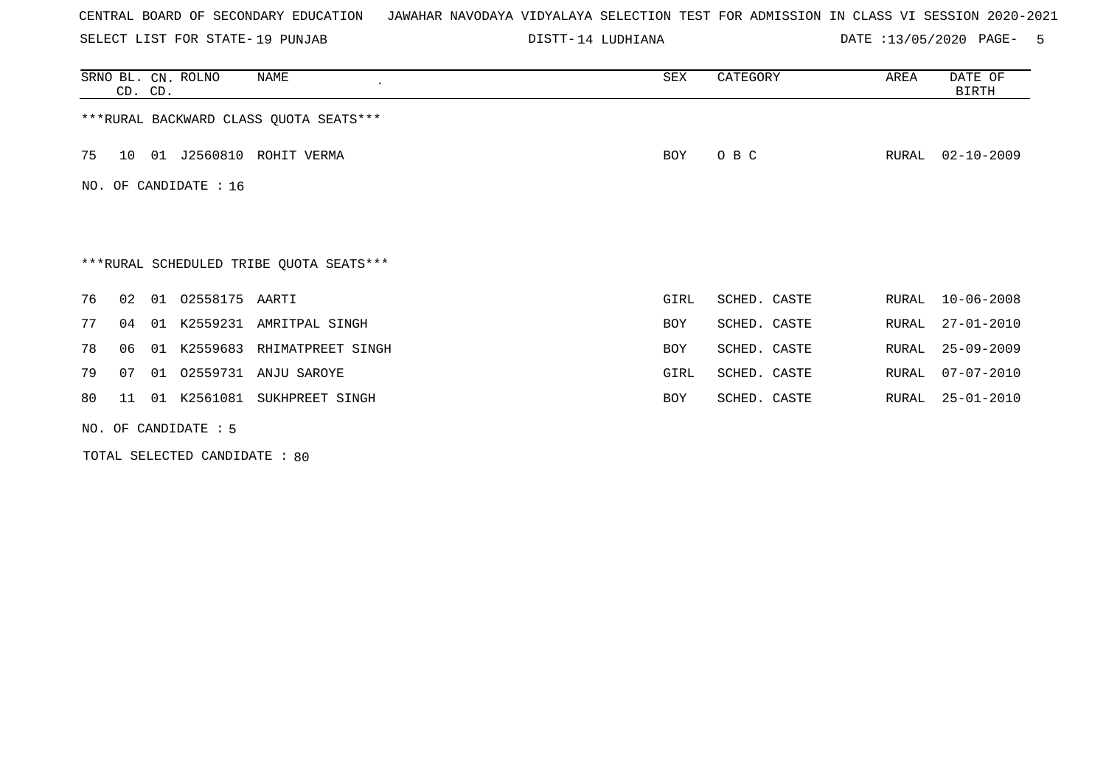SELECT LIST FOR STATE- DISTT- 19 PUNJAB

14 LUDHIANA DATE :13/05/2020 PAGE- 5

|    | CD. CD.                                 |    | SRNO BL. CN. ROLNO    | NAME                                    | SEX        | CATEGORY     | AREA  | DATE OF<br>BIRTH |  |
|----|-----------------------------------------|----|-----------------------|-----------------------------------------|------------|--------------|-------|------------------|--|
|    | *** RURAL BACKWARD CLASS QUOTA SEATS*** |    |                       |                                         |            |              |       |                  |  |
| 75 | 10 <sup>°</sup>                         |    | 01 J2560810           | ROHIT VERMA                             | <b>BOY</b> | O B C        | RURAL | $02 - 10 - 2009$ |  |
|    |                                         |    | NO. OF CANDIDATE : 16 |                                         |            |              |       |                  |  |
|    |                                         |    |                       |                                         |            |              |       |                  |  |
|    |                                         |    |                       | ***RURAL SCHEDULED TRIBE QUOTA SEATS*** |            |              |       |                  |  |
| 76 | 02                                      |    | 01  02558175  AARTI   |                                         | GIRL       | SCHED. CASTE |       | RURAL 10-06-2008 |  |
| 77 | 04                                      |    | 01 K2559231           | AMRITPAL SINGH                          | <b>BOY</b> | SCHED. CASTE | RURAL | $27 - 01 - 2010$ |  |
| 78 | 06                                      | 01 | K2559683              | RHIMATPREET SINGH                       | <b>BOY</b> | SCHED. CASTE | RURAL | $25 - 09 - 2009$ |  |
| 79 | 07                                      |    | 01 02559731           | ANJU SAROYE                             | GIRL       | SCHED. CASTE | RURAL | $07 - 07 - 2010$ |  |
| 80 | 11                                      |    |                       | 01 K2561081 SUKHPREET SINGH             | <b>BOY</b> | SCHED. CASTE | RURAL | $25 - 01 - 2010$ |  |
|    | NO. OF CANDIDATE $: 5$                  |    |                       |                                         |            |              |       |                  |  |

TOTAL SELECTED CANDIDATE : 80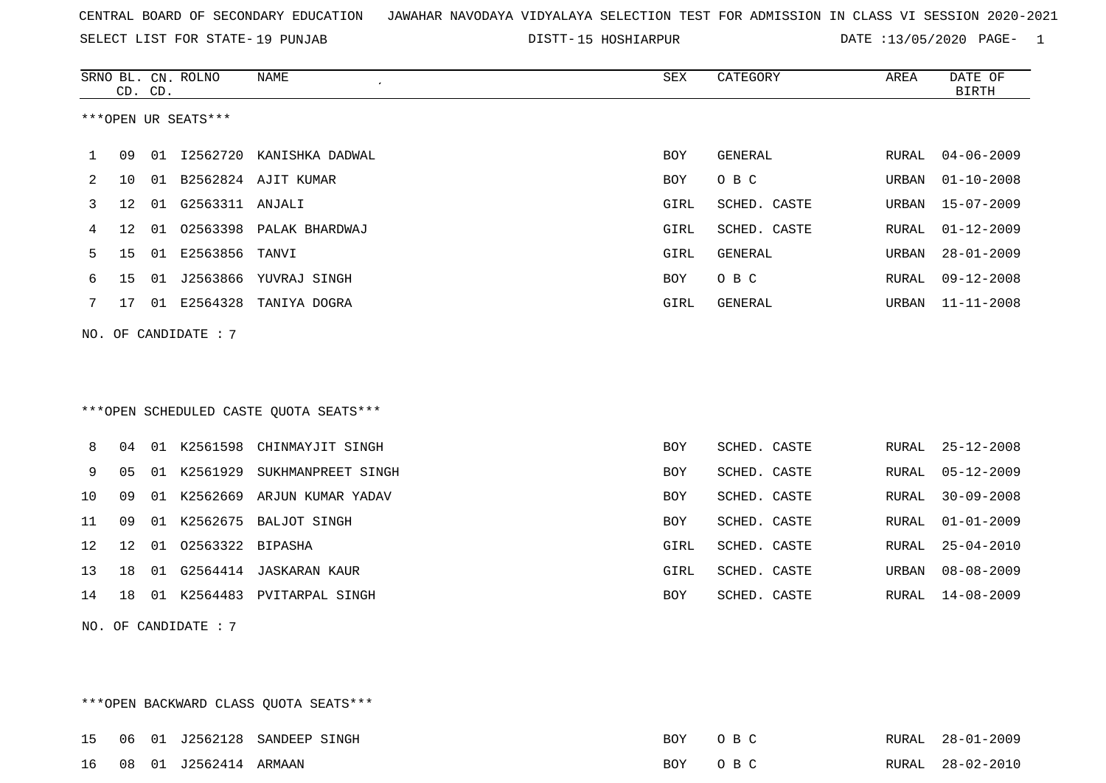SELECT LIST FOR STATE- DISTT- 19 PUNJAB

DISTT-15 HOSHIARPUR DATE :13/05/2020 PAGE- 1

|             |                                        | CD. CD. | SRNO BL. CN. ROLNO     | NAME                                   | ${\tt SEX}$ | CATEGORY     | AREA  | DATE OF<br><b>BIRTH</b> |  |
|-------------|----------------------------------------|---------|------------------------|----------------------------------------|-------------|--------------|-------|-------------------------|--|
|             |                                        |         | ***OPEN UR SEATS***    |                                        |             |              |       |                         |  |
| $\mathbf 1$ | 09                                     |         |                        | 01 I2562720 KANISHKA DADWAL            | <b>BOY</b>  | GENERAL      | RURAL | $04 - 06 - 2009$        |  |
| 2           | 10                                     |         |                        | 01 B2562824 AJIT KUMAR                 | BOY         | O B C        | URBAN | $01 - 10 - 2008$        |  |
| 3           | 12                                     | 01      | G2563311 ANJALI        |                                        | GIRL        | SCHED. CASTE | URBAN | $15 - 07 - 2009$        |  |
| 4           | 12                                     |         |                        | 01 02563398 PALAK BHARDWAJ             | GIRL        | SCHED. CASTE | RURAL | $01 - 12 - 2009$        |  |
| 5           | 15                                     |         | 01 E2563856 TANVI      |                                        | GIRL        | GENERAL      | URBAN | $28 - 01 - 2009$        |  |
| 6           | 15                                     |         |                        | 01 J2563866 YUVRAJ SINGH               | BOY         | O B C        | RURAL | $09 - 12 - 2008$        |  |
| 7           | 17                                     |         |                        | 01 E2564328 TANIYA DOGRA               | GIRL        | GENERAL      | URBAN | 11-11-2008              |  |
|             |                                        |         | NO. OF CANDIDATE : $7$ |                                        |             |              |       |                         |  |
|             |                                        |         |                        |                                        |             |              |       |                         |  |
|             |                                        |         |                        |                                        |             |              |       |                         |  |
|             |                                        |         |                        | ***OPEN SCHEDULED CASTE OUOTA SEATS*** |             |              |       |                         |  |
| 8           | 04                                     |         |                        | 01 K2561598 CHINMAYJIT SINGH           | BOY         | SCHED. CASTE | RURAL | 25-12-2008              |  |
| 9           | 05                                     |         |                        | 01 K2561929 SUKHMANPREET SINGH         | <b>BOY</b>  | SCHED. CASTE | RURAL | $05 - 12 - 2009$        |  |
| 10          | 09                                     |         |                        | 01 K2562669 ARJUN KUMAR YADAV          | <b>BOY</b>  | SCHED. CASTE | RURAL | $30 - 09 - 2008$        |  |
| 11          | 09                                     |         |                        | 01 K2562675 BALJOT SINGH               | BOY         | SCHED. CASTE | RURAL | $01 - 01 - 2009$        |  |
| 12          | 12                                     |         | 01 02563322 BIPASHA    |                                        | GIRL        | SCHED. CASTE | RURAL | $25 - 04 - 2010$        |  |
| 13          | 18                                     |         |                        | 01 G2564414 JASKARAN KAUR              | GIRL        | SCHED. CASTE | URBAN | $08 - 08 - 2009$        |  |
| 14          | 18                                     |         |                        | 01 K2564483 PVITARPAL SINGH            | BOY         | SCHED. CASTE | RURAL | $14 - 08 - 2009$        |  |
|             |                                        |         | NO. OF CANDIDATE : 7   |                                        |             |              |       |                         |  |
|             |                                        |         |                        |                                        |             |              |       |                         |  |
|             |                                        |         |                        |                                        |             |              |       |                         |  |
|             | *** OPEN BACKWARD CLASS QUOTA SEATS*** |         |                        |                                        |             |              |       |                         |  |

|  |                          | 15 06 01 J2562128 SANDEEP SINGH | BOY OBC |  | RURAL 28-01-2009 |
|--|--------------------------|---------------------------------|---------|--|------------------|
|  | 16 08 01 J2562414 ARMAAN |                                 | BOY OBC |  | RURAL 28-02-2010 |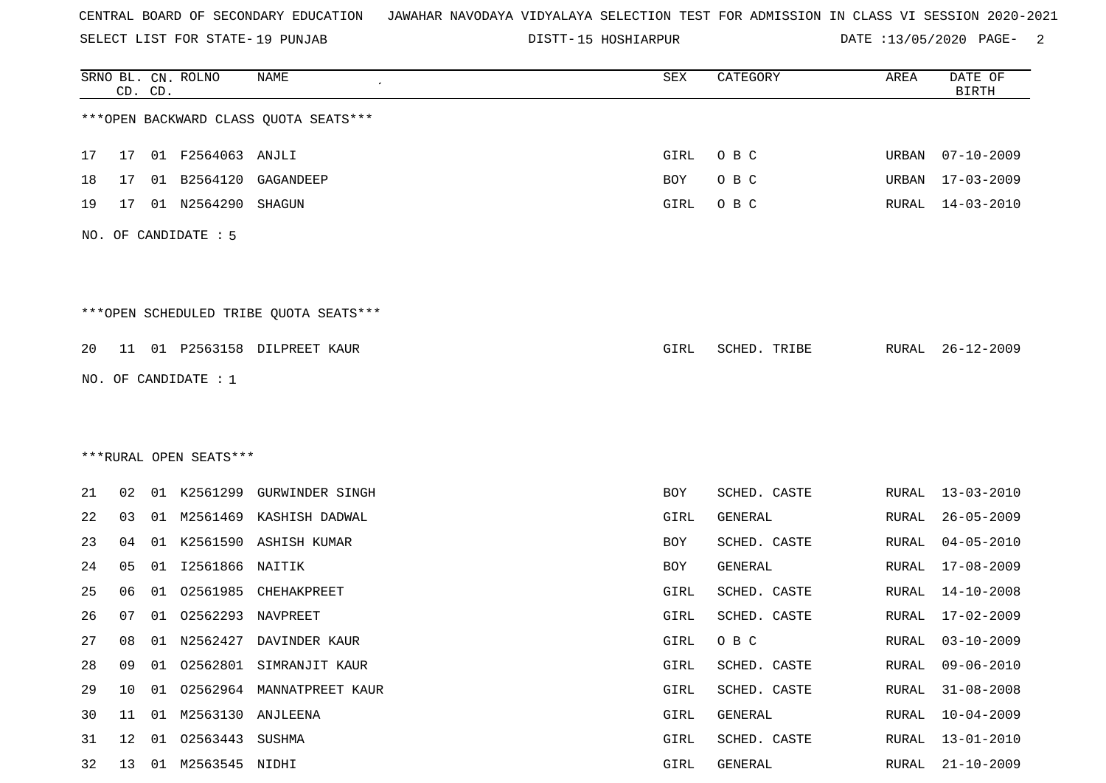SELECT LIST FOR STATE- DISTT- 19 PUNJAB

15 HOSHIARPUR DATE :13/05/2020 PAGE- 2

|    |    | CD. CD. | SRNO BL. CN. ROLNO     | <b>NAME</b>                            | SEX  | CATEGORY     | AREA         | DATE OF<br><b>BIRTH</b> |
|----|----|---------|------------------------|----------------------------------------|------|--------------|--------------|-------------------------|
|    |    |         |                        | *** OPEN BACKWARD CLASS QUOTA SEATS*** |      |              |              |                         |
| 17 | 17 |         | 01 F2564063 ANJLI      |                                        | GIRL | O B C        | URBAN        | $07 - 10 - 2009$        |
| 18 | 17 |         | 01 B2564120            | GAGANDEEP                              | BOY  | O B C        | URBAN        | $17 - 03 - 2009$        |
| 19 | 17 |         | 01 N2564290            | SHAGUN                                 | GIRL | O B C        | RURAL        | $14 - 03 - 2010$        |
|    |    |         | NO. OF CANDIDATE : 5   |                                        |      |              |              |                         |
|    |    |         |                        | ***OPEN SCHEDULED TRIBE QUOTA SEATS*** |      |              |              |                         |
| 20 |    |         |                        | 11 01 P2563158 DILPREET KAUR           | GIRL | SCHED. TRIBE | RURAL        | $26 - 12 - 2009$        |
|    |    |         | NO. OF CANDIDATE : $1$ |                                        |      |              |              |                         |
|    |    |         |                        |                                        |      |              |              |                         |
|    |    |         |                        |                                        |      |              |              |                         |
|    |    |         | ***RURAL OPEN SEATS*** |                                        |      |              |              |                         |
| 21 | 02 |         | 01 K2561299            | GURWINDER SINGH                        | BOY  | SCHED. CASTE | RURAL        | $13 - 03 - 2010$        |
| 22 | 03 |         |                        | 01 M2561469 KASHISH DADWAL             | GIRL | GENERAL      | RURAL        | $26 - 05 - 2009$        |
| 23 | 04 | 01      |                        | K2561590 ASHISH KUMAR                  | BOY  | SCHED. CASTE | <b>RURAL</b> | $04 - 05 - 2010$        |
| 24 | 05 | 01      | I2561866               | NAITIK                                 | BOY  | GENERAL      | RURAL        | $17 - 08 - 2009$        |
| 25 | 06 | 01      | 02561985               | CHEHAKPREET                            | GIRL | SCHED. CASTE | RURAL        | $14 - 10 - 2008$        |
| 26 | 07 | 01      | 02562293               | NAVPREET                               | GIRL | SCHED. CASTE | RURAL        | $17 - 02 - 2009$        |
| 27 | 08 |         |                        | 01 N2562427 DAVINDER KAUR              | GIRL | O B C        | RURAL        | $03 - 10 - 2009$        |
| 28 | 09 | 01      |                        | 02562801 SIMRANJIT KAUR                | GIRL | SCHED. CASTE | <b>RURAL</b> | $09 - 06 - 2010$        |
| 29 | 10 | 01      |                        | 02562964 MANNATPREET KAUR              | GIRL | SCHED. CASTE | RURAL        | $31 - 08 - 2008$        |
| 30 | 11 | 01      | M2563130 ANJLEENA      |                                        | GIRL | GENERAL      | RURAL        | $10 - 04 - 2009$        |
| 31 | 12 | 01      | 02563443 SUSHMA        |                                        | GIRL | SCHED. CASTE | <b>RURAL</b> | $13 - 01 - 2010$        |
| 32 | 13 |         | 01 M2563545 NIDHI      |                                        | GIRL | GENERAL      | <b>RURAL</b> | $21 - 10 - 2009$        |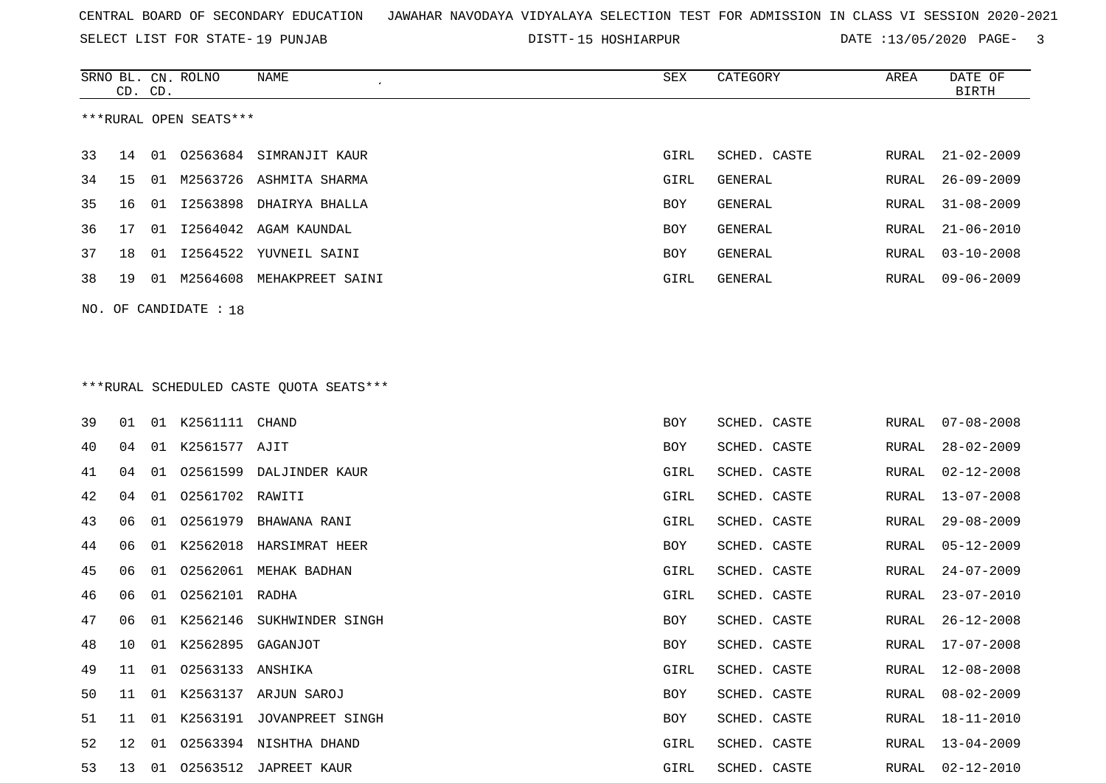SELECT LIST FOR STATE- DISTT- 19 PUNJAB

SRNO BL. CN.

ROLNO NAME SEX CATEGORY AREA DATE OF

DISTT-15 HOSHIARPUR DATE :13/05/2020 PAGE- 3

| ***RURAL OPEN SEATS***<br>33<br>01 02563684 SIMRANJIT KAUR<br>$21 - 02 - 2009$<br>14<br>GIRL<br>SCHED. CASTE<br>RURAL<br>34<br>M2563726 ASHMITA SHARMA<br><b>GENERAL</b><br>$26 - 09 - 2009$<br>GIRL<br>RURAL<br>15<br>01<br>12563898 DHAIRYA BHALLA<br>35<br>GENERAL<br>$31 - 08 - 2009$<br>16<br>01<br>BOY<br>RURAL<br>36<br>I2564042<br>$21 - 06 - 2010$<br>17<br>01<br>AGAM KAUNDAL<br>BOY<br>GENERAL<br>RURAL<br>37<br>18<br>01 12564522 YUVNEIL SAINI<br>BOY<br>GENERAL<br>RURAL<br>$03 - 10 - 2008$<br>38<br>01 M2564608 MEHAKPREET SAINI<br>GENERAL<br>$09 - 06 - 2009$<br>19<br>GIRL<br>RURAL<br>NO. OF CANDIDATE : 18<br>*** RURAL SCHEDULED CASTE QUOTA SEATS***<br>39<br>01 K2561111<br>SCHED. CASTE<br>01<br>CHAND<br>BOY<br>RURAL<br>$07 - 08 - 2008$<br>K2561577 AJIT<br>40<br>01<br>SCHED. CASTE<br>$28 - 02 - 2009$<br>04<br>BOY<br>RURAL<br>02561599<br>41<br>01<br>DALJINDER KAUR<br>GIRL<br>SCHED. CASTE<br>$02 - 12 - 2008$<br>04<br>RURAL<br>42<br>02561702<br>SCHED. CASTE<br>$13 - 07 - 2008$<br>04<br>01<br>RAWITI<br>GIRL<br>RURAL<br>43<br>02561979<br>06<br>01<br>BHAWANA RANI<br>GIRL<br>SCHED. CASTE<br>$29 - 08 - 2009$<br>RURAL<br>44<br>01 K2562018<br>HARSIMRAT HEER<br>SCHED. CASTE<br>06<br>BOY<br>RURAL<br>05-12-2009<br>45<br>02562061 MEHAK BADHAN<br>06<br>01<br>GIRL<br>SCHED. CASTE<br>RURAL<br>$24 - 07 - 2009$<br>46<br>02562101 RADHA<br>$23 - 07 - 2010$<br>06<br>01<br>GIRL<br>SCHED. CASTE<br>RURAL<br>47<br>K2562146<br>06<br>01<br>SUKHWINDER SINGH<br>SCHED. CASTE<br>RURAL<br>$26 - 12 - 2008$<br>BOY<br>48<br>01 K2562895<br>10<br>GAGANJOT<br>BOY<br>SCHED. CASTE<br>17-07-2008<br>RURAL<br>49<br>01 02563133 ANSHIKA<br>$12 - 08 - 2008$<br>GIRL<br>SCHED. CASTE<br>RURAL<br>11<br>50<br>11 01 K2563137 ARJUN SAROJ<br><b>BOY</b><br>SCHED. CASTE<br>RURAL 08-02-2009<br>51<br>11 01 K2563191 JOVANPREET SINGH<br>BOY<br>SCHED. CASTE<br>RURAL 18-11-2010<br>52<br>12 01 02563394 NISHTHA DHAND<br>SCHED. CASTE<br>GIRL<br>RURAL<br>13-04-2009<br>53<br>13 01 02563512 JAPREET KAUR<br>SCHED. CASTE<br>$02 - 12 - 2010$<br>GIRL<br>RURAL | CD. CD. |  |  |  | <b>BIRTH</b> |
|-------------------------------------------------------------------------------------------------------------------------------------------------------------------------------------------------------------------------------------------------------------------------------------------------------------------------------------------------------------------------------------------------------------------------------------------------------------------------------------------------------------------------------------------------------------------------------------------------------------------------------------------------------------------------------------------------------------------------------------------------------------------------------------------------------------------------------------------------------------------------------------------------------------------------------------------------------------------------------------------------------------------------------------------------------------------------------------------------------------------------------------------------------------------------------------------------------------------------------------------------------------------------------------------------------------------------------------------------------------------------------------------------------------------------------------------------------------------------------------------------------------------------------------------------------------------------------------------------------------------------------------------------------------------------------------------------------------------------------------------------------------------------------------------------------------------------------------------------------------------------------------------------------------------------------------------------------------------------------------------------------------------------------------------------------------------------------------------------|---------|--|--|--|--------------|
|                                                                                                                                                                                                                                                                                                                                                                                                                                                                                                                                                                                                                                                                                                                                                                                                                                                                                                                                                                                                                                                                                                                                                                                                                                                                                                                                                                                                                                                                                                                                                                                                                                                                                                                                                                                                                                                                                                                                                                                                                                                                                                 |         |  |  |  |              |
|                                                                                                                                                                                                                                                                                                                                                                                                                                                                                                                                                                                                                                                                                                                                                                                                                                                                                                                                                                                                                                                                                                                                                                                                                                                                                                                                                                                                                                                                                                                                                                                                                                                                                                                                                                                                                                                                                                                                                                                                                                                                                                 |         |  |  |  |              |
|                                                                                                                                                                                                                                                                                                                                                                                                                                                                                                                                                                                                                                                                                                                                                                                                                                                                                                                                                                                                                                                                                                                                                                                                                                                                                                                                                                                                                                                                                                                                                                                                                                                                                                                                                                                                                                                                                                                                                                                                                                                                                                 |         |  |  |  |              |
|                                                                                                                                                                                                                                                                                                                                                                                                                                                                                                                                                                                                                                                                                                                                                                                                                                                                                                                                                                                                                                                                                                                                                                                                                                                                                                                                                                                                                                                                                                                                                                                                                                                                                                                                                                                                                                                                                                                                                                                                                                                                                                 |         |  |  |  |              |
|                                                                                                                                                                                                                                                                                                                                                                                                                                                                                                                                                                                                                                                                                                                                                                                                                                                                                                                                                                                                                                                                                                                                                                                                                                                                                                                                                                                                                                                                                                                                                                                                                                                                                                                                                                                                                                                                                                                                                                                                                                                                                                 |         |  |  |  |              |
|                                                                                                                                                                                                                                                                                                                                                                                                                                                                                                                                                                                                                                                                                                                                                                                                                                                                                                                                                                                                                                                                                                                                                                                                                                                                                                                                                                                                                                                                                                                                                                                                                                                                                                                                                                                                                                                                                                                                                                                                                                                                                                 |         |  |  |  |              |
|                                                                                                                                                                                                                                                                                                                                                                                                                                                                                                                                                                                                                                                                                                                                                                                                                                                                                                                                                                                                                                                                                                                                                                                                                                                                                                                                                                                                                                                                                                                                                                                                                                                                                                                                                                                                                                                                                                                                                                                                                                                                                                 |         |  |  |  |              |
|                                                                                                                                                                                                                                                                                                                                                                                                                                                                                                                                                                                                                                                                                                                                                                                                                                                                                                                                                                                                                                                                                                                                                                                                                                                                                                                                                                                                                                                                                                                                                                                                                                                                                                                                                                                                                                                                                                                                                                                                                                                                                                 |         |  |  |  |              |
|                                                                                                                                                                                                                                                                                                                                                                                                                                                                                                                                                                                                                                                                                                                                                                                                                                                                                                                                                                                                                                                                                                                                                                                                                                                                                                                                                                                                                                                                                                                                                                                                                                                                                                                                                                                                                                                                                                                                                                                                                                                                                                 |         |  |  |  |              |
|                                                                                                                                                                                                                                                                                                                                                                                                                                                                                                                                                                                                                                                                                                                                                                                                                                                                                                                                                                                                                                                                                                                                                                                                                                                                                                                                                                                                                                                                                                                                                                                                                                                                                                                                                                                                                                                                                                                                                                                                                                                                                                 |         |  |  |  |              |
|                                                                                                                                                                                                                                                                                                                                                                                                                                                                                                                                                                                                                                                                                                                                                                                                                                                                                                                                                                                                                                                                                                                                                                                                                                                                                                                                                                                                                                                                                                                                                                                                                                                                                                                                                                                                                                                                                                                                                                                                                                                                                                 |         |  |  |  |              |
|                                                                                                                                                                                                                                                                                                                                                                                                                                                                                                                                                                                                                                                                                                                                                                                                                                                                                                                                                                                                                                                                                                                                                                                                                                                                                                                                                                                                                                                                                                                                                                                                                                                                                                                                                                                                                                                                                                                                                                                                                                                                                                 |         |  |  |  |              |
|                                                                                                                                                                                                                                                                                                                                                                                                                                                                                                                                                                                                                                                                                                                                                                                                                                                                                                                                                                                                                                                                                                                                                                                                                                                                                                                                                                                                                                                                                                                                                                                                                                                                                                                                                                                                                                                                                                                                                                                                                                                                                                 |         |  |  |  |              |
|                                                                                                                                                                                                                                                                                                                                                                                                                                                                                                                                                                                                                                                                                                                                                                                                                                                                                                                                                                                                                                                                                                                                                                                                                                                                                                                                                                                                                                                                                                                                                                                                                                                                                                                                                                                                                                                                                                                                                                                                                                                                                                 |         |  |  |  |              |
|                                                                                                                                                                                                                                                                                                                                                                                                                                                                                                                                                                                                                                                                                                                                                                                                                                                                                                                                                                                                                                                                                                                                                                                                                                                                                                                                                                                                                                                                                                                                                                                                                                                                                                                                                                                                                                                                                                                                                                                                                                                                                                 |         |  |  |  |              |
|                                                                                                                                                                                                                                                                                                                                                                                                                                                                                                                                                                                                                                                                                                                                                                                                                                                                                                                                                                                                                                                                                                                                                                                                                                                                                                                                                                                                                                                                                                                                                                                                                                                                                                                                                                                                                                                                                                                                                                                                                                                                                                 |         |  |  |  |              |
|                                                                                                                                                                                                                                                                                                                                                                                                                                                                                                                                                                                                                                                                                                                                                                                                                                                                                                                                                                                                                                                                                                                                                                                                                                                                                                                                                                                                                                                                                                                                                                                                                                                                                                                                                                                                                                                                                                                                                                                                                                                                                                 |         |  |  |  |              |
|                                                                                                                                                                                                                                                                                                                                                                                                                                                                                                                                                                                                                                                                                                                                                                                                                                                                                                                                                                                                                                                                                                                                                                                                                                                                                                                                                                                                                                                                                                                                                                                                                                                                                                                                                                                                                                                                                                                                                                                                                                                                                                 |         |  |  |  |              |
|                                                                                                                                                                                                                                                                                                                                                                                                                                                                                                                                                                                                                                                                                                                                                                                                                                                                                                                                                                                                                                                                                                                                                                                                                                                                                                                                                                                                                                                                                                                                                                                                                                                                                                                                                                                                                                                                                                                                                                                                                                                                                                 |         |  |  |  |              |
|                                                                                                                                                                                                                                                                                                                                                                                                                                                                                                                                                                                                                                                                                                                                                                                                                                                                                                                                                                                                                                                                                                                                                                                                                                                                                                                                                                                                                                                                                                                                                                                                                                                                                                                                                                                                                                                                                                                                                                                                                                                                                                 |         |  |  |  |              |
|                                                                                                                                                                                                                                                                                                                                                                                                                                                                                                                                                                                                                                                                                                                                                                                                                                                                                                                                                                                                                                                                                                                                                                                                                                                                                                                                                                                                                                                                                                                                                                                                                                                                                                                                                                                                                                                                                                                                                                                                                                                                                                 |         |  |  |  |              |
|                                                                                                                                                                                                                                                                                                                                                                                                                                                                                                                                                                                                                                                                                                                                                                                                                                                                                                                                                                                                                                                                                                                                                                                                                                                                                                                                                                                                                                                                                                                                                                                                                                                                                                                                                                                                                                                                                                                                                                                                                                                                                                 |         |  |  |  |              |
|                                                                                                                                                                                                                                                                                                                                                                                                                                                                                                                                                                                                                                                                                                                                                                                                                                                                                                                                                                                                                                                                                                                                                                                                                                                                                                                                                                                                                                                                                                                                                                                                                                                                                                                                                                                                                                                                                                                                                                                                                                                                                                 |         |  |  |  |              |
|                                                                                                                                                                                                                                                                                                                                                                                                                                                                                                                                                                                                                                                                                                                                                                                                                                                                                                                                                                                                                                                                                                                                                                                                                                                                                                                                                                                                                                                                                                                                                                                                                                                                                                                                                                                                                                                                                                                                                                                                                                                                                                 |         |  |  |  |              |
|                                                                                                                                                                                                                                                                                                                                                                                                                                                                                                                                                                                                                                                                                                                                                                                                                                                                                                                                                                                                                                                                                                                                                                                                                                                                                                                                                                                                                                                                                                                                                                                                                                                                                                                                                                                                                                                                                                                                                                                                                                                                                                 |         |  |  |  |              |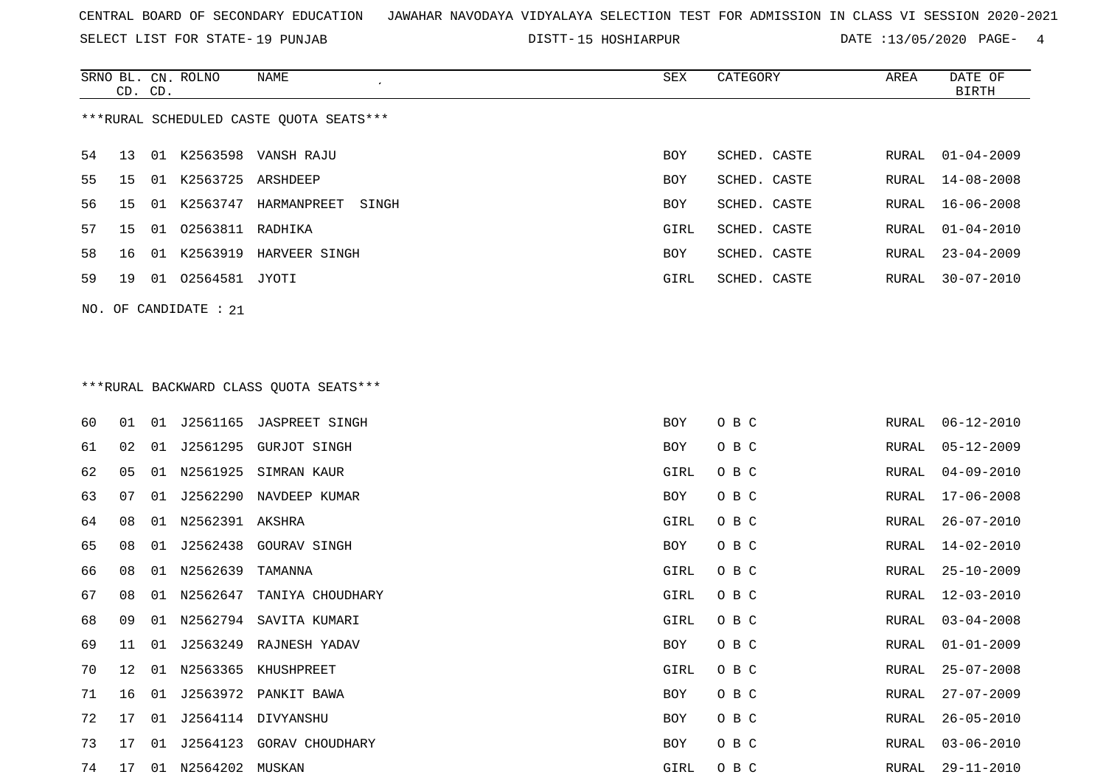SELECT LIST FOR STATE- DISTT- 19 PUNJAB

DISTT-15 HOSHIARPUR DATE :13/05/2020 PAGE- 4

|                                         | CD. CD.              |    | SRNO BL. CN. ROLNO | NAME                 | SEX        | CATEGORY     | AREA  | DATE OF<br>BIRTH |  |  |
|-----------------------------------------|----------------------|----|--------------------|----------------------|------------|--------------|-------|------------------|--|--|
| ***RURAL SCHEDULED CASTE OUOTA SEATS*** |                      |    |                    |                      |            |              |       |                  |  |  |
| 54                                      | 13 01                |    |                    | K2563598 VANSH RAJU  | <b>BOY</b> | SCHED. CASTE | RURAL | $01 - 04 - 2009$ |  |  |
| 55                                      | 15                   | 01 | K2563725 ARSHDEEP  |                      | <b>BOY</b> | SCHED. CASTE |       | RURAL 14-08-2008 |  |  |
| 56                                      | 15                   | 01 | K2563747           | HARMANPREET<br>SINGH | <b>BOY</b> | SCHED. CASTE | RURAL | 16-06-2008       |  |  |
| 57                                      | 15                   | 01 | 02563811           | RADHIKA              | GIRL       | SCHED. CASTE | RURAL | 01-04-2010       |  |  |
| 58                                      | 16                   | 01 | K2563919           | HARVEER SINGH        | <b>BOY</b> | SCHED. CASTE | RURAL | $23 - 04 - 2009$ |  |  |
| 59                                      | 19                   | 01 | 02564581 JYOTI     |                      | GIRL       | SCHED. CASTE | RURAL | 30-07-2010       |  |  |
|                                         | NO. OF CANDIDATE: 21 |    |                    |                      |            |              |       |                  |  |  |

# \*\*\*RURAL BACKWARD CLASS QUOTA SEATS\*\*\*

| 60 | 01           | 01 |                 | J2561165 JASPREET SINGH | BOY  | O B C | RURAL | $06 - 12 - 2010$ |
|----|--------------|----|-----------------|-------------------------|------|-------|-------|------------------|
| 61 | 02           | 01 |                 | J2561295 GURJOT SINGH   | BOY  | O B C | RURAL | $05 - 12 - 2009$ |
| 62 | 05           | 01 | N2561925        | SIMRAN KAUR             | GIRL | O B C | RURAL | $04 - 09 - 2010$ |
| 63 | 07           | 01 | J2562290        | NAVDEEP KUMAR           | BOY  | O B C | RURAL | $17 - 06 - 2008$ |
| 64 | 08           | 01 | N2562391 AKSHRA |                         | GIRL | O B C | RURAL | $26 - 07 - 2010$ |
| 65 | 08           | 01 |                 | J2562438 GOURAV SINGH   | BOY  | O B C | RURAL | $14 - 02 - 2010$ |
| 66 | 08           | 01 | N2562639        | TAMANNA                 | GIRL | O B C | RURAL | $25 - 10 - 2009$ |
| 67 | 08           | 01 | N2562647        | TANIYA CHOUDHARY        | GIRL | O B C | RURAL | 12-03-2010       |
| 68 | 09           | 01 | N2562794        | SAVITA KUMARI           | GIRL | O B C | RURAL | $03 - 04 - 2008$ |
| 69 | 11           | 01 |                 | J2563249 RAJNESH YADAV  | BOY  | O B C | RURAL | $01 - 01 - 2009$ |
| 70 | $12^{\circ}$ | 01 | N2563365        | KHUSHPREET              | GIRL | O B C | RURAL | $25 - 07 - 2008$ |
| 71 | 16           | 01 |                 | J2563972 PANKIT BAWA    | BOY  | O B C | RURAL | $27 - 07 - 2009$ |
| 72 | 17           | 01 |                 | J2564114 DIVYANSHU      | BOY  | O B C | RURAL | $26 - 05 - 2010$ |
| 73 | 17           | 01 | J2564123        | GORAV CHOUDHARY         | BOY  | O B C | RURAL | $03 - 06 - 2010$ |
| 74 | 17           | 01 | N2564202        | MUSKAN                  | GIRL | O B C | RURAL | 29-11-2010       |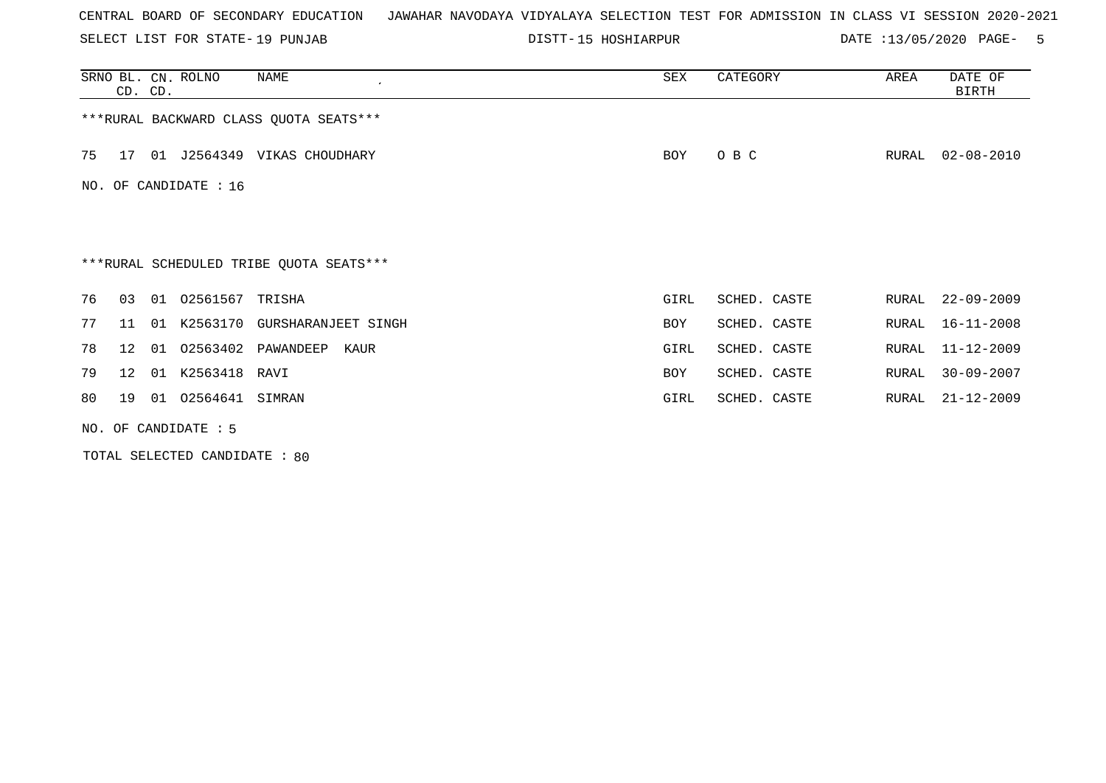SELECT LIST FOR STATE- DISTT- 19 PUNJAB

DISTT-15 HOSHIARPUR DATE :13/05/2020 PAGE- 5

|    |                       | CD. CD. | SRNO BL. CN. ROLNO | NAME                                    | SEX        | CATEGORY     | AREA  | DATE OF<br>BIRTH |  |  |  |  |
|----|-----------------------|---------|--------------------|-----------------------------------------|------------|--------------|-------|------------------|--|--|--|--|
|    |                       |         |                    | *** RURAL BACKWARD CLASS QUOTA SEATS*** |            |              |       |                  |  |  |  |  |
| 75 | 17                    |         |                    | 01 J2564349 VIKAS CHOUDHARY             | BOY        | O B C        | RURAL | $02 - 08 - 2010$ |  |  |  |  |
|    | NO. OF CANDIDATE : 16 |         |                    |                                         |            |              |       |                  |  |  |  |  |
|    |                       |         |                    |                                         |            |              |       |                  |  |  |  |  |
|    |                       |         |                    | ***RURAL SCHEDULED TRIBE QUOTA SEATS*** |            |              |       |                  |  |  |  |  |
| 76 | 03                    | 01      | 02561567 TRISHA    |                                         | GIRL       | SCHED. CASTE | RURAL | $22 - 09 - 2009$ |  |  |  |  |
| 77 | 11                    | 01      |                    | K2563170 GURSHARANJEET SINGH            | <b>BOY</b> | SCHED. CASTE | RURAL | $16 - 11 - 2008$ |  |  |  |  |
| 78 | 12 <sup>°</sup>       | 01      | 02563402           | PAWANDEEP<br>KAUR                       | GIRL       | SCHED. CASTE | RURAL | $11 - 12 - 2009$ |  |  |  |  |
| 79 | 12 <sup>°</sup>       | 01      | K2563418 RAVI      |                                         | BOY        | SCHED. CASTE | RURAL | $30 - 09 - 2007$ |  |  |  |  |
| 80 | 19                    | 01      | 02564641           | SIMRAN                                  | GIRL       | SCHED. CASTE | RURAL | $21 - 12 - 2009$ |  |  |  |  |
|    | NO. OF CANDIDATE : 5  |         |                    |                                         |            |              |       |                  |  |  |  |  |

TOTAL SELECTED CANDIDATE : 80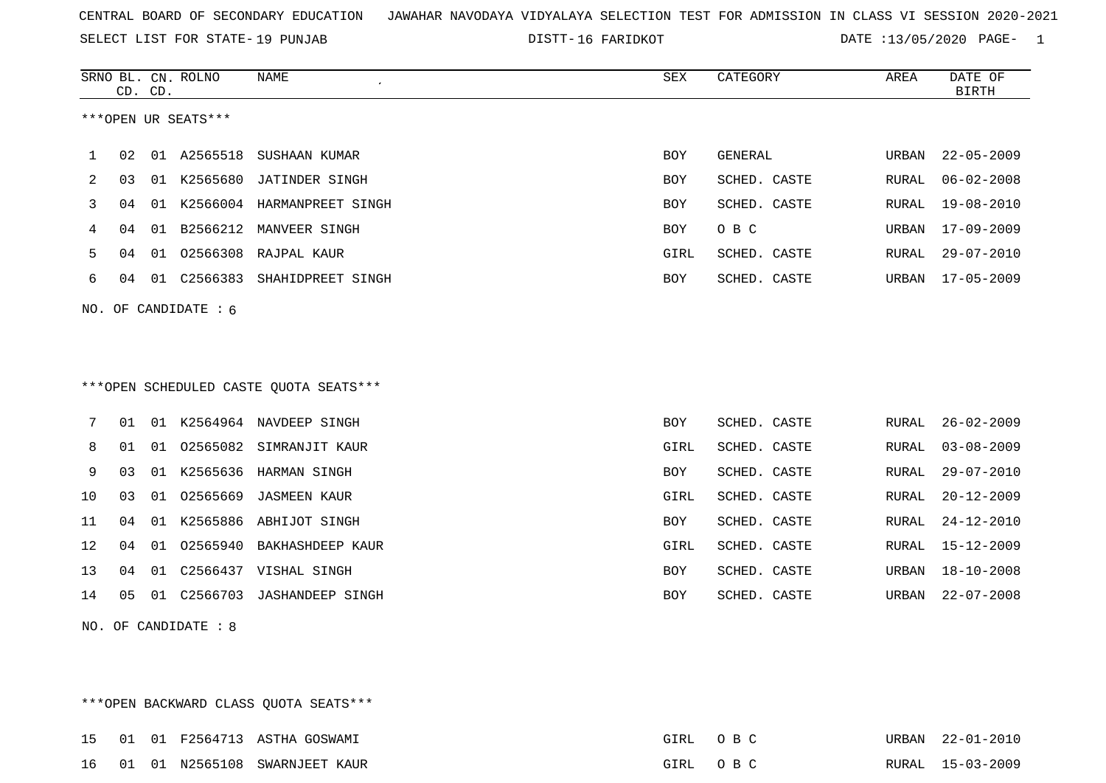SELECT LIST FOR STATE- DISTT- 19 PUNJAB

DISTT-16 FARIDKOT **DATE** :13/05/2020 PAGE- 1

|    | CD. CD. |    | SRNO BL. CN. ROLNO     | <b>NAME</b>                            | SEX        | CATEGORY     | AREA         | DATE OF<br><b>BIRTH</b> |
|----|---------|----|------------------------|----------------------------------------|------------|--------------|--------------|-------------------------|
|    |         |    | ***OPEN UR SEATS***    |                                        |            |              |              |                         |
| 1  | 02      | 01 | A2565518               | SUSHAAN KUMAR                          | <b>BOY</b> | GENERAL      | URBAN        | $22 - 05 - 2009$        |
| 2  | 03      | 01 | K2565680               | JATINDER SINGH                         | <b>BOY</b> | SCHED. CASTE | RURAL        | $06 - 02 - 2008$        |
| 3  | 04      | 01 |                        | K2566004 HARMANPREET SINGH             | <b>BOY</b> | SCHED. CASTE | RURAL        | $19 - 08 - 2010$        |
| 4  | 04      | 01 |                        | B2566212 MANVEER SINGH                 | BOY        | O B C        | URBAN        | $17 - 09 - 2009$        |
| 5  | 04      | 01 | 02566308               | RAJPAL KAUR                            | GIRL       | SCHED. CASTE | <b>RURAL</b> | $29 - 07 - 2010$        |
| 6  | 04      |    | 01 C2566383            | SHAHIDPREET SINGH                      | BOY        | SCHED. CASTE | URBAN        | $17 - 05 - 2009$        |
|    |         |    | NO. OF CANDIDATE : $6$ |                                        |            |              |              |                         |
|    |         |    |                        |                                        |            |              |              |                         |
|    |         |    |                        |                                        |            |              |              |                         |
|    |         |    |                        | ***OPEN SCHEDULED CASTE QUOTA SEATS*** |            |              |              |                         |
| 7  | 01      |    |                        | 01 K2564964 NAVDEEP SINGH              | <b>BOY</b> | SCHED. CASTE | RURAL        | $26 - 02 - 2009$        |
| 8  | 01      |    |                        | 01 02565082 SIMRANJIT KAUR             | GIRL       | SCHED. CASTE | RURAL        | $03 - 08 - 2009$        |
| 9  | 03      | 01 | K2565636               | HARMAN SINGH                           | BOY        | SCHED. CASTE | RURAL        | $29 - 07 - 2010$        |
| 10 | 03      | 01 | 02565669               | <b>JASMEEN KAUR</b>                    | GIRL       | SCHED. CASTE | <b>RURAL</b> | $20 - 12 - 2009$        |
| 11 | 04      | 01 |                        | K2565886 ABHIJOT SINGH                 | BOY        | SCHED. CASTE | RURAL        | $24 - 12 - 2010$        |
| 12 | 04      |    | 01 02565940            | BAKHASHDEEP KAUR                       | GIRL       | SCHED. CASTE | RURAL        | $15 - 12 - 2009$        |
|    |         |    |                        |                                        |            |              |              |                         |
| 13 | 04      | 01 |                        | C2566437 VISHAL SINGH                  | <b>BOY</b> | SCHED. CASTE | URBAN        | $18 - 10 - 2008$        |
| 14 | 05      |    | 01 C2566703            | <b>JASHANDEEP SINGH</b>                | <b>BOY</b> | SCHED. CASTE | URBAN        | $22 - 07 - 2008$        |

NO. OF CANDIDATE : 8

\*\*\*OPEN BACKWARD CLASS QUOTA SEATS\*\*\*

15 01 01 F2564713 ASTHA GOSWAMI **EXAMPLE 12000 PM 22-01-2010** GIRL O B C URBAN 22-01-2010 16 01 01 N2565108 SWARNJEET KAUR GIRL O B C RURAL 15-03-2009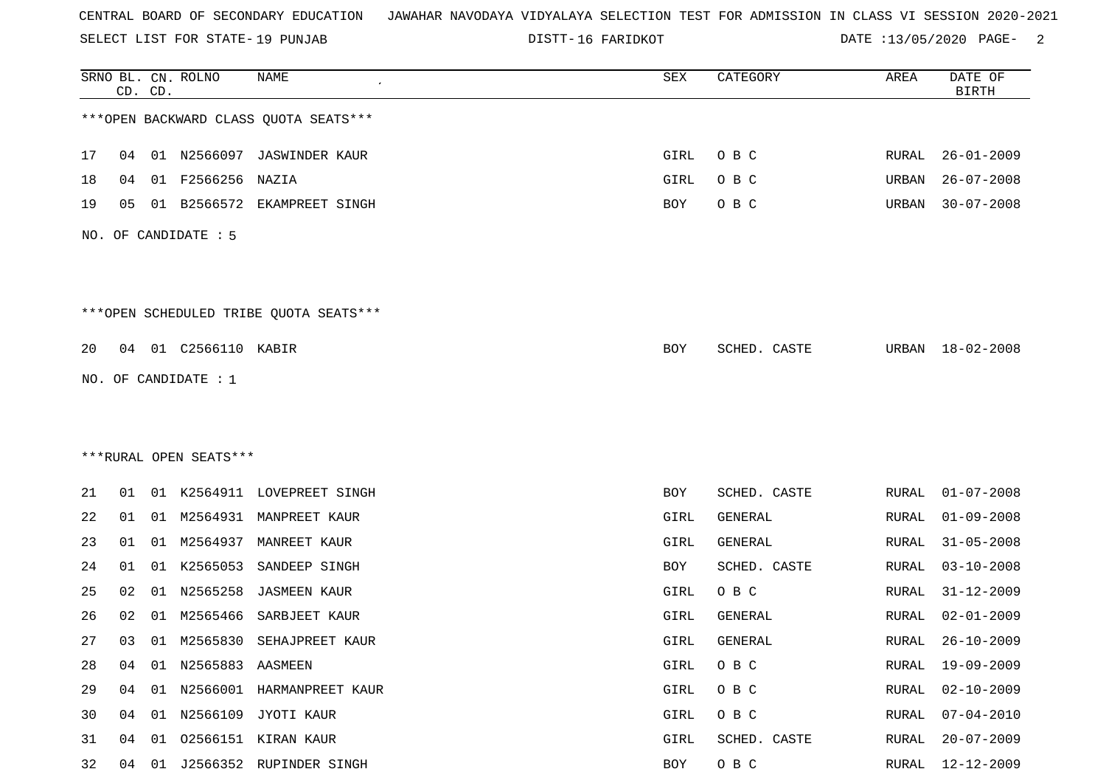SELECT LIST FOR STATE- DISTT- 19 PUNJAB

16 FARIDKOT DATE :13/05/2020 PAGE- 2

|    |    | CD. CD. | SRNO BL. CN. ROLNO     | NAME                                   | SEX  | CATEGORY     | AREA         | DATE OF<br><b>BIRTH</b> |
|----|----|---------|------------------------|----------------------------------------|------|--------------|--------------|-------------------------|
|    |    |         |                        | *** OPEN BACKWARD CLASS QUOTA SEATS*** |      |              |              |                         |
| 17 | 04 |         |                        | 01 N2566097 JASWINDER KAUR             | GIRL | O B C        | RURAL        | $26 - 01 - 2009$        |
| 18 | 04 | 01      | F2566256               | NAZIA                                  | GIRL | O B C        | URBAN        | $26 - 07 - 2008$        |
| 19 | 05 |         |                        | 01 B2566572 EKAMPREET SINGH            | BOY  | O B C        | URBAN        | $30 - 07 - 2008$        |
|    |    |         | NO. OF CANDIDATE : 5   |                                        |      |              |              |                         |
|    |    |         |                        | ***OPEN SCHEDULED TRIBE QUOTA SEATS*** |      |              |              |                         |
| 20 |    |         | 04 01 C2566110 KABIR   |                                        | BOY  | SCHED. CASTE | URBAN        | 18-02-2008              |
|    |    |         | NO. OF CANDIDATE : 1   |                                        |      |              |              |                         |
|    |    |         |                        |                                        |      |              |              |                         |
|    |    |         |                        |                                        |      |              |              |                         |
|    |    |         | ***RURAL OPEN SEATS*** |                                        |      |              |              |                         |
| 21 | 01 |         |                        | 01 K2564911 LOVEPREET SINGH            | BOY  | SCHED. CASTE | RURAL        | $01 - 07 - 2008$        |
| 22 | 01 |         |                        | 01 M2564931 MANPREET KAUR              | GIRL | GENERAL      | RURAL        | $01 - 09 - 2008$        |
| 23 | 01 | 01      | M2564937               | MANREET KAUR                           | GIRL | GENERAL      | <b>RURAL</b> | $31 - 05 - 2008$        |
| 24 | 01 | 01      | K2565053               | SANDEEP SINGH                          | BOY  | SCHED. CASTE | RURAL        | $03 - 10 - 2008$        |
| 25 | 02 | 01      | N2565258               | <b>JASMEEN KAUR</b>                    | GIRL | O B C        | RURAL        | $31 - 12 - 2009$        |
| 26 | 02 | 01      | M2565466               | SARBJEET KAUR                          | GIRL | GENERAL      | RURAL        | $02 - 01 - 2009$        |
| 27 | 03 |         | 01 M2565830            | SEHAJPREET KAUR                        | GIRL | GENERAL      | RURAL        | $26 - 10 - 2009$        |
| 28 | 04 | 01      | N2565883 AASMEEN       |                                        | GIRL | O B C        | <b>RURAL</b> | $19 - 09 - 2009$        |
| 29 | 04 |         |                        | 01 N2566001 HARMANPREET KAUR           | GIRL | O B C        | <b>RURAL</b> | $02 - 10 - 2009$        |
| 30 | 04 |         |                        | 01 N2566109 JYOTI KAUR                 | GIRL | O B C        | RURAL        | $07 - 04 - 2010$        |
| 31 | 04 | 01      |                        | 02566151 KIRAN KAUR                    | GIRL | SCHED. CASTE | <b>RURAL</b> | $20 - 07 - 2009$        |
| 32 | 04 | 01      |                        | J2566352 RUPINDER SINGH                | BOY  | O B C        | <b>RURAL</b> | $12 - 12 - 2009$        |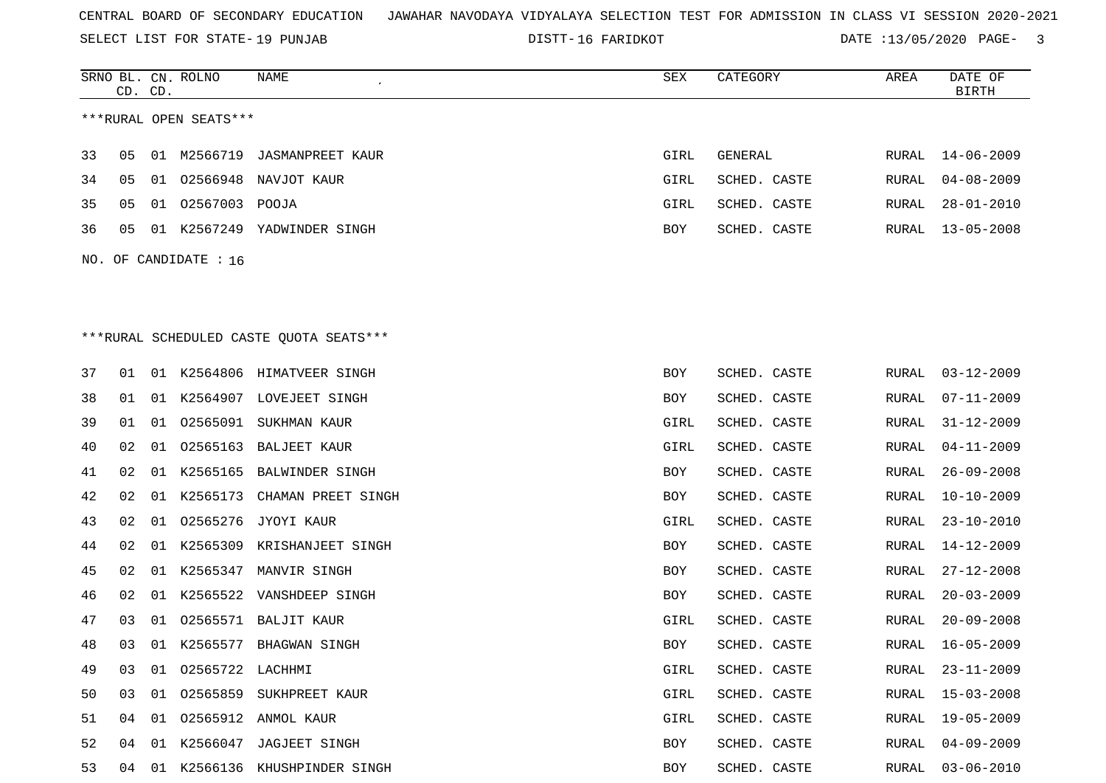SELECT LIST FOR STATE- DISTT- 19 PUNJAB

16 FARIDKOT DATE :13/05/2020 PAGE- 3

|     | CD. CD. |    | SRNO BL. CN. ROLNO     | NAME                                    | <b>SEX</b> | CATEGORY     | AREA  | DATE OF<br><b>BIRTH</b> |
|-----|---------|----|------------------------|-----------------------------------------|------------|--------------|-------|-------------------------|
|     |         |    | ***RURAL OPEN SEATS*** |                                         |            |              |       |                         |
|     |         |    |                        |                                         |            |              |       |                         |
| 33  | 05      |    | 01 M2566719            | JASMANPREET KAUR                        | GIRL       | GENERAL      | RURAL | $14 - 06 - 2009$        |
| 34  | 05      | 01 |                        | 02566948 NAVJOT KAUR                    | GIRL       | SCHED. CASTE | RURAL | $04 - 08 - 2009$        |
| 35  | 05      |    | 01 02567003 POOJA      |                                         | GIRL       | SCHED. CASTE | RURAL | 28-01-2010              |
| 36  | 05      |    |                        | 01 K2567249 YADWINDER SINGH             | <b>BOY</b> | SCHED. CASTE | RURAL | $13 - 05 - 2008$        |
| NO. |         |    | OF CANDIDATE : 16      |                                         |            |              |       |                         |
|     |         |    |                        |                                         |            |              |       |                         |
|     |         |    |                        |                                         |            |              |       |                         |
|     |         |    |                        | ***RURAL SCHEDULED CASTE QUOTA SEATS*** |            |              |       |                         |
| 37  | 01      |    |                        | 01 K2564806 HIMATVEER SINGH             | BOY        | SCHED. CASTE | RURAL | $03 - 12 - 2009$        |
| 38  | 01      |    |                        | 01 K2564907 LOVEJEET SINGH              | BOY        | SCHED. CASTE | RURAL | $07 - 11 - 2009$        |
| 39  | 01      | 01 |                        | 02565091 SUKHMAN KAUR                   | GIRL       | SCHED. CASTE | RURAL | $31 - 12 - 2009$        |
| 40  | 02      | 01 |                        | 02565163 BALJEET KAUR                   | GIRL       | SCHED. CASTE | RURAL | $04 - 11 - 2009$        |
| 41  | 02      |    |                        | 01 K2565165 BALWINDER SINGH             | BOY        | SCHED. CASTE | RURAL | $26 - 09 - 2008$        |
| 42  | 02      |    | 01 K2565173            | CHAMAN PREET SINGH                      | BOY        | SCHED. CASTE | RURAL | $10 - 10 - 2009$        |
| 43  | 02      | 01 | 02565276               | JYOYI KAUR                              | GIRL       | SCHED. CASTE | RURAL | $23 - 10 - 2010$        |
| 44  | 02      |    | 01 K2565309            | KRISHANJEET SINGH                       | BOY        | SCHED. CASTE | RURAL | $14 - 12 - 2009$        |
| 45  | 02      |    | 01 K2565347            | MANVIR SINGH                            | BOY        | SCHED. CASTE | RURAL | $27 - 12 - 2008$        |
| 46  | 02      |    |                        | 01 K2565522 VANSHDEEP SINGH             | BOY        | SCHED. CASTE | RURAL | $20 - 03 - 2009$        |
| 47  | 03      | 01 |                        | 02565571 BALJIT KAUR                    | GIRL       | SCHED. CASTE | RURAL | $20 - 09 - 2008$        |
| 48  | 03      |    |                        | 01 K2565577 BHAGWAN SINGH               | BOY        | SCHED. CASTE | RURAL | $16 - 05 - 2009$        |
| 49  | 03      |    | 01 02565722 LACHHMI    |                                         | GIRL       | SCHED. CASTE | RURAL | $23 - 11 - 2009$        |
| 50  | 03      |    |                        | 01 02565859 SUKHPREET KAUR              | GIRL       | SCHED. CASTE | RURAL | $15 - 03 - 2008$        |
| 51  | 04      |    |                        | 01  02565912  ANMOL KAUR                | GIRL       | SCHED. CASTE | RURAL | 19-05-2009              |
| 52  | 04      |    |                        | 01 K2566047 JAGJEET SINGH               | BOY        | SCHED. CASTE | RURAL | $04 - 09 - 2009$        |
| 53  |         |    |                        | 04 01 K2566136 KHUSHPINDER SINGH        | <b>BOY</b> | SCHED. CASTE |       | RURAL 03-06-2010        |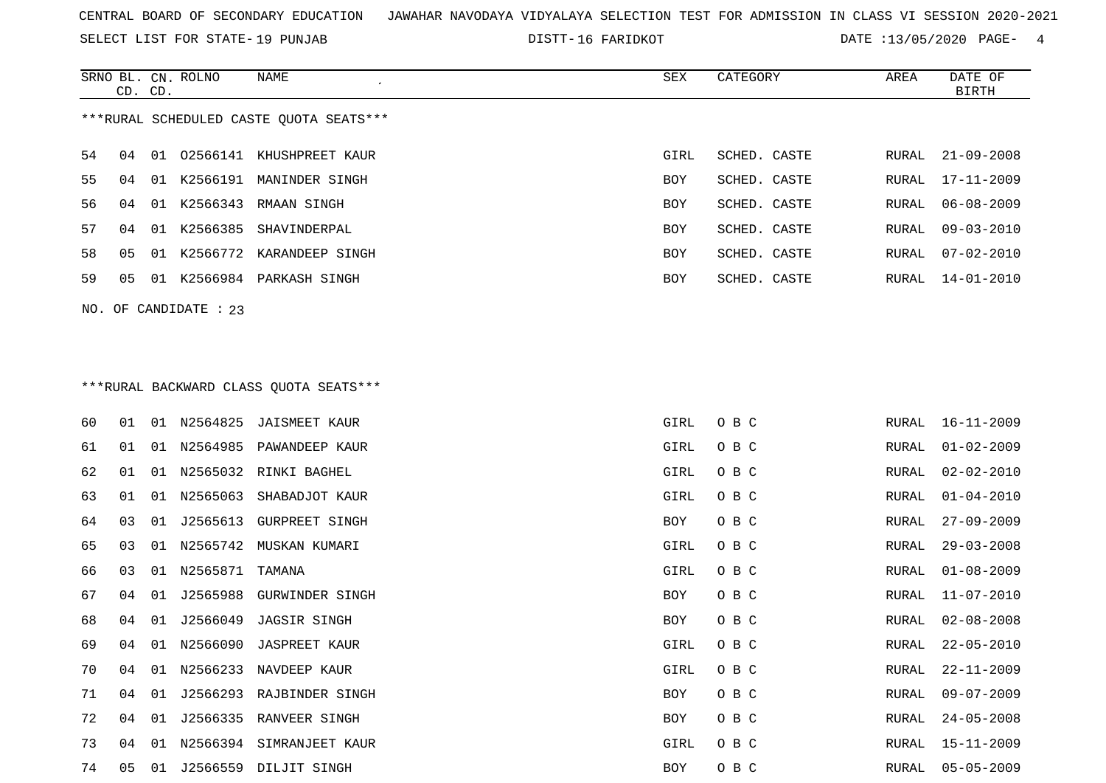SELECT LIST FOR STATE- DISTT- 19 PUNJAB

DISTT-16 FARIDKOT **DATE** :13/05/2020 PAGE- 4

|                                         | CD. CD.               |    | SRNO BL. CN. ROLNO | NAME                     | SEX        | CATEGORY     | AREA  | DATE OF<br>BIRTH |  |  |
|-----------------------------------------|-----------------------|----|--------------------|--------------------------|------------|--------------|-------|------------------|--|--|
| ***RURAL SCHEDULED CASTE OUOTA SEATS*** |                       |    |                    |                          |            |              |       |                  |  |  |
| 54                                      | 04                    | 01 |                    | 02566141 KHUSHPREET KAUR | GIRL       | SCHED. CASTE | RURAL | $21 - 09 - 2008$ |  |  |
| 55                                      | 04                    | 01 | K2566191           | MANINDER SINGH           | BOY        | SCHED. CASTE | RURAL | 17-11-2009       |  |  |
| 56                                      | 04                    |    |                    | 01 K2566343 RMAAN SINGH  | <b>BOY</b> | SCHED. CASTE | RURAL | 06-08-2009       |  |  |
| 57                                      | 04                    | 01 | K2566385           | SHAVINDERPAL             | <b>BOY</b> | SCHED. CASTE | RURAL | $09 - 03 - 2010$ |  |  |
| 58                                      | 05                    | 01 |                    | K2566772 KARANDEEP SINGH | <b>BOY</b> | SCHED. CASTE | RURAL | $07 - 02 - 2010$ |  |  |
| 59                                      | 05                    | 01 | K2566984           | PARKASH SINGH            | <b>BOY</b> | SCHED. CASTE | RURAL | 14-01-2010       |  |  |
|                                         | NO. OF CANDIDATE : 23 |    |                    |                          |            |              |       |                  |  |  |

# \*\*\*RURAL BACKWARD CLASS QUOTA SEATS\*\*\*

| 60 | 01 |    |             | 01 N2564825 JAISMEET KAUR   | GIRL | O B C | RURAL | 16-11-2009       |
|----|----|----|-------------|-----------------------------|------|-------|-------|------------------|
| 61 | 01 |    |             | 01 N2564985 PAWANDEEP KAUR  | GIRL | O B C | RURAL | $01 - 02 - 2009$ |
| 62 | 01 |    |             | 01 N2565032 RINKI BAGHEL    | GIRL | O B C | RURAL | 02-02-2010       |
| 63 | 01 | 01 | N2565063    | SHABADJOT KAUR              | GIRL | O B C | RURAL | $01 - 04 - 2010$ |
| 64 | 03 | 01 | J2565613    | <b>GURPREET SINGH</b>       | BOY  | O B C | RURAL | $27 - 09 - 2009$ |
| 65 | 03 |    |             | 01 N2565742 MUSKAN KUMARI   | GIRL | O B C | RURAL | $29 - 03 - 2008$ |
| 66 | 03 |    | 01 N2565871 | TAMANA                      | GIRL | O B C | RURAL | $01 - 08 - 2009$ |
| 67 | 04 | 01 |             | J2565988 GURWINDER SINGH    | BOY  | O B C | RURAL | 11-07-2010       |
| 68 | 04 | 01 | J2566049    | JAGSIR SINGH                | BOY  | O B C | RURAL | $02 - 08 - 2008$ |
| 69 | 04 |    |             | 01 N2566090 JASPREET KAUR   | GIRL | O B C | RURAL | $22 - 05 - 2010$ |
| 70 | 04 | 01 |             | N2566233 NAVDEEP KAUR       | GIRL | O B C | RURAL | $22 - 11 - 2009$ |
| 71 | 04 | 01 |             | J2566293 RAJBINDER SINGH    | BOY  | O B C | RURAL | $09 - 07 - 2009$ |
| 72 | 04 | 01 |             | J2566335 RANVEER SINGH      | BOY  | O B C | RURAL | $24 - 05 - 2008$ |
| 73 | 04 |    |             | 01 N2566394 SIMRANJEET KAUR | GIRL | O B C | RURAL | 15-11-2009       |
| 74 | 05 | 01 |             | J2566559 DILJIT SINGH       | BOY  | O B C | RURAL | $05 - 05 - 2009$ |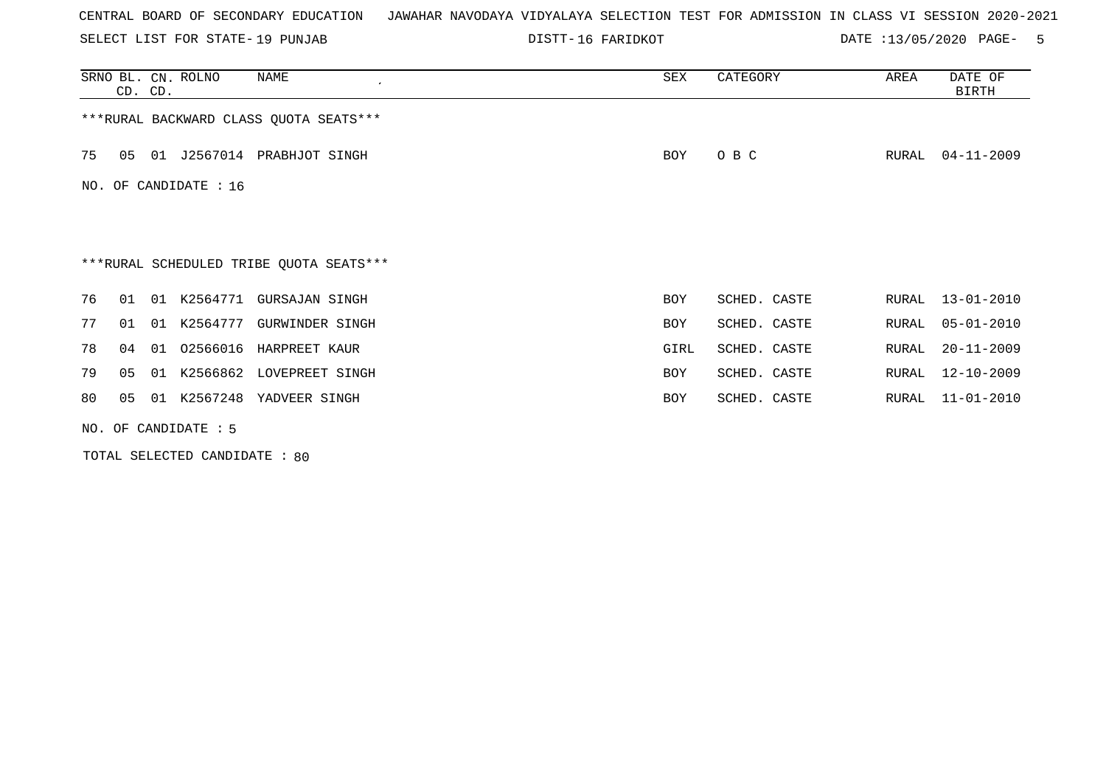SELECT LIST FOR STATE- DISTT- 19 PUNJAB

16 FARIDKOT DATE :13/05/2020 PAGE- 5

|                       | CD. CD.                |    | SRNO BL. CN. ROLNO | NAME                                    | SEX  | CATEGORY     | AREA  | DATE OF<br><b>BIRTH</b> |  |  |
|-----------------------|------------------------|----|--------------------|-----------------------------------------|------|--------------|-------|-------------------------|--|--|
|                       |                        |    |                    | *** RURAL BACKWARD CLASS QUOTA SEATS*** |      |              |       |                         |  |  |
| 75                    | 05                     | 01 |                    | J2567014 PRABHJOT SINGH                 | BOY  | O B C        | RURAL | $04 - 11 - 2009$        |  |  |
| NO. OF CANDIDATE : 16 |                        |    |                    |                                         |      |              |       |                         |  |  |
|                       |                        |    |                    |                                         |      |              |       |                         |  |  |
|                       |                        |    |                    | ***RURAL SCHEDULED TRIBE QUOTA SEATS*** |      |              |       |                         |  |  |
| 76                    | 01                     | 01 | K2564771           | GURSAJAN SINGH                          | BOY  | SCHED. CASTE | RURAL | $13 - 01 - 2010$        |  |  |
| 77                    | 01                     | 01 |                    | K2564777 GURWINDER SINGH                | BOY  | SCHED. CASTE | RURAL | $05 - 01 - 2010$        |  |  |
| 78                    | 04                     | 01 | 02566016           | HARPREET KAUR                           | GIRL | SCHED. CASTE | RURAL | $20 - 11 - 2009$        |  |  |
| 79                    | 05                     | 01 |                    | K2566862 LOVEPREET SINGH                | BOY  | SCHED. CASTE | RURAL | $12 - 10 - 2009$        |  |  |
| 80                    | 05                     | 01 | K2567248           | YADVEER SINGH                           | BOY  | SCHED. CASTE | RURAL | $11 - 01 - 2010$        |  |  |
|                       | NO. OF CANDIDATE $: 5$ |    |                    |                                         |      |              |       |                         |  |  |

TOTAL SELECTED CANDIDATE : 80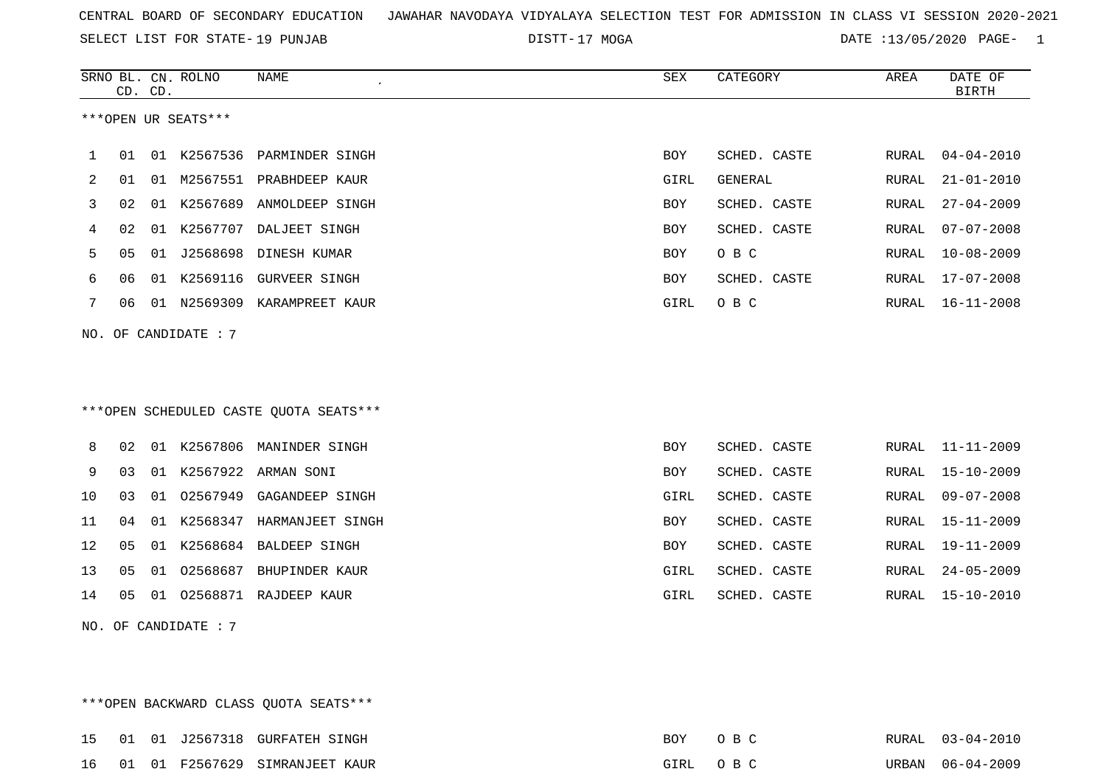SELECT LIST FOR STATE- DISTT- 19 PUNJAB

17 MOGA DATE :13/05/2020 PAGE- 1

|    |    | CD. CD. | SRNO BL. CN. ROLNO   | <b>NAME</b>                            | ${\tt SEX}$ | CATEGORY     | AREA  | DATE OF<br><b>BIRTH</b> |
|----|----|---------|----------------------|----------------------------------------|-------------|--------------|-------|-------------------------|
|    |    |         | ***OPEN UR SEATS***  |                                        |             |              |       |                         |
| 1  | 01 |         |                      | 01 K2567536 PARMINDER SINGH            | BOY         | SCHED. CASTE | RURAL | $04 - 04 - 2010$        |
| 2  | 01 | 01      |                      | M2567551 PRABHDEEP KAUR                | GIRL        | GENERAL      | RURAL | $21 - 01 - 2010$        |
| 3  | 02 | 01      |                      | K2567689 ANMOLDEEP SINGH               | <b>BOY</b>  | SCHED. CASTE | RURAL | $27 - 04 - 2009$        |
| 4  | 02 | 01      | K2567707             | DALJEET SINGH                          | <b>BOY</b>  | SCHED. CASTE | RURAL | $07 - 07 - 2008$        |
| 5  | 05 | 01      | J2568698             | DINESH KUMAR                           | <b>BOY</b>  | O B C        | RURAL | $10 - 08 - 2009$        |
| 6  | 06 |         | 01 K2569116          | <b>GURVEER SINGH</b>                   | BOY         | SCHED. CASTE | RURAL | $17 - 07 - 2008$        |
| 7  | 06 |         |                      | 01 N2569309 KARAMPREET KAUR            | GIRL        | O B C        | RURAL | $16 - 11 - 2008$        |
|    |    |         | NO. OF CANDIDATE : 7 |                                        |             |              |       |                         |
|    |    |         |                      | ***OPEN SCHEDULED CASTE QUOTA SEATS*** |             |              |       |                         |
| 8  | 02 |         |                      | 01 K2567806 MANINDER SINGH             | BOY         | SCHED. CASTE | RURAL | $11 - 11 - 2009$        |
| 9  | 03 |         |                      | 01 K2567922 ARMAN SONI                 | BOY         | SCHED. CASTE | RURAL | $15 - 10 - 2009$        |
| 10 | 03 | 01      | 02567949             | GAGANDEEP SINGH                        | GIRL        | SCHED. CASTE | RURAL | $09 - 07 - 2008$        |
| 11 | 04 | 01      |                      | K2568347 HARMANJEET SINGH              | <b>BOY</b>  | SCHED. CASTE | RURAL | $15 - 11 - 2009$        |
| 12 | 05 |         | 01 K2568684          | <b>BALDEEP SINGH</b>                   | <b>BOY</b>  | SCHED. CASTE | RURAL | $19 - 11 - 2009$        |
| 13 | 05 |         |                      | 01 02568687 BHUPINDER KAUR             | GIRL        | SCHED. CASTE | RURAL | $24 - 05 - 2009$        |
| 14 | 05 |         |                      | 01 02568871 RAJDEEP KAUR               | GIRL        | SCHED. CASTE | RURAL | $15 - 10 - 2010$        |
|    |    |         | NO. OF CANDIDATE : 7 |                                        |             |              |       |                         |

\*\*\*OPEN BACKWARD CLASS QUOTA SEATS\*\*\* 15 01 01 J2567318 GURFATEH SINGH BOY O B C RURAL 03-04-2010 16 01 01 F2567629 SIMRANJEET KAUR GIRL O B C URBAN 06-04-2009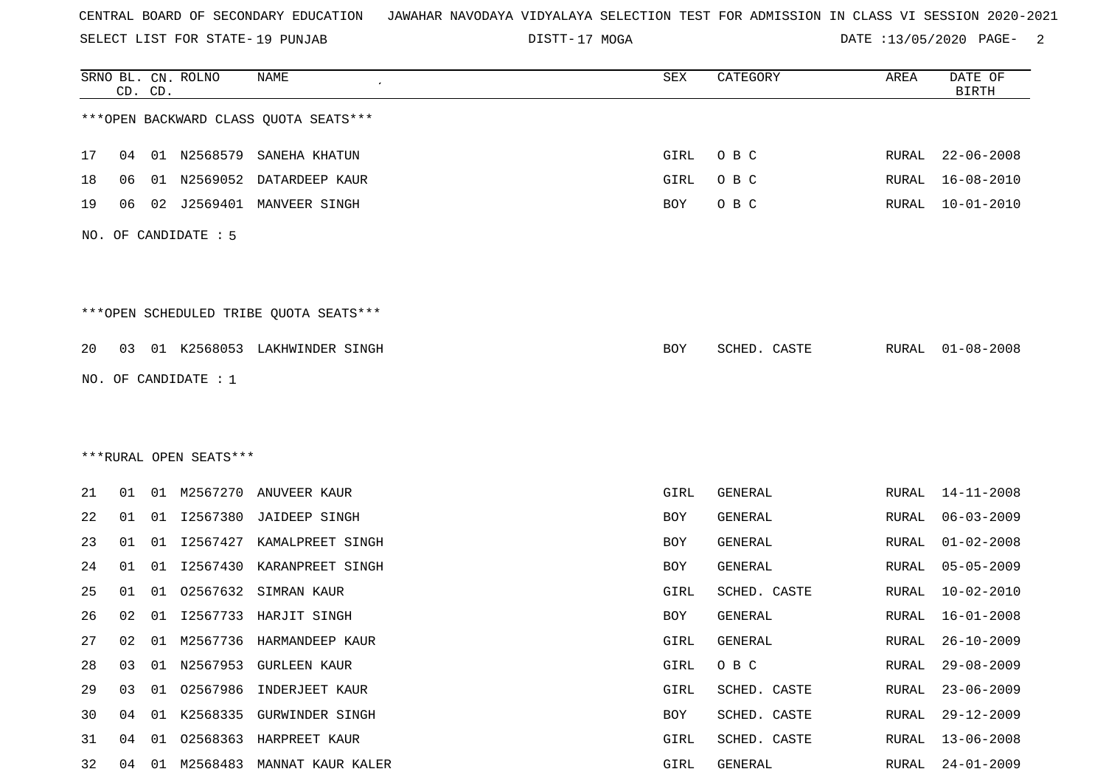SELECT LIST FOR STATE- DISTT- 19 PUNJAB

DISTT-17 MOGA 2 DATE :13/05/2020 PAGE- 2

|                        |    | CD. CD. | SRNO BL. CN. ROLNO     | NAME                                   | ${\tt SEX}$ | CATEGORY       | AREA         | DATE OF<br><b>BIRTH</b> |
|------------------------|----|---------|------------------------|----------------------------------------|-------------|----------------|--------------|-------------------------|
|                        |    |         |                        | *** OPEN BACKWARD CLASS QUOTA SEATS*** |             |                |              |                         |
| 17                     | 04 |         |                        | 01 N2568579 SANEHA KHATUN              | GIRL        | O B C          | RURAL        | $22 - 06 - 2008$        |
| 18                     | 06 |         | 01 N2569052            | DATARDEEP KAUR                         | GIRL        | O B C          | RURAL        | $16 - 08 - 2010$        |
| 19                     | 06 |         |                        | 02 J2569401 MANVEER SINGH              | BOY         | O B C          | RURAL        | $10 - 01 - 2010$        |
|                        |    |         | NO. OF CANDIDATE : 5   |                                        |             |                |              |                         |
|                        |    |         |                        | ***OPEN SCHEDULED TRIBE QUOTA SEATS*** |             |                |              |                         |
| 20                     | 03 |         |                        | 01 K2568053 LAKHWINDER SINGH           | BOY         | SCHED. CASTE   |              | RURAL 01-08-2008        |
|                        |    |         | NO. OF CANDIDATE : $1$ |                                        |             |                |              |                         |
|                        |    |         |                        |                                        |             |                |              |                         |
|                        |    |         |                        |                                        |             |                |              |                         |
| ***RURAL OPEN SEATS*** |    |         |                        |                                        |             |                |              |                         |
| 21                     | 01 |         | 01 M2567270            | ANUVEER KAUR                           | GIRL        | GENERAL        | RURAL        | $14 - 11 - 2008$        |
| 22                     | 01 |         |                        | 01 I2567380 JAIDEEP SINGH              | BOY         | GENERAL        | RURAL        | $06 - 03 - 2009$        |
| 23                     | 01 | 01      | I2567427               | KAMALPREET SINGH                       | BOY         | <b>GENERAL</b> | <b>RURAL</b> | $01 - 02 - 2008$        |
| 24                     | 01 | 01      | I2567430               | KARANPREET SINGH                       | BOY         | GENERAL        | RURAL        | $05 - 05 - 2009$        |
| 25                     | 01 | 01      |                        | 02567632 SIMRAN KAUR                   | GIRL        | SCHED. CASTE   | RURAL        | $10 - 02 - 2010$        |
| 26                     | 02 | 01      | I2567733               | HARJIT SINGH                           | BOY         | GENERAL        | RURAL        | $16 - 01 - 2008$        |
| 27                     | 02 |         |                        | 01 M2567736 HARMANDEEP KAUR            | GIRL        | GENERAL        | RURAL        | $26 - 10 - 2009$        |
| 28                     | 03 |         |                        | 01 N2567953 GURLEEN KAUR               | GIRL        | O B C          | <b>RURAL</b> | $29 - 08 - 2009$        |
| 29                     | 03 |         |                        | 01 02567986 INDERJEET KAUR             | GIRL        | SCHED. CASTE   | RURAL        | $23 - 06 - 2009$        |
| 30                     | 04 |         |                        | 01 K2568335 GURWINDER SINGH            | BOY         | SCHED. CASTE   | RURAL        | $29 - 12 - 2009$        |
| 31                     | 04 | 01      |                        | 02568363 HARPREET KAUR                 | GIRL        | SCHED. CASTE   | <b>RURAL</b> | $13 - 06 - 2008$        |
| 32                     | 04 |         |                        | 01 M2568483 MANNAT KAUR KALER          | GIRL        | GENERAL        | RURAL        | $24 - 01 - 2009$        |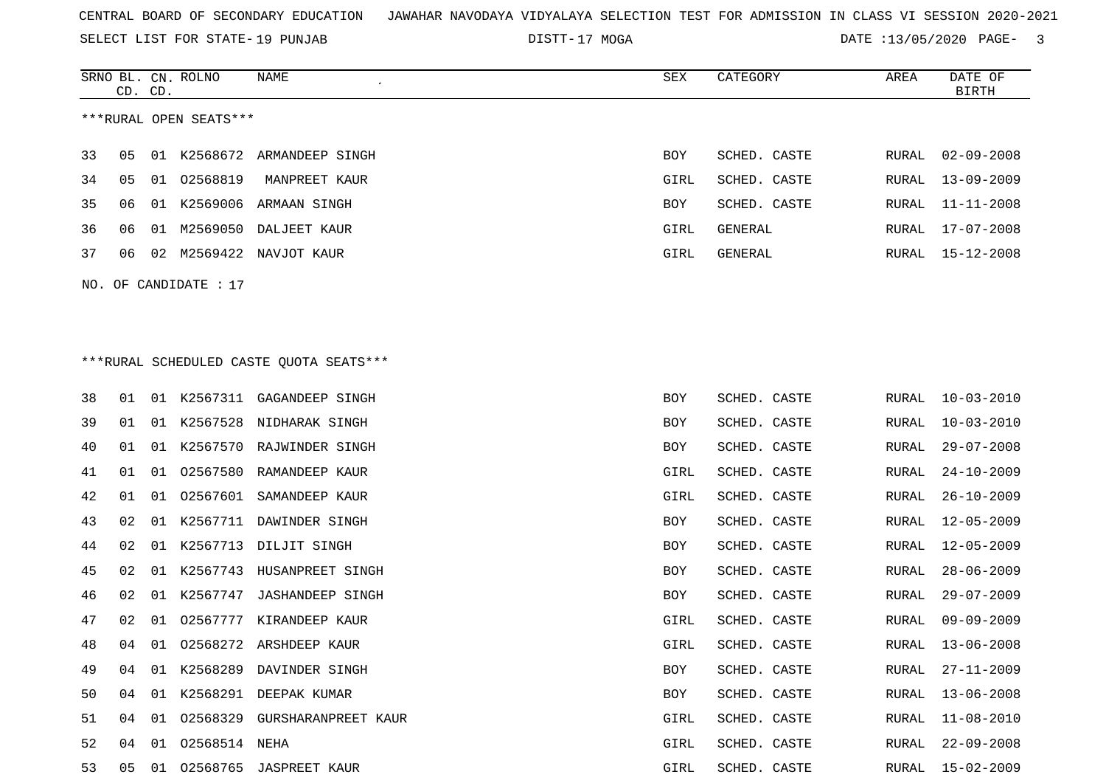SELECT LIST FOR STATE- DISTT- 19 PUNJAB

SRNO BL. CN.

ROLNO NAME SEX CATEGORY AREA DATE OF

DISTT-17 MOGA 2007 DATE :13/05/2020 PAGE- 3

|                                          | CD. CD. |    |               |                              |            |              |               | <b>BIRTH</b>     |  |  |  |  |
|------------------------------------------|---------|----|---------------|------------------------------|------------|--------------|---------------|------------------|--|--|--|--|
| ***RURAL OPEN SEATS***                   |         |    |               |                              |            |              |               |                  |  |  |  |  |
| 33                                       | 05      | 01 |               | K2568672 ARMANDEEP SINGH     | BOY        | SCHED. CASTE | RURAL         | $02 - 09 - 2008$ |  |  |  |  |
| 34                                       | 05      | 01 | 02568819      | MANPREET KAUR                | GIRL       | SCHED. CASTE | RURAL         | $13 - 09 - 2009$ |  |  |  |  |
| 35                                       | 06      |    |               | 01 K2569006 ARMAAN SINGH     | BOY        | SCHED. CASTE | RURAL         | 11-11-2008       |  |  |  |  |
| 36                                       | 06      | 01 |               | M2569050 DALJEET KAUR        | GIRL       | GENERAL      | RURAL         | $17 - 07 - 2008$ |  |  |  |  |
| 37                                       | 06      |    |               | 02 M2569422 NAVJOT KAUR      | GIRL       | GENERAL      | RURAL         | $15 - 12 - 2008$ |  |  |  |  |
| NO. OF CANDIDATE : 17                    |         |    |               |                              |            |              |               |                  |  |  |  |  |
|                                          |         |    |               |                              |            |              |               |                  |  |  |  |  |
|                                          |         |    |               |                              |            |              |               |                  |  |  |  |  |
| *** RURAL SCHEDULED CASTE QUOTA SEATS*** |         |    |               |                              |            |              |               |                  |  |  |  |  |
| 38                                       | 01      |    |               | 01 K2567311 GAGANDEEP SINGH  | <b>BOY</b> |              |               | $10 - 03 - 2010$ |  |  |  |  |
|                                          |         |    |               | 01 K2567528 NIDHARAK SINGH   |            | SCHED. CASTE | RURAL         | $10 - 03 - 2010$ |  |  |  |  |
| 39                                       | 01      |    |               |                              | BOY        | SCHED. CASTE | RURAL         |                  |  |  |  |  |
| 40                                       | 01      | 01 |               | K2567570 RAJWINDER SINGH     | BOY        | SCHED. CASTE | RURAL         | $29 - 07 - 2008$ |  |  |  |  |
| 41                                       | 01      | 01 |               | 02567580 RAMANDEEP KAUR      | GIRL       | SCHED. CASTE | RURAL         | $24 - 10 - 2009$ |  |  |  |  |
| 42                                       | 01      | 01 | 02567601      | SAMANDEEP KAUR               | GIRL       | SCHED. CASTE | RURAL         | $26 - 10 - 2009$ |  |  |  |  |
| 43                                       | 02      | 01 |               | K2567711 DAWINDER SINGH      | BOY        | SCHED. CASTE | ${\tt RURAL}$ | $12 - 05 - 2009$ |  |  |  |  |
| 44                                       | 02      | 01 | K2567713      | DILJIT SINGH                 | BOY        | SCHED. CASTE | RURAL         | $12 - 05 - 2009$ |  |  |  |  |
| 45                                       | 02      | 01 | K2567743      | HUSANPREET SINGH             | BOY        | SCHED. CASTE | RURAL         | $28 - 06 - 2009$ |  |  |  |  |
| 46                                       | 02      | 01 | K2567747      | <b>JASHANDEEP SINGH</b>      | BOY        | SCHED. CASTE | RURAL         | $29 - 07 - 2009$ |  |  |  |  |
| 47                                       | 02      | 01 | 02567777      | KIRANDEEP KAUR               | GIRL       | SCHED. CASTE | RURAL         | $09 - 09 - 2009$ |  |  |  |  |
| 48                                       | 04      | 01 |               | 02568272 ARSHDEEP KAUR       | GIRL       | SCHED. CASTE | RURAL         | $13 - 06 - 2008$ |  |  |  |  |
| 49                                       | 04      |    |               | 01 K2568289 DAVINDER SINGH   | BOY        | SCHED. CASTE | RURAL         | $27 - 11 - 2009$ |  |  |  |  |
| 50                                       | 04      |    |               | 01 K2568291 DEEPAK KUMAR     | BOY        | SCHED. CASTE |               | RURAL 13-06-2008 |  |  |  |  |
| 51                                       | 04      | 01 |               | 02568329 GURSHARANPREET KAUR | GIRL       | SCHED. CASTE | RURAL         | $11 - 08 - 2010$ |  |  |  |  |
| 52                                       | 04      | 01 | 02568514 NEHA |                              | GIRL       | SCHED. CASTE | RURAL         | $22 - 09 - 2008$ |  |  |  |  |
| 53                                       | 05      |    |               | 01 02568765 JASPREET KAUR    | GIRL       | SCHED. CASTE | RURAL         | 15-02-2009       |  |  |  |  |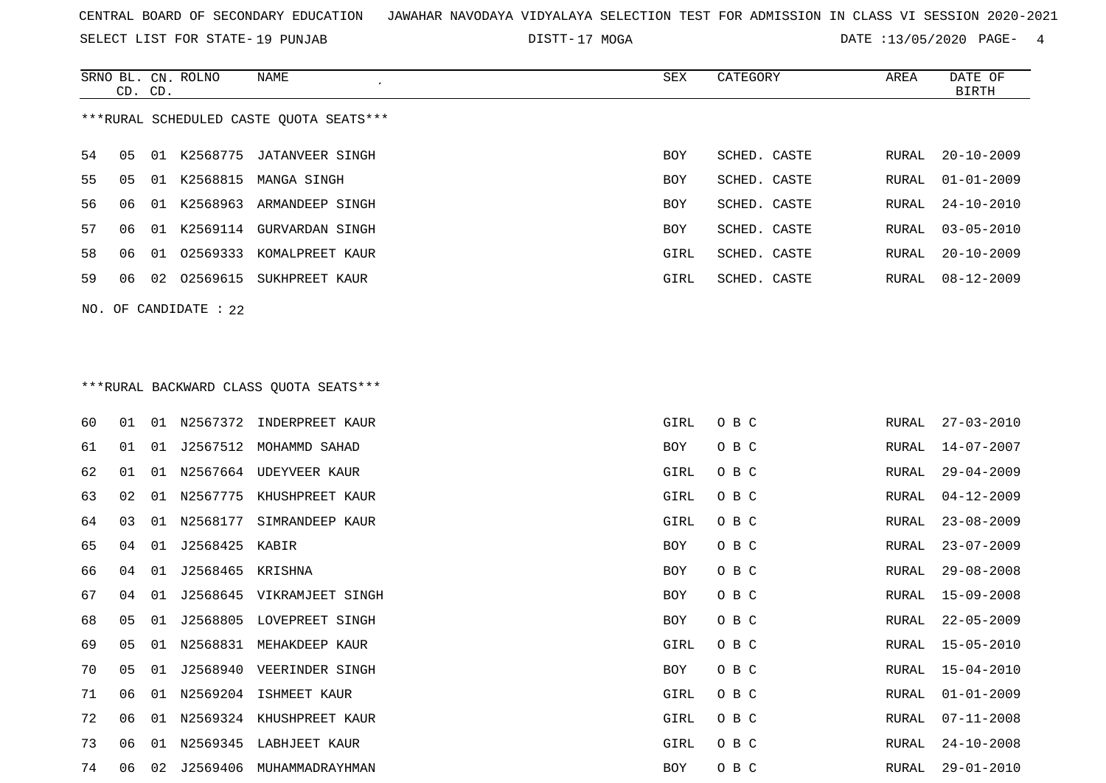SELECT LIST FOR STATE- DISTT- 19 PUNJAB

DISTT-17 MOGA **DATE** :13/05/2020 PAGE- 4

| SRNO BL. CN. ROLNO<br>CD. CD. |                   | NAME<br>$\pmb{\cdot}$                                 | <b>SEX</b> | CATEGORY               | AREA  | DATE OF<br>BIRTH     |
|-------------------------------|-------------------|-------------------------------------------------------|------------|------------------------|-------|----------------------|
|                               |                   | ***RURAL SCHEDULED CASTE QUOTA SEATS***               |            |                        |       |                      |
| 54<br>05                      | K2568775<br>01    | JATANVEER SINGH                                       | BOY        | SCHED. CASTE           | RURAL | $20 - 10 - 2009$     |
| 55<br>05                      | 01 K2568815       | MANGA SINGH                                           | BOY        | SCHED. CASTE           | RURAL | $01 - 01 - 2009$     |
| 56<br>06                      | 01                | K2568963 ARMANDEEP SINGH                              | BOY        | SCHED. CASTE           | RURAL | $24 - 10 - 2010$     |
| 57<br>06                      | 01                | K2569114 GURVARDAN SINGH                              | BOY        | SCHED. CASTE           | RURAL | $03 - 05 - 2010$     |
| 58<br>06                      | 01                | 02569333 KOMALPREET KAUR                              | GIRL       | SCHED. CASTE           | RURAL | $20 - 10 - 2009$     |
| 59<br>06                      | 02569615<br>02    | SUKHPREET KAUR                                        | GIRL       | SCHED. CASTE           | RURAL | 08-12-2009           |
| NO.                           | OF CANDIDATE : 22 |                                                       |            |                        |       |                      |
|                               |                   | *** RURAL BACKWARD CLASS QUOTA SEATS***               |            |                        |       |                      |
|                               |                   | $60$ $01$ $01$ $N$ 2567372 $T$ NID $R$ PRFFT $K$ AIID |            | $C$ TDI $\cap$ $D$ $C$ |       | ∩0.01.1.02 .דג סדז ס |

| 60 | 01 | 01 |                  | N2567372 INDERPREET KAUR | GIRL       | O B C | RURAL | $27 - 03 - 2010$ |
|----|----|----|------------------|--------------------------|------------|-------|-------|------------------|
| 61 | 01 | 01 | J2567512         | MOHAMMD SAHAD            | BOY        | O B C | RURAL | 14-07-2007       |
| 62 | 01 | 01 | N2567664         | UDEYVEER KAUR            | GIRL       | O B C | RURAL | $29 - 04 - 2009$ |
| 63 | 02 | 01 | N2567775         | KHUSHPREET KAUR          | GIRL       | O B C | RURAL | $04 - 12 - 2009$ |
| 64 | 03 | 01 | N2568177         | SIMRANDEEP KAUR          | GIRL       | O B C | RURAL | $23 - 08 - 2009$ |
| 65 | 04 | 01 | J2568425 KABIR   |                          | BOY        | O B C | RURAL | $23 - 07 - 2009$ |
| 66 | 04 | 01 | J2568465 KRISHNA |                          | BOY        | O B C | RURAL | $29 - 08 - 2008$ |
| 67 | 04 | 01 | J2568645         | VIKRAMJEET SINGH         | BOY        | O B C | RURAL | $15 - 09 - 2008$ |
| 68 | 05 | 01 | J2568805         | LOVEPREET SINGH          | BOY        | O B C | RURAL | $22 - 05 - 2009$ |
| 69 | 05 | 01 |                  | N2568831 MEHAKDEEP KAUR  | GIRL       | O B C | RURAL | $15 - 05 - 2010$ |
| 70 | 05 | 01 | J2568940         | VEERINDER SINGH          | <b>BOY</b> | O B C | RURAL | $15 - 04 - 2010$ |
| 71 | 06 | 01 | N2569204         | ISHMEET KAUR             | GIRL       | O B C | RURAL | $01 - 01 - 2009$ |
| 72 | 06 | 01 | N2569324         | KHUSHPREET KAUR          | GIRL       | O B C | RURAL | $07 - 11 - 2008$ |
| 73 | 06 | 01 |                  | N2569345 LABHJEET KAUR   | GIRL       | O B C | RURAL | $24 - 10 - 2008$ |
| 74 | 06 | 02 | J2569406         | MUHAMMADRAYHMAN          | BOY        | O B C | RURAL | $29 - 01 - 2010$ |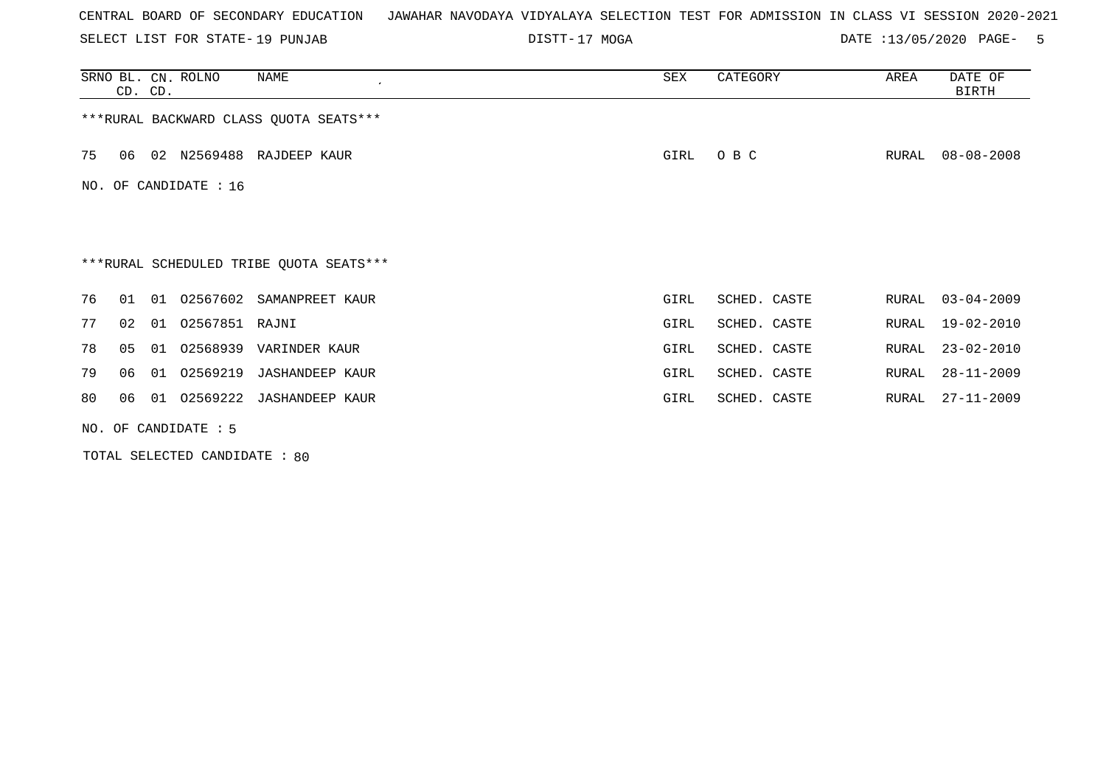SELECT LIST FOR STATE- DISTT- 19 PUNJAB

DISTT-17 MOGA 2020 DATE :13/05/2020 PAGE- 5

|    | CD. CD. | SRNO BL. CN. ROLNO     | NAME<br>$\epsilon$                      | SEX  | CATEGORY     | AREA  | DATE OF<br><b>BIRTH</b> |
|----|---------|------------------------|-----------------------------------------|------|--------------|-------|-------------------------|
|    |         |                        | *** RURAL BACKWARD CLASS QUOTA SEATS*** |      |              |       |                         |
| 75 | 06      |                        | 02 N2569488 RAJDEEP KAUR                | GIRL | O B C        | RURAL | $08 - 08 - 2008$        |
|    |         | NO. OF CANDIDATE : 16  |                                         |      |              |       |                         |
|    |         |                        |                                         |      |              |       |                         |
|    |         |                        | ***RURAL SCHEDULED TRIBE QUOTA SEATS*** |      |              |       |                         |
| 76 | 01      | 01<br>02567602         | SAMANPREET KAUR                         | GIRL | SCHED. CASTE | RURAL | $03 - 04 - 2009$        |
| 77 | 02      | 02567851 RAJNI<br>01   |                                         | GIRL | SCHED. CASTE | RURAL | 19-02-2010              |
| 78 | 05      | 02568939<br>01         | VARINDER KAUR                           | GIRL | SCHED. CASTE | RURAL | $23 - 02 - 2010$        |
| 79 | 06      | 01                     | 02569219 JASHANDEEP KAUR                | GIRL | SCHED. CASTE | RURAL | $28 - 11 - 2009$        |
| 80 | 06      | 02569222<br>01         | JASHANDEEP KAUR                         | GIRL | SCHED. CASTE | RURAL | $27 - 11 - 2009$        |
|    |         | NO. OF CANDIDATE $: 5$ |                                         |      |              |       |                         |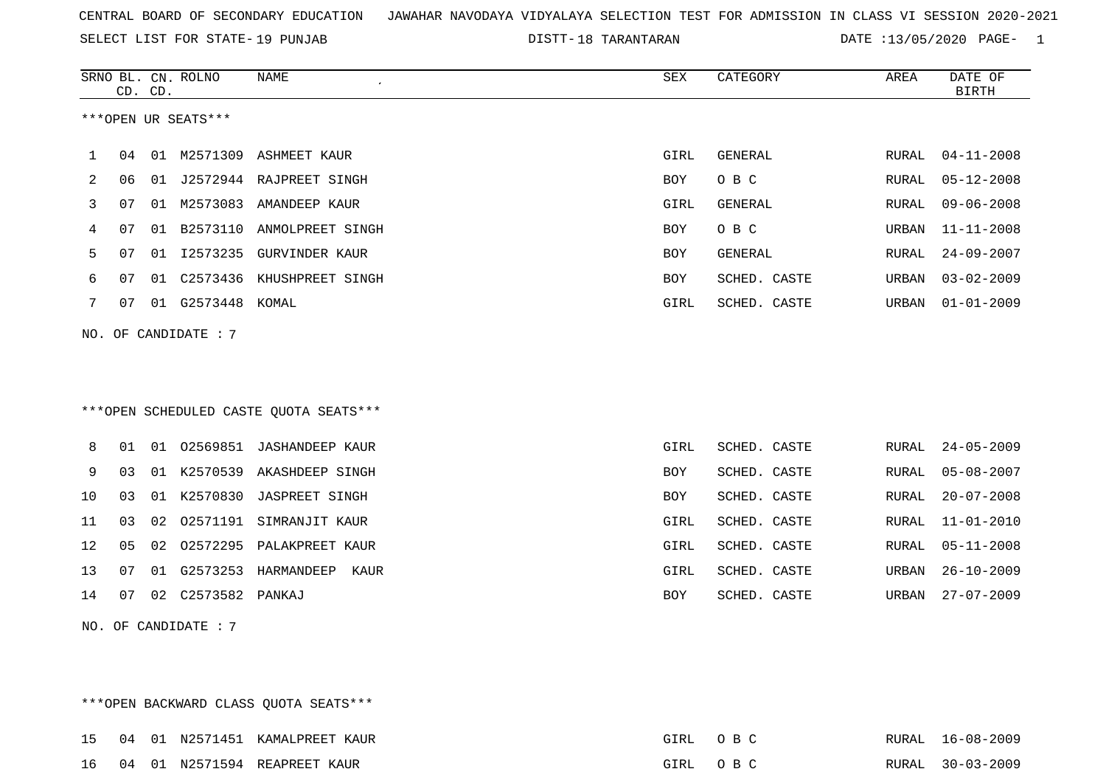SELECT LIST FOR STATE- DISTT- 19 PUNJAB

DISTT-18 TARANTARAN DATE :13/05/2020 PAGE- 1

|     |    | CD. CD. | SRNO BL. CN. ROLNO  | NAME                                   | SEX        | CATEGORY     | AREA         | DATE OF<br><b>BIRTH</b> |
|-----|----|---------|---------------------|----------------------------------------|------------|--------------|--------------|-------------------------|
|     |    |         | ***OPEN UR SEATS*** |                                        |            |              |              |                         |
| 1   | 04 |         |                     | 01 M2571309 ASHMEET KAUR               | GIRL       | GENERAL      | RURAL        | $04 - 11 - 2008$        |
| 2   | 06 |         |                     | 01 J2572944 RAJPREET SINGH             | <b>BOY</b> | O B C        | <b>RURAL</b> | $05 - 12 - 2008$        |
| 3   | 07 |         |                     | 01 M2573083 AMANDEEP KAUR              | GIRL       | GENERAL      | <b>RURAL</b> | $09 - 06 - 2008$        |
| 4   | 07 | 01      |                     | B2573110 ANMOLPREET SINGH              | BOY        | O B C        | URBAN        | $11 - 11 - 2008$        |
| 5   | 07 | 01      | I2573235            | <b>GURVINDER KAUR</b>                  | BOY        | GENERAL      | RURAL        | $24 - 09 - 2007$        |
| 6   | 07 | 01      |                     | C2573436 KHUSHPREET SINGH              | <b>BOY</b> | SCHED. CASTE | URBAN        | $03 - 02 - 2009$        |
| 7   | 07 |         | 01 G2573448 KOMAL   |                                        | GIRL       | SCHED. CASTE | URBAN        | $01 - 01 - 2009$        |
|     |    |         |                     | ***OPEN SCHEDULED CASTE QUOTA SEATS*** |            |              |              |                         |
| 8   | 01 | 01      |                     | 02569851 JASHANDEEP KAUR               | GIRL       | SCHED. CASTE | RURAL        | $24 - 05 - 2009$        |
| 9   | 03 | 01      | K2570539            | AKASHDEEP SINGH                        | BOY        | SCHED. CASTE | <b>RURAL</b> | $05 - 08 - 2007$        |
| 10  | 03 |         | 01 K2570830         | <b>JASPREET SINGH</b>                  | BOY        | SCHED. CASTE | RURAL        | $20 - 07 - 2008$        |
| 11  | 03 | 02      | 02571191            | SIMRANJIT KAUR                         | GIRL       | SCHED. CASTE | <b>RURAL</b> | $11 - 01 - 2010$        |
| 12  | 05 | 02      | 02572295            | PALAKPREET KAUR                        | GIRL       | SCHED. CASTE | RURAL        | $05 - 11 - 2008$        |
| 13  | 07 | 01      | G2573253            | HARMANDEEP<br>KAUR                     | GIRL       | SCHED. CASTE | URBAN        | $26 - 10 - 2009$        |
| 14  | 07 | 02      | C2573582 PANKAJ     |                                        | BOY        | SCHED. CASTE | URBAN        | $27 - 07 - 2009$        |
| NO. |    |         | OF CANDIDATE: 7     |                                        |            |              |              |                         |

|  |  | ***OPEN BACKWARD CLASS OUOTA SEATS*** |          |  |                  |
|--|--|---------------------------------------|----------|--|------------------|
|  |  | 15 04 01 N2571451 KAMALPREET KAUR     | GIRL OBC |  | RURAL 16-08-2009 |
|  |  | 16 04 01 N2571594 REAPREET KAUR       | GIRL OBC |  | RURAL 30-03-2009 |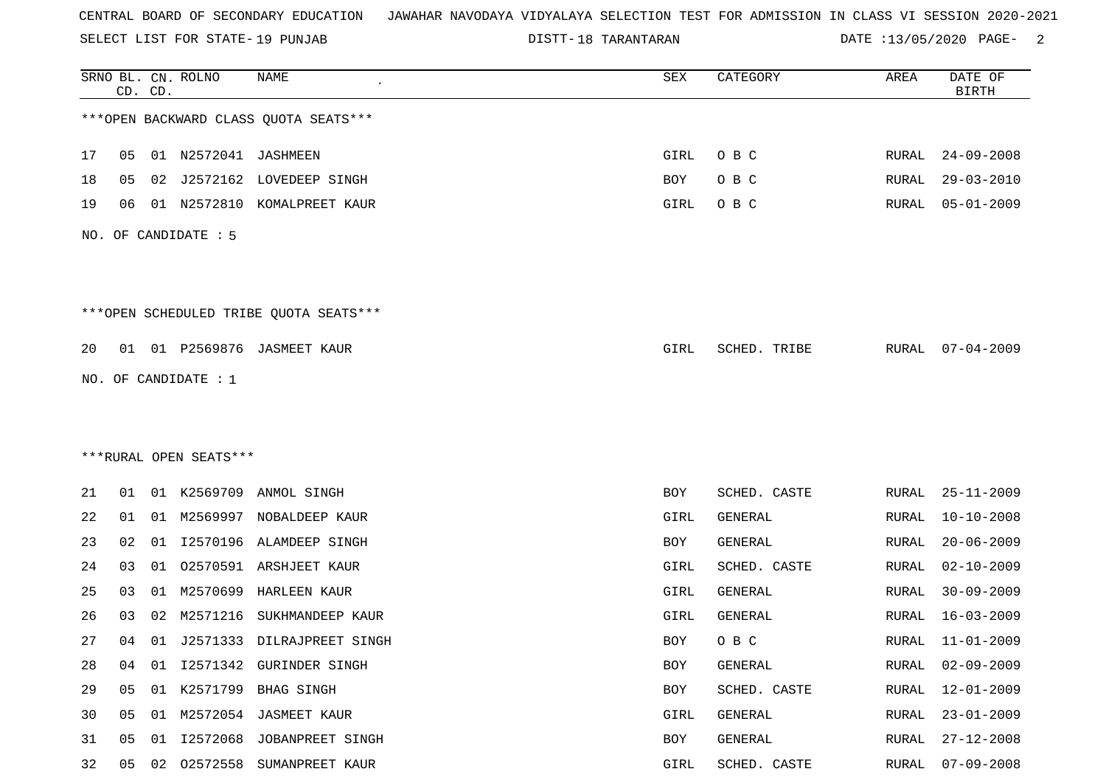SELECT LIST FOR STATE- DISTT- 19 PUNJAB

18 TARANTARAN DATE :13/05/2020 PAGE- 2

|    |    | CD. CD. | SRNO BL. CN. ROLNO     | NAME                                   | SEX  | CATEGORY     | AREA         | DATE OF<br><b>BIRTH</b> |
|----|----|---------|------------------------|----------------------------------------|------|--------------|--------------|-------------------------|
|    |    |         |                        | *** OPEN BACKWARD CLASS QUOTA SEATS*** |      |              |              |                         |
| 17 | 05 |         | 01 N2572041 JASHMEEN   |                                        | GIRL | O B C        | RURAL        | 24-09-2008              |
| 18 | 05 | 02      |                        | J2572162 LOVEDEEP SINGH                | BOY  | O B C        | RURAL        | $29 - 03 - 2010$        |
| 19 | 06 |         | 01 N2572810            | KOMALPREET KAUR                        | GIRL | O B C        | RURAL        | $05 - 01 - 2009$        |
|    |    |         | NO. OF CANDIDATE : 5   |                                        |      |              |              |                         |
|    |    |         |                        | ***OPEN SCHEDULED TRIBE QUOTA SEATS*** |      |              |              |                         |
| 20 |    |         |                        | 01 01 P2569876 JASMEET KAUR            | GIRL | SCHED. TRIBE |              | RURAL 07-04-2009        |
|    |    |         | NO. OF CANDIDATE : 1   |                                        |      |              |              |                         |
|    |    |         |                        |                                        |      |              |              |                         |
|    |    |         |                        |                                        |      |              |              |                         |
|    |    |         | ***RURAL OPEN SEATS*** |                                        |      |              |              |                         |
| 21 | 01 |         |                        | 01 K2569709 ANMOL SINGH                | BOY  | SCHED. CASTE | RURAL        | $25 - 11 - 2009$        |
| 22 | 01 |         |                        | 01 M2569997 NOBALDEEP KAUR             | GIRL | GENERAL      | RURAL        | $10 - 10 - 2008$        |
| 23 | 02 | 01      |                        | I2570196 ALAMDEEP SINGH                | BOY  | GENERAL      | RURAL        | $20 - 06 - 2009$        |
| 24 | 03 | 01      | 02570591               | ARSHJEET KAUR                          | GIRL | SCHED. CASTE | RURAL        | $02 - 10 - 2009$        |
| 25 | 03 | 01      | M2570699               | HARLEEN KAUR                           | GIRL | GENERAL      | RURAL        | $30 - 09 - 2009$        |
| 26 | 03 | 02      | M2571216               | SUKHMANDEEP KAUR                       | GIRL | GENERAL      | RURAL        | $16 - 03 - 2009$        |
| 27 | 04 |         |                        | 01 J2571333 DILRAJPREET SINGH          | BOY  | O B C        | RURAL        | $11 - 01 - 2009$        |
| 28 | 04 | 01      |                        | 12571342 GURINDER SINGH                | BOY  | GENERAL      | <b>RURAL</b> | $02 - 09 - 2009$        |
| 29 | 05 |         |                        | 01 K2571799 BHAG SINGH                 | BOY  | SCHED. CASTE | RURAL        | $12 - 01 - 2009$        |
| 30 | 05 | 01      |                        | M2572054 JASMEET KAUR                  | GIRL | GENERAL      | RURAL        | $23 - 01 - 2009$        |
| 31 | 05 | 01      | I2572068               | JOBANPREET SINGH                       | BOY  | GENERAL      | RURAL        | $27 - 12 - 2008$        |
| 32 | 05 | 02      | 02572558               | SUMANPREET KAUR                        | GIRL | SCHED. CASTE | <b>RURAL</b> | $07 - 09 - 2008$        |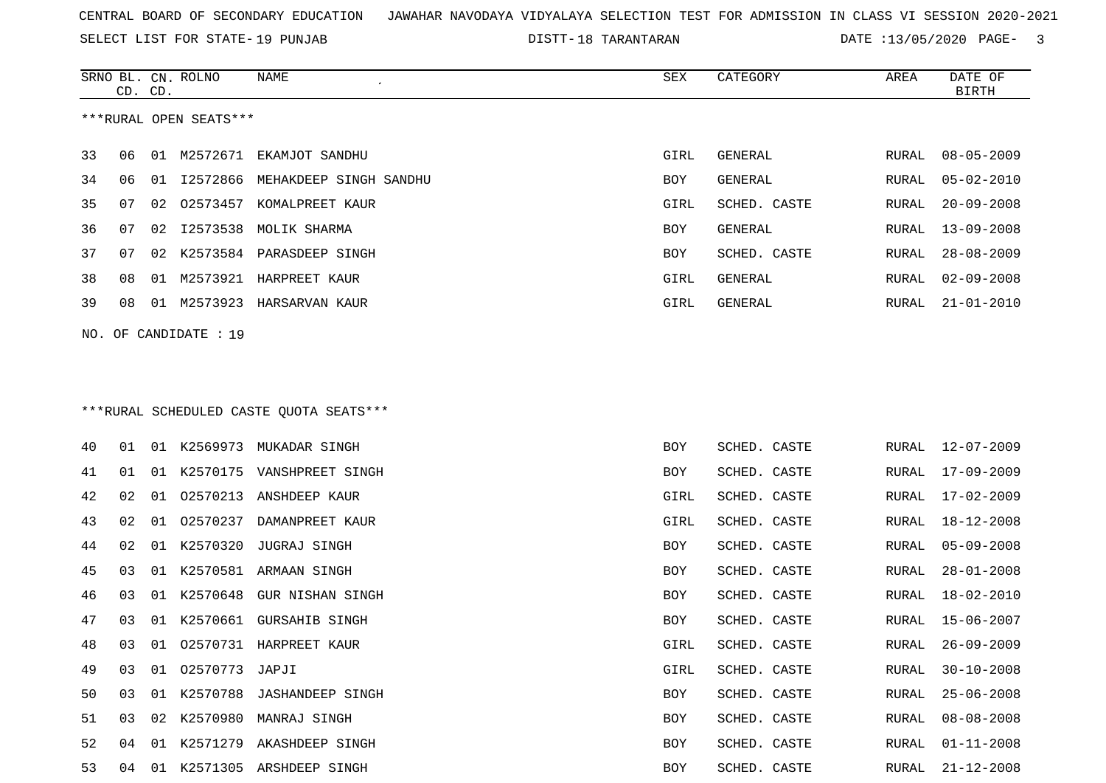SELECT LIST FOR STATE- DISTT- 19 PUNJAB

SRNO BL. CN.

ROLNO NAME SEX CATEGORY AREA DATE OF

DISTT-18 TARANTARAN DATE :13/05/2020 PAGE- 3

|    | CD. | CD. |                        |                                         |      |              |       | <b>BIRTH</b>     |
|----|-----|-----|------------------------|-----------------------------------------|------|--------------|-------|------------------|
|    |     |     | ***RURAL OPEN SEATS*** |                                         |      |              |       |                  |
| 33 | 06  |     |                        | 01 M2572671 EKAMJOT SANDHU              | GIRL | GENERAL      | RURAL | $08 - 05 - 2009$ |
| 34 | 06  | 01  | I2572866               | MEHAKDEEP SINGH SANDHU                  | BOY  | GENERAL      | RURAL | $05 - 02 - 2010$ |
| 35 | 07  | 02  | 02573457               | KOMALPREET KAUR                         | GIRL | SCHED. CASTE | RURAL | $20 - 09 - 2008$ |
| 36 | 07  | 02  | I2573538               | MOLIK SHARMA                            | BOY  | GENERAL      | RURAL | $13 - 09 - 2008$ |
| 37 | 07  | 02  |                        | K2573584 PARASDEEP SINGH                | BOY  | SCHED. CASTE | RURAL | $28 - 08 - 2009$ |
| 38 | 08  | 01  |                        | M2573921 HARPREET KAUR                  | GIRL | GENERAL      | RURAL | $02 - 09 - 2008$ |
| 39 | 08  | 01  |                        | M2573923 HARSARVAN KAUR                 | GIRL | GENERAL      | RURAL | $21 - 01 - 2010$ |
|    |     |     | NO. OF CANDIDATE : 19  |                                         |      |              |       |                  |
|    |     |     |                        |                                         |      |              |       |                  |
|    |     |     |                        | ***RURAL SCHEDULED CASTE QUOTA SEATS*** |      |              |       |                  |
| 40 | 01  |     |                        | 01 K2569973 MUKADAR SINGH               | BOY  | SCHED. CASTE | RURAL | 12-07-2009       |
| 41 | 01  | 01  |                        | K2570175 VANSHPREET SINGH               | BOY  | SCHED. CASTE | RURAL | 17-09-2009       |
| 42 | 02  | 01  | 02570213               | ANSHDEEP KAUR                           | GIRL | SCHED. CASTE | RURAL | $17 - 02 - 2009$ |
| 43 | 02  | 01  | 02570237               | DAMANPREET KAUR                         | GIRL | SCHED. CASTE | RURAL | 18-12-2008       |
| 44 | 02  |     | 01 K2570320            | JUGRAJ SINGH                            | BOY  | SCHED. CASTE | RURAL | $05 - 09 - 2008$ |
| 45 | 03  | 01  | K2570581               | ARMAAN SINGH                            | BOY  | SCHED. CASTE | RURAL | $28 - 01 - 2008$ |
| 46 | 03  | 01  | K2570648               | GUR NISHAN SINGH                        | BOY  | SCHED. CASTE | RURAL | 18-02-2010       |
| 47 | 03  | 01  | K2570661               | <b>GURSAHIB SINGH</b>                   | BOY  | SCHED. CASTE | RURAL | 15-06-2007       |
| 48 | 03  | 01  |                        | 02570731 HARPREET KAUR                  | GIRL | SCHED. CASTE | RURAL | $26 - 09 - 2009$ |
| 49 | 03  |     | 01 02570773            | JAPJI                                   | GIRL | SCHED. CASTE | RURAL | $30 - 10 - 2008$ |
| 50 |     |     |                        | 03 01 K2570788 JASHANDEEP SINGH         | BOY  | SCHED. CASTE |       | RURAL 25-06-2008 |
| 51 | 03  |     |                        | 02 K2570980 MANRAJ SINGH                | BOY  | SCHED. CASTE | RURAL | $08 - 08 - 2008$ |
| 52 | 04  |     |                        | 01 K2571279 AKASHDEEP SINGH             | BOY  | SCHED. CASTE | RURAL | $01 - 11 - 2008$ |
| 53 | 04  |     |                        | 01 K2571305 ARSHDEEP SINGH              | BOY  | SCHED. CASTE | RURAL | $21 - 12 - 2008$ |
|    |     |     |                        |                                         |      |              |       |                  |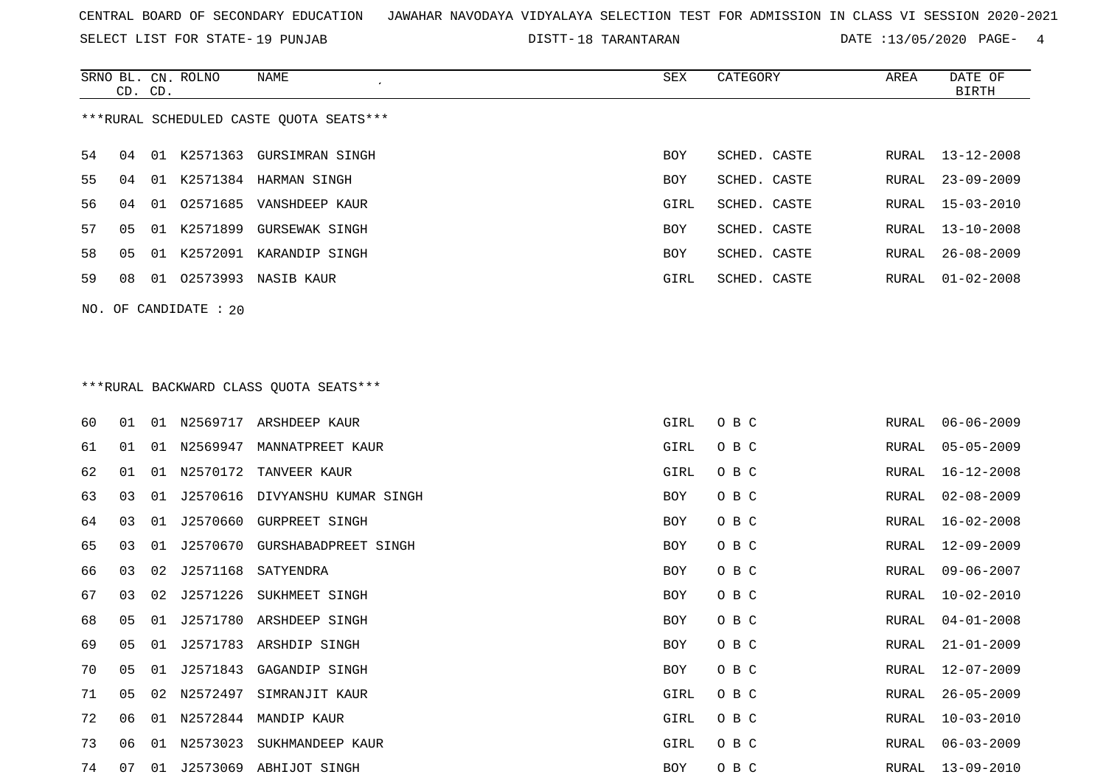SELECT LIST FOR STATE- DISTT- 19 PUNJAB

18 TARANTARAN DATE :13/05/2020 PAGE- 4

|    | CD. CD. |    | SRNO BL. CN. ROLNO      | NAME                                    | <b>SEX</b> | CATEGORY     | AREA  | DATE OF<br><b>BIRTH</b> |
|----|---------|----|-------------------------|-----------------------------------------|------------|--------------|-------|-------------------------|
|    |         |    |                         | ***RURAL SCHEDULED CASTE QUOTA SEATS*** |            |              |       |                         |
| 54 | 04      |    |                         | 01 K2571363 GURSIMRAN SINGH             | <b>BOY</b> | SCHED. CASTE | RURAL | 13-12-2008              |
| 55 | 04      |    |                         | 01 K2571384 HARMAN SINGH                | BOY        | SCHED. CASTE | RURAL | $23 - 09 - 2009$        |
| 56 | 04      | 01 |                         | 02571685 VANSHDEEP KAUR                 | GIRL       | SCHED. CASTE | RURAL | $15 - 03 - 2010$        |
| 57 | 05      |    |                         | 01 K2571899 GURSEWAK SINGH              | BOY        | SCHED. CASTE | RURAL | $13 - 10 - 2008$        |
| 58 | 05      |    |                         | 01 K2572091 KARANDIP SINGH              | BOY        | SCHED. CASTE | RURAL | $26 - 08 - 2009$        |
| 59 | 08      |    |                         | 01 02573993 NASIB KAUR                  | GIRL       | SCHED. CASTE | RURAL | $01 - 02 - 2008$        |
|    |         |    | NO. OF CANDIDATE : $20$ |                                         |            |              |       |                         |
|    |         |    |                         |                                         |            |              |       |                         |
|    |         |    |                         |                                         |            |              |       |                         |
|    |         |    |                         | ***RURAL BACKWARD CLASS OUOTA SEATS***  |            |              |       |                         |
| 60 | 01      |    |                         | 01 N2569717 ARSHDEEP KAUR               | GIRL       | O B C        | RURAL | $06 - 06 - 2009$        |
| 61 | 01      |    |                         | 01 N2569947 MANNATPREET KAUR            | GIRL       | O B C        | RURAL | $05 - 05 - 2009$        |
| 62 | 01      | 01 |                         | N2570172 TANVEER KAUR                   | GIRL       | O B C        | RURAL | $16 - 12 - 2008$        |
| 63 | 03      | 01 | J2570616                | DIVYANSHU KUMAR SINGH                   | <b>BOY</b> | O B C        | RURAL | $02 - 08 - 2009$        |
| 64 | 03      | 01 | J2570660                | GURPREET SINGH                          | BOY        | O B C        | RURAL | $16 - 02 - 2008$        |
| 65 | 03      | 01 | J2570670                | GURSHABADPREET SINGH                    | BOY        | O B C        | RURAL | $12 - 09 - 2009$        |
| 66 | 03      | 02 |                         | J2571168 SATYENDRA                      | <b>BOY</b> | O B C        | RURAL | $09 - 06 - 2007$        |
| 67 | 03      | 02 | J2571226                | SUKHMEET SINGH                          | BOY        | O B C        | RURAL | $10 - 02 - 2010$        |
| 68 | 05      | 01 |                         | J2571780 ARSHDEEP SINGH                 | BOY        | O B C        | RURAL | $04 - 01 - 2008$        |
| 69 | 05      | 01 |                         | J2571783 ARSHDIP SINGH                  | <b>BOY</b> | O B C        | RURAL | $21 - 01 - 2009$        |
| 70 | 05      | 01 | J2571843                | GAGANDIP SINGH                          | BOY        | O B C        | RURAL | $12 - 07 - 2009$        |
| 71 | 05      | 02 |                         | N2572497 SIMRANJIT KAUR                 | GIRL       | O B C        | RURAL | $26 - 05 - 2009$        |
| 72 | 06      |    |                         | 01 N2572844 MANDIP KAUR                 | GIRL       | O B C        | RURAL | $10 - 03 - 2010$        |

 06 01 N2573023 SUKHMANDEEP KAUR GIRL O B C RURAL 06-03-2009 07 01 J2573069 ABHIJOT SINGH BOY O B C RURAL 13-09-2010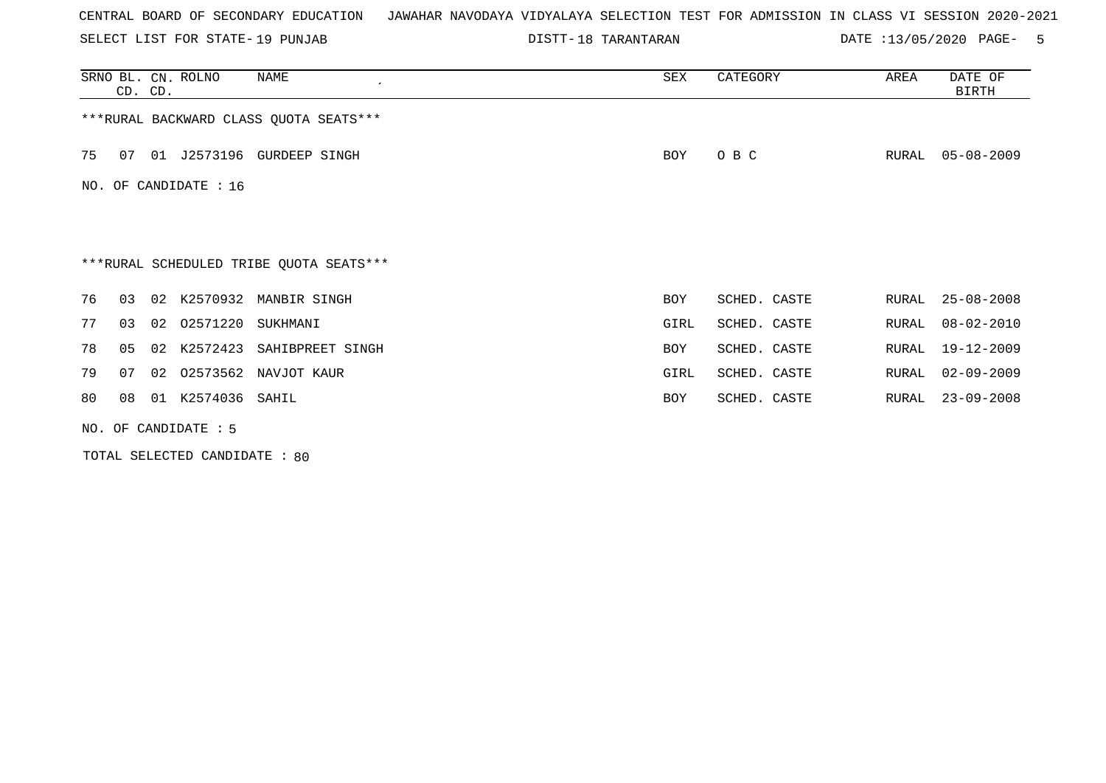SELECT LIST FOR STATE- DISTT- 19 PUNJAB

DISTT-18 TARANTARAN DATE :13/05/2020 PAGE- 5

|    | CD. CD.        |    | SRNO BL. CN. ROLNO     | NAME                                    | SEX  | CATEGORY     | AREA  | DATE OF<br>BIRTH |
|----|----------------|----|------------------------|-----------------------------------------|------|--------------|-------|------------------|
|    |                |    |                        | *** RURAL BACKWARD CLASS QUOTA SEATS*** |      |              |       |                  |
| 75 | 07             |    |                        | 01 J2573196 GURDEEP SINGH               | BOY  | O B C        | RURAL | $05 - 08 - 2009$ |
|    |                |    | NO. OF CANDIDATE : 16  |                                         |      |              |       |                  |
|    |                |    |                        |                                         |      |              |       |                  |
|    |                |    |                        | ***RURAL SCHEDULED TRIBE QUOTA SEATS*** |      |              |       |                  |
| 76 | 03             | 02 |                        | K2570932 MANBIR SINGH                   | BOY  | SCHED. CASTE | RURAL | $25 - 08 - 2008$ |
| 77 | 03             |    | 02 02571220            | SUKHMANI                                | GIRL | SCHED. CASTE | RURAL | $08 - 02 - 2010$ |
| 78 | 0 <sub>5</sub> | 02 | K2572423               | SAHIBPREET SINGH                        | BOY  | SCHED. CASTE | RURAL | $19 - 12 - 2009$ |
| 79 | 07             | 02 |                        | 02573562 NAVJOT KAUR                    | GIRL | SCHED. CASTE | RURAL | $02 - 09 - 2009$ |
| 80 | 08             | 01 | K2574036 SAHIL         |                                         | BOY  | SCHED. CASTE | RURAL | $23 - 09 - 2008$ |
|    |                |    | NO. OF CANDIDATE $: 5$ |                                         |      |              |       |                  |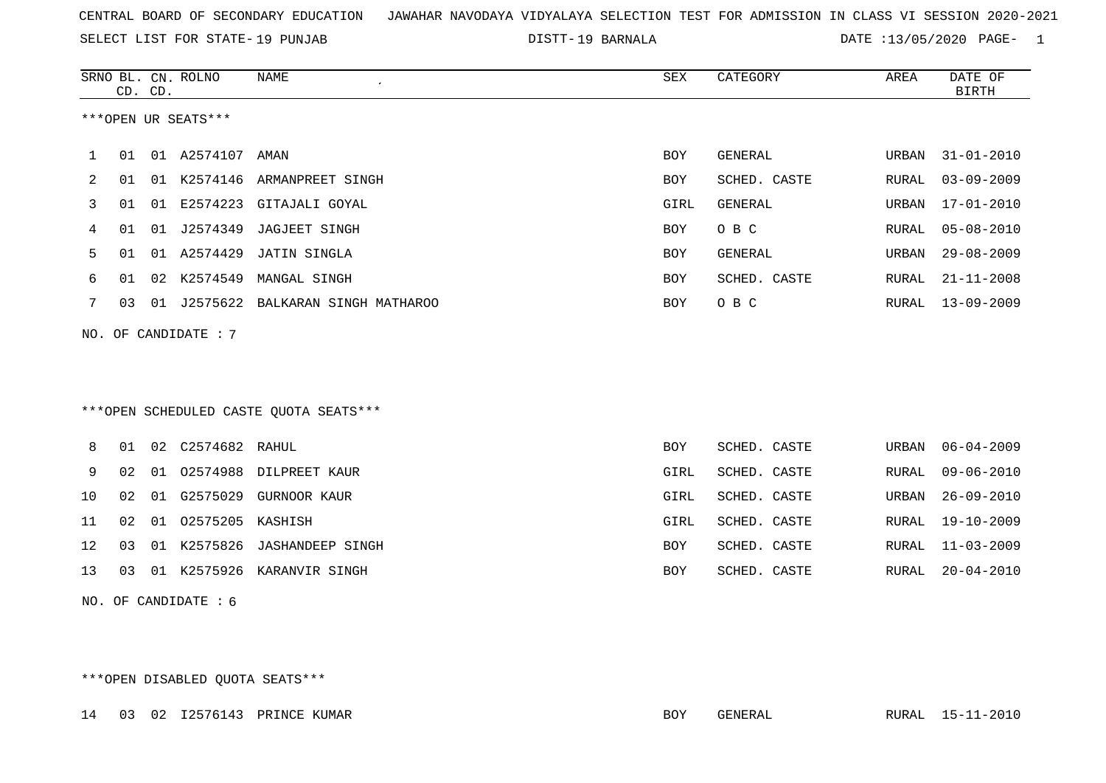SELECT LIST FOR STATE- DISTT- 19 PUNJAB

19 BARNALA DATE :13/05/2020 PAGE- 1

|     |    | CD. CD. | SRNO BL. CN. ROLNO  | <b>NAME</b>                            | SEX        | CATEGORY       | AREA         | DATE OF<br><b>BIRTH</b> |
|-----|----|---------|---------------------|----------------------------------------|------------|----------------|--------------|-------------------------|
|     |    |         | ***OPEN UR SEATS*** |                                        |            |                |              |                         |
| 1   | 01 |         | 01 A2574107 AMAN    |                                        | <b>BOY</b> | GENERAL        | URBAN        | $31 - 01 - 2010$        |
| 2   | 01 | 01      |                     | K2574146 ARMANPREET SINGH              | <b>BOY</b> | SCHED. CASTE   | RURAL        | $03 - 09 - 2009$        |
| 3   | 01 | 01      |                     | E2574223 GITAJALI GOYAL                | GIRL       | <b>GENERAL</b> | URBAN        | $17 - 01 - 2010$        |
| 4   | 01 | 01      | J2574349            | JAGJEET SINGH                          | <b>BOY</b> | O B C          | RURAL        | $05 - 08 - 2010$        |
| 5   | 01 | 01      | A2574429            | JATIN SINGLA                           | <b>BOY</b> | <b>GENERAL</b> | <b>URBAN</b> | $29 - 08 - 2009$        |
| 6   | 01 | 02      | K2574549            | MANGAL SINGH                           | <b>BOY</b> | SCHED. CASTE   | <b>RURAL</b> | $21 - 11 - 2008$        |
| 7   | 03 | 01      | J2575622            | BALKARAN SINGH MATHAROO                | <b>BOY</b> | O B C          | RURAL        | $13 - 09 - 2009$        |
| NO. |    |         | OF CANDIDATE : 7    |                                        |            |                |              |                         |
|     |    |         |                     |                                        |            |                |              |                         |
|     |    |         |                     |                                        |            |                |              |                         |
|     |    |         |                     | ***OPEN SCHEDULED CASTE OUOTA SEATS*** |            |                |              |                         |
| 8   | 01 | 02      | C2574682 RAHUL      |                                        | BOY        | SCHED. CASTE   | URBAN        | $06 - 04 - 2009$        |
| 9   | 02 | 01      |                     | 02574988 DILPREET KAUR                 | GIRL       | SCHED. CASTE   | RURAL        | $09 - 06 - 2010$        |
| 10  | 02 | 01      | G2575029            | <b>GURNOOR KAUR</b>                    | GIRL       | SCHED. CASTE   | <b>URBAN</b> | $26 - 09 - 2010$        |
| 11  | 02 | 01      | 02575205 KASHISH    |                                        | GIRL       | SCHED. CASTE   | RURAL        | $19 - 10 - 2009$        |
| 12  | 03 | 01      |                     | K2575826 JASHANDEEP SINGH              | <b>BOY</b> | SCHED. CASTE   | RURAL        | $11 - 03 - 2009$        |

13 03 01 K2575926 KARANVIR SINGH BOY SCHED. CASTE RURAL 20-04-2010

NO. OF CANDIDATE : 6

\*\*\*OPEN DISABLED QUOTA SEATS\*\*\*

14 03 02 I2576143 PRINCE KUMAR BOY GENERAL RURAL 15-11-2010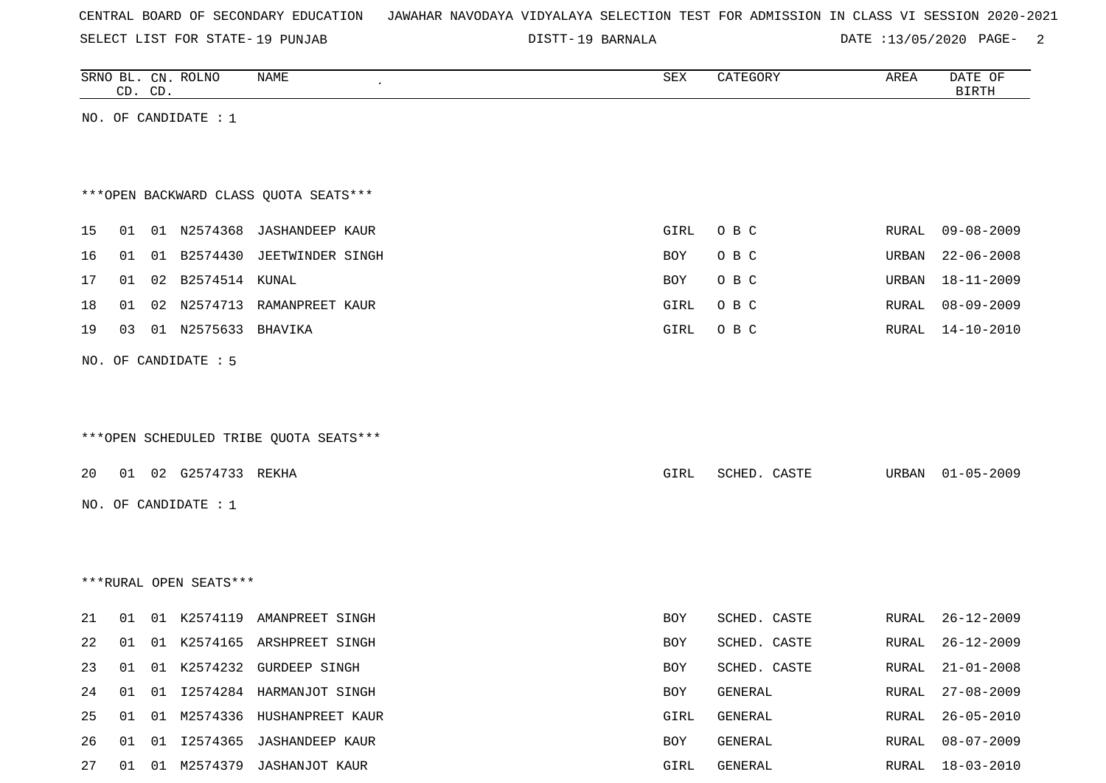|  |  |  |  | CENTRAL BOARD OF SECONDARY EDUCATION – JAWAHAR NAVODAYA VIDYALAYA SELECTION TEST FOR ADMISSION IN CLASS VI SESSION 2020-2021 |  |  |  |  |  |  |  |  |  |  |  |  |  |  |
|--|--|--|--|------------------------------------------------------------------------------------------------------------------------------|--|--|--|--|--|--|--|--|--|--|--|--|--|--|
|--|--|--|--|------------------------------------------------------------------------------------------------------------------------------|--|--|--|--|--|--|--|--|--|--|--|--|--|--|

SELECT LIST FOR STATE- DISTT- 19 PUNJAB

DISTT-19 BARNALA 2001 20020 DATE :13/05/2020 PAGE-

|    |    | CD. CD. | SRNO BL. CN. ROLNO     | NAME                                   | SEX        | CATEGORY     | AREA         | DATE OF<br><b>BIRTH</b> |
|----|----|---------|------------------------|----------------------------------------|------------|--------------|--------------|-------------------------|
|    |    |         | NO. OF CANDIDATE : $1$ |                                        |            |              |              |                         |
|    |    |         |                        |                                        |            |              |              |                         |
|    |    |         |                        |                                        |            |              |              |                         |
|    |    |         |                        | *** OPEN BACKWARD CLASS QUOTA SEATS*** |            |              |              |                         |
| 15 | 01 |         |                        | 01 N2574368 JASHANDEEP KAUR            | GIRL       | O B C        | RURAL        | $09 - 08 - 2009$        |
| 16 | 01 |         | 01 B2574430            | JEETWINDER SINGH                       | BOY        | O B C        | URBAN        | $22 - 06 - 2008$        |
| 17 | 01 |         | 02 B2574514 KUNAL      |                                        | BOY        | O B C        | URBAN        | $18 - 11 - 2009$        |
| 18 | 01 |         |                        | 02 N2574713 RAMANPREET KAUR            | GIRL       | O B C        | RURAL        | $08 - 09 - 2009$        |
| 19 | 03 |         | 01 N2575633            | BHAVIKA                                | GIRL       | O B C        | RURAL        | 14-10-2010              |
|    |    |         |                        |                                        |            |              |              |                         |
|    |    |         | NO. OF CANDIDATE : 5   |                                        |            |              |              |                         |
|    |    |         |                        |                                        |            |              |              |                         |
|    |    |         |                        |                                        |            |              |              |                         |
|    |    |         |                        | ***OPEN SCHEDULED TRIBE QUOTA SEATS*** |            |              |              |                         |
| 20 |    |         | 01 02 G2574733 REKHA   |                                        | GIRL       | SCHED. CASTE | URBAN        | $01 - 05 - 2009$        |
|    |    |         | NO. OF CANDIDATE : $1$ |                                        |            |              |              |                         |
|    |    |         |                        |                                        |            |              |              |                         |
|    |    |         |                        |                                        |            |              |              |                         |
|    |    |         |                        |                                        |            |              |              |                         |
|    |    |         | ***RURAL OPEN SEATS*** |                                        |            |              |              |                         |
| 21 | 01 |         |                        | 01 K2574119 AMANPREET SINGH            | BOY        | SCHED. CASTE | RURAL        | $26 - 12 - 2009$        |
| 22 | 01 |         |                        | 01 K2574165 ARSHPREET SINGH            | <b>BOY</b> | SCHED. CASTE | RURAL        | $26 - 12 - 2009$        |
| 23 | 01 |         |                        | 01 K2574232 GURDEEP SINGH              | BOY        | SCHED. CASTE | RURAL        | $21 - 01 - 2008$        |
| 24 | 01 |         |                        | 01 I2574284 HARMANJOT SINGH            | BOY        | GENERAL      | <b>RURAL</b> | $27 - 08 - 2009$        |
| 25 | 01 |         |                        | 01 M2574336 HUSHANPREET KAUR           | GIRL       | GENERAL      | RURAL        | $26 - 05 - 2010$        |
| 26 | 01 |         |                        | 01 I2574365 JASHANDEEP KAUR            | BOY        | GENERAL      | RURAL        | $08 - 07 - 2009$        |
| 27 |    |         |                        | 01 01 M2574379 JASHANJOT KAUR          | GIRL       | GENERAL      | RURAL        | 18-03-2010              |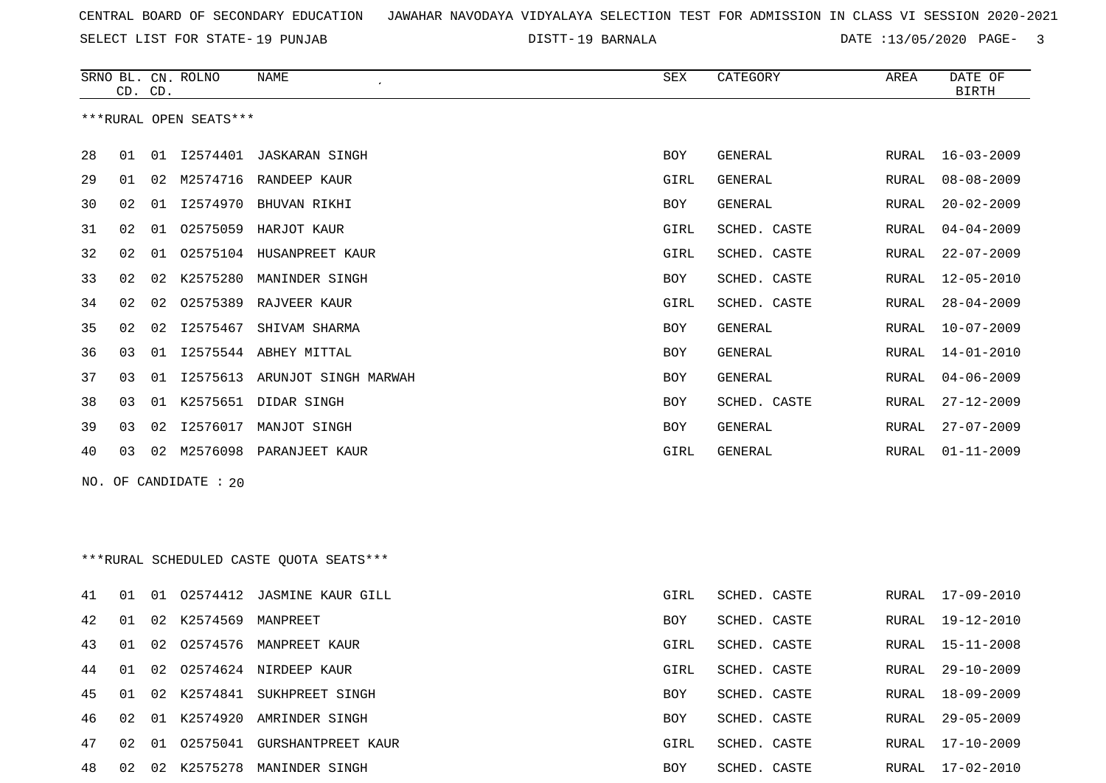SELECT LIST FOR STATE- DISTT- 19 PUNJAB

19 BARNALA DATE :13/05/2020 PAGE- 3

|    |    | CD. CD. | SRNO BL. CN. ROLNO     | <b>NAME</b>                             | SEX        | CATEGORY     | AREA  | DATE OF<br><b>BIRTH</b> |
|----|----|---------|------------------------|-----------------------------------------|------------|--------------|-------|-------------------------|
|    |    |         | ***RURAL OPEN SEATS*** |                                         |            |              |       |                         |
| 28 | 01 | 01      | I2574401               | JASKARAN SINGH                          | BOY        | GENERAL      | RURAL | $16 - 03 - 2009$        |
| 29 | 01 | 02      | M2574716               | RANDEEP KAUR                            | GIRL       | GENERAL      | RURAL | $08 - 08 - 2009$        |
| 30 | 02 | 01      | I2574970               | BHUVAN RIKHI                            | BOY        | GENERAL      | RURAL | $20 - 02 - 2009$        |
| 31 | 02 | 01      | 02575059               | HARJOT KAUR                             | GIRL       | SCHED. CASTE | RURAL | $04 - 04 - 2009$        |
| 32 | 02 | 01      | 02575104               | HUSANPREET KAUR                         | GIRL       | SCHED. CASTE | RURAL | $22 - 07 - 2009$        |
| 33 | 02 | 02      | K2575280               | MANINDER SINGH                          | BOY        | SCHED. CASTE | RURAL | 12-05-2010              |
| 34 | 02 | 02      | 02575389               | RAJVEER KAUR                            | GIRL       | SCHED. CASTE | RURAL | $28 - 04 - 2009$        |
| 35 | 02 | 02      | I2575467               | SHIVAM SHARMA                           | BOY        | GENERAL      | RURAL | $10 - 07 - 2009$        |
| 36 | 03 | 01      | I2575544               | ABHEY MITTAL                            | <b>BOY</b> | GENERAL      | RURAL | $14 - 01 - 2010$        |
| 37 | 03 | 01      | I2575613               | ARUNJOT SINGH MARWAH                    | <b>BOY</b> | GENERAL      | RURAL | $04 - 06 - 2009$        |
| 38 | 03 | 01      |                        | K2575651 DIDAR SINGH                    | BOY        | SCHED. CASTE | RURAL | $27 - 12 - 2009$        |
| 39 | 03 | 02      | I2576017               | MANJOT SINGH                            | BOY        | GENERAL      | RURAL | $27 - 07 - 2009$        |
| 40 | 03 | 02      | M2576098               | PARANJEET KAUR                          | GIRL       | GENERAL      | RURAL | $01 - 11 - 2009$        |
|    |    |         | NO. OF CANDIDATE : 20  |                                         |            |              |       |                         |
|    |    |         |                        | ***RURAL SCHEDULED CASTE QUOTA SEATS*** |            |              |       |                         |
| 41 | 01 |         |                        | 01 02574412 JASMINE KAUR GILL           | GIRL       | SCHED. CASTE | RURAL | 17-09-2010              |
| 42 | 01 | 02      | K2574569               | MANPREET                                | BOY        | SCHED. CASTE | RURAL | 19-12-2010              |
| 43 | 01 | 02      | 02574576               | MANPREET KAUR                           | GIRL       | SCHED. CASTE | RURAL | $15 - 11 - 2008$        |
| 44 |    |         |                        | 01 02 02574624 NIRDEEP KAUR             | GIRL       | SCHED. CASTE |       | RURAL 29-10-2009        |
| 45 | 01 |         |                        | 02 K2574841 SUKHPREET SINGH             | BOY        | SCHED. CASTE | RURAL | 18-09-2009              |
| 46 | 02 |         |                        | 01 K2574920 AMRINDER SINGH              | BOY        | SCHED. CASTE | RURAL | 29-05-2009              |
| 47 |    |         |                        | 02 01 02575041 GURSHANTPREET KAUR       | GIRL       | SCHED. CASTE | RURAL | 17-10-2009              |
| 48 |    |         |                        | 02 02 K2575278 MANINDER SINGH           | BOY        | SCHED. CASTE |       | RURAL 17-02-2010        |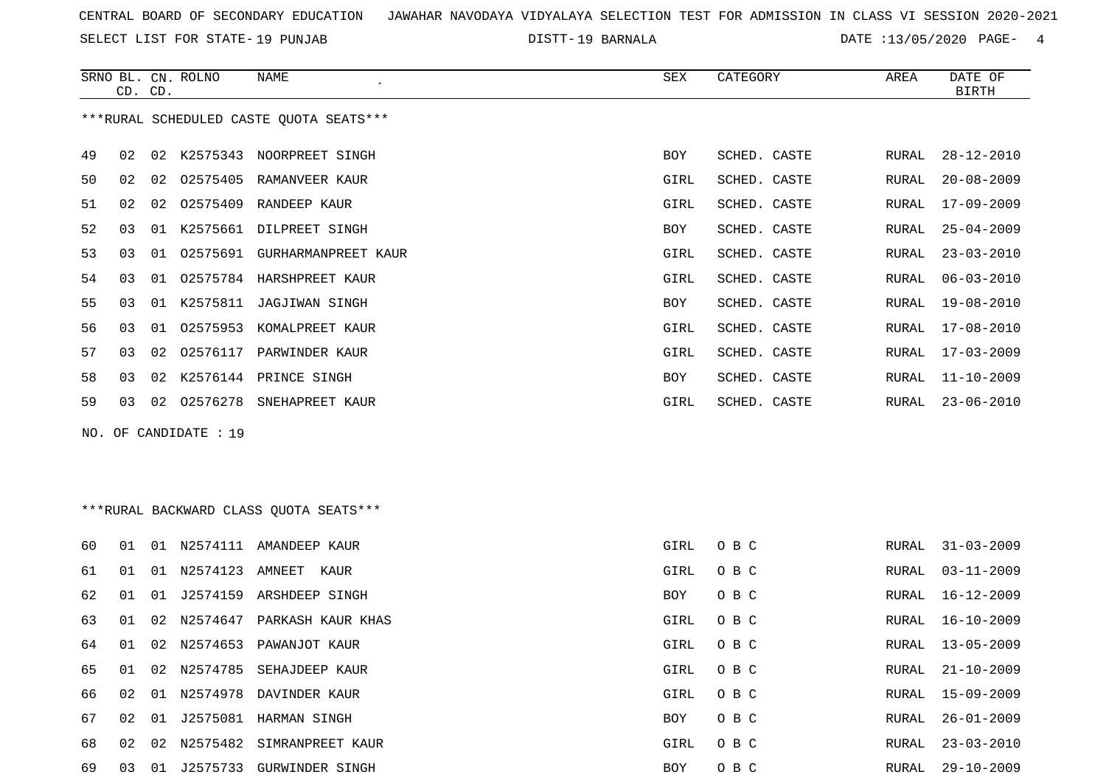SELECT LIST FOR STATE- DISTT- 19 PUNJAB

19 BARNALA DATE :13/05/2020 PAGE- 4

|    | CD. CD.                                 |    | SRNO BL. CN. ROLNO | <b>NAME</b><br>$\epsilon$    | SEX        | CATEGORY     | AREA  | DATE OF<br><b>BIRTH</b> |  |  |
|----|-----------------------------------------|----|--------------------|------------------------------|------------|--------------|-------|-------------------------|--|--|
|    | ***RURAL SCHEDULED CASTE OUOTA SEATS*** |    |                    |                              |            |              |       |                         |  |  |
| 49 | 02                                      | 02 |                    | K2575343 NOORPREET SINGH     | <b>BOY</b> | SCHED. CASTE | RURAL | $28 - 12 - 2010$        |  |  |
| 50 | 02                                      | 02 |                    | 02575405 RAMANVEER KAUR      | GIRL       | SCHED. CASTE | RURAL | $20 - 08 - 2009$        |  |  |
| 51 | 02                                      | 02 | 02575409           | RANDEEP KAUR                 | GIRL       | SCHED. CASTE | RURAL | 17-09-2009              |  |  |
| 52 | 03                                      | 01 | K2575661           | DILPREET SINGH               | <b>BOY</b> | SCHED. CASTE | RURAL | $25 - 04 - 2009$        |  |  |
| 53 | 03                                      | 01 |                    | 02575691 GURHARMANPREET KAUR | GIRL       | SCHED. CASTE | RURAL | $23 - 03 - 2010$        |  |  |
| 54 | 03                                      | 01 |                    | 02575784 HARSHPREET KAUR     | GIRL       | SCHED. CASTE | RURAL | $06 - 03 - 2010$        |  |  |
| 55 | 03                                      |    |                    | 01 K2575811 JAGJIWAN SINGH   | <b>BOY</b> | SCHED. CASTE | RURAL | $19 - 08 - 2010$        |  |  |
| 56 | 03                                      | 01 | 02575953           | KOMALPREET KAUR              | GIRL       | SCHED. CASTE | RURAL | $17 - 08 - 2010$        |  |  |
| 57 | 03                                      | 02 | 02576117           | PARWINDER KAUR               | GIRL       | SCHED. CASTE | RURAL | $17 - 03 - 2009$        |  |  |
| 58 | 03                                      |    | 02 K2576144        | PRINCE SINGH                 | <b>BOY</b> | SCHED. CASTE | RURAL | $11 - 10 - 2009$        |  |  |
| 59 | 03                                      | 02 | 02576278           | SNEHAPREET KAUR              | GIRL       | SCHED. CASTE | RURAL | $23 - 06 - 2010$        |  |  |
|    | NO. OF CANDIDATE : 19                   |    |                    |                              |            |              |       |                         |  |  |

\*\*\*RURAL BACKWARD CLASS QUOTA SEATS\*\*\*

| 60 | 01 | 01 | N2574111    | AMANDEEP KAUR             | GIRL       | O B C | RURAL | $31 - 03 - 2009$ |
|----|----|----|-------------|---------------------------|------------|-------|-------|------------------|
| 61 | 01 | 01 | N2574123    | AMNEET<br>KAUR            | GIRL       | O B C | RURAL | 03-11-2009       |
| 62 | 01 | 01 | J2574159    | ARSHDEEP SINGH            | <b>BOY</b> | O B C | RURAL | 16-12-2009       |
| 63 | 01 |    | 02 N2574647 | PARKASH KAUR KHAS         | GIRL       | O B C | RURAL | 16-10-2009       |
| 64 | 01 | 02 | N2574653    | PAWANJOT KAUR             | GIRL       | O B C | RURAL | $13 - 05 - 2009$ |
| 65 | 01 | 02 | N2574785    | SEHAJDEEP KAUR            | GIRL       | O B C | RURAL | $21 - 10 - 2009$ |
| 66 | 02 |    |             | 01 N2574978 DAVINDER KAUR | GIRL       | O B C | RURAL | $15 - 09 - 2009$ |
| 67 | 02 | 01 |             | J2575081 HARMAN SINGH     | <b>BOY</b> | O B C | RURAL | $26 - 01 - 2009$ |
| 68 | 02 | 02 | N2575482    | SIMRANPREET KAUR          | GIRL       | O B C | RURAL | $23 - 03 - 2010$ |
| 69 | 03 | 01 | J2575733    | GURWINDER SINGH           | <b>BOY</b> | O B C | RURAL | $29 - 10 - 2009$ |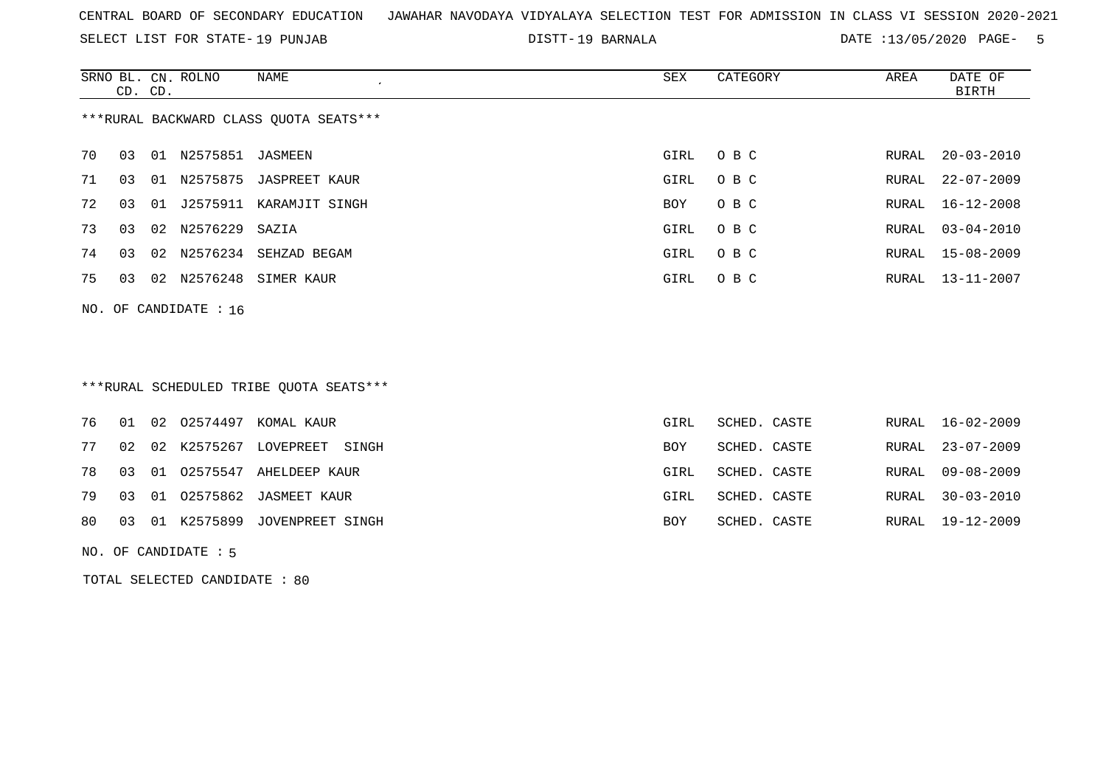SELECT LIST FOR STATE- DISTT- 19 PUNJAB

19 BARNALA DATE :13/05/2020 PAGE- 5

|    | CD. CD.                                |    | SRNO BL. CN. ROLNO | NAME           | SEX  | CATEGORY | AREA  | DATE OF<br>BIRTH |  |  |
|----|----------------------------------------|----|--------------------|----------------|------|----------|-------|------------------|--|--|
|    | ***RURAL BACKWARD CLASS QUOTA SEATS*** |    |                    |                |      |          |       |                  |  |  |
| 70 | 03                                     | 01 | N2575851           | JASMEEN        | GIRL | O B C    | RURAL | $20 - 03 - 2010$ |  |  |
| 71 | 03                                     |    | 01 N2575875        | JASPREET KAUR  | GIRL | O B C    |       | RURAL 22-07-2009 |  |  |
| 72 | 03                                     | 01 | J2575911           | KARAMJIT SINGH | BOY  | O B C    |       | RURAL 16-12-2008 |  |  |
| 73 | 03                                     |    | 02 N2576229 SAZIA  |                | GIRL | O B C    |       | RURAL 03-04-2010 |  |  |
| 74 | 03                                     |    | 02 N2576234        | SEHZAD BEGAM   | GIRL | O B C    |       | RURAL 15-08-2009 |  |  |
| 75 | 03                                     | 02 | N2576248           | SIMER KAUR     | GIRL | O B C    |       | RURAL 13-11-2007 |  |  |
|    | NO. OF CANDIDATE : $16$                |    |                    |                |      |          |       |                  |  |  |

# \*\*\*RURAL SCHEDULED TRIBE QUOTA SEATS\*\*\*

|  |  | 76 01 02 02574497 KOMAL KAUR       | GIRL | SCHED. CASTE | RURAL 16-02-2009 |
|--|--|------------------------------------|------|--------------|------------------|
|  |  | 77 02 02 K2575267 LOVEPREET SINGH  | BOY  | SCHED. CASTE | RURAL 23-07-2009 |
|  |  | 78 03 01 02575547 AHELDEEP KAUR    | GIRL | SCHED. CASTE | RURAL 09-08-2009 |
|  |  | 79 03 01 02575862 JASMEET KAUR     | GIRL | SCHED. CASTE | RURAL 30-03-2010 |
|  |  | 80 03 01 K2575899 JOVENPREET SINGH | BOY  | SCHED. CASTE | RURAL 19-12-2009 |
|  |  |                                    |      |              |                  |

NO. OF CANDIDATE : 5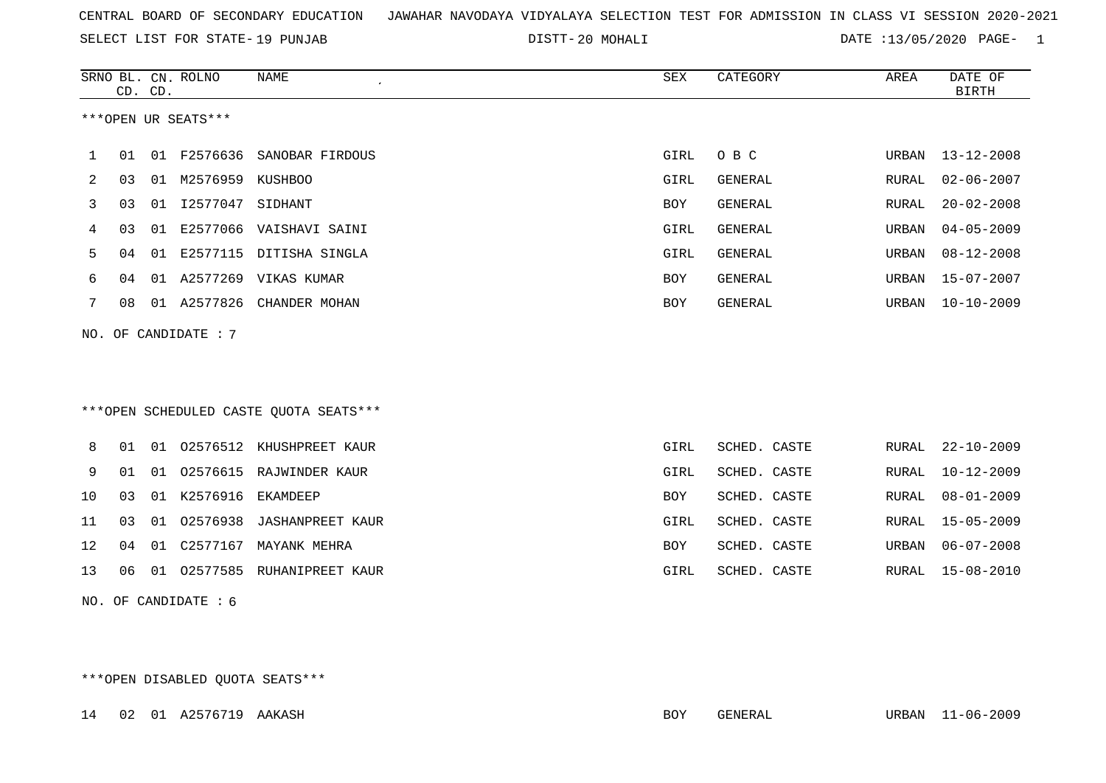SELECT LIST FOR STATE- DISTT- 19 PUNJAB

20 MOHALI DATE :13/05/2020 PAGE- 1

|              |                        | CD. CD. | SRNO BL. CN. ROLNO   | <b>NAME</b><br>$\epsilon$              | SEX        | CATEGORY       | AREA  | DATE OF<br><b>BIRTH</b> |  |
|--------------|------------------------|---------|----------------------|----------------------------------------|------------|----------------|-------|-------------------------|--|
|              |                        |         | ***OPEN UR SEATS***  |                                        |            |                |       |                         |  |
| $\mathbf{1}$ | 01                     |         |                      | 01 F2576636 SANOBAR FIRDOUS            | GIRL       | O B C          | URBAN | $13 - 12 - 2008$        |  |
| 2            | 03                     |         | 01 M2576959 KUSHBOO  |                                        | GIRL       | <b>GENERAL</b> | RURAL | $02 - 06 - 2007$        |  |
| 3            | 03                     |         | 01 12577047 SIDHANT  |                                        | BOY        | GENERAL        | RURAL | $20 - 02 - 2008$        |  |
| 4            | 03                     | 01      |                      | E2577066 VAISHAVI SAINI                | GIRL       | <b>GENERAL</b> | URBAN | $04 - 05 - 2009$        |  |
| 5            | 04                     |         |                      | 01 E2577115 DITISHA SINGLA             | GIRL       | <b>GENERAL</b> | URBAN | $08 - 12 - 2008$        |  |
| 6            | 04                     |         |                      | 01 A2577269 VIKAS KUMAR                | BOY        | GENERAL        | URBAN | $15 - 07 - 2007$        |  |
| 7            | 08                     |         | 01 A2577826          | CHANDER MOHAN                          | <b>BOY</b> | GENERAL        | URBAN | $10 - 10 - 2009$        |  |
|              |                        |         | NO. OF CANDIDATE : 7 |                                        |            |                |       |                         |  |
|              |                        |         |                      |                                        |            |                |       |                         |  |
|              |                        |         |                      |                                        |            |                |       |                         |  |
|              |                        |         |                      | ***OPEN SCHEDULED CASTE QUOTA SEATS*** |            |                |       |                         |  |
| 8            | 01                     |         |                      | 01 02576512 KHUSHPREET KAUR            | GIRL       | SCHED. CASTE   | RURAL | $22 - 10 - 2009$        |  |
| 9            | 01                     |         |                      | 01 02576615 RAJWINDER KAUR             | GIRL       | SCHED. CASTE   | RURAL | $10 - 12 - 2009$        |  |
| 10           | 03                     |         | 01 K2576916          | EKAMDEEP                               | <b>BOY</b> | SCHED. CASTE   | RURAL | $08 - 01 - 2009$        |  |
| 11           | 03                     | 01      | 02576938             | <b>JASHANPREET KAUR</b>                | GIRL       | SCHED. CASTE   | RURAL | $15 - 05 - 2009$        |  |
| 12           | 04                     |         |                      | 01 C2577167 MAYANK MEHRA               | BOY        | SCHED. CASTE   | URBAN | $06 - 07 - 2008$        |  |
| 13           | 06                     |         |                      | 01 02577585 RUHANIPREET KAUR           | GIRL       | SCHED. CASTE   | RURAL | $15 - 08 - 2010$        |  |
|              | NO. OF CANDIDATE $: 6$ |         |                      |                                        |            |                |       |                         |  |

\*\*\*OPEN DISABLED QUOTA SEATS\*\*\*

14 02 01 A2576719 AAKASH BOY GENERAL URBAN 11-06-2009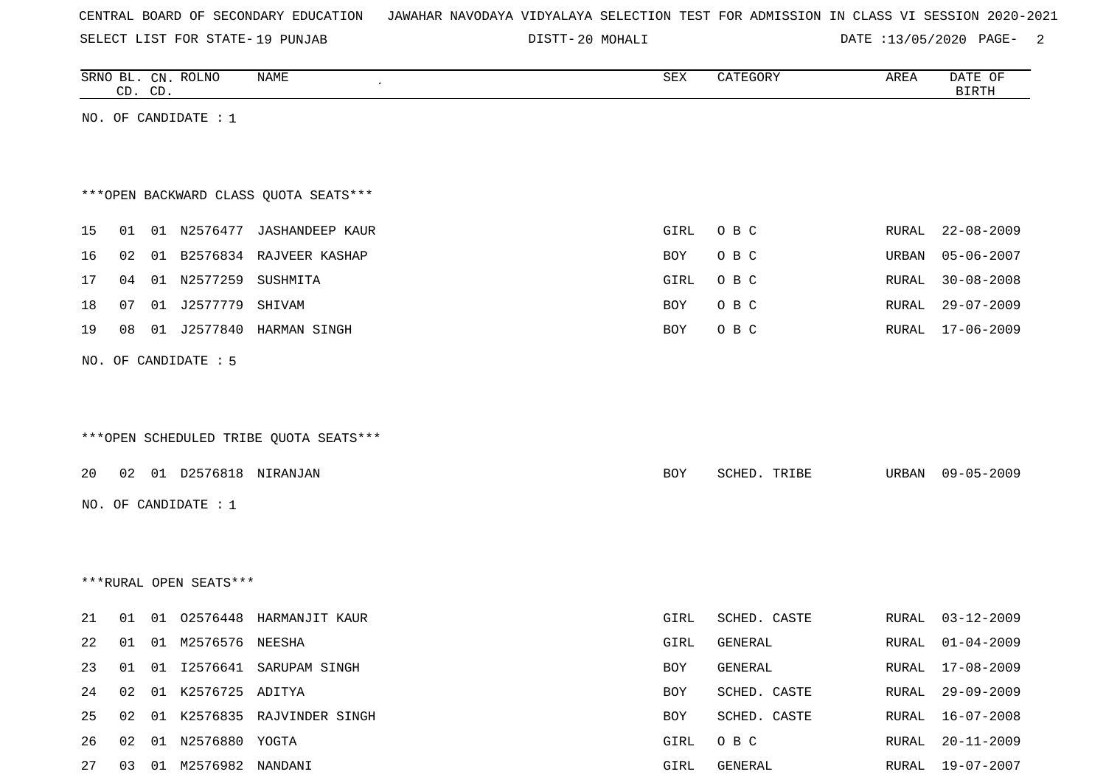SELECT LIST FOR STATE- DISTT- 19 PUNJAB

DISTT-20 MOHALI DATE :13/05/2020 PAGE- 2

|    |    | CD. CD. | SRNO BL. CN. ROLNO        | NAME                                   | SEX  | CATEGORY     | AREA  | DATE OF<br><b>BIRTH</b> |
|----|----|---------|---------------------------|----------------------------------------|------|--------------|-------|-------------------------|
|    |    |         | NO. OF CANDIDATE : $1$    |                                        |      |              |       |                         |
|    |    |         |                           |                                        |      |              |       |                         |
|    |    |         |                           |                                        |      |              |       |                         |
|    |    |         |                           | *** OPEN BACKWARD CLASS QUOTA SEATS*** |      |              |       |                         |
|    |    |         |                           |                                        |      |              |       |                         |
| 15 | 01 |         |                           | 01 N2576477 JASHANDEEP KAUR            | GIRL | O B C        | RURAL | $22 - 08 - 2009$        |
| 16 | 02 |         |                           | 01 B2576834 RAJVEER KASHAP             | BOY  | O B C        | URBAN | $05 - 06 - 2007$        |
| 17 | 04 |         | 01 N2577259 SUSHMITA      |                                        | GIRL | O B C        | RURAL | $30 - 08 - 2008$        |
| 18 | 07 |         | 01 J2577779 SHIVAM        |                                        | BOY  | O B C        | RURAL | $29 - 07 - 2009$        |
| 19 | 08 |         |                           | 01 J2577840 HARMAN SINGH               | BOY  | O B C        | RURAL | $17 - 06 - 2009$        |
|    |    |         | NO. OF CANDIDATE : 5      |                                        |      |              |       |                         |
|    |    |         |                           |                                        |      |              |       |                         |
|    |    |         |                           |                                        |      |              |       |                         |
|    |    |         |                           | ***OPEN SCHEDULED TRIBE QUOTA SEATS*** |      |              |       |                         |
|    |    |         |                           |                                        |      |              |       |                         |
| 20 |    |         | 02 01 D2576818 NIRANJAN   |                                        | BOY  | SCHED. TRIBE | URBAN | $09 - 05 - 2009$        |
|    |    |         | NO. OF CANDIDATE : 1      |                                        |      |              |       |                         |
|    |    |         |                           |                                        |      |              |       |                         |
|    |    |         |                           |                                        |      |              |       |                         |
|    |    |         | ***RURAL OPEN SEATS***    |                                        |      |              |       |                         |
|    |    |         |                           |                                        |      |              |       |                         |
| 21 | 01 |         | 01 02576448               | HARMANJIT KAUR                         | GIRL | SCHED. CASTE | RURAL | $03 - 12 - 2009$        |
| 22 |    |         | 01 01 M2576576 NEESHA     |                                        | GIRL | GENERAL      | RURAL | $01 - 04 - 2009$        |
| 23 | 01 |         |                           | 01 I2576641 SARUPAM SINGH              | BOY  | GENERAL      | RURAL | 17-08-2009              |
| 24 | 02 |         | 01 K2576725 ADITYA        |                                        | BOY  | SCHED. CASTE | RURAL | $29 - 09 - 2009$        |
| 25 | 02 |         |                           | 01 K2576835 RAJVINDER SINGH            | BOY  | SCHED. CASTE | RURAL | $16 - 07 - 2008$        |
| 26 | 02 |         | 01 N2576880 YOGTA         |                                        | GIRL | O B C        | RURAL | $20 - 11 - 2009$        |
| 27 |    |         | 03  01  M2576982  NANDANI |                                        | GIRL | GENERAL      | RURAL | 19-07-2007              |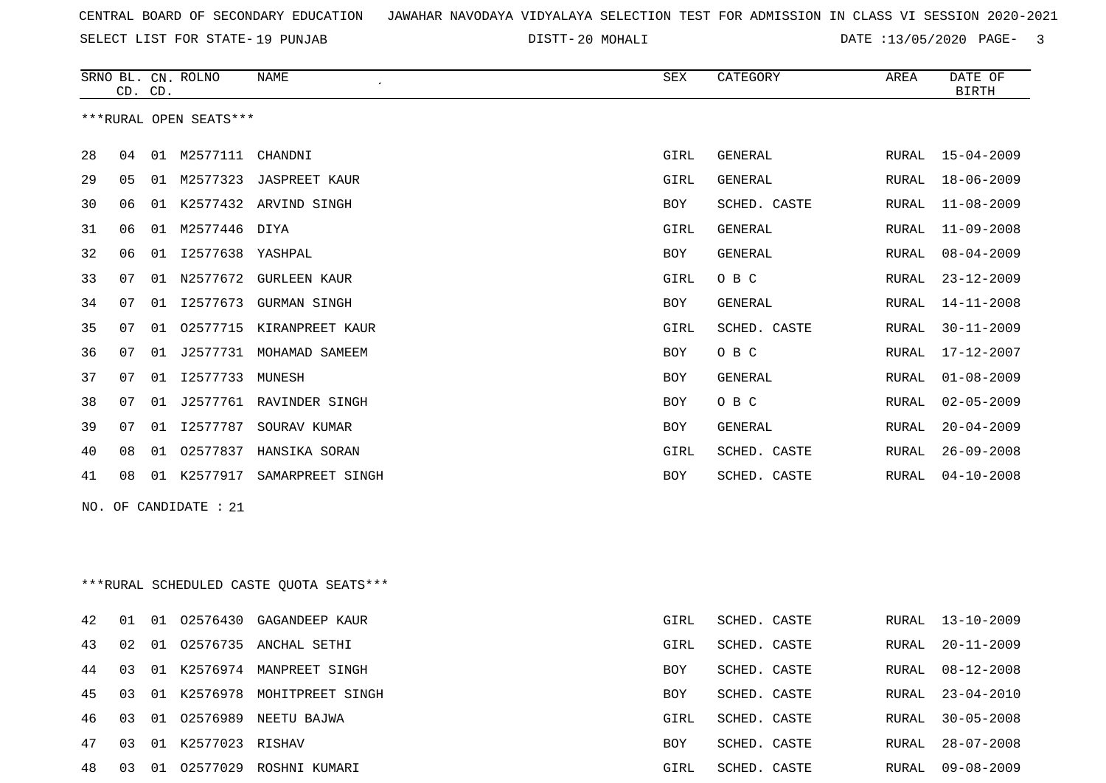SELECT LIST FOR STATE- DISTT- 19 PUNJAB

20 MOHALI DATE :13/05/2020 PAGE- 3

|    |    | CD. CD. | SRNO BL. CN. ROLNO     | <b>NAME</b>                              | ${\tt SEX}$ | CATEGORY       | AREA  | DATE OF<br><b>BIRTH</b> |
|----|----|---------|------------------------|------------------------------------------|-------------|----------------|-------|-------------------------|
|    |    |         | ***RURAL OPEN SEATS*** |                                          |             |                |       |                         |
| 28 | 04 |         | 01 M2577111            | CHANDNI                                  | GIRL        | GENERAL        |       | RURAL 15-04-2009        |
| 29 | 05 | 01      | M2577323               | JASPREET KAUR                            | GIRL        | GENERAL        | RURAL | $18 - 06 - 2009$        |
| 30 | 06 | 01      |                        | K2577432 ARVIND SINGH                    | BOY         | SCHED. CASTE   | RURAL | $11 - 08 - 2009$        |
| 31 | 06 |         | 01 M2577446 DIYA       |                                          | GIRL        | <b>GENERAL</b> | RURAL | $11 - 09 - 2008$        |
| 32 | 06 | 01      | I2577638               | YASHPAL                                  | BOY         | <b>GENERAL</b> | RURAL | $08 - 04 - 2009$        |
| 33 | 07 | 01      |                        | N2577672 GURLEEN KAUR                    | GIRL        | O B C          | RURAL | $23 - 12 - 2009$        |
| 34 | 07 | 01      | I2577673               | <b>GURMAN SINGH</b>                      | BOY         | GENERAL        | RURAL | $14 - 11 - 2008$        |
| 35 | 07 | 01      |                        | 02577715 KIRANPREET KAUR                 | GIRL        | SCHED. CASTE   | RURAL | $30 - 11 - 2009$        |
| 36 | 07 | 01      | J2577731               | MOHAMAD SAMEEM                           | BOY         | O B C          | RURAL | 17-12-2007              |
| 37 | 07 | 01      | I2577733               | MUNESH                                   | BOY         | GENERAL        | RURAL | $01 - 08 - 2009$        |
| 38 | 07 | 01      |                        | J2577761 RAVINDER SINGH                  | BOY         | O B C          | RURAL | $02 - 05 - 2009$        |
| 39 | 07 | 01      | I2577787               | SOURAV KUMAR                             | BOY         | <b>GENERAL</b> | RURAL | $20 - 04 - 2009$        |
| 40 | 08 | 01      | 02577837               | HANSIKA SORAN                            | GIRL        | SCHED. CASTE   | RURAL | $26 - 09 - 2008$        |
| 41 | 08 |         | 01 K2577917            | SAMARPREET SINGH                         | BOY         | SCHED. CASTE   | RURAL | $04 - 10 - 2008$        |
|    |    |         | NO. OF CANDIDATE : 21  |                                          |             |                |       |                         |
|    |    |         |                        |                                          |             |                |       |                         |
|    |    |         |                        |                                          |             |                |       |                         |
|    |    |         |                        | *** RURAL SCHEDULED CASTE QUOTA SEATS*** |             |                |       |                         |
| 42 | 01 | 01      | 02576430               | GAGANDEEP KAUR                           | GIRL        | SCHED. CASTE   | RURAL | $13 - 10 - 2009$        |
| 43 | 02 | 01      | 02576735               | ANCHAL SETHI                             | GIRL        | SCHED. CASTE   | RURAL | $20 - 11 - 2009$        |
| 44 | 03 |         |                        | 01 K2576974 MANPREET SINGH               | BOY         | SCHED. CASTE   |       | RURAL 08-12-2008        |
| 45 | 03 |         |                        | 01 K2576978 MOHITPREET SINGH             | BOY         | SCHED. CASTE   | RURAL | $23 - 04 - 2010$        |
| 46 | 03 |         |                        | 01 02576989 NEETU BAJWA                  | GIRL        | SCHED. CASTE   | RURAL | $30 - 05 - 2008$        |
| 47 | 03 |         | 01 K2577023 RISHAV     |                                          | BOY         | SCHED. CASTE   | RURAL | $28 - 07 - 2008$        |
| 48 |    |         |                        | 03 01 02577029 ROSHNI KUMARI             | GIRL        | SCHED. CASTE   | RURAL | $09 - 08 - 2009$        |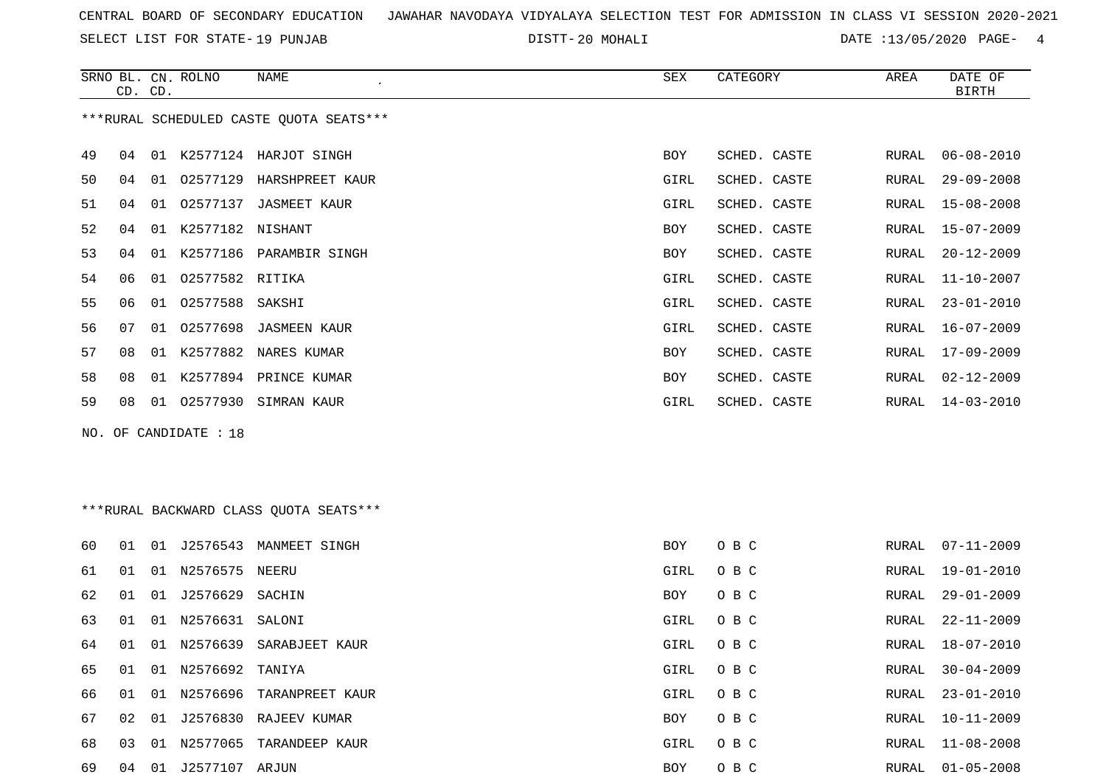SELECT LIST FOR STATE- DISTT- 19 PUNJAB

20 MOHALI DATE :13/05/2020 PAGE- 4

|     |    | CD. CD. | SRNO BL. CN. ROLNO  | <b>NAME</b><br>$\cdot$                  | <b>SEX</b> | CATEGORY     | AREA  | DATE OF<br><b>BIRTH</b> |
|-----|----|---------|---------------------|-----------------------------------------|------------|--------------|-------|-------------------------|
|     |    |         |                     | ***RURAL SCHEDULED CASTE QUOTA SEATS*** |            |              |       |                         |
| 49  | 04 |         |                     | 01 K2577124 HARJOT SINGH                | <b>BOY</b> | SCHED. CASTE | RURAL | $06 - 08 - 2010$        |
| 50  | 04 |         |                     | 01 02577129 HARSHPREET KAUR             | GIRL       | SCHED. CASTE | RURAL | $29 - 09 - 2008$        |
| 51  | 04 |         |                     | 01 02577137 JASMEET KAUR                | GIRL       | SCHED. CASTE | RURAL | $15 - 08 - 2008$        |
| 52  | 04 |         | 01 K2577182 NISHANT |                                         | <b>BOY</b> | SCHED. CASTE | RURAL | $15 - 07 - 2009$        |
| 53  | 04 | 01      |                     | K2577186 PARAMBIR SINGH                 | <b>BOY</b> | SCHED. CASTE | RURAL | $20 - 12 - 2009$        |
| 54  | 06 | 01      | 02577582 RITIKA     |                                         | GIRL       | SCHED. CASTE | RURAL | $11 - 10 - 2007$        |
| 55  | 06 | 01      | 02577588            | SAKSHI                                  | GIRL       | SCHED. CASTE | RURAL | $23 - 01 - 2010$        |
| 56  | 07 | 01      | 02577698            | <b>JASMEEN KAUR</b>                     | GIRL       | SCHED. CASTE | RURAL | $16 - 07 - 2009$        |
| 57  | 08 |         |                     | 01 K2577882 NARES KUMAR                 | <b>BOY</b> | SCHED. CASTE | RURAL | $17 - 09 - 2009$        |
| 58  | 08 | 01      |                     | K2577894 PRINCE KUMAR                   | <b>BOY</b> | SCHED. CASTE | RURAL | $02 - 12 - 2009$        |
| 59  | 08 |         |                     | 01 02577930 SIMRAN KAUR                 | GIRL       | SCHED. CASTE | RURAL | $14 - 03 - 2010$        |
| NO. |    |         | OF CANDIDATE : 18   |                                         |            |              |       |                         |
|     |    |         |                     |                                         |            |              |       |                         |
|     |    |         |                     |                                         |            |              |       |                         |
|     |    |         |                     | ***RURAL BACKWARD CLASS OUOTA SEATS***  |            |              |       |                         |
| 60  |    |         |                     | 01 01 J2576543 MANMEET SINGH            | BOY        | O B C        |       | RURAL 07-11-2009        |

| 61 | 01 | 01    | N2576575        | NEERU           | GIRL       | $O$ B C |       | RURAL 19-01-2010 |
|----|----|-------|-----------------|-----------------|------------|---------|-------|------------------|
| 62 | 01 | 01    | J2576629        | SACHIN          | BOY        | O B C   |       | RURAL 29-01-2009 |
| 63 | 01 | 01    | N2576631 SALONI |                 | GIRL       | $O$ B C |       | RURAL 22-11-2009 |
| 64 | 01 | 01    | N2576639        | SARABJEET KAUR  | GIRL       | $O$ B C |       | RURAL 18-07-2010 |
| 65 | 01 | O 1   | N2576692 TANIYA |                 | GIRL       | O B C   | RURAL | 30-04-2009       |
| 66 | 01 | 01    | N2576696        | TARANPREET KAUR | GIRL       | O B C   |       | RURAL 23-01-2010 |
| 67 | 02 | 01    | J2576830        | RAJEEV KUMAR    | <b>BOY</b> | O B C   | RURAL | 10-11-2009       |
| 68 | 03 | . O 1 | N2577065        | TARANDEEP KAUR  | GIRL       | O B C   | RURAL | 11-08-2008       |
| 69 | 04 | 01    | J2577107        | ARJUN           | <b>BOY</b> | O B C   | RURAL | $01 - 05 - 2008$ |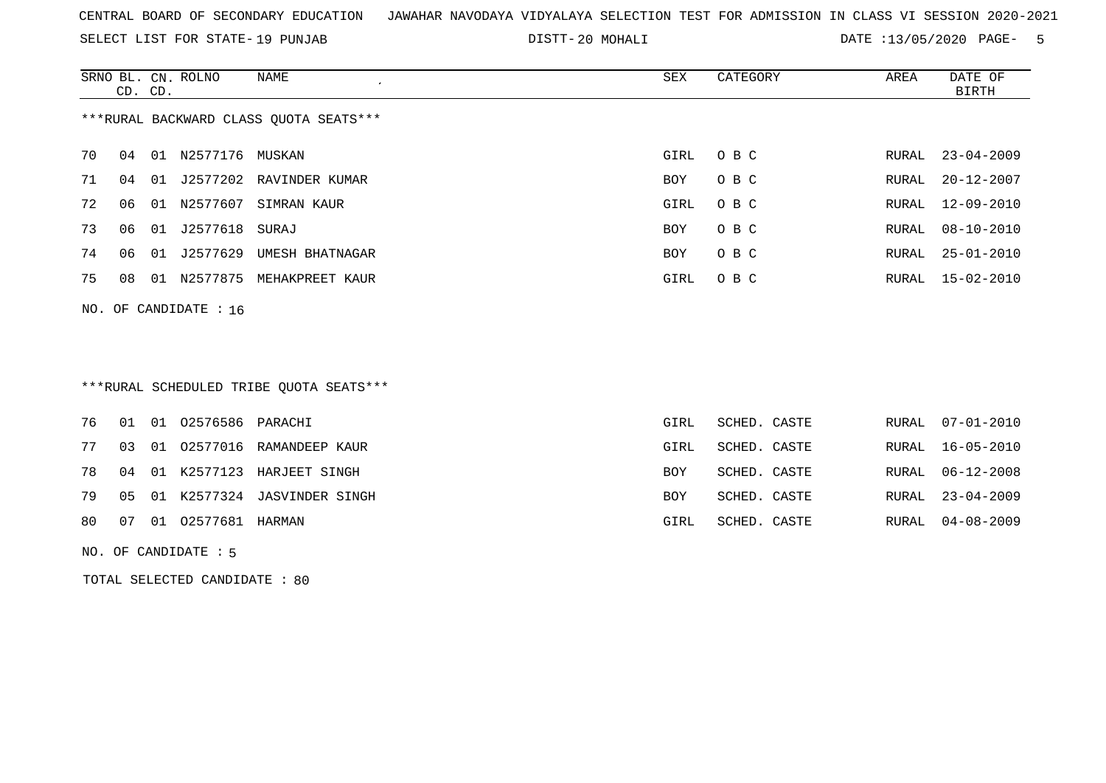SELECT LIST FOR STATE- DISTT- 19 PUNJAB

20 MOHALI DATE :13/05/2020 PAGE- 5

|    | CD. CD.                                |    | SRNO BL. CN. ROLNO | NAME            | SEX  | CATEGORY | AREA  | DATE OF<br><b>BIRTH</b> |  |  |
|----|----------------------------------------|----|--------------------|-----------------|------|----------|-------|-------------------------|--|--|
|    | ***RURAL BACKWARD CLASS QUOTA SEATS*** |    |                    |                 |      |          |       |                         |  |  |
| 70 | 04                                     | 01 | N2577176 MUSKAN    |                 | GIRL | O B C    | RURAL | $23 - 04 - 2009$        |  |  |
| 71 | 04                                     | 01 | J2577202           | RAVINDER KUMAR  | BOY  | O B C    | RURAL | 20-12-2007              |  |  |
| 72 | 06                                     | 01 | N2577607           | SIMRAN KAUR     | GIRL | O B C    |       | RURAL 12-09-2010        |  |  |
| 73 | 06                                     | 01 | J2577618           | SURAJ           | BOY  | O B C    | RURAL | 08-10-2010              |  |  |
| 74 | 06                                     | 01 | J2577629           | UMESH BHATNAGAR | BOY  | O B C    | RURAL | $25 - 01 - 2010$        |  |  |
| 75 | 08                                     | 01 | N2577875           | MEHAKPREET KAUR | GIRL | O B C    |       | RURAL 15-02-2010        |  |  |
|    | NO. OF CANDIDATE : $16$                |    |                    |                 |      |          |       |                         |  |  |

# \*\*\*RURAL SCHEDULED TRIBE QUOTA SEATS\*\*\*

|  | 76 01 01 02576586 PARACHI |                                   | GIRL | SCHED. CASTE |  | RURAL 07-01-2010 |
|--|---------------------------|-----------------------------------|------|--------------|--|------------------|
|  |                           | 77 03 01 02577016 RAMANDEEP KAUR  | GIRL | SCHED. CASTE |  | RURAL 16-05-2010 |
|  |                           | 78 04 01 K2577123 HARJEET SINGH   | BOY  | SCHED. CASTE |  | RURAL 06-12-2008 |
|  |                           | 79 05 01 K2577324 JASVINDER SINGH | BOY  | SCHED. CASTE |  | RURAL 23-04-2009 |
|  | 80 07 01 02577681 HARMAN  |                                   | GIRL | SCHED. CASTE |  | RURAL 04-08-2009 |
|  |                           |                                   |      |              |  |                  |

NO. OF CANDIDATE : 5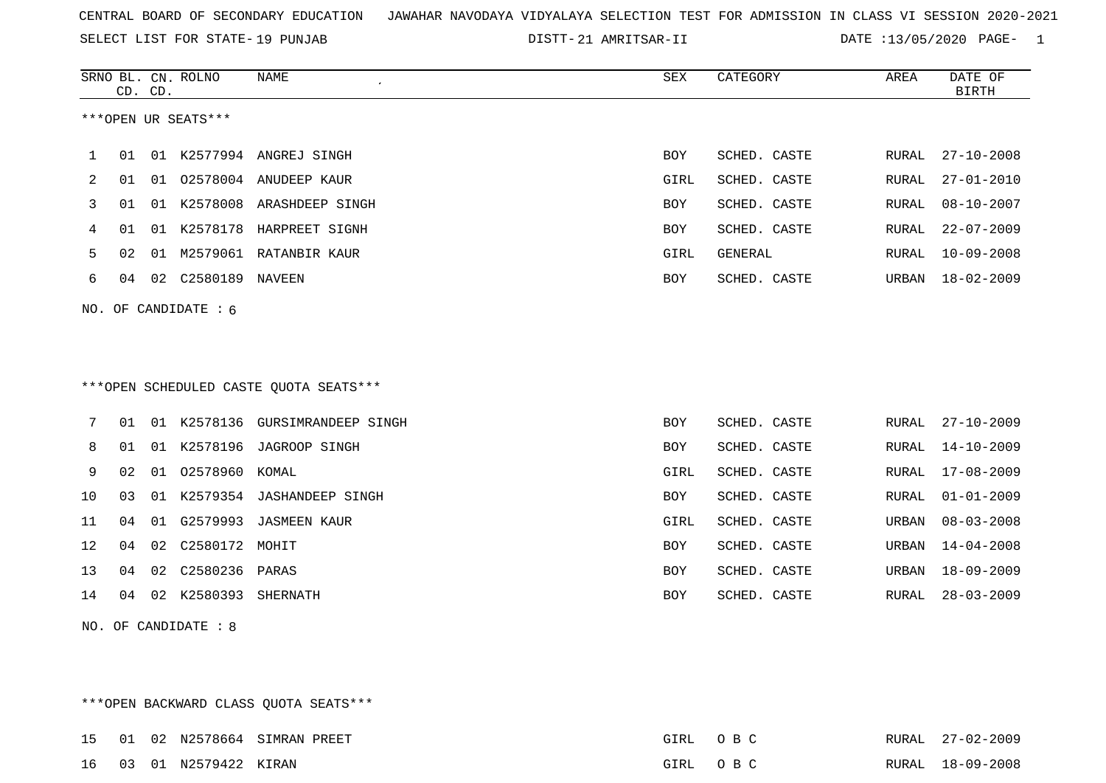SELECT LIST FOR STATE- DISTT- 19 PUNJAB

21 AMRITSAR-II DATE :13/05/2020 PAGE- 1

|    | CD. CD.              |    | SRNO BL. CN. ROLNO     | NAME                                   | <b>SEX</b> | CATEGORY     | AREA  | DATE OF<br><b>BIRTH</b> |  |  |
|----|----------------------|----|------------------------|----------------------------------------|------------|--------------|-------|-------------------------|--|--|
|    |                      |    | ***OPEN UR SEATS***    |                                        |            |              |       |                         |  |  |
| ı. | 01                   |    |                        | 01 K2577994 ANGREJ SINGH               | BOY        | SCHED. CASTE | RURAL | $27 - 10 - 2008$        |  |  |
| 2  | 01                   |    |                        | 01 02578004 ANUDEEP KAUR               | GIRL       | SCHED. CASTE | RURAL | $27 - 01 - 2010$        |  |  |
| 3  | 01                   |    |                        | 01 K2578008 ARASHDEEP SINGH            | BOY        | SCHED. CASTE | RURAL | $08 - 10 - 2007$        |  |  |
| 4  | 01                   |    |                        | 01 K2578178 HARPREET SIGNH             | <b>BOY</b> | SCHED. CASTE | RURAL | $22 - 07 - 2009$        |  |  |
| 5  | 02                   |    |                        | 01 M2579061 RATANBIR KAUR              | GIRL       | GENERAL      | RURAL | $10 - 09 - 2008$        |  |  |
| 6  | 04                   |    |                        |                                        | BOY        | SCHED. CASTE | URBAN | $18 - 02 - 2009$        |  |  |
|    |                      |    | NO. OF CANDIDATE : $6$ |                                        |            |              |       |                         |  |  |
|    |                      |    |                        |                                        |            |              |       |                         |  |  |
|    |                      |    |                        |                                        |            |              |       |                         |  |  |
|    |                      |    |                        | ***OPEN SCHEDULED CASTE QUOTA SEATS*** |            |              |       |                         |  |  |
| 7  | 01                   |    |                        | 01 K2578136 GURSIMRANDEEP SINGH        | <b>BOY</b> | SCHED. CASTE | RURAL | $27 - 10 - 2009$        |  |  |
| 8  | 01                   |    |                        | 01 K2578196 JAGROOP SINGH              | BOY        | SCHED. CASTE | RURAL | $14 - 10 - 2009$        |  |  |
| 9  | 02                   |    | 01 02578960 KOMAL      |                                        | GIRL       | SCHED. CASTE | RURAL | $17 - 08 - 2009$        |  |  |
| 10 | 03                   |    |                        | 01 K2579354 JASHANDEEP SINGH           | BOY        | SCHED. CASTE | RURAL | $01 - 01 - 2009$        |  |  |
| 11 | 04                   |    |                        | 01 G2579993 JASMEEN KAUR               | GIRL       | SCHED. CASTE | URBAN | $08 - 03 - 2008$        |  |  |
| 12 | 04                   | 02 | C2580172 MOHIT         |                                        | <b>BOY</b> | SCHED. CASTE | URBAN | $14 - 04 - 2008$        |  |  |
| 13 | 04                   | 02 | C2580236               | PARAS                                  | BOY        | SCHED. CASTE | URBAN | $18 - 09 - 2009$        |  |  |
| 14 | 04                   |    | 02 K2580393 SHERNATH   |                                        | <b>BOY</b> | SCHED. CASTE | RURAL | $28 - 03 - 2009$        |  |  |
|    | NO. OF CANDIDATE : 8 |    |                        |                                        |            |              |       |                         |  |  |

\*\*\*OPEN BACKWARD CLASS QUOTA SEATS\*\*\* 15 01 02 N2578664 SIMRAN PREET GIRL O B C RURAL 27-02-2009 16 03 01 N2579422 KIRAN GIRL O B C RURAL 18-09-2008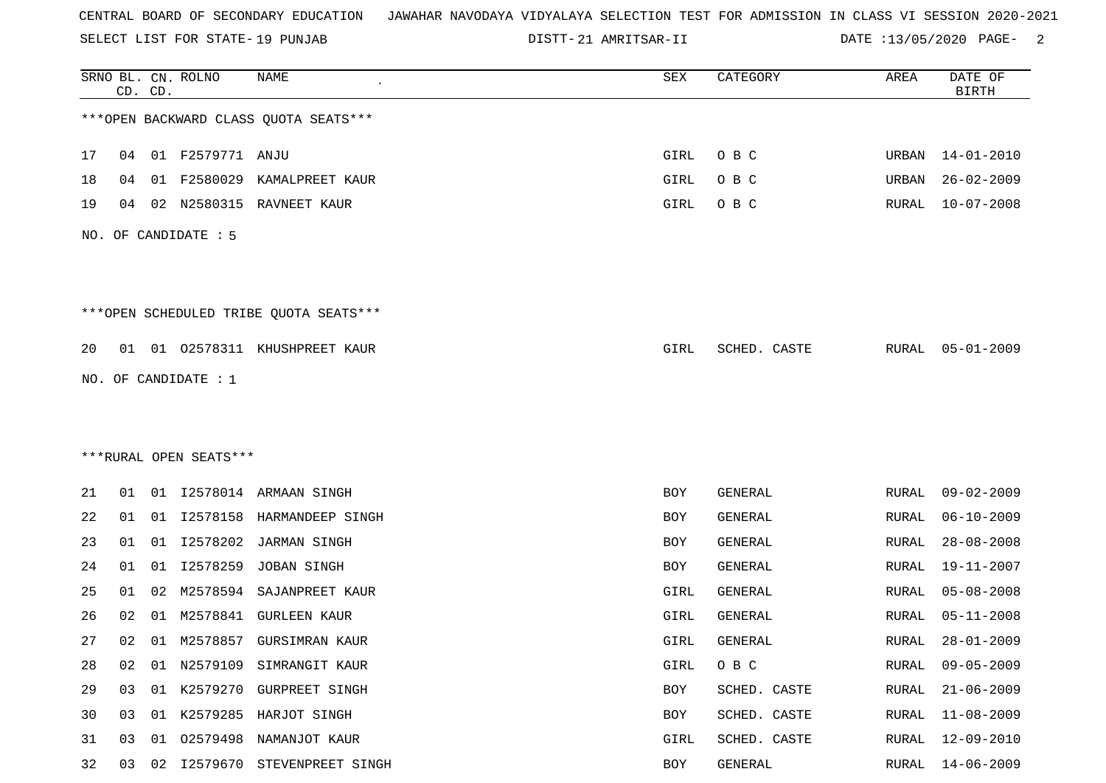SELECT LIST FOR STATE- DISTT- 19 PUNJAB

21 AMRITSAR-II DATE :13/05/2020 PAGE- 2

|    |    | CD. CD. | SRNO BL. CN. ROLNO     | NAME                                   | SEX  | CATEGORY       | AREA          | DATE OF<br><b>BIRTH</b> |
|----|----|---------|------------------------|----------------------------------------|------|----------------|---------------|-------------------------|
|    |    |         |                        | *** OPEN BACKWARD CLASS QUOTA SEATS*** |      |                |               |                         |
| 17 | 04 |         | 01 F2579771 ANJU       |                                        | GIRL | O B C          |               | URBAN 14-01-2010        |
| 18 | 04 | 01      | F2580029               | KAMALPREET KAUR                        | GIRL | O B C          | URBAN         | $26 - 02 - 2009$        |
| 19 | 04 | 02      | N2580315               | RAVNEET KAUR                           | GIRL | O B C          | RURAL         | $10 - 07 - 2008$        |
|    |    |         | NO. OF CANDIDATE : 5   |                                        |      |                |               |                         |
|    |    |         |                        | ***OPEN SCHEDULED TRIBE QUOTA SEATS*** |      |                |               |                         |
| 20 |    |         |                        | 01 01 02578311 KHUSHPREET KAUR         | GIRL | SCHED. CASTE   | RURAL         | 05-01-2009              |
|    |    |         | NO. OF CANDIDATE : $1$ |                                        |      |                |               |                         |
|    |    |         |                        |                                        |      |                |               |                         |
|    |    |         |                        |                                        |      |                |               |                         |
|    |    |         | ***RURAL OPEN SEATS*** |                                        |      |                |               |                         |
| 21 | 01 |         |                        | 01 I2578014 ARMAAN SINGH               | BOY  | GENERAL        | RURAL         | $09 - 02 - 2009$        |
| 22 | 01 |         |                        | 01 I2578158 HARMANDEEP SINGH           | BOY  | GENERAL        | RURAL         | $06 - 10 - 2009$        |
| 23 | 01 | 01      | I2578202               | JARMAN SINGH                           | BOY  | GENERAL        | RURAL         | $28 - 08 - 2008$        |
| 24 | 01 | 01      | I2578259               | JOBAN SINGH                            | BOY  | GENERAL        | ${\tt RURAL}$ | 19-11-2007              |
| 25 | 01 | 02      | M2578594               | SAJANPREET KAUR                        | GIRL | GENERAL        | RURAL         | $05 - 08 - 2008$        |
| 26 | 02 | 01      | M2578841               | <b>GURLEEN KAUR</b>                    | GIRL | <b>GENERAL</b> | RURAL         | $05 - 11 - 2008$        |
| 27 | 02 |         |                        | 01 M2578857 GURSIMRAN KAUR             | GIRL | GENERAL        | RURAL         | $28 - 01 - 2009$        |
| 28 | 02 | 01      |                        | N2579109 SIMRANGIT KAUR                | GIRL | O B C          | RURAL         | $09 - 05 - 2009$        |
| 29 | 03 |         |                        | 01 K2579270 GURPREET SINGH             | BOY  | SCHED. CASTE   | RURAL         | $21 - 06 - 2009$        |
| 30 | 03 |         |                        | 01 K2579285 HARJOT SINGH               | BOY  | SCHED. CASTE   | RURAL         | $11 - 08 - 2009$        |
| 31 | 03 | 01      |                        | 02579498 NAMANJOT KAUR                 | GIRL | SCHED. CASTE   | RURAL         | $12 - 09 - 2010$        |
| 32 | 03 | 02      |                        | 12579670 STEVENPREET SINGH             | BOY  | GENERAL        | RURAL         | $14 - 06 - 2009$        |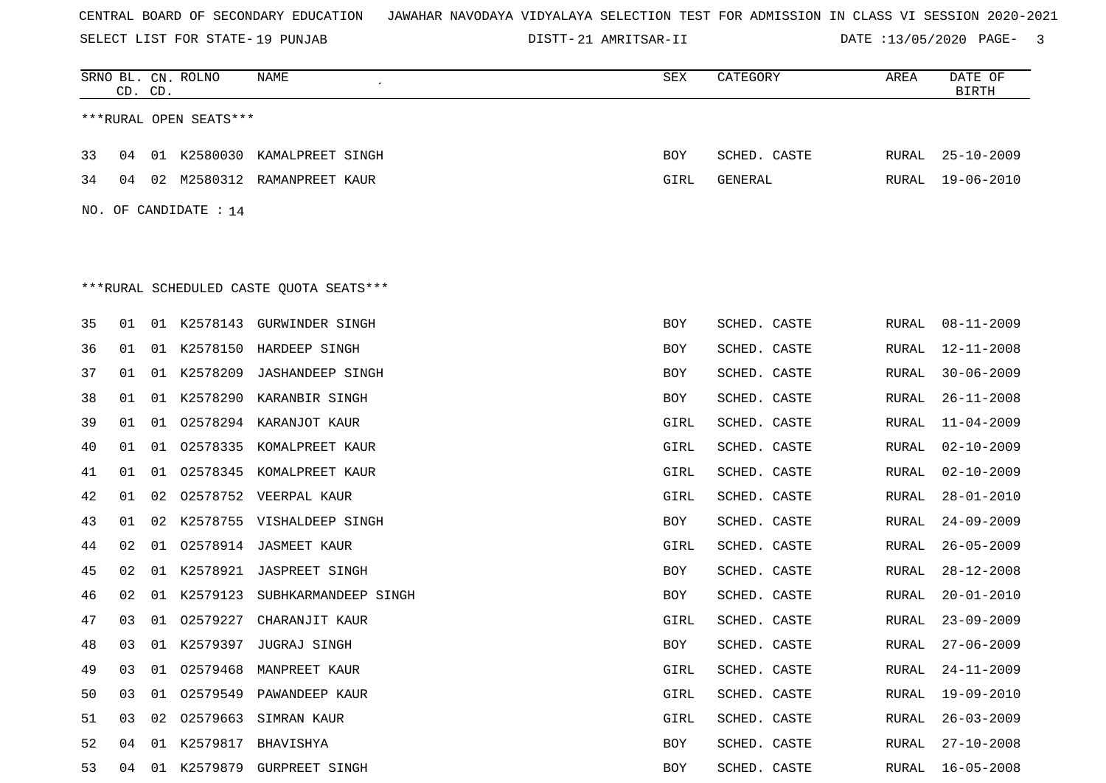SELECT LIST FOR STATE- DISTT- 19 PUNJAB

21 AMRITSAR-II DATE :13/05/2020 PAGE- 3

|                        | CD. CD.                                 |    | SRNO BL. CN. ROLNO    | NAME                           | SEX  | CATEGORY     | AREA  | DATE OF<br><b>BIRTH</b> |  |  |  |
|------------------------|-----------------------------------------|----|-----------------------|--------------------------------|------|--------------|-------|-------------------------|--|--|--|
| ***RURAL OPEN SEATS*** |                                         |    |                       |                                |      |              |       |                         |  |  |  |
| 33                     | 04                                      |    |                       | 01 K2580030 KAMALPREET SINGH   | BOY  | SCHED. CASTE | RURAL | $25 - 10 - 2009$        |  |  |  |
| 34                     |                                         |    |                       | 04 02 M2580312 RAMANPREET KAUR | GIRL | GENERAL      | RURAL | $19 - 06 - 2010$        |  |  |  |
|                        |                                         |    | NO. OF CANDIDATE : 14 |                                |      |              |       |                         |  |  |  |
|                        |                                         |    |                       |                                |      |              |       |                         |  |  |  |
|                        |                                         |    |                       |                                |      |              |       |                         |  |  |  |
|                        | ***RURAL SCHEDULED CASTE QUOTA SEATS*** |    |                       |                                |      |              |       |                         |  |  |  |
| 35                     | 01                                      |    |                       | 01 K2578143 GURWINDER SINGH    | BOY  | SCHED. CASTE | RURAL | $08 - 11 - 2009$        |  |  |  |
| 36                     | 01                                      |    |                       | 01 K2578150 HARDEEP SINGH      | BOY  | SCHED. CASTE | RURAL | $12 - 11 - 2008$        |  |  |  |
| 37                     | 01                                      |    |                       | 01 K2578209 JASHANDEEP SINGH   | BOY  | SCHED. CASTE | RURAL | $30 - 06 - 2009$        |  |  |  |
| 38                     | 01                                      | 01 |                       | K2578290 KARANBIR SINGH        | BOY  | SCHED. CASTE | RURAL | $26 - 11 - 2008$        |  |  |  |
| 39                     | 01                                      | 01 |                       | 02578294 KARANJOT KAUR         | GIRL | SCHED. CASTE | RURAL | $11 - 04 - 2009$        |  |  |  |
| 40                     | 01                                      | 01 |                       | 02578335 KOMALPREET KAUR       | GIRL | SCHED. CASTE | RURAL | $02 - 10 - 2009$        |  |  |  |
| 41                     | 01                                      |    |                       | 01 02578345 KOMALPREET KAUR    | GIRL | SCHED. CASTE | RURAL | $02 - 10 - 2009$        |  |  |  |
| 42                     | 01                                      | 02 |                       | 02578752 VEERPAL KAUR          | GIRL | SCHED. CASTE | RURAL | $28 - 01 - 2010$        |  |  |  |
| 43                     | 01                                      | 02 |                       | K2578755 VISHALDEEP SINGH      | BOY  | SCHED. CASTE | RURAL | $24 - 09 - 2009$        |  |  |  |
| 44                     | 02                                      |    |                       | 01 02578914 JASMEET KAUR       | GIRL | SCHED. CASTE | RURAL | $26 - 05 - 2009$        |  |  |  |
| 45                     | 02                                      | 01 |                       | K2578921 JASPREET SINGH        | BOY  | SCHED. CASTE | RURAL | $28 - 12 - 2008$        |  |  |  |
| 46                     | 02                                      | 01 |                       | K2579123 SUBHKARMANDEEP SINGH  | BOY  | SCHED. CASTE | RURAL | $20 - 01 - 2010$        |  |  |  |
| 47                     | 03                                      | 01 | 02579227              | CHARANJIT KAUR                 | GIRL | SCHED. CASTE | RURAL | $23 - 09 - 2009$        |  |  |  |
| 48                     | 03                                      |    |                       | 01 K2579397 JUGRAJ SINGH       | BOY  | SCHED. CASTE | RURAL | $27 - 06 - 2009$        |  |  |  |
| 49                     | 03                                      |    |                       | 01 02579468 MANPREET KAUR      | GIRL | SCHED. CASTE |       | RURAL 24-11-2009        |  |  |  |
| 50                     | 03                                      |    |                       | 01 02579549 PAWANDEEP KAUR     | GIRL | SCHED. CASTE | RURAL | 19-09-2010              |  |  |  |
| 51                     | 03                                      |    |                       | 02 02579663 SIMRAN KAUR        | GIRL | SCHED. CASTE | RURAL | $26 - 03 - 2009$        |  |  |  |
| 52                     |                                         |    |                       | 04 01 K2579817 BHAVISHYA       | BOY  | SCHED. CASTE | RURAL | 27-10-2008              |  |  |  |
| 53                     |                                         |    |                       | 04 01 K2579879 GURPREET SINGH  | BOY  | SCHED. CASTE |       | RURAL 16-05-2008        |  |  |  |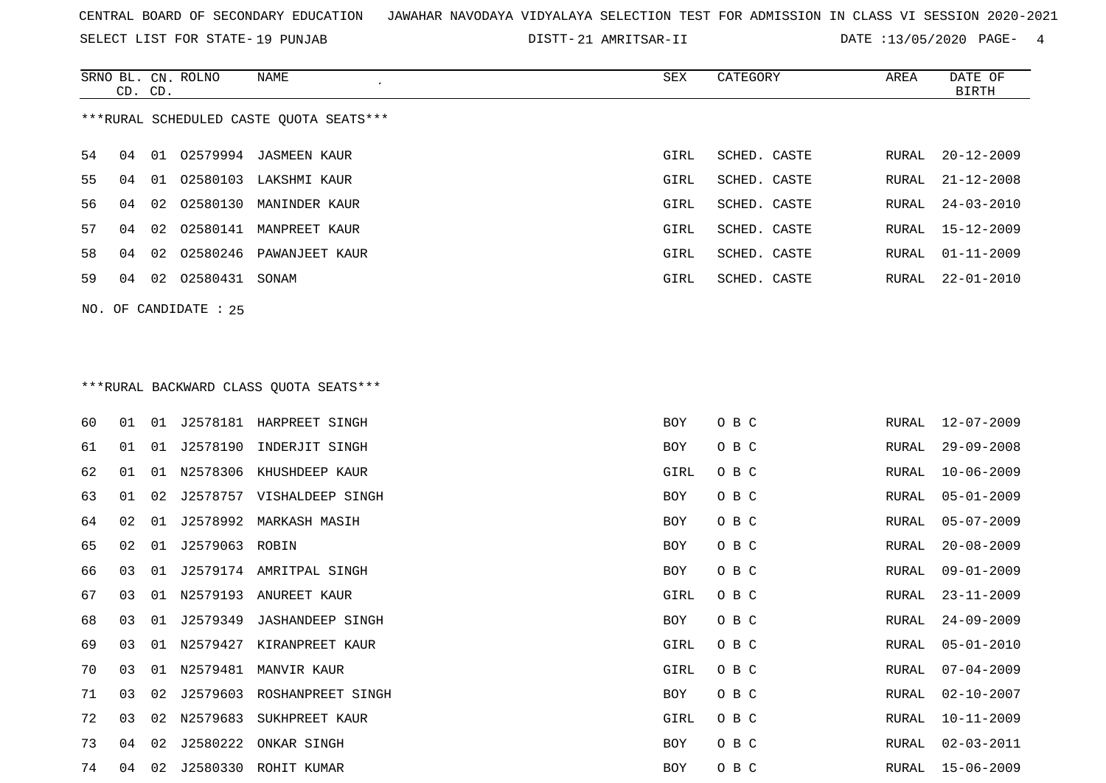SELECT LIST FOR STATE- DISTT- 19 PUNJAB

21 AMRITSAR-II DATE :13/05/2020 PAGE- 4

|    | CD. | CD. | SRNO BL. CN. ROLNO    | NAME                                    | SEX        | CATEGORY     | AREA  | DATE OF<br><b>BIRTH</b> |  |  |  |
|----|-----|-----|-----------------------|-----------------------------------------|------------|--------------|-------|-------------------------|--|--|--|
|    |     |     |                       | ***RURAL SCHEDULED CASTE QUOTA SEATS*** |            |              |       |                         |  |  |  |
| 54 | 04  |     |                       | 01 02579994 JASMEEN KAUR                | GIRL       | SCHED. CASTE | RURAL | $20 - 12 - 2009$        |  |  |  |
| 55 | 04  |     |                       | 01  02580103  LAKSHMI  KAUR             | GIRL       | SCHED. CASTE | RURAL | $21 - 12 - 2008$        |  |  |  |
| 56 | 04  | 02  |                       | 02580130 MANINDER KAUR                  | GIRL       | SCHED. CASTE | RURAL | $24 - 03 - 2010$        |  |  |  |
| 57 | 04  | 02  |                       | 02580141 MANPREET KAUR                  | GIRL       | SCHED. CASTE | RURAL | $15 - 12 - 2009$        |  |  |  |
| 58 | 04  | 02  | 02580246              | PAWANJEET KAUR                          | GIRL       | SCHED. CASTE | RURAL | $01 - 11 - 2009$        |  |  |  |
| 59 | 04  |     | 02 02580431 SONAM     |                                         | GIRL       | SCHED. CASTE | RURAL | $22 - 01 - 2010$        |  |  |  |
|    |     |     | NO. OF CANDIDATE : 25 |                                         |            |              |       |                         |  |  |  |
|    |     |     |                       |                                         |            |              |       |                         |  |  |  |
|    |     |     |                       |                                         |            |              |       |                         |  |  |  |
|    |     |     |                       | *** RURAL BACKWARD CLASS QUOTA SEATS*** |            |              |       |                         |  |  |  |
| 60 | 01  |     |                       | 01 J2578181 HARPREET SINGH              | BOY        | O B C        | RURAL | $12 - 07 - 2009$        |  |  |  |
| 61 | 01  |     | 01 J2578190           | INDERJIT SINGH                          | BOY        | O B C        | RURAL | $29 - 09 - 2008$        |  |  |  |
| 62 | 01  | 01  | N2578306              | KHUSHDEEP KAUR                          | GIRL       | O B C        | RURAL | $10 - 06 - 2009$        |  |  |  |
| 63 | 01  | 02  |                       | J2578757 VISHALDEEP SINGH               | <b>BOY</b> | O B C        | RURAL | $05 - 01 - 2009$        |  |  |  |
| 64 | 02  | 01  |                       | J2578992 MARKASH MASIH                  | BOY        | O B C        | RURAL | $05 - 07 - 2009$        |  |  |  |
| 65 | 02  | 01  | J2579063 ROBIN        |                                         | BOY        | O B C        | RURAL | $20 - 08 - 2009$        |  |  |  |
| 66 | 03  | 01  |                       | J2579174 AMRITPAL SINGH                 | BOY        | O B C        | RURAL | $09 - 01 - 2009$        |  |  |  |
| 67 | 03  |     |                       | 01 N2579193 ANUREET KAUR                | GIRL       | O B C        | RURAL | $23 - 11 - 2009$        |  |  |  |
| 68 | 03  |     | 01 J2579349           | <b>JASHANDEEP SINGH</b>                 | BOY        | O B C        | RURAL | $24 - 09 - 2009$        |  |  |  |
| 69 | 03  | 01  |                       | N2579427 KIRANPREET KAUR                | GIRL       | O B C        | RURAL | $05 - 01 - 2010$        |  |  |  |
| 70 | 03  | 01  |                       | N2579481 MANVIR KAUR                    | GIRL       | O B C        | RURAL | $07 - 04 - 2009$        |  |  |  |
| 71 | 03  | 02  |                       | J2579603 ROSHANPREET SINGH              | <b>BOY</b> | O B C        | RURAL | $02 - 10 - 2007$        |  |  |  |
| 72 | 03  |     |                       | 02 N2579683 SUKHPREET KAUR              | GIRL       | O B C        | RURAL | $10 - 11 - 2009$        |  |  |  |

 04 02 J2580222 ONKAR SINGH BOY O B C RURAL 02-03-2011 04 02 J2580330 ROHIT KUMAR BOY O B C RURAL 15-06-2009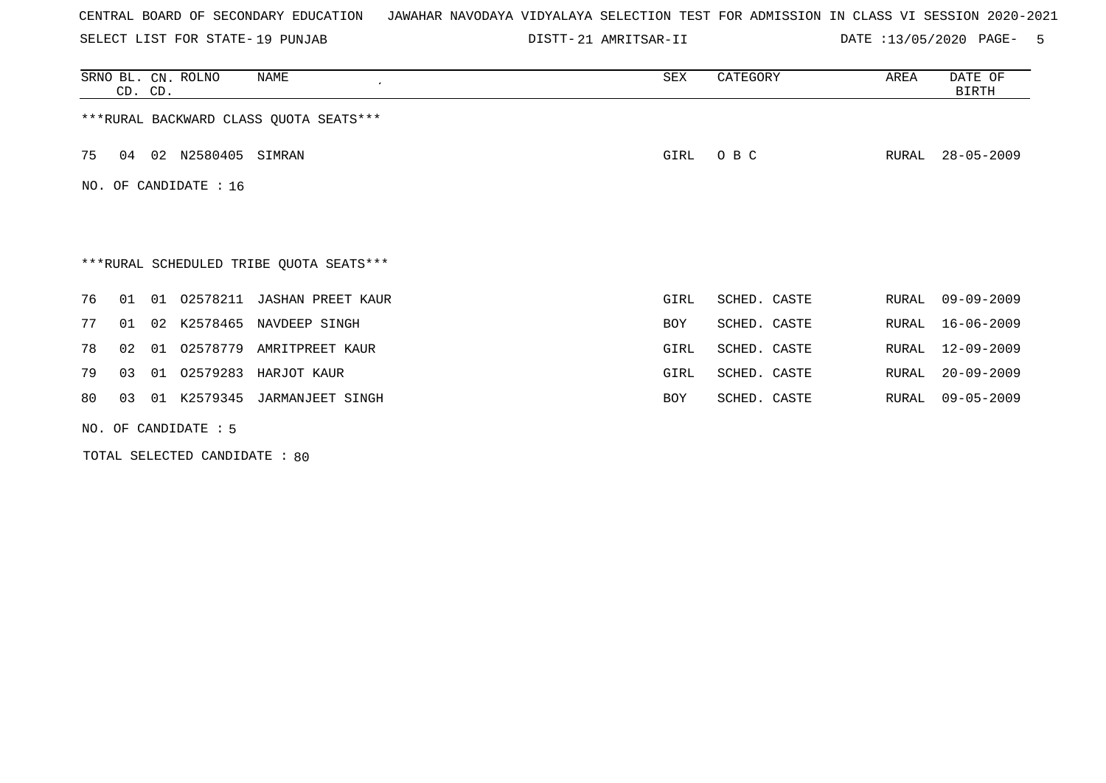SELECT LIST FOR STATE- DISTT- 19 PUNJAB

21 AMRITSAR-II DATE :13/05/2020 PAGE- 5

|     | CD. CD.              |    | SRNO BL. CN. ROLNO | NAME<br>$\cdot$                         | SEX  | CATEGORY     | AREA  | DATE OF<br>BIRTH |  |  |  |
|-----|----------------------|----|--------------------|-----------------------------------------|------|--------------|-------|------------------|--|--|--|
|     |                      |    |                    | ***RURAL BACKWARD CLASS QUOTA SEATS***  |      |              |       |                  |  |  |  |
| 75  | 04                   |    | 02 N2580405        | SIMRAN                                  | GIRL | O B C        | RURAL | $28 - 05 - 2009$ |  |  |  |
| NO. | OF CANDIDATE : 16    |    |                    |                                         |      |              |       |                  |  |  |  |
|     |                      |    |                    |                                         |      |              |       |                  |  |  |  |
|     |                      |    |                    | ***RURAL SCHEDULED TRIBE QUOTA SEATS*** |      |              |       |                  |  |  |  |
| 76  | 01                   | 01 | 02578211           | <b>JASHAN PREET KAUR</b>                | GIRL | SCHED. CASTE | RURAL | $09 - 09 - 2009$ |  |  |  |
| 77  | 01                   | 02 | K2578465           | NAVDEEP SINGH                           | BOY  | SCHED. CASTE | RURAL | $16 - 06 - 2009$ |  |  |  |
| 78  | 02                   | 01 | 02578779           | AMRITPREET KAUR                         | GIRL | SCHED. CASTE | RURAL | $12 - 09 - 2009$ |  |  |  |
| 79  | 03                   | 01 | 02579283           | HARJOT KAUR                             | GIRL | SCHED. CASTE | RURAL | $20 - 09 - 2009$ |  |  |  |
| 80  | 03                   | 01 | K2579345           | JARMANJEET SINGH                        | BOY  | SCHED. CASTE | RURAL | $09 - 05 - 2009$ |  |  |  |
|     | NO. OF CANDIDATE : 5 |    |                    |                                         |      |              |       |                  |  |  |  |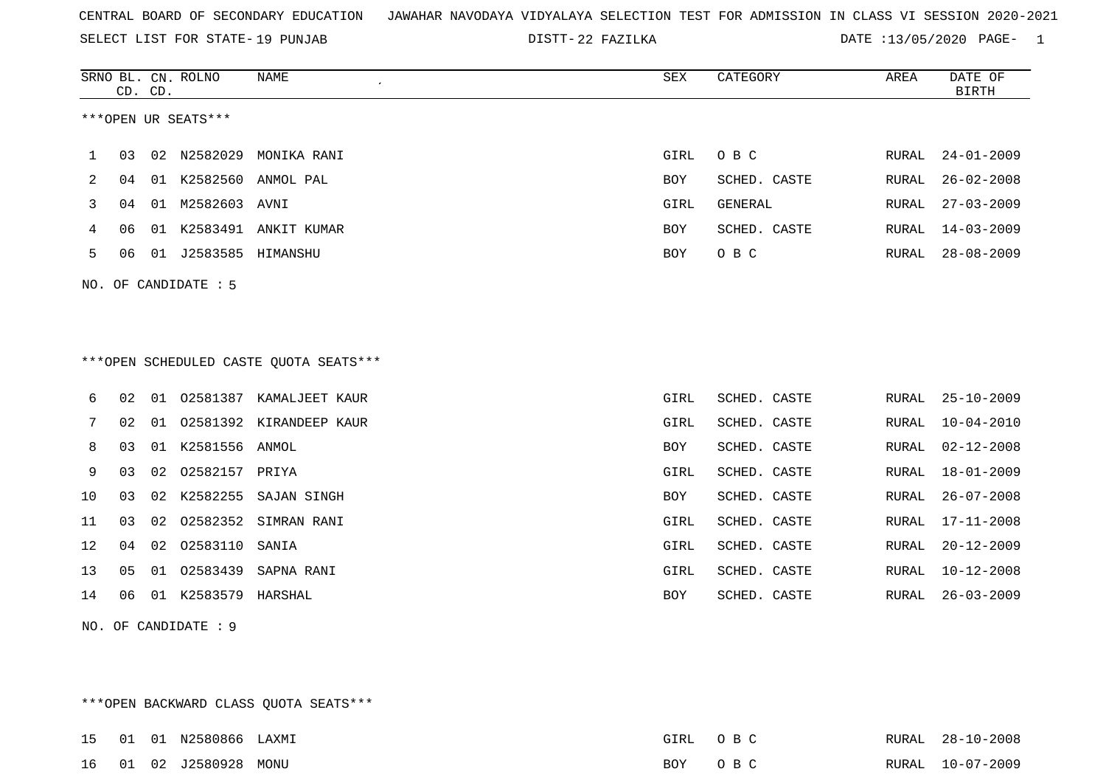SELECT LIST FOR STATE- DISTT- 19 PUNJAB

DISTT-22 FAZILKA DATE :13/05/2020 PAGE- 1

|    |    | CD. CD. | SRNO BL. CN. ROLNO   | <b>NAME</b>                            | SEX        | CATEGORY     | AREA         | DATE OF<br><b>BIRTH</b> |
|----|----|---------|----------------------|----------------------------------------|------------|--------------|--------------|-------------------------|
|    |    |         | ***OPEN UR SEATS***  |                                        |            |              |              |                         |
| 1  | 03 |         | 02 N2582029          | MONIKA RANI                            | GIRL       | O B C        | RURAL        | $24 - 01 - 2009$        |
| 2  | 04 |         |                      | 01 K2582560 ANMOL PAL                  | BOY        | SCHED. CASTE | RURAL        | $26 - 02 - 2008$        |
| 3  | 04 | 01      | M2582603             | AVNI                                   | GIRL       | GENERAL      | RURAL        | $27 - 03 - 2009$        |
| 4  | 06 | 01      |                      | K2583491 ANKIT KUMAR                   | BOY        | SCHED. CASTE | RURAL        | $14 - 03 - 2009$        |
| 5  | 06 |         | 01 J2583585 HIMANSHU |                                        | <b>BOY</b> | O B C        | RURAL        | $28 - 08 - 2009$        |
|    |    |         | NO. OF CANDIDATE : 5 |                                        |            |              |              |                         |
|    |    |         |                      |                                        |            |              |              |                         |
|    |    |         |                      |                                        |            |              |              |                         |
|    |    |         |                      | ***OPEN SCHEDULED CASTE QUOTA SEATS*** |            |              |              |                         |
| 6  | 02 |         |                      | 01 02581387 KAMALJEET KAUR             | GIRL       | SCHED. CASTE | RURAL        | $25 - 10 - 2009$        |
| 7  | 02 | 01      |                      | 02581392 KIRANDEEP KAUR                | GIRL       | SCHED. CASTE | RURAL        | $10 - 04 - 2010$        |
| 8  | 03 |         | 01 K2581556 ANMOL    |                                        | BOY        | SCHED. CASTE | RURAL        | $02 - 12 - 2008$        |
| 9  | 03 | 02      | 02582157 PRIYA       |                                        | GIRL       | SCHED. CASTE | RURAL        | $18 - 01 - 2009$        |
| 10 | 03 |         | 02 K2582255          | SAJAN SINGH                            | BOY        | SCHED. CASTE | <b>RURAL</b> | $26 - 07 - 2008$        |
| 11 | 03 | 02      | 02582352             | SIMRAN RANI                            | GIRL       | SCHED. CASTE | RURAL        | $17 - 11 - 2008$        |
| 12 | 04 | 02      | 02583110             | SANIA                                  | GIRL       | SCHED. CASTE | RURAL        | $20 - 12 - 2009$        |
| 13 | 05 | 01      | 02583439             | SAPNA RANI                             | GIRL       | SCHED. CASTE | RURAL        | $10 - 12 - 2008$        |
| 14 | 06 | 01      | K2583579 HARSHAL     |                                        | <b>BOY</b> | SCHED. CASTE | <b>RURAL</b> | $26 - 03 - 2009$        |
|    |    |         |                      |                                        |            |              |              |                         |

\*\*\*OPEN BACKWARD CLASS QUOTA SEATS\*\*\*

NO. OF CANDIDATE : 9

|  | 15   01   01   N2580866   LAXMI |  | GIRL OBC | RURAL 28-10-2008 |
|--|---------------------------------|--|----------|------------------|
|  | 16  01  02  J2580928  MONU      |  | BOY OBC  | RURAL 10-07-2009 |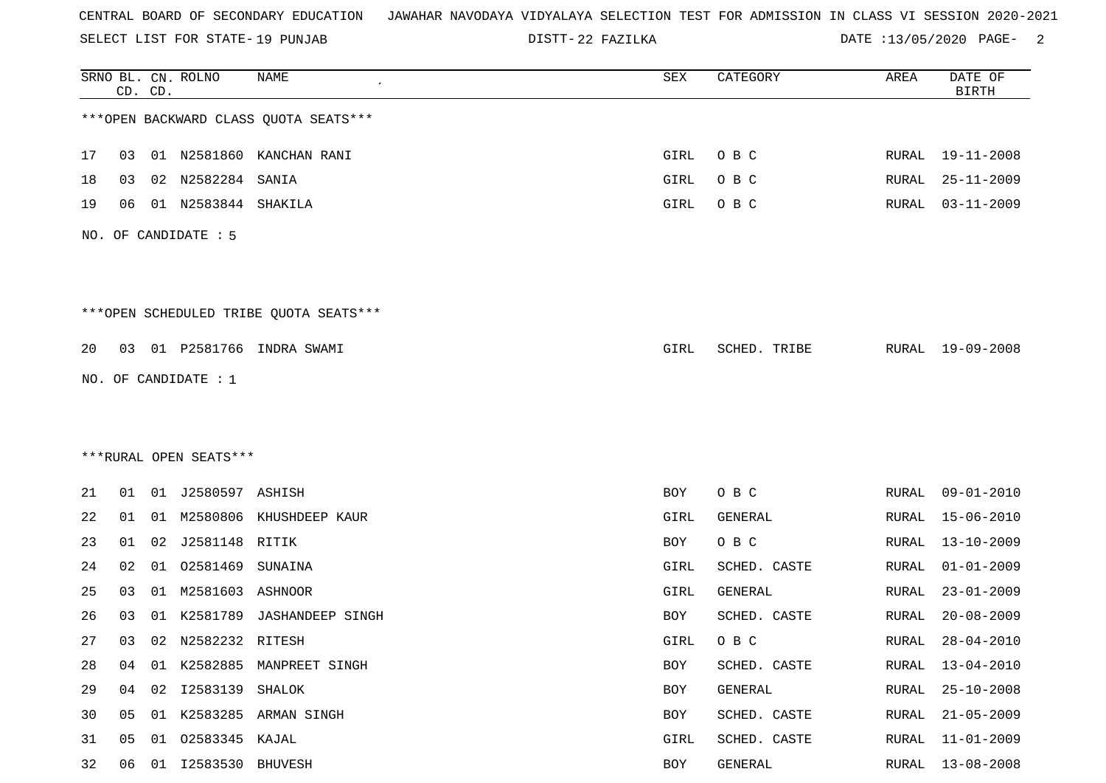SELECT LIST FOR STATE- DISTT- 19 PUNJAB

22 FAZILKA DATE :13/05/2020 PAGE- 2

|    |    | CD. CD. | SRNO BL. CN. ROLNO     | <b>NAME</b>                            | SEX  | CATEGORY       | AREA         | DATE OF<br><b>BIRTH</b> |
|----|----|---------|------------------------|----------------------------------------|------|----------------|--------------|-------------------------|
|    |    |         |                        | *** OPEN BACKWARD CLASS QUOTA SEATS*** |      |                |              |                         |
| 17 | 03 |         |                        | 01 N2581860 KANCHAN RANI               | GIRL | O B C          |              | RURAL 19-11-2008        |
| 18 | 03 |         | 02 N2582284 SANIA      |                                        | GIRL | O B C          | RURAL        | $25 - 11 - 2009$        |
| 19 | 06 |         | 01 N2583844 SHAKILA    |                                        | GIRL | O B C          | RURAL        | $03 - 11 - 2009$        |
|    |    |         | NO. OF CANDIDATE : 5   |                                        |      |                |              |                         |
|    |    |         |                        | ***OPEN SCHEDULED TRIBE QUOTA SEATS*** |      |                |              |                         |
| 20 |    |         |                        | 03 01 P2581766 INDRA SWAMI             | GIRL | SCHED. TRIBE   |              | RURAL 19-09-2008        |
|    |    |         | NO. OF CANDIDATE : 1   |                                        |      |                |              |                         |
|    |    |         |                        |                                        |      |                |              |                         |
|    |    |         |                        |                                        |      |                |              |                         |
|    |    |         | ***RURAL OPEN SEATS*** |                                        |      |                |              |                         |
| 21 |    |         | 01 01 J2580597 ASHISH  |                                        | BOY  | O B C          | RURAL        | $09 - 01 - 2010$        |
| 22 | 01 |         |                        | 01 M2580806 KHUSHDEEP KAUR             | GIRL | GENERAL        | RURAL        | $15 - 06 - 2010$        |
| 23 | 01 |         | 02 J2581148 RITIK      |                                        | BOY  | O B C          | RURAL        | $13 - 10 - 2009$        |
| 24 | 02 |         | 01 02581469            | SUNAINA                                | GIRL | SCHED. CASTE   | RURAL        | $01 - 01 - 2009$        |
| 25 | 03 |         | 01 M2581603 ASHNOOR    |                                        | GIRL | <b>GENERAL</b> | RURAL        | $23 - 01 - 2009$        |
| 26 | 03 | 01      | K2581789               | <b>JASHANDEEP SINGH</b>                | BOY  | SCHED. CASTE   | RURAL        | $20 - 08 - 2009$        |
| 27 | 03 |         | 02 N2582232 RITESH     |                                        | GIRL | O B C          | RURAL        | $28 - 04 - 2010$        |
| 28 | 04 |         |                        | 01 K2582885 MANPREET SINGH             | BOY  | SCHED. CASTE   | RURAL        | $13 - 04 - 2010$        |
| 29 | 04 |         | 02 I2583139 SHALOK     |                                        | BOY  | GENERAL        | RURAL        | $25 - 10 - 2008$        |
| 30 | 05 |         |                        | 01 K2583285 ARMAN SINGH                | BOY  | SCHED. CASTE   | <b>RURAL</b> | $21 - 05 - 2009$        |
| 31 | 05 |         | 01 02583345 KAJAL      |                                        | GIRL | SCHED. CASTE   | RURAL        | $11 - 01 - 2009$        |
| 32 | 06 |         | 01  12583530  BHUVESH  |                                        | BOY  | GENERAL        | RURAL        | $13 - 08 - 2008$        |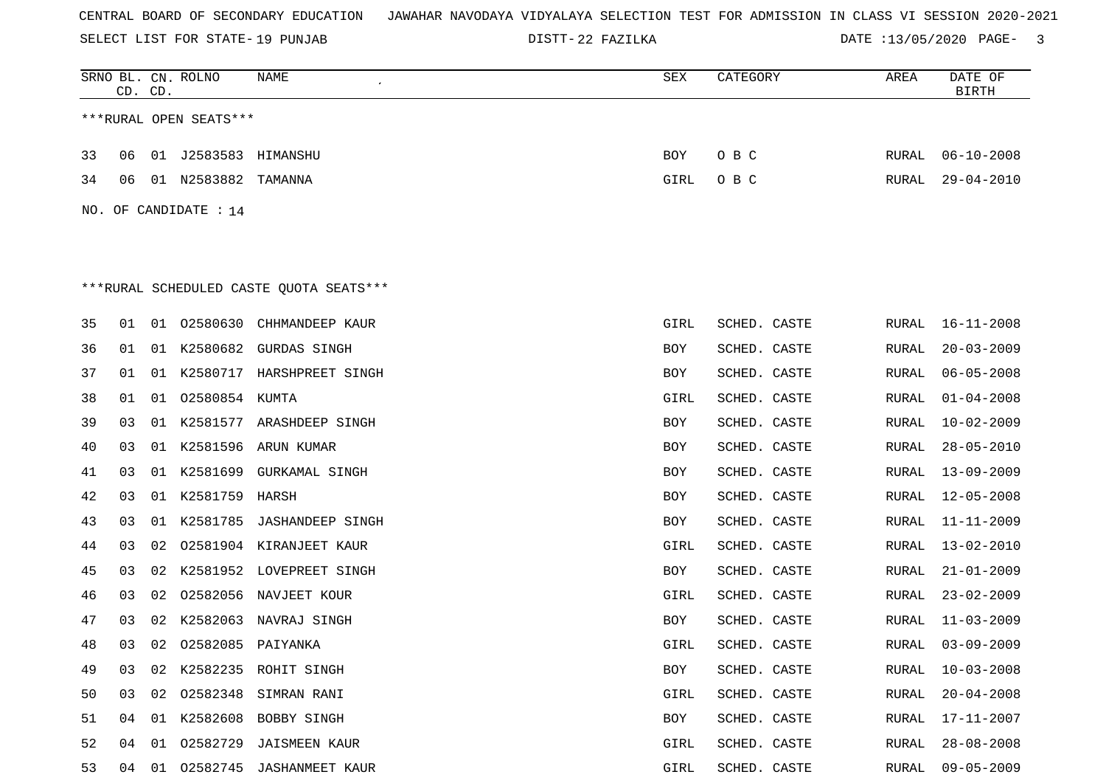SELECT LIST FOR STATE- DISTT- 19 PUNJAB

22 FAZILKA DATE :13/05/2020 PAGE- 3

|                                         | CD. CD. |    | SRNO BL. CN. ROLNO     | NAME                           | SEX        | CATEGORY     | AREA  | DATE OF<br><b>BIRTH</b> |  |  |
|-----------------------------------------|---------|----|------------------------|--------------------------------|------------|--------------|-------|-------------------------|--|--|
|                                         |         |    | ***RURAL OPEN SEATS*** |                                |            |              |       |                         |  |  |
| 33                                      | 06      |    | 01 J2583583 HIMANSHU   |                                | BOY        | O B C        | RURAL | $06 - 10 - 2008$        |  |  |
| 34                                      | 06      |    | 01 N2583882 TAMANNA    |                                | GIRL       | O B C        | RURAL | $29 - 04 - 2010$        |  |  |
|                                         |         |    | NO. OF CANDIDATE : 14  |                                |            |              |       |                         |  |  |
|                                         |         |    |                        |                                |            |              |       |                         |  |  |
|                                         |         |    |                        |                                |            |              |       |                         |  |  |
| ***RURAL SCHEDULED CASTE QUOTA SEATS*** |         |    |                        |                                |            |              |       |                         |  |  |
| 35                                      | 01      |    | 01 02580630            | CHHMANDEEP KAUR                | GIRL       | SCHED. CASTE | RURAL | $16 - 11 - 2008$        |  |  |
| 36                                      | 01      |    |                        | 01 K2580682 GURDAS SINGH       | BOY        | SCHED. CASTE | RURAL | $20 - 03 - 2009$        |  |  |
| 37                                      | 01      |    |                        | 01 K2580717 HARSHPREET SINGH   | BOY        | SCHED. CASTE | RURAL | $06 - 05 - 2008$        |  |  |
| 38                                      | 01      |    | 01 02580854 KUMTA      |                                | GIRL       | SCHED. CASTE | RURAL | $01 - 04 - 2008$        |  |  |
| 39                                      | 03      |    |                        | 01 K2581577 ARASHDEEP SINGH    | BOY        | SCHED. CASTE | RURAL | $10 - 02 - 2009$        |  |  |
| 40                                      | 03      |    |                        | 01 K2581596 ARUN KUMAR         | BOY        | SCHED. CASTE | RURAL | $28 - 05 - 2010$        |  |  |
| 41                                      | 03      |    |                        | 01 K2581699 GURKAMAL SINGH     | BOY        | SCHED. CASTE | RURAL | 13-09-2009              |  |  |
| 42                                      | 03      |    | 01 K2581759 HARSH      |                                | BOY        | SCHED. CASTE | RURAL | $12 - 05 - 2008$        |  |  |
| 43                                      | 03      | 01 |                        | K2581785 JASHANDEEP SINGH      | BOY        | SCHED. CASTE | RURAL | $11 - 11 - 2009$        |  |  |
| 44                                      | 03      | 02 |                        | 02581904 KIRANJEET KAUR        | GIRL       | SCHED. CASTE | RURAL | $13 - 02 - 2010$        |  |  |
| 45                                      | 03      | 02 |                        | K2581952 LOVEPREET SINGH       | BOY        | SCHED. CASTE | RURAL | $21 - 01 - 2009$        |  |  |
| 46                                      | 03      | 02 |                        | 02582056 NAVJEET KOUR          | GIRL       | SCHED. CASTE | RURAL | $23 - 02 - 2009$        |  |  |
| 47                                      | 03      | 02 |                        | K2582063 NAVRAJ SINGH          | BOY        | SCHED. CASTE | RURAL | $11 - 03 - 2009$        |  |  |
| 48                                      | 03      |    | 02 02582085 PAIYANKA   |                                | GIRL       | SCHED. CASTE | RURAL | $03 - 09 - 2009$        |  |  |
| 49                                      | 03      |    |                        | 02 K2582235 ROHIT SINGH        | <b>BOY</b> | SCHED. CASTE | RURAL | $10 - 03 - 2008$        |  |  |
| 50                                      | 03      |    |                        | 02 02582348 SIMRAN RANI        | GIRL       | SCHED. CASTE | RURAL | $20 - 04 - 2008$        |  |  |
| 51                                      | 04      |    |                        | 01 K2582608 BOBBY SINGH        | BOY        | SCHED. CASTE | RURAL | 17-11-2007              |  |  |
| 52                                      |         |    |                        | 04 01 02582729 JAISMEEN KAUR   | GIRL       | SCHED. CASTE | RURAL | $28 - 08 - 2008$        |  |  |
| 53                                      |         |    |                        | 04 01 02582745 JASHANMEET KAUR | GIRL       | SCHED. CASTE |       | RURAL 09-05-2009        |  |  |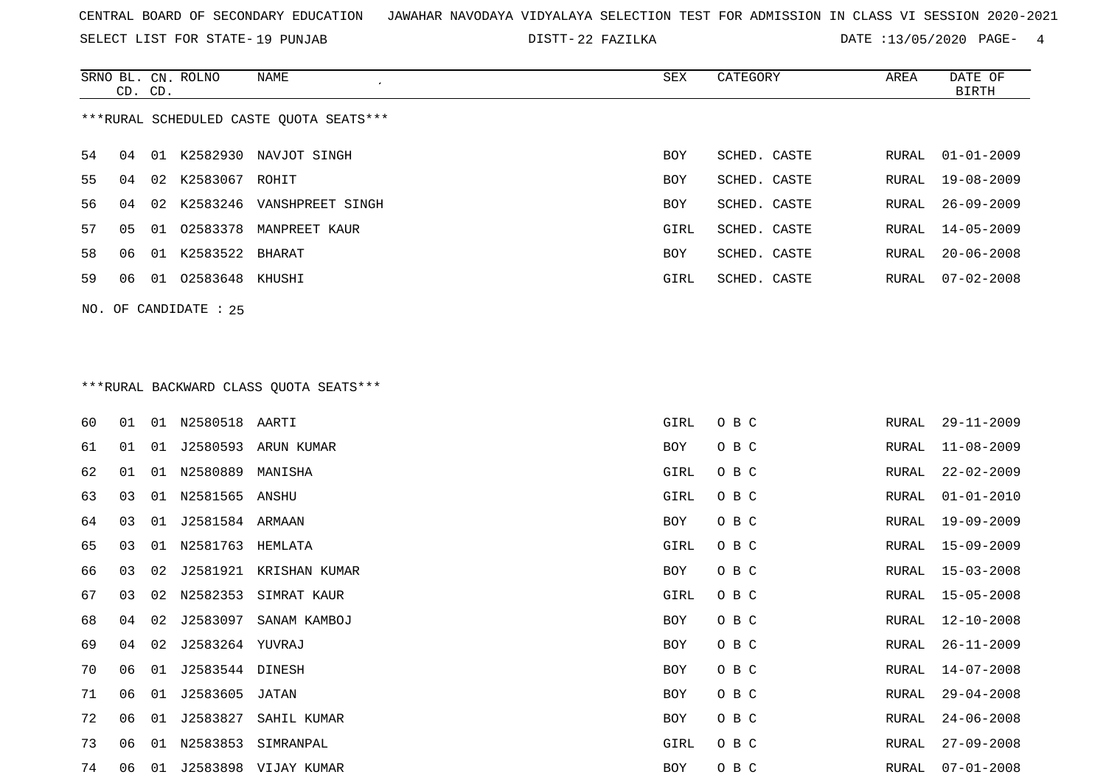SELECT LIST FOR STATE- DISTT- 19 PUNJAB

DISTT-22 FAZILKA DATE :13/05/2020 PAGE- 4

|                                         | CD. CD. |                 | SRNO BL. CN. ROLNO | NAME                      | SEX        | CATEGORY     | AREA  | DATE OF<br>BIRTH |  |  |
|-----------------------------------------|---------|-----------------|--------------------|---------------------------|------------|--------------|-------|------------------|--|--|
| ***RURAL SCHEDULED CASTE OUOTA SEATS*** |         |                 |                    |                           |            |              |       |                  |  |  |
| 54                                      | 04      | . N 1           | K2582930           | NAVJOT SINGH              | <b>BOY</b> | SCHED. CASTE | RURAL | $01 - 01 - 2009$ |  |  |
| 55                                      | 04      | 02 <sub>o</sub> | K2583067           | ROHIT                     | <b>BOY</b> | SCHED. CASTE | RURAL | $19 - 08 - 2009$ |  |  |
| 56                                      | 04      | 02              |                    | K2583246 VANSHPREET SINGH | <b>BOY</b> | SCHED. CASTE | RURAL | 26-09-2009       |  |  |
| 57                                      | 05      | 01              | 02583378           | MANPREET KAUR             | GIRL       | SCHED. CASTE | RURAL | 14-05-2009       |  |  |
| 58                                      | 06      | 01              | K2583522 BHARAT    |                           | <b>BOY</b> | SCHED. CASTE | RURAL | $20 - 06 - 2008$ |  |  |
| 59                                      | 06      | 01              | 02583648 KHUSHI    |                           | GIRL       | SCHED. CASTE | RURAL | $07 - 02 - 2008$ |  |  |
|                                         |         |                 |                    |                           |            |              |       |                  |  |  |

# \*\*\*RURAL BACKWARD CLASS QUOTA SEATS\*\*\*

NO. OF CANDIDATE : 25

| 60 | 01 | 01 | N2580518 AARTI  |                        | GIRL       | O B C | RURAL | $29 - 11 - 2009$ |
|----|----|----|-----------------|------------------------|------------|-------|-------|------------------|
| 61 | 01 | 01 | J2580593        | ARUN KUMAR             | BOY        | O B C | RURAL | $11 - 08 - 2009$ |
| 62 | 01 | 01 | N2580889        | MANISHA                | GIRL       | O B C | RURAL | $22 - 02 - 2009$ |
| 63 | 03 | 01 | N2581565 ANSHU  |                        | GIRL       | O B C | RURAL | $01 - 01 - 2010$ |
| 64 | 03 | 01 | J2581584 ARMAAN |                        | BOY        | O B C | RURAL | 19-09-2009       |
| 65 | 03 | 01 | N2581763        | HEMLATA                | GIRL       | O B C | RURAL | $15 - 09 - 2009$ |
| 66 | 03 | 02 |                 | J2581921 KRISHAN KUMAR | BOY        | O B C | RURAL | $15 - 03 - 2008$ |
| 67 | 03 | 02 | N2582353        | SIMRAT KAUR            | GIRL       | O B C | RURAL | $15 - 05 - 2008$ |
| 68 | 04 | 02 | J2583097        | SANAM KAMBOJ           | <b>BOY</b> | O B C | RURAL | $12 - 10 - 2008$ |
| 69 | 04 | 02 | J2583264 YUVRAJ |                        | BOY        | O B C | RURAL | $26 - 11 - 2009$ |
| 70 | 06 | 01 | J2583544 DINESH |                        | BOY        | O B C | RURAL | $14 - 07 - 2008$ |
| 71 | 06 | 01 | J2583605 JATAN  |                        | BOY        | O B C | RURAL | $29 - 04 - 2008$ |
| 72 | 06 | 01 | J2583827        | SAHIL KUMAR            | <b>BOY</b> | O B C | RURAL | $24 - 06 - 2008$ |
| 73 | 06 | 01 | N2583853        | SIMRANPAL              | GIRL       | O B C | RURAL | $27 - 09 - 2008$ |
| 74 | 06 | 01 |                 | J2583898 VIJAY KUMAR   | BOY        | O B C | RURAL | $07 - 01 - 2008$ |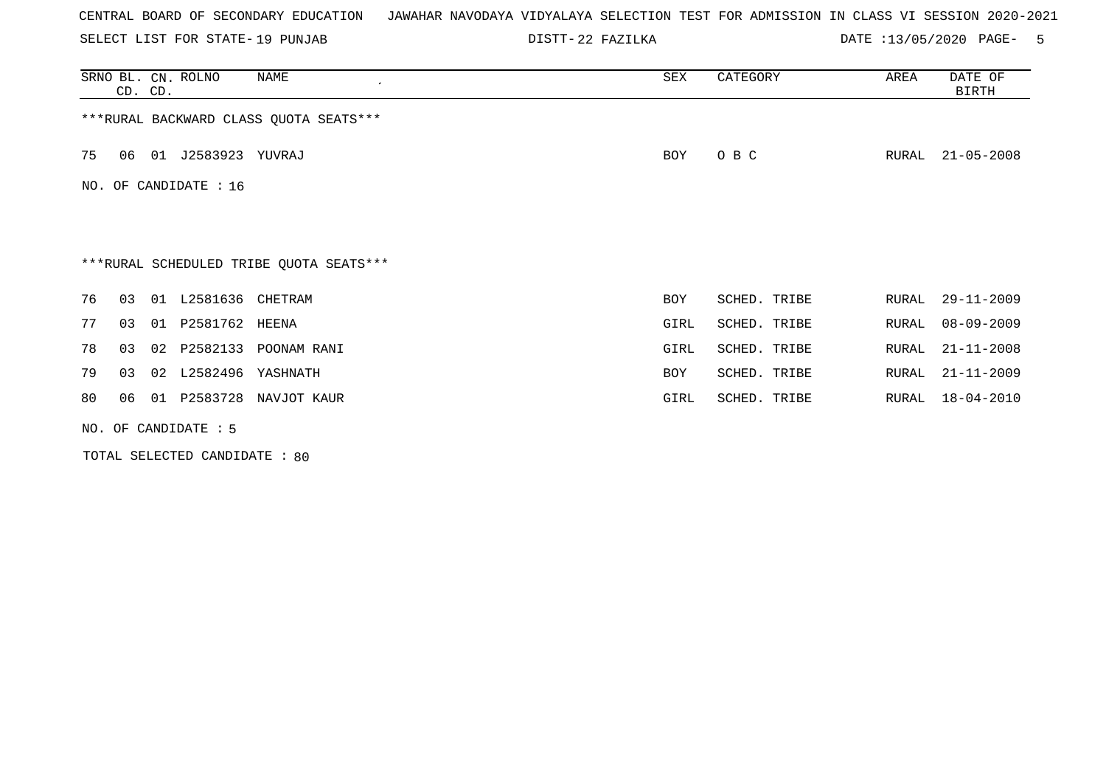SELECT LIST FOR STATE- DISTT- 19 PUNJAB

22 FAZILKA DATE :13/05/2020 PAGE- 5

|    | CD. CD.                |  | SRNO BL. CN. ROLNO    | NAME                                    | SEX        | CATEGORY     | AREA  | DATE OF<br>BIRTH |  |
|----|------------------------|--|-----------------------|-----------------------------------------|------------|--------------|-------|------------------|--|
|    |                        |  |                       | *** RURAL BACKWARD CLASS QUOTA SEATS*** |            |              |       |                  |  |
| 75 | 06                     |  | 01 J2583923 YUVRAJ    |                                         | BOY        | O B C        | RURAL | $21 - 05 - 2008$ |  |
|    |                        |  | NO. OF CANDIDATE : 16 |                                         |            |              |       |                  |  |
|    |                        |  |                       |                                         |            |              |       |                  |  |
|    |                        |  |                       | ***RURAL SCHEDULED TRIBE QUOTA SEATS*** |            |              |       |                  |  |
| 76 | 03                     |  | 01 L2581636 CHETRAM   |                                         | <b>BOY</b> | SCHED. TRIBE | RURAL | $29 - 11 - 2009$ |  |
| 77 | 03                     |  | 01 P2581762 HEENA     |                                         | GIRL       | SCHED. TRIBE | RURAL | $08 - 09 - 2009$ |  |
| 78 | 03                     |  |                       | 02 P2582133 POONAM RANI                 | GIRL       | SCHED. TRIBE | RURAL | $21 - 11 - 2008$ |  |
| 79 | 03                     |  | 02 L2582496 YASHNATH  |                                         | BOY        | SCHED. TRIBE | RURAL | $21 - 11 - 2009$ |  |
| 80 | 06                     |  |                       | 01 P2583728 NAVJOT KAUR                 | GIRL       | SCHED. TRIBE | RURAL | $18 - 04 - 2010$ |  |
|    | NO. OF CANDIDATE $: 5$ |  |                       |                                         |            |              |       |                  |  |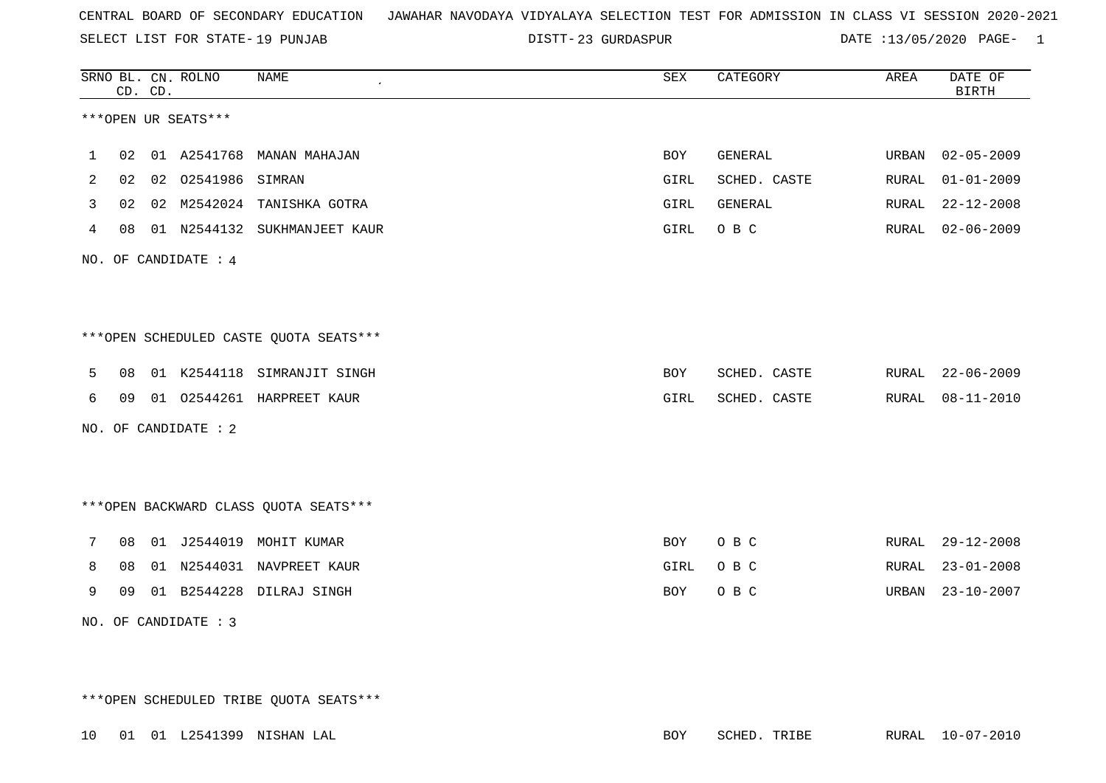SELECT LIST FOR STATE- DISTT- 19 PUNJAB

23 GURDASPUR DATE :13/05/2020 PAGE- 1

|   |    | CD. CD. | SRNO BL. CN. ROLNO   | <b>NAME</b>                            | <b>SEX</b>  | CATEGORY     | AREA  | DATE OF<br><b>BIRTH</b> |
|---|----|---------|----------------------|----------------------------------------|-------------|--------------|-------|-------------------------|
|   |    |         | ***OPEN UR SEATS***  |                                        |             |              |       |                         |
| 1 | 02 |         |                      | 01 A2541768 MANAN MAHAJAN              | <b>BOY</b>  | GENERAL      | URBAN | $02 - 05 - 2009$        |
| 2 | 02 |         | 02 02541986 SIMRAN   |                                        | GIRL        | SCHED. CASTE | RURAL | $01 - 01 - 2009$        |
| 3 | 02 |         |                      | 02 M2542024 TANISHKA GOTRA             | <b>GIRL</b> | GENERAL      | RURAL | $22 - 12 - 2008$        |
| 4 | 08 |         |                      | 01 N2544132 SUKHMANJEET KAUR           | GIRL        | O B C        | RURAL | $02 - 06 - 2009$        |
|   |    |         | NO. OF CANDIDATE : 4 |                                        |             |              |       |                         |
|   |    |         |                      |                                        |             |              |       |                         |
|   |    |         |                      | ***OPEN SCHEDULED CASTE QUOTA SEATS*** |             |              |       |                         |
| 5 | 08 |         |                      | 01 K2544118 SIMRANJIT SINGH            | <b>BOY</b>  | SCHED. CASTE | RURAL | $22 - 06 - 2009$        |
| 6 | 09 |         |                      | 01 02544261 HARPREET KAUR              | GIRL        | SCHED. CASTE | RURAL | $08 - 11 - 2010$        |
|   |    |         | NO. OF CANDIDATE : 2 |                                        |             |              |       |                         |
|   |    |         |                      |                                        |             |              |       |                         |
|   |    |         |                      | *** OPEN BACKWARD CLASS QUOTA SEATS*** |             |              |       |                         |
| 7 | 08 |         |                      | 01 J2544019 MOHIT KUMAR                | BOY         | O B C        | RURAL | $29 - 12 - 2008$        |
| 8 | 08 |         |                      | 01 N2544031 NAVPREET KAUR              | <b>GIRL</b> | O B C        | RURAL | $23 - 01 - 2008$        |
| 9 | 09 |         |                      | 01 B2544228 DILRAJ SINGH               | <b>BOY</b>  | O B C        | URBAN | $23 - 10 - 2007$        |
|   |    |         | NO. OF CANDIDATE : 3 |                                        |             |              |       |                         |

\*\*\*OPEN SCHEDULED TRIBE QUOTA SEATS\*\*\*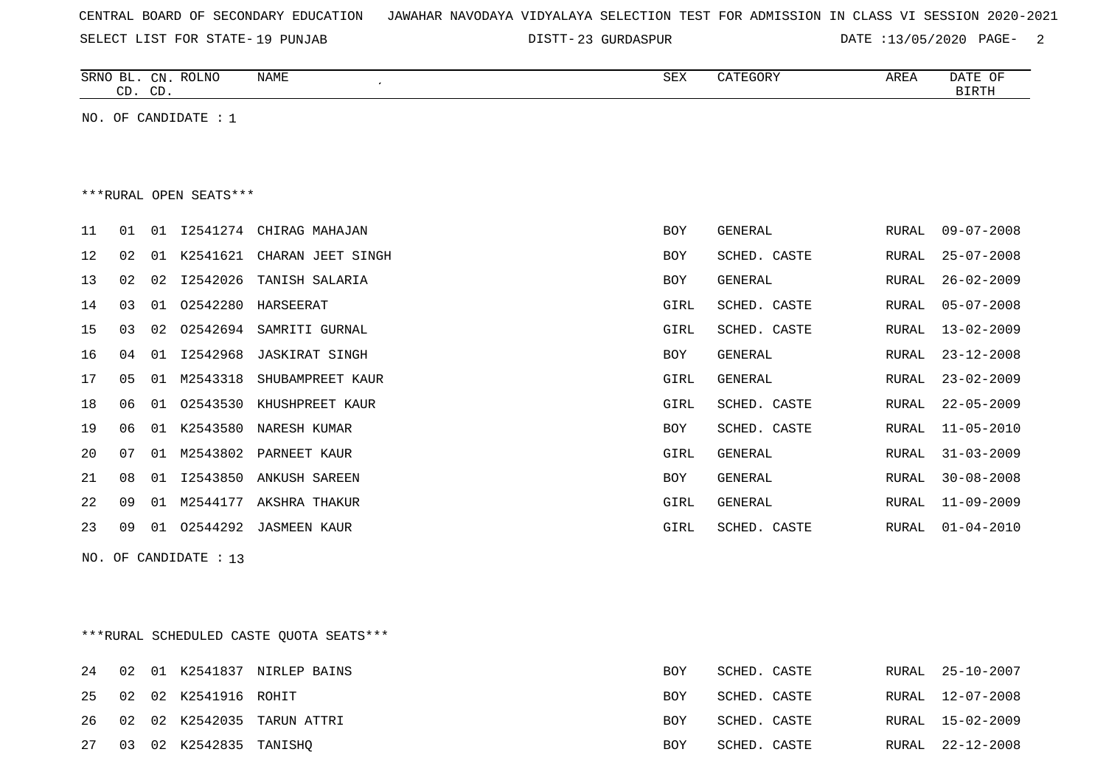|  |  |  |  |  | CENTRAL BOARD OF SECONDARY EDUCATION – JAWAHAR NAVODAYA VIDYALAYA SELECTION TEST FOR ADMISSION IN CLASS VI SESSION 2020-2021 |  |  |  |  |  |  |  |  |  |  |  |  |
|--|--|--|--|--|------------------------------------------------------------------------------------------------------------------------------|--|--|--|--|--|--|--|--|--|--|--|--|
|--|--|--|--|--|------------------------------------------------------------------------------------------------------------------------------|--|--|--|--|--|--|--|--|--|--|--|--|

SELECT LIST FOR STATE- DISTT- 19 PUNJAB

23 GURDASPUR DATE :13/05/2020 PAGE- 2

| SRNO<br>BГ   | <b>ROLNO</b><br>CN | NAME | SEX | $\sim$ $\sim$ $\sim$ $\sim$ $\sim$ | AREA | OF<br>DA.        |
|--------------|--------------------|------|-----|------------------------------------|------|------------------|
| $\cap$<br>ىب | $\sim$<br>ىب       |      |     |                                    |      | זיחרדות<br>₽±₩±₽ |
|              |                    |      |     |                                    |      |                  |

NO. OF CANDIDATE : 1

#### \*\*\*RURAL OPEN SEATS\*\*\*

| 11 | 01             | 01 |          | 12541274 CHIRAG MAHAJAN | BOY  | GENERAL      | RURAL | 09-07-2008       |
|----|----------------|----|----------|-------------------------|------|--------------|-------|------------------|
| 12 | 02             | 01 | K2541621 | CHARAN JEET SINGH       | BOY  | SCHED. CASTE | RURAL | $25 - 07 - 2008$ |
| 13 | 02             | 02 | I2542026 | TANISH SALARIA          | BOY  | GENERAL      | RURAL | $26 - 02 - 2009$ |
| 14 | 03             | 01 | 02542280 | HARSEERAT               | GIRL | SCHED. CASTE | RURAL | 05-07-2008       |
| 15 | 0 <sub>3</sub> | 02 | 02542694 | SAMRITI GURNAL          | GIRL | SCHED. CASTE | RURAL | $13 - 02 - 2009$ |
| 16 | 04             | 01 | I2542968 | JASKIRAT SINGH          | BOY  | GENERAL      | RURAL | $23 - 12 - 2008$ |
| 17 | 05             | 01 | M2543318 | SHUBAMPREET KAUR        | GIRL | GENERAL      | RURAL | $23 - 02 - 2009$ |
| 18 | 06             | 01 | 02543530 | KHUSHPREET KAUR         | GIRL | SCHED. CASTE | RURAL | $22 - 05 - 2009$ |
| 19 | 06             | 01 | K2543580 | NARESH KUMAR            | BOY  | SCHED. CASTE | RURAL | 11-05-2010       |
| 20 | 07             | 01 | M2543802 | PARNEET KAUR            | GIRL | GENERAL      | RURAL | $31 - 03 - 2009$ |
| 21 | 08             | 01 | I2543850 | ANKUSH SAREEN           | BOY  | GENERAL      | RURAL | $30 - 08 - 2008$ |
| 22 | 09             | 01 | M2544177 | AKSHRA THAKUR           | GIRL | GENERAL      | RURAL | $11 - 09 - 2009$ |
| 23 | 09             | 01 | 02544292 | JASMEEN KAUR            | GIRL | SCHED. CASTE | RURAL | $01 - 04 - 2010$ |
|    |                |    |          |                         |      |              |       |                  |

NO. OF CANDIDATE : 13

\*\*\*RURAL SCHEDULED CASTE QUOTA SEATS\*\*\*

|  |                           | 24 02 01 K2541837 NIRLEP BAINS | BOY        | SCHED. CASTE | RURAL 25-10-2007 |
|--|---------------------------|--------------------------------|------------|--------------|------------------|
|  | 25 02 02 K2541916 ROHIT   |                                | <b>BOY</b> | SCHED. CASTE | RURAL 12-07-2008 |
|  |                           | 26 02 02 K2542035 TARUN ATTRI  | <b>BOY</b> | SCHED. CASTE | RURAL 15-02-2009 |
|  | 27 03 02 K2542835 TANISHQ |                                | BOY        | SCHED. CASTE | RURAL 22-12-2008 |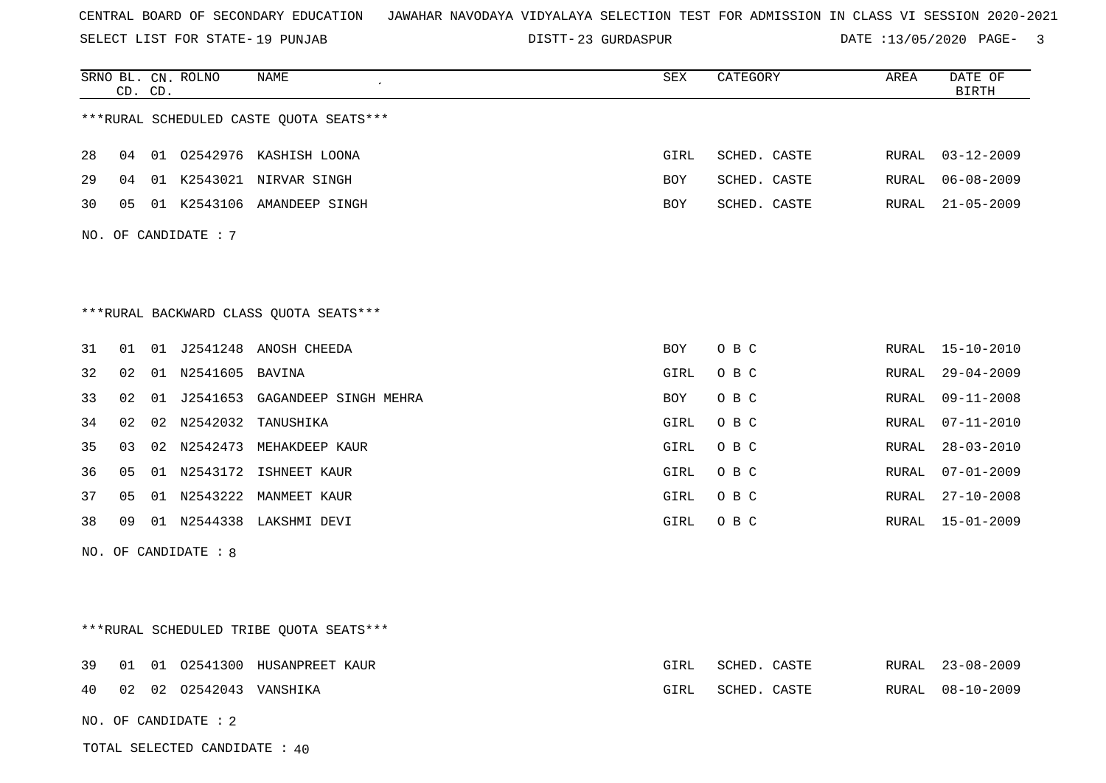SELECT LIST FOR STATE- DISTT- 19 PUNJAB

23 GURDASPUR DATE :13/05/2020 PAGE- 3

|    |    | CD. CD. | SRNO BL. CN. ROLNO      | NAME                                    | <b>SEX</b> | CATEGORY     | AREA          | DATE OF<br><b>BIRTH</b> |
|----|----|---------|-------------------------|-----------------------------------------|------------|--------------|---------------|-------------------------|
|    |    |         |                         | ***RURAL SCHEDULED CASTE QUOTA SEATS*** |            |              |               |                         |
| 28 |    |         |                         | 04 01 02542976 KASHISH LOONA            | GIRL       | SCHED. CASTE | RURAL         | $03 - 12 - 2009$        |
| 29 |    |         |                         | 04 01 K2543021 NIRVAR SINGH             | <b>BOY</b> | SCHED. CASTE | RURAL         | $06 - 08 - 2009$        |
| 30 | 05 |         |                         | 01 K2543106 AMANDEEP SINGH              | BOY        | SCHED. CASTE | RURAL         | $21 - 05 - 2009$        |
|    |    |         | NO. OF CANDIDATE : $7$  |                                         |            |              |               |                         |
|    |    |         |                         |                                         |            |              |               |                         |
|    |    |         |                         |                                         |            |              |               |                         |
|    |    |         |                         | ***RURAL BACKWARD CLASS QUOTA SEATS***  |            |              |               |                         |
| 31 | 01 |         |                         | 01 J2541248 ANOSH CHEEDA                | BOY        | O B C        | RURAL         | 15-10-2010              |
| 32 | 02 |         | 01 N2541605 BAVINA      |                                         | GIRL       | O B C        | RURAL         | $29 - 04 - 2009$        |
| 33 | 02 |         |                         | 01 J2541653 GAGANDEEP SINGH MEHRA       | BOY        | O B C        | RURAL         | $09 - 11 - 2008$        |
| 34 | 02 |         |                         | 02 N2542032 TANUSHIKA                   | GIRL       | O B C        | ${\tt RURAL}$ | $07 - 11 - 2010$        |
| 35 | 03 |         |                         | 02 N2542473 MEHAKDEEP KAUR              | GIRL       | O B C        | RURAL         | $28 - 03 - 2010$        |
| 36 | 05 |         |                         | 01 N2543172 ISHNEET KAUR                | GIRL       | O B C        | RURAL         | $07 - 01 - 2009$        |
| 37 | 05 |         |                         | 01 N2543222 MANMEET KAUR                | GIRL       | O B C        | RURAL         | 27-10-2008              |
| 38 | 09 |         |                         | 01 N2544338 LAKSHMI DEVI                | GIRL       | O B C        | RURAL         | $15 - 01 - 2009$        |
|    |    |         | NO. OF CANDIDATE : 8    |                                         |            |              |               |                         |
|    |    |         |                         |                                         |            |              |               |                         |
|    |    |         |                         |                                         |            |              |               |                         |
|    |    |         |                         | ***RURAL SCHEDULED TRIBE QUOTA SEATS*** |            |              |               |                         |
| 39 | 01 |         |                         | 01 02541300 HUSANPREET KAUR             | GIRL       | SCHED. CASTE | RURAL         | $23 - 08 - 2009$        |
| 40 |    |         | 02 02 02542043 VANSHIKA |                                         | GIRL       | SCHED. CASTE | RURAL         | $08 - 10 - 2009$        |
|    |    |         | NO. OF CANDIDATE : 2    |                                         |            |              |               |                         |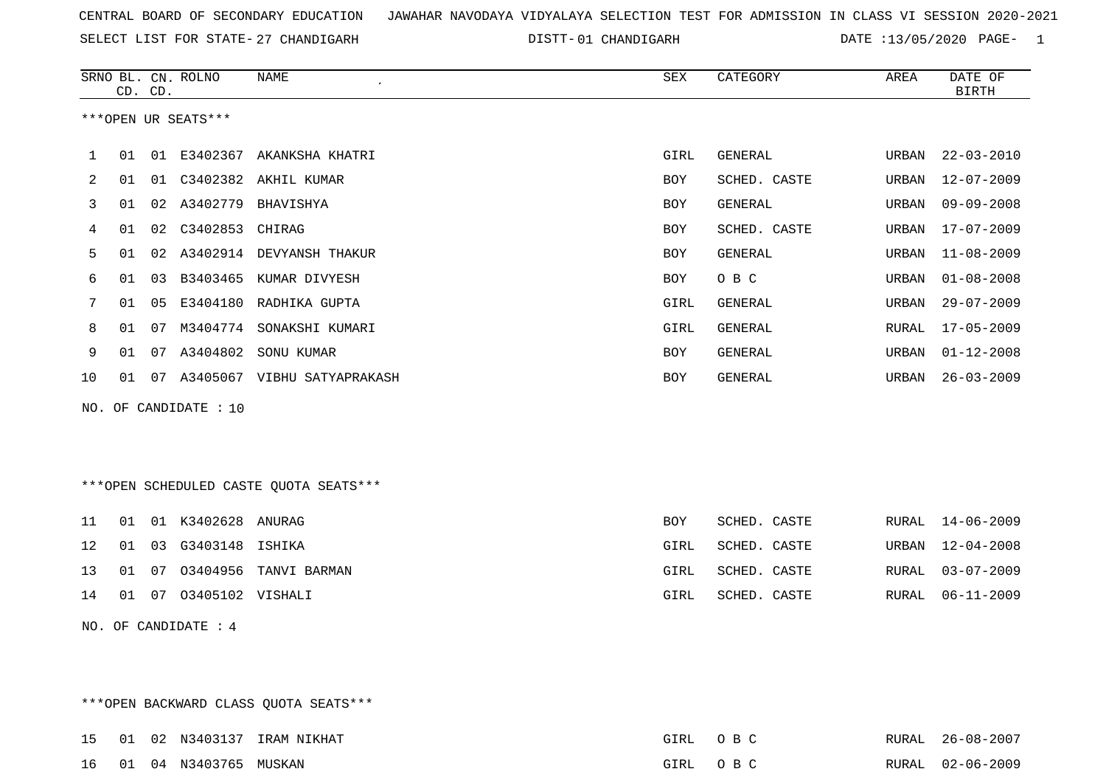SELECT LIST FOR STATE- DISTT- 27 CHANDIGARH

DISTT-01 CHANDIGARH DATE :13/05/2020 PAGE- 1

|    |    | CD. CD. | SRNO BL. CN. ROLNO    | <b>NAME</b>                            | <b>SEX</b> | CATEGORY       | AREA  | DATE OF<br><b>BIRTH</b> |
|----|----|---------|-----------------------|----------------------------------------|------------|----------------|-------|-------------------------|
|    |    |         | ***OPEN UR SEATS***   |                                        |            |                |       |                         |
| 1  | 01 |         | 01 E3402367           | AKANKSHA KHATRI                        | GIRL       | <b>GENERAL</b> | URBAN | $22 - 03 - 2010$        |
| 2  | 01 |         |                       | 01 C3402382 AKHIL KUMAR                | <b>BOY</b> | SCHED. CASTE   | URBAN | $12 - 07 - 2009$        |
| 3  | 01 |         |                       | 02 A3402779 BHAVISHYA                  | <b>BOY</b> | <b>GENERAL</b> | URBAN | $09 - 09 - 2008$        |
| 4  | 01 | 02      | C3402853              | CHIRAG                                 | <b>BOY</b> | SCHED. CASTE   | URBAN | $17 - 07 - 2009$        |
| 5  | 01 | 02      |                       | A3402914 DEVYANSH THAKUR               | <b>BOY</b> | <b>GENERAL</b> | URBAN | $11 - 08 - 2009$        |
| 6  | 01 | 03      | B3403465              | KUMAR DIVYESH                          | <b>BOY</b> | O B C          | URBAN | $01 - 08 - 2008$        |
| 7  | 01 | 05      | E3404180              | RADHIKA GUPTA                          | GIRL       | <b>GENERAL</b> | URBAN | $29 - 07 - 2009$        |
| 8  | 01 | 07      | M3404774              | SONAKSHI KUMARI                        | GIRL       | <b>GENERAL</b> | RURAL | $17 - 05 - 2009$        |
| 9  | 01 | 07      | A3404802              | SONU KUMAR                             | <b>BOY</b> | <b>GENERAL</b> | URBAN | $01 - 12 - 2008$        |
| 10 | 01 | 07      |                       | A3405067 VIBHU SATYAPRAKASH            | <b>BOY</b> | <b>GENERAL</b> | URBAN | $26 - 03 - 2009$        |
|    |    |         | NO. OF CANDIDATE : 10 |                                        |            |                |       |                         |
|    |    |         |                       | ***OPEN SCHEDULED CASTE QUOTA SEATS*** |            |                |       |                         |
| 11 | 01 |         | 01 K3402628 ANURAG    |                                        | BOY        | SCHED. CASTE   | RURAL | $14 - 06 - 2009$        |
| 12 | 01 | 03      | G3403148              | ISHIKA                                 | GIRL       | SCHED. CASTE   | URBAN | $12 - 04 - 2008$        |

|  |                                   | 13 01 07 03404956 TANVI BARMAN | GIRL | SCHED. CASTE | RURAL 03-07-2009 |
|--|-----------------------------------|--------------------------------|------|--------------|------------------|
|  | 14   01   07   03405102   VISHALI |                                | GIRL | SCHED. CASTE | RURAL 06-11-2009 |

NO. OF CANDIDATE : 4

\*\*\*OPEN BACKWARD CLASS QUOTA SEATS\*\*\*

15 01 02 N3403137 IRAM NIKHAT GIRL O B C RURAL 26-08-2007 16 01 04 N3403765 MUSKAN GIRL O B C RURAL 02-06-2009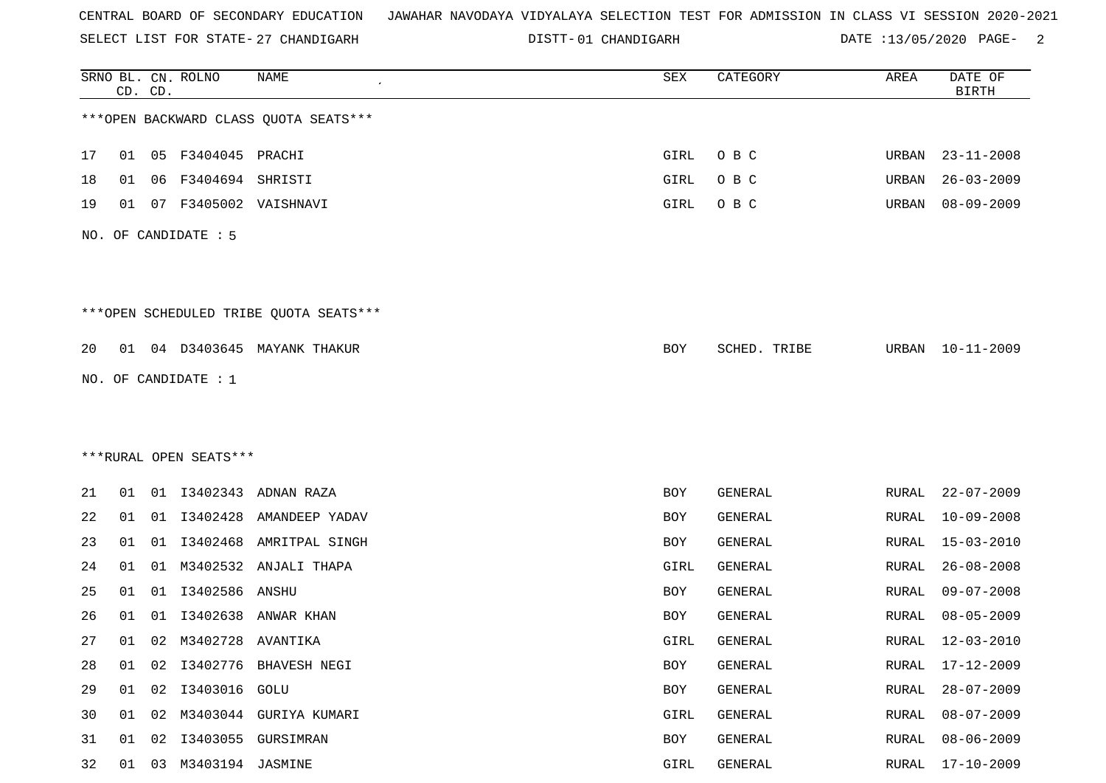|  |  |  |  | CENTRAL BOARD OF SECONDARY EDUCATION – JAWAHAR NAVODAYA VIDYALAYA SELECTION TEST FOR ADMISSION IN CLASS VI SESSION 2020-2021 |  |  |  |  |  |  |  |  |  |  |  |  |  |  |
|--|--|--|--|------------------------------------------------------------------------------------------------------------------------------|--|--|--|--|--|--|--|--|--|--|--|--|--|--|
|--|--|--|--|------------------------------------------------------------------------------------------------------------------------------|--|--|--|--|--|--|--|--|--|--|--|--|--|--|

SELECT LIST FOR STATE- 27 CHANDIGARH

27 CHANDIGARH 01 CHANDIGARH DATE :13/05/2020 PAGE- 2

|    |    | CD. CD. | SRNO BL. CN. ROLNO     | NAME                                   | ${\tt SEX}$ | CATEGORY     | AREA  | DATE OF<br><b>BIRTH</b> |
|----|----|---------|------------------------|----------------------------------------|-------------|--------------|-------|-------------------------|
|    |    |         |                        | *** OPEN BACKWARD CLASS QUOTA SEATS*** |             |              |       |                         |
| 17 | 01 |         | 05 F3404045 PRACHI     |                                        | GIRL        | O B C        | URBAN | $23 - 11 - 2008$        |
| 18 | 01 | 06      | F3404694 SHRISTI       |                                        | GIRL        | O B C        | URBAN | $26 - 03 - 2009$        |
| 19 | 01 |         |                        | 07 F3405002 VAISHNAVI                  | GIRL        | O B C        | URBAN | $08 - 09 - 2009$        |
|    |    |         | NO. OF CANDIDATE : 5   |                                        |             |              |       |                         |
|    |    |         |                        | ***OPEN SCHEDULED TRIBE QUOTA SEATS*** |             |              |       |                         |
| 20 |    |         |                        | 01 04 D3403645 MAYANK THAKUR           | BOY         | SCHED. TRIBE | URBAN | 10-11-2009              |
|    |    |         | NO. OF CANDIDATE $: 1$ |                                        |             |              |       |                         |
|    |    |         |                        |                                        |             |              |       |                         |
|    |    |         |                        |                                        |             |              |       |                         |
|    |    |         | ***RURAL OPEN SEATS*** |                                        |             |              |       |                         |
| 21 | 01 |         | 01 13402343            | ADNAN RAZA                             | BOY         | GENERAL      | RURAL | $22 - 07 - 2009$        |
| 22 | 01 |         | 01 13402428            | AMANDEEP YADAV                         | BOY         | GENERAL      | RURAL | $10 - 09 - 2008$        |
| 23 | 01 | 01      | I3402468               | AMRITPAL SINGH                         | BOY         | GENERAL      | RURAL | $15 - 03 - 2010$        |
| 24 | 01 | 01      | M3402532               | ANJALI THAPA                           | GIRL        | GENERAL      | RURAL | $26 - 08 - 2008$        |
| 25 | 01 | 01      | 13402586 ANSHU         |                                        | BOY         | GENERAL      | RURAL | $09 - 07 - 2008$        |
| 26 | 01 | 01      | I3402638               | ANWAR KHAN                             | BOY         | GENERAL      | RURAL | $08 - 05 - 2009$        |
| 27 | 01 |         | 02 M3402728 AVANTIKA   |                                        | GIRL        | GENERAL      | RURAL | $12 - 03 - 2010$        |
| 28 | 01 | 02      |                        | I3402776 BHAVESH NEGI                  | BOY         | GENERAL      | RURAL | $17 - 12 - 2009$        |
| 29 | 01 | 02      | I3403016 GOLU          |                                        | BOY         | GENERAL      | RURAL | $28 - 07 - 2009$        |
| 30 |    | 01 02   |                        | M3403044 GURIYA KUMARI                 | GIRL        | GENERAL      | RURAL | $08 - 07 - 2009$        |
| 31 | 01 | 02      |                        | I3403055 GURSIMRAN                     | BOY         | GENERAL      | RURAL | $08 - 06 - 2009$        |
| 32 | 01 |         | 03 M3403194 JASMINE    |                                        | GIRL        | GENERAL      | RURAL | $17 - 10 - 2009$        |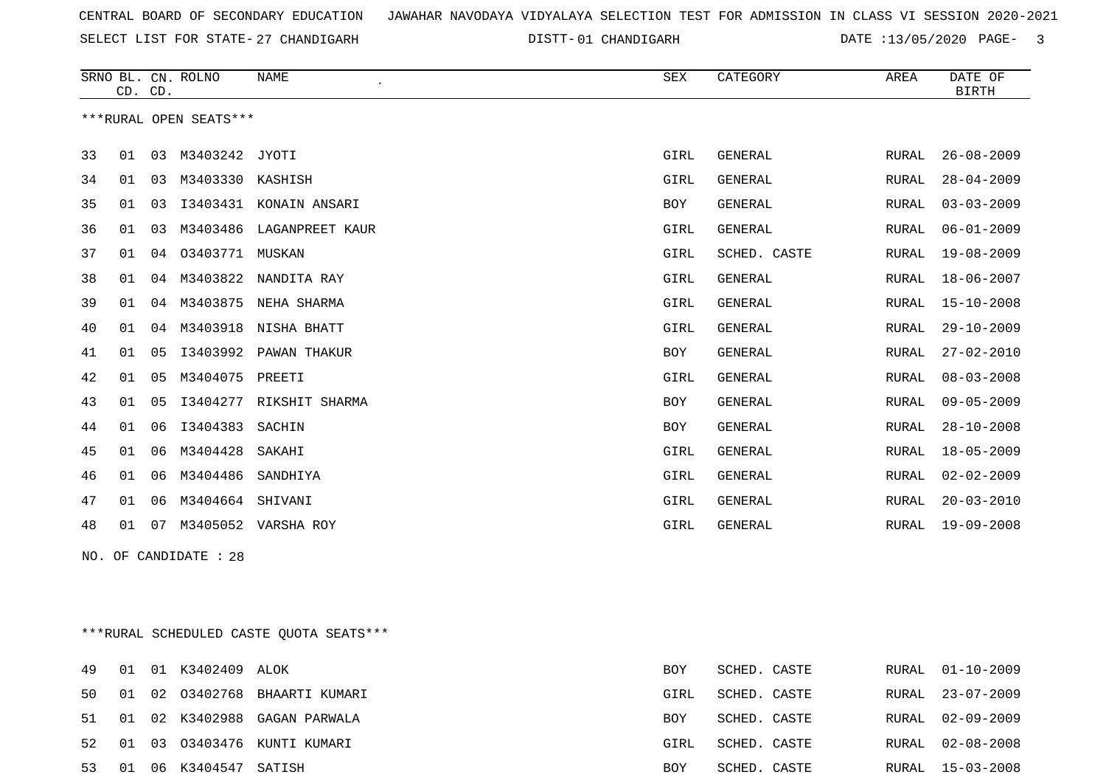SELECT LIST FOR STATE- DISTT- 27 CHANDIGARH

01 CHANDIGARH DATE :13/05/2020 PAGE- 3

|    |    | CD. CD.        | SRNO BL. CN. ROLNO     | <b>NAME</b><br>$\epsilon$ | SEX        | CATEGORY       | AREA  | DATE OF<br><b>BIRTH</b> |
|----|----|----------------|------------------------|---------------------------|------------|----------------|-------|-------------------------|
|    |    |                | ***RURAL OPEN SEATS*** |                           |            |                |       |                         |
| 33 | 01 | 03             | M3403242 JYOTI         |                           | GIRL       | <b>GENERAL</b> | RURAL | $26 - 08 - 2009$        |
| 34 | 01 | 03             | M3403330               | KASHISH                   | GIRL       | <b>GENERAL</b> | RURAL | $28 - 04 - 2009$        |
| 35 | 01 | 03             | I3403431               | KONAIN ANSARI             | <b>BOY</b> | <b>GENERAL</b> | RURAL | $03 - 03 - 2009$        |
| 36 | 01 | 03             | M3403486               | LAGANPREET KAUR           | GIRL       | <b>GENERAL</b> | RURAL | $06 - 01 - 2009$        |
| 37 | 01 | 04             | 03403771               | MUSKAN                    | GIRL       | SCHED. CASTE   | RURAL | $19 - 08 - 2009$        |
| 38 | 01 | 04             |                        | M3403822 NANDITA RAY      | GIRL       | <b>GENERAL</b> | RURAL | $18 - 06 - 2007$        |
| 39 | 01 | 04             |                        | M3403875 NEHA SHARMA      | GIRL       | <b>GENERAL</b> | RURAL | $15 - 10 - 2008$        |
| 40 | 01 | 04             |                        | M3403918 NISHA BHATT      | GIRL       | <b>GENERAL</b> | RURAL | $29 - 10 - 2009$        |
| 41 | 01 | 05             | I3403992               | PAWAN THAKUR              | <b>BOY</b> | <b>GENERAL</b> | RURAL | $27 - 02 - 2010$        |
| 42 | 01 | 05             | M3404075               | PREETI                    | GIRL       | GENERAL        | RURAL | $08 - 03 - 2008$        |
| 43 | 01 | 0 <sub>5</sub> | I3404277               | RIKSHIT SHARMA            | <b>BOY</b> | <b>GENERAL</b> | RURAL | $09 - 05 - 2009$        |
| 44 | 01 | 06             | I3404383               | SACHIN                    | <b>BOY</b> | <b>GENERAL</b> | RURAL | $28 - 10 - 2008$        |
| 45 | 01 | 06             | M3404428               | SAKAHI                    | GIRL       | GENERAL        | RURAL | $18 - 05 - 2009$        |
| 46 | 01 | 06             | M3404486               | SANDHIYA                  | GIRL       | <b>GENERAL</b> | RURAL | $02 - 02 - 2009$        |
| 47 | 01 | 06             | M3404664               | SHIVANI                   | GIRL       | GENERAL        | RURAL | $20 - 03 - 2010$        |
| 48 | 01 | 07             | M3405052               | VARSHA ROY                | GIRL       | GENERAL        | RURAL | $19 - 09 - 2008$        |

NO. OF CANDIDATE : 28

\*\*\*RURAL SCHEDULED CASTE QUOTA SEATS\*\*\*

| 49 |  | 01 01 K3402409 ALOK   |                                 | BOY        | SCHED. CASTE | RURAL 01-10-2009 |
|----|--|-----------------------|---------------------------------|------------|--------------|------------------|
| 50 |  |                       | 01 02 03402768 BHAARTI KUMARI   | GIRL       | SCHED. CASTE | RURAL 23-07-2009 |
|    |  |                       | 51 01 02 K3402988 GAGAN PARWALA | <b>BOY</b> | SCHED. CASTE | RURAL 02-09-2009 |
|    |  |                       | 52 01 03 03403476 KUNTI KUMARI  | GIRL       | SCHED. CASTE | RURAL 02-08-2008 |
| 53 |  | 01 06 K3404547 SATISH |                                 | <b>BOY</b> | SCHED. CASTE | RURAL 15-03-2008 |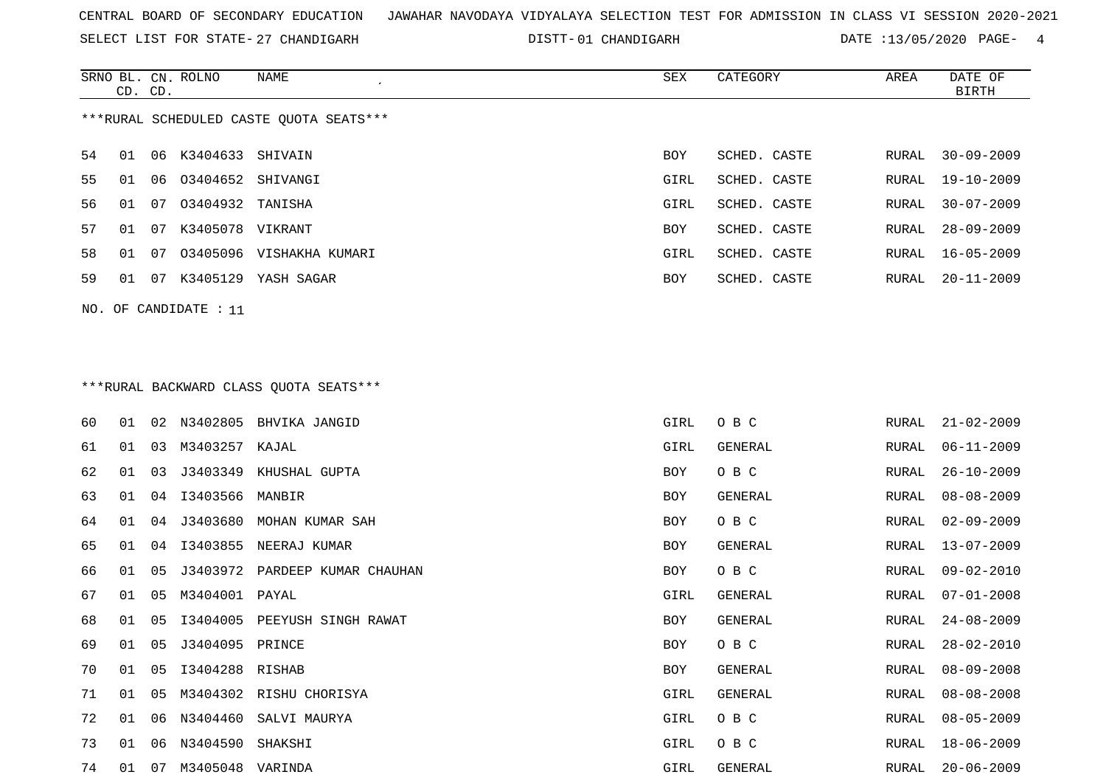SELECT LIST FOR STATE- DISTT- 27 CHANDIGARH

01 CHANDIGARH DATE :13/05/2020 PAGE- 4

|                                         |    | CD. CD. | SRNO BL. CN. ROLNO   | NAME                     | <b>SEX</b> | CATEGORY     | AREA  | DATE OF<br>BIRTH |  |
|-----------------------------------------|----|---------|----------------------|--------------------------|------------|--------------|-------|------------------|--|
| ***RURAL SCHEDULED CASTE QUOTA SEATS*** |    |         |                      |                          |            |              |       |                  |  |
| 54                                      | 01 |         | 06 K3404633 SHIVAIN  |                          | BOY        | SCHED. CASTE | RURAL | $30 - 09 - 2009$ |  |
| 55                                      | 01 |         | 06 03404652 SHIVANGI |                          | GIRL       | SCHED. CASTE | RURAL | 19-10-2009       |  |
| 56                                      | 01 | 07      | 03404932 TANISHA     |                          | GIRL       | SCHED. CASTE | RURAL | $30 - 07 - 2009$ |  |
| 57                                      | 01 | 07      | K3405078 VIKRANT     |                          | BOY        | SCHED. CASTE | RURAL | $28 - 09 - 2009$ |  |
| 58                                      | 01 | 07      |                      | 03405096 VISHAKHA KUMARI | GIRL       | SCHED. CASTE | RURAL | $16 - 05 - 2009$ |  |
| 59                                      | 01 | 07      |                      | K3405129 YASH SAGAR      | BOY        | SCHED. CASTE | RURAL | $20 - 11 - 2009$ |  |
| NO. OF CANDIDATE : 11                   |    |         |                      |                          |            |              |       |                  |  |
|                                         |    |         |                      |                          |            |              |       |                  |  |
| ***RURAL BACKWARD CLASS QUOTA SEATS***  |    |         |                      |                          |            |              |       |                  |  |

| 60 | 01 | 02             |                  | N3402805 BHVIKA JANGID         | GIRL | O B C   | RURAL | $21 - 02 - 2009$ |
|----|----|----------------|------------------|--------------------------------|------|---------|-------|------------------|
| 61 | 01 | 03             | M3403257         | KAJAL                          | GIRL | GENERAL | RURAL | $06 - 11 - 2009$ |
| 62 | 01 | 03             |                  | J3403349 KHUSHAL GUPTA         | BOY  | O B C   | RURAL | $26 - 10 - 2009$ |
| 63 | 01 | 04             | 13403566 MANBIR  |                                | BOY  | GENERAL | RURAL | $08 - 08 - 2009$ |
| 64 | 01 | 04             |                  | J3403680 MOHAN KUMAR SAH       | BOY  | O B C   | RURAL | $02 - 09 - 2009$ |
| 65 | 01 | 04             | I3403855         | NEERAJ KUMAR                   | BOY  | GENERAL | RURAL | $13 - 07 - 2009$ |
| 66 | 01 | 05             |                  | J3403972 PARDEEP KUMAR CHAUHAN | BOY  | O B C   | RURAL | $09 - 02 - 2010$ |
| 67 | 01 | 0 <sub>5</sub> | M3404001 PAYAL   |                                | GIRL | GENERAL | RURAL | $07 - 01 - 2008$ |
| 68 | 01 | 05             |                  | I3404005 PEEYUSH SINGH RAWAT   | BOY  | GENERAL | RURAL | $24 - 08 - 2009$ |
| 69 | 01 | 05             | J3404095 PRINCE  |                                | BOY  | O B C   | RURAL | $28 - 02 - 2010$ |
| 70 | 01 | 05             | 13404288 RISHAB  |                                | BOY  | GENERAL | RURAL | $08 - 09 - 2008$ |
| 71 | 01 | 05             |                  | M3404302 RISHU CHORISYA        | GIRL | GENERAL | RURAL | $08 - 08 - 2008$ |
| 72 | 01 | 06             | N3404460         | SALVI MAURYA                   | GIRL | O B C   | RURAL | $08 - 05 - 2009$ |
| 73 | 01 | 06             | N3404590         | SHAKSHI                        | GIRL | O B C   | RURAL | $18 - 06 - 2009$ |
| 74 | 01 | 07             | M3405048 VARINDA |                                | GIRL | GENERAL | RURAL | $20 - 06 - 2009$ |